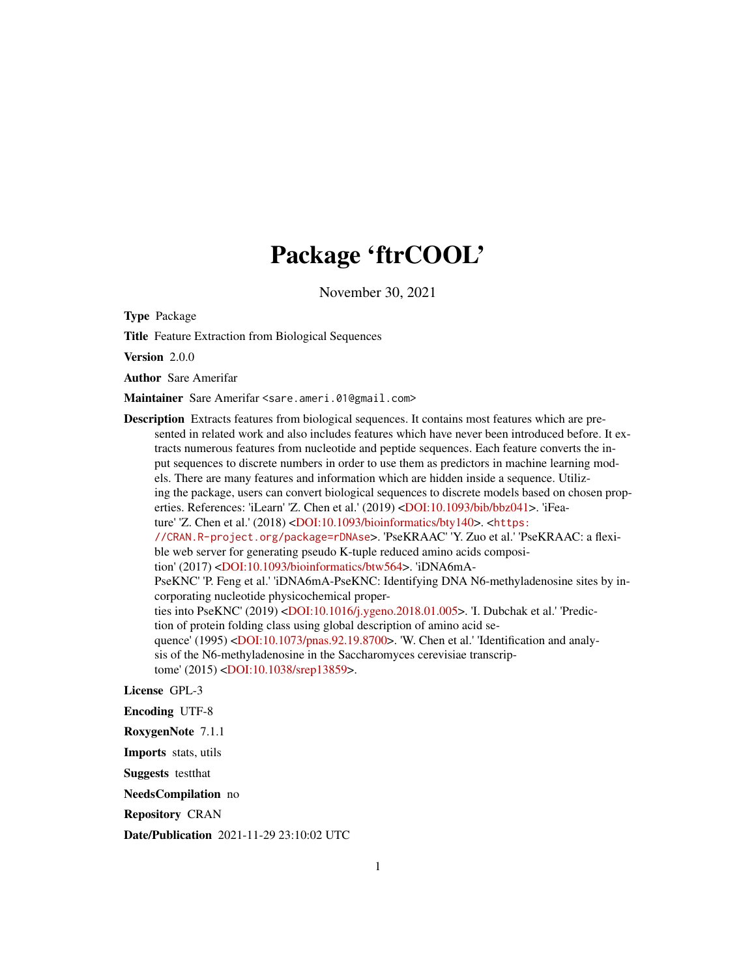# Package 'ftrCOOL'

November 30, 2021

Type Package

Title Feature Extraction from Biological Sequences

Version 2.0.0

Author Sare Amerifar

Maintainer Sare Amerifar <sare.ameri.01@gmail.com>

Description Extracts features from biological sequences. It contains most features which are presented in related work and also includes features which have never been introduced before. It extracts numerous features from nucleotide and peptide sequences. Each feature converts the input sequences to discrete numbers in order to use them as predictors in machine learning models. There are many features and information which are hidden inside a sequence. Utilizing the package, users can convert biological sequences to discrete models based on chosen properties. References: 'iLearn' 'Z. Chen et al.' (2019) [<DOI:10.1093/bib/bbz041>](https://doi.org/10.1093/bib/bbz041). 'iFea-ture' 'Z. Chen et al.' (2018) [<DOI:10.1093/bioinformatics/bty140>](https://doi.org/10.1093/bioinformatics/bty140). <[https:](https://CRAN.R-project.org/package=rDNAse) [//CRAN.R-project.org/package=rDNAse](https://CRAN.R-project.org/package=rDNAse)>. 'PseKRAAC' 'Y. Zuo et al.' 'PseKRAAC: a flexible web server for generating pseudo K-tuple reduced amino acids composition' (2017) [<DOI:10.1093/bioinformatics/btw564>](https://doi.org/10.1093/bioinformatics/btw564). 'iDNA6mA-PseKNC' 'P. Feng et al.' 'iDNA6mA-PseKNC: Identifying DNA N6-methyladenosine sites by incorporating nucleotide physicochemical properties into PseKNC' (2019) [<DOI:10.1016/j.ygeno.2018.01.005>](https://doi.org/10.1016/j.ygeno.2018.01.005). 'I. Dubchak et al.' 'Prediction of protein folding class using global description of amino acid sequence' (1995) [<DOI:10.1073/pnas.92.19.8700>](https://doi.org/10.1073/pnas.92.19.8700). 'W. Chen et al.' 'Identification and analysis of the N6-methyladenosine in the Saccharomyces cerevisiae transcrip-tome' (2015) [<DOI:10.1038/srep13859>](https://doi.org/10.1038/srep13859).

License GPL-3

Encoding UTF-8

RoxygenNote 7.1.1

Imports stats, utils

Suggests testthat

NeedsCompilation no

Repository CRAN

Date/Publication 2021-11-29 23:10:02 UTC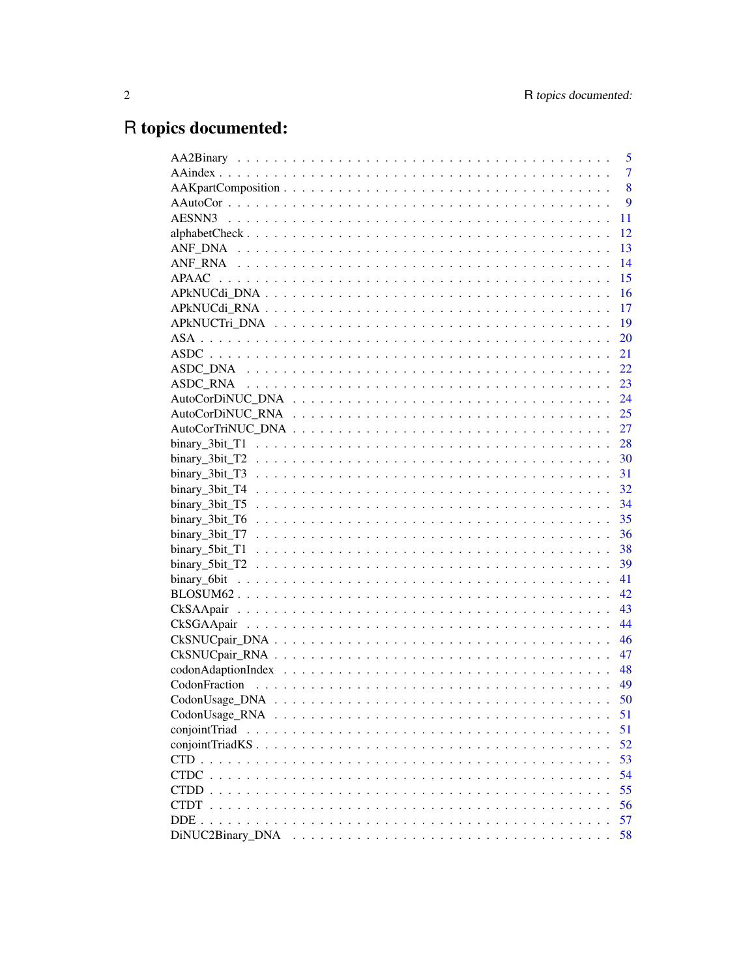# R topics documented:

|                  | 5              |
|------------------|----------------|
|                  | $\overline{7}$ |
|                  | 8              |
|                  | 9              |
|                  | 11             |
|                  | 12             |
|                  | 13             |
|                  | 14             |
| <b>APAAC</b>     | 15             |
|                  | 16             |
|                  | 17             |
|                  | 19             |
|                  | 20             |
|                  | 21             |
|                  | 22             |
|                  | 23             |
|                  | 24             |
|                  | 25             |
|                  |                |
|                  | 28             |
|                  | 30             |
|                  | 31             |
|                  | 32             |
|                  | 34             |
|                  | 35             |
| binary_3bit_T7   | 36             |
|                  | 38             |
|                  | 39             |
|                  | 41             |
|                  | 42             |
|                  | 43             |
|                  | 44             |
|                  | 46             |
|                  | 47             |
|                  | 48             |
|                  | 49             |
|                  | 50             |
|                  |                |
|                  | 51<br>51       |
| conjointTriad    |                |
| conjointTriadKS. | 52             |
| <b>CTD</b>       | 53             |
| <b>CTDC</b>      | 54             |
| CTDD             | 55             |
| <b>CTDT</b>      | 56             |
| DDE.             | 57             |
| DiNUC2Binary DNA | 58             |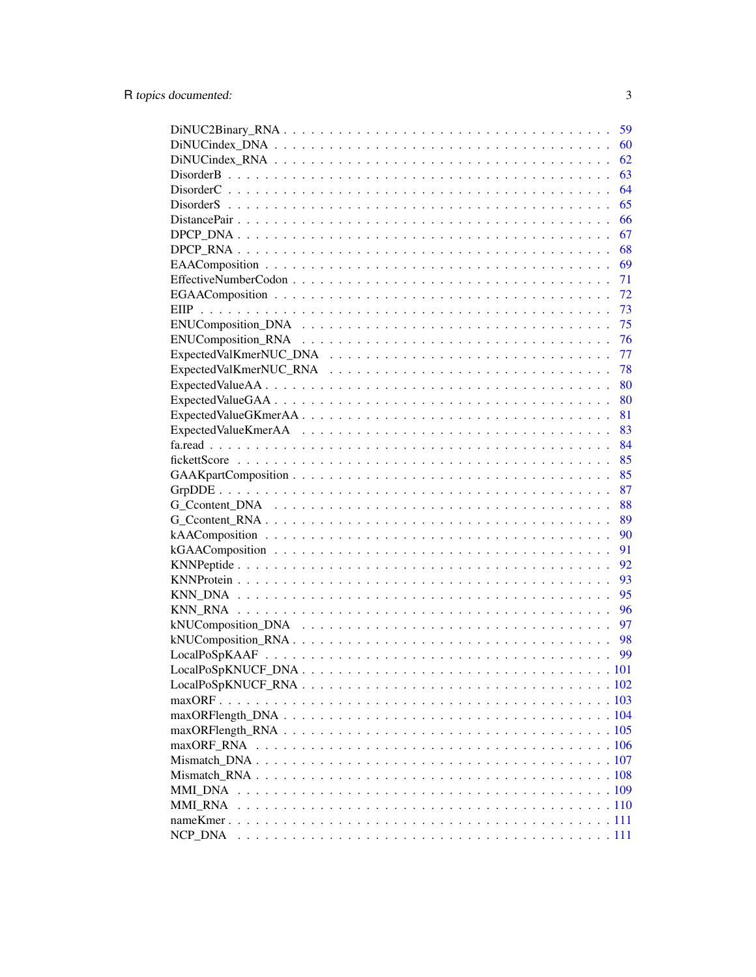|                | 59 |
|----------------|----|
|                | 60 |
|                | 62 |
|                | 63 |
|                | 64 |
|                | 65 |
|                | 66 |
|                | 67 |
|                | 68 |
|                | 69 |
|                | 71 |
|                | 72 |
|                | 73 |
|                | 75 |
|                | 76 |
|                | 77 |
|                | 78 |
|                | 80 |
|                | 80 |
|                | 81 |
|                | 83 |
|                | 84 |
|                | 85 |
|                | 85 |
|                | 87 |
|                | 88 |
|                | 89 |
|                | 90 |
|                | 91 |
|                | 92 |
|                | 93 |
|                | 95 |
|                |    |
|                | 96 |
|                | 97 |
|                | 98 |
|                | 99 |
|                |    |
|                |    |
|                |    |
|                |    |
|                |    |
| maxORF_RNA     |    |
|                |    |
|                |    |
| <b>MMI DNA</b> |    |
| <b>MMI RNA</b> |    |
|                |    |
|                |    |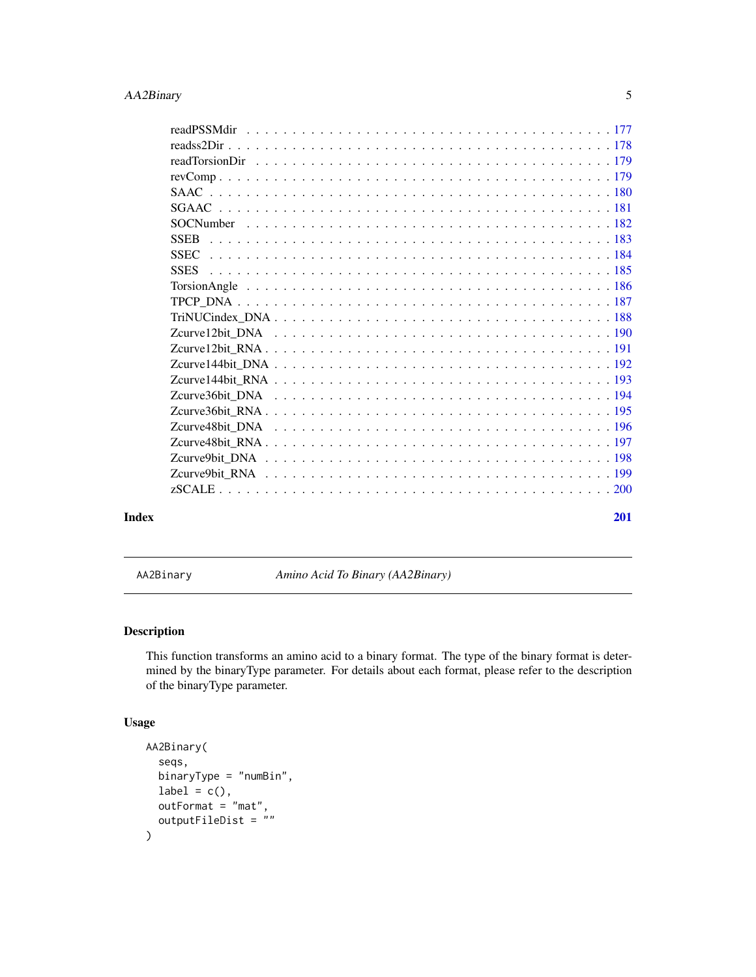<span id="page-4-0"></span>

| Index | <b>201</b> |
|-------|------------|

AA2Binary *Amino Acid To Binary (AA2Binary)*

# Description

This function transforms an amino acid to a binary format. The type of the binary format is determined by the binaryType parameter. For details about each format, please refer to the description of the binaryType parameter.

```
AA2Binary(
  seqs,
  binaryType = "numBin",
  label = c(),
  outFormat = "mat",
  outputFileDist = \sin\mathcal{E}
```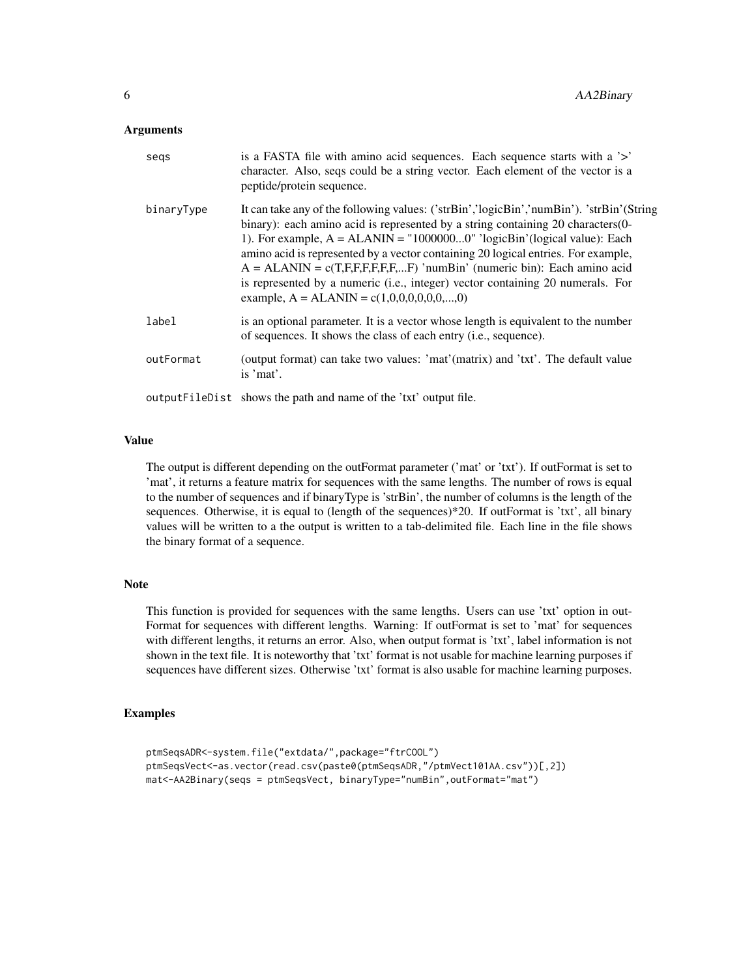#### **Arguments**

| segs       | is a FASTA file with a mino acid sequences. Each sequence starts with a '>'<br>character. Also, seqs could be a string vector. Each element of the vector is a<br>peptide/protein sequence.                                                                                                                                                                                                                                                                                                                                                                  |
|------------|--------------------------------------------------------------------------------------------------------------------------------------------------------------------------------------------------------------------------------------------------------------------------------------------------------------------------------------------------------------------------------------------------------------------------------------------------------------------------------------------------------------------------------------------------------------|
| binaryType | It can take any of the following values: ('strBin','logicBin','numBin'). 'strBin'(String<br>binary): each amino acid is represented by a string containing 20 characters (0-<br>1). For example, $A = ALANIN = "10000000" 'logicBin' (logical value): Each$<br>amino acid is represented by a vector containing 20 logical entries. For example,<br>$A = ALANIN = c(T,F,F,F,F,F,F)$ 'numBin' (numeric bin): Each amino acid<br>is represented by a numeric (i.e., integer) vector containing 20 numerals. For<br>example, $A = ALANIN = c(1,0,0,0,0,0,0,,0)$ |
| label      | is an optional parameter. It is a vector whose length is equivalent to the number<br>of sequences. It shows the class of each entry ( <i>i.e.</i> , sequence).                                                                                                                                                                                                                                                                                                                                                                                               |
| outFormat  | (output format) can take two values: 'mat'(matrix) and 'txt'. The default value<br>is 'mat'.                                                                                                                                                                                                                                                                                                                                                                                                                                                                 |
|            | output FileDist shows the path and name of the 'txt' output file.                                                                                                                                                                                                                                                                                                                                                                                                                                                                                            |

# Value

The output is different depending on the outFormat parameter ('mat' or 'txt'). If outFormat is set to 'mat', it returns a feature matrix for sequences with the same lengths. The number of rows is equal to the number of sequences and if binaryType is 'strBin', the number of columns is the length of the sequences. Otherwise, it is equal to (length of the sequences)\*20. If outFormat is 'txt', all binary values will be written to a the output is written to a tab-delimited file. Each line in the file shows the binary format of a sequence.

# Note

This function is provided for sequences with the same lengths. Users can use 'txt' option in out-Format for sequences with different lengths. Warning: If outFormat is set to 'mat' for sequences with different lengths, it returns an error. Also, when output format is 'txt', label information is not shown in the text file. It is noteworthy that 'txt' format is not usable for machine learning purposes if sequences have different sizes. Otherwise 'txt' format is also usable for machine learning purposes.

# Examples

```
ptmSeqsADR<-system.file("extdata/",package="ftrCOOL")
ptmSeqsVect<-as.vector(read.csv(paste0(ptmSeqsADR,"/ptmVect101AA.csv"))[,2])
mat<-AA2Binary(seqs = ptmSeqsVect, binaryType="numBin",outFormat="mat")
```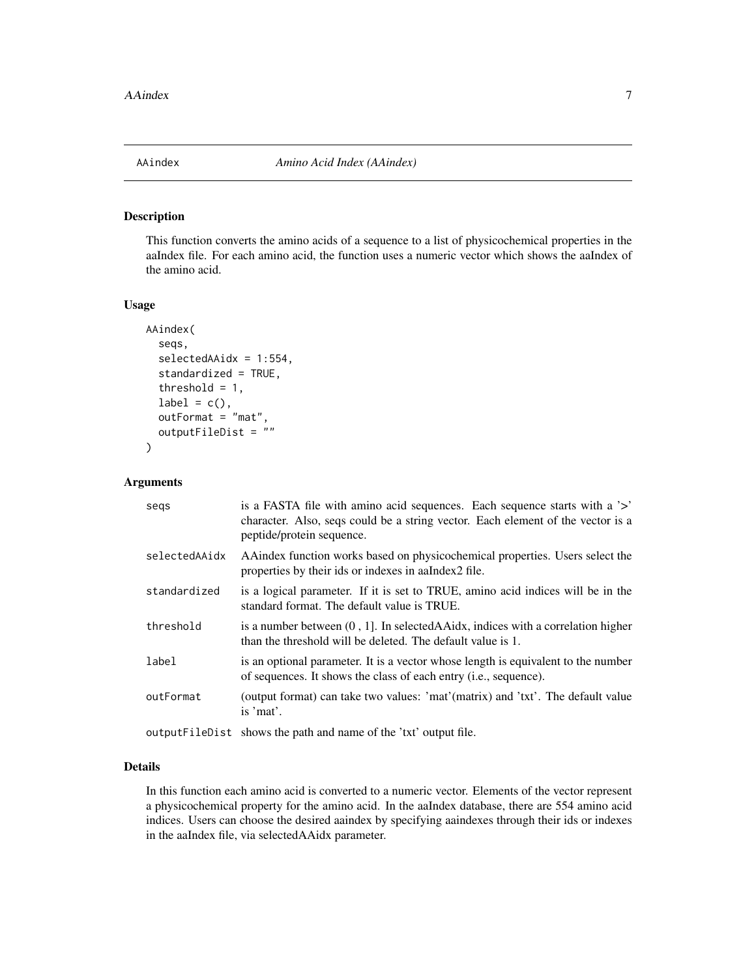<span id="page-6-0"></span>

# Description

This function converts the amino acids of a sequence to a list of physicochemical properties in the aaIndex file. For each amino acid, the function uses a numeric vector which shows the aaIndex of the amino acid.

# Usage

```
AAindex(
  seqs,
  selectedAAidx = 1:554,
  standardized = TRUE,
  threshold = 1,
  label = c(),
  outFormat = "mat",
  outputFileDist = ""
\mathcal{L}
```
# Arguments

| segs          | is a FASTA file with a mino acid sequences. Each sequence starts with a '>'<br>character. Also, seqs could be a string vector. Each element of the vector is a<br>peptide/protein sequence. |
|---------------|---------------------------------------------------------------------------------------------------------------------------------------------------------------------------------------------|
| selectedAAidx | A A index function works based on physicochemical properties. Users select the<br>properties by their ids or indexes in a a Index 2 file.                                                   |
| standardized  | is a logical parameter. If it is set to TRUE, amino acid indices will be in the<br>standard format. The default value is TRUE.                                                              |
| threshold     | is a number between $(0, 1]$ . In selected A Aidx, indices with a correlation higher<br>than the threshold will be deleted. The default value is 1.                                         |
| label         | is an optional parameter. It is a vector whose length is equivalent to the number<br>of sequences. It shows the class of each entry ( <i>i.e.</i> , sequence).                              |
| outFormat     | (output format) can take two values: 'mat'(matrix) and 'txt'. The default value<br>is 'mat'.                                                                                                |
|               | output $\text{Eil}_2$                                                                                                                                                                       |

outputFileDist shows the path and name of the 'txt' output file.

# Details

In this function each amino acid is converted to a numeric vector. Elements of the vector represent a physicochemical property for the amino acid. In the aaIndex database, there are 554 amino acid indices. Users can choose the desired aaindex by specifying aaindexes through their ids or indexes in the aaIndex file, via selectedAAidx parameter.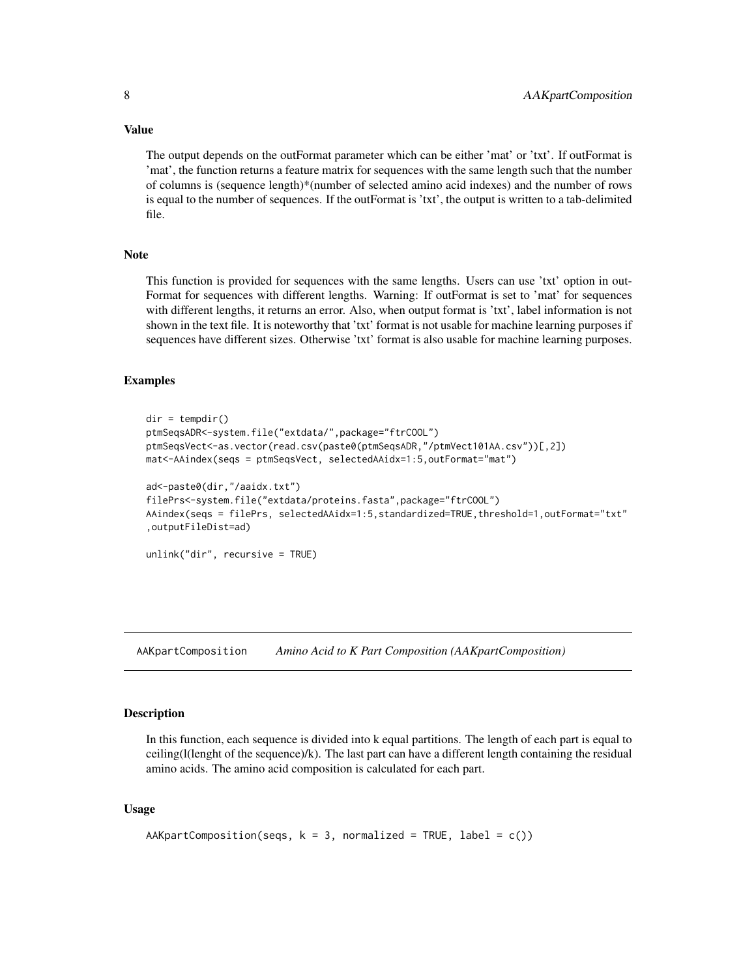Value

The output depends on the outFormat parameter which can be either 'mat' or 'txt'. If outFormat is 'mat', the function returns a feature matrix for sequences with the same length such that the number of columns is (sequence length)\*(number of selected amino acid indexes) and the number of rows is equal to the number of sequences. If the outFormat is 'txt', the output is written to a tab-delimited file.

# **Note**

This function is provided for sequences with the same lengths. Users can use 'txt' option in out-Format for sequences with different lengths. Warning: If outFormat is set to 'mat' for sequences with different lengths, it returns an error. Also, when output format is 'txt', label information is not shown in the text file. It is noteworthy that 'txt' format is not usable for machine learning purposes if sequences have different sizes. Otherwise 'txt' format is also usable for machine learning purposes.

#### Examples

```
dir = tempdir()ptmSeqsADR<-system.file("extdata/",package="ftrCOOL")
ptmSeqsVect<-as.vector(read.csv(paste0(ptmSeqsADR,"/ptmVect101AA.csv"))[,2])
mat<-AAindex(seqs = ptmSeqsVect, selectedAAidx=1:5,outFormat="mat")
ad<-paste0(dir,"/aaidx.txt")
filePrs<-system.file("extdata/proteins.fasta",package="ftrCOOL")
AAindex(seqs = filePrs, selectedAAidx=1:5,standardized=TRUE,threshold=1,outFormat="txt"
,outputFileDist=ad)
```

```
unlink("dir", recursive = TRUE)
```
AAKpartComposition *Amino Acid to K Part Composition (AAKpartComposition)*

# Description

In this function, each sequence is divided into k equal partitions. The length of each part is equal to ceiling(l(lenght of the sequence)/k). The last part can have a different length containing the residual amino acids. The amino acid composition is calculated for each part.

```
AAKpartComposition(seqs, k = 3, normalized = TRUE, label = c())
```
<span id="page-7-0"></span>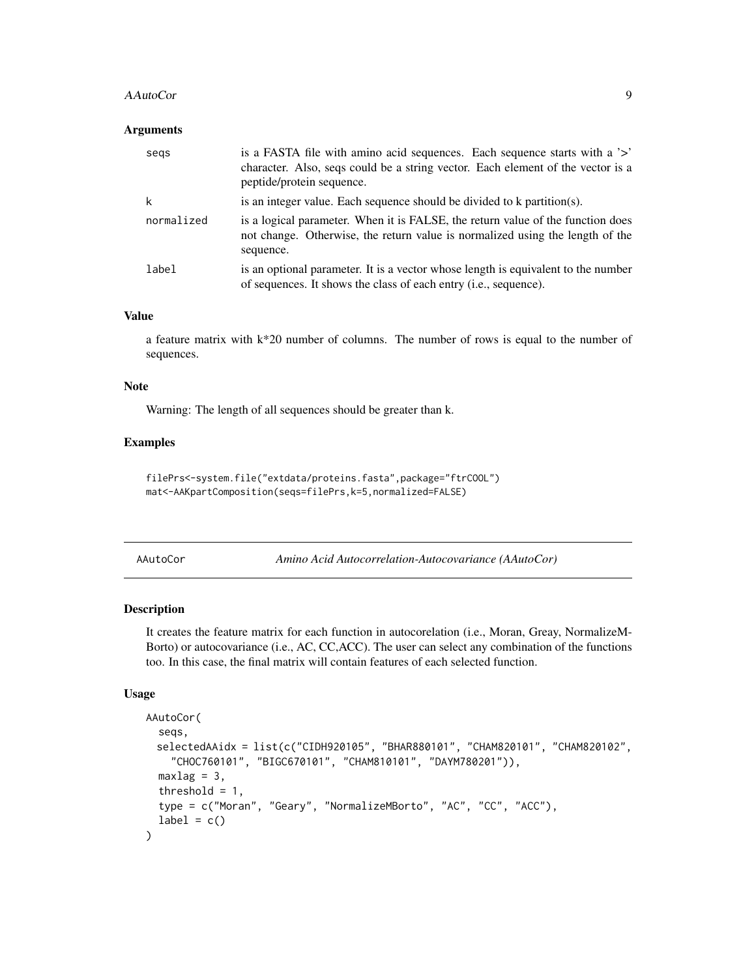#### <span id="page-8-0"></span>AAutoCor 9

#### **Arguments**

| segs       | is a FASTA file with a mino acid sequences. Each sequence starts with a '>'<br>character. Also, seqs could be a string vector. Each element of the vector is a<br>peptide/protein sequence. |
|------------|---------------------------------------------------------------------------------------------------------------------------------------------------------------------------------------------|
| k          | is an integer value. Each sequence should be divided to k partition(s).                                                                                                                     |
| normalized | is a logical parameter. When it is FALSE, the return value of the function does<br>not change. Otherwise, the return value is normalized using the length of the<br>sequence.               |
| label      | is an optional parameter. It is a vector whose length is equivalent to the number<br>of sequences. It shows the class of each entry (i.e., sequence).                                       |

# Value

a feature matrix with k\*20 number of columns. The number of rows is equal to the number of sequences.

# Note

Warning: The length of all sequences should be greater than k.

# Examples

```
filePrs<-system.file("extdata/proteins.fasta",package="ftrCOOL")
mat<-AAKpartComposition(seqs=filePrs,k=5,normalized=FALSE)
```

| AAutoCor |  |
|----------|--|
|          |  |

AAutoCor *Amino Acid Autocorrelation-Autocovariance (AAutoCor)*

# Description

It creates the feature matrix for each function in autocorelation (i.e., Moran, Greay, NormalizeM-Borto) or autocovariance (i.e., AC, CC,ACC). The user can select any combination of the functions too. In this case, the final matrix will contain features of each selected function.

```
AAutoCor(
  seqs,
 selectedAAidx = list(c("CIDH920105", "BHAR880101", "CHAM820101", "CHAM820102",
    "CHOC760101", "BIGC670101", "CHAM810101", "DAYM780201")),
 maxlag = 3,
  threshold = 1,
  type = c("Moran", "Geary", "NormalizeMBorto", "AC", "CC", "ACC"),
  label = c())
```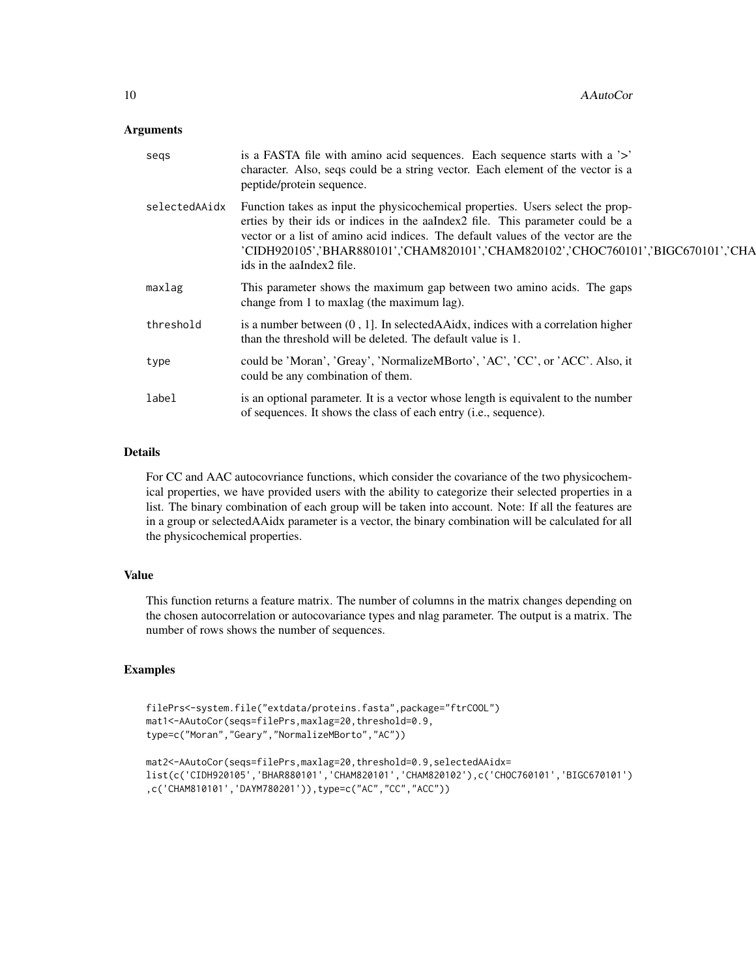#### Arguments

| segs          | is a FASTA file with amino acid sequences. Each sequence starts with a '>'<br>character. Also, seqs could be a string vector. Each element of the vector is a<br>peptide/protein sequence.                                                                                                                                                                              |
|---------------|-------------------------------------------------------------------------------------------------------------------------------------------------------------------------------------------------------------------------------------------------------------------------------------------------------------------------------------------------------------------------|
| selectedAAidx | Function takes as input the physicochemical properties. Users select the prop-<br>erties by their ids or indices in the aaIndex2 file. This parameter could be a<br>vector or a list of amino acid indices. The default values of the vector are the<br>'CIDH920105','BHAR880101','CHAM820101','CHAM820102','CHOC760101','BIGC670101','CHA<br>ids in the aaIndex2 file. |
| maxlag        | This parameter shows the maximum gap between two amino acids. The gaps<br>change from 1 to maxing (the maximum lag).                                                                                                                                                                                                                                                    |
| threshold     | is a number between $(0, 1]$ . In selected AAidx, indices with a correlation higher<br>than the threshold will be deleted. The default value is 1.                                                                                                                                                                                                                      |
| type          | could be 'Moran', 'Greay', 'NormalizeMBorto', 'AC', 'CC', or 'ACC'. Also, it<br>could be any combination of them.                                                                                                                                                                                                                                                       |
| label         | is an optional parameter. It is a vector whose length is equivalent to the number<br>of sequences. It shows the class of each entry (i.e., sequence).                                                                                                                                                                                                                   |

# Details

For CC and AAC autocovriance functions, which consider the covariance of the two physicochemical properties, we have provided users with the ability to categorize their selected properties in a list. The binary combination of each group will be taken into account. Note: If all the features are in a group or selectedAAidx parameter is a vector, the binary combination will be calculated for all the physicochemical properties.

# Value

This function returns a feature matrix. The number of columns in the matrix changes depending on the chosen autocorrelation or autocovariance types and nlag parameter. The output is a matrix. The number of rows shows the number of sequences.

# Examples

```
filePrs<-system.file("extdata/proteins.fasta",package="ftrCOOL")
mat1<-AAutoCor(seqs=filePrs,maxlag=20,threshold=0.9,
type=c("Moran","Geary","NormalizeMBorto","AC"))
```

```
mat2<-AAutoCor(seqs=filePrs,maxlag=20,threshold=0.9,selectedAAidx=
list(c('CIDH920105','BHAR880101','CHAM820101','CHAM820102'),c('CHOC760101','BIGC670101')
,c('CHAM810101','DAYM780201')),type=c("AC","CC","ACC"))
```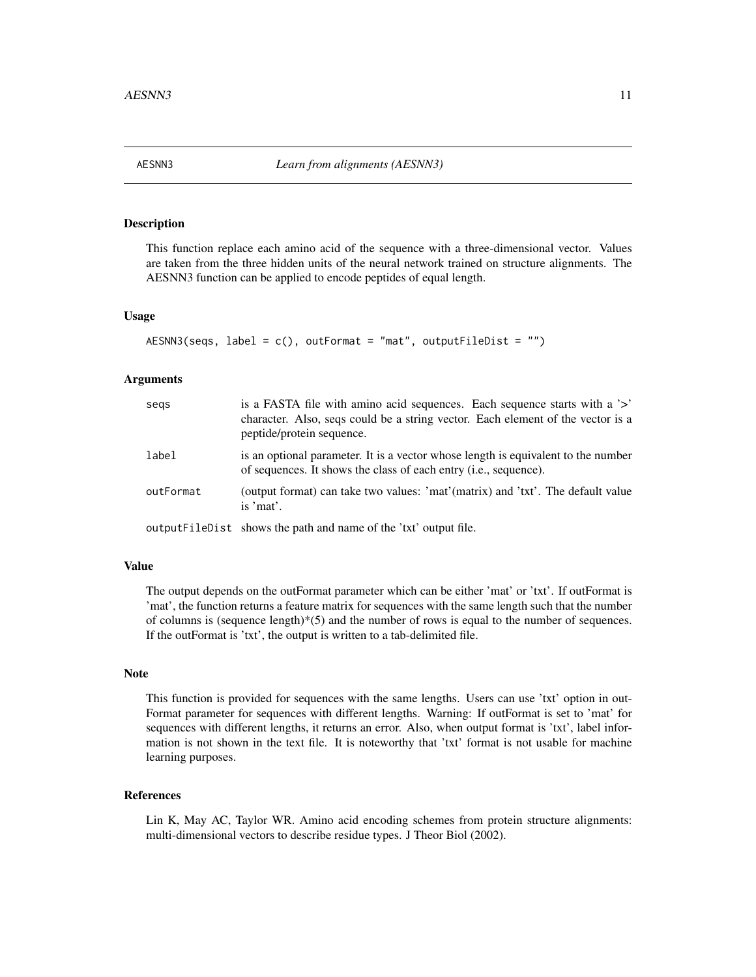<span id="page-10-0"></span>

# Description

This function replace each amino acid of the sequence with a three-dimensional vector. Values are taken from the three hidden units of the neural network trained on structure alignments. The AESNN3 function can be applied to encode peptides of equal length.

#### Usage

```
AESNN3(segs, label = c(), outFormat = "mat", outputFileDist = "")
```
# Arguments

| segs      | is a FASTA file with amino acid sequences. Each sequence starts with a '>'<br>character. Also, seqs could be a string vector. Each element of the vector is a<br>peptide/protein sequence. |
|-----------|--------------------------------------------------------------------------------------------------------------------------------------------------------------------------------------------|
| label     | is an optional parameter. It is a vector whose length is equivalent to the number<br>of sequences. It shows the class of each entry ( <i>i.e.</i> , sequence).                             |
| outFormat | (output format) can take two values: 'mat'(matrix) and 'txt'. The default value<br>is 'mat'.                                                                                               |
|           | outputFileDist shows the path and name of the 'txt' output file.                                                                                                                           |

#### Value

The output depends on the outFormat parameter which can be either 'mat' or 'txt'. If outFormat is 'mat', the function returns a feature matrix for sequences with the same length such that the number of columns is (sequence length) $*(5)$  and the number of rows is equal to the number of sequences. If the outFormat is 'txt', the output is written to a tab-delimited file.

# Note

This function is provided for sequences with the same lengths. Users can use 'txt' option in out-Format parameter for sequences with different lengths. Warning: If outFormat is set to 'mat' for sequences with different lengths, it returns an error. Also, when output format is 'txt', label information is not shown in the text file. It is noteworthy that 'txt' format is not usable for machine learning purposes.

# References

Lin K, May AC, Taylor WR. Amino acid encoding schemes from protein structure alignments: multi-dimensional vectors to describe residue types. J Theor Biol (2002).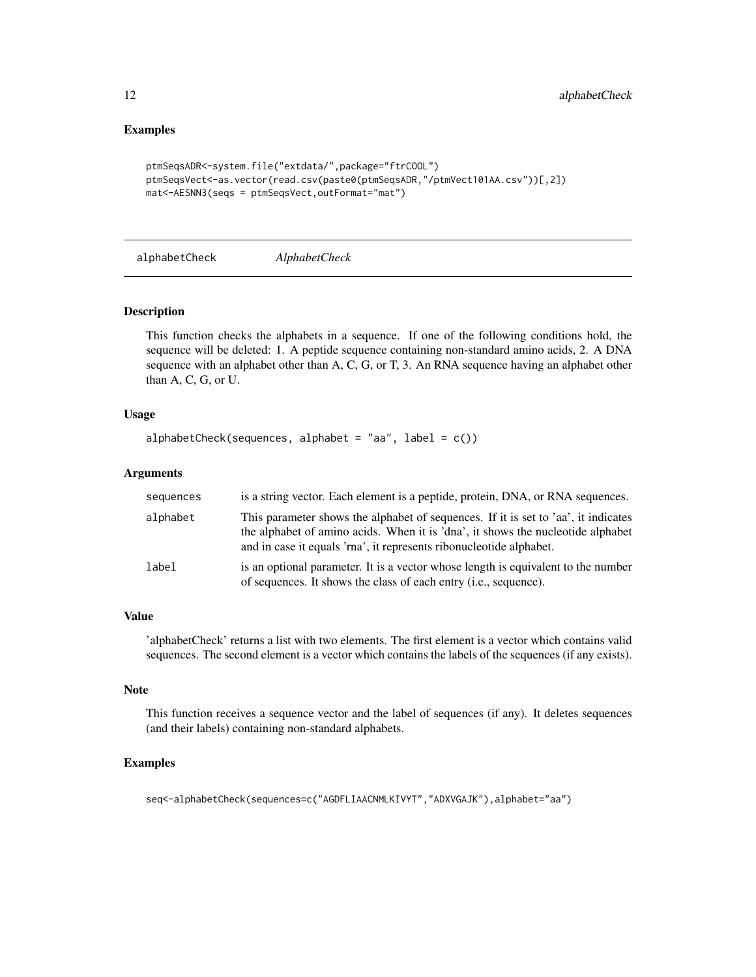# Examples

```
ptmSeqsADR<-system.file("extdata/",package="ftrCOOL")
ptmSeqsVect<-as.vector(read.csv(paste0(ptmSeqsADR,"/ptmVect101AA.csv"))[,2])
mat<-AESNN3(seqs = ptmSeqsVect,outFormat="mat")
```
alphabetCheck *AlphabetCheck*

#### Description

This function checks the alphabets in a sequence. If one of the following conditions hold, the sequence will be deleted: 1. A peptide sequence containing non-standard amino acids, 2. A DNA sequence with an alphabet other than A, C, G, or T, 3. An RNA sequence having an alphabet other than A, C, G, or U.

# Usage

```
alphabetCheck(sequences, alphabet = "aa", label = c())
```
# Arguments

| sequences | is a string vector. Each element is a peptide, protein, DNA, or RNA sequences.                                                                                                                                                               |
|-----------|----------------------------------------------------------------------------------------------------------------------------------------------------------------------------------------------------------------------------------------------|
| alphabet  | This parameter shows the alphabet of sequences. If it is set to 'aa', it indicates<br>the alphabet of amino acids. When it is 'dna', it shows the nucleotide alphabet<br>and in case it equals 'rna', it represents ribonucleotide alphabet. |
| label     | is an optional parameter. It is a vector whose length is equivalent to the number<br>of sequences. It shows the class of each entry ( <i>i.e.</i> , sequence).                                                                               |

# Value

'alphabetCheck' returns a list with two elements. The first element is a vector which contains valid sequences. The second element is a vector which contains the labels of the sequences (if any exists).

#### Note

This function receives a sequence vector and the label of sequences (if any). It deletes sequences (and their labels) containing non-standard alphabets.

# Examples

```
seq<-alphabetCheck(sequences=c("AGDFLIAACNMLKIVYT","ADXVGAJK"),alphabet="aa")
```
<span id="page-11-0"></span>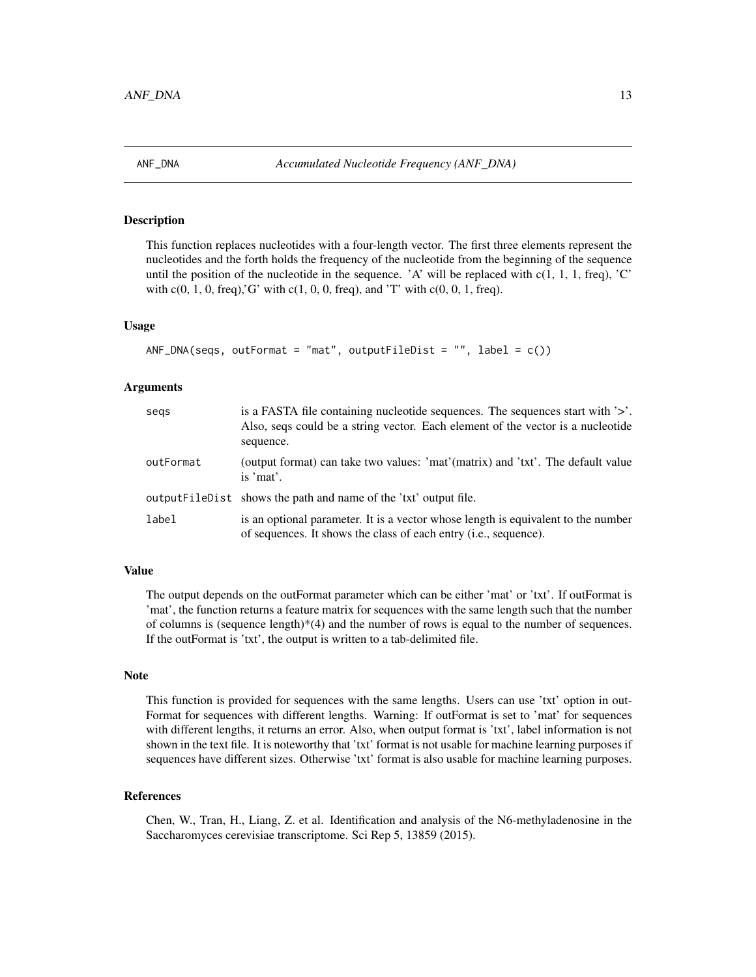<span id="page-12-0"></span>

# Description

This function replaces nucleotides with a four-length vector. The first three elements represent the nucleotides and the forth holds the frequency of the nucleotide from the beginning of the sequence until the position of the nucleotide in the sequence. 'A' will be replaced with  $c(1, 1, 1, freq)$ , 'C' with  $c(0, 1, 0, \text{freq})$ , G' with  $c(1, 0, 0, \text{freq})$ , and 'T' with  $c(0, 0, 1, \text{freq})$ .

# Usage

```
ANF_DNA(seqs, outFormat = "mat", outputFileDist = "", label = c())
```
# Arguments

| segs      | is a FASTA file containing nucleotide sequences. The sequences start with '>'.<br>Also, seqs could be a string vector. Each element of the vector is a nucleotide<br>sequence. |
|-----------|--------------------------------------------------------------------------------------------------------------------------------------------------------------------------------|
| outFormat | (output format) can take two values: 'mat'(matrix) and 'txt'. The default value<br>is 'mat'.                                                                                   |
|           | output FileD ist shows the path and name of the 'txt' output file.                                                                                                             |
| label     | is an optional parameter. It is a vector whose length is equivalent to the number<br>of sequences. It shows the class of each entry ( <i>i.e.</i> , sequence).                 |

# Value

The output depends on the outFormat parameter which can be either 'mat' or 'txt'. If outFormat is 'mat', the function returns a feature matrix for sequences with the same length such that the number of columns is (sequence length) $*(4)$  and the number of rows is equal to the number of sequences. If the outFormat is 'txt', the output is written to a tab-delimited file.

#### Note

This function is provided for sequences with the same lengths. Users can use 'txt' option in out-Format for sequences with different lengths. Warning: If outFormat is set to 'mat' for sequences with different lengths, it returns an error. Also, when output format is 'txt', label information is not shown in the text file. It is noteworthy that 'txt' format is not usable for machine learning purposes if sequences have different sizes. Otherwise 'txt' format is also usable for machine learning purposes.

#### References

Chen, W., Tran, H., Liang, Z. et al. Identification and analysis of the N6-methyladenosine in the Saccharomyces cerevisiae transcriptome. Sci Rep 5, 13859 (2015).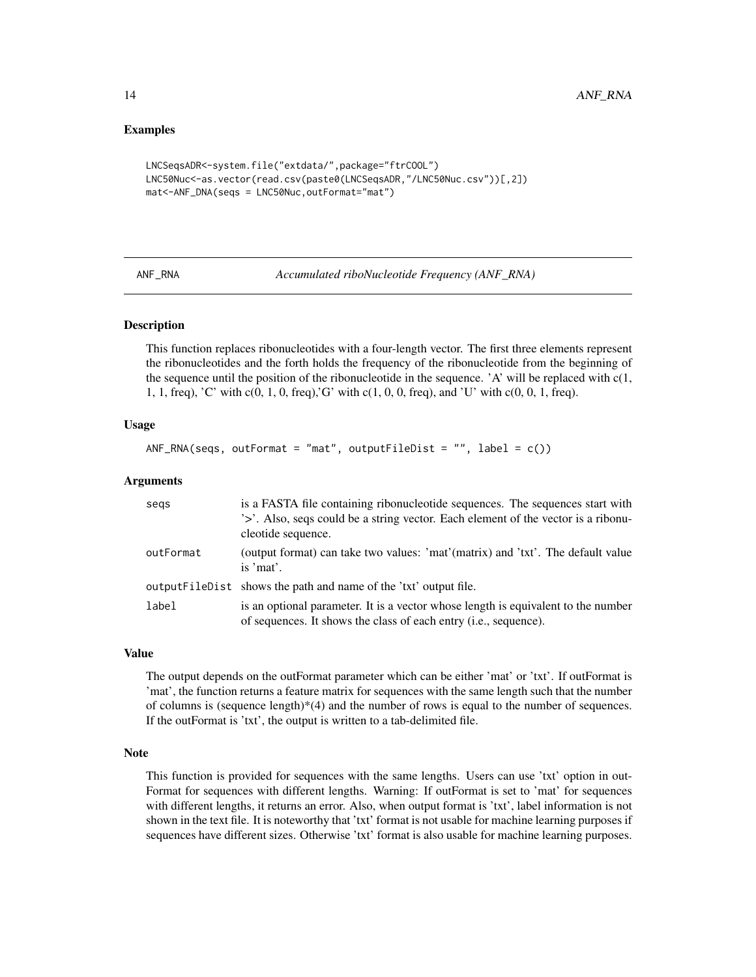#### Examples

```
LNCSeqsADR<-system.file("extdata/",package="ftrCOOL")
LNC50Nuc<-as.vector(read.csv(paste0(LNCSeqsADR,"/LNC50Nuc.csv"))[,2])
mat<-ANF_DNA(seqs = LNC50Nuc,outFormat="mat")
```

| <b>ANF</b><br>RNA |
|-------------------|
|-------------------|

Accumulated riboNucleotide Frequency (ANF\_RNA)

## Description

This function replaces ribonucleotides with a four-length vector. The first three elements represent the ribonucleotides and the forth holds the frequency of the ribonucleotide from the beginning of the sequence until the position of the ribonucleotide in the sequence. 'A' will be replaced with  $c(1, 1)$ 1, 1, freq), 'C' with c(0, 1, 0, freq),'G' with c(1, 0, 0, freq), and 'U' with c(0, 0, 1, freq).

# Usage

 $ANF_RNA$ (seqs, outFormat = "mat", outputFileDist = "", label =  $c()$ )

#### Arguments

| segs      | is a FASTA file containing ribonucleotide sequences. The sequences start with<br>'>'. Also, seqs could be a string vector. Each element of the vector is a ribonu-<br>cleotide sequence. |
|-----------|------------------------------------------------------------------------------------------------------------------------------------------------------------------------------------------|
| outFormat | (output format) can take two values: 'mat'(matrix) and 'txt'. The default value<br>is 'mat'.                                                                                             |
|           | output FileDist shows the path and name of the 'txt' output file.                                                                                                                        |
| label     | is an optional parameter. It is a vector whose length is equivalent to the number<br>of sequences. It shows the class of each entry ( <i>i.e.</i> , sequence).                           |

#### Value

The output depends on the outFormat parameter which can be either 'mat' or 'txt'. If outFormat is 'mat', the function returns a feature matrix for sequences with the same length such that the number of columns is (sequence length) $*(4)$  and the number of rows is equal to the number of sequences. If the outFormat is 'txt', the output is written to a tab-delimited file.

# Note

This function is provided for sequences with the same lengths. Users can use 'txt' option in out-Format for sequences with different lengths. Warning: If outFormat is set to 'mat' for sequences with different lengths, it returns an error. Also, when output format is 'txt', label information is not shown in the text file. It is noteworthy that 'txt' format is not usable for machine learning purposes if sequences have different sizes. Otherwise 'txt' format is also usable for machine learning purposes.

<span id="page-13-0"></span>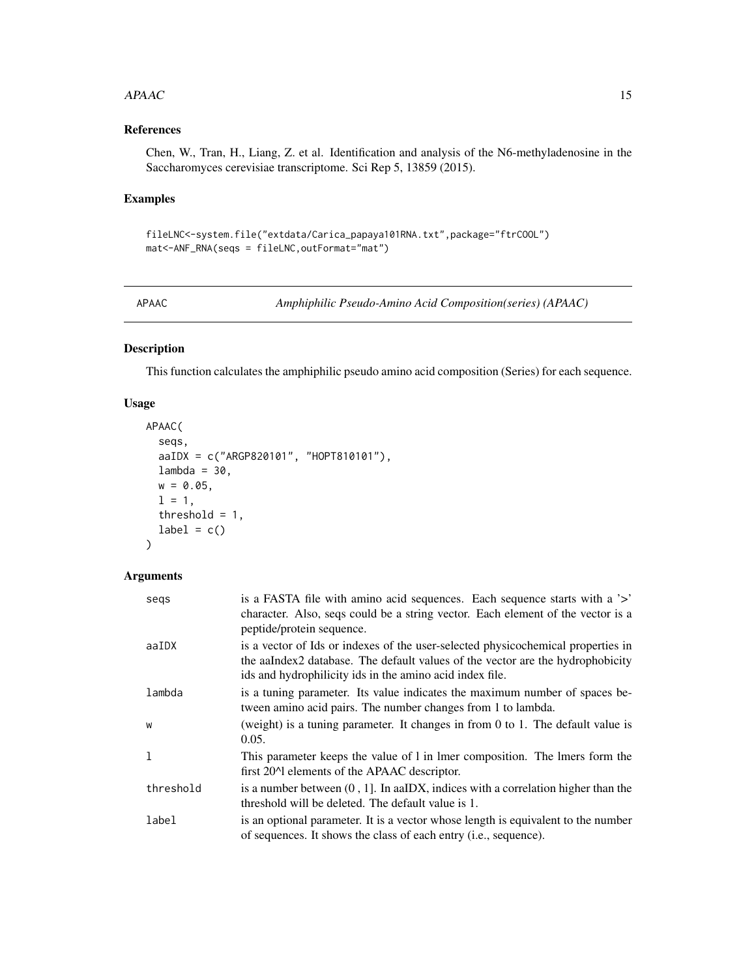#### <span id="page-14-0"></span> $APAAC$  15

# References

Chen, W., Tran, H., Liang, Z. et al. Identification and analysis of the N6-methyladenosine in the Saccharomyces cerevisiae transcriptome. Sci Rep 5, 13859 (2015).

# Examples

```
fileLNC<-system.file("extdata/Carica_papaya101RNA.txt",package="ftrCOOL")
mat<-ANF_RNA(seqs = fileLNC,outFormat="mat")
```
APAAC *Amphiphilic Pseudo-Amino Acid Composition(series) (APAAC)*

# Description

This function calculates the amphiphilic pseudo amino acid composition (Series) for each sequence.

# Usage

```
APAAC(
  seqs,
  aaIDX = c("ARGP820101", "HOPT810101"),
  lambda = 30,
  w = 0.05,
  1 = 1,threshold = 1,
  label = c())
```

| segs         | is a FASTA file with amino acid sequences. Each sequence starts with a '>'<br>character. Also, seqs could be a string vector. Each element of the vector is a<br>peptide/protein sequence.                                     |
|--------------|--------------------------------------------------------------------------------------------------------------------------------------------------------------------------------------------------------------------------------|
| aaIDX        | is a vector of Ids or indexes of the user-selected physicochemical properties in<br>the aalndex2 database. The default values of the vector are the hydrophobicity<br>ids and hydrophilicity ids in the amino acid index file. |
| lambda       | is a tuning parameter. Its value indicates the maximum number of spaces be-<br>tween amino acid pairs. The number changes from 1 to lambda.                                                                                    |
| W            | (weight) is a tuning parameter. It changes in from 0 to 1. The default value is<br>0.05.                                                                                                                                       |
| $\mathbf{1}$ | This parameter keeps the value of 1 in 1 mer composition. The 1 mers form the<br>first 20 <sup><math>\land</math></sup> elements of the APAAC descriptor.                                                                      |
| threshold    | is a number between $(0, 1]$ . In aaIDX, indices with a correlation higher than the<br>threshold will be deleted. The default value is 1.                                                                                      |
| label        | is an optional parameter. It is a vector whose length is equivalent to the number<br>of sequences. It shows the class of each entry ( <i>i.e.</i> , sequence).                                                                 |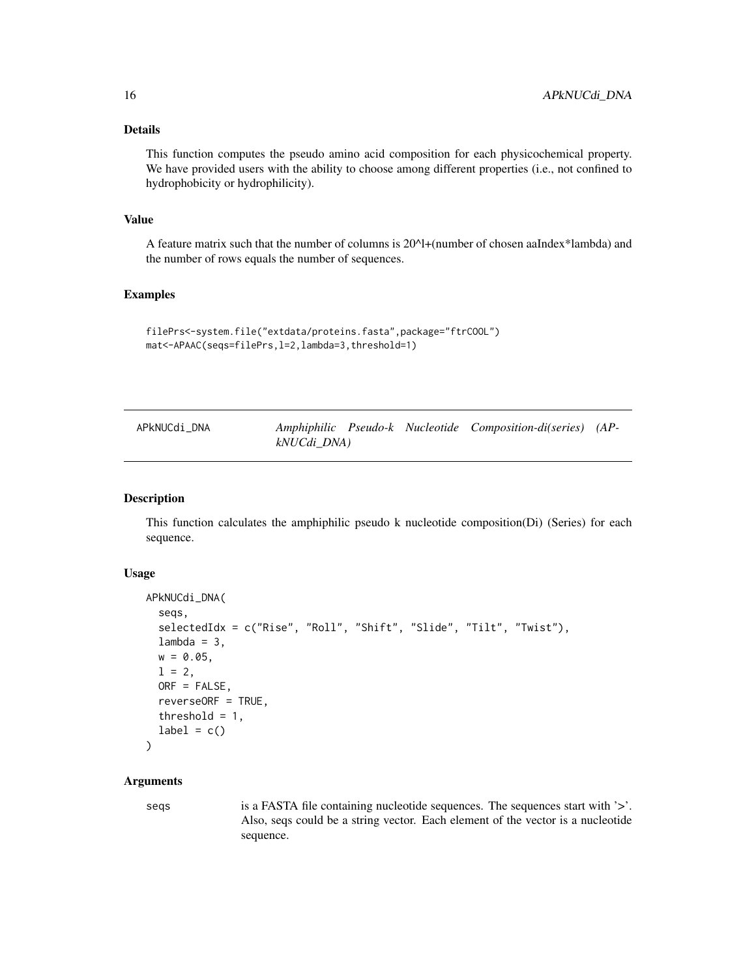# <span id="page-15-0"></span>Details

This function computes the pseudo amino acid composition for each physicochemical property. We have provided users with the ability to choose among different properties (i.e., not confined to hydrophobicity or hydrophilicity).

#### Value

A feature matrix such that the number of columns is  $20^{\text{Al}}+(number$  of chosen aaIndex\*lambda) and the number of rows equals the number of sequences.

## Examples

```
filePrs<-system.file("extdata/proteins.fasta",package="ftrCOOL")
mat<-APAAC(seqs=filePrs,l=2,lambda=3,threshold=1)
```

| APkNUCdi_DNA |             |  | Amphiphilic Pseudo-k Nucleotide Composition-di(series) (AP- |  |
|--------------|-------------|--|-------------------------------------------------------------|--|
|              | kNUCdi_DNA) |  |                                                             |  |

#### Description

This function calculates the amphiphilic pseudo k nucleotide composition(Di) (Series) for each sequence.

#### Usage

```
APkNUCdi_DNA(
  seqs,
  selectedIdx = c("Rise", "Roll", "Shift", "Slide", "Tilt", "Twist"),
  lambda = 3,
 w = 0.05,
  1 = 2,ORF = FALSE,reverseORF = TRUE,
  threshold = 1,
  label = c()\lambda
```
#### Arguments

seqs is a FASTA file containing nucleotide sequences. The sequences start with '>'. Also, seqs could be a string vector. Each element of the vector is a nucleotide sequence.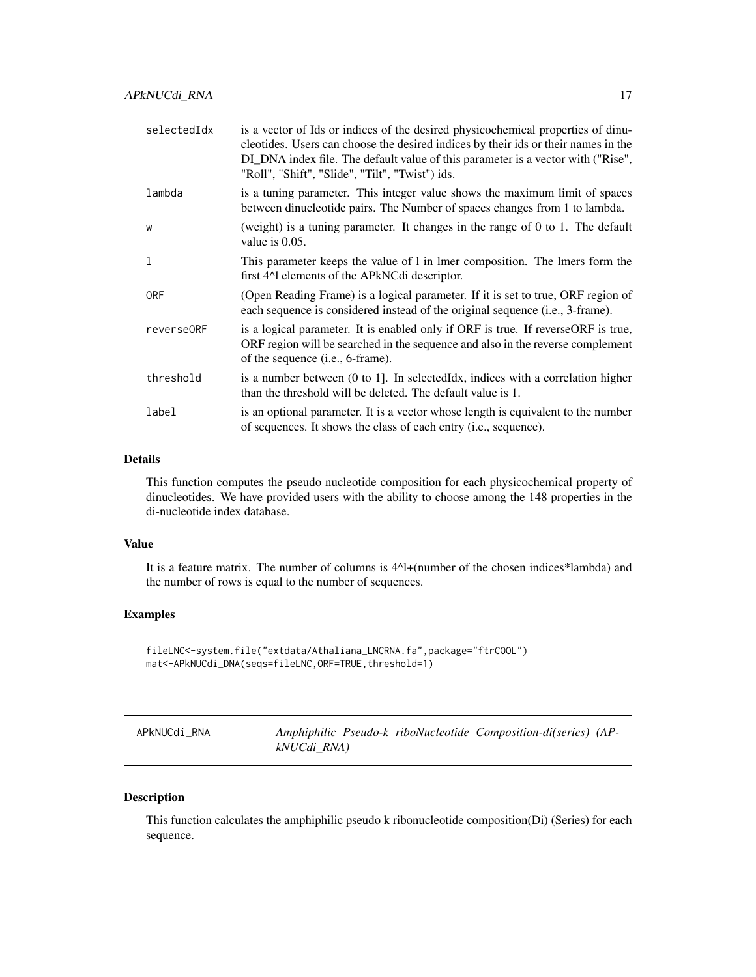<span id="page-16-0"></span>

| selectedIdx | is a vector of Ids or indices of the desired physicochemical properties of dinu-<br>cleotides. Users can choose the desired indices by their ids or their names in the<br>DI_DNA index file. The default value of this parameter is a vector with ("Rise",<br>"Roll", "Shift", "Slide", "Tilt", "Twist") ids. |
|-------------|---------------------------------------------------------------------------------------------------------------------------------------------------------------------------------------------------------------------------------------------------------------------------------------------------------------|
| lambda      | is a tuning parameter. This integer value shows the maximum limit of spaces<br>between dinucleotide pairs. The Number of spaces changes from 1 to lambda.                                                                                                                                                     |
| W           | (weight) is a tuning parameter. It changes in the range of 0 to 1. The default<br>value is $0.05$ .                                                                                                                                                                                                           |
| 1           | This parameter keeps the value of 1 in 1 mer composition. The 1 mers form the<br>first 4 <sup><math>\Lambda</math></sup> elements of the APkNCdi descriptor.                                                                                                                                                  |
| <b>ORF</b>  | (Open Reading Frame) is a logical parameter. If it is set to true, ORF region of<br>each sequence is considered instead of the original sequence (i.e., 3-frame).                                                                                                                                             |
| reverse0RF  | is a logical parameter. It is enabled only if ORF is true. If reverseORF is true,<br>ORF region will be searched in the sequence and also in the reverse complement<br>of the sequence (i.e., 6-frame).                                                                                                       |
| threshold   | is a number between $(0 \text{ to } 1)$ . In selected $\text{Idx}$ , indices with a correlation higher<br>than the threshold will be deleted. The default value is 1.                                                                                                                                         |
| label       | is an optional parameter. It is a vector whose length is equivalent to the number<br>of sequences. It shows the class of each entry (i.e., sequence).                                                                                                                                                         |

#### Details

This function computes the pseudo nucleotide composition for each physicochemical property of dinucleotides. We have provided users with the ability to choose among the 148 properties in the di-nucleotide index database.

# Value

It is a feature matrix. The number of columns is 4^l+(number of the chosen indices\*lambda) and the number of rows is equal to the number of sequences.

# Examples

```
fileLNC<-system.file("extdata/Athaliana_LNCRNA.fa",package="ftrCOOL")
mat<-APkNUCdi_DNA(seqs=fileLNC,ORF=TRUE,threshold=1)
```

| APkNUCdi_RNA | Amphiphilic Pseudo-k riboNucleotide Composition-di(series) (AP- |
|--------------|-----------------------------------------------------------------|
|              | kNUCdi_RNA)                                                     |

# Description

This function calculates the amphiphilic pseudo k ribonucleotide composition(Di) (Series) for each sequence.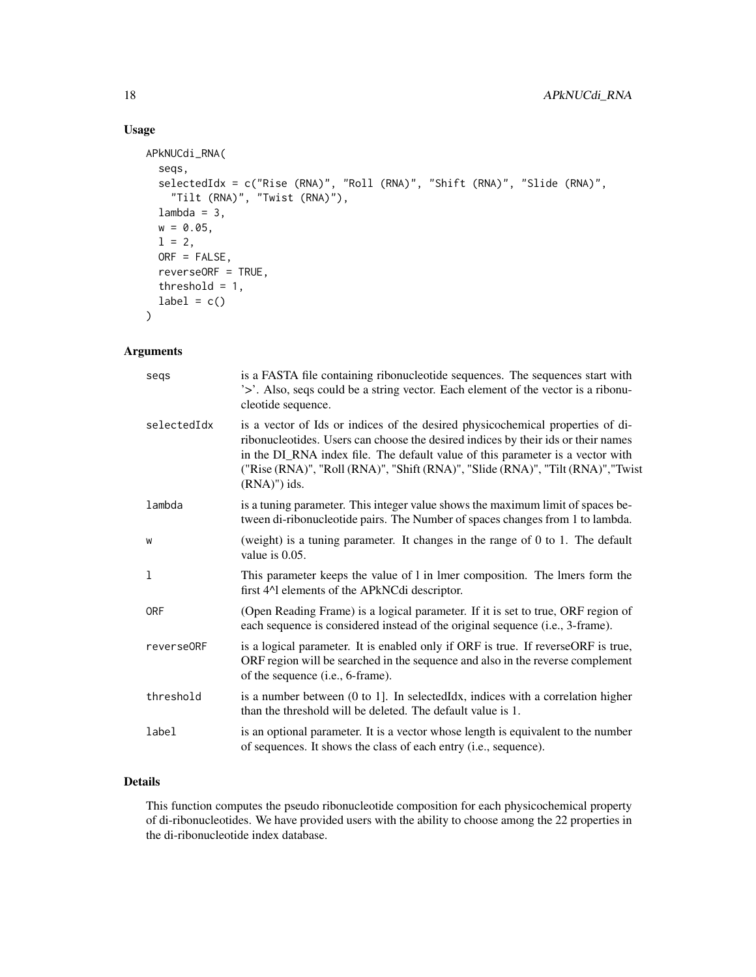# Usage

```
APkNUCdi_RNA(
  seqs,
  selectedIdx = c("Rise (RNA)", "Roll (RNA)", "Shift (RNA)", "Slide (RNA)",
    "Tilt (RNA)", "Twist (RNA)"),
 lambda = 3,
 w = 0.05,
 1 = 2,ORF = FALSE,
 reverseORF = TRUE,
  threshold = 1,
 label = c())
```
# Arguments

| segs        | is a FASTA file containing ribonucleotide sequences. The sequences start with<br>'>'. Also, seqs could be a string vector. Each element of the vector is a ribonu-<br>cleotide sequence.                                                                                                                                                                    |
|-------------|-------------------------------------------------------------------------------------------------------------------------------------------------------------------------------------------------------------------------------------------------------------------------------------------------------------------------------------------------------------|
| selectedIdx | is a vector of Ids or indices of the desired physicochemical properties of di-<br>ribonucleotides. Users can choose the desired indices by their ids or their names<br>in the DI_RNA index file. The default value of this parameter is a vector with<br>("Rise (RNA)", "Roll (RNA)", "Shift (RNA)", "Slide (RNA)", "Tilt (RNA)", "Twist<br>$(RNA)$ ") ids. |
| lambda      | is a tuning parameter. This integer value shows the maximum limit of spaces be-<br>tween di-ribonucleotide pairs. The Number of spaces changes from 1 to lambda.                                                                                                                                                                                            |
| W           | (weight) is a tuning parameter. It changes in the range of $0$ to $1$ . The default<br>value is $0.05$ .                                                                                                                                                                                                                                                    |
| 1           | This parameter keeps the value of 1 in 1mer composition. The 1mers form the<br>first 4^1 elements of the APkNCdi descriptor.                                                                                                                                                                                                                                |
| <b>ORF</b>  | (Open Reading Frame) is a logical parameter. If it is set to true, ORF region of<br>each sequence is considered instead of the original sequence (i.e., 3-frame).                                                                                                                                                                                           |
| reverse0RF  | is a logical parameter. It is enabled only if ORF is true. If reverseORF is true,<br>ORF region will be searched in the sequence and also in the reverse complement<br>of the sequence (i.e., 6-frame).                                                                                                                                                     |
| threshold   | is a number between $(0 \text{ to } 1]$ . In selected Idx, indices with a correlation higher<br>than the threshold will be deleted. The default value is 1.                                                                                                                                                                                                 |
| label       | is an optional parameter. It is a vector whose length is equivalent to the number<br>of sequences. It shows the class of each entry (i.e., sequence).                                                                                                                                                                                                       |

# Details

This function computes the pseudo ribonucleotide composition for each physicochemical property of di-ribonucleotides. We have provided users with the ability to choose among the 22 properties in the di-ribonucleotide index database.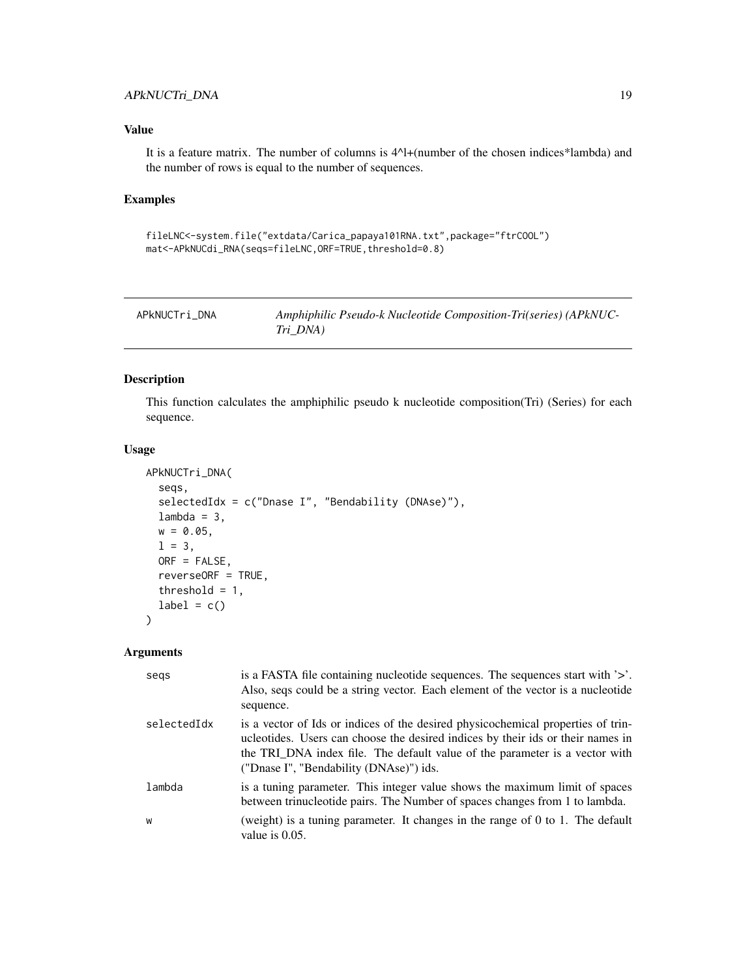# <span id="page-18-0"></span>APkNUCTri\_DNA 19

# Value

It is a feature matrix. The number of columns is  $4^M$ +(number of the chosen indices\*lambda) and the number of rows is equal to the number of sequences.

# Examples

```
fileLNC<-system.file("extdata/Carica_papaya101RNA.txt",package="ftrCOOL")
mat<-APkNUCdi_RNA(seqs=fileLNC,ORF=TRUE,threshold=0.8)
```

| APkNUCTri DNA | Amphiphilic Pseudo-k Nucleotide Composition-Tri(series) (APkNUC- |
|---------------|------------------------------------------------------------------|
|               | Tri DNA)                                                         |

# Description

This function calculates the amphiphilic pseudo k nucleotide composition(Tri) (Series) for each sequence.

#### Usage

```
APkNUCTri_DNA(
  seqs,
  selectedIdx = c("Dnase I", "Bendability (DNAse)"),
  lambda = 3,
 w = 0.05,
  1 = 3,ORF = FALSE,
  reverseORF = TRUE,
  threshold = 1,
  label = c())
```

| segs        | is a FASTA file containing nucleotide sequences. The sequences start with $\geq$ .<br>Also, seqs could be a string vector. Each element of the vector is a nucleotide<br>sequence.                                                                                                            |
|-------------|-----------------------------------------------------------------------------------------------------------------------------------------------------------------------------------------------------------------------------------------------------------------------------------------------|
| selectedIdx | is a vector of Ids or indices of the desired physicochemical properties of trin-<br>ucleotides. Users can choose the desired indices by their ids or their names in<br>the TRI_DNA index file. The default value of the parameter is a vector with<br>("Dnase I", "Bendability (DNAse)") ids. |
| lambda      | is a tuning parameter. This integer value shows the maximum limit of spaces<br>between trinucleotide pairs. The Number of spaces changes from 1 to lambda.                                                                                                                                    |
| W           | (weight) is a tuning parameter. It changes in the range of $0$ to 1. The default<br>value is $0.05$ .                                                                                                                                                                                         |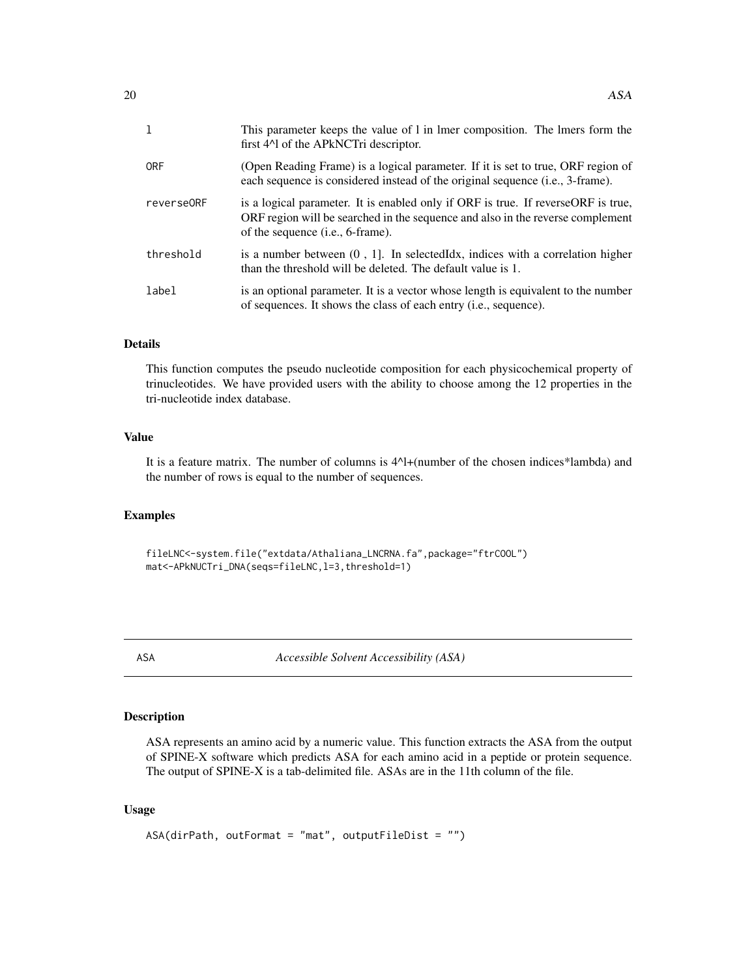<span id="page-19-0"></span>

|            | This parameter keeps the value of 1 in 1 mer composition. The 1 mers form the<br>first 4 <sup><math>\lambda</math></sup> of the APkNCTri descriptor.                                                              |
|------------|-------------------------------------------------------------------------------------------------------------------------------------------------------------------------------------------------------------------|
| <b>ORF</b> | (Open Reading Frame) is a logical parameter. If it is set to true, ORF region of<br>each sequence is considered instead of the original sequence (i.e., 3-frame).                                                 |
| reverse0RF | is a logical parameter. It is enabled only if ORF is true. If reverse ORF is true,<br>ORF region will be searched in the sequence and also in the reverse complement<br>of the sequence ( <i>i.e.</i> , 6-frame). |
| threshold  | is a number between $(0, 1]$ . In selected Idx, indices with a correlation higher<br>than the threshold will be deleted. The default value is 1.                                                                  |
| label      | is an optional parameter. It is a vector whose length is equivalent to the number<br>of sequences. It shows the class of each entry ( <i>i.e.</i> , sequence).                                                    |

# Details

This function computes the pseudo nucleotide composition for each physicochemical property of trinucleotides. We have provided users with the ability to choose among the 12 properties in the tri-nucleotide index database.

# Value

It is a feature matrix. The number of columns is 4^l+(number of the chosen indices\*lambda) and the number of rows is equal to the number of sequences.

# Examples

fileLNC<-system.file("extdata/Athaliana\_LNCRNA.fa",package="ftrCOOL") mat<-APkNUCTri\_DNA(seqs=fileLNC,l=3,threshold=1)

ASA *Accessible Solvent Accessibility (ASA)*

# Description

ASA represents an amino acid by a numeric value. This function extracts the ASA from the output of SPINE-X software which predicts ASA for each amino acid in a peptide or protein sequence. The output of SPINE-X is a tab-delimited file. ASAs are in the 11th column of the file.

```
ASA(dirPath, outFormat = "mat", outputFileDist = "")
```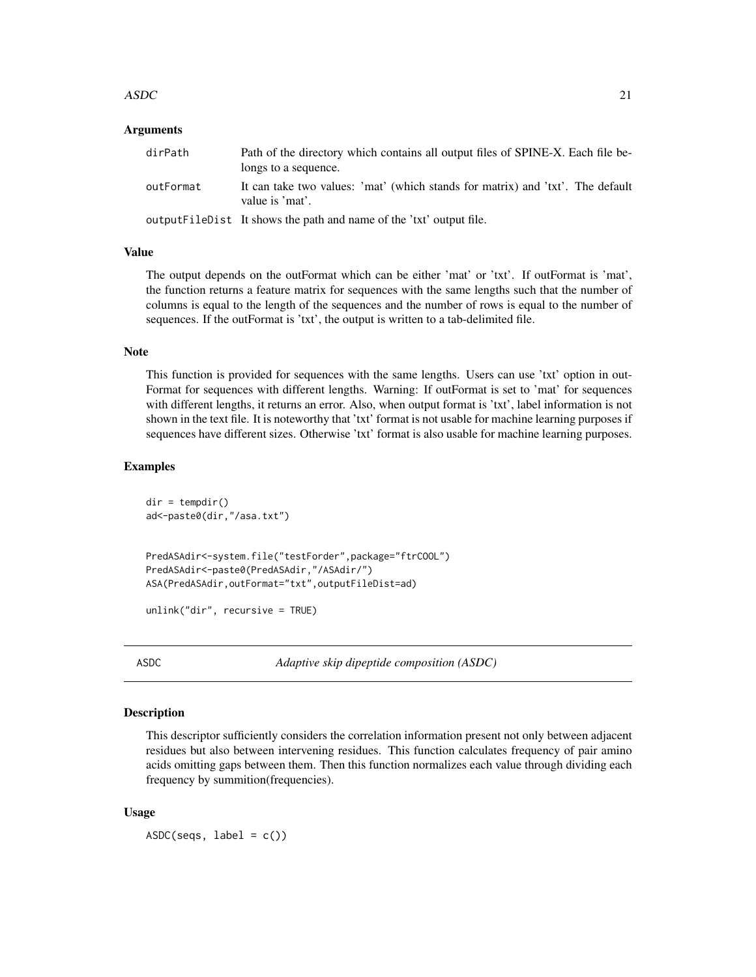#### <span id="page-20-0"></span> $\triangle$ ASDC 21

# **Arguments**

| dirPath   | Path of the directory which contains all output files of SPINE-X. Each file be-<br>longs to a sequence. |
|-----------|---------------------------------------------------------------------------------------------------------|
| outFormat | It can take two values: 'mat' (which stands for matrix) and 'txt'. The default<br>value is 'mat'.       |
|           | output FileDist It shows the path and name of the 'txt' output file.                                    |

# Value

The output depends on the outFormat which can be either 'mat' or 'txt'. If outFormat is 'mat', the function returns a feature matrix for sequences with the same lengths such that the number of columns is equal to the length of the sequences and the number of rows is equal to the number of sequences. If the outFormat is 'txt', the output is written to a tab-delimited file.

# Note

This function is provided for sequences with the same lengths. Users can use 'txt' option in out-Format for sequences with different lengths. Warning: If outFormat is set to 'mat' for sequences with different lengths, it returns an error. Also, when output format is 'txt', label information is not shown in the text file. It is noteworthy that 'txt' format is not usable for machine learning purposes if sequences have different sizes. Otherwise 'txt' format is also usable for machine learning purposes.

# Examples

```
dir = tempdir()ad<-paste0(dir,"/asa.txt")
PredASAdir<-system.file("testForder",package="ftrCOOL")
PredASAdir<-paste0(PredASAdir,"/ASAdir/")
ASA(PredASAdir,outFormat="txt",outputFileDist=ad)
```
unlink("dir", recursive = TRUE)

ASDC *Adaptive skip dipeptide composition (ASDC)*

# **Description**

This descriptor sufficiently considers the correlation information present not only between adjacent residues but also between intervening residues. This function calculates frequency of pair amino acids omitting gaps between them. Then this function normalizes each value through dividing each frequency by summition(frequencies).

# Usage

 $ASDC(seqs, label = c())$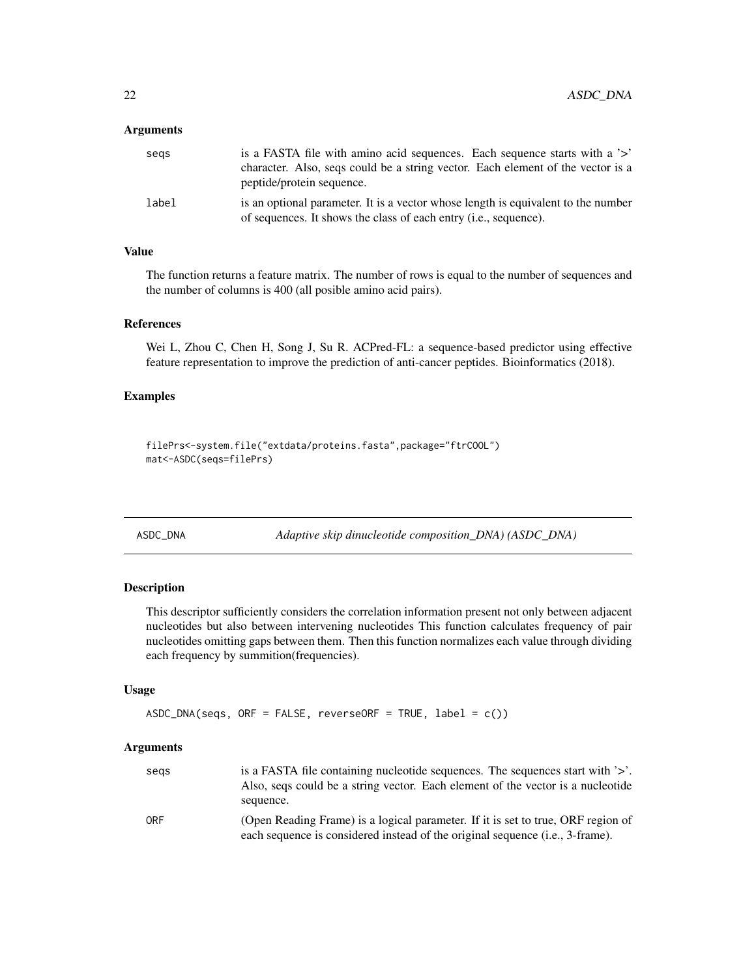# <span id="page-21-0"></span>**Arguments**

| segs  | is a FASTA file with amino acid sequences. Each sequence starts with a '>'                                                                                     |
|-------|----------------------------------------------------------------------------------------------------------------------------------------------------------------|
|       | character. Also, seqs could be a string vector. Each element of the vector is a<br>peptide/protein sequence.                                                   |
| label | is an optional parameter. It is a vector whose length is equivalent to the number<br>of sequences. It shows the class of each entry ( <i>i.e.</i> , sequence). |

# Value

The function returns a feature matrix. The number of rows is equal to the number of sequences and the number of columns is 400 (all posible amino acid pairs).

# References

Wei L, Zhou C, Chen H, Song J, Su R. ACPred-FL: a sequence-based predictor using effective feature representation to improve the prediction of anti-cancer peptides. Bioinformatics (2018).

# Examples

```
filePrs<-system.file("extdata/proteins.fasta",package="ftrCOOL")
mat<-ASDC(seqs=filePrs)
```
ASDC\_DNA *Adaptive skip dinucleotide composition\_DNA) (ASDC\_DNA)*

# Description

This descriptor sufficiently considers the correlation information present not only between adjacent nucleotides but also between intervening nucleotides This function calculates frequency of pair nucleotides omitting gaps between them. Then this function normalizes each value through dividing each frequency by summition(frequencies).

#### Usage

```
ASDC_DNA(seqs, ORF = FALSE, reverseORF = TRUE, label = c())
```

| segs | is a FASTA file containing nucleotide sequences. The sequences start with '>'.   |
|------|----------------------------------------------------------------------------------|
|      | Also, segs could be a string vector. Each element of the vector is a nucleotide  |
|      | sequence.                                                                        |
| 0RF  | (Open Reading Frame) is a logical parameter. If it is set to true, ORF region of |
|      | each sequence is considered instead of the original sequence (i.e., 3-frame).    |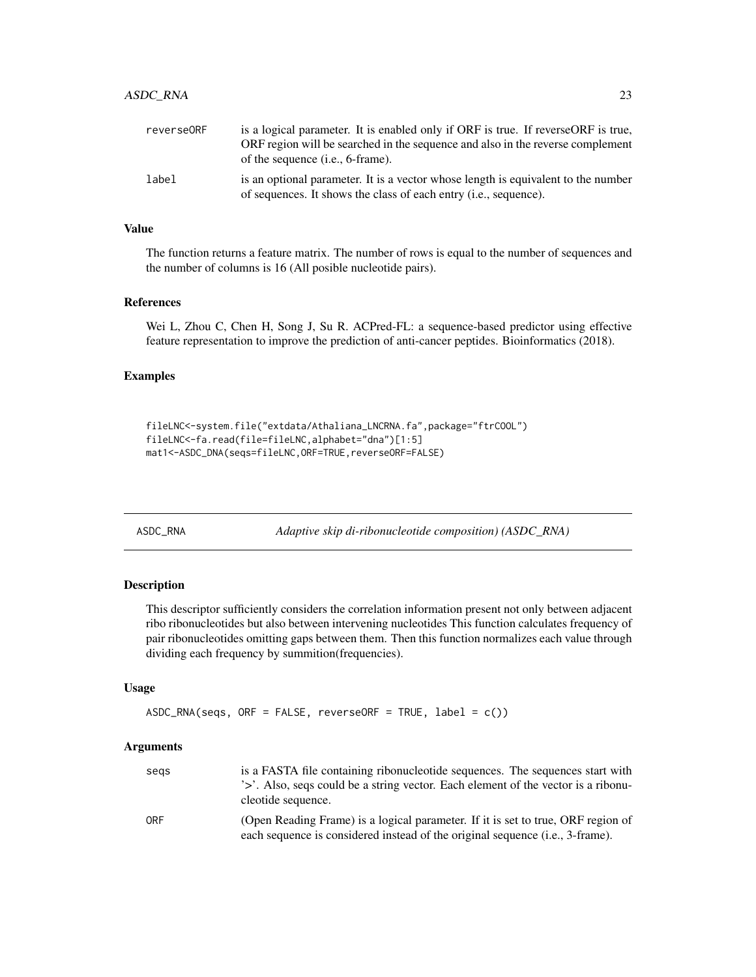<span id="page-22-0"></span>

| reverse0RF | is a logical parameter. It is enabled only if ORF is true. If reverseORF is true,                                                                     |
|------------|-------------------------------------------------------------------------------------------------------------------------------------------------------|
|            | ORF region will be searched in the sequence and also in the reverse complement                                                                        |
|            | of the sequence ( <i>i.e.</i> , 6-frame).                                                                                                             |
| label      | is an optional parameter. It is a vector whose length is equivalent to the number<br>of sequences. It shows the class of each entry (i.e., sequence). |

# Value

The function returns a feature matrix. The number of rows is equal to the number of sequences and the number of columns is 16 (All posible nucleotide pairs).

#### References

Wei L, Zhou C, Chen H, Song J, Su R. ACPred-FL: a sequence-based predictor using effective feature representation to improve the prediction of anti-cancer peptides. Bioinformatics (2018).

#### Examples

```
fileLNC<-system.file("extdata/Athaliana_LNCRNA.fa",package="ftrCOOL")
fileLNC<-fa.read(file=fileLNC,alphabet="dna")[1:5]
mat1<-ASDC_DNA(seqs=fileLNC,ORF=TRUE,reverseORF=FALSE)
```
ASDC\_RNA *Adaptive skip di-ribonucleotide composition) (ASDC\_RNA)*

#### Description

This descriptor sufficiently considers the correlation information present not only between adjacent ribo ribonucleotides but also between intervening nucleotides This function calculates frequency of pair ribonucleotides omitting gaps between them. Then this function normalizes each value through dividing each frequency by summition(frequencies).

# Usage

```
ASDC_RNA(segs, ORF = FALSE, reverseORF = TRUE, label = c())
```

| segs | is a FASTA file containing ribonucleotide sequences. The sequences start with<br>'>'. Also, segs could be a string vector. Each element of the vector is a ribonu-         |
|------|----------------------------------------------------------------------------------------------------------------------------------------------------------------------------|
|      | cleotide sequence.                                                                                                                                                         |
| 0RF  | (Open Reading Frame) is a logical parameter. If it is set to true, ORF region of<br>each sequence is considered instead of the original sequence ( <i>i.e.</i> , 3-frame). |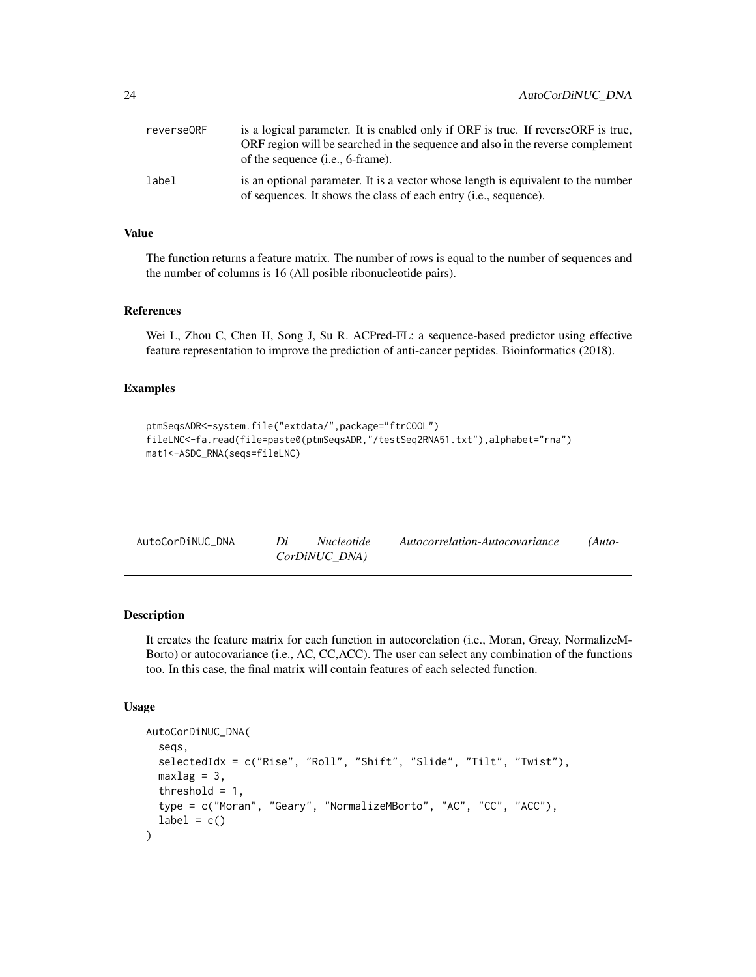<span id="page-23-0"></span>

| reverse0RF | is a logical parameter. It is enabled only if ORF is true. If reverseORF is true,<br>ORF region will be searched in the sequence and also in the reverse complement<br>of the sequence ( <i>i.e.</i> , 6-frame). |
|------------|------------------------------------------------------------------------------------------------------------------------------------------------------------------------------------------------------------------|
| label      | is an optional parameter. It is a vector whose length is equivalent to the number<br>of sequences. It shows the class of each entry <i>(i.e., sequence)</i> .                                                    |

# Value

The function returns a feature matrix. The number of rows is equal to the number of sequences and the number of columns is 16 (All posible ribonucleotide pairs).

#### References

Wei L, Zhou C, Chen H, Song J, Su R. ACPred-FL: a sequence-based predictor using effective feature representation to improve the prediction of anti-cancer peptides. Bioinformatics (2018).

#### Examples

```
ptmSeqsADR<-system.file("extdata/",package="ftrCOOL")
fileLNC<-fa.read(file=paste0(ptmSeqsADR,"/testSeq2RNA51.txt"),alphabet="rna")
mat1<-ASDC_RNA(seqs=fileLNC)
```

| AutoCorDiNUC DNA | Di | <i>Nucleotide</i> | Autocorrelation-Autocovariance | $(Auto-$ |
|------------------|----|-------------------|--------------------------------|----------|
|                  |    | CorDiNUC DNA)     |                                |          |

#### Description

It creates the feature matrix for each function in autocorelation (i.e., Moran, Greay, NormalizeM-Borto) or autocovariance (i.e., AC, CC,ACC). The user can select any combination of the functions too. In this case, the final matrix will contain features of each selected function.

```
AutoCorDiNUC_DNA(
  seqs,
  selectedIdx = c("Rise", "Roll", "Shift", "Slide", "Tilt", "Twist"),
 maxlag = 3,
  threshold = 1,
  type = c("Moran", "Geary", "NormalizeMBorto", "AC", "CC", "ACC"),
  label = c())
```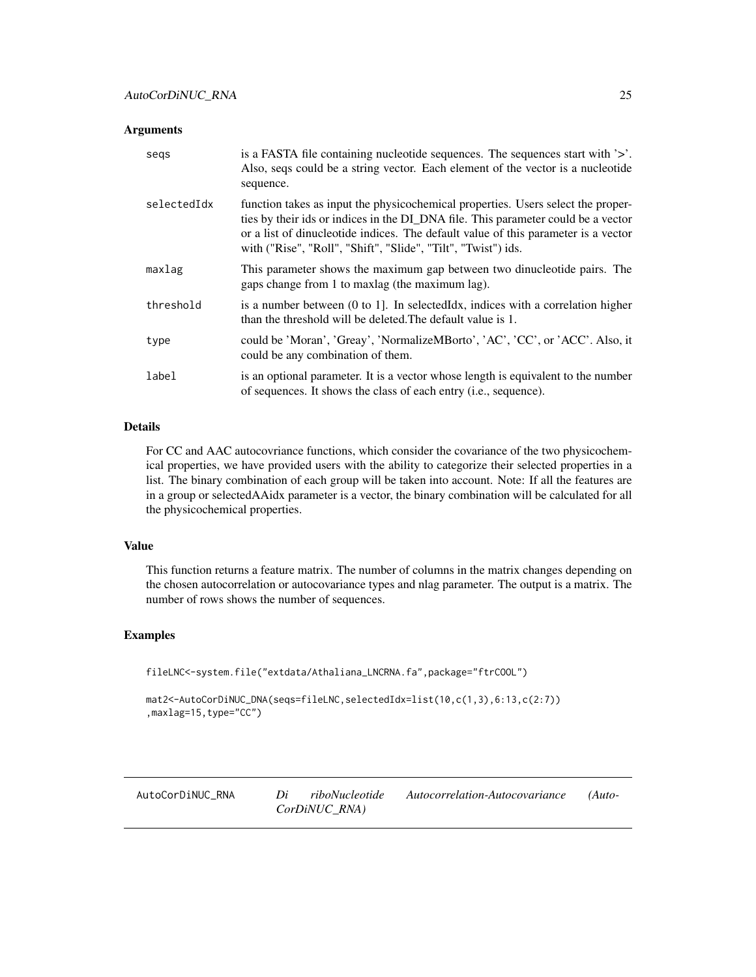#### <span id="page-24-0"></span>**Arguments**

| segs        | is a FASTA file containing nucleotide sequences. The sequences start with '>'.<br>Also, seqs could be a string vector. Each element of the vector is a nucleotide<br>sequence.                                                                                                                                               |
|-------------|------------------------------------------------------------------------------------------------------------------------------------------------------------------------------------------------------------------------------------------------------------------------------------------------------------------------------|
| selectedIdx | function takes as input the physicochemical properties. Users select the proper-<br>ties by their ids or indices in the DI_DNA file. This parameter could be a vector<br>or a list of dinucleotide indices. The default value of this parameter is a vector<br>with ("Rise", "Roll", "Shift", "Slide", "Tilt", "Twist") ids. |
| maxlag      | This parameter shows the maximum gap between two dinucleotide pairs. The<br>gaps change from 1 to maxing (the maximum lag).                                                                                                                                                                                                  |
| threshold   | is a number between $(0 \text{ to } 1)$ . In selected $\text{Idx}$ , indices with a correlation higher<br>than the threshold will be deleted. The default value is 1.                                                                                                                                                        |
| type        | could be 'Moran', 'Greay', 'NormalizeMBorto', 'AC', 'CC', or 'ACC'. Also, it<br>could be any combination of them.                                                                                                                                                                                                            |
| label       | is an optional parameter. It is a vector whose length is equivalent to the number<br>of sequences. It shows the class of each entry (i.e., sequence).                                                                                                                                                                        |

# Details

For CC and AAC autocovriance functions, which consider the covariance of the two physicochemical properties, we have provided users with the ability to categorize their selected properties in a list. The binary combination of each group will be taken into account. Note: If all the features are in a group or selectedAAidx parameter is a vector, the binary combination will be calculated for all the physicochemical properties.

# Value

This function returns a feature matrix. The number of columns in the matrix changes depending on the chosen autocorrelation or autocovariance types and nlag parameter. The output is a matrix. The number of rows shows the number of sequences.

# Examples

```
fileLNC<-system.file("extdata/Athaliana_LNCRNA.fa",package="ftrCOOL")
```

```
mat2<-AutoCorDiNUC_DNA(seqs=fileLNC,selectedIdx=list(10,c(1,3),6:13,c(2:7))
,maxlag=15,type="CC")
```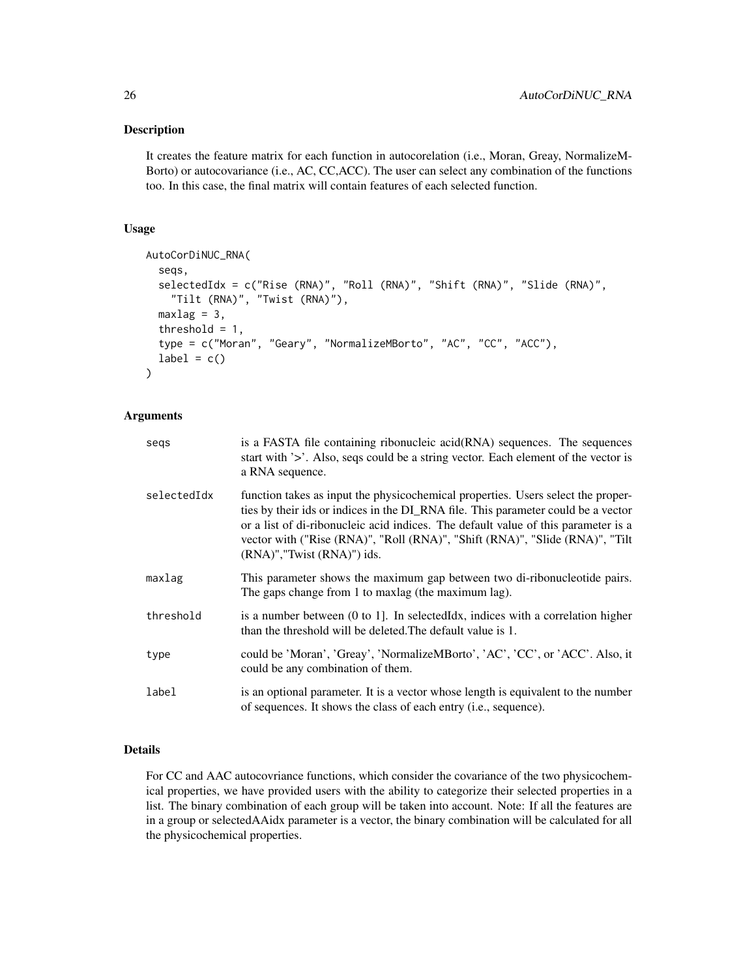# Description

It creates the feature matrix for each function in autocorelation (i.e., Moran, Greay, NormalizeM-Borto) or autocovariance (i.e., AC, CC,ACC). The user can select any combination of the functions too. In this case, the final matrix will contain features of each selected function.

# Usage

```
AutoCorDiNUC_RNA(
  seqs,
  selectedIdx = c("Rise (RNA)", "Roll (RNA)", "Shift (RNA)", "Slide (RNA)",
    "Tilt (RNA)", "Twist (RNA)"),
  maxlag = 3,
  threshold = 1,
  type = c("Moran", "Geary", "NormalizeMBorto", "AC", "CC", "ACC"),
  label = c())
```
# Arguments

| segs        | is a FASTA file containing ribonucleic acid(RNA) sequences. The sequences<br>start with '>'. Also, seqs could be a string vector. Each element of the vector is<br>a RNA sequence.                                                                                                                                                                                               |
|-------------|----------------------------------------------------------------------------------------------------------------------------------------------------------------------------------------------------------------------------------------------------------------------------------------------------------------------------------------------------------------------------------|
| selectedIdx | function takes as input the physicochemical properties. Users select the proper-<br>ties by their ids or indices in the DI_RNA file. This parameter could be a vector<br>or a list of di-ribonucleic acid indices. The default value of this parameter is a<br>vector with ("Rise (RNA)", "Roll (RNA)", "Shift (RNA)", "Slide (RNA)", "Tilt<br>$(RNA)$ ", "Twist $(RNA)$ ") ids. |
| maxlag      | This parameter shows the maximum gap between two di-ribonucleotide pairs.<br>The gaps change from 1 to maxlag (the maximum lag).                                                                                                                                                                                                                                                 |
| threshold   | is a number between $(0 \text{ to } 1)$ . In selected Idx, indices with a correlation higher<br>than the threshold will be deleted. The default value is 1.                                                                                                                                                                                                                      |
| type        | could be 'Moran', 'Greay', 'NormalizeMBorto', 'AC', 'CC', or 'ACC'. Also, it<br>could be any combination of them.                                                                                                                                                                                                                                                                |
| label       | is an optional parameter. It is a vector whose length is equivalent to the number<br>of sequences. It shows the class of each entry (i.e., sequence).                                                                                                                                                                                                                            |

# Details

For CC and AAC autocovriance functions, which consider the covariance of the two physicochemical properties, we have provided users with the ability to categorize their selected properties in a list. The binary combination of each group will be taken into account. Note: If all the features are in a group or selectedAAidx parameter is a vector, the binary combination will be calculated for all the physicochemical properties.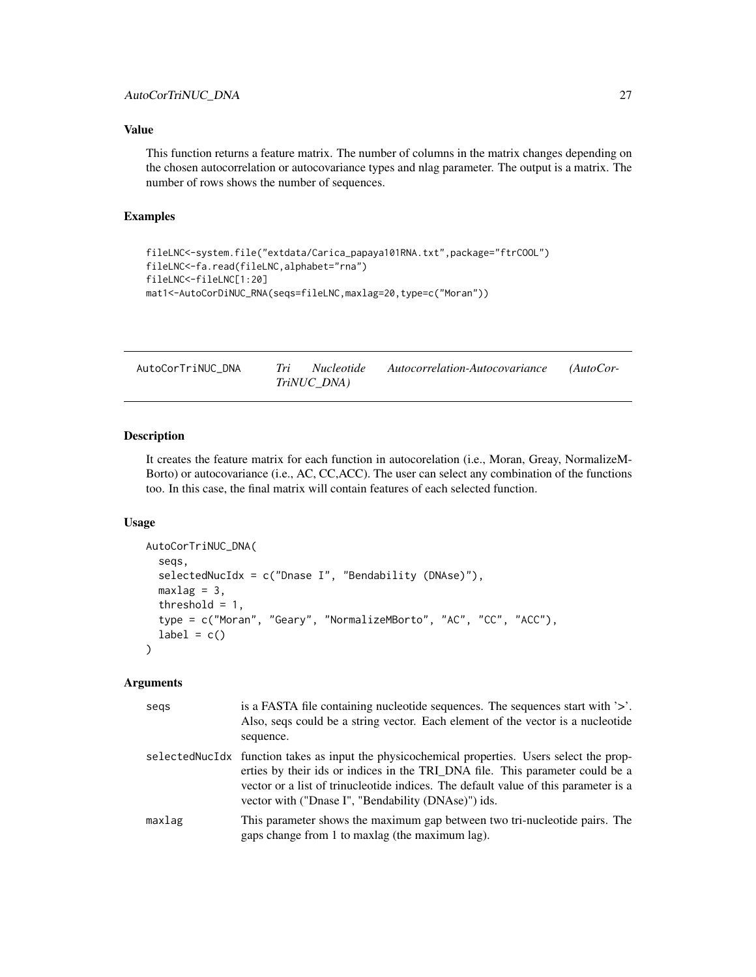# <span id="page-26-0"></span>Value

This function returns a feature matrix. The number of columns in the matrix changes depending on the chosen autocorrelation or autocovariance types and nlag parameter. The output is a matrix. The number of rows shows the number of sequences.

# Examples

```
fileLNC<-system.file("extdata/Carica_papaya101RNA.txt",package="ftrCOOL")
fileLNC<-fa.read(fileLNC,alphabet="rna")
fileLNC<-fileLNC[1:20]
mat1<-AutoCorDiNUC_RNA(seqs=fileLNC,maxlag=20,type=c("Moran"))
```

| AutoCorTriNUC DNA | <i>Nucleotide</i> | Autocorrelation-Autocovariance | $(AutoCor-$ |
|-------------------|-------------------|--------------------------------|-------------|
|                   | TriNUC DNA)       |                                |             |

# Description

It creates the feature matrix for each function in autocorelation (i.e., Moran, Greay, NormalizeM-Borto) or autocovariance (i.e., AC, CC,ACC). The user can select any combination of the functions too. In this case, the final matrix will contain features of each selected function.

# Usage

```
AutoCorTriNUC_DNA(
  seqs,
  selectedNucIdx = c("Dnase I", "Bendability (DNAse)"),
  maxlag = 3,
  threshold = 1,
  type = c("Moran", "Geary", "NormalizeMBorto", "AC", "CC", "ACC"),
  label = c())
```

| segs   | is a FASTA file containing nucleotide sequences. The sequences start with '>'.<br>Also, seqs could be a string vector. Each element of the vector is a nucleotide<br>sequence.                                                                                                                                               |
|--------|------------------------------------------------------------------------------------------------------------------------------------------------------------------------------------------------------------------------------------------------------------------------------------------------------------------------------|
|        | selectedNucIdx function takes as input the physicochemical properties. Users select the prop-<br>erties by their ids or indices in the TRI_DNA file. This parameter could be a<br>vector or a list of trinucleotide indices. The default value of this parameter is a<br>vector with ("Dnase I", "Bendability (DNAse)") ids. |
| maxlag | This parameter shows the maximum gap between two tri-nucleotide pairs. The<br>gaps change from 1 to maxing (the maximum lag).                                                                                                                                                                                                |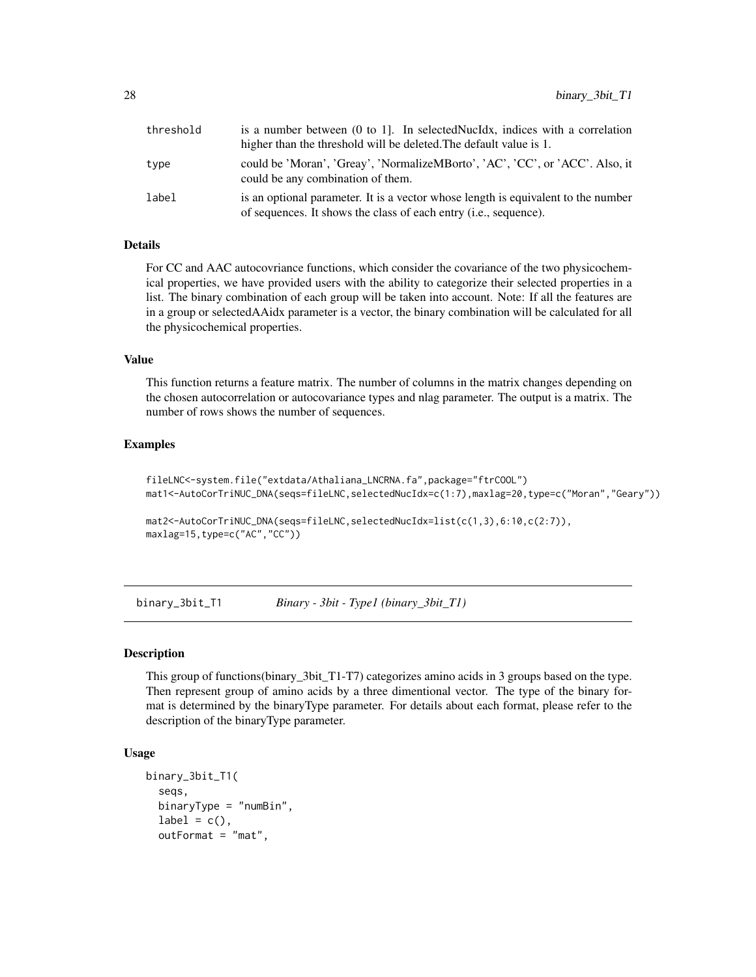<span id="page-27-0"></span>

| threshold | is a number between (0 to 1). In selectedNucIdx, indices with a correlation<br>higher than the threshold will be deleted. The default value is 1.              |
|-----------|----------------------------------------------------------------------------------------------------------------------------------------------------------------|
| type      | could be 'Moran', 'Greay', 'NormalizeMBorto', 'AC', 'CC', or 'ACC'. Also, it<br>could be any combination of them.                                              |
| label     | is an optional parameter. It is a vector whose length is equivalent to the number<br>of sequences. It shows the class of each entry ( <i>i.e.</i> , sequence). |

# Details

For CC and AAC autocovriance functions, which consider the covariance of the two physicochemical properties, we have provided users with the ability to categorize their selected properties in a list. The binary combination of each group will be taken into account. Note: If all the features are in a group or selectedAAidx parameter is a vector, the binary combination will be calculated for all the physicochemical properties.

# Value

This function returns a feature matrix. The number of columns in the matrix changes depending on the chosen autocorrelation or autocovariance types and nlag parameter. The output is a matrix. The number of rows shows the number of sequences.

#### Examples

```
fileLNC<-system.file("extdata/Athaliana_LNCRNA.fa",package="ftrCOOL")
mat1<-AutoCorTriNUC_DNA(seqs=fileLNC,selectedNucIdx=c(1:7),maxlag=20,type=c("Moran","Geary"))
```

```
mat2<-AutoCorTriNUC_DNA(seqs=fileLNC,selectedNucIdx=list(c(1,3),6:10,c(2:7)),
maxlag=15,type=c("AC","CC"))
```
binary\_3bit\_T1 *Binary - 3bit - Type1 (binary\_3bit\_T1)*

#### Description

This group of functions(binary\_3bit\_T1-T7) categorizes amino acids in 3 groups based on the type. Then represent group of amino acids by a three dimentional vector. The type of the binary format is determined by the binaryType parameter. For details about each format, please refer to the description of the binaryType parameter.

```
binary_3bit_T1(
  seqs,
  binaryType = "numBin",
  label = c(),
  outFormat = "mat",
```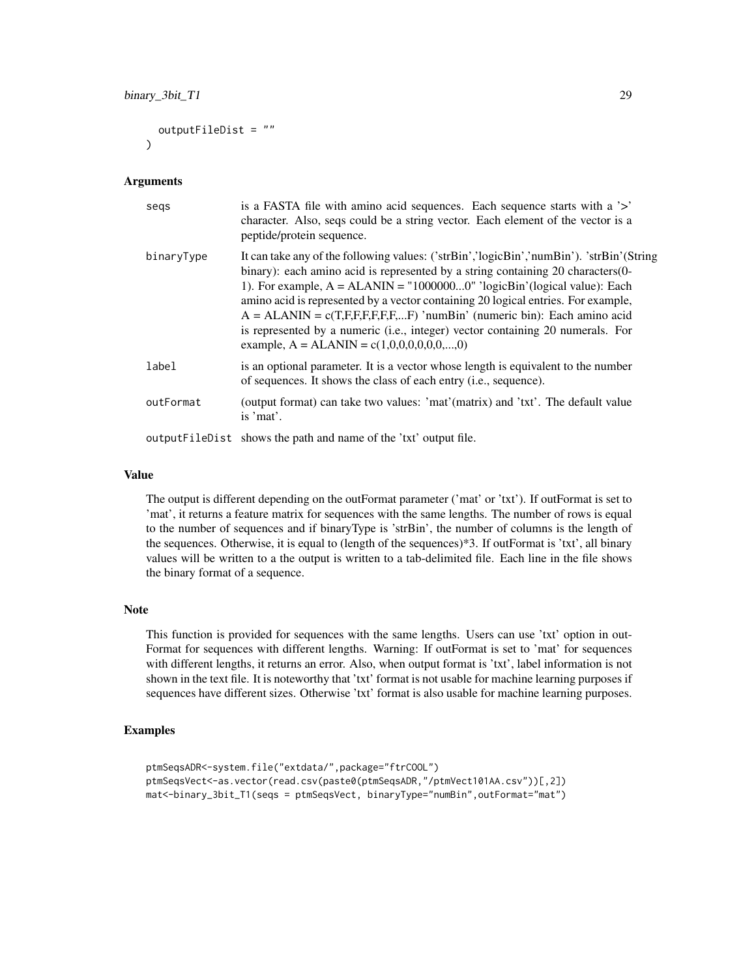```
outputFileDist = ""
\lambda
```
#### Arguments

| segs       | is a FASTA file with a mino acid sequences. Each sequence starts with a '>'<br>character. Also, seqs could be a string vector. Each element of the vector is a<br>peptide/protein sequence.                                                                                                                                                                                                                                                                                                                                                                  |
|------------|--------------------------------------------------------------------------------------------------------------------------------------------------------------------------------------------------------------------------------------------------------------------------------------------------------------------------------------------------------------------------------------------------------------------------------------------------------------------------------------------------------------------------------------------------------------|
| binaryType | It can take any of the following values: ('strBin','logicBin','numBin'). 'strBin'(String<br>binary): each amino acid is represented by a string containing 20 characters (0-<br>1). For example, $A = ALANIN = "10000000" 'logicBin' (logical value): Each$<br>amino acid is represented by a vector containing 20 logical entries. For example,<br>$A = ALANIN = c(T,F,F,F,F,F,F)$ 'numBin' (numeric bin): Each amino acid<br>is represented by a numeric (i.e., integer) vector containing 20 numerals. For<br>example, $A = ALANIN = c(1,0,0,0,0,0,0,,0)$ |
| label      | is an optional parameter. It is a vector whose length is equivalent to the number<br>of sequences. It shows the class of each entry (i.e., sequence).                                                                                                                                                                                                                                                                                                                                                                                                        |
| outFormat  | (output format) can take two values: 'mat'(matrix) and 'txt'. The default value<br>is 'mat'.                                                                                                                                                                                                                                                                                                                                                                                                                                                                 |
|            | output FileDist shows the path and name of the 'txt' output file.                                                                                                                                                                                                                                                                                                                                                                                                                                                                                            |

#### Value

The output is different depending on the outFormat parameter ('mat' or 'txt'). If outFormat is set to 'mat', it returns a feature matrix for sequences with the same lengths. The number of rows is equal to the number of sequences and if binaryType is 'strBin', the number of columns is the length of the sequences. Otherwise, it is equal to (length of the sequences)\*3. If outFormat is 'txt', all binary values will be written to a the output is written to a tab-delimited file. Each line in the file shows the binary format of a sequence.

# Note

This function is provided for sequences with the same lengths. Users can use 'txt' option in out-Format for sequences with different lengths. Warning: If outFormat is set to 'mat' for sequences with different lengths, it returns an error. Also, when output format is 'txt', label information is not shown in the text file. It is noteworthy that 'txt' format is not usable for machine learning purposes if sequences have different sizes. Otherwise 'txt' format is also usable for machine learning purposes.

# Examples

```
ptmSeqsADR<-system.file("extdata/",package="ftrCOOL")
ptmSeqsVect<-as.vector(read.csv(paste0(ptmSeqsADR,"/ptmVect101AA.csv"))[,2])
mat<-binary_3bit_T1(seqs = ptmSeqsVect, binaryType="numBin",outFormat="mat")
```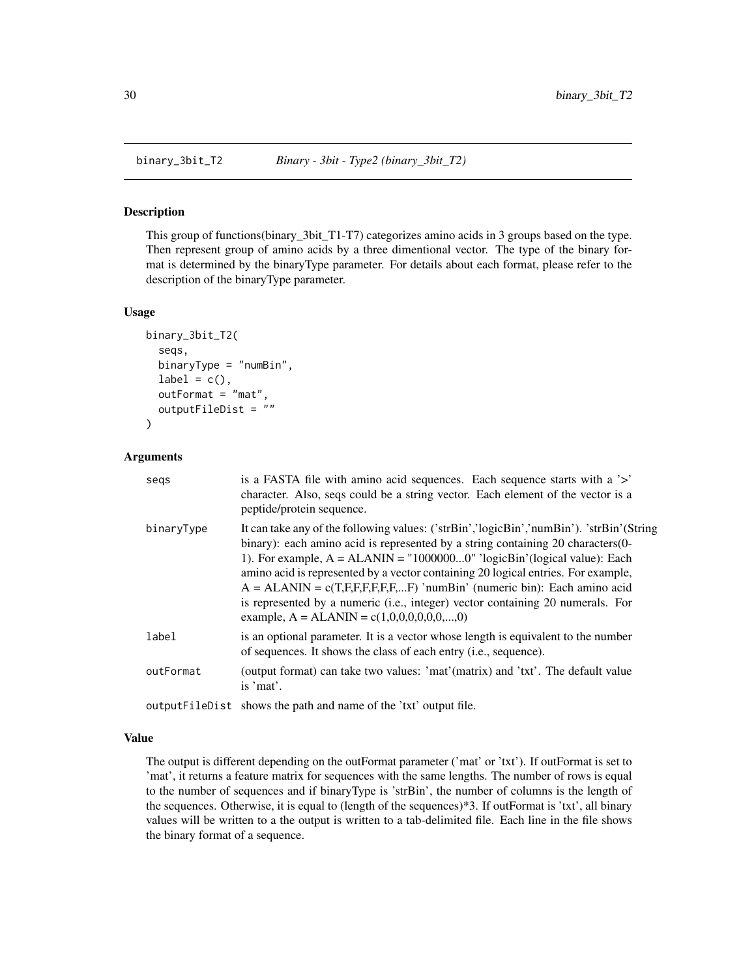<span id="page-29-0"></span>

#### Description

This group of functions(binary\_3bit\_T1-T7) categorizes amino acids in 3 groups based on the type. Then represent group of amino acids by a three dimentional vector. The type of the binary format is determined by the binaryType parameter. For details about each format, please refer to the description of the binaryType parameter.

#### Usage

```
binary_3bit_T2(
  seqs,
  binaryType = "numBin",
  label = c(),
  outFormat = "mat",
  outputFileDist = ""
)
```
# Arguments

| segs       | is a FASTA file with amino acid sequences. Each sequence starts with a '>'<br>character. Also, seqs could be a string vector. Each element of the vector is a<br>peptide/protein sequence.                                                                                                                                                                                                                                                                                                                                                                   |
|------------|--------------------------------------------------------------------------------------------------------------------------------------------------------------------------------------------------------------------------------------------------------------------------------------------------------------------------------------------------------------------------------------------------------------------------------------------------------------------------------------------------------------------------------------------------------------|
| binaryType | It can take any of the following values: ('strBin','logicBin','numBin'). 'strBin'(String<br>binary): each amino acid is represented by a string containing 20 characters (0-<br>1). For example, $A = ALANIN = "10000000" 'logicBin' (logical value): Each$<br>amino acid is represented by a vector containing 20 logical entries. For example,<br>$A = ALANIN = c(T,F,F,F,F,F,F)$ 'numBin' (numeric bin): Each amino acid<br>is represented by a numeric (i.e., integer) vector containing 20 numerals. For<br>example, $A = ALANIN = c(1,0,0,0,0,0,0,,0)$ |
| label      | is an optional parameter. It is a vector whose length is equivalent to the number<br>of sequences. It shows the class of each entry (i.e., sequence).                                                                                                                                                                                                                                                                                                                                                                                                        |
| outFormat  | (output format) can take two values: 'mat'(matrix) and 'txt'. The default value<br>is 'mat'.                                                                                                                                                                                                                                                                                                                                                                                                                                                                 |
|            | output FileDist shows the path and name of the 'txt' output file.                                                                                                                                                                                                                                                                                                                                                                                                                                                                                            |

#### Value

The output is different depending on the outFormat parameter ('mat' or 'txt'). If outFormat is set to 'mat', it returns a feature matrix for sequences with the same lengths. The number of rows is equal to the number of sequences and if binaryType is 'strBin', the number of columns is the length of the sequences. Otherwise, it is equal to (length of the sequences)\*3. If outFormat is 'txt', all binary values will be written to a the output is written to a tab-delimited file. Each line in the file shows the binary format of a sequence.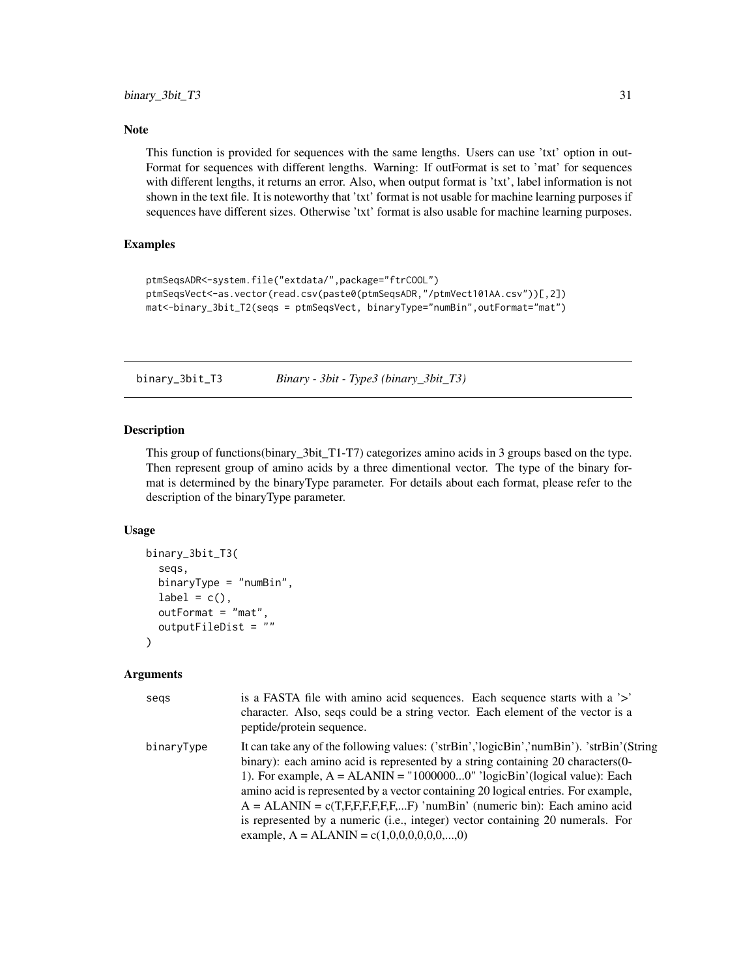# <span id="page-30-0"></span>Note

This function is provided for sequences with the same lengths. Users can use 'txt' option in out-Format for sequences with different lengths. Warning: If outFormat is set to 'mat' for sequences with different lengths, it returns an error. Also, when output format is 'txt', label information is not shown in the text file. It is noteworthy that 'txt' format is not usable for machine learning purposes if sequences have different sizes. Otherwise 'txt' format is also usable for machine learning purposes.

# Examples

```
ptmSeqsADR<-system.file("extdata/",package="ftrCOOL")
ptmSeqsVect<-as.vector(read.csv(paste0(ptmSeqsADR,"/ptmVect101AA.csv"))[,2])
mat<-binary_3bit_T2(seqs = ptmSeqsVect, binaryType="numBin",outFormat="mat")
```
binary\_3bit\_T3 *Binary - 3bit - Type3 (binary\_3bit\_T3)*

#### Description

This group of functions(binary\_3bit\_T1-T7) categorizes amino acids in 3 groups based on the type. Then represent group of amino acids by a three dimentional vector. The type of the binary format is determined by the binaryType parameter. For details about each format, please refer to the description of the binaryType parameter.

#### Usage

```
binary_3bit_T3(
  seqs,
  binaryType = "numBin",
  label = c(),
  outFormat = "mat",
  outputFileDist = ""
\lambda
```

| segs       | is a FASTA file with amino acid sequences. Each sequence starts with a '>'<br>character. Also, seqs could be a string vector. Each element of the vector is a<br>peptide/protein sequence.                                                                                                                                                                                                                                                                                                                                                                   |
|------------|--------------------------------------------------------------------------------------------------------------------------------------------------------------------------------------------------------------------------------------------------------------------------------------------------------------------------------------------------------------------------------------------------------------------------------------------------------------------------------------------------------------------------------------------------------------|
| binaryType | It can take any of the following values: ('strBin','logicBin','numBin'). 'strBin'(String<br>binary): each amino acid is represented by a string containing 20 characters (0-<br>1). For example, $A = ALANIN = "10000000" 'logicBin' (logical value): Each$<br>amino acid is represented by a vector containing 20 logical entries. For example,<br>$A = ALANIN = c(T,F,F,F,F,F,F)$ 'numBin' (numeric bin): Each amino acid<br>is represented by a numeric (i.e., integer) vector containing 20 numerals. For<br>example, $A = ALANIN = c(1,0,0,0,0,0,0,,0)$ |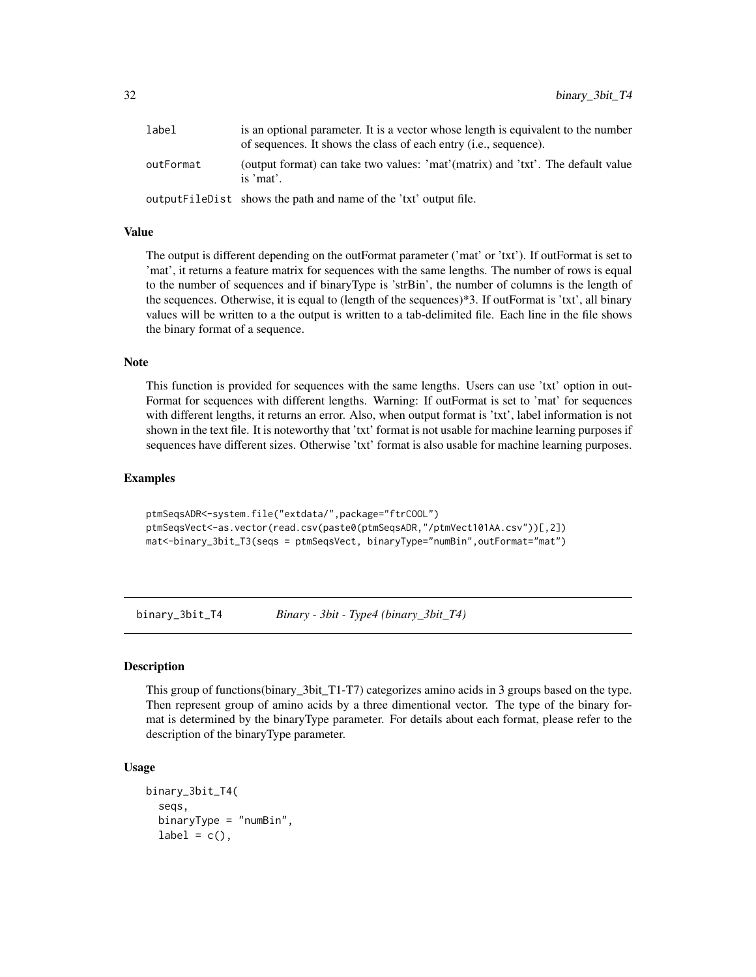<span id="page-31-0"></span>

| label     | is an optional parameter. It is a vector whose length is equivalent to the number<br>of sequences. It shows the class of each entry ( <i>i.e.</i> , sequence). |
|-----------|----------------------------------------------------------------------------------------------------------------------------------------------------------------|
| outFormat | (output format) can take two values: 'mat'(matrix) and 'txt'. The default value<br>is $'mat'$ .                                                                |
|           | outputFileDist shows the path and name of the 'txt' output file.                                                                                               |

# Value

The output is different depending on the outFormat parameter ('mat' or 'txt'). If outFormat is set to 'mat', it returns a feature matrix for sequences with the same lengths. The number of rows is equal to the number of sequences and if binaryType is 'strBin', the number of columns is the length of the sequences. Otherwise, it is equal to (length of the sequences)\*3. If outFormat is 'txt', all binary values will be written to a the output is written to a tab-delimited file. Each line in the file shows the binary format of a sequence.

#### Note

This function is provided for sequences with the same lengths. Users can use 'txt' option in out-Format for sequences with different lengths. Warning: If outFormat is set to 'mat' for sequences with different lengths, it returns an error. Also, when output format is 'txt', label information is not shown in the text file. It is noteworthy that 'txt' format is not usable for machine learning purposes if sequences have different sizes. Otherwise 'txt' format is also usable for machine learning purposes.

#### Examples

```
ptmSeqsADR<-system.file("extdata/",package="ftrCOOL")
ptmSeqsVect<-as.vector(read.csv(paste0(ptmSeqsADR,"/ptmVect101AA.csv"))[,2])
mat<-binary_3bit_T3(seqs = ptmSeqsVect, binaryType="numBin",outFormat="mat")
```
binary\_3bit\_T4 *Binary - 3bit - Type4 (binary\_3bit\_T4)*

#### **Description**

This group of functions (binary 3bit T1-T7) categorizes amino acids in 3 groups based on the type. Then represent group of amino acids by a three dimentional vector. The type of the binary format is determined by the binaryType parameter. For details about each format, please refer to the description of the binaryType parameter.

```
binary_3bit_T4(
  seqs,
  binaryType = "numBin",
  label = c(),
```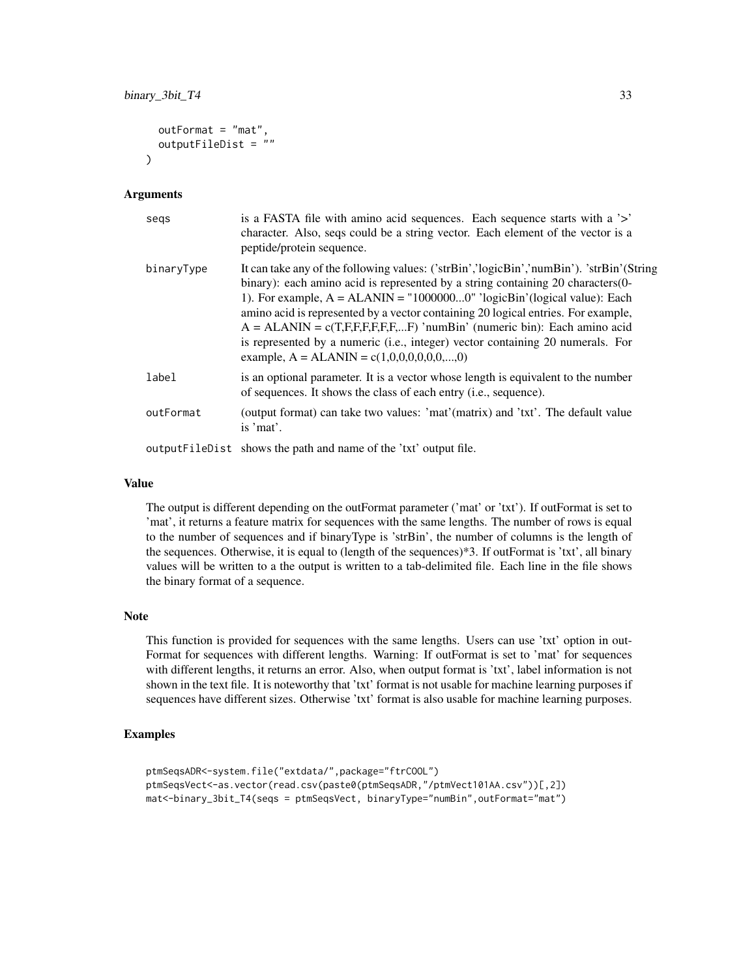```
outFormat = "mat",
 outputFileDist = ""
)
```
#### Arguments

| segs       | is a FASTA file with amino acid sequences. Each sequence starts with a '>'<br>character. Also, seqs could be a string vector. Each element of the vector is a<br>peptide/protein sequence.                                                                                                                                                                                                                                                                                                                                                                  |
|------------|-------------------------------------------------------------------------------------------------------------------------------------------------------------------------------------------------------------------------------------------------------------------------------------------------------------------------------------------------------------------------------------------------------------------------------------------------------------------------------------------------------------------------------------------------------------|
| binaryType | It can take any of the following values: ('strBin','logicBin','numBin'). 'strBin'(String<br>binary): each amino acid is represented by a string containing 20 characters(0-<br>1). For example, $A = ALANIN = "10000000" 'logicBin' (logical value): Each$<br>amino acid is represented by a vector containing 20 logical entries. For example,<br>$A = ALANIN = c(T,F,F,F,F,F,F)$ 'numBin' (numeric bin): Each amino acid<br>is represented by a numeric (i.e., integer) vector containing 20 numerals. For<br>example, $A = ALANIN = c(1,0,0,0,0,0,0,,0)$ |
| label      | is an optional parameter. It is a vector whose length is equivalent to the number<br>of sequences. It shows the class of each entry (i.e., sequence).                                                                                                                                                                                                                                                                                                                                                                                                       |
| outFormat  | (output format) can take two values: 'mat'(matrix) and 'txt'. The default value<br>is 'mat'.                                                                                                                                                                                                                                                                                                                                                                                                                                                                |
|            | output FileDist shows the path and name of the 'txt' output file.                                                                                                                                                                                                                                                                                                                                                                                                                                                                                           |

# Value

The output is different depending on the outFormat parameter ('mat' or 'txt'). If outFormat is set to 'mat', it returns a feature matrix for sequences with the same lengths. The number of rows is equal to the number of sequences and if binaryType is 'strBin', the number of columns is the length of the sequences. Otherwise, it is equal to (length of the sequences)\*3. If outFormat is 'txt', all binary values will be written to a the output is written to a tab-delimited file. Each line in the file shows the binary format of a sequence.

## Note

This function is provided for sequences with the same lengths. Users can use 'txt' option in out-Format for sequences with different lengths. Warning: If outFormat is set to 'mat' for sequences with different lengths, it returns an error. Also, when output format is 'txt', label information is not shown in the text file. It is noteworthy that 'txt' format is not usable for machine learning purposes if sequences have different sizes. Otherwise 'txt' format is also usable for machine learning purposes.

# Examples

```
ptmSeqsADR<-system.file("extdata/",package="ftrCOOL")
ptmSeqsVect<-as.vector(read.csv(paste0(ptmSeqsADR,"/ptmVect101AA.csv"))[,2])
mat<-binary_3bit_T4(seqs = ptmSeqsVect, binaryType="numBin",outFormat="mat")
```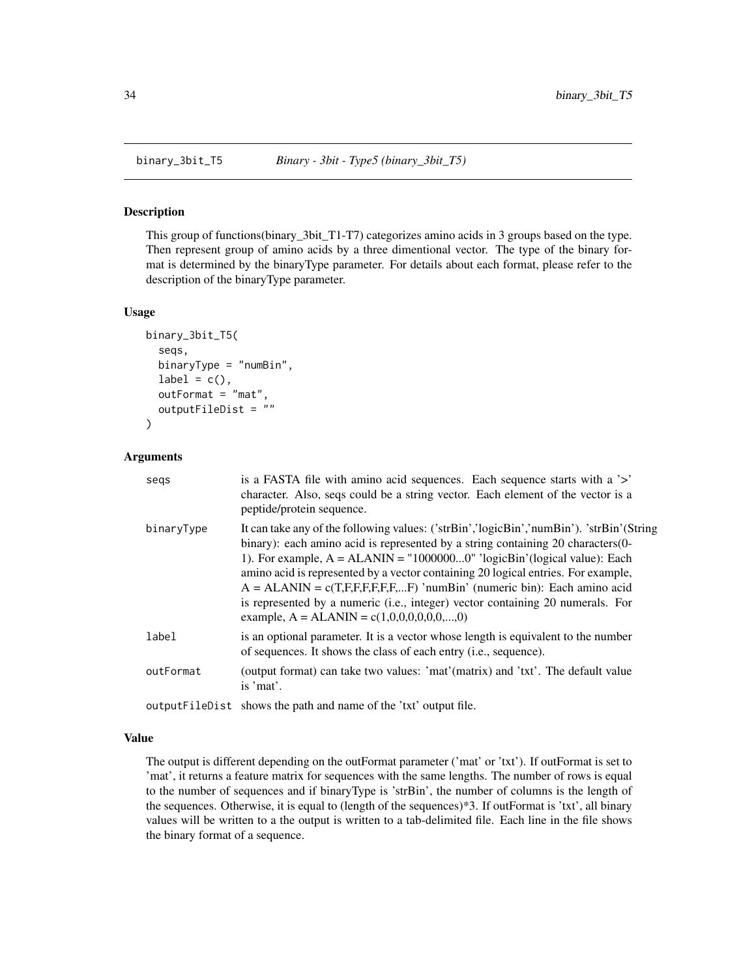<span id="page-33-0"></span>

#### Description

This group of functions(binary\_3bit\_T1-T7) categorizes amino acids in 3 groups based on the type. Then represent group of amino acids by a three dimentional vector. The type of the binary format is determined by the binaryType parameter. For details about each format, please refer to the description of the binaryType parameter.

#### Usage

```
binary_3bit_T5(
  seqs,
  binaryType = "numBin",
  label = c(),
  outFormat = "mat",
  outputFileDist = ""
)
```
# Arguments

| segs       | is a FASTA file with amino acid sequences. Each sequence starts with a '>'<br>character. Also, seqs could be a string vector. Each element of the vector is a<br>peptide/protein sequence.                                                                                                                                                                                                                                                                                                                                                                   |
|------------|--------------------------------------------------------------------------------------------------------------------------------------------------------------------------------------------------------------------------------------------------------------------------------------------------------------------------------------------------------------------------------------------------------------------------------------------------------------------------------------------------------------------------------------------------------------|
| binaryType | It can take any of the following values: ('strBin','logicBin','numBin'). 'strBin'(String<br>binary): each amino acid is represented by a string containing 20 characters (0-<br>1). For example, $A = ALANIN = "10000000" 'logicBin' (logical value): Each$<br>amino acid is represented by a vector containing 20 logical entries. For example,<br>$A = ALANIN = c(T,F,F,F,F,F,F)$ 'numBin' (numeric bin): Each amino acid<br>is represented by a numeric (i.e., integer) vector containing 20 numerals. For<br>example, $A = ALANIN = c(1,0,0,0,0,0,0,,0)$ |
| label      | is an optional parameter. It is a vector whose length is equivalent to the number<br>of sequences. It shows the class of each entry (i.e., sequence).                                                                                                                                                                                                                                                                                                                                                                                                        |
| outFormat  | (output format) can take two values: 'mat'(matrix) and 'txt'. The default value<br>is 'mat'.                                                                                                                                                                                                                                                                                                                                                                                                                                                                 |
|            | output FileDist shows the path and name of the 'txt' output file.                                                                                                                                                                                                                                                                                                                                                                                                                                                                                            |

#### Value

The output is different depending on the outFormat parameter ('mat' or 'txt'). If outFormat is set to 'mat', it returns a feature matrix for sequences with the same lengths. The number of rows is equal to the number of sequences and if binaryType is 'strBin', the number of columns is the length of the sequences. Otherwise, it is equal to (length of the sequences)\*3. If outFormat is 'txt', all binary values will be written to a the output is written to a tab-delimited file. Each line in the file shows the binary format of a sequence.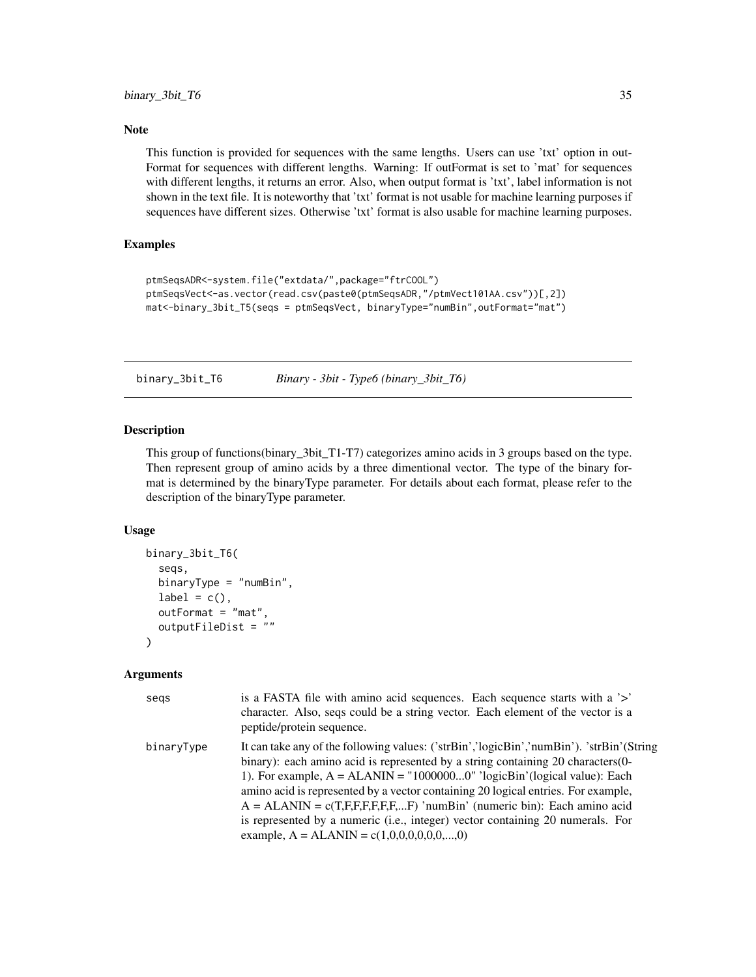# <span id="page-34-0"></span>Note

This function is provided for sequences with the same lengths. Users can use 'txt' option in out-Format for sequences with different lengths. Warning: If outFormat is set to 'mat' for sequences with different lengths, it returns an error. Also, when output format is 'txt', label information is not shown in the text file. It is noteworthy that 'txt' format is not usable for machine learning purposes if sequences have different sizes. Otherwise 'txt' format is also usable for machine learning purposes.

# Examples

```
ptmSeqsADR<-system.file("extdata/",package="ftrCOOL")
ptmSeqsVect<-as.vector(read.csv(paste0(ptmSeqsADR,"/ptmVect101AA.csv"))[,2])
mat<-binary_3bit_T5(seqs = ptmSeqsVect, binaryType="numBin",outFormat="mat")
```
binary\_3bit\_T6 *Binary - 3bit - Type6 (binary\_3bit\_T6)*

#### Description

This group of functions(binary\_3bit\_T1-T7) categorizes amino acids in 3 groups based on the type. Then represent group of amino acids by a three dimentional vector. The type of the binary format is determined by the binaryType parameter. For details about each format, please refer to the description of the binaryType parameter.

#### Usage

```
binary_3bit_T6(
  seqs,
  binaryType = "numBin",
  label = c(),
  outFormat = "mat",
  outputFileDist = ""
\lambda
```

| segs       | is a FASTA file with amino acid sequences. Each sequence starts with a '>'<br>character. Also, seqs could be a string vector. Each element of the vector is a<br>peptide/protein sequence.                                                                                                                                                                                                                                                                                                                                                                   |
|------------|--------------------------------------------------------------------------------------------------------------------------------------------------------------------------------------------------------------------------------------------------------------------------------------------------------------------------------------------------------------------------------------------------------------------------------------------------------------------------------------------------------------------------------------------------------------|
| binaryType | It can take any of the following values: ('strBin','logicBin','numBin'). 'strBin'(String<br>binary): each amino acid is represented by a string containing 20 characters (0-<br>1). For example, $A = ALANIN = "10000000" 'logicBin' (logical value): Each$<br>amino acid is represented by a vector containing 20 logical entries. For example,<br>$A = ALANIN = c(T,F,F,F,F,F,F)$ 'numBin' (numeric bin): Each amino acid<br>is represented by a numeric (i.e., integer) vector containing 20 numerals. For<br>example, $A = ALANIN = c(1,0,0,0,0,0,0,,0)$ |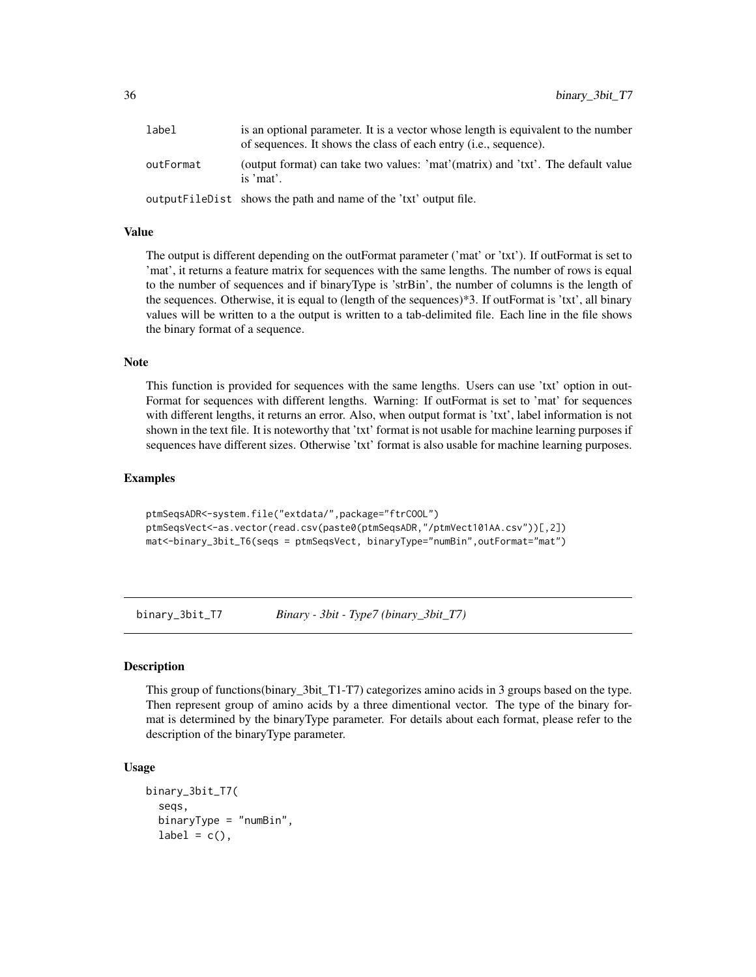<span id="page-35-0"></span>

| label     | is an optional parameter. It is a vector whose length is equivalent to the number<br>of sequences. It shows the class of each entry <i>(i.e., sequence)</i> . |
|-----------|---------------------------------------------------------------------------------------------------------------------------------------------------------------|
| outFormat | (output format) can take two values: 'mat'(matrix) and 'txt'. The default value<br>is $'mat'$ .                                                               |
|           | output FileDist shows the path and name of the 'txt' output file.                                                                                             |

# Value

The output is different depending on the outFormat parameter ('mat' or 'txt'). If outFormat is set to 'mat', it returns a feature matrix for sequences with the same lengths. The number of rows is equal to the number of sequences and if binaryType is 'strBin', the number of columns is the length of the sequences. Otherwise, it is equal to (length of the sequences)\*3. If outFormat is 'txt', all binary values will be written to a the output is written to a tab-delimited file. Each line in the file shows the binary format of a sequence.

#### Note

This function is provided for sequences with the same lengths. Users can use 'txt' option in out-Format for sequences with different lengths. Warning: If outFormat is set to 'mat' for sequences with different lengths, it returns an error. Also, when output format is 'txt', label information is not shown in the text file. It is noteworthy that 'txt' format is not usable for machine learning purposes if sequences have different sizes. Otherwise 'txt' format is also usable for machine learning purposes.

#### Examples

```
ptmSeqsADR<-system.file("extdata/",package="ftrCOOL")
ptmSeqsVect<-as.vector(read.csv(paste0(ptmSeqsADR,"/ptmVect101AA.csv"))[,2])
mat<-binary_3bit_T6(seqs = ptmSeqsVect, binaryType="numBin",outFormat="mat")
```
binary\_3bit\_T7 *Binary - 3bit - Type7 (binary\_3bit\_T7)*

#### **Description**

This group of functions (binary 3bit T1-T7) categorizes amino acids in 3 groups based on the type. Then represent group of amino acids by a three dimentional vector. The type of the binary format is determined by the binaryType parameter. For details about each format, please refer to the description of the binaryType parameter.

```
binary_3bit_T7(
  seqs,
  binaryType = "numBin",
  label = c(),
```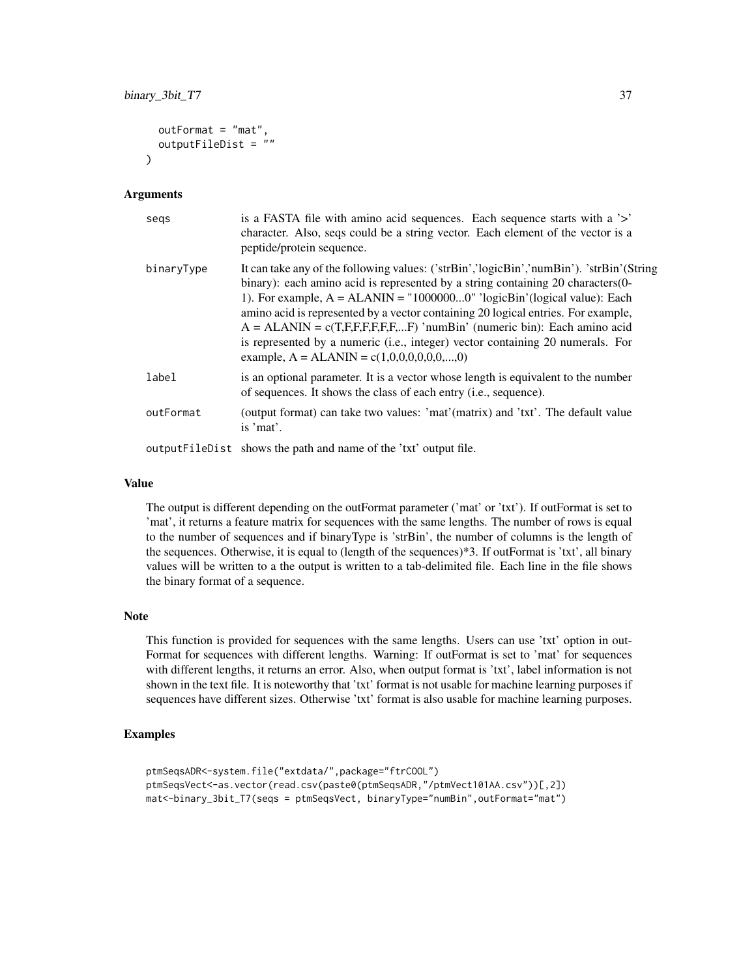```
outFormat = "mat",
 outputFileDist = ""
)
```
#### Arguments

| segs       | is a FASTA file with amino acid sequences. Each sequence starts with a '>'<br>character. Also, seqs could be a string vector. Each element of the vector is a<br>peptide/protein sequence.                                                                                                                                                                                                                                                                                                                                                                  |
|------------|-------------------------------------------------------------------------------------------------------------------------------------------------------------------------------------------------------------------------------------------------------------------------------------------------------------------------------------------------------------------------------------------------------------------------------------------------------------------------------------------------------------------------------------------------------------|
| binaryType | It can take any of the following values: ('strBin','logicBin','numBin'). 'strBin'(String<br>binary): each amino acid is represented by a string containing 20 characters(0-<br>1). For example, $A = ALANIN = "10000000" 'logicBin' (logical value): Each$<br>amino acid is represented by a vector containing 20 logical entries. For example,<br>$A = ALANIN = c(T,F,F,F,F,F,F)$ 'numBin' (numeric bin): Each amino acid<br>is represented by a numeric (i.e., integer) vector containing 20 numerals. For<br>example, $A = ALANIN = c(1,0,0,0,0,0,0,,0)$ |
| label      | is an optional parameter. It is a vector whose length is equivalent to the number<br>of sequences. It shows the class of each entry (i.e., sequence).                                                                                                                                                                                                                                                                                                                                                                                                       |
| outFormat  | (output format) can take two values: 'mat'(matrix) and 'txt'. The default value<br>is 'mat'.                                                                                                                                                                                                                                                                                                                                                                                                                                                                |
|            | output FileDist shows the path and name of the 'txt' output file.                                                                                                                                                                                                                                                                                                                                                                                                                                                                                           |

### Value

The output is different depending on the outFormat parameter ('mat' or 'txt'). If outFormat is set to 'mat', it returns a feature matrix for sequences with the same lengths. The number of rows is equal to the number of sequences and if binaryType is 'strBin', the number of columns is the length of the sequences. Otherwise, it is equal to (length of the sequences)\*3. If outFormat is 'txt', all binary values will be written to a the output is written to a tab-delimited file. Each line in the file shows the binary format of a sequence.

### Note

This function is provided for sequences with the same lengths. Users can use 'txt' option in out-Format for sequences with different lengths. Warning: If outFormat is set to 'mat' for sequences with different lengths, it returns an error. Also, when output format is 'txt', label information is not shown in the text file. It is noteworthy that 'txt' format is not usable for machine learning purposes if sequences have different sizes. Otherwise 'txt' format is also usable for machine learning purposes.

### Examples

```
ptmSeqsADR<-system.file("extdata/",package="ftrCOOL")
ptmSeqsVect<-as.vector(read.csv(paste0(ptmSeqsADR,"/ptmVect101AA.csv"))[,2])
mat<-binary_3bit_T7(seqs = ptmSeqsVect, binaryType="numBin",outFormat="mat")
```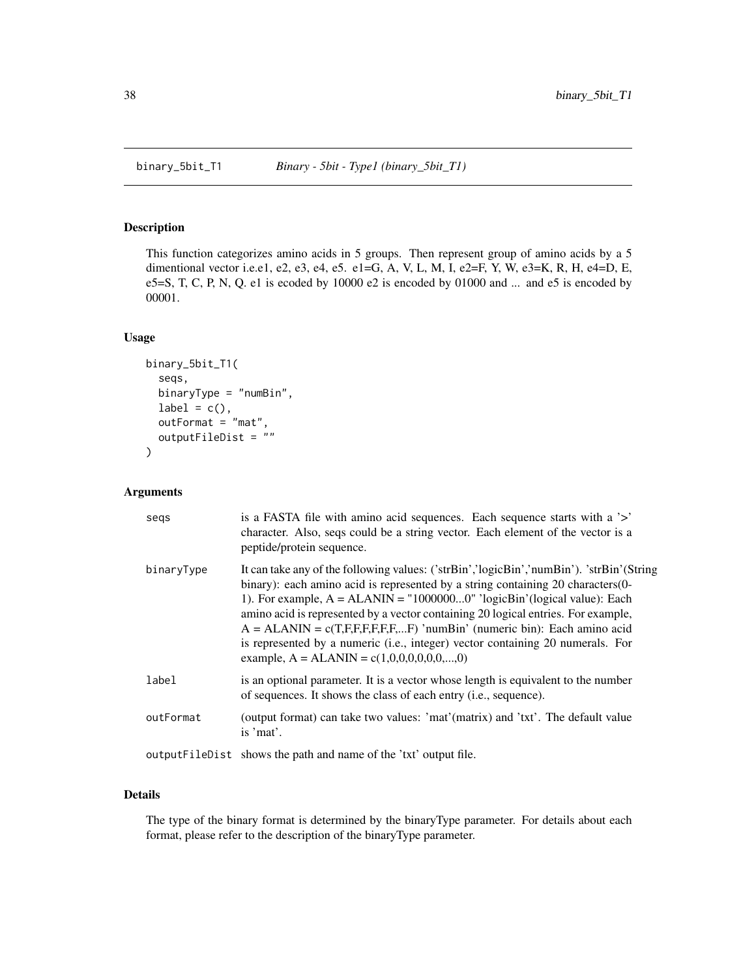## Description

This function categorizes amino acids in 5 groups. Then represent group of amino acids by a 5 dimentional vector i.e.e1, e2, e3, e4, e5. e1=G, A, V, L, M, I, e2=F, Y, W, e3=K, R, H, e4=D, E, e5=S, T, C, P, N, Q. e1 is ecoded by  $10000$  e2 is encoded by  $01000$  and ... and e5 is encoded by 00001.

#### Usage

```
binary_5bit_T1(
  seqs,
 binaryType = "numBin",
  label = c(),
  outFormat = "mat",
  outputFileDist = ""
)
```
#### Arguments

| segs       | is a FASTA file with a mino acid sequences. Each sequence starts with a '>'<br>character. Also, seqs could be a string vector. Each element of the vector is a<br>peptide/protein sequence.                                                                                                                                                                                                                                                                                                                                                                  |
|------------|--------------------------------------------------------------------------------------------------------------------------------------------------------------------------------------------------------------------------------------------------------------------------------------------------------------------------------------------------------------------------------------------------------------------------------------------------------------------------------------------------------------------------------------------------------------|
| binaryType | It can take any of the following values: ('strBin','logicBin','numBin'). 'strBin'(String<br>binary): each amino acid is represented by a string containing 20 characters (0-<br>1). For example, $A = ALANIN = "10000000" 'logicBin' (logical value): Each$<br>amino acid is represented by a vector containing 20 logical entries. For example,<br>$A = ALANIN = c(T,F,F,F,F,F,F)$ 'numBin' (numeric bin): Each amino acid<br>is represented by a numeric (i.e., integer) vector containing 20 numerals. For<br>example, $A = ALANIN = c(1,0,0,0,0,0,0,,0)$ |
| label      | is an optional parameter. It is a vector whose length is equivalent to the number<br>of sequences. It shows the class of each entry (i.e., sequence).                                                                                                                                                                                                                                                                                                                                                                                                        |
| outFormat  | (output format) can take two values: 'mat'(matrix) and 'txt'. The default value<br>is 'mat'.                                                                                                                                                                                                                                                                                                                                                                                                                                                                 |
|            | output FileDist shows the path and name of the 'txt' output file.                                                                                                                                                                                                                                                                                                                                                                                                                                                                                            |

## Details

The type of the binary format is determined by the binaryType parameter. For details about each format, please refer to the description of the binaryType parameter.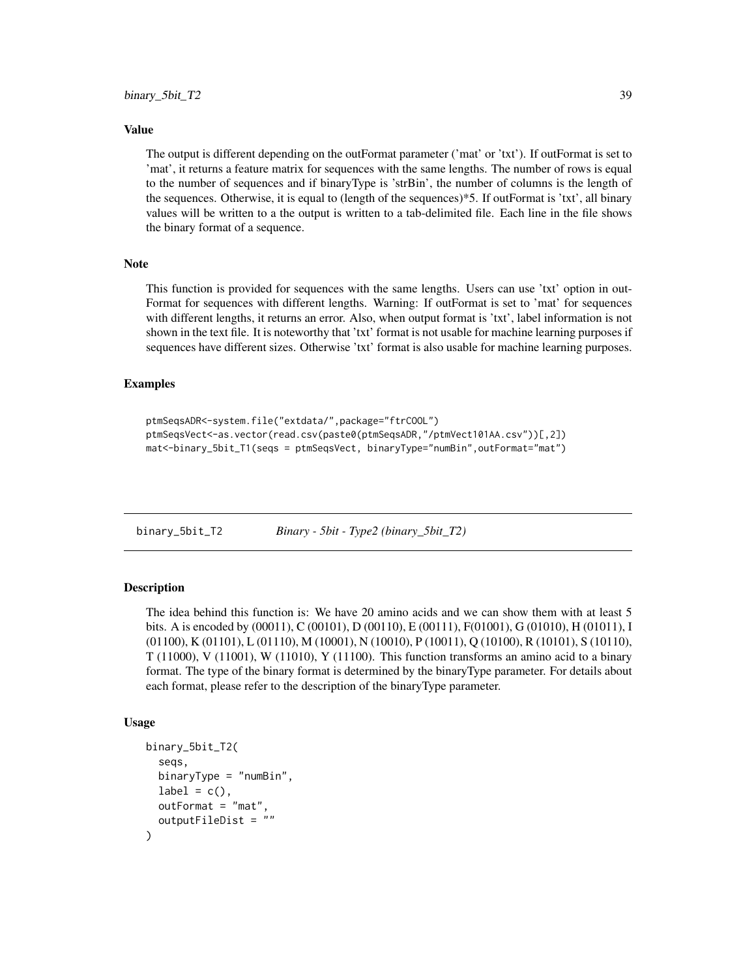#### Value

The output is different depending on the outFormat parameter ('mat' or 'txt'). If outFormat is set to 'mat', it returns a feature matrix for sequences with the same lengths. The number of rows is equal to the number of sequences and if binaryType is 'strBin', the number of columns is the length of the sequences. Otherwise, it is equal to (length of the sequences)\*5. If outFormat is 'txt', all binary values will be written to a the output is written to a tab-delimited file. Each line in the file shows the binary format of a sequence.

### **Note**

This function is provided for sequences with the same lengths. Users can use 'txt' option in out-Format for sequences with different lengths. Warning: If outFormat is set to 'mat' for sequences with different lengths, it returns an error. Also, when output format is 'txt', label information is not shown in the text file. It is noteworthy that 'txt' format is not usable for machine learning purposes if sequences have different sizes. Otherwise 'txt' format is also usable for machine learning purposes.

#### Examples

```
ptmSeqsADR<-system.file("extdata/",package="ftrCOOL")
ptmSeqsVect<-as.vector(read.csv(paste0(ptmSeqsADR,"/ptmVect101AA.csv"))[,2])
mat<-binary_5bit_T1(seqs = ptmSeqsVect, binaryType="numBin",outFormat="mat")
```
binary\_5bit\_T2 *Binary - 5bit - Type2 (binary\_5bit\_T2)*

## Description

The idea behind this function is: We have 20 amino acids and we can show them with at least 5 bits. A is encoded by (00011), C (00101), D (00110), E (00111), F(01001), G (01010), H (01011), I (01100), K (01101), L (01110), M (10001), N (10010), P (10011), Q (10100), R (10101), S (10110),  $T(11000)$ , V $(11001)$ , W $(11010)$ , Y $(11100)$ . This function transforms an amino acid to a binary format. The type of the binary format is determined by the binaryType parameter. For details about each format, please refer to the description of the binaryType parameter.

#### Usage

```
binary_5bit_T2(
  seqs,
  binaryType = "numBin",
  label = c(),
  outFormat = "mat",
  outputFileDist = ""
)
```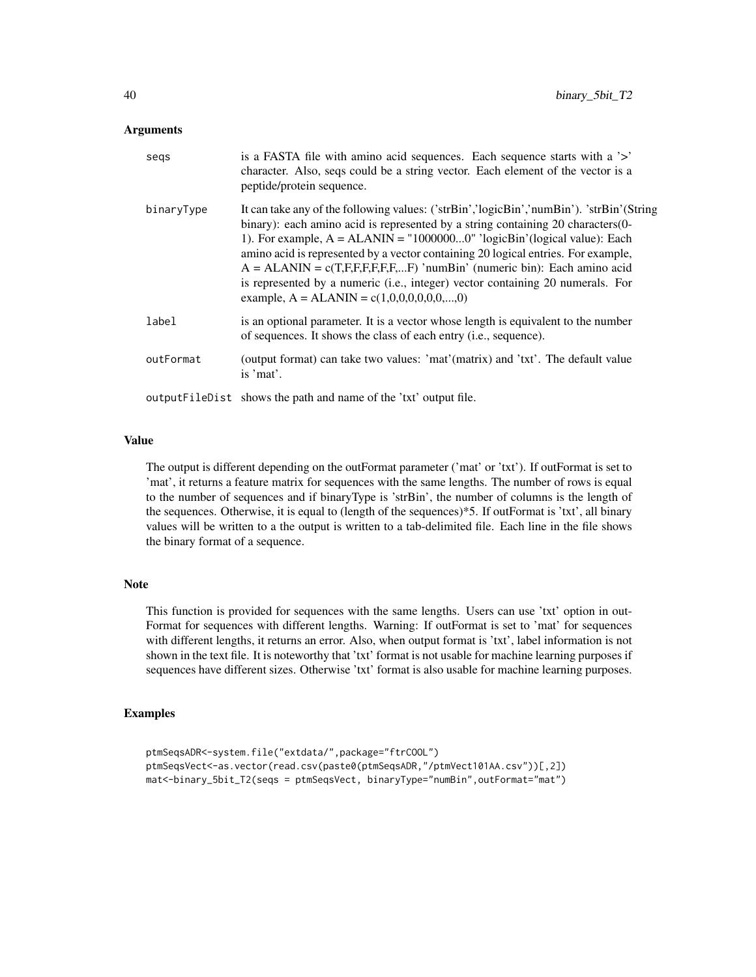### Arguments

| segs       | is a FASTA file with a mino acid sequences. Each sequence starts with a '>'<br>character. Also, seqs could be a string vector. Each element of the vector is a<br>peptide/protein sequence.                                                                                                                                                                                                                                                                                                                                                                  |
|------------|--------------------------------------------------------------------------------------------------------------------------------------------------------------------------------------------------------------------------------------------------------------------------------------------------------------------------------------------------------------------------------------------------------------------------------------------------------------------------------------------------------------------------------------------------------------|
| binaryType | It can take any of the following values: ('strBin','logicBin','numBin'). 'strBin'(String<br>binary): each amino acid is represented by a string containing 20 characters (0-<br>1). For example, $A = ALANIN = "10000000" 'logicBin' (logical value): Each$<br>amino acid is represented by a vector containing 20 logical entries. For example,<br>$A = ALANIN = c(T,F,F,F,F,F,F)$ 'numBin' (numeric bin): Each amino acid<br>is represented by a numeric (i.e., integer) vector containing 20 numerals. For<br>example, $A = ALANIN = c(1,0,0,0,0,0,0,,0)$ |
| label      | is an optional parameter. It is a vector whose length is equivalent to the number<br>of sequences. It shows the class of each entry ( <i>i.e.</i> , sequence).                                                                                                                                                                                                                                                                                                                                                                                               |
| outFormat  | (output format) can take two values: 'mat'(matrix) and 'txt'. The default value<br>is 'mat'.                                                                                                                                                                                                                                                                                                                                                                                                                                                                 |
|            | output FileDist shows the path and name of the 'txt' output file.                                                                                                                                                                                                                                                                                                                                                                                                                                                                                            |

# Value

The output is different depending on the outFormat parameter ('mat' or 'txt'). If outFormat is set to 'mat', it returns a feature matrix for sequences with the same lengths. The number of rows is equal to the number of sequences and if binaryType is 'strBin', the number of columns is the length of the sequences. Otherwise, it is equal to (length of the sequences)\*5. If outFormat is 'txt', all binary values will be written to a the output is written to a tab-delimited file. Each line in the file shows the binary format of a sequence.

## Note

This function is provided for sequences with the same lengths. Users can use 'txt' option in out-Format for sequences with different lengths. Warning: If outFormat is set to 'mat' for sequences with different lengths, it returns an error. Also, when output format is 'txt', label information is not shown in the text file. It is noteworthy that 'txt' format is not usable for machine learning purposes if sequences have different sizes. Otherwise 'txt' format is also usable for machine learning purposes.

## Examples

```
ptmSeqsADR<-system.file("extdata/",package="ftrCOOL")
ptmSeqsVect<-as.vector(read.csv(paste0(ptmSeqsADR,"/ptmVect101AA.csv"))[,2])
mat<-binary_5bit_T2(seqs = ptmSeqsVect, binaryType="numBin",outFormat="mat")
```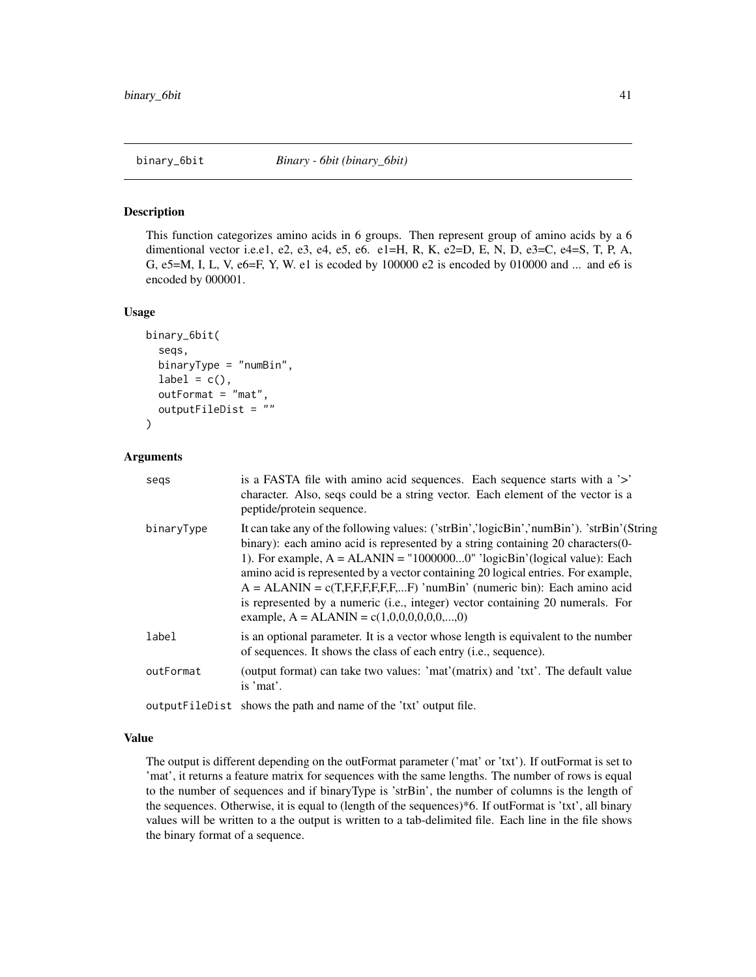#### Description

This function categorizes amino acids in 6 groups. Then represent group of amino acids by a 6 dimentional vector i.e.e1, e2, e3, e4, e5, e6. e1=H, R, K, e2=D, E, N, D, e3=C, e4=S, T, P, A, G, e5=M, I, L, V, e6=F, Y, W. e1 is ecoded by 100000 e2 is encoded by 010000 and ... and e6 is encoded by 000001.

#### Usage

```
binary_6bit(
  seqs,
  binaryType = "numBin",
  label = c(),
  outFormat = "mat",
  outputFileDist = ""
)
```
## Arguments

| segs       | is a FASTA file with amino acid sequences. Each sequence starts with a '>'<br>character. Also, seqs could be a string vector. Each element of the vector is a<br>peptide/protein sequence.                                                                                                                                                                                                                                                                                                                                                                   |
|------------|--------------------------------------------------------------------------------------------------------------------------------------------------------------------------------------------------------------------------------------------------------------------------------------------------------------------------------------------------------------------------------------------------------------------------------------------------------------------------------------------------------------------------------------------------------------|
| binaryType | It can take any of the following values: ('strBin','logicBin','numBin'). 'strBin'(String<br>binary): each amino acid is represented by a string containing 20 characters (0-<br>1). For example, $A = ALANIN = "10000000" 'logicBin' (logical value): Each$<br>amino acid is represented by a vector containing 20 logical entries. For example,<br>$A = ALANIN = c(T,F,F,F,F,F,F)$ 'numBin' (numeric bin): Each amino acid<br>is represented by a numeric (i.e., integer) vector containing 20 numerals. For<br>example, $A = ALANIN = c(1,0,0,0,0,0,0,,0)$ |
| label      | is an optional parameter. It is a vector whose length is equivalent to the number<br>of sequences. It shows the class of each entry (i.e., sequence).                                                                                                                                                                                                                                                                                                                                                                                                        |
| outFormat  | (output format) can take two values: 'mat'(matrix) and 'txt'. The default value<br>is 'mat'.                                                                                                                                                                                                                                                                                                                                                                                                                                                                 |
|            | output FileDist shows the path and name of the 'txt' output file.                                                                                                                                                                                                                                                                                                                                                                                                                                                                                            |

#### Value

The output is different depending on the outFormat parameter ('mat' or 'txt'). If outFormat is set to 'mat', it returns a feature matrix for sequences with the same lengths. The number of rows is equal to the number of sequences and if binaryType is 'strBin', the number of columns is the length of the sequences. Otherwise, it is equal to (length of the sequences)\*6. If outFormat is 'txt', all binary values will be written to a the output is written to a tab-delimited file. Each line in the file shows the binary format of a sequence.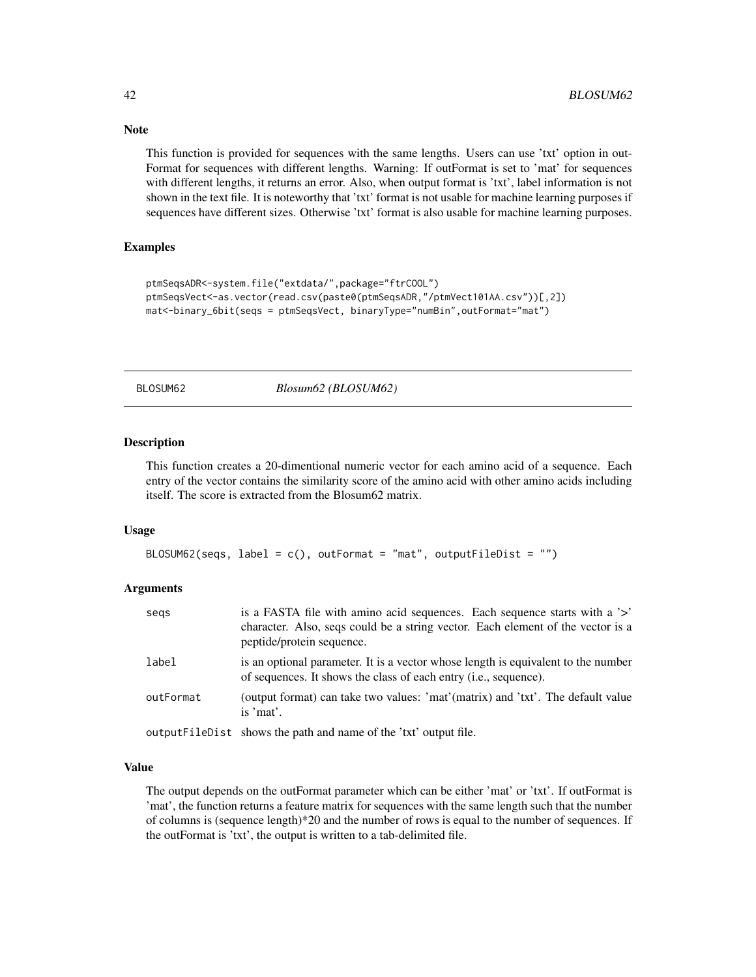This function is provided for sequences with the same lengths. Users can use 'txt' option in out-Format for sequences with different lengths. Warning: If outFormat is set to 'mat' for sequences with different lengths, it returns an error. Also, when output format is 'txt', label information is not shown in the text file. It is noteworthy that 'txt' format is not usable for machine learning purposes if sequences have different sizes. Otherwise 'txt' format is also usable for machine learning purposes.

### Examples

```
ptmSeqsADR<-system.file("extdata/",package="ftrCOOL")
ptmSeqsVect<-as.vector(read.csv(paste0(ptmSeqsADR,"/ptmVect101AA.csv"))[,2])
mat<-binary_6bit(seqs = ptmSeqsVect, binaryType="numBin",outFormat="mat")
```
BLOSUM62 *Blosum62 (BLOSUM62)*

### Description

This function creates a 20-dimentional numeric vector for each amino acid of a sequence. Each entry of the vector contains the similarity score of the amino acid with other amino acids including itself. The score is extracted from the Blosum62 matrix.

### Usage

```
BLOSUM62(seqs, label = c(), outFormat = "mat", outputFileDist = "")
```
### Arguments

| segs      | is a FASTA file with amino acid sequences. Each sequence starts with a '>'<br>character. Also, seqs could be a string vector. Each element of the vector is a<br>peptide/protein sequence. |
|-----------|--------------------------------------------------------------------------------------------------------------------------------------------------------------------------------------------|
| label     | is an optional parameter. It is a vector whose length is equivalent to the number<br>of sequences. It shows the class of each entry (i.e., sequence).                                      |
| outFormat | (output format) can take two values: 'mat'(matrix) and 'txt'. The default value<br>is 'mat'.                                                                                               |
|           | output FileDist shows the path and name of the 'txt' output file.                                                                                                                          |

### Value

The output depends on the outFormat parameter which can be either 'mat' or 'txt'. If outFormat is 'mat', the function returns a feature matrix for sequences with the same length such that the number of columns is (sequence length)\*20 and the number of rows is equal to the number of sequences. If the outFormat is 'txt', the output is written to a tab-delimited file.

# Note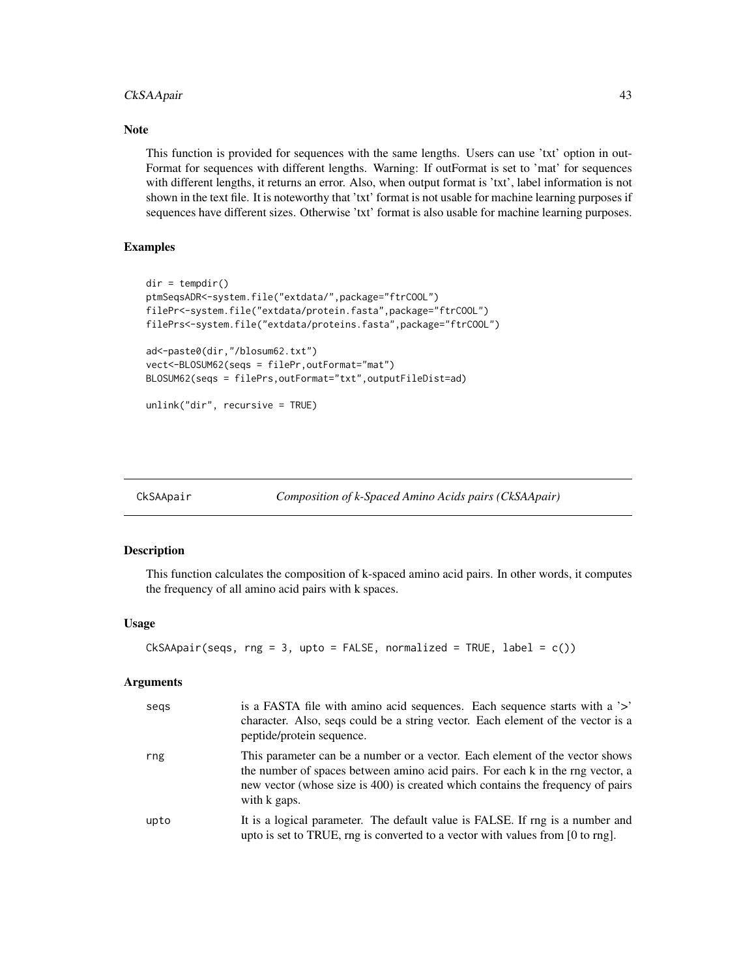# CkSAApair 43

### Note

This function is provided for sequences with the same lengths. Users can use 'txt' option in out-Format for sequences with different lengths. Warning: If outFormat is set to 'mat' for sequences with different lengths, it returns an error. Also, when output format is 'txt', label information is not shown in the text file. It is noteworthy that 'txt' format is not usable for machine learning purposes if sequences have different sizes. Otherwise 'txt' format is also usable for machine learning purposes.

### Examples

```
dir = tempdir()ptmSeqsADR<-system.file("extdata/",package="ftrCOOL")
filePr<-system.file("extdata/protein.fasta",package="ftrCOOL")
filePrs<-system.file("extdata/proteins.fasta",package="ftrCOOL")
ad<-paste0(dir,"/blosum62.txt")
vect<-BLOSUM62(seqs = filePr,outFormat="mat")
BLOSUM62(seqs = filePrs,outFormat="txt",outputFileDist=ad)
unlink("dir", recursive = TRUE)
```
<span id="page-42-0"></span>

| CkSAApair | Composition of k-Spaced Amino Acids pairs (CkSAApair) |  |
|-----------|-------------------------------------------------------|--|
|-----------|-------------------------------------------------------|--|

### Description

This function calculates the composition of k-spaced amino acid pairs. In other words, it computes the frequency of all amino acid pairs with k spaces.

#### Usage

```
CkSAApair(seqs, rng = 3, upto = FALSE, normalized = TRUE, label = c())
```

| segs | is a FASTA file with amino acid sequences. Each sequence starts with a '>'<br>character. Also, seqs could be a string vector. Each element of the vector is a<br>peptide/protein sequence.                                                                        |
|------|-------------------------------------------------------------------------------------------------------------------------------------------------------------------------------------------------------------------------------------------------------------------|
| rng  | This parameter can be a number or a vector. Each element of the vector shows<br>the number of spaces between amino acid pairs. For each k in the rng vector, a<br>new vector (whose size is 400) is created which contains the frequency of pairs<br>with k gaps. |
| upto | It is a logical parameter. The default value is FALSE. If rng is a number and<br>upto is set to TRUE, rng is converted to a vector with values from [0 to rng].                                                                                                   |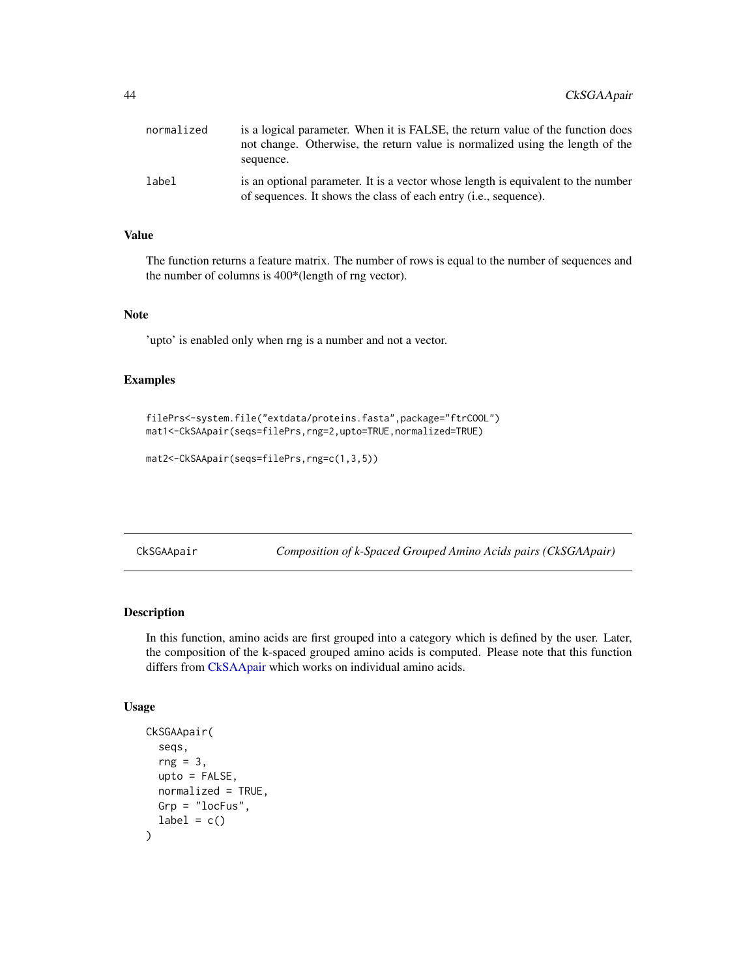| normalized | is a logical parameter. When it is FALSE, the return value of the function does<br>not change. Otherwise, the return value is normalized using the length of the<br>sequence. |
|------------|-------------------------------------------------------------------------------------------------------------------------------------------------------------------------------|
| label      | is an optional parameter. It is a vector whose length is equivalent to the number<br>of sequences. It shows the class of each entry <i>(i.e., sequence)</i> .                 |

# Value

The function returns a feature matrix. The number of rows is equal to the number of sequences and the number of columns is 400\*(length of rng vector).

#### Note

'upto' is enabled only when rng is a number and not a vector.

## Examples

```
filePrs<-system.file("extdata/proteins.fasta",package="ftrCOOL")
mat1<-CkSAApair(seqs=filePrs,rng=2,upto=TRUE,normalized=TRUE)
```

```
mat2<-CkSAApair(seqs=filePrs,rng=c(1,3,5))
```
CkSGAApair *Composition of k-Spaced Grouped Amino Acids pairs (CkSGAApair)*

### Description

In this function, amino acids are first grouped into a category which is defined by the user. Later, the composition of the k-spaced grouped amino acids is computed. Please note that this function differs from [CkSAApair](#page-42-0) which works on individual amino acids.

### Usage

```
CkSGAApair(
  seqs,
  rng = 3,upto = FALSE,
  normalized = TRUE,
 Grp = "locFus",
  label = c())
```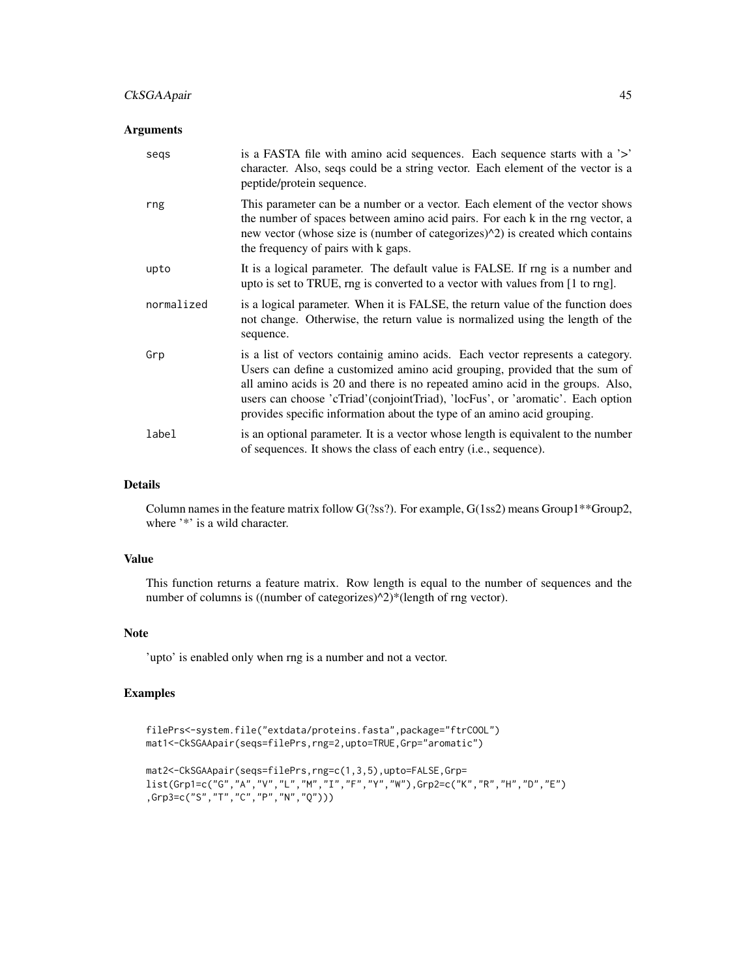## CkSGAApair 45

### Arguments

| segs       | is a FASTA file with amino acid sequences. Each sequence starts with a '>'<br>character. Also, seqs could be a string vector. Each element of the vector is a<br>peptide/protein sequence.                                                                                                                                                                                                                    |
|------------|---------------------------------------------------------------------------------------------------------------------------------------------------------------------------------------------------------------------------------------------------------------------------------------------------------------------------------------------------------------------------------------------------------------|
| rng        | This parameter can be a number or a vector. Each element of the vector shows<br>the number of spaces between amino acid pairs. For each k in the rng vector, a<br>new vector (whose size is (number of categorizes) <sup><math>\wedge</math>2)</sup> is created which contains<br>the frequency of pairs with k gaps.                                                                                         |
| upto       | It is a logical parameter. The default value is FALSE. If rng is a number and<br>upto is set to TRUE, rng is converted to a vector with values from [1 to rng].                                                                                                                                                                                                                                               |
| normalized | is a logical parameter. When it is FALSE, the return value of the function does<br>not change. Otherwise, the return value is normalized using the length of the<br>sequence.                                                                                                                                                                                                                                 |
| Grp        | is a list of vectors containig amino acids. Each vector represents a category.<br>Users can define a customized amino acid grouping, provided that the sum of<br>all amino acids is 20 and there is no repeated amino acid in the groups. Also,<br>users can choose 'cTriad' (conjointTriad), 'locFus', or 'aromatic'. Each option<br>provides specific information about the type of an amino acid grouping. |
| label      | is an optional parameter. It is a vector whose length is equivalent to the number<br>of sequences. It shows the class of each entry (i.e., sequence).                                                                                                                                                                                                                                                         |

#### Details

Column names in the feature matrix follow G(?ss?). For example, G(1ss2) means Group1\*\*Group2, where '\*' is a wild character.

### Value

This function returns a feature matrix. Row length is equal to the number of sequences and the number of columns is ((number of categorizes) $\sqrt{2}$ )\*(length of rng vector).

## Note

'upto' is enabled only when rng is a number and not a vector.

## Examples

```
filePrs<-system.file("extdata/proteins.fasta",package="ftrCOOL")
mat1<-CkSGAApair(seqs=filePrs,rng=2,upto=TRUE,Grp="aromatic")
mat2<-CkSGAApair(seqs=filePrs,rng=c(1,3,5),upto=FALSE,Grp=
list(Grp1=c("G","A","V","L","M","I","F","Y","W"),Grp2=c("K","R","H","D","E")
,Grp3=c("S","T","C","P","N","Q")))
```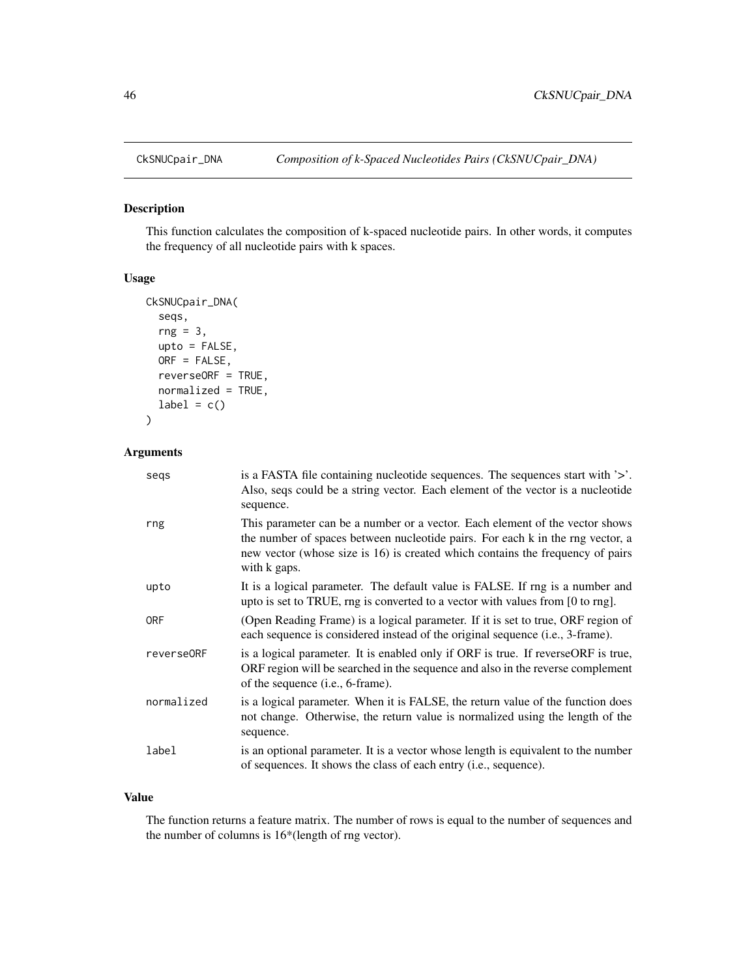### Description

This function calculates the composition of k-spaced nucleotide pairs. In other words, it computes the frequency of all nucleotide pairs with k spaces.

### Usage

```
CkSNUCpair_DNA(
  seqs,
  rng = 3,upto = FALSE,
 ORF = FALSE,
  reverseORF = TRUE,
  normalized = TRUE,
  label = c())
```
### Arguments

| segs       | is a FASTA file containing nucleotide sequences. The sequences start with '>'.<br>Also, seqs could be a string vector. Each element of the vector is a nucleotide<br>sequence.                                                                                   |
|------------|------------------------------------------------------------------------------------------------------------------------------------------------------------------------------------------------------------------------------------------------------------------|
| rng        | This parameter can be a number or a vector. Each element of the vector shows<br>the number of spaces between nucleotide pairs. For each k in the rng vector, a<br>new vector (whose size is 16) is created which contains the frequency of pairs<br>with k gaps. |
| upto       | It is a logical parameter. The default value is FALSE. If rng is a number and<br>upto is set to TRUE, rng is converted to a vector with values from [0 to rng].                                                                                                  |
| <b>ORF</b> | (Open Reading Frame) is a logical parameter. If it is set to true, ORF region of<br>each sequence is considered instead of the original sequence (i.e., 3-frame).                                                                                                |
| reverse0RF | is a logical parameter. It is enabled only if ORF is true. If reverseORF is true,<br>ORF region will be searched in the sequence and also in the reverse complement<br>of the sequence (i.e., 6-frame).                                                          |
| normalized | is a logical parameter. When it is FALSE, the return value of the function does<br>not change. Otherwise, the return value is normalized using the length of the<br>sequence.                                                                                    |
| label      | is an optional parameter. It is a vector whose length is equivalent to the number<br>of sequences. It shows the class of each entry (i.e., sequence).                                                                                                            |

### Value

The function returns a feature matrix. The number of rows is equal to the number of sequences and the number of columns is 16\*(length of rng vector).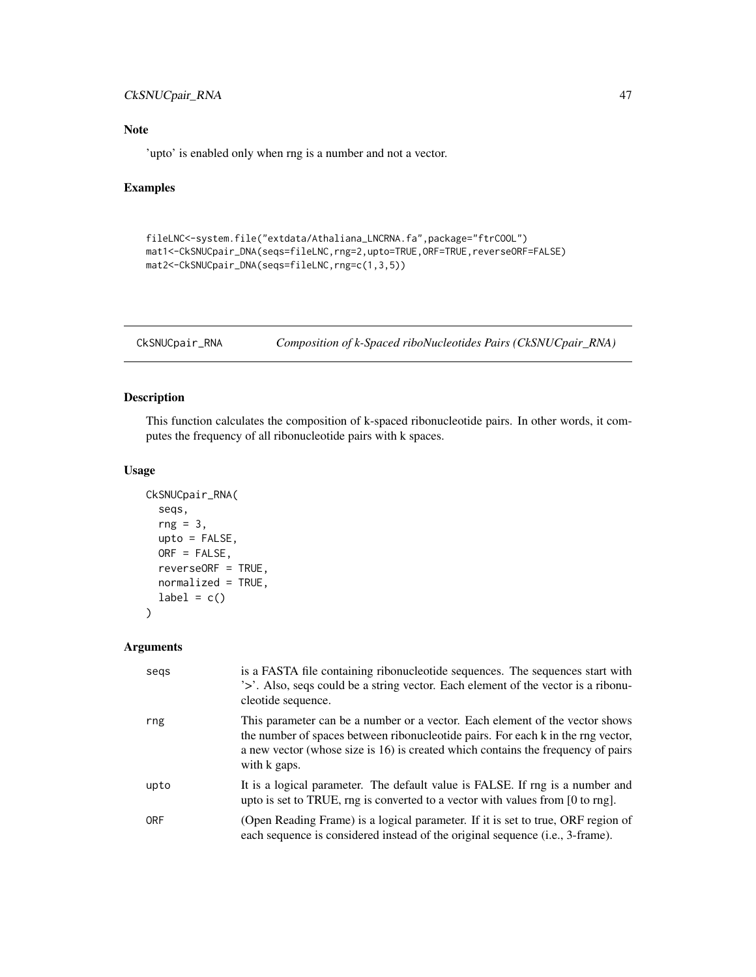## CkSNUCpair\_RNA 47

# Note

'upto' is enabled only when rng is a number and not a vector.

### Examples

```
fileLNC<-system.file("extdata/Athaliana_LNCRNA.fa",package="ftrCOOL")
mat1<-CkSNUCpair_DNA(seqs=fileLNC,rng=2,upto=TRUE,ORF=TRUE,reverseORF=FALSE)
mat2<-CkSNUCpair_DNA(seqs=fileLNC,rng=c(1,3,5))
```

```
CkSNUCpair_RNA Composition of k-Spaced riboNucleotides Pairs (CkSNUCpair_RNA)
```
# Description

This function calculates the composition of k-spaced ribonucleotide pairs. In other words, it computes the frequency of all ribonucleotide pairs with k spaces.

## Usage

```
CkSNUCpair_RNA(
  seqs,
  rng = 3,upto = FALSE,
 ORF = FALSE,
  reverseORF = TRUE,
  normalized = TRUE,
  label = c()\lambda
```

| segs       | is a FASTA file containing ribonucleotide sequences. The sequences start with<br>'>'. Also, seqs could be a string vector. Each element of the vector is a ribonu-<br>cleotide sequence.                                                                             |
|------------|----------------------------------------------------------------------------------------------------------------------------------------------------------------------------------------------------------------------------------------------------------------------|
| rng        | This parameter can be a number or a vector. Each element of the vector shows<br>the number of spaces between ribonucleotide pairs. For each k in the rng vector,<br>a new vector (whose size is 16) is created which contains the frequency of pairs<br>with k gaps. |
| upto       | It is a logical parameter. The default value is FALSE. If rng is a number and<br>upto is set to TRUE, rng is converted to a vector with values from $[0 \text{ to rng}]$ .                                                                                           |
| <b>ORF</b> | (Open Reading Frame) is a logical parameter. If it is set to true, ORF region of<br>each sequence is considered instead of the original sequence (i.e., 3-frame).                                                                                                    |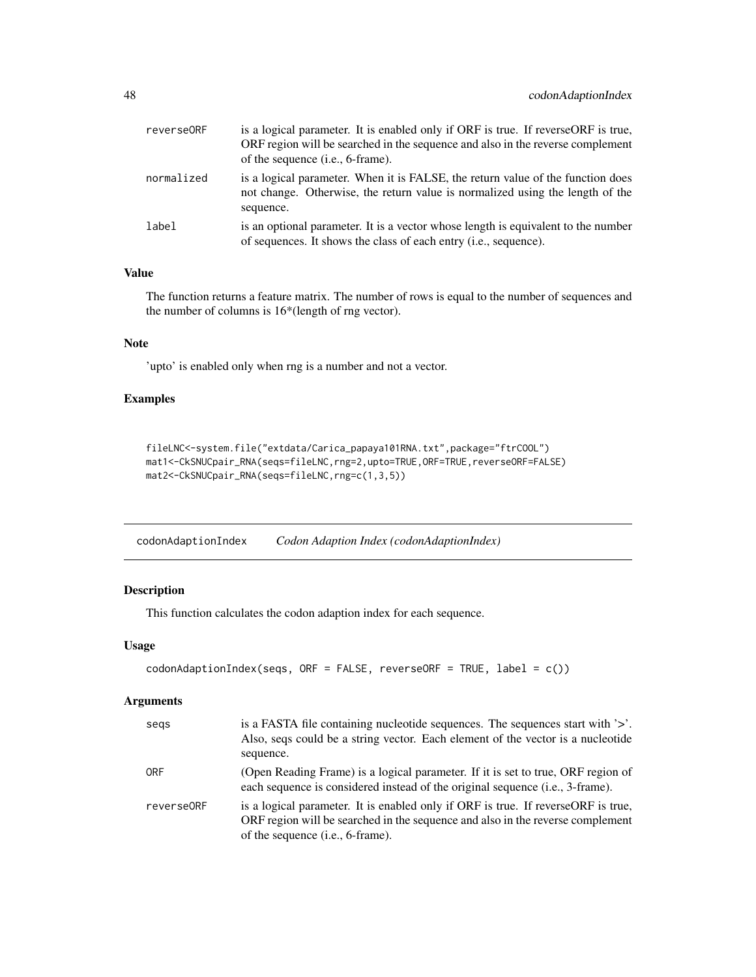| reverse0RF | is a logical parameter. It is enabled only if ORF is true. If reverseORF is true,<br>ORF region will be searched in the sequence and also in the reverse complement<br>of the sequence ( <i>i.e.</i> , 6-frame). |
|------------|------------------------------------------------------------------------------------------------------------------------------------------------------------------------------------------------------------------|
| normalized | is a logical parameter. When it is FALSE, the return value of the function does<br>not change. Otherwise, the return value is normalized using the length of the<br>sequence.                                    |
| label      | is an optional parameter. It is a vector whose length is equivalent to the number<br>of sequences. It shows the class of each entry ( <i>i.e.</i> , sequence).                                                   |

### Value

The function returns a feature matrix. The number of rows is equal to the number of sequences and the number of columns is 16\*(length of rng vector).

## Note

'upto' is enabled only when rng is a number and not a vector.

# Examples

```
fileLNC<-system.file("extdata/Carica_papaya101RNA.txt",package="ftrCOOL")
mat1<-CkSNUCpair_RNA(seqs=fileLNC,rng=2,upto=TRUE,ORF=TRUE,reverseORF=FALSE)
mat2<-CkSNUCpair_RNA(seqs=fileLNC,rng=c(1,3,5))
```
codonAdaptionIndex *Codon Adaption Index (codonAdaptionIndex)*

## Description

This function calculates the codon adaption index for each sequence.

#### Usage

```
codonAdaptionIndex(seqs, ORF = FALSE, reverseORF = TRUE, label = c())
```

| segs       | is a FASTA file containing nucleotide sequences. The sequences start with $\geq$ .<br>Also, seqs could be a string vector. Each element of the vector is a nucleotide<br>sequence.                               |
|------------|------------------------------------------------------------------------------------------------------------------------------------------------------------------------------------------------------------------|
| <b>ORF</b> | (Open Reading Frame) is a logical parameter. If it is set to true, ORF region of<br>each sequence is considered instead of the original sequence (i.e., 3-frame).                                                |
| reverse0RF | is a logical parameter. It is enabled only if ORF is true. If reverseORF is true,<br>ORF region will be searched in the sequence and also in the reverse complement<br>of the sequence ( <i>i.e.</i> , 6-frame). |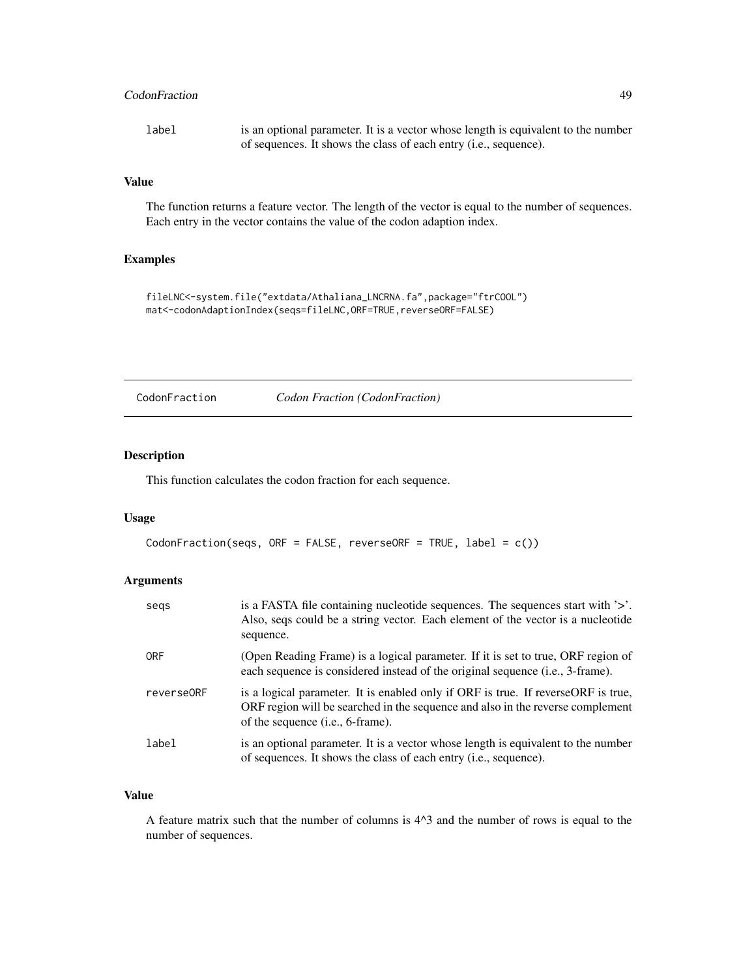## CodonFraction 49

label is an optional parameter. It is a vector whose length is equivalent to the number of sequences. It shows the class of each entry (i.e., sequence).

#### Value

The function returns a feature vector. The length of the vector is equal to the number of sequences. Each entry in the vector contains the value of the codon adaption index.

### Examples

```
fileLNC<-system.file("extdata/Athaliana_LNCRNA.fa",package="ftrCOOL")
mat<-codonAdaptionIndex(seqs=fileLNC,ORF=TRUE,reverseORF=FALSE)
```
CodonFraction *Codon Fraction (CodonFraction)*

### Description

This function calculates the codon fraction for each sequence.

#### Usage

```
CodonFraction(seqs, ORF = FALSE, reverseORF = TRUE, label = c())
```
## Arguments

| segs       | is a FASTA file containing nucleotide sequences. The sequences start with $\geq$ .<br>Also, seqs could be a string vector. Each element of the vector is a nucleotide<br>sequence.                                |
|------------|-------------------------------------------------------------------------------------------------------------------------------------------------------------------------------------------------------------------|
| <b>ORF</b> | (Open Reading Frame) is a logical parameter. If it is set to true, ORF region of<br>each sequence is considered instead of the original sequence (i.e., 3-frame).                                                 |
| reverse0RF | is a logical parameter. It is enabled only if ORF is true. If reverse ORF is true,<br>ORF region will be searched in the sequence and also in the reverse complement<br>of the sequence ( <i>i.e.</i> , 6-frame). |
| label      | is an optional parameter. It is a vector whose length is equivalent to the number<br>of sequences. It shows the class of each entry (i.e., sequence).                                                             |

## Value

A feature matrix such that the number of columns is 4^3 and the number of rows is equal to the number of sequences.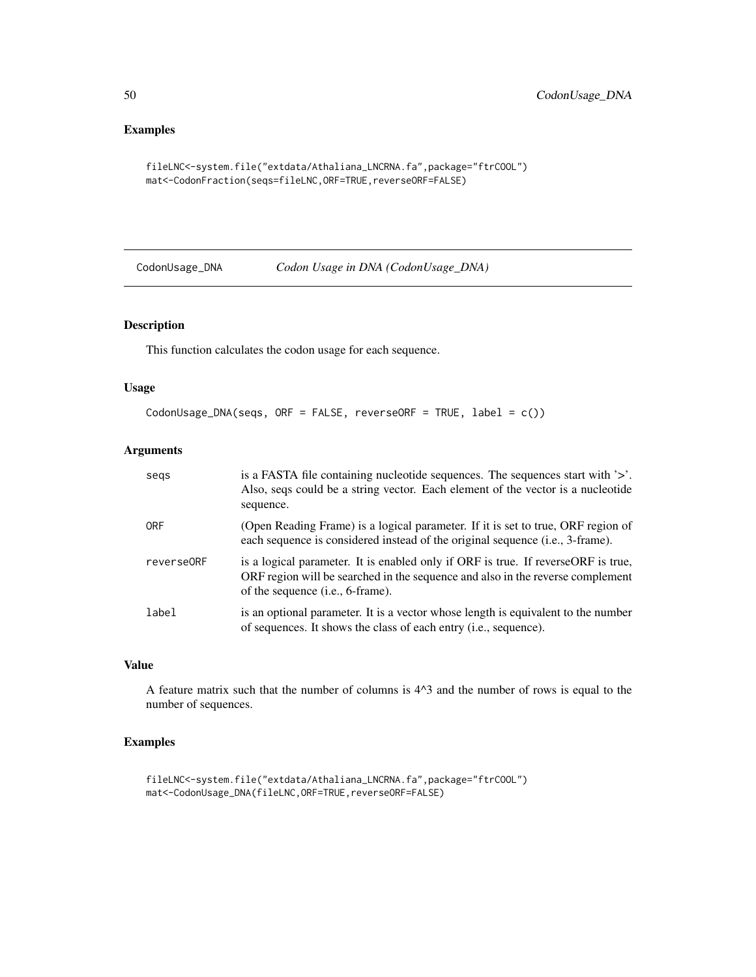## Examples

```
fileLNC<-system.file("extdata/Athaliana_LNCRNA.fa",package="ftrCOOL")
mat<-CodonFraction(seqs=fileLNC,ORF=TRUE,reverseORF=FALSE)
```
CodonUsage\_DNA *Codon Usage in DNA (CodonUsage\_DNA)*

# Description

This function calculates the codon usage for each sequence.

## Usage

```
CodonUsage_DNA(seqs, ORF = FALSE, reverseORF = TRUE, label = c())
```
### Arguments

| segs       | is a FASTA file containing nucleotide sequences. The sequences start with '>'.<br>Also, seqs could be a string vector. Each element of the vector is a nucleotide<br>sequence.                                   |
|------------|------------------------------------------------------------------------------------------------------------------------------------------------------------------------------------------------------------------|
| <b>ORF</b> | (Open Reading Frame) is a logical parameter. If it is set to true, ORF region of<br>each sequence is considered instead of the original sequence (i.e., 3-frame).                                                |
| reverse0RF | is a logical parameter. It is enabled only if ORF is true. If reverseORF is true,<br>ORF region will be searched in the sequence and also in the reverse complement<br>of the sequence ( <i>i.e.</i> , 6-frame). |
| label      | is an optional parameter. It is a vector whose length is equivalent to the number<br>of sequences. It shows the class of each entry ( <i>i.e.</i> , sequence).                                                   |

## Value

A feature matrix such that the number of columns is 4^3 and the number of rows is equal to the number of sequences.

## Examples

```
fileLNC<-system.file("extdata/Athaliana_LNCRNA.fa",package="ftrCOOL")
mat<-CodonUsage_DNA(fileLNC,ORF=TRUE,reverseORF=FALSE)
```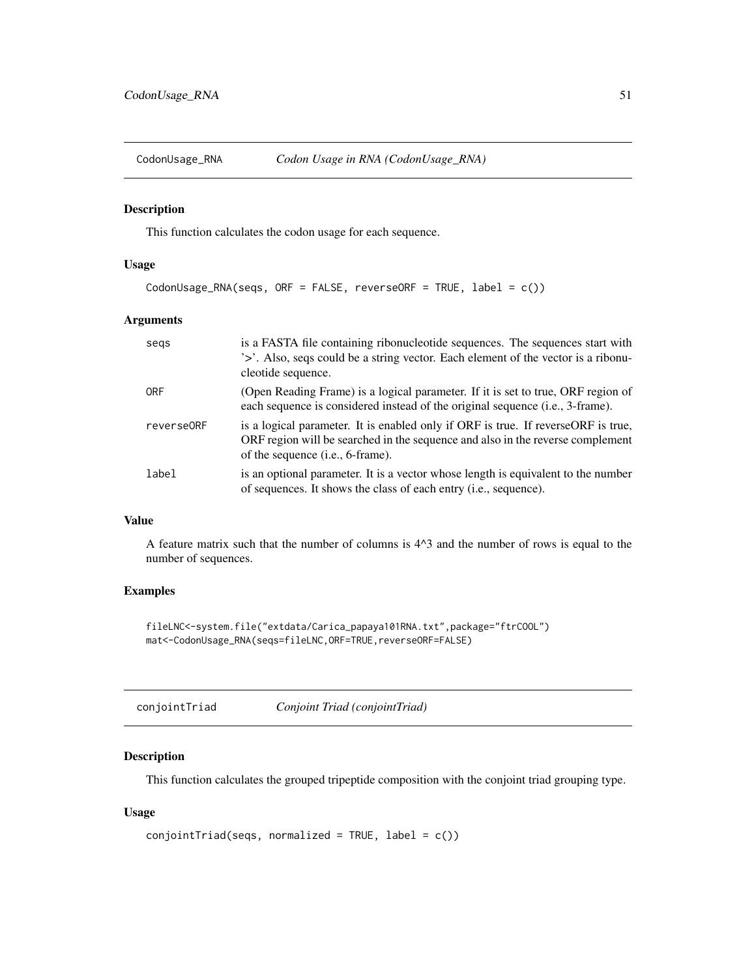### Description

This function calculates the codon usage for each sequence.

# Usage

```
CodonUsage_RNA(seqs, ORF = FALSE, reverseORF = TRUE, label = c())
```
### Arguments

| segs       | is a FASTA file containing ribonucleotide sequences. The sequences start with<br>'>'. Also, seqs could be a string vector. Each element of the vector is a ribonu-<br>cleotide sequence.                         |
|------------|------------------------------------------------------------------------------------------------------------------------------------------------------------------------------------------------------------------|
| ORF        | (Open Reading Frame) is a logical parameter. If it is set to true, ORF region of<br>each sequence is considered instead of the original sequence (i.e., 3-frame).                                                |
| reverse0RF | is a logical parameter. It is enabled only if ORF is true. If reverseORF is true,<br>ORF region will be searched in the sequence and also in the reverse complement<br>of the sequence ( <i>i.e.</i> , 6-frame). |
| label      | is an optional parameter. It is a vector whose length is equivalent to the number<br>of sequences. It shows the class of each entry (i.e., sequence).                                                            |

### Value

A feature matrix such that the number of columns is 4^3 and the number of rows is equal to the number of sequences.

## Examples

```
fileLNC<-system.file("extdata/Carica_papaya101RNA.txt",package="ftrCOOL")
mat<-CodonUsage_RNA(seqs=fileLNC,ORF=TRUE,reverseORF=FALSE)
```
## Description

This function calculates the grouped tripeptide composition with the conjoint triad grouping type.

## Usage

```
conjointTriad(seqs, normalized = TRUE, label = c())
```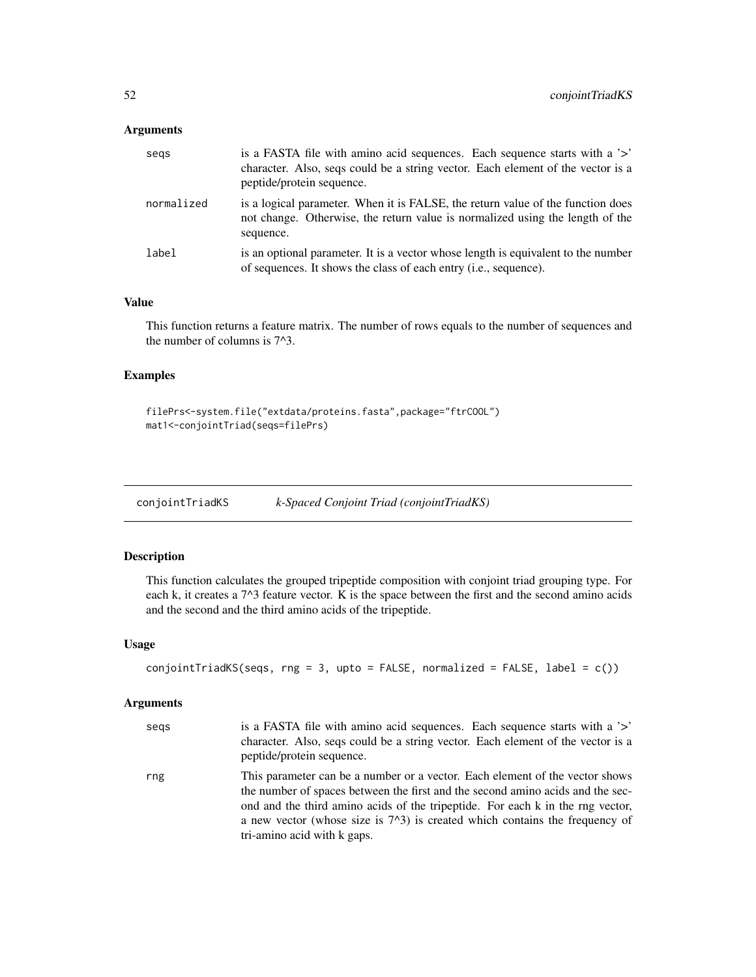## Arguments

| segs       | is a FASTA file with a mino acid sequences. Each sequence starts with a '>'<br>character. Also, segs could be a string vector. Each element of the vector is a<br>peptide/protein sequence. |
|------------|---------------------------------------------------------------------------------------------------------------------------------------------------------------------------------------------|
| normalized | is a logical parameter. When it is FALSE, the return value of the function does<br>not change. Otherwise, the return value is normalized using the length of the<br>sequence.               |
| label      | is an optional parameter. It is a vector whose length is equivalent to the number<br>of sequences. It shows the class of each entry (i.e., sequence).                                       |

#### Value

This function returns a feature matrix. The number of rows equals to the number of sequences and the number of columns is 7^3.

## Examples

```
filePrs<-system.file("extdata/proteins.fasta",package="ftrCOOL")
mat1<-conjointTriad(seqs=filePrs)
```
conjointTriadKS *k-Spaced Conjoint Triad (conjointTriadKS)*

## Description

This function calculates the grouped tripeptide composition with conjoint triad grouping type. For each k, it creates a 7^3 feature vector. K is the space between the first and the second amino acids and the second and the third amino acids of the tripeptide.

### Usage

```
conjointTriadKS(seqs, rng = 3, upto = FALSE, normalized = FALSE, label = c())
```

| segs | is a FASTA file with a mino acid sequences. Each sequence starts with a '>'<br>character. Also, seqs could be a string vector. Each element of the vector is a<br>peptide/protein sequence.                                                                                                                                                                      |
|------|------------------------------------------------------------------------------------------------------------------------------------------------------------------------------------------------------------------------------------------------------------------------------------------------------------------------------------------------------------------|
| rng  | This parameter can be a number or a vector. Each element of the vector shows<br>the number of spaces between the first and the second amino acids and the sec-<br>ond and the third amino acids of the tripeptide. For each k in the rng vector,<br>a new vector (whose size is $72$ ) is created which contains the frequency of<br>tri-amino acid with k gaps. |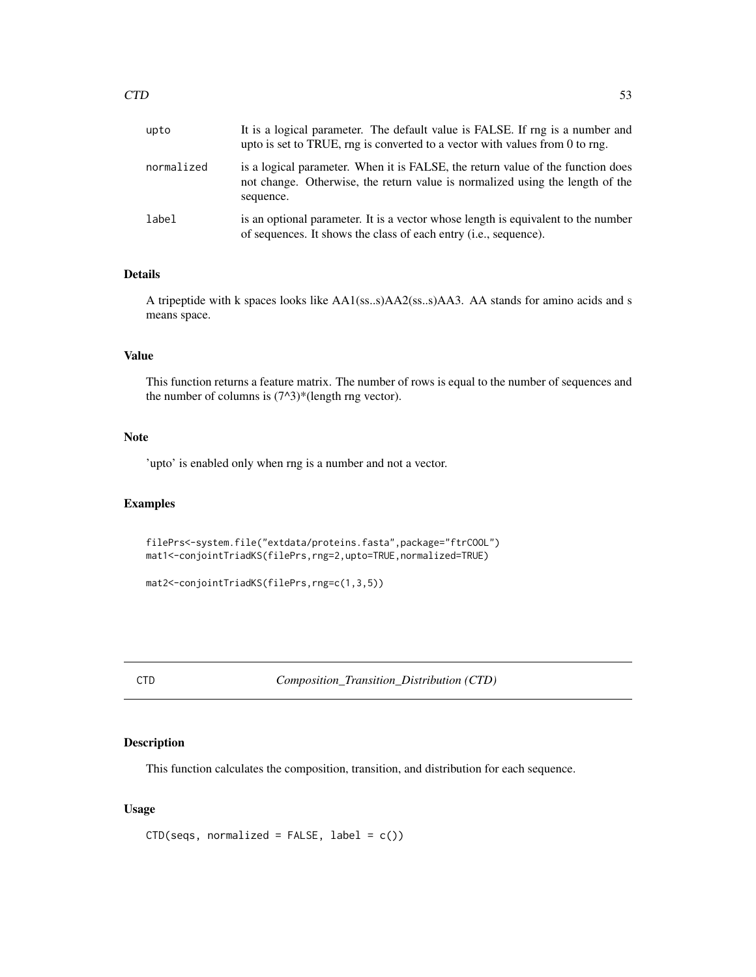| upto       | It is a logical parameter. The default value is FALSE. If rng is a number and<br>upto is set to TRUE, rng is converted to a vector with values from 0 to rng.                 |
|------------|-------------------------------------------------------------------------------------------------------------------------------------------------------------------------------|
| normalized | is a logical parameter. When it is FALSE, the return value of the function does<br>not change. Otherwise, the return value is normalized using the length of the<br>sequence. |
| label      | is an optional parameter. It is a vector whose length is equivalent to the number<br>of sequences. It shows the class of each entry ( <i>i.e.</i> , sequence).                |

## Details

A tripeptide with k spaces looks like AA1(ss..s)AA2(ss..s)AA3. AA stands for amino acids and s means space.

# Value

This function returns a feature matrix. The number of rows is equal to the number of sequences and the number of columns is  $(7<sup>2</sup>)$ <sup>\*</sup>(length rng vector).

## Note

'upto' is enabled only when rng is a number and not a vector.

### Examples

```
filePrs<-system.file("extdata/proteins.fasta",package="ftrCOOL")
mat1<-conjointTriadKS(filePrs,rng=2,upto=TRUE,normalized=TRUE)
```
mat2<-conjointTriadKS(filePrs,rng=c(1,3,5))

<span id="page-52-0"></span>CTD *Composition\_Transition\_Distribution (CTD)*

## Description

This function calculates the composition, transition, and distribution for each sequence.

## Usage

```
CTD(seqs, normalized = FALSE, label = c())
```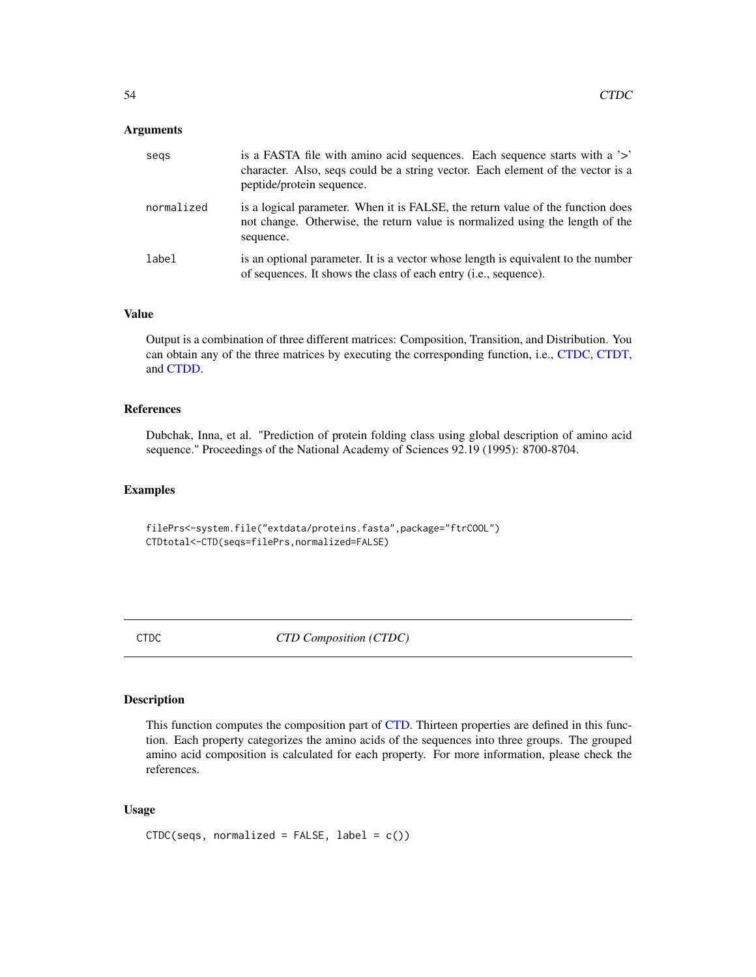### **Arguments**

| segs       | is a FASTA file with a mino acid sequences. Each sequence starts with a '>'<br>character. Also, seqs could be a string vector. Each element of the vector is a<br>peptide/protein sequence. |
|------------|---------------------------------------------------------------------------------------------------------------------------------------------------------------------------------------------|
| normalized | is a logical parameter. When it is FALSE, the return value of the function does<br>not change. Otherwise, the return value is normalized using the length of the<br>sequence.               |
| label      | is an optional parameter. It is a vector whose length is equivalent to the number<br>of sequences. It shows the class of each entry (i.e., sequence).                                       |

### Value

Output is a combination of three different matrices: Composition, Transition, and Distribution. You can obtain any of the three matrices by executing the corresponding function, i.e., [CTDC,](#page-53-0) [CTDT,](#page-55-0) and [CTDD.](#page-54-0)

#### References

Dubchak, Inna, et al. "Prediction of protein folding class using global description of amino acid sequence." Proceedings of the National Academy of Sciences 92.19 (1995): 8700-8704.

## Examples

filePrs<-system.file("extdata/proteins.fasta",package="ftrCOOL") CTDtotal<-CTD(seqs=filePrs,normalized=FALSE)

<span id="page-53-0"></span>CTDC *CTD Composition (CTDC)*

## Description

This function computes the composition part of [CTD.](#page-52-0) Thirteen properties are defined in this function. Each property categorizes the amino acids of the sequences into three groups. The grouped amino acid composition is calculated for each property. For more information, please check the references.

# Usage

```
CTDC(seqs, normalized = FALSE, label = c())
```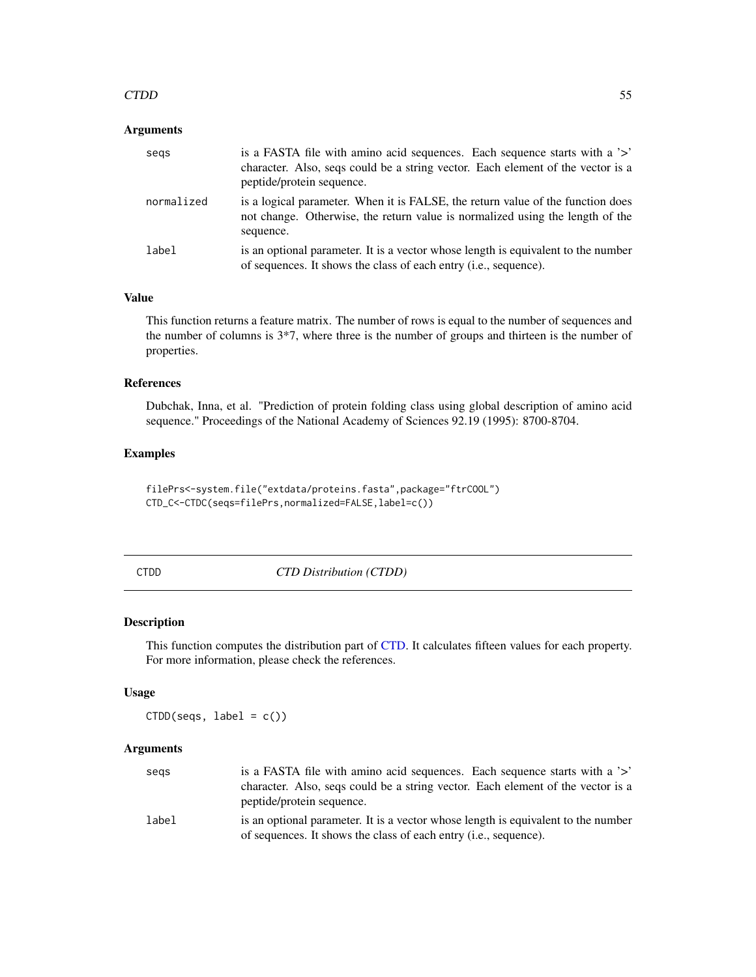### $\Box$  55

### Arguments

| segs       | is a FASTA file with amino acid sequences. Each sequence starts with a '>'<br>character. Also, segs could be a string vector. Each element of the vector is a<br>peptide/protein sequence. |
|------------|--------------------------------------------------------------------------------------------------------------------------------------------------------------------------------------------|
| normalized | is a logical parameter. When it is FALSE, the return value of the function does<br>not change. Otherwise, the return value is normalized using the length of the<br>sequence.              |
| label      | is an optional parameter. It is a vector whose length is equivalent to the number<br>of sequences. It shows the class of each entry (i.e., sequence).                                      |

## Value

This function returns a feature matrix. The number of rows is equal to the number of sequences and the number of columns is 3\*7, where three is the number of groups and thirteen is the number of properties.

## References

Dubchak, Inna, et al. "Prediction of protein folding class using global description of amino acid sequence." Proceedings of the National Academy of Sciences 92.19 (1995): 8700-8704.

### Examples

filePrs<-system.file("extdata/proteins.fasta",package="ftrCOOL") CTD\_C<-CTDC(seqs=filePrs,normalized=FALSE,label=c())

<span id="page-54-0"></span>CTDD *CTD Distribution (CTDD)*

#### Description

This function computes the distribution part of [CTD.](#page-52-0) It calculates fifteen values for each property. For more information, please check the references.

### Usage

 $CTDD$ (seqs, label =  $c()$ )

| segs  | is a FASTA file with amino acid sequences. Each sequence starts with a '>'<br>character. Also, seqs could be a string vector. Each element of the vector is a<br>peptide/protein sequence. |
|-------|--------------------------------------------------------------------------------------------------------------------------------------------------------------------------------------------|
| label | is an optional parameter. It is a vector whose length is equivalent to the number<br>of sequences. It shows the class of each entry <i>(i.e., sequence)</i> .                              |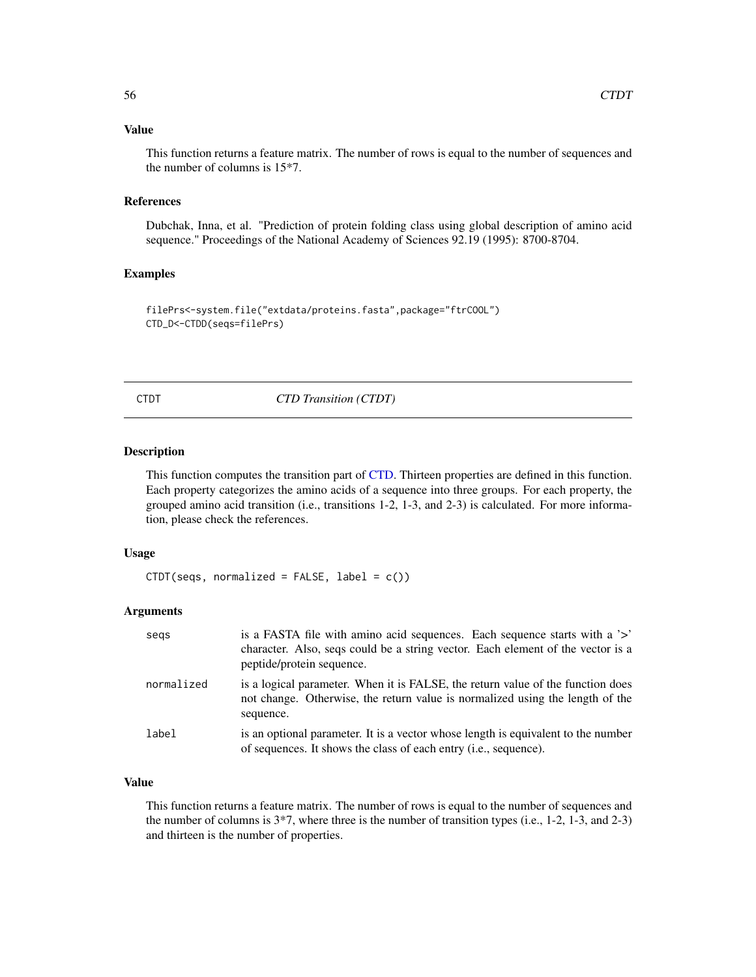#### Value

This function returns a feature matrix. The number of rows is equal to the number of sequences and the number of columns is 15\*7.

#### References

Dubchak, Inna, et al. "Prediction of protein folding class using global description of amino acid sequence." Proceedings of the National Academy of Sciences 92.19 (1995): 8700-8704.

### Examples

```
filePrs<-system.file("extdata/proteins.fasta",package="ftrCOOL")
CTD_D<-CTDD(seqs=filePrs)
```
<span id="page-55-0"></span>CTDT *CTD Transition (CTDT)*

#### Description

This function computes the transition part of [CTD.](#page-52-0) Thirteen properties are defined in this function. Each property categorizes the amino acids of a sequence into three groups. For each property, the grouped amino acid transition (i.e., transitions 1-2, 1-3, and 2-3) is calculated. For more information, please check the references.

### Usage

```
CTDT(seqs, normalized = FALSE, label = c())
```
### Arguments

| segs       | is a FASTA file with amino acid sequences. Each sequence starts with a '>'<br>character. Also, seqs could be a string vector. Each element of the vector is a<br>peptide/protein sequence. |
|------------|--------------------------------------------------------------------------------------------------------------------------------------------------------------------------------------------|
| normalized | is a logical parameter. When it is FALSE, the return value of the function does<br>not change. Otherwise, the return value is normalized using the length of the<br>sequence.              |
| label      | is an optional parameter. It is a vector whose length is equivalent to the number<br>of sequences. It shows the class of each entry (i.e., sequence).                                      |

## Value

This function returns a feature matrix. The number of rows is equal to the number of sequences and the number of columns is  $3*7$ , where three is the number of transition types (i.e., 1-2, 1-3, and 2-3) and thirteen is the number of properties.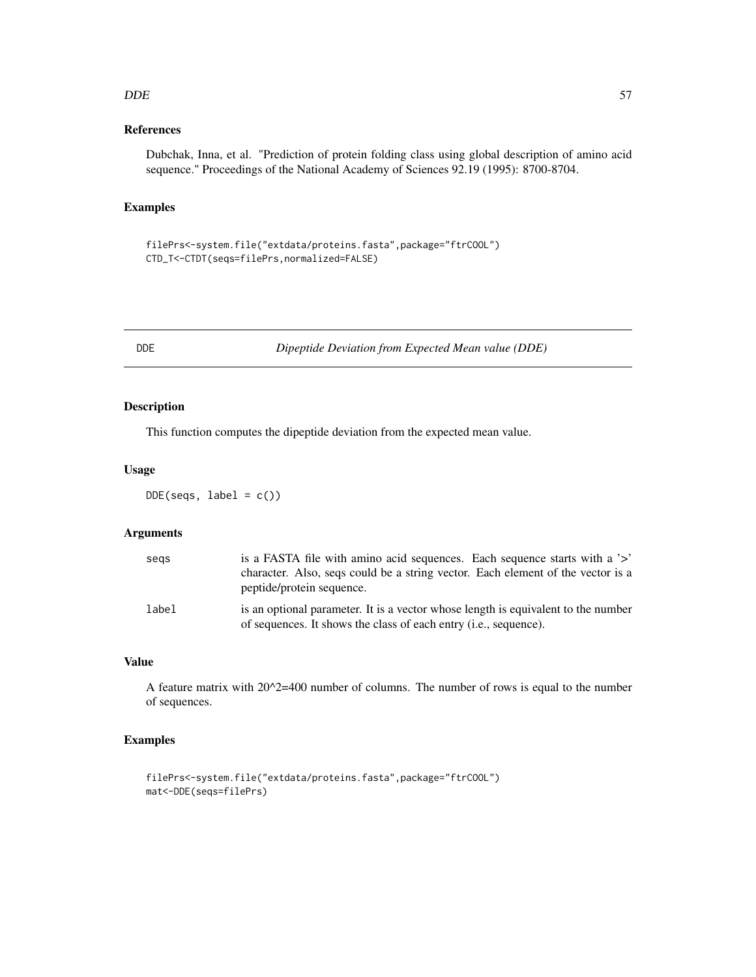#### DDE 57

## References

Dubchak, Inna, et al. "Prediction of protein folding class using global description of amino acid sequence." Proceedings of the National Academy of Sciences 92.19 (1995): 8700-8704.

### Examples

```
filePrs<-system.file("extdata/proteins.fasta",package="ftrCOOL")
CTD_T<-CTDT(seqs=filePrs,normalized=FALSE)
```
DDE *Dipeptide Deviation from Expected Mean value (DDE)*

## Description

This function computes the dipeptide deviation from the expected mean value.

### Usage

 $DDE(seqs, label = c())$ 

### Arguments

| segs  | is a FASTA file with amino acid sequences. Each sequence starts with a '>'                                                                            |
|-------|-------------------------------------------------------------------------------------------------------------------------------------------------------|
|       | character. Also, segs could be a string vector. Each element of the vector is a<br>peptide/protein sequence.                                          |
| label | is an optional parameter. It is a vector whose length is equivalent to the number<br>of sequences. It shows the class of each entry (i.e., sequence). |

## Value

A feature matrix with  $20^x=400$  number of columns. The number of rows is equal to the number of sequences.

# Examples

```
filePrs<-system.file("extdata/proteins.fasta",package="ftrCOOL")
mat<-DDE(seqs=filePrs)
```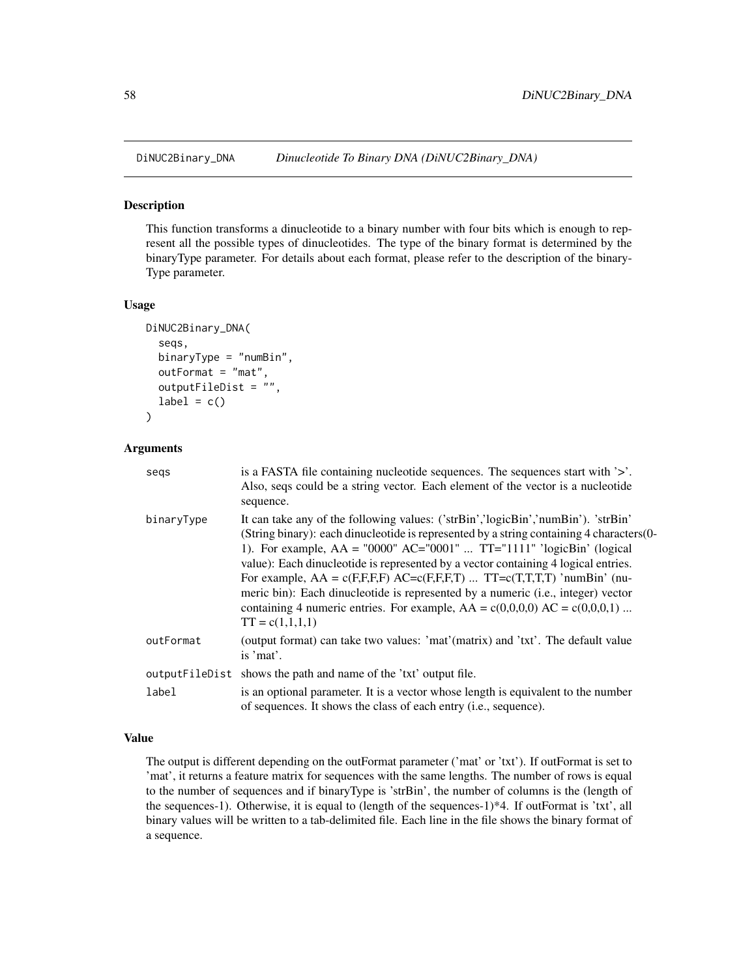#### Description

This function transforms a dinucleotide to a binary number with four bits which is enough to represent all the possible types of dinucleotides. The type of the binary format is determined by the binaryType parameter. For details about each format, please refer to the description of the binary-Type parameter.

#### Usage

```
DiNUC2Binary_DNA(
  seqs,
  binaryType = "numBin",
  outFormat = "mat",
  outputFileDist = "",
  label = c())
```
### Arguments

| segs       | is a FASTA file containing nucleotide sequences. The sequences start with $\geq$ .<br>Also, seqs could be a string vector. Each element of the vector is a nucleotide<br>sequence.                                                                                                                                                                                                                                                                                                                                                                                                                                              |
|------------|---------------------------------------------------------------------------------------------------------------------------------------------------------------------------------------------------------------------------------------------------------------------------------------------------------------------------------------------------------------------------------------------------------------------------------------------------------------------------------------------------------------------------------------------------------------------------------------------------------------------------------|
| binaryType | It can take any of the following values: ('strBin','logicBin','numBin'). 'strBin'<br>(String binary): each dinucleotide is represented by a string containing 4 characters (0-<br>1). For example, $AA = "0000" AC = "0001"  TT = "1111" 'logicBin' (logical)$<br>value): Each dinucleotide is represented by a vector containing 4 logical entries.<br>For example, $AA = c(F,F,F,F)$ $AC=c(F,F,F,T)$ $TT=c(T,T,T,T)$ 'numBin' (nu-<br>meric bin): Each dinucleotide is represented by a numeric (i.e., integer) vector<br>containing 4 numeric entries. For example, $AA = c(0,0,0,0)$ $AC = c(0,0,0,1)$<br>$TT = c(1,1,1,1)$ |
| outFormat  | (output format) can take two values: 'mat'(matrix) and 'txt'. The default value<br>is 'mat'.                                                                                                                                                                                                                                                                                                                                                                                                                                                                                                                                    |
|            | output FileD ist shows the path and name of the 'txt' output file.                                                                                                                                                                                                                                                                                                                                                                                                                                                                                                                                                              |
| label      | is an optional parameter. It is a vector whose length is equivalent to the number<br>of sequences. It shows the class of each entry (i.e., sequence).                                                                                                                                                                                                                                                                                                                                                                                                                                                                           |

### Value

The output is different depending on the outFormat parameter ('mat' or 'txt'). If outFormat is set to 'mat', it returns a feature matrix for sequences with the same lengths. The number of rows is equal to the number of sequences and if binaryType is 'strBin', the number of columns is the (length of the sequences-1). Otherwise, it is equal to (length of the sequences-1)\*4. If outFormat is 'txt', all binary values will be written to a tab-delimited file. Each line in the file shows the binary format of a sequence.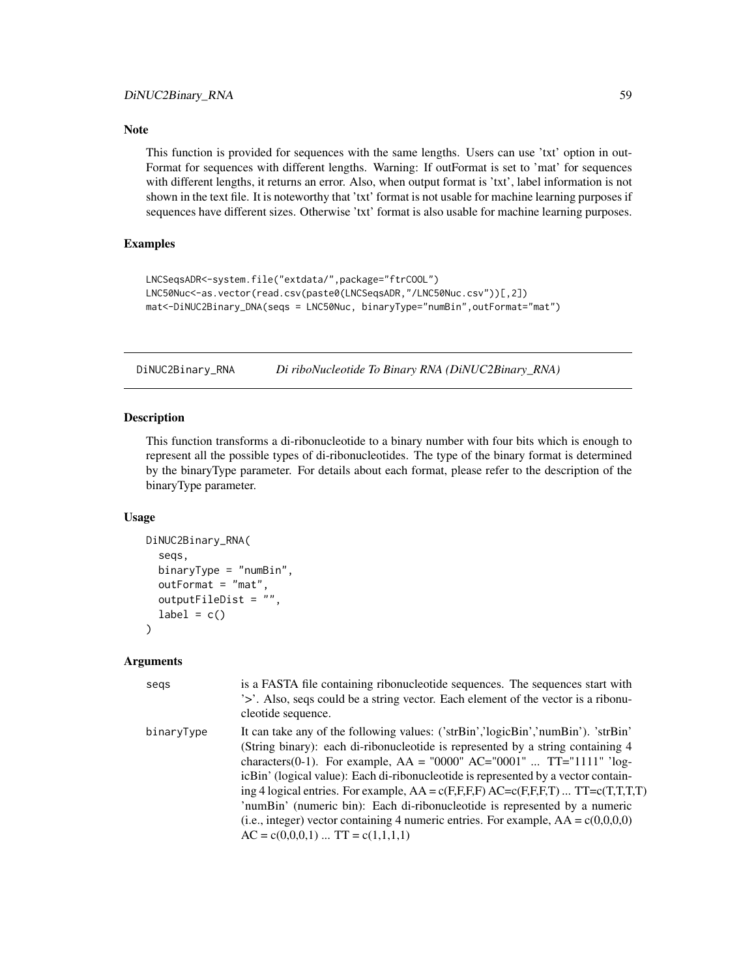### Note

This function is provided for sequences with the same lengths. Users can use 'txt' option in out-Format for sequences with different lengths. Warning: If outFormat is set to 'mat' for sequences with different lengths, it returns an error. Also, when output format is 'txt', label information is not shown in the text file. It is noteworthy that 'txt' format is not usable for machine learning purposes if sequences have different sizes. Otherwise 'txt' format is also usable for machine learning purposes.

## Examples

```
LNCSeqsADR<-system.file("extdata/",package="ftrCOOL")
LNC50Nuc<-as.vector(read.csv(paste0(LNCSeqsADR,"/LNC50Nuc.csv"))[,2])
mat<-DiNUC2Binary_DNA(seqs = LNC50Nuc, binaryType="numBin",outFormat="mat")
```
DiNUC2Binary\_RNA *Di riboNucleotide To Binary RNA (DiNUC2Binary\_RNA)*

### Description

This function transforms a di-ribonucleotide to a binary number with four bits which is enough to represent all the possible types of di-ribonucleotides. The type of the binary format is determined by the binaryType parameter. For details about each format, please refer to the description of the binaryType parameter.

#### Usage

```
DiNUC2Binary_RNA(
  seqs,
  binaryType = "numBin",
  outFormat = "mat",
  outputFileDist = ""
  label = c())
```

| segs       | is a FASTA file containing ribonucleotide sequences. The sequences start with<br>'>'. Also, seqs could be a string vector. Each element of the vector is a ribonu-<br>cleotide sequence.                                                                                                                                                                                                                                                                                                                                                                                                                                                          |
|------------|---------------------------------------------------------------------------------------------------------------------------------------------------------------------------------------------------------------------------------------------------------------------------------------------------------------------------------------------------------------------------------------------------------------------------------------------------------------------------------------------------------------------------------------------------------------------------------------------------------------------------------------------------|
| binaryType | It can take any of the following values: ('strBin','logicBin','numBin'). 'strBin'<br>(String binary): each di-ribonucleotide is represented by a string containing 4<br>characters(0-1). For example, $AA = "0000" AC = "0001"  TT = "1111" 'log-$<br>icBin' (logical value): Each di-ribonucleotide is represented by a vector contain-<br>ing 4 logical entries. For example, $AA = c(F,F,F,F)$ $AC = c(F,F,F,T)$ $TT = c(T,T,T,T)$<br>'numBin' (numeric bin): Each di-ribonucleotide is represented by a numeric<br>(i.e., integer) vector containing 4 numeric entries. For example, $AA = c(0,0,0,0)$<br>$AC = c(0,0,0,1)$ $TT = c(1,1,1,1)$ |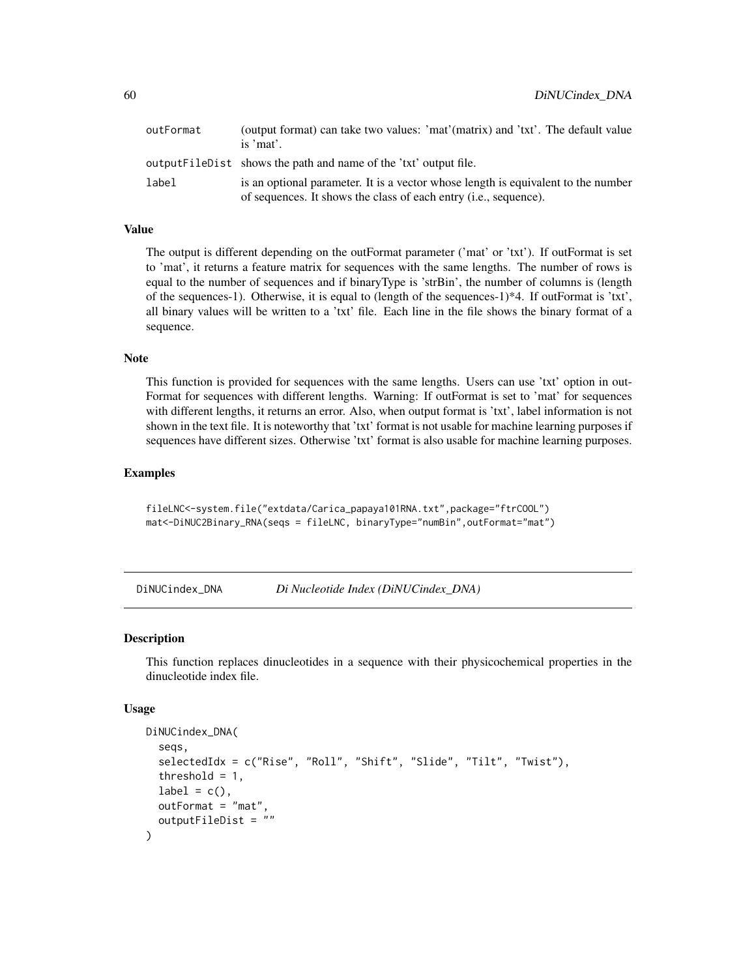| outFormat | (output format) can take two values: 'mat'(matrix) and 'txt'. The default value<br>is $'mat'$ .                                                       |
|-----------|-------------------------------------------------------------------------------------------------------------------------------------------------------|
|           | outputFileDist shows the path and name of the 'txt' output file.                                                                                      |
| label     | is an optional parameter. It is a vector whose length is equivalent to the number<br>of sequences. It shows the class of each entry (i.e., sequence). |

### Value

The output is different depending on the outFormat parameter ('mat' or 'txt'). If outFormat is set to 'mat', it returns a feature matrix for sequences with the same lengths. The number of rows is equal to the number of sequences and if binaryType is 'strBin', the number of columns is (length of the sequences-1). Otherwise, it is equal to (length of the sequences-1)\*4. If outFormat is 'txt', all binary values will be written to a 'txt' file. Each line in the file shows the binary format of a sequence.

# Note

This function is provided for sequences with the same lengths. Users can use 'txt' option in out-Format for sequences with different lengths. Warning: If outFormat is set to 'mat' for sequences with different lengths, it returns an error. Also, when output format is 'txt', label information is not shown in the text file. It is noteworthy that 'txt' format is not usable for machine learning purposes if sequences have different sizes. Otherwise 'txt' format is also usable for machine learning purposes.

### Examples

fileLNC<-system.file("extdata/Carica\_papaya101RNA.txt",package="ftrCOOL") mat<-DiNUC2Binary\_RNA(seqs = fileLNC, binaryType="numBin",outFormat="mat")

DiNUCindex\_DNA *Di Nucleotide Index (DiNUCindex\_DNA)*

#### Description

This function replaces dinucleotides in a sequence with their physicochemical properties in the dinucleotide index file.

#### Usage

```
DiNUCindex_DNA(
  seqs,
  selectedIdx = c("Rise", "Roll", "Shift", "Slide", "Tilt", "Twist"),
  threshold = 1,
  label = c(),
  outFormat = "mat",
  outputFileDist = ""
)
```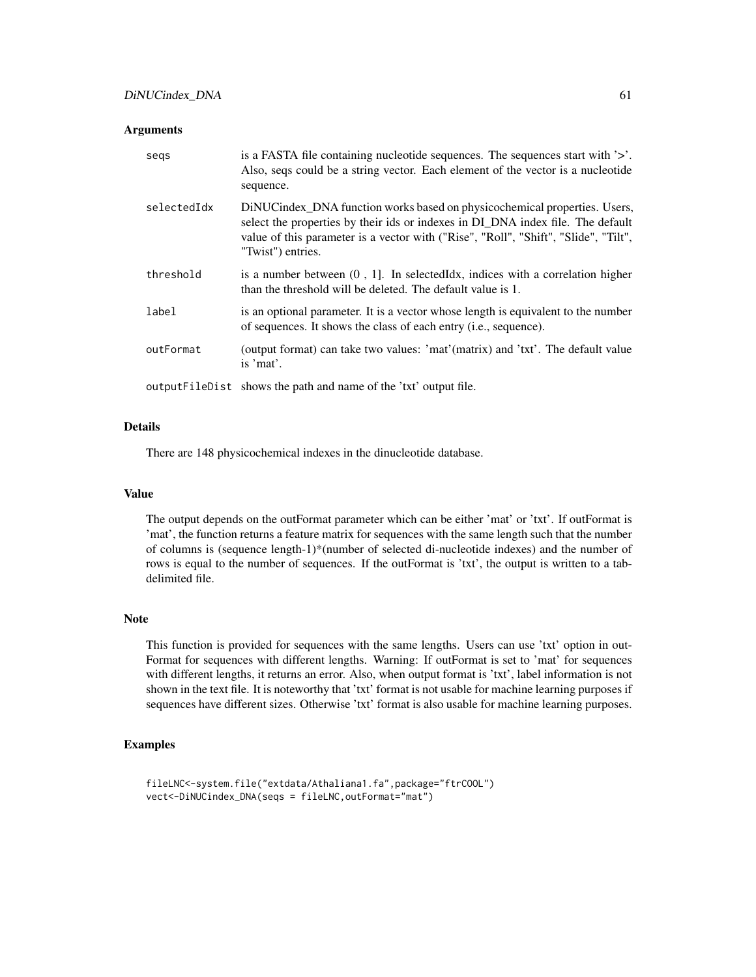### **Arguments**

| segs        | is a FASTA file containing nucleotide sequences. The sequences start with $\geq$ .<br>Also, seqs could be a string vector. Each element of the vector is a nucleotide<br>sequence.                                                                                       |
|-------------|--------------------------------------------------------------------------------------------------------------------------------------------------------------------------------------------------------------------------------------------------------------------------|
| selectedIdx | DiNUCindex_DNA function works based on physicochemical properties. Users,<br>select the properties by their ids or indexes in DI_DNA index file. The default<br>value of this parameter is a vector with ("Rise", "Roll", "Shift", "Slide", "Tilt",<br>"Twist") entries. |
| threshold   | is a number between $(0, 1]$ . In selected Idx, indices with a correlation higher<br>than the threshold will be deleted. The default value is 1.                                                                                                                         |
| label       | is an optional parameter. It is a vector whose length is equivalent to the number<br>of sequences. It shows the class of each entry ( <i>i.e.</i> , sequence).                                                                                                           |
| outFormat   | (output format) can take two values: 'mat'(matrix) and 'txt'. The default value<br>is $'mat'$ .                                                                                                                                                                          |
|             | output FileDist shows the path and name of the 'txt' output file.                                                                                                                                                                                                        |

### Details

There are 148 physicochemical indexes in the dinucleotide database.

#### Value

The output depends on the outFormat parameter which can be either 'mat' or 'txt'. If outFormat is 'mat', the function returns a feature matrix for sequences with the same length such that the number of columns is (sequence length-1)\*(number of selected di-nucleotide indexes) and the number of rows is equal to the number of sequences. If the outFormat is 'txt', the output is written to a tabdelimited file.

### Note

This function is provided for sequences with the same lengths. Users can use 'txt' option in out-Format for sequences with different lengths. Warning: If outFormat is set to 'mat' for sequences with different lengths, it returns an error. Also, when output format is 'txt', label information is not shown in the text file. It is noteworthy that 'txt' format is not usable for machine learning purposes if sequences have different sizes. Otherwise 'txt' format is also usable for machine learning purposes.

### Examples

```
fileLNC<-system.file("extdata/Athaliana1.fa",package="ftrCOOL")
vect<-DiNUCindex_DNA(seqs = fileLNC,outFormat="mat")
```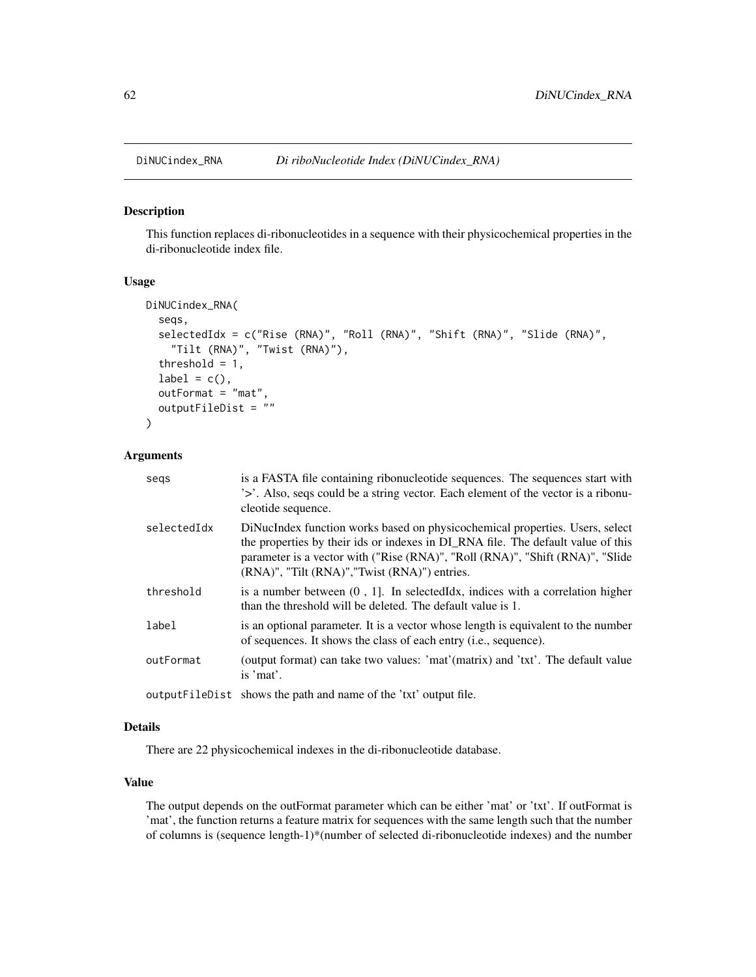#### Description

This function replaces di-ribonucleotides in a sequence with their physicochemical properties in the di-ribonucleotide index file.

### Usage

```
DiNUCindex_RNA(
  seqs,
  selectedIdx = c("Rise (RNA)", "Roll (RNA)", "Shift (RNA)", "Slide (RNA)",
    "Tilt (RNA)", "Twist (RNA)"),
  threshold = 1,
  label = c(),
  outFormat = "mat",
  outputFileDist = ""
\lambda
```
### Arguments

| segs        | is a FASTA file containing ribonucleotide sequences. The sequences start with<br>'>'. Also, seqs could be a string vector. Each element of the vector is a ribonu-<br>cleotide sequence.                                                                                                                    |
|-------------|-------------------------------------------------------------------------------------------------------------------------------------------------------------------------------------------------------------------------------------------------------------------------------------------------------------|
| selectedIdx | DiNucIndex function works based on physicochemical properties. Users, select<br>the properties by their ids or indexes in DI_RNA file. The default value of this<br>parameter is a vector with ("Rise (RNA)", "Roll (RNA)", "Shift (RNA)", "Slide<br>$(RNA)$ ", "Tilt $(RNA)$ ", "Twist $(RNA)$ ") entries. |
| threshold   | is a number between $(0, 1]$ . In selected Idx, indices with a correlation higher<br>than the threshold will be deleted. The default value is 1.                                                                                                                                                            |
| label       | is an optional parameter. It is a vector whose length is equivalent to the number<br>of sequences. It shows the class of each entry ( <i>i.e.</i> , sequence).                                                                                                                                              |
| outFormat   | (output format) can take two values: 'mat'(matrix) and 'txt'. The default value<br>is 'mat'.                                                                                                                                                                                                                |
|             | $\alpha$ utnut $\text{Eil}_\alpha$                                                                                                                                                                                                                                                                          |

### outputFileDist shows the path and name of the 'txt' output file.

## Details

There are 22 physicochemical indexes in the di-ribonucleotide database.

### Value

The output depends on the outFormat parameter which can be either 'mat' or 'txt'. If outFormat is 'mat', the function returns a feature matrix for sequences with the same length such that the number of columns is (sequence length-1)\*(number of selected di-ribonucleotide indexes) and the number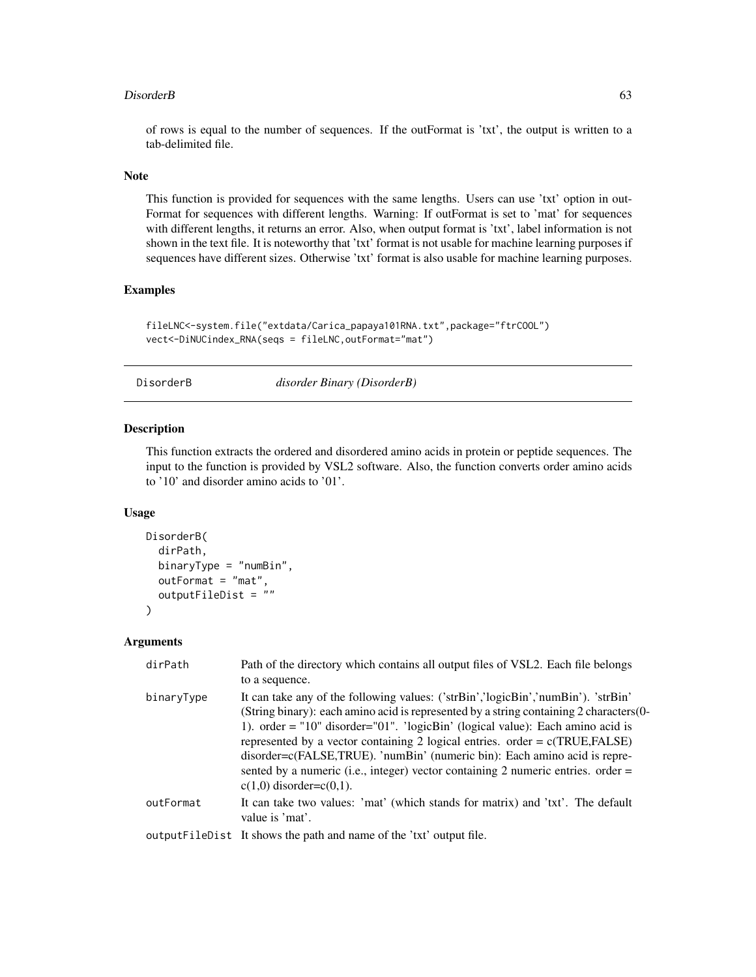#### DisorderB 63

of rows is equal to the number of sequences. If the outFormat is 'txt', the output is written to a tab-delimited file.

### Note

This function is provided for sequences with the same lengths. Users can use 'txt' option in out-Format for sequences with different lengths. Warning: If outFormat is set to 'mat' for sequences with different lengths, it returns an error. Also, when output format is 'txt', label information is not shown in the text file. It is noteworthy that 'txt' format is not usable for machine learning purposes if sequences have different sizes. Otherwise 'txt' format is also usable for machine learning purposes.

### Examples

```
fileLNC<-system.file("extdata/Carica_papaya101RNA.txt",package="ftrCOOL")
vect<-DiNUCindex_RNA(seqs = fileLNC,outFormat="mat")
```
### DisorderB *disorder Binary (DisorderB)*

### Description

This function extracts the ordered and disordered amino acids in protein or peptide sequences. The input to the function is provided by VSL2 software. Also, the function converts order amino acids to '10' and disorder amino acids to '01'.

### Usage

```
DisorderB(
  dirPath,
  binaryType = "numBin",
  outFormat = "mat",
  outputFileDist = ""
\lambda
```

| dirPath    | Path of the directory which contains all output files of VSL2. Each file belongs<br>to a sequence.                                                                                                                                                                                                                                                                                                                                                                                                                                                   |
|------------|------------------------------------------------------------------------------------------------------------------------------------------------------------------------------------------------------------------------------------------------------------------------------------------------------------------------------------------------------------------------------------------------------------------------------------------------------------------------------------------------------------------------------------------------------|
| binaryType | It can take any of the following values: ('strBin','logicBin','numBin'). 'strBin'<br>(String binary): each amino acid is represented by a string containing 2 characters (0-<br>1). order = "10" disorder="01". 'logicBin' (logical value): Each amino acid is<br>represented by a vector containing 2 logical entries. order = $c(TRUE, FALSE)$<br>disorder=c(FALSE,TRUE). 'numBin' (numeric bin): Each amino acid is repre-<br>sented by a numeric (i.e., integer) vector containing 2 numeric entries. order $=$<br>$c(1,0)$ disorder= $c(0,1)$ . |
| outFormat  | It can take two values: 'mat' (which stands for matrix) and 'txt'. The default<br>value is 'mat'.                                                                                                                                                                                                                                                                                                                                                                                                                                                    |
|            | output FileDist It shows the path and name of the 'txt' output file.                                                                                                                                                                                                                                                                                                                                                                                                                                                                                 |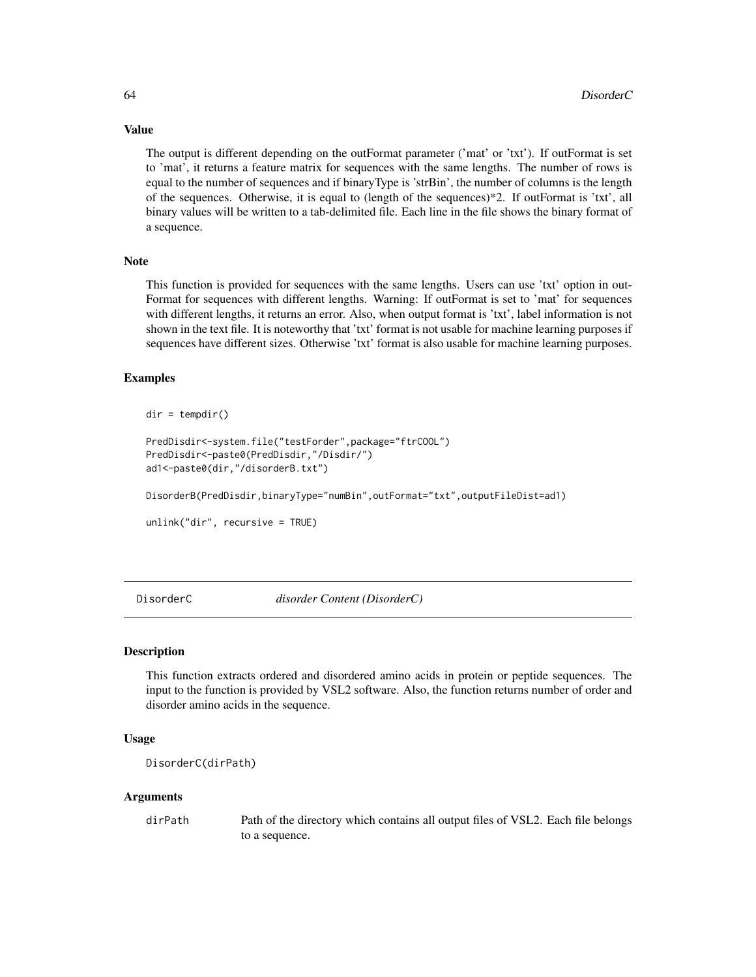The output is different depending on the outFormat parameter ('mat' or 'txt'). If outFormat is set to 'mat', it returns a feature matrix for sequences with the same lengths. The number of rows is equal to the number of sequences and if binaryType is 'strBin', the number of columns is the length of the sequences. Otherwise, it is equal to (length of the sequences)\*2. If outFormat is 'txt', all binary values will be written to a tab-delimited file. Each line in the file shows the binary format of a sequence.

### Note

This function is provided for sequences with the same lengths. Users can use 'txt' option in out-Format for sequences with different lengths. Warning: If outFormat is set to 'mat' for sequences with different lengths, it returns an error. Also, when output format is 'txt', label information is not shown in the text file. It is noteworthy that 'txt' format is not usable for machine learning purposes if sequences have different sizes. Otherwise 'txt' format is also usable for machine learning purposes.

#### Examples

```
dir = tempdir()
```

```
PredDisdir<-system.file("testForder",package="ftrCOOL")
PredDisdir<-paste0(PredDisdir,"/Disdir/")
ad1<-paste0(dir,"/disorderB.txt")
```
DisorderB(PredDisdir,binaryType="numBin",outFormat="txt",outputFileDist=ad1)

```
unlink("dir", recursive = TRUE)
```
DisorderC *disorder Content (DisorderC)*

## **Description**

This function extracts ordered and disordered amino acids in protein or peptide sequences. The input to the function is provided by VSL2 software. Also, the function returns number of order and disorder amino acids in the sequence.

### Usage

```
DisorderC(dirPath)
```
#### Arguments

dirPath Path of the directory which contains all output files of VSL2. Each file belongs to a sequence.

# Value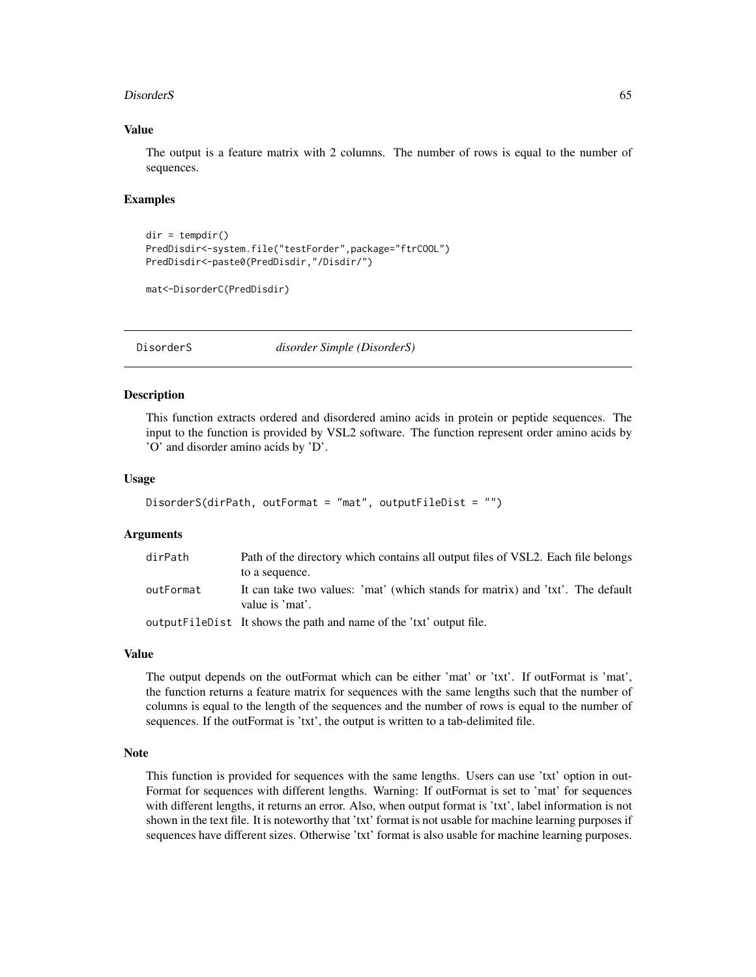#### DisorderS 65

### Value

The output is a feature matrix with 2 columns. The number of rows is equal to the number of sequences.

### Examples

```
dir = tempdir()PredDisdir<-system.file("testForder",package="ftrCOOL")
PredDisdir<-paste0(PredDisdir,"/Disdir/")
```

```
mat<-DisorderC(PredDisdir)
```
DisorderS *disorder Simple (DisorderS)*

### Description

This function extracts ordered and disordered amino acids in protein or peptide sequences. The input to the function is provided by VSL2 software. The function represent order amino acids by 'O' and disorder amino acids by 'D'.

#### Usage

```
DisorderS(dirPath, outFormat = "mat", outputFileDist = "")
```
### Arguments

| dirPath   | Path of the directory which contains all output files of VSL2. Each file belongs                  |
|-----------|---------------------------------------------------------------------------------------------------|
|           | to a sequence.                                                                                    |
| outFormat | It can take two values: 'mat' (which stands for matrix) and 'txt'. The default<br>value is 'mat'. |
|           | output FileDist It shows the path and name of the 'txt' output file.                              |

#### Value

The output depends on the outFormat which can be either 'mat' or 'txt'. If outFormat is 'mat', the function returns a feature matrix for sequences with the same lengths such that the number of columns is equal to the length of the sequences and the number of rows is equal to the number of sequences. If the outFormat is 'txt', the output is written to a tab-delimited file.

## Note

This function is provided for sequences with the same lengths. Users can use 'txt' option in out-Format for sequences with different lengths. Warning: If outFormat is set to 'mat' for sequences with different lengths, it returns an error. Also, when output format is 'txt', label information is not shown in the text file. It is noteworthy that 'txt' format is not usable for machine learning purposes if sequences have different sizes. Otherwise 'txt' format is also usable for machine learning purposes.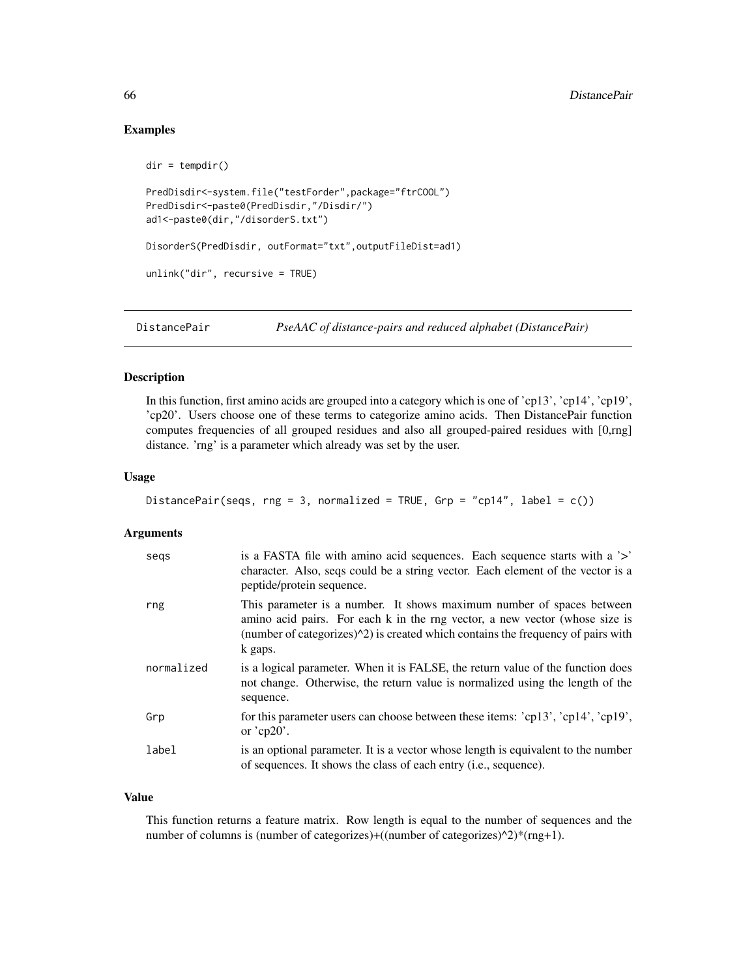### Examples

```
dir = tempdir()PredDisdir<-system.file("testForder",package="ftrCOOL")
PredDisdir<-paste0(PredDisdir,"/Disdir/")
ad1<-paste0(dir,"/disorderS.txt")
DisorderS(PredDisdir, outFormat="txt",outputFileDist=ad1)
unlink("dir", recursive = TRUE)
```
DistancePair *PseAAC of distance-pairs and reduced alphabet (DistancePair)*

### Description

In this function, first amino acids are grouped into a category which is one of 'cp13', 'cp14', 'cp19', 'cp20'. Users choose one of these terms to categorize amino acids. Then DistancePair function computes frequencies of all grouped residues and also all grouped-paired residues with [0,rng] distance. 'rng' is a parameter which already was set by the user.

## Usage

```
DistancePair(seqs, rng = 3, normalized = TRUE, Grp = "cp14", label = c())
```
#### Arguments

| segs       | is a FASTA file with amino acid sequences. Each sequence starts with a '>'<br>character. Also, seqs could be a string vector. Each element of the vector is a<br>peptide/protein sequence.                                                                      |
|------------|-----------------------------------------------------------------------------------------------------------------------------------------------------------------------------------------------------------------------------------------------------------------|
| rng        | This parameter is a number. It shows maximum number of spaces between<br>amino acid pairs. For each k in the rng vector, a new vector (whose size is<br>(number of categorizes) $\binom{1}{2}$ is created which contains the frequency of pairs with<br>k gaps. |
| normalized | is a logical parameter. When it is FALSE, the return value of the function does<br>not change. Otherwise, the return value is normalized using the length of the<br>sequence.                                                                                   |
| Grp        | for this parameter users can choose between these items: 'cp13', 'cp14', 'cp19',<br>or $'cp20$ .                                                                                                                                                                |
| label      | is an optional parameter. It is a vector whose length is equivalent to the number<br>of sequences. It shows the class of each entry ( <i>i.e.</i> , sequence).                                                                                                  |

### Value

This function returns a feature matrix. Row length is equal to the number of sequences and the number of columns is (number of categorizes)+((number of categorizes)^2)\*(rng+1).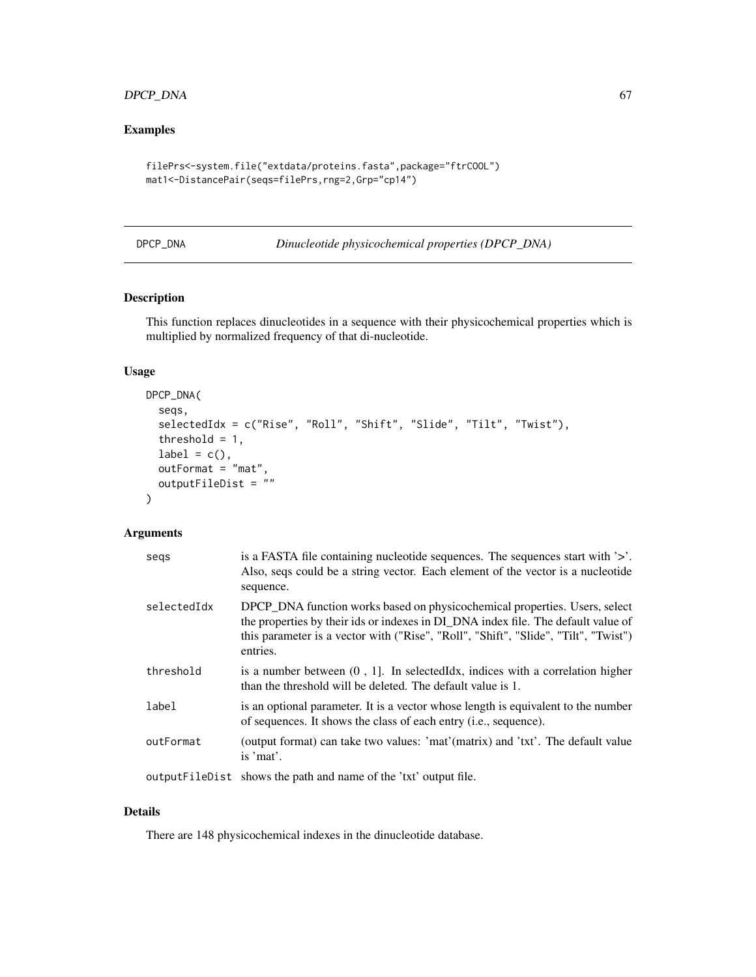## DPCP\_DNA 67

# Examples

```
filePrs<-system.file("extdata/proteins.fasta",package="ftrCOOL")
mat1<-DistancePair(seqs=filePrs,rng=2,Grp="cp14")
```
DPCP\_DNA *Dinucleotide physicochemical properties (DPCP\_DNA)*

# Description

This function replaces dinucleotides in a sequence with their physicochemical properties which is multiplied by normalized frequency of that di-nucleotide.

### Usage

```
DPCP_DNA(
  seqs,
  selectedIdx = c("Rise", "Roll", "Shift", "Slide", "Tilt", "Twist"),
  threshold = 1,
  label = c(),
  outFormat = "mat",
  outputFileDist = ""
\lambda
```
# Arguments

| segs        | is a FASTA file containing nucleotide sequences. The sequences start with $\geq$ .<br>Also, seqs could be a string vector. Each element of the vector is a nucleotide<br>sequence.                                                                                 |
|-------------|--------------------------------------------------------------------------------------------------------------------------------------------------------------------------------------------------------------------------------------------------------------------|
| selectedIdx | DPCP_DNA function works based on physicochemical properties. Users, select<br>the properties by their ids or indexes in DI_DNA index file. The default value of<br>this parameter is a vector with ("Rise", "Roll", "Shift", "Slide", "Tilt", "Twist")<br>entries. |
| threshold   | is a number between $(0, 1]$ . In selected Idx, indices with a correlation higher<br>than the threshold will be deleted. The default value is 1.                                                                                                                   |
| label       | is an optional parameter. It is a vector whose length is equivalent to the number<br>of sequences. It shows the class of each entry <i>(i.e., sequence)</i> .                                                                                                      |
| outFormat   | (output format) can take two values: 'mat'(matrix) and 'txt'. The default value<br>is 'mat'.                                                                                                                                                                       |
|             | output FileDist shows the path and name of the 'txt' output file.                                                                                                                                                                                                  |

## Details

There are 148 physicochemical indexes in the dinucleotide database.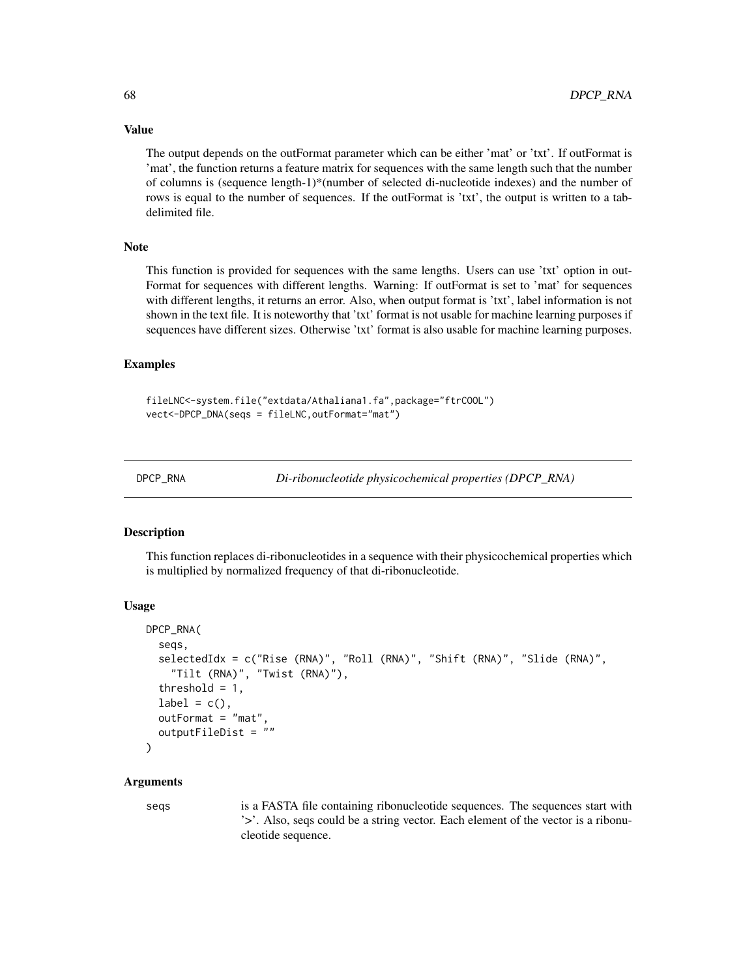The output depends on the outFormat parameter which can be either 'mat' or 'txt'. If outFormat is 'mat', the function returns a feature matrix for sequences with the same length such that the number of columns is (sequence length-1)\*(number of selected di-nucleotide indexes) and the number of rows is equal to the number of sequences. If the outFormat is 'txt', the output is written to a tabdelimited file.

#### Note

This function is provided for sequences with the same lengths. Users can use 'txt' option in out-Format for sequences with different lengths. Warning: If outFormat is set to 'mat' for sequences with different lengths, it returns an error. Also, when output format is 'txt', label information is not shown in the text file. It is noteworthy that 'txt' format is not usable for machine learning purposes if sequences have different sizes. Otherwise 'txt' format is also usable for machine learning purposes.

#### Examples

```
fileLNC<-system.file("extdata/Athaliana1.fa",package="ftrCOOL")
vect<-DPCP_DNA(seqs = fileLNC,outFormat="mat")
```
DPCP\_RNA *Di-ribonucleotide physicochemical properties (DPCP\_RNA)*

#### Description

This function replaces di-ribonucleotides in a sequence with their physicochemical properties which is multiplied by normalized frequency of that di-ribonucleotide.

#### Usage

```
DPCP_RNA(
  seqs,
  selectedIdx = c("Rise (RNA)", "Roll (RNA)", "Shift (RNA)", "Slide (RNA)",
    "Tilt (RNA)", "Twist (RNA)"),
  threshold = 1,
  label = c().
  outFormat = "mat",outputFileDist = ""
)
```
### Arguments

seqs is a FASTA file containing ribonucleotide sequences. The sequences start with '>'. Also, seqs could be a string vector. Each element of the vector is a ribonucleotide sequence.

# Value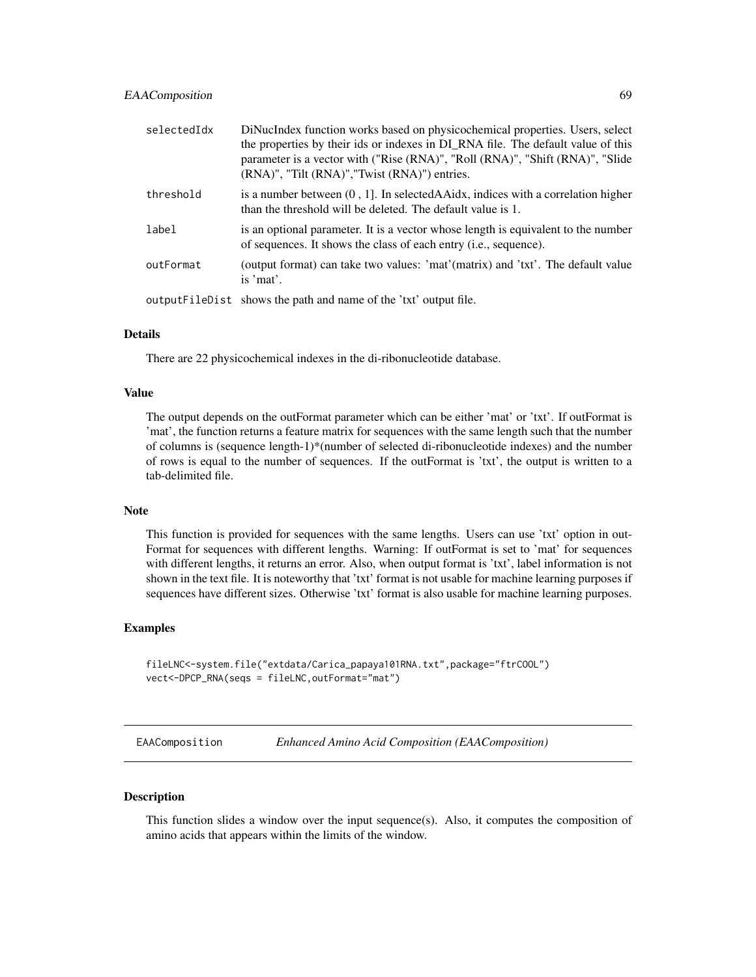| selectedIdx | DiNucIndex function works based on physicochemical properties. Users, select<br>the properties by their ids or indexes in DI_RNA file. The default value of this<br>parameter is a vector with ("Rise (RNA)", "Roll (RNA)", "Shift (RNA)", "Slide<br>(RNA)", "Tilt (RNA)", "Twist (RNA)") entries. |
|-------------|----------------------------------------------------------------------------------------------------------------------------------------------------------------------------------------------------------------------------------------------------------------------------------------------------|
| threshold   | is a number between $(0, 1]$ . In selected A A id a correlation higher<br>than the threshold will be deleted. The default value is 1.                                                                                                                                                              |
| label       | is an optional parameter. It is a vector whose length is equivalent to the number<br>of sequences. It shows the class of each entry ( <i>i.e.</i> , sequence).                                                                                                                                     |
| outFormat   | (output format) can take two values: 'mat'(matrix) and 'txt'. The default value<br>is 'mat'.                                                                                                                                                                                                       |
|             | output FileDist shows the path and name of the 'txt' output file.                                                                                                                                                                                                                                  |

#### Details

There are 22 physicochemical indexes in the di-ribonucleotide database.

#### Value

The output depends on the outFormat parameter which can be either 'mat' or 'txt'. If outFormat is 'mat', the function returns a feature matrix for sequences with the same length such that the number of columns is (sequence length-1)\*(number of selected di-ribonucleotide indexes) and the number of rows is equal to the number of sequences. If the outFormat is 'txt', the output is written to a tab-delimited file.

### Note

This function is provided for sequences with the same lengths. Users can use 'txt' option in out-Format for sequences with different lengths. Warning: If outFormat is set to 'mat' for sequences with different lengths, it returns an error. Also, when output format is 'txt', label information is not shown in the text file. It is noteworthy that 'txt' format is not usable for machine learning purposes if sequences have different sizes. Otherwise 'txt' format is also usable for machine learning purposes.

## Examples

```
fileLNC<-system.file("extdata/Carica_papaya101RNA.txt",package="ftrCOOL")
vect<-DPCP_RNA(seqs = fileLNC,outFormat="mat")
```
<span id="page-68-0"></span>EAAComposition *Enhanced Amino Acid Composition (EAAComposition)*

### Description

This function slides a window over the input sequence(s). Also, it computes the composition of amino acids that appears within the limits of the window.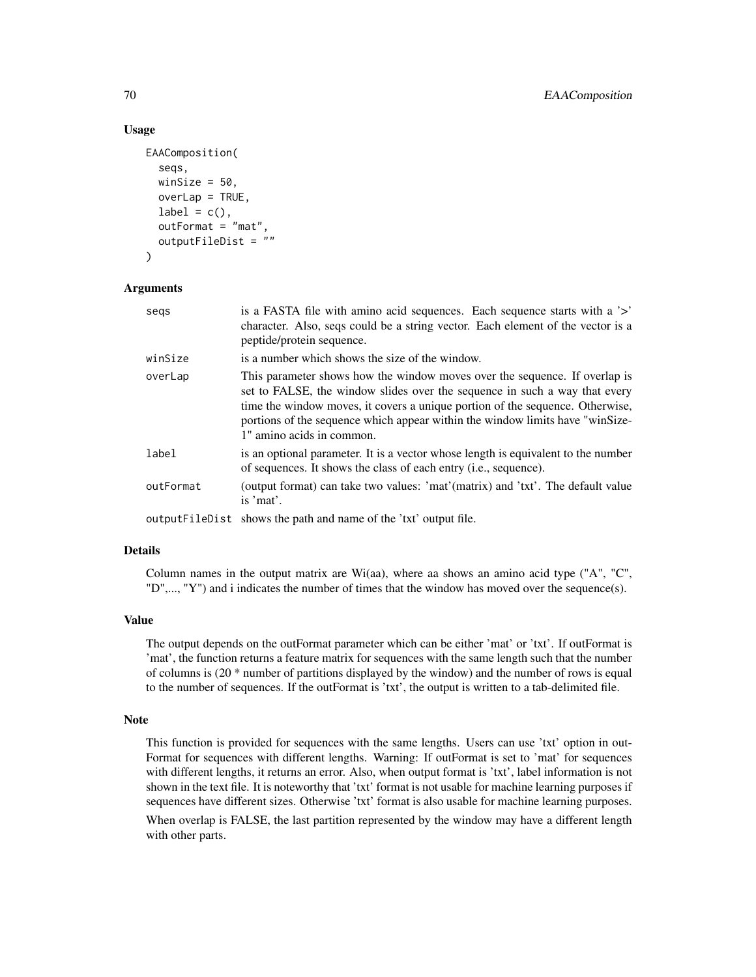### Usage

```
EAAComposition(
  seqs,
  winSize = 50,
  overLap = TRUE,
  label = c(),
  outFormat = "mat",
  outputFileDist = ""
)
```
### **Arguments**

| segs      | is a FASTA file with a mino acid sequences. Each sequence starts with a '>'<br>character. Also, seqs could be a string vector. Each element of the vector is a<br>peptide/protein sequence.                                                                                                                                                             |
|-----------|---------------------------------------------------------------------------------------------------------------------------------------------------------------------------------------------------------------------------------------------------------------------------------------------------------------------------------------------------------|
| winSize   | is a number which shows the size of the window.                                                                                                                                                                                                                                                                                                         |
| overLap   | This parameter shows how the window moves over the sequence. If overlap is<br>set to FALSE, the window slides over the sequence in such a way that every<br>time the window moves, it covers a unique portion of the sequence. Otherwise,<br>portions of the sequence which appear within the window limits have "winSize-<br>1" amino acids in common. |
| label     | is an optional parameter. It is a vector whose length is equivalent to the number<br>of sequences. It shows the class of each entry (i.e., sequence).                                                                                                                                                                                                   |
| outFormat | (output format) can take two values: 'mat'(matrix) and 'txt'. The default value<br>is 'mat'.                                                                                                                                                                                                                                                            |
|           | outputFileDist shows the path and name of the 'txt' output file.                                                                                                                                                                                                                                                                                        |

# Details

Column names in the output matrix are Wi(aa), where aa shows an amino acid type ("A", "C", "D",..., "Y") and i indicates the number of times that the window has moved over the sequence(s).

#### Value

The output depends on the outFormat parameter which can be either 'mat' or 'txt'. If outFormat is 'mat', the function returns a feature matrix for sequences with the same length such that the number of columns is (20 \* number of partitions displayed by the window) and the number of rows is equal to the number of sequences. If the outFormat is 'txt', the output is written to a tab-delimited file.

#### Note

This function is provided for sequences with the same lengths. Users can use 'txt' option in out-Format for sequences with different lengths. Warning: If outFormat is set to 'mat' for sequences with different lengths, it returns an error. Also, when output format is 'txt', label information is not shown in the text file. It is noteworthy that 'txt' format is not usable for machine learning purposes if sequences have different sizes. Otherwise 'txt' format is also usable for machine learning purposes. When overlap is FALSE, the last partition represented by the window may have a different length with other parts.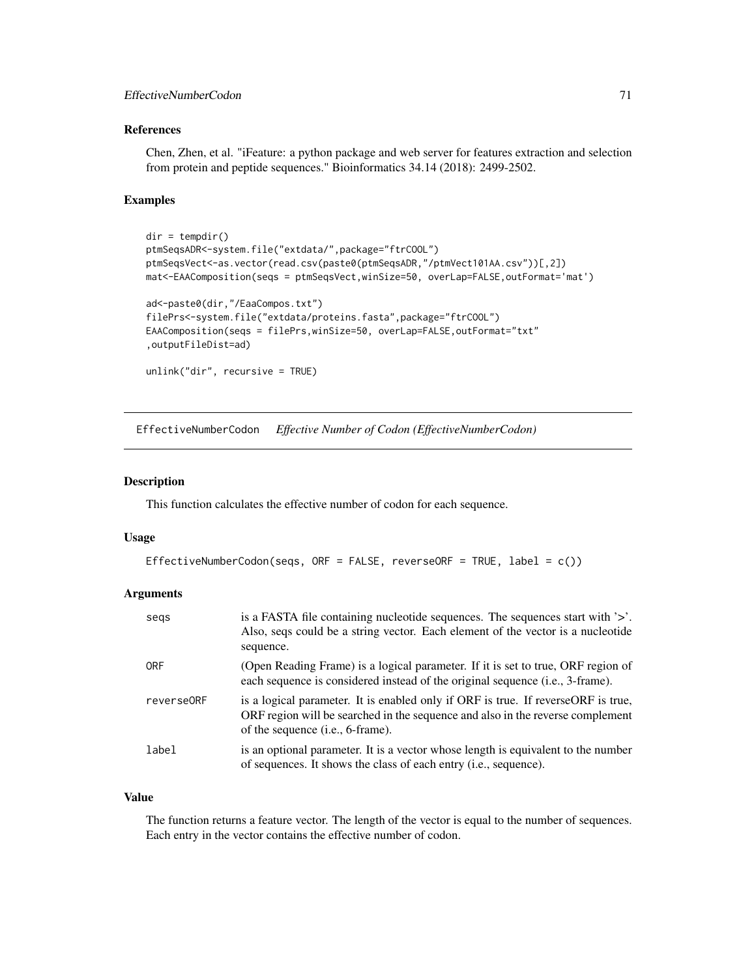## EffectiveNumberCodon 71

## References

Chen, Zhen, et al. "iFeature: a python package and web server for features extraction and selection from protein and peptide sequences." Bioinformatics 34.14 (2018): 2499-2502.

### Examples

```
dir = tempdir()
ptmSeqsADR<-system.file("extdata/",package="ftrCOOL")
ptmSeqsVect<-as.vector(read.csv(paste0(ptmSeqsADR,"/ptmVect101AA.csv"))[,2])
mat<-EAAComposition(seqs = ptmSeqsVect,winSize=50, overLap=FALSE,outFormat='mat')
ad<-paste0(dir,"/EaaCompos.txt")
filePrs<-system.file("extdata/proteins.fasta",package="ftrCOOL")
EAAComposition(seqs = filePrs,winSize=50, overLap=FALSE,outFormat="txt"
,outputFileDist=ad)
unlink("dir", recursive = TRUE)
```
EffectiveNumberCodon *Effective Number of Codon (EffectiveNumberCodon)*

### Description

This function calculates the effective number of codon for each sequence.

#### Usage

```
EffectiveNumberCodon(seqs, ORF = FALSE, reverseORF = TRUE, label = c()
```
## Arguments

| segs       | is a FASTA file containing nucleotide sequences. The sequences start with $\geq$ .<br>Also, seqs could be a string vector. Each element of the vector is a nucleotide<br>sequence.                                |
|------------|-------------------------------------------------------------------------------------------------------------------------------------------------------------------------------------------------------------------|
| <b>ORF</b> | (Open Reading Frame) is a logical parameter. If it is set to true, ORF region of<br>each sequence is considered instead of the original sequence (i.e., 3-frame).                                                 |
| reverse0RF | is a logical parameter. It is enabled only if ORF is true. If reverse ORF is true,<br>ORF region will be searched in the sequence and also in the reverse complement<br>of the sequence ( <i>i.e.</i> , 6-frame). |
| label      | is an optional parameter. It is a vector whose length is equivalent to the number<br>of sequences. It shows the class of each entry ( <i>i.e.</i> , sequence).                                                    |

#### Value

The function returns a feature vector. The length of the vector is equal to the number of sequences. Each entry in the vector contains the effective number of codon.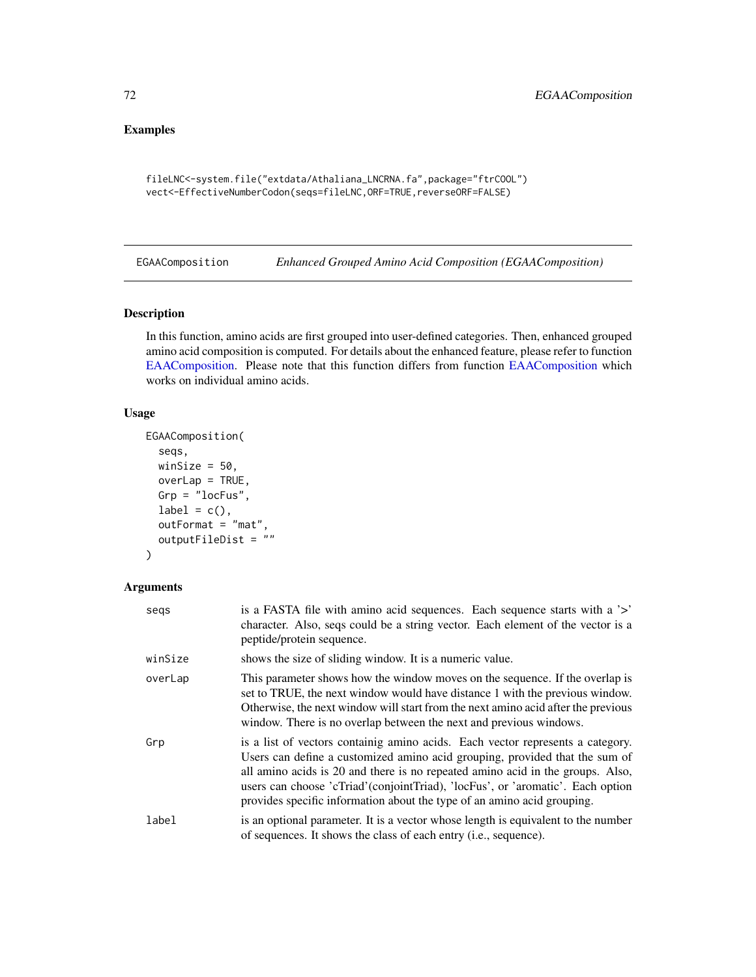# Examples

```
fileLNC<-system.file("extdata/Athaliana_LNCRNA.fa",package="ftrCOOL")
vect<-EffectiveNumberCodon(seqs=fileLNC,ORF=TRUE,reverseORF=FALSE)
```
EGAAComposition *Enhanced Grouped Amino Acid Composition (EGAAComposition)*

## Description

In this function, amino acids are first grouped into user-defined categories. Then, enhanced grouped amino acid composition is computed. For details about the enhanced feature, please refer to function [EAAComposition.](#page-68-0) Please note that this function differs from function [EAAComposition](#page-68-0) which works on individual amino acids.

## Usage

```
EGAAComposition(
  seqs,
 winSize = 50,
  overLap = TRUE,Grp = "locFus",
  label = c(),
  outFormat = "mat",outputFileDist = ""
\lambda
```

| segs    | is a FASTA file with a mino acid sequences. Each sequence starts with a '>'<br>character. Also, seqs could be a string vector. Each element of the vector is a<br>peptide/protein sequence.                                                                                                                                                                                                                    |
|---------|----------------------------------------------------------------------------------------------------------------------------------------------------------------------------------------------------------------------------------------------------------------------------------------------------------------------------------------------------------------------------------------------------------------|
| winSize | shows the size of sliding window. It is a numeric value.                                                                                                                                                                                                                                                                                                                                                       |
| overLap | This parameter shows how the window moves on the sequence. If the overlap is<br>set to TRUE, the next window would have distance 1 with the previous window.<br>Otherwise, the next window will start from the next amino acid after the previous<br>window. There is no overlap between the next and previous windows.                                                                                        |
| Grp     | is a list of vectors containig amino acids. Each vector represents a category.<br>Users can define a customized amino acid grouping, provided that the sum of<br>all amino acids is 20 and there is no repeated amino acid in the groups. Also,<br>users can choose 'cTriad' (conjoint Triad), 'locFus', or 'aromatic'. Each option<br>provides specific information about the type of an amino acid grouping. |
| label   | is an optional parameter. It is a vector whose length is equivalent to the number<br>of sequences. It shows the class of each entry ( <i>i.e.</i> , sequence).                                                                                                                                                                                                                                                 |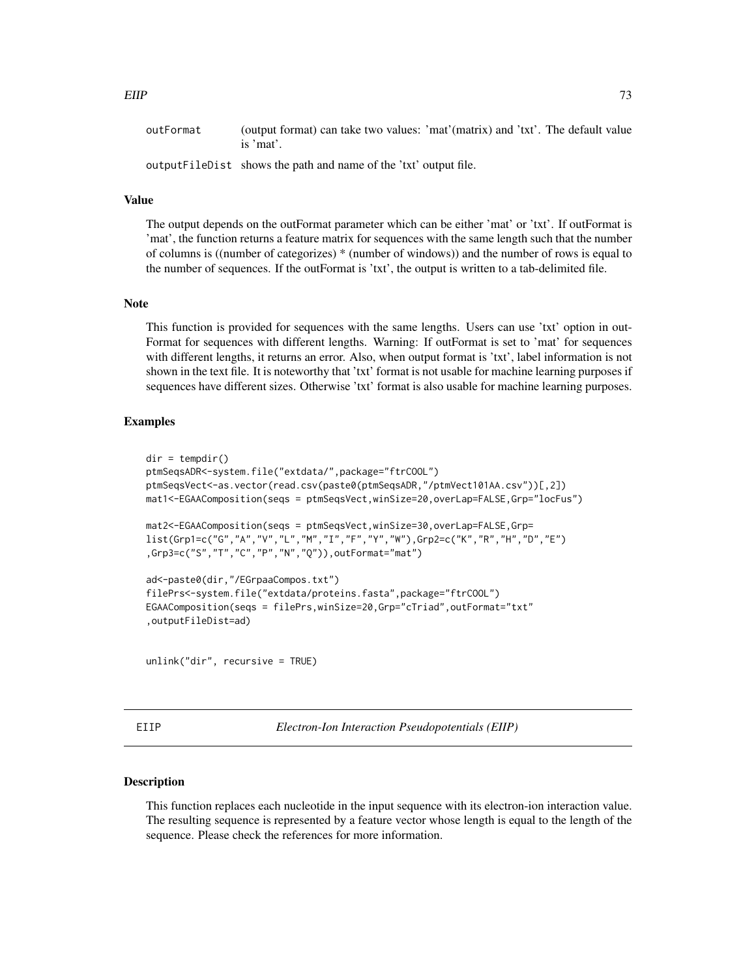| outFormat | (output format) can take two values: 'mat'(matrix) and 'txt'. The default value |  |
|-----------|---------------------------------------------------------------------------------|--|
|           | is 'mat'.                                                                       |  |

outputFileDist shows the path and name of the 'txt' output file.

#### Value

The output depends on the outFormat parameter which can be either 'mat' or 'txt'. If outFormat is 'mat', the function returns a feature matrix for sequences with the same length such that the number of columns is ((number of categorizes) \* (number of windows)) and the number of rows is equal to the number of sequences. If the outFormat is 'txt', the output is written to a tab-delimited file.

#### **Note**

This function is provided for sequences with the same lengths. Users can use 'txt' option in out-Format for sequences with different lengths. Warning: If outFormat is set to 'mat' for sequences with different lengths, it returns an error. Also, when output format is 'txt', label information is not shown in the text file. It is noteworthy that 'txt' format is not usable for machine learning purposes if sequences have different sizes. Otherwise 'txt' format is also usable for machine learning purposes.

#### Examples

```
dir = tempdir()ptmSeqsADR<-system.file("extdata/",package="ftrCOOL")
ptmSeqsVect<-as.vector(read.csv(paste0(ptmSeqsADR,"/ptmVect101AA.csv"))[,2])
mat1<-EGAAComposition(seqs = ptmSeqsVect,winSize=20,overLap=FALSE,Grp="locFus")
mat2<-EGAAComposition(seqs = ptmSeqsVect,winSize=30,overLap=FALSE,Grp=
list(Grp1=c("G","A","V","L","M","I","F","Y","W"),Grp2=c("K","R","H","D","E")
,Grp3=c("S","T","C","P","N","Q")),outFormat="mat")
ad<-paste0(dir,"/EGrpaaCompos.txt")
filePrs<-system.file("extdata/proteins.fasta",package="ftrCOOL")
EGAAComposition(seqs = filePrs,winSize=20,Grp="cTriad",outFormat="txt"
,outputFileDist=ad)
```
unlink("dir", recursive = TRUE)

EIIP *Electron-Ion Interaction Pseudopotentials (EIIP)*

#### **Description**

This function replaces each nucleotide in the input sequence with its electron-ion interaction value. The resulting sequence is represented by a feature vector whose length is equal to the length of the sequence. Please check the references for more information.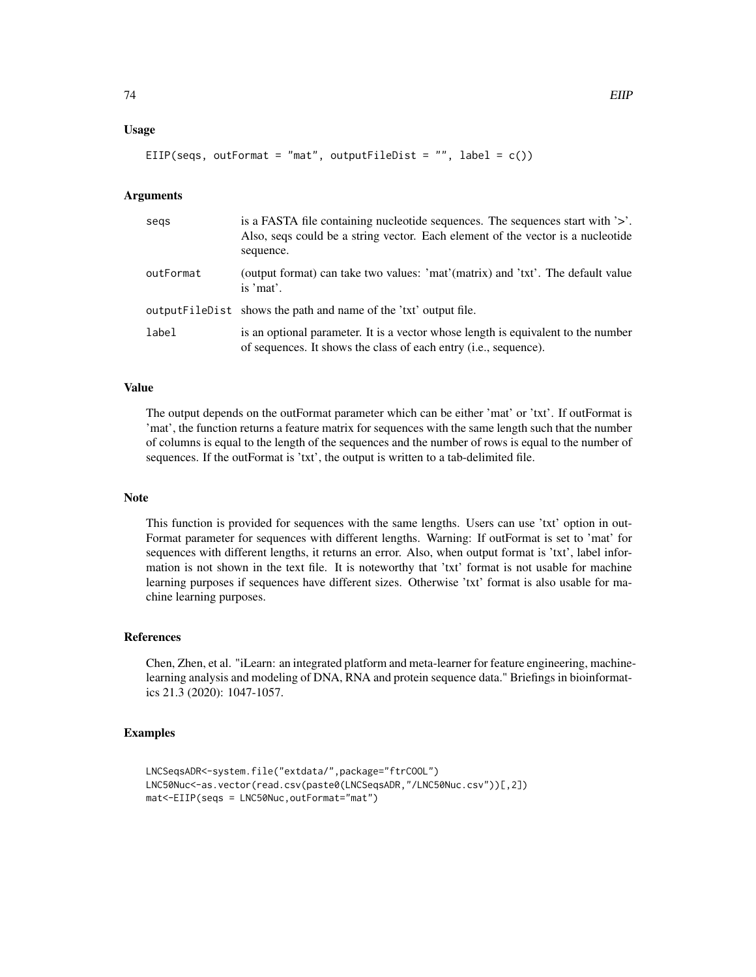#### Usage

EIIP(seqs, outFormat = "mat", outputFileDist = "", label =  $c()$ )

# Arguments

| segs      | is a FASTA file containing nucleotide sequences. The sequences start with $\geq$ .<br>Also, seqs could be a string vector. Each element of the vector is a nucleotide<br>sequence. |
|-----------|------------------------------------------------------------------------------------------------------------------------------------------------------------------------------------|
| outFormat | (output format) can take two values: 'mat'(matrix) and 'txt'. The default value<br>is 'mat'.                                                                                       |
|           | outputFileDist shows the path and name of the 'txt' output file.                                                                                                                   |
| label     | is an optional parameter. It is a vector whose length is equivalent to the number<br>of sequences. It shows the class of each entry (i.e., sequence).                              |

## Value

The output depends on the outFormat parameter which can be either 'mat' or 'txt'. If outFormat is 'mat', the function returns a feature matrix for sequences with the same length such that the number of columns is equal to the length of the sequences and the number of rows is equal to the number of sequences. If the outFormat is 'txt', the output is written to a tab-delimited file.

#### Note

This function is provided for sequences with the same lengths. Users can use 'txt' option in out-Format parameter for sequences with different lengths. Warning: If outFormat is set to 'mat' for sequences with different lengths, it returns an error. Also, when output format is 'txt', label information is not shown in the text file. It is noteworthy that 'txt' format is not usable for machine learning purposes if sequences have different sizes. Otherwise 'txt' format is also usable for machine learning purposes.

#### References

Chen, Zhen, et al. "iLearn: an integrated platform and meta-learner for feature engineering, machinelearning analysis and modeling of DNA, RNA and protein sequence data." Briefings in bioinformatics 21.3 (2020): 1047-1057.

```
LNCSeqsADR<-system.file("extdata/",package="ftrCOOL")
LNC50Nuc<-as.vector(read.csv(paste0(LNCSeqsADR,"/LNC50Nuc.csv"))[,2])
mat<-EIIP(seqs = LNC50Nuc,outFormat="mat")
```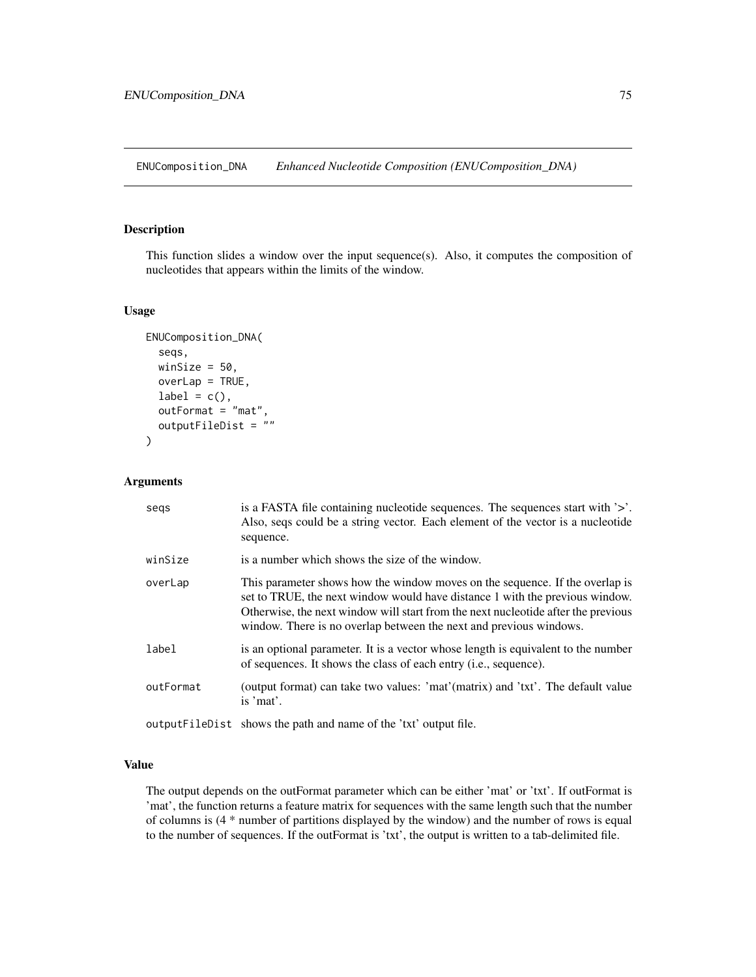ENUComposition\_DNA *Enhanced Nucleotide Composition (ENUComposition\_DNA)*

#### Description

This function slides a window over the input sequence(s). Also, it computes the composition of nucleotides that appears within the limits of the window.

# Usage

```
ENUComposition_DNA(
  seqs,
  winSize = 50,
  overLap = TRUE,label = c(),
  outFormat = "mat",
  outputFileDist = ""
\mathcal{L}
```
# Arguments

| segs      | is a FASTA file containing nucleotide sequences. The sequences start with '>'.<br>Also, seqs could be a string vector. Each element of the vector is a nucleotide<br>sequence.                                                                                                                                          |
|-----------|-------------------------------------------------------------------------------------------------------------------------------------------------------------------------------------------------------------------------------------------------------------------------------------------------------------------------|
| winSize   | is a number which shows the size of the window.                                                                                                                                                                                                                                                                         |
| overLap   | This parameter shows how the window moves on the sequence. If the overlap is<br>set to TRUE, the next window would have distance 1 with the previous window.<br>Otherwise, the next window will start from the next nucleotide after the previous<br>window. There is no overlap between the next and previous windows. |
| label     | is an optional parameter. It is a vector whose length is equivalent to the number<br>of sequences. It shows the class of each entry ( <i>i.e.</i> , sequence).                                                                                                                                                          |
| outFormat | (output format) can take two values: 'mat'(matrix) and 'txt'. The default value<br>is 'mat'.                                                                                                                                                                                                                            |
|           | output FileDist shows the path and name of the 'txt' output file.                                                                                                                                                                                                                                                       |

#### Value

The output depends on the outFormat parameter which can be either 'mat' or 'txt'. If outFormat is 'mat', the function returns a feature matrix for sequences with the same length such that the number of columns is (4 \* number of partitions displayed by the window) and the number of rows is equal to the number of sequences. If the outFormat is 'txt', the output is written to a tab-delimited file.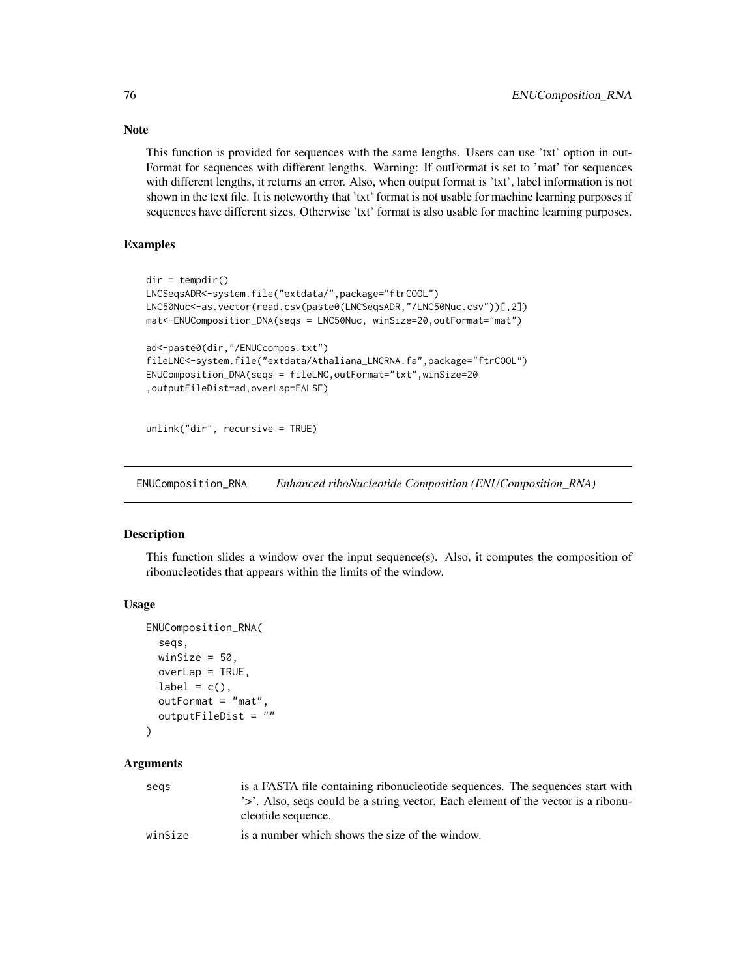This function is provided for sequences with the same lengths. Users can use 'txt' option in out-Format for sequences with different lengths. Warning: If outFormat is set to 'mat' for sequences with different lengths, it returns an error. Also, when output format is 'txt', label information is not shown in the text file. It is noteworthy that 'txt' format is not usable for machine learning purposes if sequences have different sizes. Otherwise 'txt' format is also usable for machine learning purposes.

# Examples

```
dir = tempdir()LNCSeqsADR<-system.file("extdata/",package="ftrCOOL")
LNC50Nuc<-as.vector(read.csv(paste0(LNCSeqsADR,"/LNC50Nuc.csv"))[,2])
mat<-ENUComposition_DNA(seqs = LNC50Nuc, winSize=20,outFormat="mat")
ad<-paste0(dir,"/ENUCcompos.txt")
fileLNC<-system.file("extdata/Athaliana_LNCRNA.fa",package="ftrCOOL")
ENUComposition_DNA(seqs = fileLNC,outFormat="txt",winSize=20
,outputFileDist=ad,overLap=FALSE)
unlink("dir", recursive = TRUE)
```
ENUComposition\_RNA *Enhanced riboNucleotide Composition (ENUComposition\_RNA)*

# **Description**

This function slides a window over the input sequence(s). Also, it computes the composition of ribonucleotides that appears within the limits of the window.

### Usage

```
ENUComposition_RNA(
  seqs,
 winSize = 50,
 overLap = TRUE,label = c(),
  outFormat = "mat",
  outputFileDist = ""
```

```
)
```
# **Arguments**

| segs    | is a FASTA file containing ribonucleotide sequences. The sequences start with<br>'>'. Also, segs could be a string vector. Each element of the vector is a ribonu-<br>cleotide sequence. |
|---------|------------------------------------------------------------------------------------------------------------------------------------------------------------------------------------------|
| winSize | is a number which shows the size of the window.                                                                                                                                          |

# Note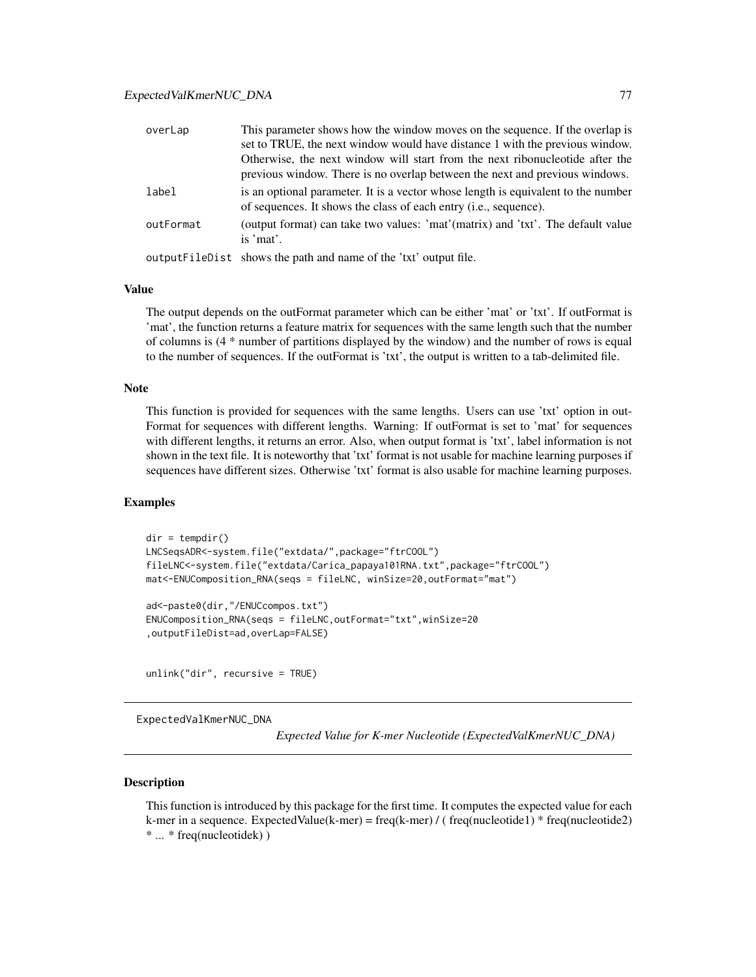| overLap   | This parameter shows how the window moves on the sequence. If the overlap is<br>set to TRUE, the next window would have distance 1 with the previous window.   |
|-----------|----------------------------------------------------------------------------------------------------------------------------------------------------------------|
|           | Otherwise, the next window will start from the next ribonucleotide after the<br>previous window. There is no overlap between the next and previous windows.    |
| label     | is an optional parameter. It is a vector whose length is equivalent to the number<br>of sequences. It shows the class of each entry ( <i>i.e.</i> , sequence). |
| outFormat | (output format) can take two values: 'mat'(matrix) and 'txt'. The default value<br>is 'mat'.                                                                   |
|           | output FileDist shows the path and name of the 'txt' output file.                                                                                              |

#### Value

The output depends on the outFormat parameter which can be either 'mat' or 'txt'. If outFormat is 'mat', the function returns a feature matrix for sequences with the same length such that the number of columns is (4 \* number of partitions displayed by the window) and the number of rows is equal to the number of sequences. If the outFormat is 'txt', the output is written to a tab-delimited file.

## Note

This function is provided for sequences with the same lengths. Users can use 'txt' option in out-Format for sequences with different lengths. Warning: If outFormat is set to 'mat' for sequences with different lengths, it returns an error. Also, when output format is 'txt', label information is not shown in the text file. It is noteworthy that 'txt' format is not usable for machine learning purposes if sequences have different sizes. Otherwise 'txt' format is also usable for machine learning purposes.

# Examples

```
dir = tempdir()LNCSeqsADR<-system.file("extdata/",package="ftrCOOL")
fileLNC<-system.file("extdata/Carica_papaya101RNA.txt",package="ftrCOOL")
mat<-ENUComposition_RNA(seqs = fileLNC, winSize=20,outFormat="mat")
ad<-paste0(dir,"/ENUCcompos.txt")
ENUComposition_RNA(seqs = fileLNC,outFormat="txt",winSize=20
,outputFileDist=ad,overLap=FALSE)
unlink("dir", recursive = TRUE)
```
ExpectedValKmerNUC\_DNA

*Expected Value for K-mer Nucleotide (ExpectedValKmerNUC\_DNA)*

#### Description

This function is introduced by this package for the first time. It computes the expected value for each k-mer in a sequence. ExpectedValue(k-mer) = freq(k-mer) / ( freq(nucleotide1) \* freq(nucleotide2) \* ... \* freq(nucleotidek) )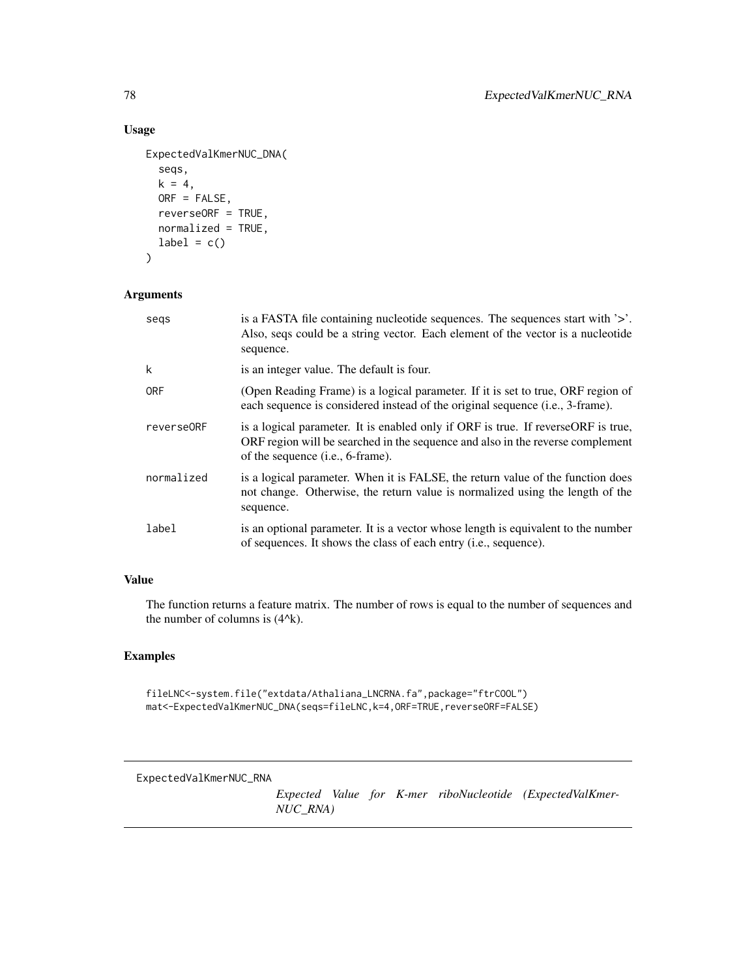# Usage

```
ExpectedValKmerNUC_DNA(
  seqs,
 k = 4,ORF = FALSE,reverseORF = TRUE,
 normalized = TRUE,
 label = c())
```
# Arguments

| segs       | is a FASTA file containing nucleotide sequences. The sequences start with $\geq$ .<br>Also, seqs could be a string vector. Each element of the vector is a nucleotide<br>sequence.                               |
|------------|------------------------------------------------------------------------------------------------------------------------------------------------------------------------------------------------------------------|
| k          | is an integer value. The default is four.                                                                                                                                                                        |
| <b>ORF</b> | (Open Reading Frame) is a logical parameter. If it is set to true, ORF region of<br>each sequence is considered instead of the original sequence (i.e., 3-frame).                                                |
| reverse0RF | is a logical parameter. It is enabled only if ORF is true. If reverseORF is true,<br>ORF region will be searched in the sequence and also in the reverse complement<br>of the sequence ( <i>i.e.</i> , 6-frame). |
| normalized | is a logical parameter. When it is FALSE, the return value of the function does<br>not change. Otherwise, the return value is normalized using the length of the<br>sequence.                                    |
| label      | is an optional parameter. It is a vector whose length is equivalent to the number<br>of sequences. It shows the class of each entry ( <i>i.e.</i> , sequence).                                                   |

# Value

The function returns a feature matrix. The number of rows is equal to the number of sequences and the number of columns is  $(4^k)$ .

# Examples

fileLNC<-system.file("extdata/Athaliana\_LNCRNA.fa",package="ftrCOOL") mat<-ExpectedValKmerNUC\_DNA(seqs=fileLNC,k=4,ORF=TRUE,reverseORF=FALSE)

ExpectedValKmerNUC\_RNA

*Expected Value for K-mer riboNucleotide (ExpectedValKmer-NUC\_RNA)*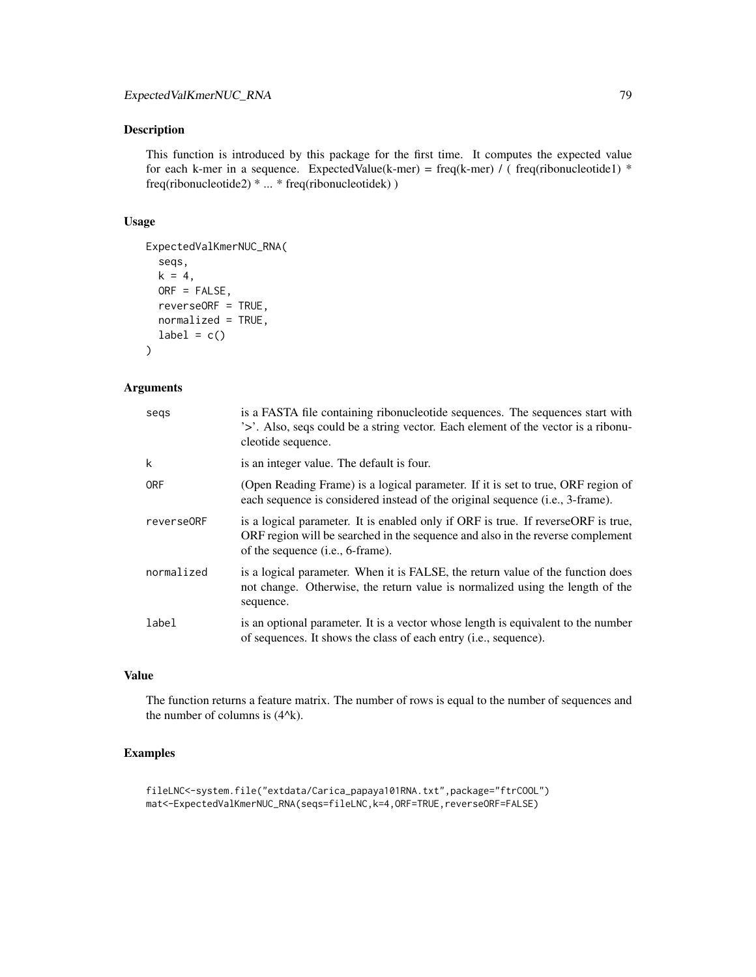This function is introduced by this package for the first time. It computes the expected value for each k-mer in a sequence. ExpectedValue(k-mer) = freq(k-mer) / (freq(ribonucleotide1) \* freq(ribonucleotide2) \* ... \* freq(ribonucleotidek) )

### Usage

```
ExpectedValKmerNUC_RNA(
  seqs,
  k = 4,ORF = FALSE,
  reverseORF = TRUE,
 normalized = TRUE,
  label = c())
```
# Arguments

| segs       | is a FASTA file containing ribonucleotide sequences. The sequences start with<br>'>'. Also, seqs could be a string vector. Each element of the vector is a ribonu-<br>cleotide sequence.                         |
|------------|------------------------------------------------------------------------------------------------------------------------------------------------------------------------------------------------------------------|
| k          | is an integer value. The default is four.                                                                                                                                                                        |
| <b>ORF</b> | (Open Reading Frame) is a logical parameter. If it is set to true, ORF region of<br>each sequence is considered instead of the original sequence (i.e., 3-frame).                                                |
| reverse0RF | is a logical parameter. It is enabled only if ORF is true. If reverseORF is true,<br>ORF region will be searched in the sequence and also in the reverse complement<br>of the sequence ( <i>i.e.</i> , 6-frame). |
| normalized | is a logical parameter. When it is FALSE, the return value of the function does<br>not change. Otherwise, the return value is normalized using the length of the<br>sequence.                                    |
| label      | is an optional parameter. It is a vector whose length is equivalent to the number<br>of sequences. It shows the class of each entry ( <i>i.e.</i> , sequence).                                                   |

# Value

The function returns a feature matrix. The number of rows is equal to the number of sequences and the number of columns is  $(4^k)$ .

# Examples

fileLNC<-system.file("extdata/Carica\_papaya101RNA.txt",package="ftrCOOL") mat<-ExpectedValKmerNUC\_RNA(seqs=fileLNC,k=4,ORF=TRUE,reverseORF=FALSE)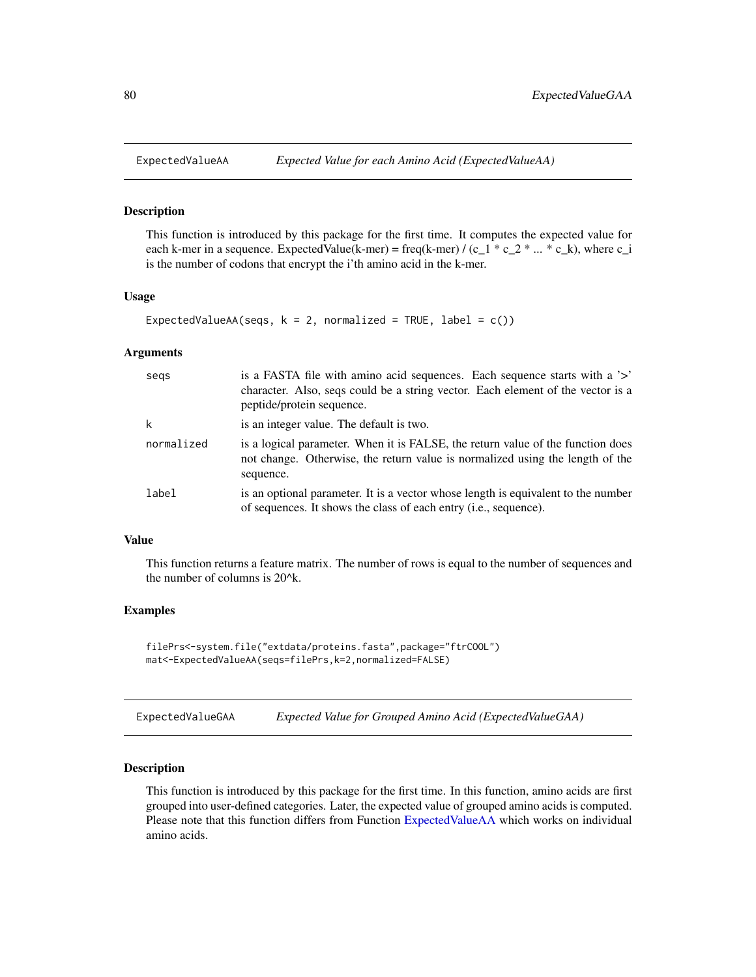<span id="page-79-0"></span>

This function is introduced by this package for the first time. It computes the expected value for each k-mer in a sequence. ExpectedValue(k-mer) = freq(k-mer) / (c\_1  $*$  c\_2  $*$  ...  $*$  c\_k), where c\_i is the number of codons that encrypt the i'th amino acid in the k-mer.

#### Usage

```
ExpectedValueAA(seqs, k = 2, normalized = TRUE, label = c())
```
## Arguments

| segs       | is a FASTA file with amino acid sequences. Each sequence starts with a '>'<br>character. Also, seqs could be a string vector. Each element of the vector is a<br>peptide/protein sequence. |
|------------|--------------------------------------------------------------------------------------------------------------------------------------------------------------------------------------------|
| k          | is an integer value. The default is two.                                                                                                                                                   |
| normalized | is a logical parameter. When it is FALSE, the return value of the function does<br>not change. Otherwise, the return value is normalized using the length of the<br>sequence.              |
| label      | is an optional parameter. It is a vector whose length is equivalent to the number<br>of sequences. It shows the class of each entry (i.e., sequence).                                      |

#### Value

This function returns a feature matrix. The number of rows is equal to the number of sequences and the number of columns is 20^k.

## Examples

```
filePrs<-system.file("extdata/proteins.fasta",package="ftrCOOL")
mat<-ExpectedValueAA(seqs=filePrs,k=2,normalized=FALSE)
```

| Expected Value for Grouped Amino Acid (ExpectedValueGAA) | ExpectedValueGAA |  |  |  |
|----------------------------------------------------------|------------------|--|--|--|
|----------------------------------------------------------|------------------|--|--|--|

#### Description

This function is introduced by this package for the first time. In this function, amino acids are first grouped into user-defined categories. Later, the expected value of grouped amino acids is computed. Please note that this function differs from Function [ExpectedValueAA](#page-79-0) which works on individual amino acids.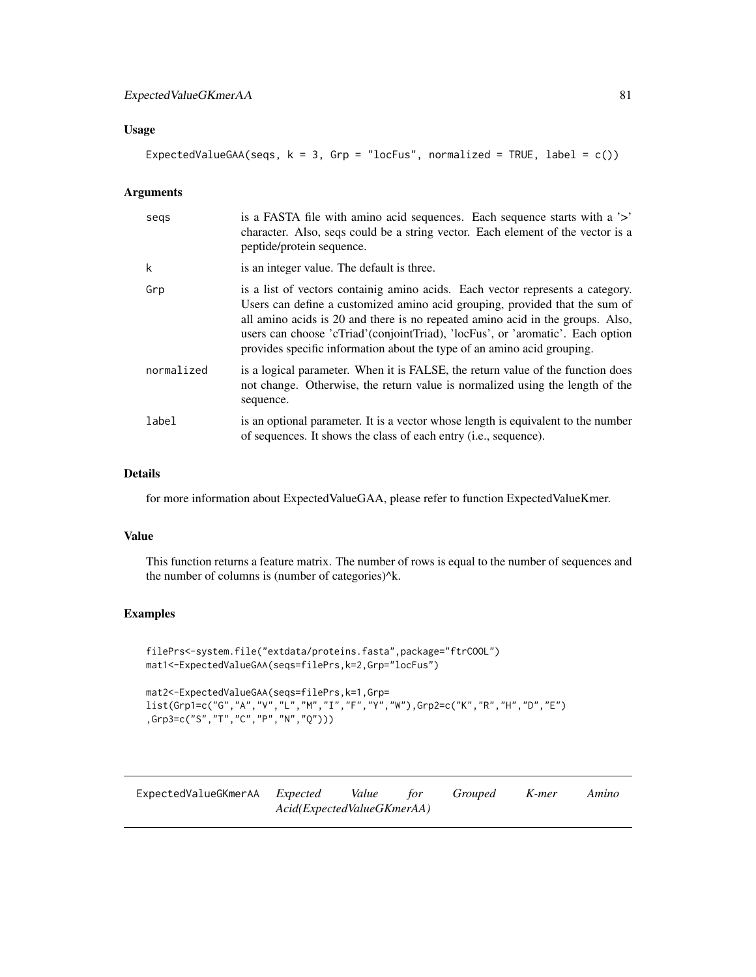# Usage

ExpectedValueGAA(seqs,  $k = 3$ , Grp = "locFus", normalized = TRUE, label =  $c()$ )

## Arguments

| segs       | is a FASTA file with amino acid sequences. Each sequence starts with a '>'<br>character. Also, seqs could be a string vector. Each element of the vector is a<br>peptide/protein sequence.                                                                                                                                                                                                                     |
|------------|----------------------------------------------------------------------------------------------------------------------------------------------------------------------------------------------------------------------------------------------------------------------------------------------------------------------------------------------------------------------------------------------------------------|
| k          | is an integer value. The default is three.                                                                                                                                                                                                                                                                                                                                                                     |
| Grp        | is a list of vectors containig amino acids. Each vector represents a category.<br>Users can define a customized amino acid grouping, provided that the sum of<br>all amino acids is 20 and there is no repeated amino acid in the groups. Also,<br>users can choose 'cTriad' (conjoint Triad), 'locFus', or 'aromatic'. Each option<br>provides specific information about the type of an amino acid grouping. |
| normalized | is a logical parameter. When it is FALSE, the return value of the function does<br>not change. Otherwise, the return value is normalized using the length of the<br>sequence.                                                                                                                                                                                                                                  |
| label      | is an optional parameter. It is a vector whose length is equivalent to the number<br>of sequences. It shows the class of each entry ( <i>i.e.</i> , sequence).                                                                                                                                                                                                                                                 |

## Details

for more information about ExpectedValueGAA, please refer to function ExpectedValueKmer.

# Value

This function returns a feature matrix. The number of rows is equal to the number of sequences and the number of columns is (number of categories)^k.

```
filePrs<-system.file("extdata/proteins.fasta",package="ftrCOOL")
mat1<-ExpectedValueGAA(seqs=filePrs,k=2,Grp="locFus")
```

```
mat2<-ExpectedValueGAA(seqs=filePrs,k=1,Grp=
list(Grp1=c("G","A","V","L","M","I","F","Y","W"),Grp2=c("K","R","H","D","E")
,Grp3=c("S","T","C","P","N","Q")))
```

| ExpectedValueGKmerAA <i>Expected</i> |                            | Value for | <i>Grouped</i> | K-mer | Amino |
|--------------------------------------|----------------------------|-----------|----------------|-------|-------|
|                                      | Acid(ExpectedValueGKmerAA) |           |                |       |       |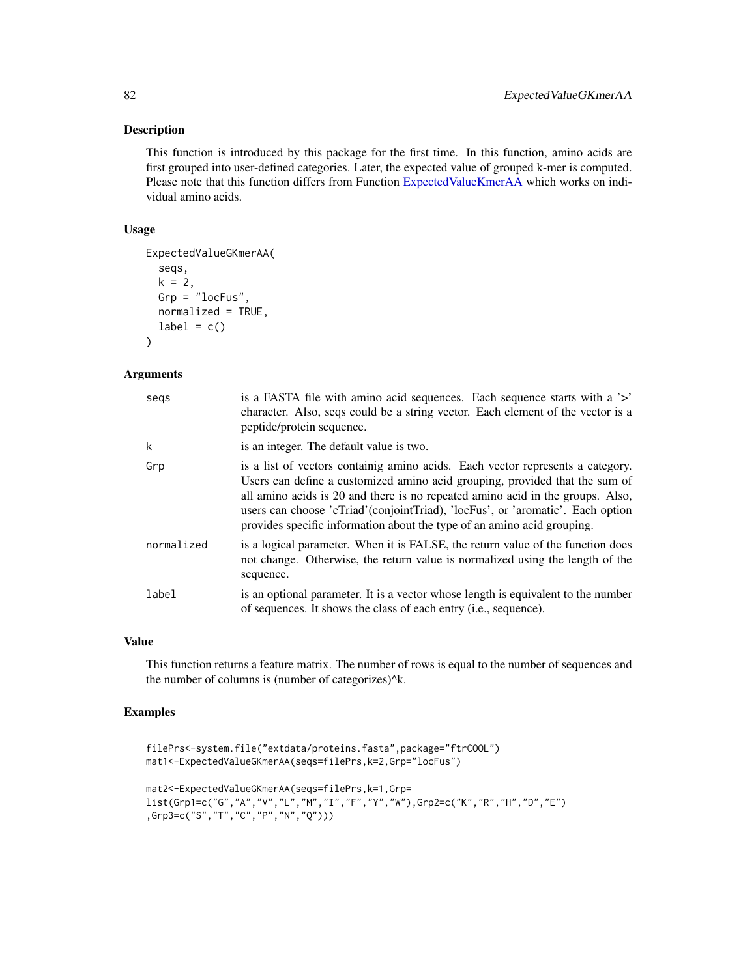This function is introduced by this package for the first time. In this function, amino acids are first grouped into user-defined categories. Later, the expected value of grouped k-mer is computed. Please note that this function differs from Function [ExpectedValueKmerAA](#page-82-0) which works on individual amino acids.

# Usage

```
ExpectedValueGKmerAA(
  seqs,
  k = 2,
  Grp = "locFus",
  normalized = TRUE,
  label = c()\lambda
```
### Arguments

| segs       | is a FASTA file with amino acid sequences. Each sequence starts with a '>'<br>character. Also, seqs could be a string vector. Each element of the vector is a<br>peptide/protein sequence.                                                                                                                                                                                                                     |
|------------|----------------------------------------------------------------------------------------------------------------------------------------------------------------------------------------------------------------------------------------------------------------------------------------------------------------------------------------------------------------------------------------------------------------|
| k          | is an integer. The default value is two.                                                                                                                                                                                                                                                                                                                                                                       |
| Grp        | is a list of vectors containig amino acids. Each vector represents a category.<br>Users can define a customized amino acid grouping, provided that the sum of<br>all amino acids is 20 and there is no repeated amino acid in the groups. Also,<br>users can choose 'cTriad' (conjoint Triad), 'locFus', or 'aromatic'. Each option<br>provides specific information about the type of an amino acid grouping. |
| normalized | is a logical parameter. When it is FALSE, the return value of the function does<br>not change. Otherwise, the return value is normalized using the length of the<br>sequence.                                                                                                                                                                                                                                  |
| label      | is an optional parameter. It is a vector whose length is equivalent to the number<br>of sequences. It shows the class of each entry ( <i>i.e.</i> , sequence).                                                                                                                                                                                                                                                 |

#### Value

This function returns a feature matrix. The number of rows is equal to the number of sequences and the number of columns is (number of categorizes)^k.

```
filePrs<-system.file("extdata/proteins.fasta",package="ftrCOOL")
mat1<-ExpectedValueGKmerAA(seqs=filePrs,k=2,Grp="locFus")
mat2<-ExpectedValueGKmerAA(seqs=filePrs,k=1,Grp=
list(Grp1=c("G","A","V","L","M","I","F","Y","W"),Grp2=c("K","R","H","D","E")
,Grp3=c("S","T","C","P","N","Q")))
```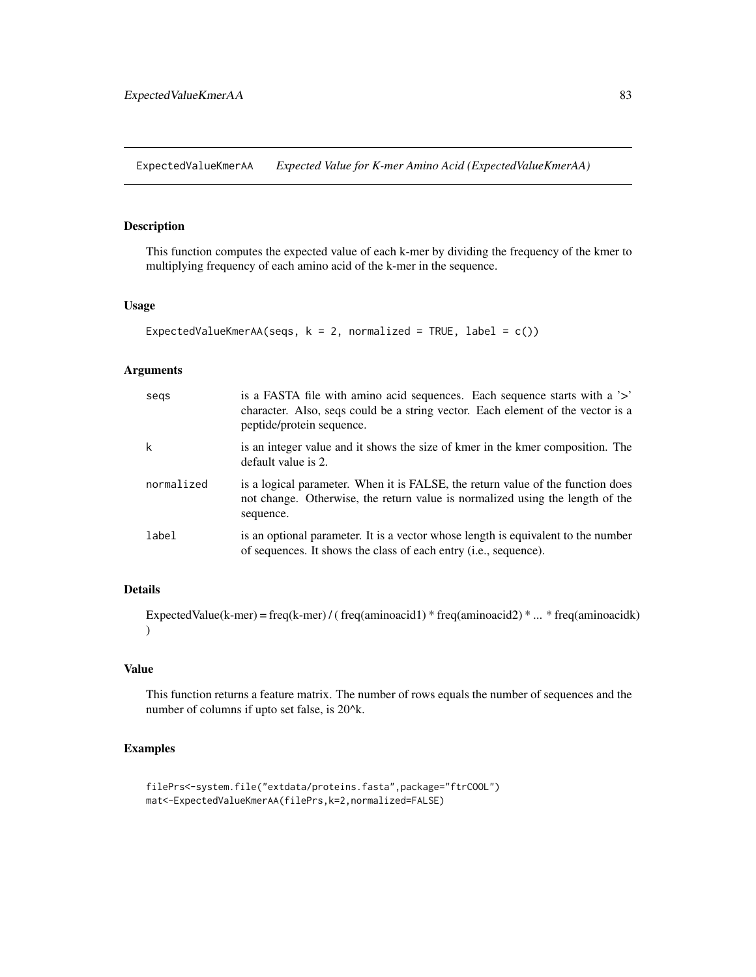<span id="page-82-0"></span>ExpectedValueKmerAA *Expected Value for K-mer Amino Acid (ExpectedValueKmerAA)*

## Description

This function computes the expected value of each k-mer by dividing the frequency of the kmer to multiplying frequency of each amino acid of the k-mer in the sequence.

## Usage

```
ExpectedValueKmerAA(seqs, k = 2, normalized = TRUE, label = c())
```
## Arguments

| segs       | is a FASTA file with a mino acid sequences. Each sequence starts with a '>'<br>character. Also, seqs could be a string vector. Each element of the vector is a<br>peptide/protein sequence. |
|------------|---------------------------------------------------------------------------------------------------------------------------------------------------------------------------------------------|
| k          | is an integer value and it shows the size of kmer in the kmer composition. The<br>default value is 2.                                                                                       |
| normalized | is a logical parameter. When it is FALSE, the return value of the function does<br>not change. Otherwise, the return value is normalized using the length of the<br>sequence.               |
| label      | is an optional parameter. It is a vector whose length is equivalent to the number<br>of sequences. It shows the class of each entry ( <i>i.e.</i> , sequence).                              |

# Details

ExpectedValue(k-mer) = freq(k-mer) / ( freq(aminoacid1) \* freq(aminoacid2) \* ... \* freq(aminoacidk) )

## Value

This function returns a feature matrix. The number of rows equals the number of sequences and the number of columns if upto set false, is 20^k.

```
filePrs<-system.file("extdata/proteins.fasta",package="ftrCOOL")
mat<-ExpectedValueKmerAA(filePrs,k=2,normalized=FALSE)
```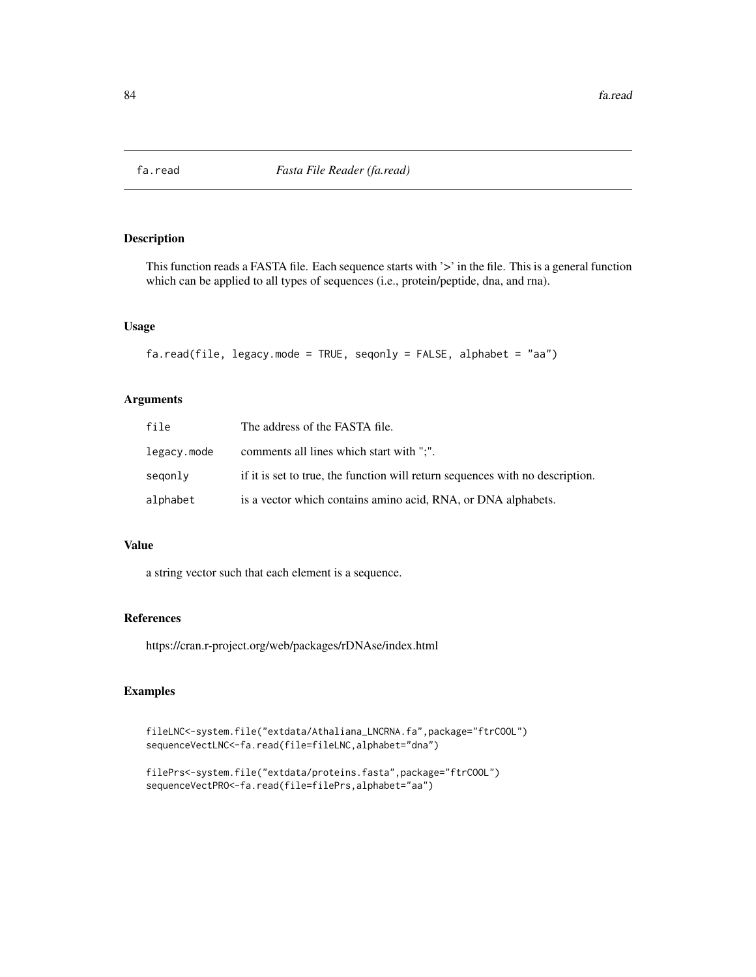This function reads a FASTA file. Each sequence starts with '>' in the file. This is a general function which can be applied to all types of sequences (i.e., protein/peptide, dna, and rna).

# Usage

```
fa.read(file, legacy.mode = TRUE, seqonly = FALSE, alphabet = "aa")
```
# Arguments

| file        | The address of the FASTA file.                                                |
|-------------|-------------------------------------------------------------------------------|
| legacy.mode | comments all lines which start with ";".                                      |
| segonly     | if it is set to true, the function will return sequences with no description. |
| alphabet    | is a vector which contains amino acid, RNA, or DNA alphabets.                 |

### Value

a string vector such that each element is a sequence.

## References

https://cran.r-project.org/web/packages/rDNAse/index.html

```
fileLNC<-system.file("extdata/Athaliana_LNCRNA.fa",package="ftrCOOL")
sequenceVectLNC<-fa.read(file=fileLNC,alphabet="dna")
```

```
filePrs<-system.file("extdata/proteins.fasta",package="ftrCOOL")
sequenceVectPRO<-fa.read(file=filePrs,alphabet="aa")
```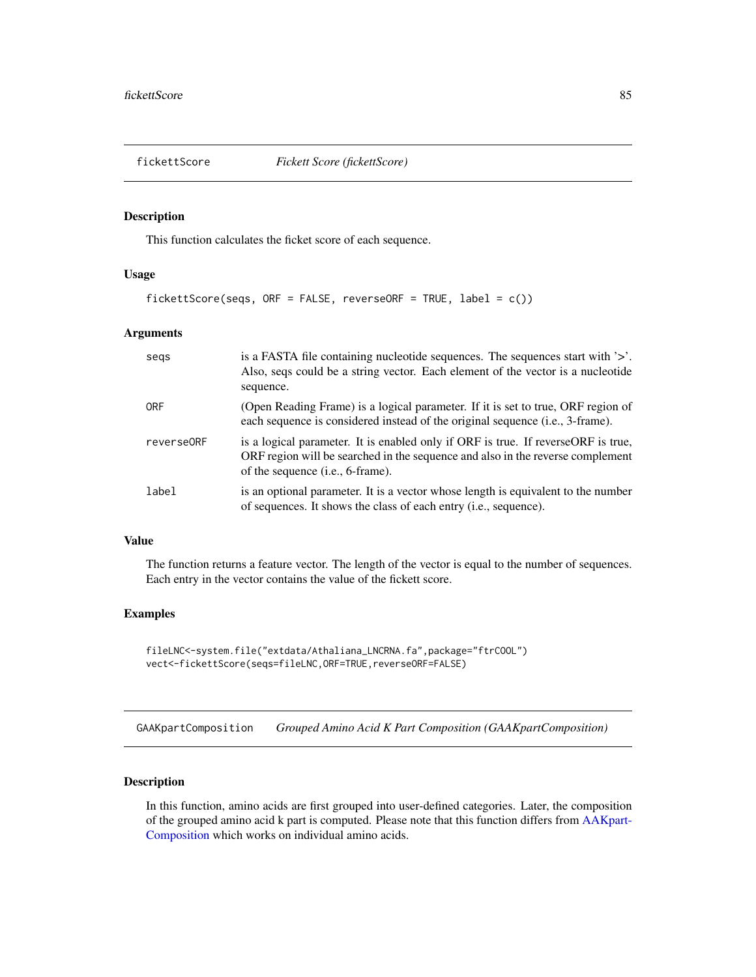This function calculates the ficket score of each sequence.

# Usage

```
fickettScore(seqs, ORF = FALSE, reverseORF = TRUE, label = c())
```
# Arguments

| segs       | is a FASTA file containing nucleotide sequences. The sequences start with $\geq$ .<br>Also, seqs could be a string vector. Each element of the vector is a nucleotide<br>sequence.                                |
|------------|-------------------------------------------------------------------------------------------------------------------------------------------------------------------------------------------------------------------|
| <b>ORF</b> | (Open Reading Frame) is a logical parameter. If it is set to true, ORF region of<br>each sequence is considered instead of the original sequence (i.e., 3-frame).                                                 |
| reverse0RF | is a logical parameter. It is enabled only if ORF is true. If reverse ORF is true,<br>ORF region will be searched in the sequence and also in the reverse complement<br>of the sequence ( <i>i.e.</i> , 6-frame). |
| label      | is an optional parameter. It is a vector whose length is equivalent to the number<br>of sequences. It shows the class of each entry (i.e., sequence).                                                             |

#### Value

The function returns a feature vector. The length of the vector is equal to the number of sequences. Each entry in the vector contains the value of the fickett score.

#### Examples

```
fileLNC<-system.file("extdata/Athaliana_LNCRNA.fa",package="ftrCOOL")
vect<-fickettScore(seqs=fileLNC,ORF=TRUE,reverseORF=FALSE)
```
GAAKpartComposition *Grouped Amino Acid K Part Composition (GAAKpartComposition)*

## Description

In this function, amino acids are first grouped into user-defined categories. Later, the composition of the grouped amino acid k part is computed. Please note that this function differs from [AAKpart-](#page-7-0)[Composition](#page-7-0) which works on individual amino acids.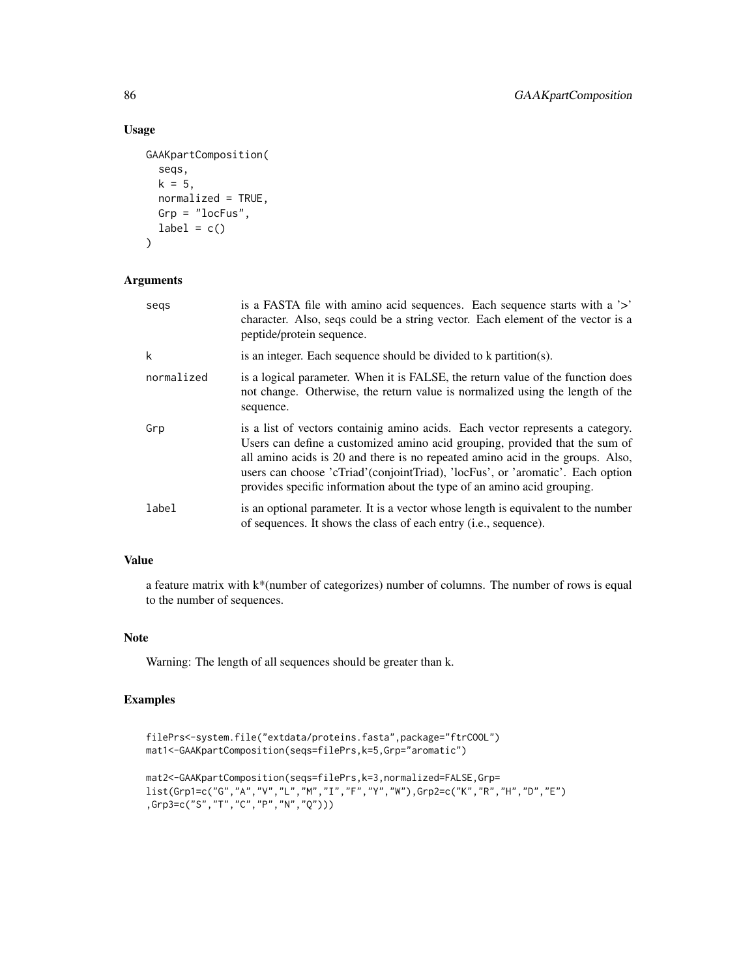# Usage

```
GAAKpartComposition(
  seqs,
 k = 5,normalized = TRUE,
 Grp = "locFus",
 label = c())
```
# Arguments

| segs       | is a FASTA file with a mino acid sequences. Each sequence starts with a '>'<br>character. Also, seqs could be a string vector. Each element of the vector is a<br>peptide/protein sequence.                                                                                                                                                                                                                   |
|------------|---------------------------------------------------------------------------------------------------------------------------------------------------------------------------------------------------------------------------------------------------------------------------------------------------------------------------------------------------------------------------------------------------------------|
| k          | is an integer. Each sequence should be divided to k partition(s).                                                                                                                                                                                                                                                                                                                                             |
| normalized | is a logical parameter. When it is FALSE, the return value of the function does<br>not change. Otherwise, the return value is normalized using the length of the<br>sequence.                                                                                                                                                                                                                                 |
| Grp        | is a list of vectors containig amino acids. Each vector represents a category.<br>Users can define a customized amino acid grouping, provided that the sum of<br>all amino acids is 20 and there is no repeated amino acid in the groups. Also,<br>users can choose 'cTriad' (conjointTriad), 'locFus', or 'aromatic'. Each option<br>provides specific information about the type of an amino acid grouping. |
| label      | is an optional parameter. It is a vector whose length is equivalent to the number<br>of sequences. It shows the class of each entry (i.e., sequence).                                                                                                                                                                                                                                                         |

# Value

a feature matrix with k\*(number of categorizes) number of columns. The number of rows is equal to the number of sequences.

# Note

Warning: The length of all sequences should be greater than k.

```
filePrs<-system.file("extdata/proteins.fasta",package="ftrCOOL")
mat1<-GAAKpartComposition(seqs=filePrs,k=5,Grp="aromatic")
mat2<-GAAKpartComposition(seqs=filePrs,k=3,normalized=FALSE,Grp=
\texttt{list}(\texttt{Grpl=c("G", "A", "V", "L", "M", "I", "F", "Y", "W", "W", \texttt{Grpl=cc("K", "R", "H", "D", "E"})},Grp3=c("S","T","C","P","N","Q")))
```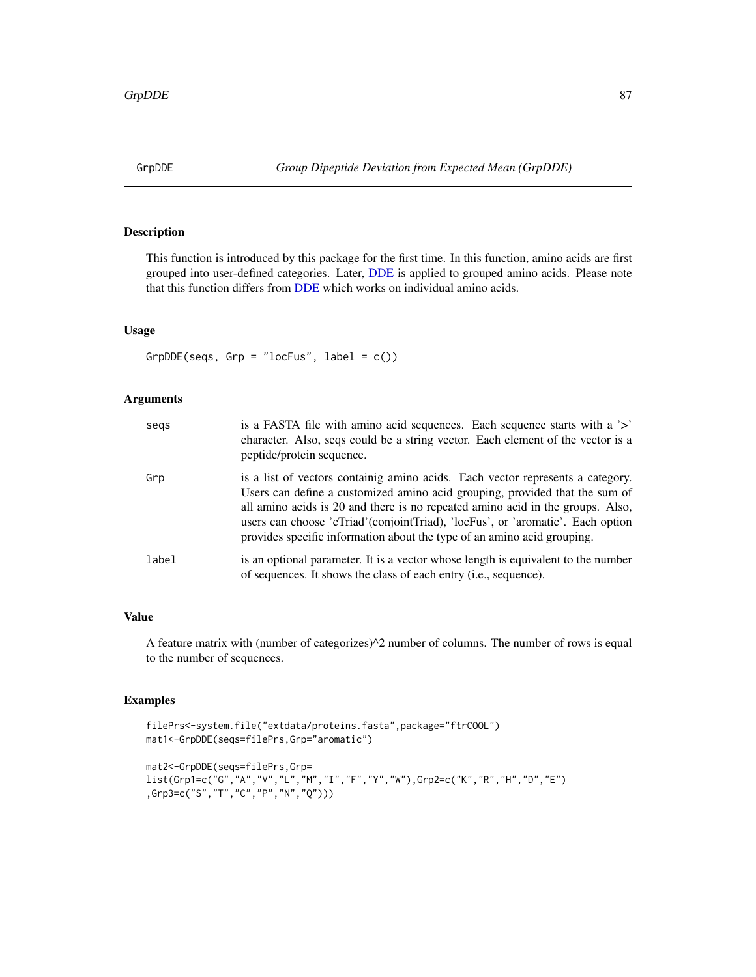This function is introduced by this package for the first time. In this function, amino acids are first grouped into user-defined categories. Later, [DDE](#page-56-0) is applied to grouped amino acids. Please note that this function differs from [DDE](#page-56-0) which works on individual amino acids.

## Usage

GrpDDE(seqs, Grp = "locFus", label =  $c()$ )

### Arguments

| segs  | is a FASTA file with a mino acid sequences. Each sequence starts with a '>'<br>character. Also, seqs could be a string vector. Each element of the vector is a<br>peptide/protein sequence.                                                                                                                                                                                                                  |
|-------|--------------------------------------------------------------------------------------------------------------------------------------------------------------------------------------------------------------------------------------------------------------------------------------------------------------------------------------------------------------------------------------------------------------|
| Grp   | is a list of vectors containig amino acids. Each vector represents a category.<br>Users can define a customized amino acid grouping, provided that the sum of<br>all amino acids is 20 and there is no repeated amino acid in the groups. Also,<br>users can choose 'cTriad'(conjointTriad), 'locFus', or 'aromatic'. Each option<br>provides specific information about the type of an amino acid grouping. |
| label | is an optional parameter. It is a vector whose length is equivalent to the number<br>of sequences. It shows the class of each entry (i.e., sequence).                                                                                                                                                                                                                                                        |

# Value

A feature matrix with (number of categorizes)^2 number of columns. The number of rows is equal to the number of sequences.

```
filePrs<-system.file("extdata/proteins.fasta",package="ftrCOOL")
mat1<-GrpDDE(seqs=filePrs,Grp="aromatic")
```

```
mat2<-GrpDDE(seqs=filePrs,Grp=
list(Grp1=c("G","A","V","L","M","I","F","Y","W"),Grp2=c("K","R","H","D","E")
,Grp3=c("S","T","C","P","N","Q")))
```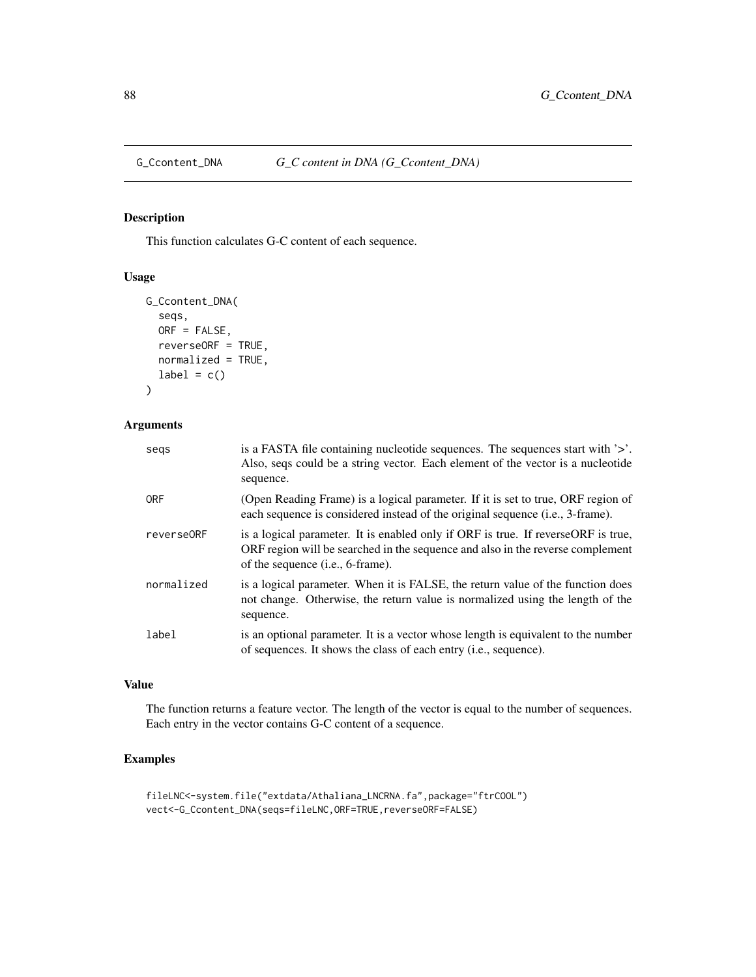This function calculates G-C content of each sequence.

# Usage

```
G_Ccontent_DNA(
  seqs,
  ORF = FALSE,
  reverseORF = TRUE,
  normalized = TRUE,
  label = c()\mathcal{L}
```
# Arguments

| segs       | is a FASTA file containing nucleotide sequences. The sequences start with '>'.<br>Also, seqs could be a string vector. Each element of the vector is a nucleotide<br>sequence.                                    |
|------------|-------------------------------------------------------------------------------------------------------------------------------------------------------------------------------------------------------------------|
| <b>ORF</b> | (Open Reading Frame) is a logical parameter. If it is set to true, ORF region of<br>each sequence is considered instead of the original sequence (i.e., 3-frame).                                                 |
| reverse0RF | is a logical parameter. It is enabled only if ORF is true. If reverse ORF is true,<br>ORF region will be searched in the sequence and also in the reverse complement<br>of the sequence ( <i>i.e.</i> , 6-frame). |
| normalized | is a logical parameter. When it is FALSE, the return value of the function does<br>not change. Otherwise, the return value is normalized using the length of the<br>sequence.                                     |
| label      | is an optional parameter. It is a vector whose length is equivalent to the number<br>of sequences. It shows the class of each entry ( <i>i.e.</i> , sequence).                                                    |

# Value

The function returns a feature vector. The length of the vector is equal to the number of sequences. Each entry in the vector contains G-C content of a sequence.

```
fileLNC<-system.file("extdata/Athaliana_LNCRNA.fa",package="ftrCOOL")
vect<-G_Ccontent_DNA(seqs=fileLNC,ORF=TRUE,reverseORF=FALSE)
```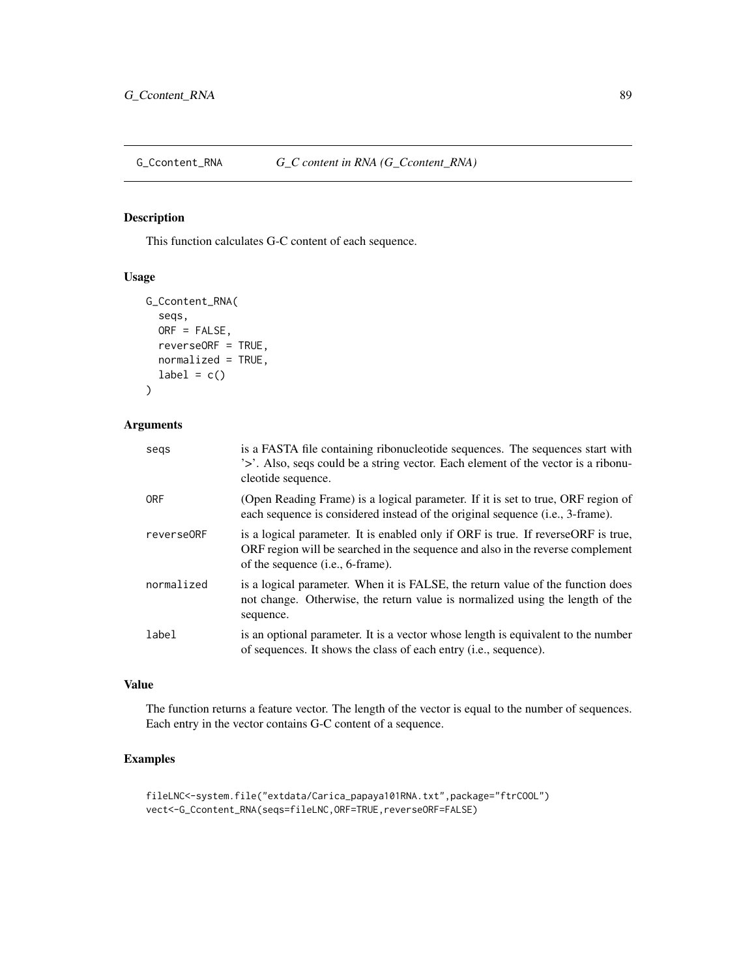G\_Ccontent\_RNA *G\_C content in RNA (G\_Ccontent\_RNA)*

# Description

This function calculates G-C content of each sequence.

# Usage

```
G_Ccontent_RNA(
  seqs,
  ORF = FALSE,
  reverseORF = TRUE,
  normalized = TRUE,
  label = c()\mathcal{L}
```
# Arguments

| segs       | is a FASTA file containing ribonucleotide sequences. The sequences start with<br>'>'. Also, seqs could be a string vector. Each element of the vector is a ribonu-<br>cleotide sequence.                          |
|------------|-------------------------------------------------------------------------------------------------------------------------------------------------------------------------------------------------------------------|
| <b>ORF</b> | (Open Reading Frame) is a logical parameter. If it is set to true, ORF region of<br>each sequence is considered instead of the original sequence (i.e., 3-frame).                                                 |
| reverse0RF | is a logical parameter. It is enabled only if ORF is true. If reverse ORF is true,<br>ORF region will be searched in the sequence and also in the reverse complement<br>of the sequence ( <i>i.e.</i> , 6-frame). |
| normalized | is a logical parameter. When it is FALSE, the return value of the function does<br>not change. Otherwise, the return value is normalized using the length of the<br>sequence.                                     |
| label      | is an optional parameter. It is a vector whose length is equivalent to the number<br>of sequences. It shows the class of each entry ( <i>i.e.</i> , sequence).                                                    |

# Value

The function returns a feature vector. The length of the vector is equal to the number of sequences. Each entry in the vector contains G-C content of a sequence.

```
fileLNC<-system.file("extdata/Carica_papaya101RNA.txt",package="ftrCOOL")
vect<-G_Ccontent_RNA(seqs=fileLNC,ORF=TRUE,reverseORF=FALSE)
```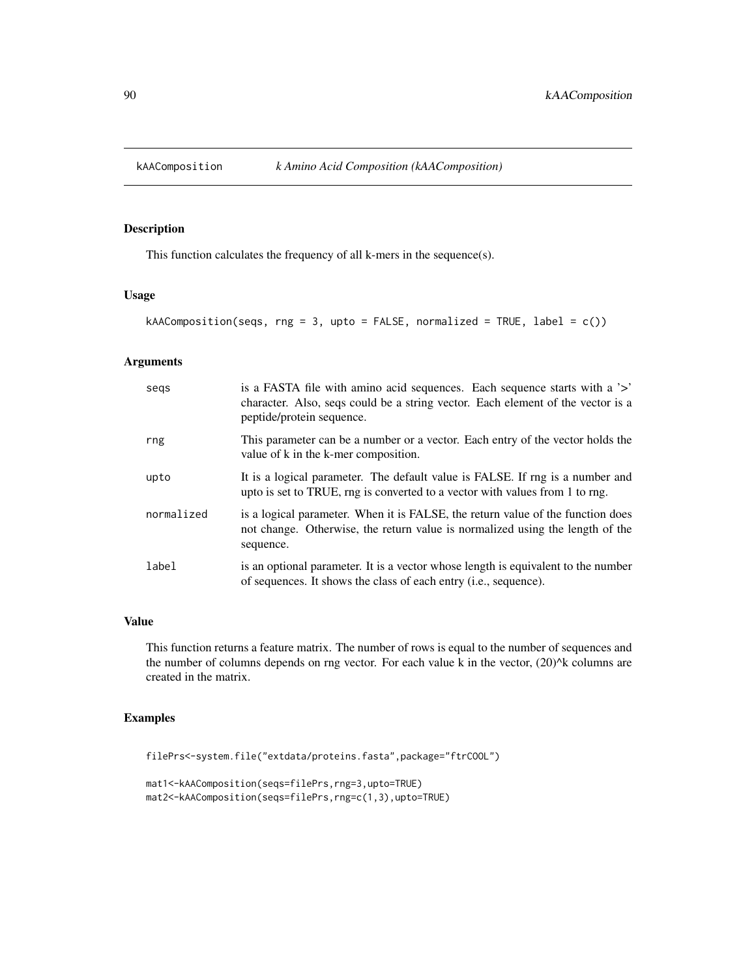<span id="page-89-0"></span>

This function calculates the frequency of all k-mers in the sequence(s).

#### Usage

```
kAAComposition(seqs, rng = 3, upto = FALSE, normalized = TRUE, label = c())
```
## Arguments

| segs       | is a FASTA file with a mino acid sequences. Each sequence starts with a '>'<br>character. Also, seqs could be a string vector. Each element of the vector is a<br>peptide/protein sequence. |
|------------|---------------------------------------------------------------------------------------------------------------------------------------------------------------------------------------------|
| rng        | This parameter can be a number or a vector. Each entry of the vector holds the<br>value of k in the k-mer composition.                                                                      |
| upto       | It is a logical parameter. The default value is FALSE. If rng is a number and<br>upto is set to TRUE, rng is converted to a vector with values from 1 to rng.                               |
| normalized | is a logical parameter. When it is FALSE, the return value of the function does<br>not change. Otherwise, the return value is normalized using the length of the<br>sequence.               |
| label      | is an optional parameter. It is a vector whose length is equivalent to the number<br>of sequences. It shows the class of each entry ( <i>i.e.</i> , sequence).                              |

#### Value

This function returns a feature matrix. The number of rows is equal to the number of sequences and the number of columns depends on rng vector. For each value k in the vector,  $(20)^{k}$  columns are created in the matrix.

```
filePrs<-system.file("extdata/proteins.fasta",package="ftrCOOL")
```

```
mat1<-kAAComposition(seqs=filePrs,rng=3,upto=TRUE)
mat2<-kAAComposition(seqs=filePrs,rng=c(1,3),upto=TRUE)
```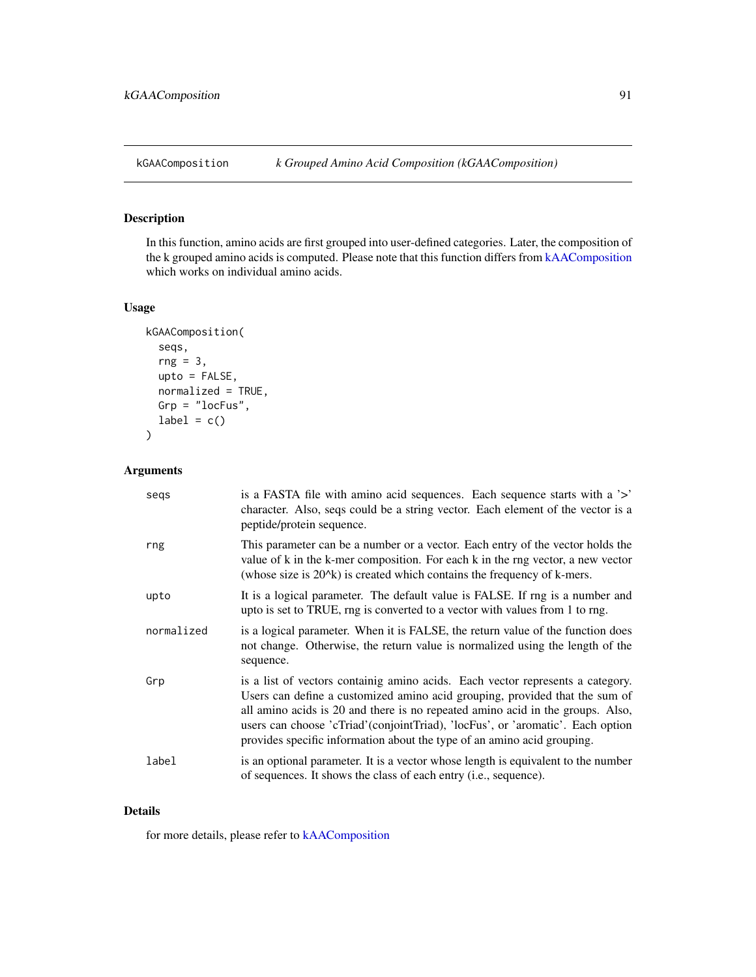In this function, amino acids are first grouped into user-defined categories. Later, the composition of the k grouped amino acids is computed. Please note that this function differs from [kAAComposition](#page-89-0) which works on individual amino acids.

## Usage

```
kGAAComposition(
  seqs,
  rng = 3,upto = FALSE,normalized = TRUE,
  Grp = "locFus",
  label = c()\mathcal{L}
```
# Arguments

| segs       | is a FASTA file with amino acid sequences. Each sequence starts with a '>'<br>character. Also, seqs could be a string vector. Each element of the vector is a<br>peptide/protein sequence.                                                                                                                                                                                                                    |
|------------|---------------------------------------------------------------------------------------------------------------------------------------------------------------------------------------------------------------------------------------------------------------------------------------------------------------------------------------------------------------------------------------------------------------|
| rng        | This parameter can be a number or a vector. Each entry of the vector holds the<br>value of k in the k-mer composition. For each k in the rng vector, a new vector<br>(whose size is $20^x$ ) is created which contains the frequency of k-mers.                                                                                                                                                               |
| upto       | It is a logical parameter. The default value is FALSE. If rng is a number and<br>upto is set to TRUE, rng is converted to a vector with values from 1 to rng.                                                                                                                                                                                                                                                 |
| normalized | is a logical parameter. When it is FALSE, the return value of the function does<br>not change. Otherwise, the return value is normalized using the length of the<br>sequence.                                                                                                                                                                                                                                 |
| Grp        | is a list of vectors containig amino acids. Each vector represents a category.<br>Users can define a customized amino acid grouping, provided that the sum of<br>all amino acids is 20 and there is no repeated amino acid in the groups. Also,<br>users can choose 'cTriad' (conjointTriad), 'locFus', or 'aromatic'. Each option<br>provides specific information about the type of an amino acid grouping. |
| label      | is an optional parameter. It is a vector whose length is equivalent to the number<br>of sequences. It shows the class of each entry (i.e., sequence).                                                                                                                                                                                                                                                         |

## Details

for more details, please refer to [kAAComposition](#page-89-0)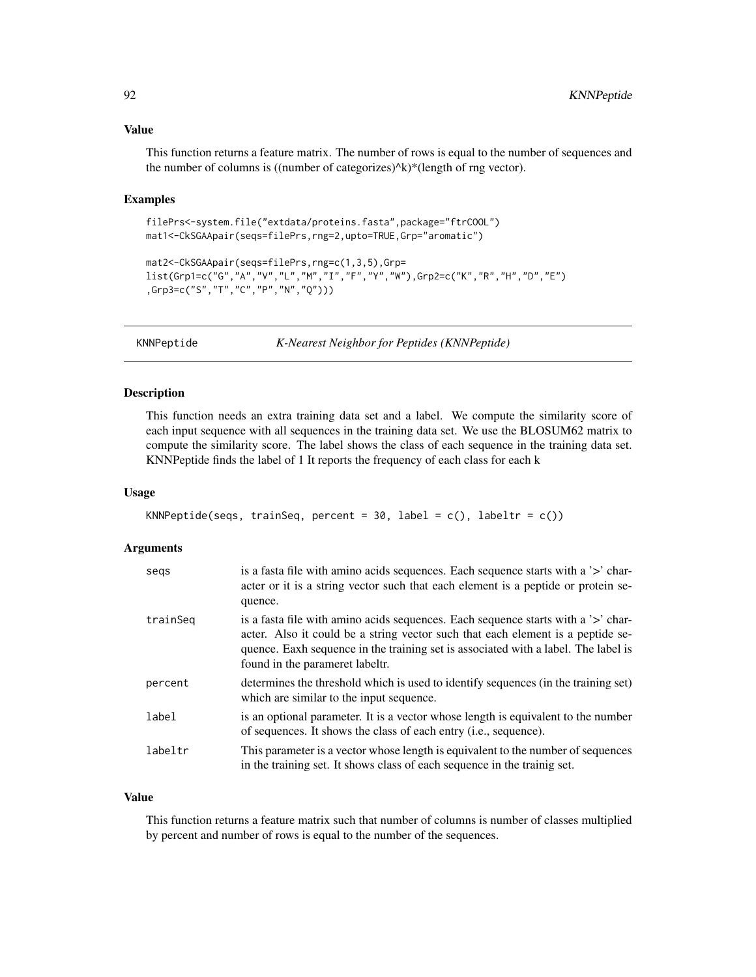## Value

This function returns a feature matrix. The number of rows is equal to the number of sequences and the number of columns is ((number of categorizes) $\Delta k$ )\*(length of rng vector).

#### Examples

```
filePrs<-system.file("extdata/proteins.fasta",package="ftrCOOL")
mat1<-CkSGAApair(seqs=filePrs,rng=2,upto=TRUE,Grp="aromatic")
```

```
mat2<-CkSGAApair(seqs=filePrs,rng=c(1,3,5),Grp=
list(Grp1=c("G","A","V","L","M","I","F","Y","W"),Grp2=c("K","R","H","D","E")
,Grp3=c("S","T","C","P","N","Q")))
```
<span id="page-91-0"></span>

KNNPeptide *K-Nearest Neighbor for Peptides (KNNPeptide)*

#### Description

This function needs an extra training data set and a label. We compute the similarity score of each input sequence with all sequences in the training data set. We use the BLOSUM62 matrix to compute the similarity score. The label shows the class of each sequence in the training data set. KNNPeptide finds the label of 1 It reports the frequency of each class for each k

#### Usage

```
KNNPeptide(seqs, trainSeq, percent = 30, label = c(), labeltr = c())
```
# Arguments

| segs     | is a fasta file with a mino acids sequences. Each sequence starts with a '>' char-<br>acter or it is a string vector such that each element is a peptide or protein se-<br>quence.                                                                                                            |
|----------|-----------------------------------------------------------------------------------------------------------------------------------------------------------------------------------------------------------------------------------------------------------------------------------------------|
| trainSeg | is a fasta file with amino acids sequences. Each sequence starts with a '>' char-<br>acter. Also it could be a string vector such that each element is a peptide se-<br>quence. Eaxh sequence in the training set is associated with a label. The label is<br>found in the parameret labeltr. |
| percent  | determines the threshold which is used to identify sequences (in the training set)<br>which are similar to the input sequence.                                                                                                                                                                |
| label    | is an optional parameter. It is a vector whose length is equivalent to the number<br>of sequences. It shows the class of each entry ( <i>i.e.</i> , sequence).                                                                                                                                |
| labeltr  | This parameter is a vector whose length is equivalent to the number of sequences<br>in the training set. It shows class of each sequence in the training set.                                                                                                                                 |

#### Value

This function returns a feature matrix such that number of columns is number of classes multiplied by percent and number of rows is equal to the number of the sequences.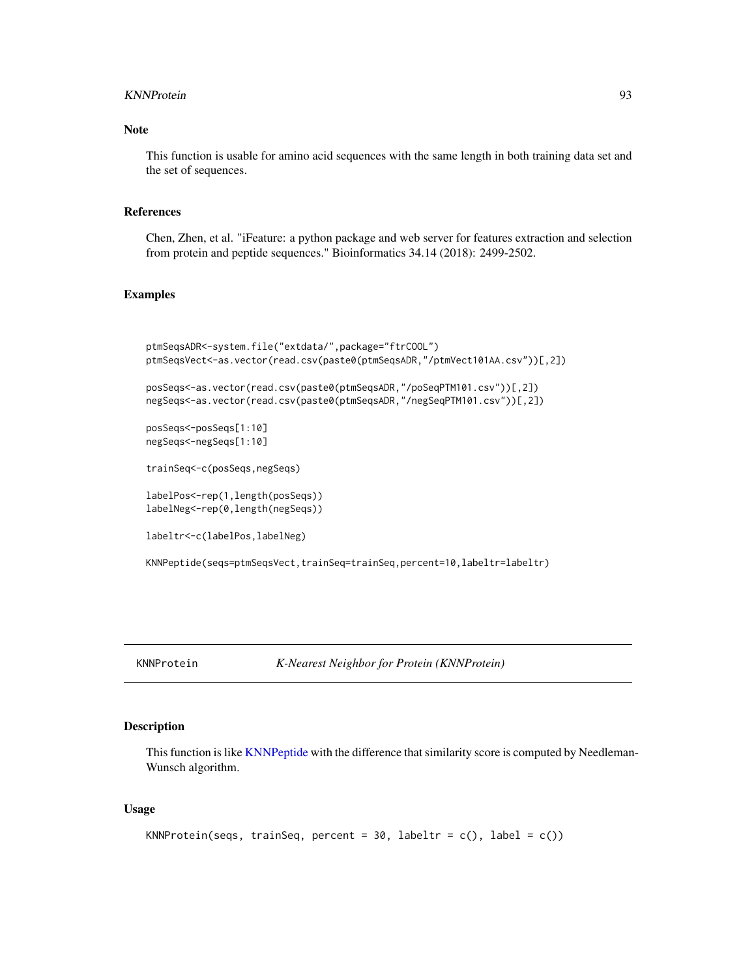#### KNNProtein 93

## Note

This function is usable for amino acid sequences with the same length in both training data set and the set of sequences.

## References

Chen, Zhen, et al. "iFeature: a python package and web server for features extraction and selection from protein and peptide sequences." Bioinformatics 34.14 (2018): 2499-2502.

## Examples

```
ptmSeqsADR<-system.file("extdata/",package="ftrCOOL")
ptmSeqsVect<-as.vector(read.csv(paste0(ptmSeqsADR,"/ptmVect101AA.csv"))[,2])
posSeqs<-as.vector(read.csv(paste0(ptmSeqsADR,"/poSeqPTM101.csv"))[,2])
negSeqs<-as.vector(read.csv(paste0(ptmSeqsADR,"/negSeqPTM101.csv"))[,2])
posSeqs<-posSeqs[1:10]
negSeqs<-negSeqs[1:10]
trainSeq<-c(posSeqs,negSeqs)
labelPos<-rep(1,length(posSeqs))
labelNeg<-rep(0,length(negSeqs))
labeltr<-c(labelPos,labelNeg)
KNNPeptide(seqs=ptmSeqsVect,trainSeq=trainSeq,percent=10,labeltr=labeltr)
```
KNNProtein *K-Nearest Neighbor for Protein (KNNProtein)*

## Description

This function is like [KNNPeptide](#page-91-0) with the difference that similarity score is computed by Needleman-Wunsch algorithm.

#### Usage

```
KNNProtein(seqs, trainSeq, percent = 30, labeltr = c(), label = c()
```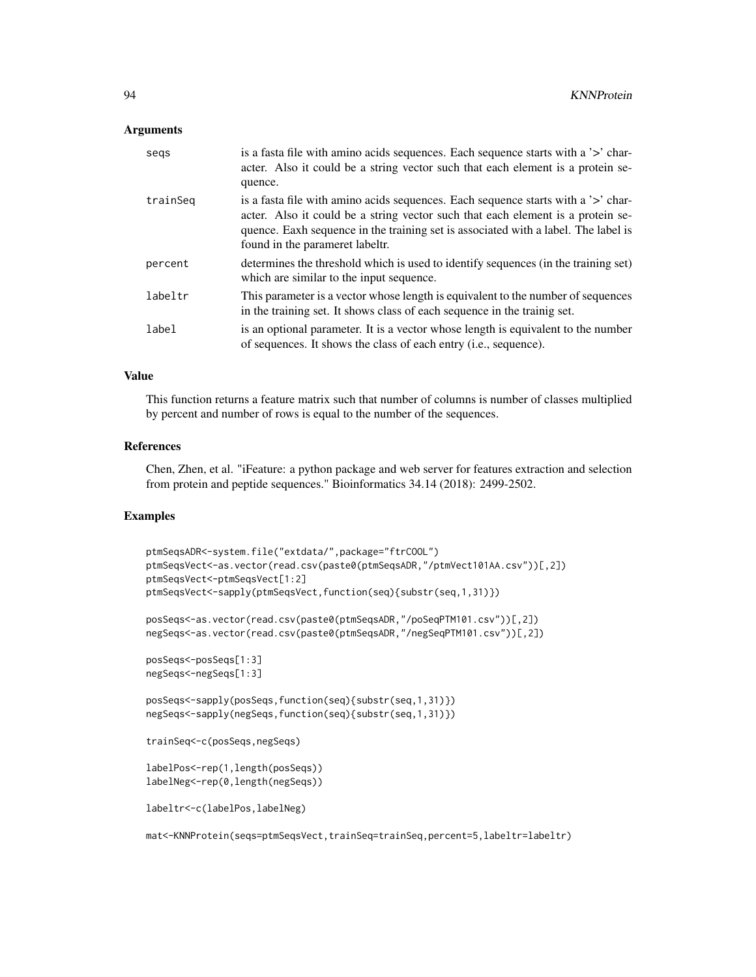### Arguments

| segs     | is a fasta file with a mino acids sequences. Each sequence starts with a '>' char-<br>acter. Also it could be a string vector such that each element is a protein se-<br>quence.                                                                                                               |
|----------|------------------------------------------------------------------------------------------------------------------------------------------------------------------------------------------------------------------------------------------------------------------------------------------------|
| trainSeg | is a fasta file with a mino acids sequences. Each sequence starts with a '>' char-<br>acter. Also it could be a string vector such that each element is a protein se-<br>quence. Eaxh sequence in the training set is associated with a label. The label is<br>found in the parameret labeltr. |
| percent  | determines the threshold which is used to identify sequences (in the training set)<br>which are similar to the input sequence.                                                                                                                                                                 |
| labeltr  | This parameter is a vector whose length is equivalent to the number of sequences<br>in the training set. It shows class of each sequence in the training set.                                                                                                                                  |
| label    | is an optional parameter. It is a vector whose length is equivalent to the number<br>of sequences. It shows the class of each entry (i.e., sequence).                                                                                                                                          |

## Value

This function returns a feature matrix such that number of columns is number of classes multiplied by percent and number of rows is equal to the number of the sequences.

#### References

Chen, Zhen, et al. "iFeature: a python package and web server for features extraction and selection from protein and peptide sequences." Bioinformatics 34.14 (2018): 2499-2502.

# Examples

```
ptmSeqsADR<-system.file("extdata/",package="ftrCOOL")
ptmSeqsVect<-as.vector(read.csv(paste0(ptmSeqsADR,"/ptmVect101AA.csv"))[,2])
ptmSeqsVect<-ptmSeqsVect[1:2]
ptmSeqsVect<-sapply(ptmSeqsVect,function(seq){substr(seq,1,31)})
posSeqs<-as.vector(read.csv(paste0(ptmSeqsADR,"/poSeqPTM101.csv"))[,2])
negSeqs<-as.vector(read.csv(paste0(ptmSeqsADR,"/negSeqPTM101.csv"))[,2])
posSeqs<-posSeqs[1:3]
negSeqs<-negSeqs[1:3]
posSeqs<-sapply(posSeqs,function(seq){substr(seq,1,31)})
negSeqs<-sapply(negSeqs,function(seq){substr(seq,1,31)})
trainSeq<-c(posSeqs,negSeqs)
labelPos<-rep(1,length(posSeqs))
labelNeg<-rep(0,length(negSeqs))
labeltr<-c(labelPos,labelNeg)
```
mat<-KNNProtein(seqs=ptmSeqsVect,trainSeq=trainSeq,percent=5,labeltr=labeltr)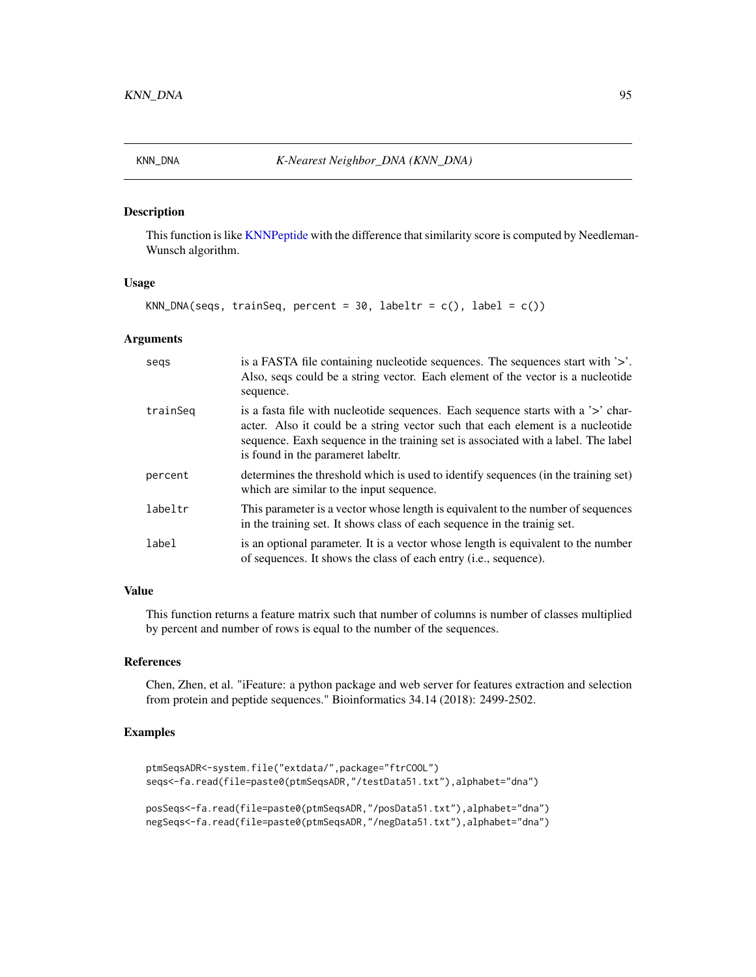This function is like [KNNPeptide](#page-91-0) with the difference that similarity score is computed by Needleman-Wunsch algorithm.

### Usage

```
KNN_DNA(seqs, trainSeq, percent = 30, labeltr = c(), label = c()
```
## Arguments

| segs     | is a FASTA file containing nucleotide sequences. The sequences start with '>'.<br>Also, seqs could be a string vector. Each element of the vector is a nucleotide<br>sequence.                                                                                                                |
|----------|-----------------------------------------------------------------------------------------------------------------------------------------------------------------------------------------------------------------------------------------------------------------------------------------------|
| trainSeg | is a fasta file with nucleotide sequences. Each sequence starts with a '>' char-<br>acter. Also it could be a string vector such that each element is a nucleotide<br>sequence. Eaxh sequence in the training set is associated with a label. The label<br>is found in the parameret labeltr. |
| percent  | determines the threshold which is used to identify sequences (in the training set)<br>which are similar to the input sequence.                                                                                                                                                                |
| labeltr  | This parameter is a vector whose length is equivalent to the number of sequences<br>in the training set. It shows class of each sequence in the trainig set.                                                                                                                                  |
| label    | is an optional parameter. It is a vector whose length is equivalent to the number<br>of sequences. It shows the class of each entry ( <i>i.e.</i> , sequence).                                                                                                                                |

### Value

This function returns a feature matrix such that number of columns is number of classes multiplied by percent and number of rows is equal to the number of the sequences.

# References

Chen, Zhen, et al. "iFeature: a python package and web server for features extraction and selection from protein and peptide sequences." Bioinformatics 34.14 (2018): 2499-2502.

## Examples

```
ptmSeqsADR<-system.file("extdata/",package="ftrCOOL")
seqs<-fa.read(file=paste0(ptmSeqsADR,"/testData51.txt"),alphabet="dna")
posSeqs<-fa.read(file=paste0(ptmSeqsADR,"/posData51.txt"),alphabet="dna")
```
negSeqs<-fa.read(file=paste0(ptmSeqsADR,"/negData51.txt"),alphabet="dna")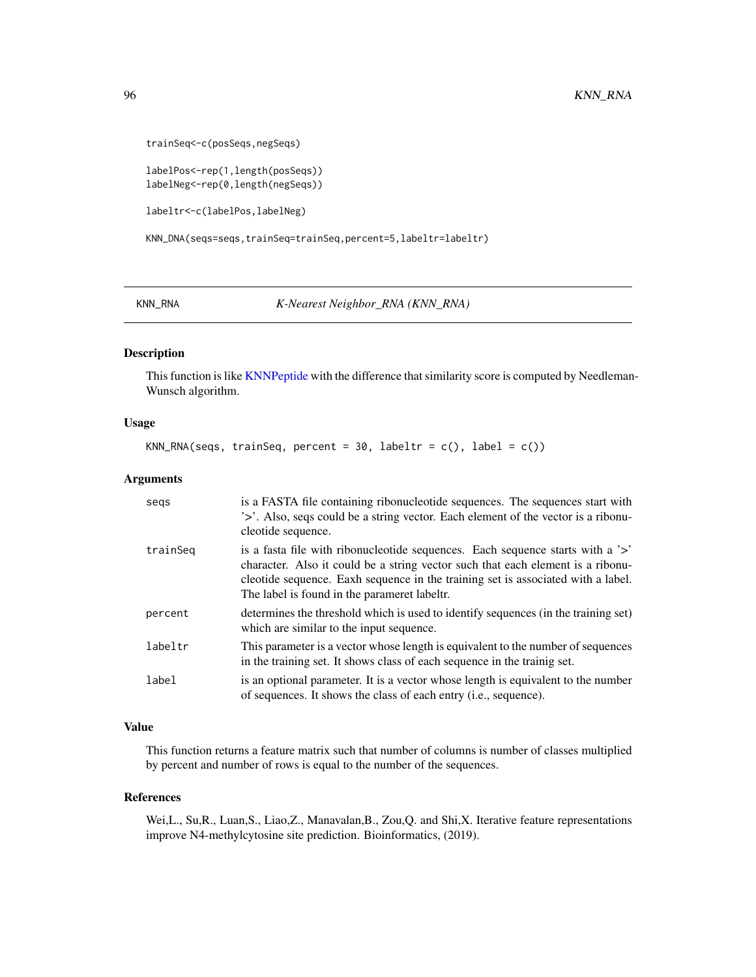```
trainSeq<-c(posSeqs,negSeqs)
```
labelPos<-rep(1,length(posSeqs)) labelNeg<-rep(0,length(negSeqs))

labeltr<-c(labelPos,labelNeg)

KNN\_DNA(seqs=seqs,trainSeq=trainSeq,percent=5,labeltr=labeltr)

KNN\_RNA *K-Nearest Neighbor\_RNA (KNN\_RNA)*

# Description

This function is like [KNNPeptide](#page-91-0) with the difference that similarity score is computed by Needleman-Wunsch algorithm.

#### Usage

KNN\_RNA(seqs, trainSeq, percent = 30, labeltr =  $c()$ , label =  $c()$ 

#### Arguments

| segs     | is a FASTA file containing ribonucleotide sequences. The sequences start with<br>'>'. Also, seqs could be a string vector. Each element of the vector is a ribonu-<br>cleotide sequence.                                                                                                              |
|----------|-------------------------------------------------------------------------------------------------------------------------------------------------------------------------------------------------------------------------------------------------------------------------------------------------------|
| trainSeg | is a fasta file with ribonucleotide sequences. Each sequence starts with a '>'<br>character. Also it could be a string vector such that each element is a ribonu-<br>cleotide sequence. Eaxh sequence in the training set is associated with a label.<br>The label is found in the parameret labeltr. |
| percent  | determines the threshold which is used to identify sequences (in the training set)<br>which are similar to the input sequence.                                                                                                                                                                        |
| labeltr  | This parameter is a vector whose length is equivalent to the number of sequences<br>in the training set. It shows class of each sequence in the trainig set.                                                                                                                                          |
| label    | is an optional parameter. It is a vector whose length is equivalent to the number<br>of sequences. It shows the class of each entry ( <i>i.e.</i> , sequence).                                                                                                                                        |

## Value

This function returns a feature matrix such that number of columns is number of classes multiplied by percent and number of rows is equal to the number of the sequences.

#### References

Wei,L., Su,R., Luan,S., Liao,Z., Manavalan,B., Zou,Q. and Shi,X. Iterative feature representations improve N4-methylcytosine site prediction. Bioinformatics, (2019).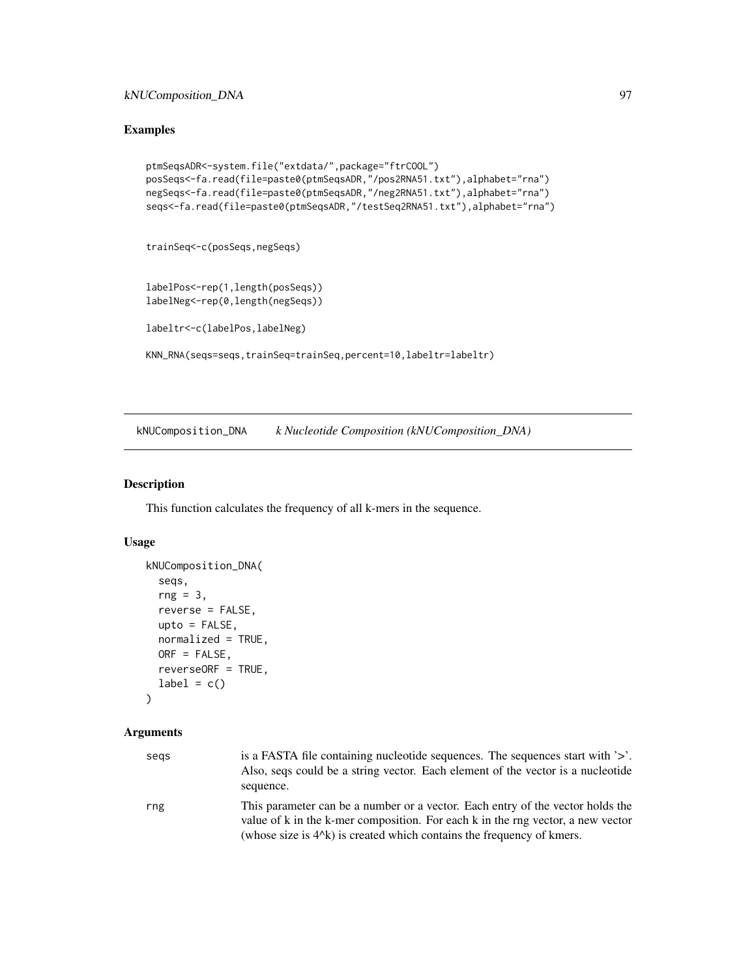# Examples

```
ptmSeqsADR<-system.file("extdata/",package="ftrCOOL")
posSeqs<-fa.read(file=paste0(ptmSeqsADR,"/pos2RNA51.txt"),alphabet="rna")
negSeqs<-fa.read(file=paste0(ptmSeqsADR,"/neg2RNA51.txt"),alphabet="rna")
seqs<-fa.read(file=paste0(ptmSeqsADR,"/testSeq2RNA51.txt"),alphabet="rna")
```
trainSeq<-c(posSeqs,negSeqs)

```
labelPos<-rep(1,length(posSeqs))
labelNeg<-rep(0,length(negSeqs))
```
labeltr<-c(labelPos,labelNeg)

KNN\_RNA(seqs=seqs,trainSeq=trainSeq,percent=10,labeltr=labeltr)

kNUComposition\_DNA *k Nucleotide Composition (kNUComposition\_DNA)*

#### Description

This function calculates the frequency of all k-mers in the sequence.

## Usage

```
kNUComposition_DNA(
  seqs,
  rng = 3,reverse = FALSE,
 upto = FALSE,
 normalized = TRUE,
 ORF = FALSE,
 reverseORF = TRUE,
  label = c())
```
## Arguments

| segs | is a FASTA file containing nucleotide sequences. The sequences start with '>'.<br>Also, seqs could be a string vector. Each element of the vector is a nucleotide.<br>sequence.                                                               |
|------|-----------------------------------------------------------------------------------------------------------------------------------------------------------------------------------------------------------------------------------------------|
| rng  | This parameter can be a number or a vector. Each entry of the vector holds the<br>value of k in the k-mer composition. For each k in the rng vector, a new vector<br>(whose size is $4^k$ ) is created which contains the frequency of kmers. |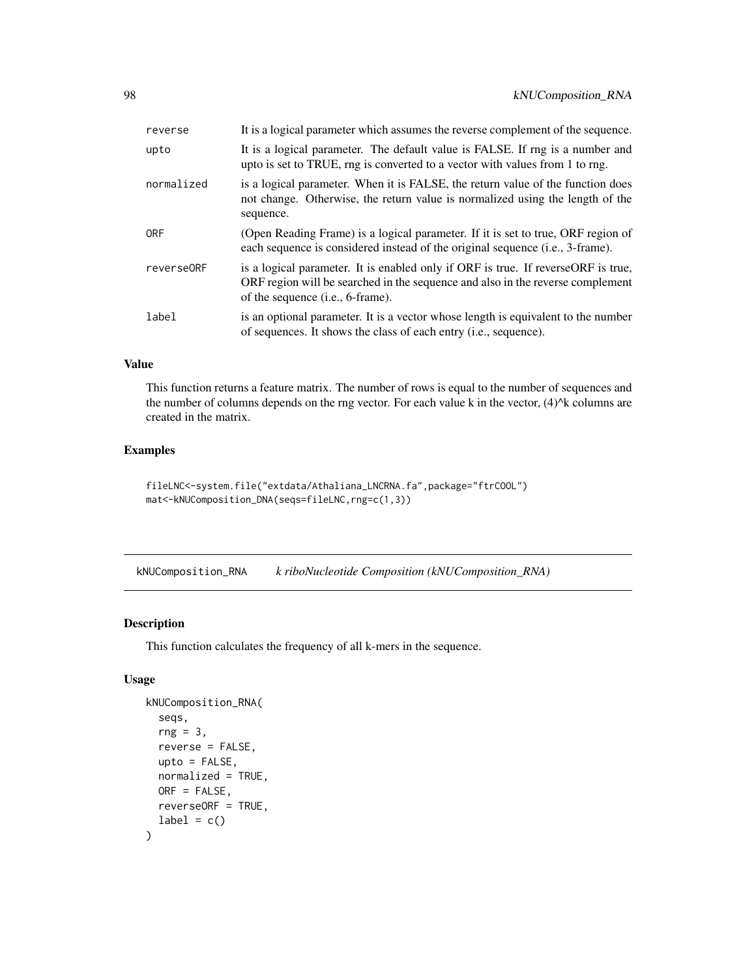| reverse    | It is a logical parameter which assumes the reverse complement of the sequence.                                                                                                                                   |
|------------|-------------------------------------------------------------------------------------------------------------------------------------------------------------------------------------------------------------------|
| upto       | It is a logical parameter. The default value is FALSE. If rng is a number and<br>upto is set to TRUE, rng is converted to a vector with values from 1 to rng.                                                     |
| normalized | is a logical parameter. When it is FALSE, the return value of the function does<br>not change. Otherwise, the return value is normalized using the length of the<br>sequence.                                     |
| <b>ORF</b> | (Open Reading Frame) is a logical parameter. If it is set to true, ORF region of<br>each sequence is considered instead of the original sequence (i.e., 3-frame).                                                 |
| reverse0RF | is a logical parameter. It is enabled only if ORF is true. If reverse ORF is true,<br>ORF region will be searched in the sequence and also in the reverse complement<br>of the sequence ( <i>i.e.</i> , 6-frame). |
| label      | is an optional parameter. It is a vector whose length is equivalent to the number<br>of sequences. It shows the class of each entry ( <i>i.e.</i> , sequence).                                                    |

#### Value

This function returns a feature matrix. The number of rows is equal to the number of sequences and the number of columns depends on the rng vector. For each value k in the vector,  $(4)^{k}$ k columns are created in the matrix.

## Examples

```
fileLNC<-system.file("extdata/Athaliana_LNCRNA.fa",package="ftrCOOL")
mat<-kNUComposition_DNA(seqs=fileLNC,rng=c(1,3))
```
kNUComposition\_RNA *k riboNucleotide Composition (kNUComposition\_RNA)*

# Description

This function calculates the frequency of all k-mers in the sequence.

## Usage

```
kNUComposition_RNA(
  seqs,
  rng = 3,reverse = FALSE,
 upto = FALSE,
 normalized = TRUE,
 ORF = FALSE,
  reverseORF = TRUE,
  label = c()\mathcal{E}
```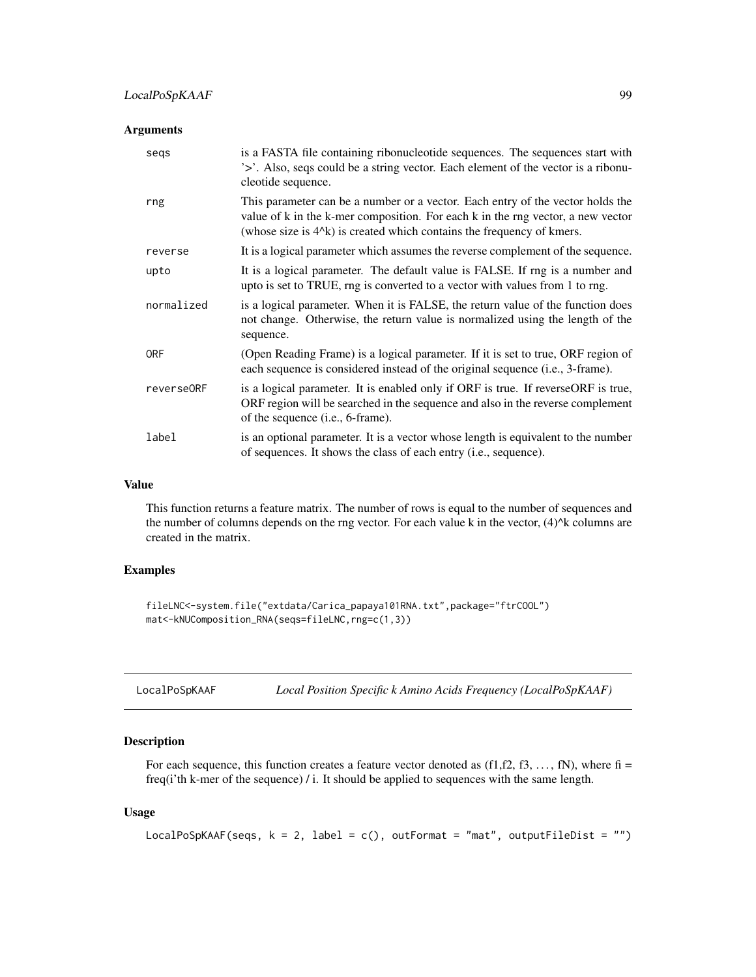## Arguments

| segs       | is a FASTA file containing ribonucleotide sequences. The sequences start with<br>'>'. Also, seqs could be a string vector. Each element of the vector is a ribonu-<br>cleotide sequence.                                                                                   |
|------------|----------------------------------------------------------------------------------------------------------------------------------------------------------------------------------------------------------------------------------------------------------------------------|
| rng        | This parameter can be a number or a vector. Each entry of the vector holds the<br>value of k in the k-mer composition. For each k in the rng vector, a new vector<br>(whose size is 4 <sup><math>\lambda</math></sup> k) is created which contains the frequency of kmers. |
| reverse    | It is a logical parameter which assumes the reverse complement of the sequence.                                                                                                                                                                                            |
| upto       | It is a logical parameter. The default value is FALSE. If rng is a number and<br>upto is set to TRUE, rng is converted to a vector with values from 1 to rng.                                                                                                              |
| normalized | is a logical parameter. When it is FALSE, the return value of the function does<br>not change. Otherwise, the return value is normalized using the length of the<br>sequence.                                                                                              |
| <b>ORF</b> | (Open Reading Frame) is a logical parameter. If it is set to true, ORF region of<br>each sequence is considered instead of the original sequence (i.e., 3-frame).                                                                                                          |
| reverse0RF | is a logical parameter. It is enabled only if ORF is true. If reverseORF is true,<br>ORF region will be searched in the sequence and also in the reverse complement<br>of the sequence (i.e., 6-frame).                                                                    |
| label      | is an optional parameter. It is a vector whose length is equivalent to the number<br>of sequences. It shows the class of each entry ( <i>i.e.</i> , sequence).                                                                                                             |

#### Value

This function returns a feature matrix. The number of rows is equal to the number of sequences and the number of columns depends on the rng vector. For each value k in the vector, (4)^k columns are created in the matrix.

# Examples

```
fileLNC<-system.file("extdata/Carica_papaya101RNA.txt",package="ftrCOOL")
mat<-kNUComposition_RNA(seqs=fileLNC,rng=c(1,3))
```

| LocalPoSpKAAF | Local Position Specific k Amino Acids Frequency (LocalPoSpKAAF) |  |
|---------------|-----------------------------------------------------------------|--|
|---------------|-----------------------------------------------------------------|--|

# Description

For each sequence, this function creates a feature vector denoted as  $(f1,f2,f3,\ldots,fN)$ , where  $fi =$ freq(i'th k-mer of the sequence) / i. It should be applied to sequences with the same length.

#### Usage

```
LocalPoSpKAAF(seqs, k = 2, label = c(), outFormat = "mat", outputFileDist = "")
```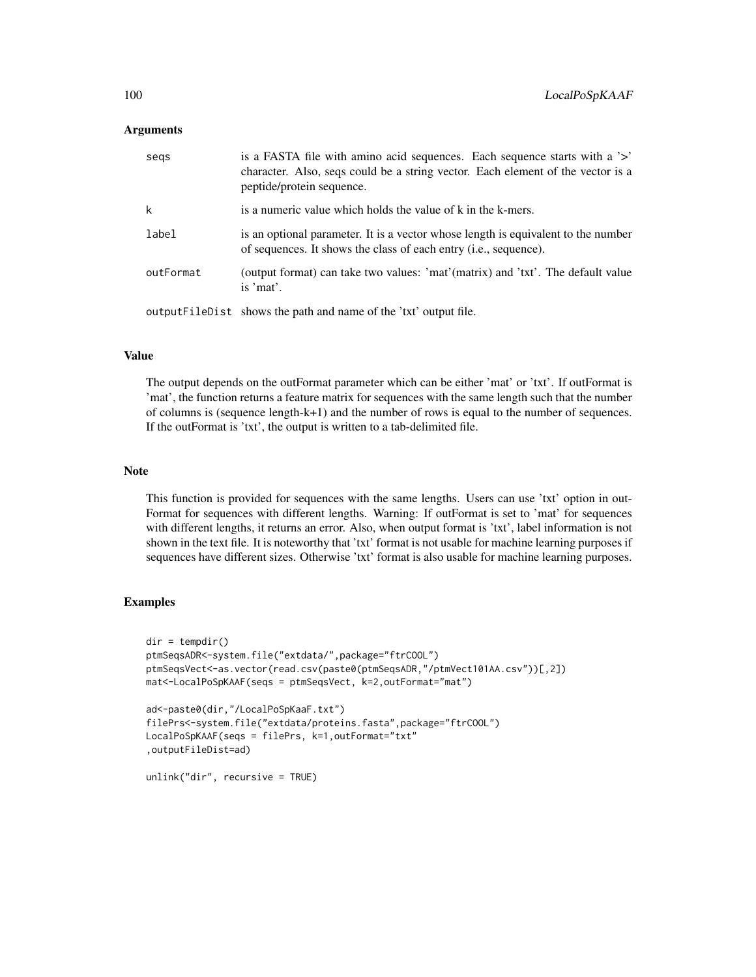### Arguments

| segs      | is a FASTA file with a mino acid sequences. Each sequence starts with a '>'<br>character. Also, seqs could be a string vector. Each element of the vector is a<br>peptide/protein sequence. |
|-----------|---------------------------------------------------------------------------------------------------------------------------------------------------------------------------------------------|
| k         | is a numeric value which holds the value of k in the k-mers.                                                                                                                                |
| label     | is an optional parameter. It is a vector whose length is equivalent to the number<br>of sequences. It shows the class of each entry ( <i>i.e.</i> , sequence).                              |
| outFormat | (output format) can take two values: 'mat'(matrix) and 'txt'. The default value<br>is 'mat'.                                                                                                |
|           | output FileDist shows the path and name of the 'txt' output file.                                                                                                                           |

## Value

The output depends on the outFormat parameter which can be either 'mat' or 'txt'. If outFormat is 'mat', the function returns a feature matrix for sequences with the same length such that the number of columns is (sequence length-k+1) and the number of rows is equal to the number of sequences. If the outFormat is 'txt', the output is written to a tab-delimited file.

#### Note

This function is provided for sequences with the same lengths. Users can use 'txt' option in out-Format for sequences with different lengths. Warning: If outFormat is set to 'mat' for sequences with different lengths, it returns an error. Also, when output format is 'txt', label information is not shown in the text file. It is noteworthy that 'txt' format is not usable for machine learning purposes if sequences have different sizes. Otherwise 'txt' format is also usable for machine learning purposes.

### Examples

```
dir = tempdir()ptmSeqsADR<-system.file("extdata/",package="ftrCOOL")
ptmSeqsVect<-as.vector(read.csv(paste0(ptmSeqsADR,"/ptmVect101AA.csv"))[,2])
mat<-LocalPoSpKAAF(seqs = ptmSeqsVect, k=2,outFormat="mat")
ad<-paste0(dir,"/LocalPoSpKaaF.txt")
filePrs<-system.file("extdata/proteins.fasta",package="ftrCOOL")
LocalPoSpKAAF(seqs = filePrs, k=1,outFormat="txt"
,outputFileDist=ad)
```
unlink("dir", recursive = TRUE)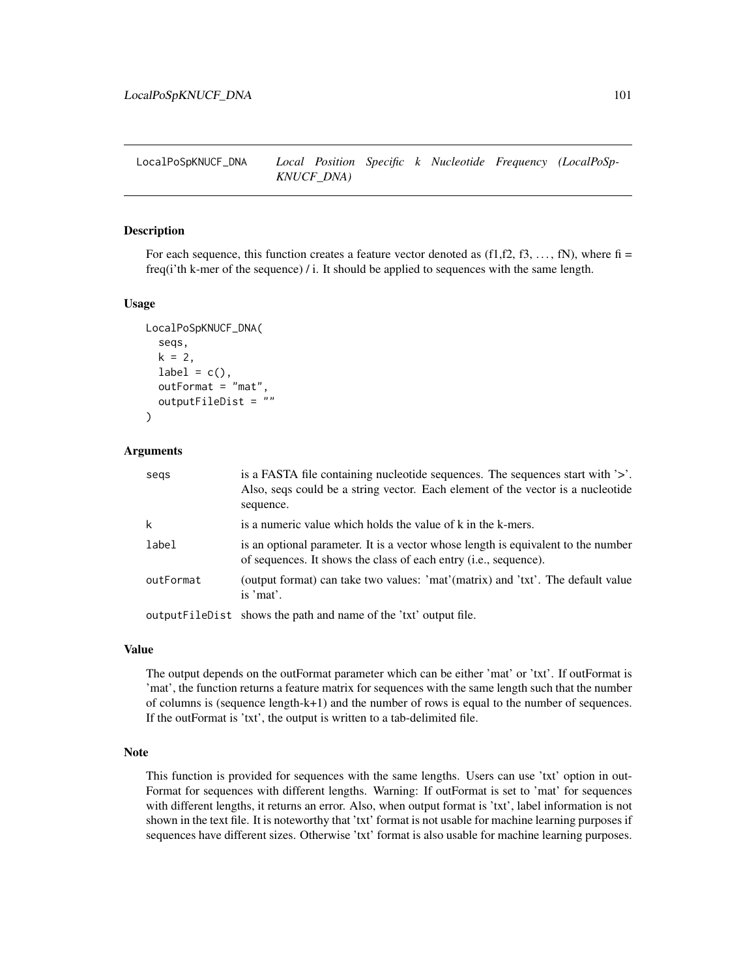LocalPoSpKNUCF\_DNA *Local Position Specific k Nucleotide Frequency (LocalPoSp-KNUCF\_DNA)*

#### Description

For each sequence, this function creates a feature vector denoted as  $(f1,f2,f3,\ldots,fN)$ , where  $fi =$ freq(i'th k-mer of the sequence) / i. It should be applied to sequences with the same length.

# Usage

```
LocalPoSpKNUCF_DNA(
  seqs,
  k = 2,
  label = c(),
  outFormat = "mat",
  outputFileDist = ""
)
```
#### Arguments

| segs      | is a FASTA file containing nucleotide sequences. The sequences start with $\geq$ .<br>Also, seqs could be a string vector. Each element of the vector is a nucleotide<br>sequence. |
|-----------|------------------------------------------------------------------------------------------------------------------------------------------------------------------------------------|
| k         | is a numeric value which holds the value of k in the k-mers.                                                                                                                       |
| label     | is an optional parameter. It is a vector whose length is equivalent to the number<br>of sequences. It shows the class of each entry (i.e., sequence).                              |
| outFormat | (output format) can take two values: 'mat'(matrix) and 'txt'. The default value<br>is 'mat'.                                                                                       |
|           | output FileD ist shows the path and name of the 'txt' output file.                                                                                                                 |

#### Value

The output depends on the outFormat parameter which can be either 'mat' or 'txt'. If outFormat is 'mat', the function returns a feature matrix for sequences with the same length such that the number of columns is (sequence length-k+1) and the number of rows is equal to the number of sequences. If the outFormat is 'txt', the output is written to a tab-delimited file.

## Note

This function is provided for sequences with the same lengths. Users can use 'txt' option in out-Format for sequences with different lengths. Warning: If outFormat is set to 'mat' for sequences with different lengths, it returns an error. Also, when output format is 'txt', label information is not shown in the text file. It is noteworthy that 'txt' format is not usable for machine learning purposes if sequences have different sizes. Otherwise 'txt' format is also usable for machine learning purposes.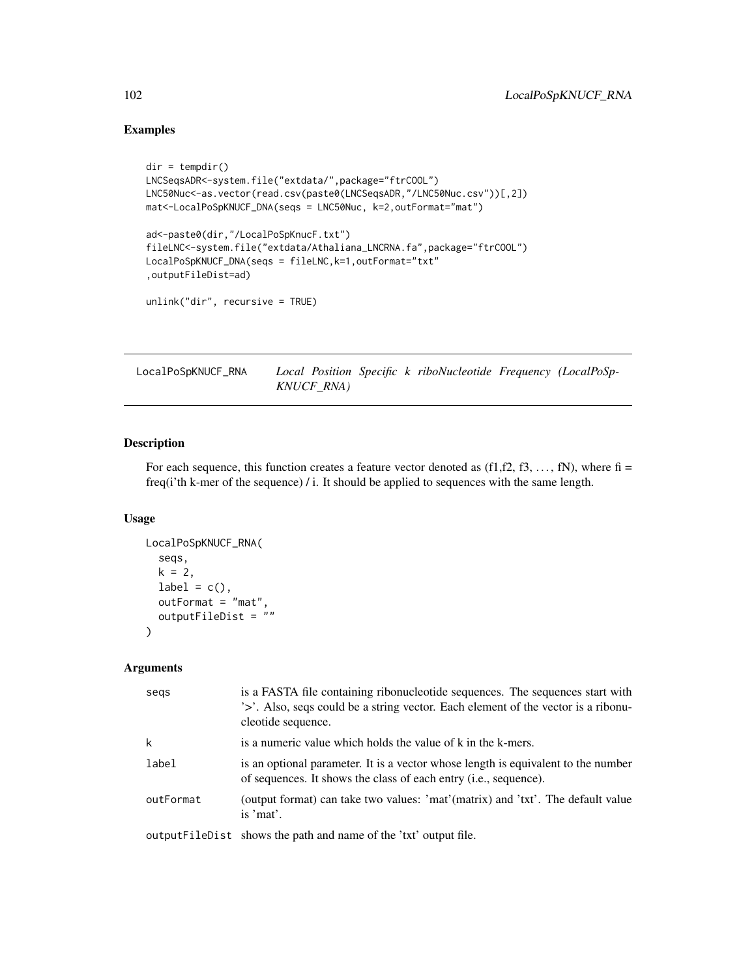# Examples

```
dir = tempdir()LNCSeqsADR<-system.file("extdata/",package="ftrCOOL")
LNC50Nuc<-as.vector(read.csv(paste0(LNCSeqsADR,"/LNC50Nuc.csv"))[,2])
mat<-LocalPoSpKNUCF_DNA(seqs = LNC50Nuc, k=2,outFormat="mat")
ad<-paste0(dir,"/LocalPoSpKnucF.txt")
fileLNC<-system.file("extdata/Athaliana_LNCRNA.fa",package="ftrCOOL")
LocalPoSpKNUCF_DNA(seqs = fileLNC,k=1,outFormat="txt"
,outputFileDist=ad)
unlink("dir", recursive = TRUE)
```
LocalPoSpKNUCF\_RNA *Local Position Specific k riboNucleotide Frequency (LocalPoSp-KNUCF\_RNA)*

# Description

For each sequence, this function creates a feature vector denoted as  $(f1,f2,f3,\ldots,fN)$ , where  $fi =$ freq(i'th k-mer of the sequence) / i. It should be applied to sequences with the same length.

#### Usage

```
LocalPoSpKNUCF_RNA(
  seqs,
  k = 2,
  label = c(),
  outFormat = "mat",
  outputFileDist = ""
)
```
#### Arguments

| segs      | is a FASTA file containing ribonucleotide sequences. The sequences start with<br>'>'. Also, seqs could be a string vector. Each element of the vector is a ribonu-<br>cleotide sequence. |
|-----------|------------------------------------------------------------------------------------------------------------------------------------------------------------------------------------------|
| k         | is a numeric value which holds the value of k in the k-mers.                                                                                                                             |
| label     | is an optional parameter. It is a vector whose length is equivalent to the number<br>of sequences. It shows the class of each entry ( <i>i.e.</i> , sequence).                           |
| outFormat | (output format) can take two values: 'mat'(matrix) and 'txt'. The default value<br>is 'mat'.                                                                                             |
|           | output FileDist shows the path and name of the 'txt' output file.                                                                                                                        |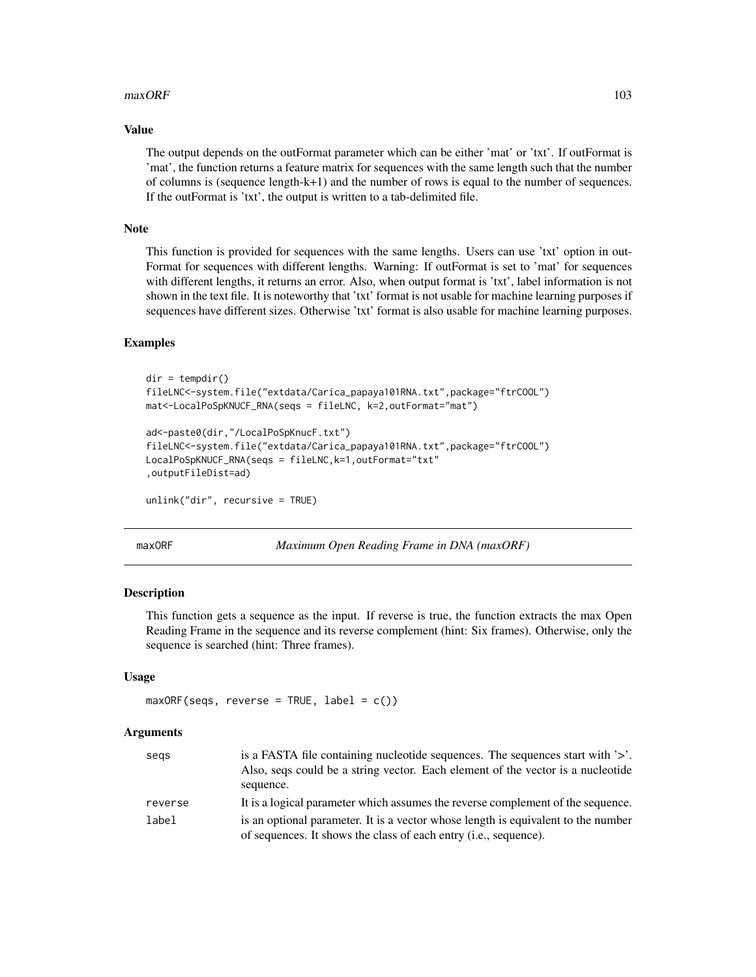#### $maxORF$  103

#### Value

The output depends on the outFormat parameter which can be either 'mat' or 'txt'. If outFormat is 'mat', the function returns a feature matrix for sequences with the same length such that the number of columns is (sequence length-k+1) and the number of rows is equal to the number of sequences. If the outFormat is 'txt', the output is written to a tab-delimited file.

#### Note

This function is provided for sequences with the same lengths. Users can use 'txt' option in out-Format for sequences with different lengths. Warning: If outFormat is set to 'mat' for sequences with different lengths, it returns an error. Also, when output format is 'txt', label information is not shown in the text file. It is noteworthy that 'txt' format is not usable for machine learning purposes if sequences have different sizes. Otherwise 'txt' format is also usable for machine learning purposes.

# Examples

```
dir = tempdir()fileLNC<-system.file("extdata/Carica_papaya101RNA.txt",package="ftrCOOL")
mat<-LocalPoSpKNUCF_RNA(seqs = fileLNC, k=2,outFormat="mat")
ad<-paste0(dir,"/LocalPoSpKnucF.txt")
fileLNC<-system.file("extdata/Carica_papaya101RNA.txt",package="ftrCOOL")
LocalPoSpKNUCF_RNA(seqs = fileLNC,k=1,outFormat="txt"
,outputFileDist=ad)
unlink("dir", recursive = TRUE)
```
maxORF *Maximum Open Reading Frame in DNA (maxORF)*

#### **Description**

This function gets a sequence as the input. If reverse is true, the function extracts the max Open Reading Frame in the sequence and its reverse complement (hint: Six frames). Otherwise, only the sequence is searched (hint: Three frames).

#### Usage

```
maxORF(seqs, reverse = TRUE, label = c())
```
#### Arguments

| segs    | is a FASTA file containing nucleotide sequences. The sequences start with '>'.    |
|---------|-----------------------------------------------------------------------------------|
|         | Also, segs could be a string vector. Each element of the vector is a nucleotide   |
|         | sequence.                                                                         |
| reverse | It is a logical parameter which assumes the reverse complement of the sequence.   |
| label   | is an optional parameter. It is a vector whose length is equivalent to the number |
|         | of sequences. It shows the class of each entry (i.e., sequence).                  |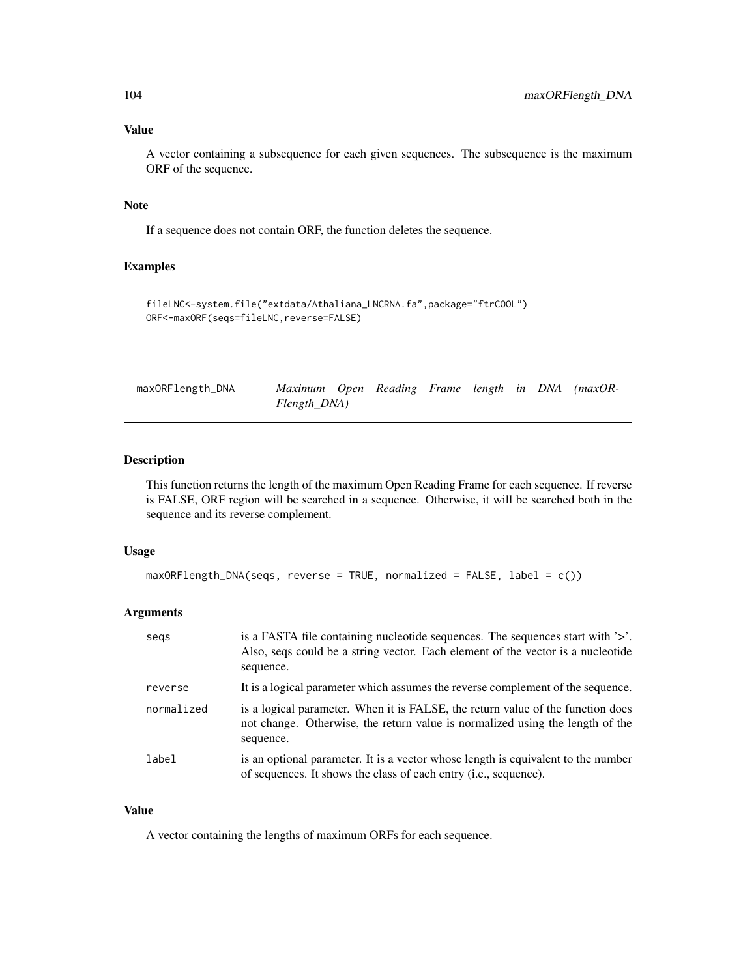# Value

A vector containing a subsequence for each given sequences. The subsequence is the maximum ORF of the sequence.

## Note

If a sequence does not contain ORF, the function deletes the sequence.

# Examples

```
fileLNC<-system.file("extdata/Athaliana_LNCRNA.fa",package="ftrCOOL")
ORF<-maxORF(seqs=fileLNC,reverse=FALSE)
```

| maxORFlength_DNA | Maximum Open Reading Frame length in DNA (maxOR- |  |  |  |  |
|------------------|--------------------------------------------------|--|--|--|--|
|                  | Flength_DNA)                                     |  |  |  |  |

# Description

This function returns the length of the maximum Open Reading Frame for each sequence. If reverse is FALSE, ORF region will be searched in a sequence. Otherwise, it will be searched both in the sequence and its reverse complement.

# Usage

```
maxORFlength_DNA(seqs, reverse = TRUE, normalized = FALSE, label = c())
```
## Arguments

| segs       | is a FASTA file containing nucleotide sequences. The sequences start with '>'.<br>Also, seqs could be a string vector. Each element of the vector is a nucleotide<br>sequence. |
|------------|--------------------------------------------------------------------------------------------------------------------------------------------------------------------------------|
| reverse    | It is a logical parameter which assumes the reverse complement of the sequence.                                                                                                |
| normalized | is a logical parameter. When it is FALSE, the return value of the function does<br>not change. Otherwise, the return value is normalized using the length of the<br>sequence.  |
| label      | is an optional parameter. It is a vector whose length is equivalent to the number<br>of sequences. It shows the class of each entry (i.e., sequence).                          |

#### Value

A vector containing the lengths of maximum ORFs for each sequence.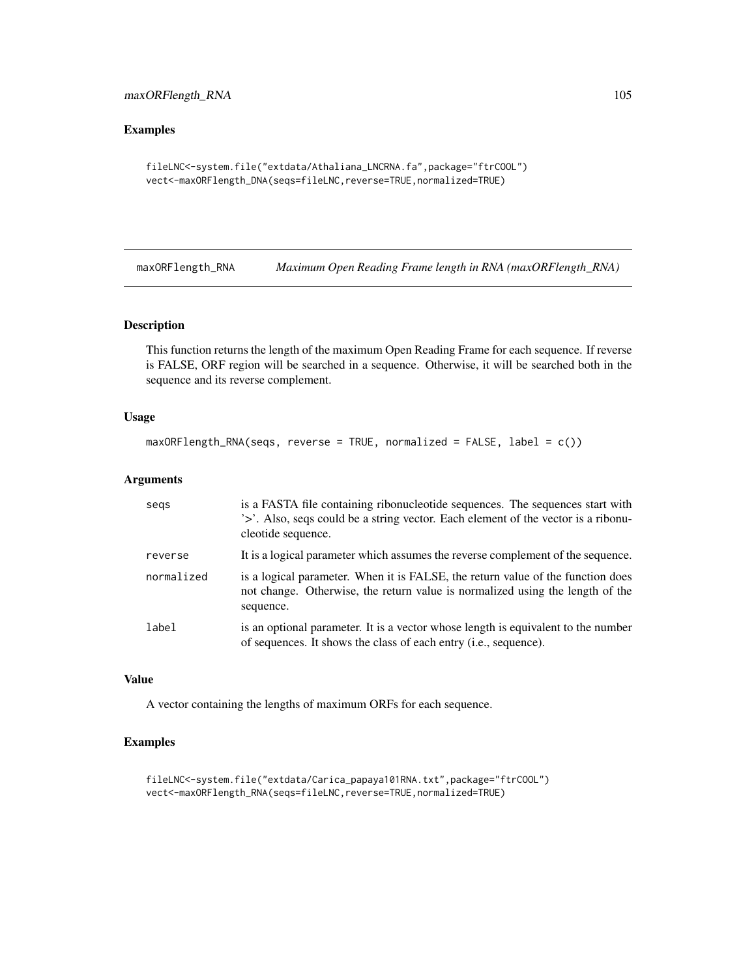# maxORFlength\_RNA 105

# Examples

```
fileLNC<-system.file("extdata/Athaliana_LNCRNA.fa",package="ftrCOOL")
vect<-maxORFlength_DNA(seqs=fileLNC,reverse=TRUE,normalized=TRUE)
```
maxORFlength\_RNA *Maximum Open Reading Frame length in RNA (maxORFlength\_RNA)*

# Description

This function returns the length of the maximum Open Reading Frame for each sequence. If reverse is FALSE, ORF region will be searched in a sequence. Otherwise, it will be searched both in the sequence and its reverse complement.

#### Usage

```
maxORFlength_RNA(seqs, reverse = TRUE, normalized = FALSE, label = c())
```
### Arguments

| segs       | is a FASTA file containing ribonucleotide sequences. The sequences start with<br>'>'. Also, seqs could be a string vector. Each element of the vector is a ribonu-<br>cleotide sequence. |
|------------|------------------------------------------------------------------------------------------------------------------------------------------------------------------------------------------|
| reverse    | It is a logical parameter which assumes the reverse complement of the sequence.                                                                                                          |
| normalized | is a logical parameter. When it is FALSE, the return value of the function does<br>not change. Otherwise, the return value is normalized using the length of the<br>sequence.            |
| label      | is an optional parameter. It is a vector whose length is equivalent to the number<br>of sequences. It shows the class of each entry (i.e., sequence).                                    |

# Value

A vector containing the lengths of maximum ORFs for each sequence.

```
fileLNC<-system.file("extdata/Carica_papaya101RNA.txt",package="ftrCOOL")
vect<-maxORFlength_RNA(seqs=fileLNC,reverse=TRUE,normalized=TRUE)
```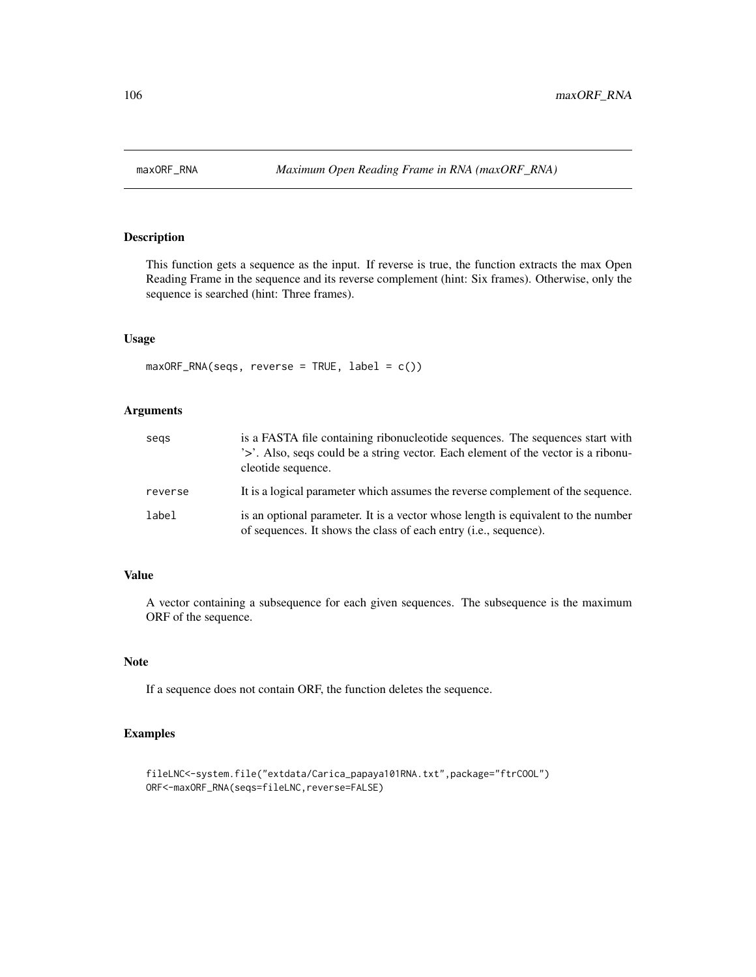This function gets a sequence as the input. If reverse is true, the function extracts the max Open Reading Frame in the sequence and its reverse complement (hint: Six frames). Otherwise, only the sequence is searched (hint: Three frames).

# Usage

maxORF\_RNA(seqs, reverse = TRUE, label = c())

#### Arguments

| segs    | is a FASTA file containing ribonucleotide sequences. The sequences start with<br>'>'. Also, seqs could be a string vector. Each element of the vector is a ribonu-<br>cleotide sequence. |
|---------|------------------------------------------------------------------------------------------------------------------------------------------------------------------------------------------|
| reverse | It is a logical parameter which assumes the reverse complement of the sequence.                                                                                                          |
| label   | is an optional parameter. It is a vector whose length is equivalent to the number<br>of sequences. It shows the class of each entry ( <i>i.e.</i> , sequence).                           |

# Value

A vector containing a subsequence for each given sequences. The subsequence is the maximum ORF of the sequence.

#### Note

If a sequence does not contain ORF, the function deletes the sequence.

```
fileLNC<-system.file("extdata/Carica_papaya101RNA.txt",package="ftrCOOL")
ORF<-maxORF_RNA(seqs=fileLNC,reverse=FALSE)
```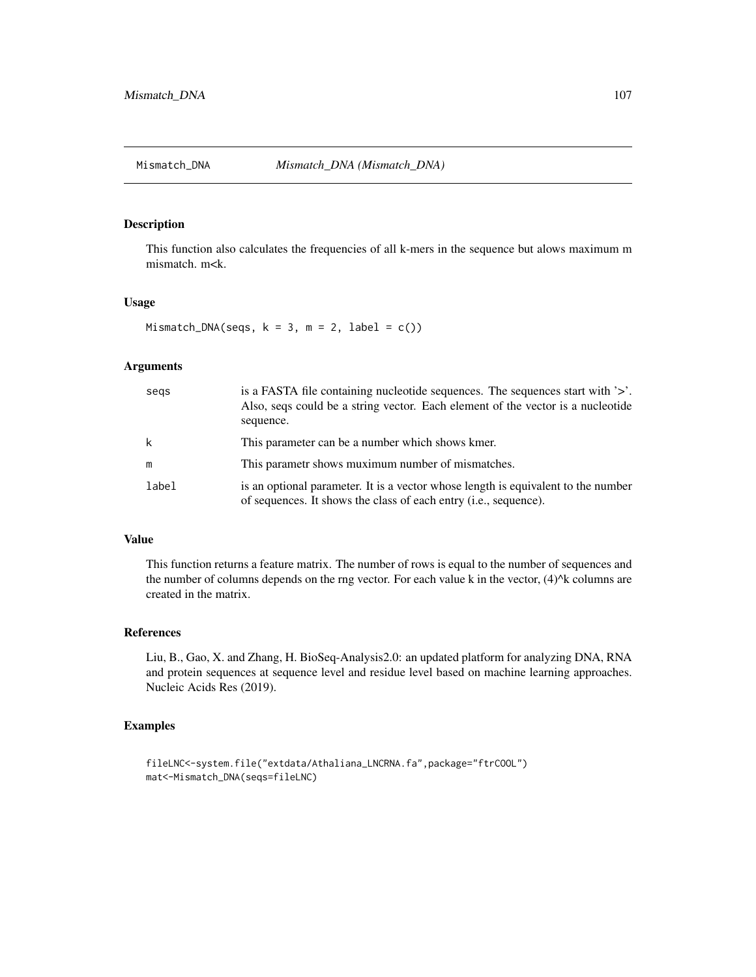This function also calculates the frequencies of all k-mers in the sequence but alows maximum m mismatch. m<k.

#### Usage

Mismatch\_DNA(seqs,  $k = 3$ ,  $m = 2$ , label = c())

# Arguments

| segs  | is a FASTA file containing nucleotide sequences. The sequences start with $\geq$ .<br>Also, segs could be a string vector. Each element of the vector is a nucleotide<br>sequence. |
|-------|------------------------------------------------------------------------------------------------------------------------------------------------------------------------------------|
| k     | This parameter can be a number which shows kmer.                                                                                                                                   |
| m     | This parametr shows muximum number of mismatches.                                                                                                                                  |
| label | is an optional parameter. It is a vector whose length is equivalent to the number<br>of sequences. It shows the class of each entry ( <i>i.e.</i> , sequence).                     |

## Value

This function returns a feature matrix. The number of rows is equal to the number of sequences and the number of columns depends on the rng vector. For each value k in the vector,  $(4)^{k}$ k columns are created in the matrix.

## References

Liu, B., Gao, X. and Zhang, H. BioSeq-Analysis2.0: an updated platform for analyzing DNA, RNA and protein sequences at sequence level and residue level based on machine learning approaches. Nucleic Acids Res (2019).

```
fileLNC<-system.file("extdata/Athaliana_LNCRNA.fa",package="ftrCOOL")
mat<-Mismatch_DNA(seqs=fileLNC)
```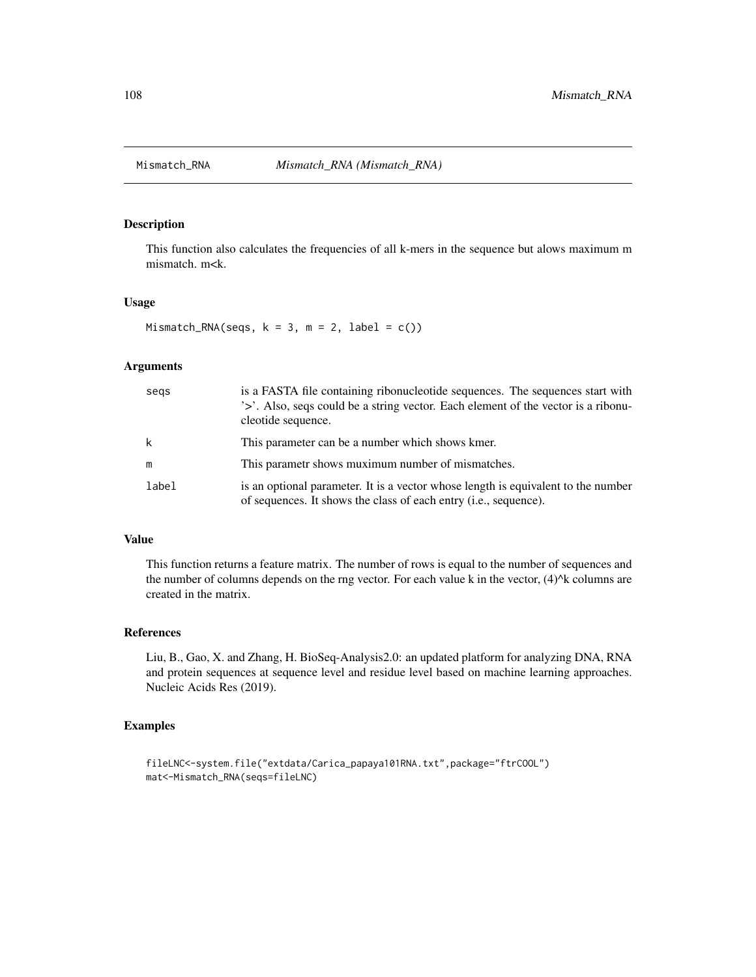This function also calculates the frequencies of all k-mers in the sequence but alows maximum m mismatch. m<k.

#### Usage

Mismatch\_RNA(seqs,  $k = 3$ ,  $m = 2$ , label = c())

# Arguments

| segs  | is a FASTA file containing ribonucleotide sequences. The sequences start with<br>'>'. Also, seqs could be a string vector. Each element of the vector is a ribonu-<br>cleotide sequence. |
|-------|------------------------------------------------------------------------------------------------------------------------------------------------------------------------------------------|
| k     | This parameter can be a number which shows kmer.                                                                                                                                         |
| m     | This parametr shows muximum number of mismatches.                                                                                                                                        |
| label | is an optional parameter. It is a vector whose length is equivalent to the number<br>of sequences. It shows the class of each entry ( <i>i.e.</i> , sequence).                           |

## Value

This function returns a feature matrix. The number of rows is equal to the number of sequences and the number of columns depends on the rng vector. For each value k in the vector,  $(4)^{k}$ k columns are created in the matrix.

#### References

Liu, B., Gao, X. and Zhang, H. BioSeq-Analysis2.0: an updated platform for analyzing DNA, RNA and protein sequences at sequence level and residue level based on machine learning approaches. Nucleic Acids Res (2019).

```
fileLNC<-system.file("extdata/Carica_papaya101RNA.txt",package="ftrCOOL")
mat<-Mismatch_RNA(seqs=fileLNC)
```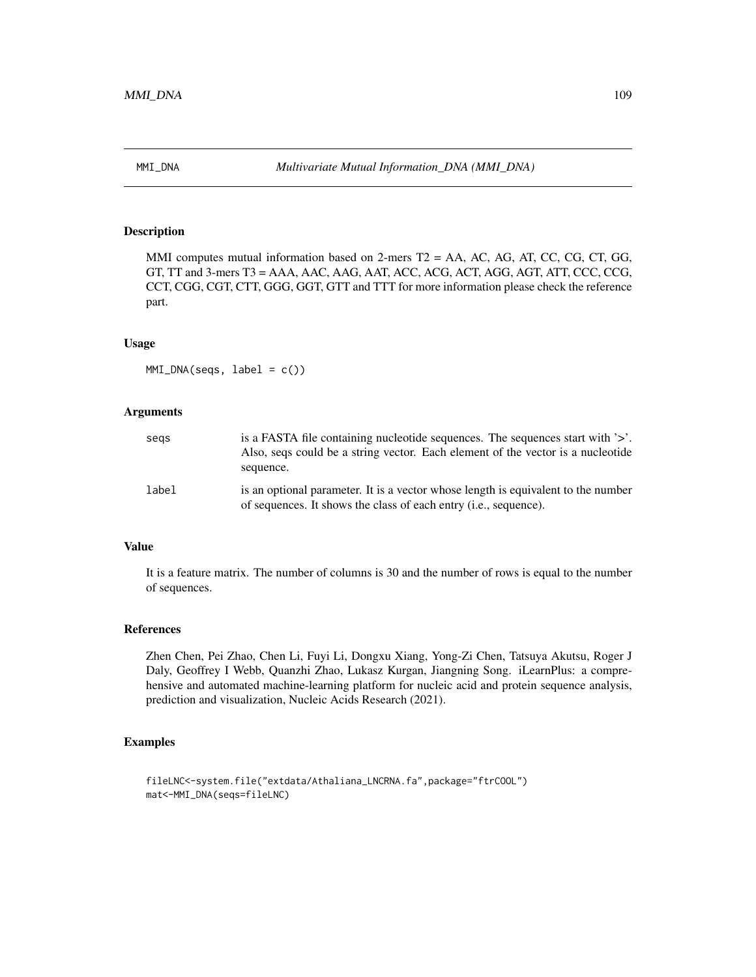MMI computes mutual information based on 2-mers T2 = AA, AC, AG, AT, CC, CG, CT, GG, GT, TT and 3-mers T3 = AAA, AAC, AAG, AAT, ACC, ACG, ACT, AGG, AGT, ATT, CCC, CCG, CCT, CGG, CGT, CTT, GGG, GGT, GTT and TTT for more information please check the reference part.

#### Usage

 $MMI_DNA(seqs, label = c())$ 

## Arguments

| segs  | is a FASTA file containing nucleotide sequences. The sequences start with $\geq$ .<br>Also, segs could be a string vector. Each element of the vector is a nucleotide<br>sequence. |
|-------|------------------------------------------------------------------------------------------------------------------------------------------------------------------------------------|
| label | is an optional parameter. It is a vector whose length is equivalent to the number<br>of sequences. It shows the class of each entry ( <i>i.e.</i> , sequence).                     |

### Value

It is a feature matrix. The number of columns is 30 and the number of rows is equal to the number of sequences.

# References

Zhen Chen, Pei Zhao, Chen Li, Fuyi Li, Dongxu Xiang, Yong-Zi Chen, Tatsuya Akutsu, Roger J Daly, Geoffrey I Webb, Quanzhi Zhao, Lukasz Kurgan, Jiangning Song. iLearnPlus: a comprehensive and automated machine-learning platform for nucleic acid and protein sequence analysis, prediction and visualization, Nucleic Acids Research (2021).

## Examples

```
fileLNC<-system.file("extdata/Athaliana_LNCRNA.fa",package="ftrCOOL")
mat<-MMI_DNA(seqs=fileLNC)
```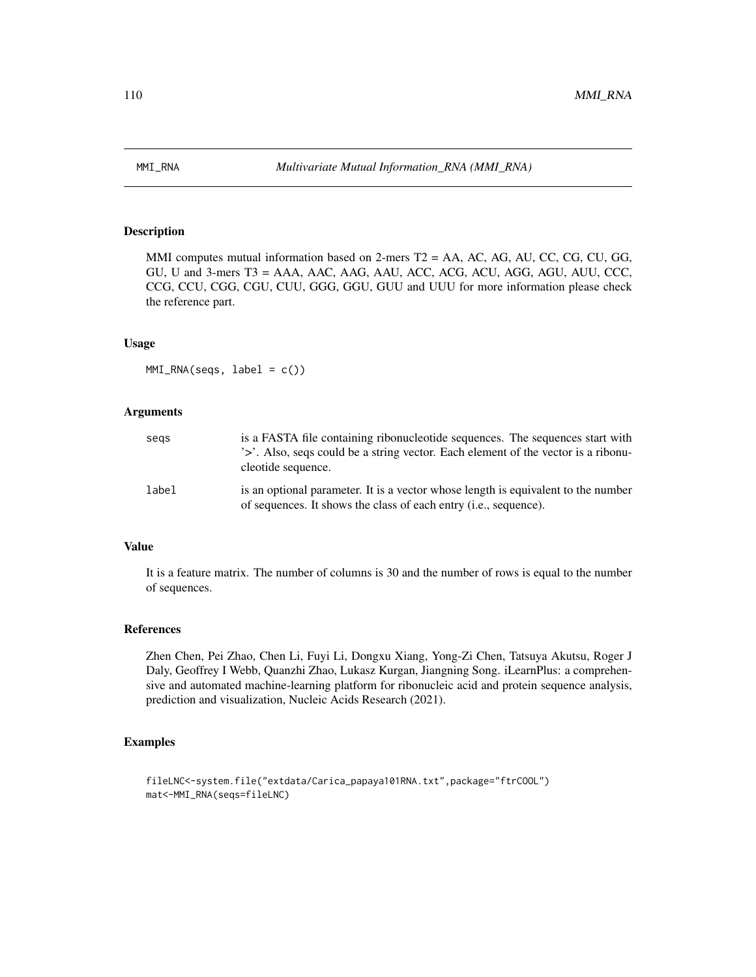MMI computes mutual information based on 2-mers T2 = AA, AC, AG, AU, CC, CG, CU, GG, GU, U and 3-mers T3 = AAA, AAC, AAG, AAU, ACC, ACG, ACU, AGG, AGU, AUU, CCC, CCG, CCU, CGG, CGU, CUU, GGG, GGU, GUU and UUU for more information please check the reference part.

#### Usage

 $MMI_RNA(seqs, label = c())$ 

## Arguments

| segs  | is a FASTA file containing ribonucleotide sequences. The sequences start with<br>'>'. Also, segs could be a string vector. Each element of the vector is a ribonu-<br>cleotide sequence. |
|-------|------------------------------------------------------------------------------------------------------------------------------------------------------------------------------------------|
| label | is an optional parameter. It is a vector whose length is equivalent to the number<br>of sequences. It shows the class of each entry ( <i>i.e.</i> , sequence).                           |

### Value

It is a feature matrix. The number of columns is 30 and the number of rows is equal to the number of sequences.

## References

Zhen Chen, Pei Zhao, Chen Li, Fuyi Li, Dongxu Xiang, Yong-Zi Chen, Tatsuya Akutsu, Roger J Daly, Geoffrey I Webb, Quanzhi Zhao, Lukasz Kurgan, Jiangning Song. iLearnPlus: a comprehensive and automated machine-learning platform for ribonucleic acid and protein sequence analysis, prediction and visualization, Nucleic Acids Research (2021).

## Examples

```
fileLNC<-system.file("extdata/Carica_papaya101RNA.txt",package="ftrCOOL")
mat<-MMI_RNA(seqs=fileLNC)
```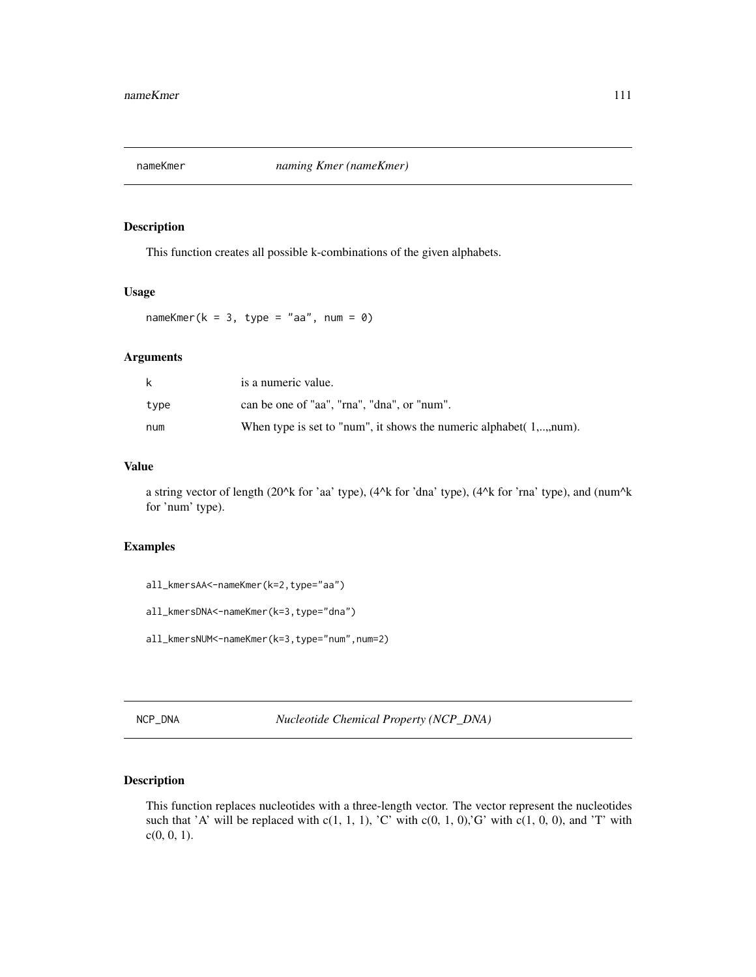This function creates all possible k-combinations of the given alphabets.

# Usage

nameKmer( $k = 3$ , type = "aa", num = 0)

## Arguments

| k    | is a numeric value.                                                   |
|------|-----------------------------------------------------------------------|
| type | can be one of "aa". "rna". "dna". or "num".                           |
| num  | When type is set to "num", it shows the numeric alphabet $(1,,num)$ . |

# Value

a string vector of length (20^k for 'aa' type), (4^k for 'dna' type), (4^k for 'rna' type), and (num^k for 'num' type).

### Examples

all\_kmersAA<-nameKmer(k=2,type="aa")

all\_kmersDNA<-nameKmer(k=3,type="dna")

all\_kmersNUM<-nameKmer(k=3,type="num",num=2)

NCP\_DNA *Nucleotide Chemical Property (NCP\_DNA)*

## Description

This function replaces nucleotides with a three-length vector. The vector represent the nucleotides such that 'A' will be replaced with  $c(1, 1, 1)$ , 'C' with  $c(0, 1, 0)$ ,'G' with  $c(1, 0, 0)$ , and 'T' with  $c(0, 0, 1)$ .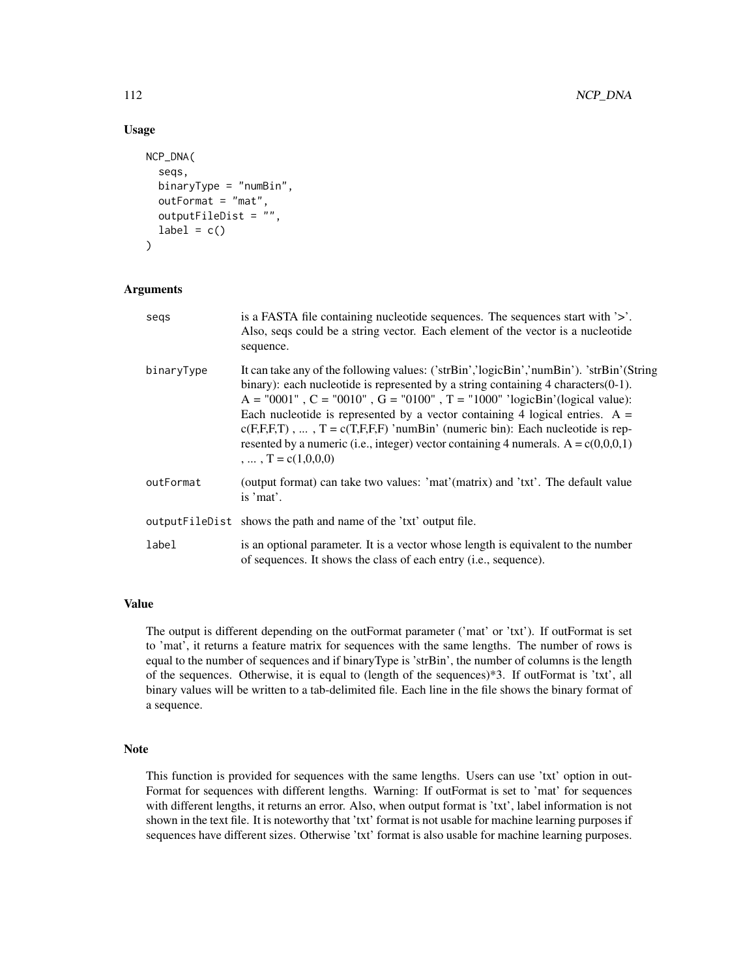## Usage

```
NCP_DNA(
  seqs,
  binaryType = "numBin",
  outFormat = "mat",
  outputFileDist = "",
  label = c())
```
## Arguments

| segs       | is a FASTA file containing nucleotide sequences. The sequences start with '>'.<br>Also, seqs could be a string vector. Each element of the vector is a nucleotide<br>sequence.                                                                                                                                                                                                                                                                                                                                                                                     |
|------------|--------------------------------------------------------------------------------------------------------------------------------------------------------------------------------------------------------------------------------------------------------------------------------------------------------------------------------------------------------------------------------------------------------------------------------------------------------------------------------------------------------------------------------------------------------------------|
| binaryType | It can take any of the following values: ('strBin','logicBin','numBin'). 'strBin'(String<br>binary): each nucleotide is represented by a string containing 4 characters $(0-1)$ .<br>$A = "0001"$ , $C = "0010"$ , $G = "0100"$ , $T = "1000"$ 'ogicBin'(logical value):<br>Each nucleotide is represented by a vector containing 4 logical entries. $A =$<br>$c(F,F,T)$ , , $T = c(T,F,F,F)$ 'numBin' (numeric bin): Each nucleotide is rep-<br>resented by a numeric (i.e., integer) vector containing 4 numerals. $A = c(0,0,0,1)$<br>$\ldots$ $T = c(1,0,0,0)$ |
| outFormat  | (output format) can take two values: 'mat'(matrix) and 'txt'. The default value<br>is 'mat'.                                                                                                                                                                                                                                                                                                                                                                                                                                                                       |
|            | output FileD ist shows the path and name of the 'txt' output file.                                                                                                                                                                                                                                                                                                                                                                                                                                                                                                 |
| label      | is an optional parameter. It is a vector whose length is equivalent to the number<br>of sequences. It shows the class of each entry ( <i>i.e.</i> , sequence).                                                                                                                                                                                                                                                                                                                                                                                                     |

# Value

The output is different depending on the outFormat parameter ('mat' or 'txt'). If outFormat is set to 'mat', it returns a feature matrix for sequences with the same lengths. The number of rows is equal to the number of sequences and if binaryType is 'strBin', the number of columns is the length of the sequences. Otherwise, it is equal to (length of the sequences)\*3. If outFormat is 'txt', all binary values will be written to a tab-delimited file. Each line in the file shows the binary format of a sequence.

#### Note

This function is provided for sequences with the same lengths. Users can use 'txt' option in out-Format for sequences with different lengths. Warning: If outFormat is set to 'mat' for sequences with different lengths, it returns an error. Also, when output format is 'txt', label information is not shown in the text file. It is noteworthy that 'txt' format is not usable for machine learning purposes if sequences have different sizes. Otherwise 'txt' format is also usable for machine learning purposes.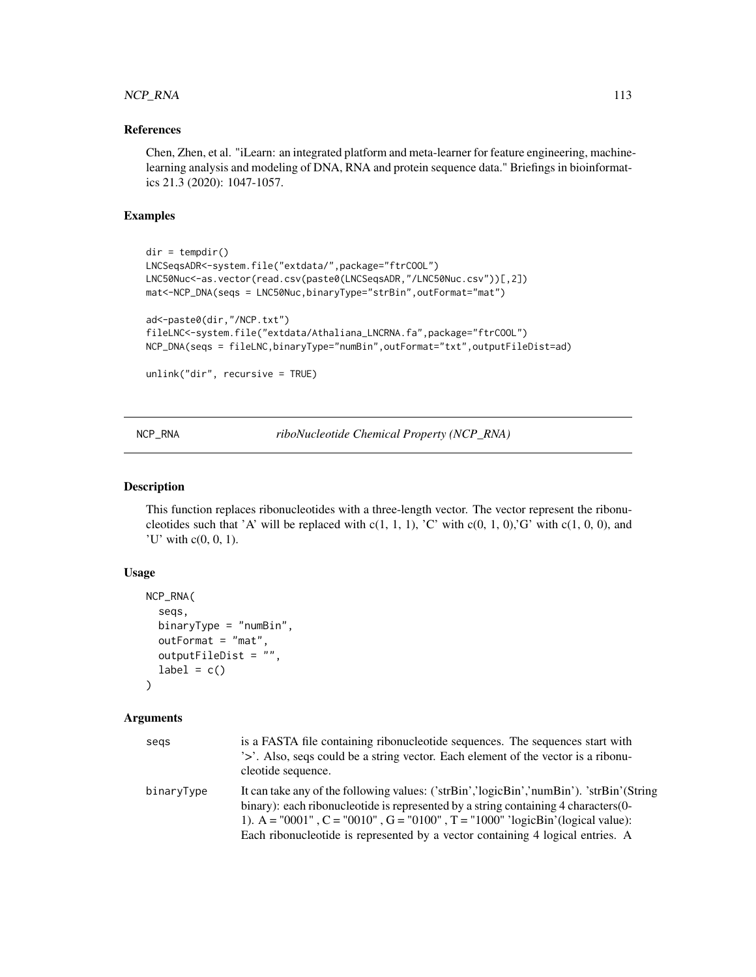# NCP\_RNA 113

# References

Chen, Zhen, et al. "iLearn: an integrated platform and meta-learner for feature engineering, machinelearning analysis and modeling of DNA, RNA and protein sequence data." Briefings in bioinformatics 21.3 (2020): 1047-1057.

# Examples

```
dir = tempdir()
LNCSeqsADR<-system.file("extdata/",package="ftrCOOL")
LNC50Nuc<-as.vector(read.csv(paste0(LNCSeqsADR,"/LNC50Nuc.csv"))[,2])
mat<-NCP_DNA(seqs = LNC50Nuc,binaryType="strBin",outFormat="mat")
ad<-paste0(dir,"/NCP.txt")
fileLNC<-system.file("extdata/Athaliana_LNCRNA.fa",package="ftrCOOL")
NCP_DNA(seqs = fileLNC,binaryType="numBin",outFormat="txt",outputFileDist=ad)
unlink("dir", recursive = TRUE)
```
NCP\_RNA *riboNucleotide Chemical Property (NCP\_RNA)*

### Description

This function replaces ribonucleotides with a three-length vector. The vector represent the ribonucleotides such that 'A' will be replaced with  $c(1, 1, 1)$ , 'C' with  $c(0, 1, 0)$ ,'G' with  $c(1, 0, 0)$ , and 'U' with  $c(0, 0, 1)$ .

## Usage

```
NCP_RNA(
  seqs,
  binaryType = "numBin",
  outFormat = "mat",
  outputFileDist = ",
  label = c())
```

| segs       | is a FASTA file containing ribonucleotide sequences. The sequences start with<br>'>'. Also, seqs could be a string vector. Each element of the vector is a ribonu-<br>cleotide sequence.                                                                                                                                                           |
|------------|----------------------------------------------------------------------------------------------------------------------------------------------------------------------------------------------------------------------------------------------------------------------------------------------------------------------------------------------------|
| binaryType | It can take any of the following values: ('strBin','logicBin','numBin'). 'strBin'(String<br>binary): each ribonucleotide is represented by a string containing 4 characters (0-<br>1). A = "0001", C = "0010", G = "0100", T = "1000" 'logicBin'(logical value):<br>Each ribonucleotide is represented by a vector containing 4 logical entries. A |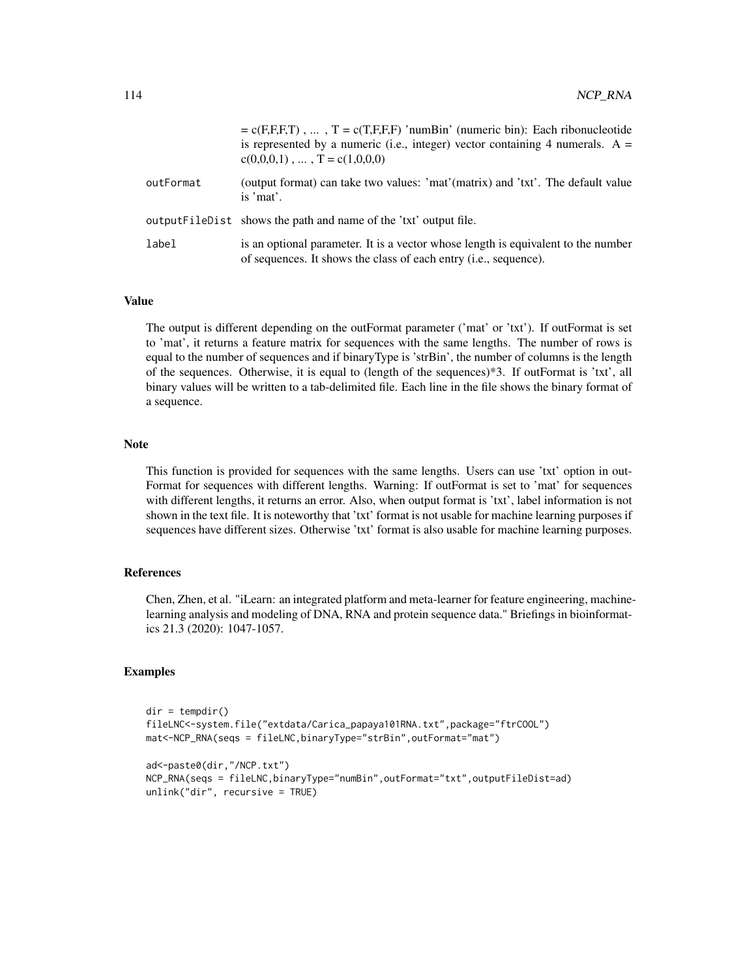|           | $= c(F,F,F,T)$ , , $T = c(T,F,F,F)$ 'numBin' (numeric bin): Each ribonucleotide<br>is represented by a numeric (i.e., integer) vector containing 4 numerals. $A =$<br>$c(0,0,0,1), \ldots, T = c(1,0,0,0)$ |
|-----------|------------------------------------------------------------------------------------------------------------------------------------------------------------------------------------------------------------|
| outFormat | (output format) can take two values: 'mat'(matrix) and 'txt'. The default value<br>is 'mat'.                                                                                                               |
|           | output FileDist shows the path and name of the 'txt' output file.                                                                                                                                          |
| label     | is an optional parameter. It is a vector whose length is equivalent to the number<br>of sequences. It shows the class of each entry (i.e., sequence).                                                      |

## Value

The output is different depending on the outFormat parameter ('mat' or 'txt'). If outFormat is set to 'mat', it returns a feature matrix for sequences with the same lengths. The number of rows is equal to the number of sequences and if binaryType is 'strBin', the number of columns is the length of the sequences. Otherwise, it is equal to (length of the sequences)\*3. If outFormat is 'txt', all binary values will be written to a tab-delimited file. Each line in the file shows the binary format of a sequence.

#### Note

This function is provided for sequences with the same lengths. Users can use 'txt' option in out-Format for sequences with different lengths. Warning: If outFormat is set to 'mat' for sequences with different lengths, it returns an error. Also, when output format is 'txt', label information is not shown in the text file. It is noteworthy that 'txt' format is not usable for machine learning purposes if sequences have different sizes. Otherwise 'txt' format is also usable for machine learning purposes.

## References

Chen, Zhen, et al. "iLearn: an integrated platform and meta-learner for feature engineering, machinelearning analysis and modeling of DNA, RNA and protein sequence data." Briefings in bioinformatics 21.3 (2020): 1047-1057.

# Examples

```
dir = tempdir()fileLNC<-system.file("extdata/Carica_papaya101RNA.txt",package="ftrCOOL")
mat<-NCP_RNA(seqs = fileLNC,binaryType="strBin",outFormat="mat")
ad<-paste0(dir,"/NCP.txt")
NCP_RNA(seqs = fileLNC,binaryType="numBin",outFormat="txt",outputFileDist=ad)
unlink("dir", recursive = TRUE)
```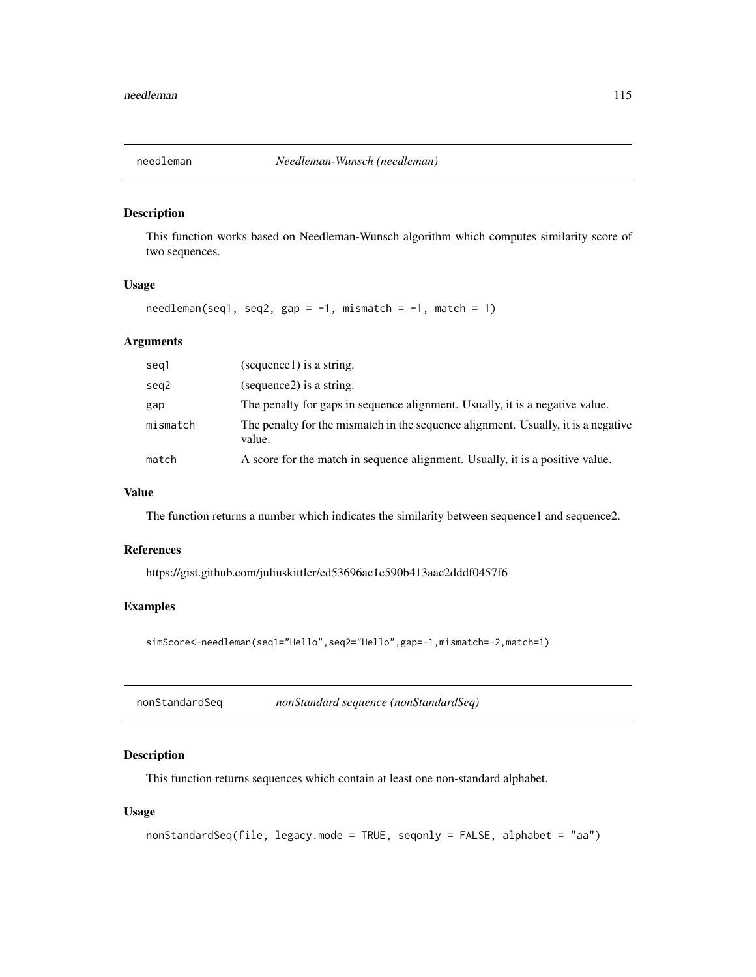This function works based on Needleman-Wunsch algorithm which computes similarity score of two sequences.

# Usage

 $needleman(seq1, seq2, gap = -1, mismatch = -1, match = 1)$ 

# Arguments

| seg1     | (sequence1) is a string.                                                                    |
|----------|---------------------------------------------------------------------------------------------|
| seg2     | (sequence2) is a string.                                                                    |
| gap      | The penalty for gaps in sequence alignment. Usually, it is a negative value.                |
| mismatch | The penalty for the mismatch in the sequence alignment. Usually, it is a negative<br>value. |
| match    | A score for the match in sequence alignment. Usually, it is a positive value.               |

# Value

The function returns a number which indicates the similarity between sequence1 and sequence2.

### References

https://gist.github.com/juliuskittler/ed53696ac1e590b413aac2dddf0457f6

# Examples

simScore<-needleman(seq1="Hello",seq2="Hello",gap=-1,mismatch=-2,match=1)

nonStandardSeq *nonStandard sequence (nonStandardSeq)*

# Description

This function returns sequences which contain at least one non-standard alphabet.

### Usage

```
nonStandardSeq(file, legacy.mode = TRUE, seqonly = FALSE, alphabet = "aa")
```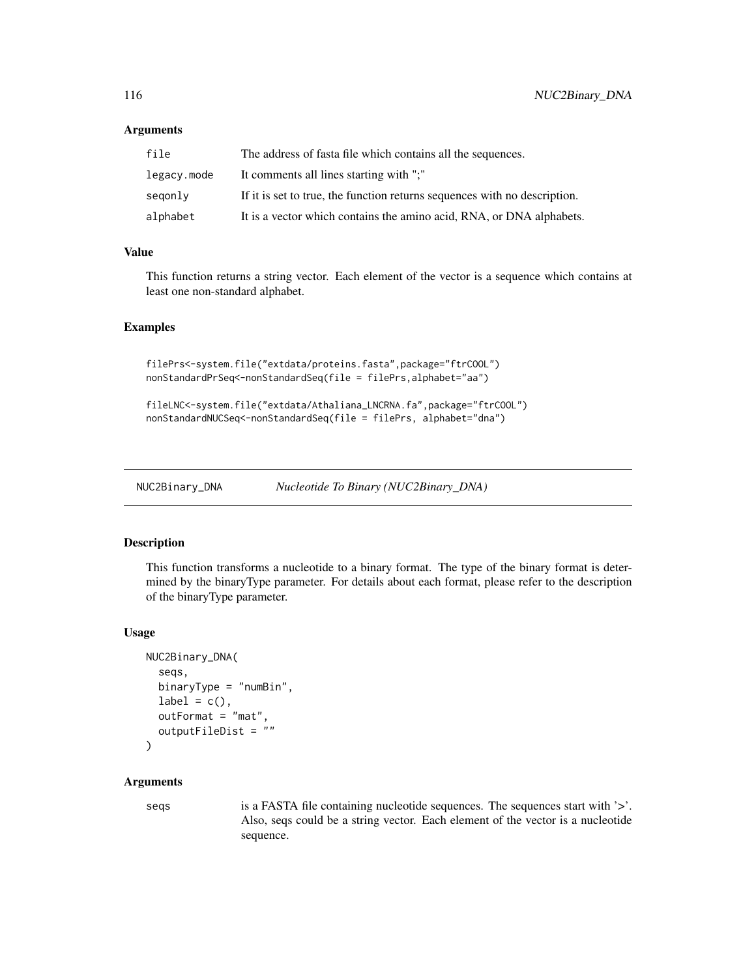### **Arguments**

| file        | The address of fasta file which contains all the sequences.               |
|-------------|---------------------------------------------------------------------------|
| legacy.mode | It comments all lines starting with ";"                                   |
| segonly     | If it is set to true, the function returns sequences with no description. |
| alphabet    | It is a vector which contains the amino acid, RNA, or DNA alphabets.      |

## Value

This function returns a string vector. Each element of the vector is a sequence which contains at least one non-standard alphabet.

## Examples

```
filePrs<-system.file("extdata/proteins.fasta",package="ftrCOOL")
nonStandardPrSeq<-nonStandardSeq(file = filePrs,alphabet="aa")
```

```
fileLNC<-system.file("extdata/Athaliana_LNCRNA.fa",package="ftrCOOL")
nonStandardNUCSeq<-nonStandardSeq(file = filePrs, alphabet="dna")
```
NUC2Binary\_DNA *Nucleotide To Binary (NUC2Binary\_DNA)*

# Description

This function transforms a nucleotide to a binary format. The type of the binary format is determined by the binaryType parameter. For details about each format, please refer to the description of the binaryType parameter.

#### Usage

```
NUC2Binary_DNA(
  seqs,
  binaryType = "numBin",
  label = c(),
  outFormat = "mat",
  outputFileDist = ""
\lambda
```
### Arguments

seqs is a FASTA file containing nucleotide sequences. The sequences start with '>'. Also, seqs could be a string vector. Each element of the vector is a nucleotide sequence.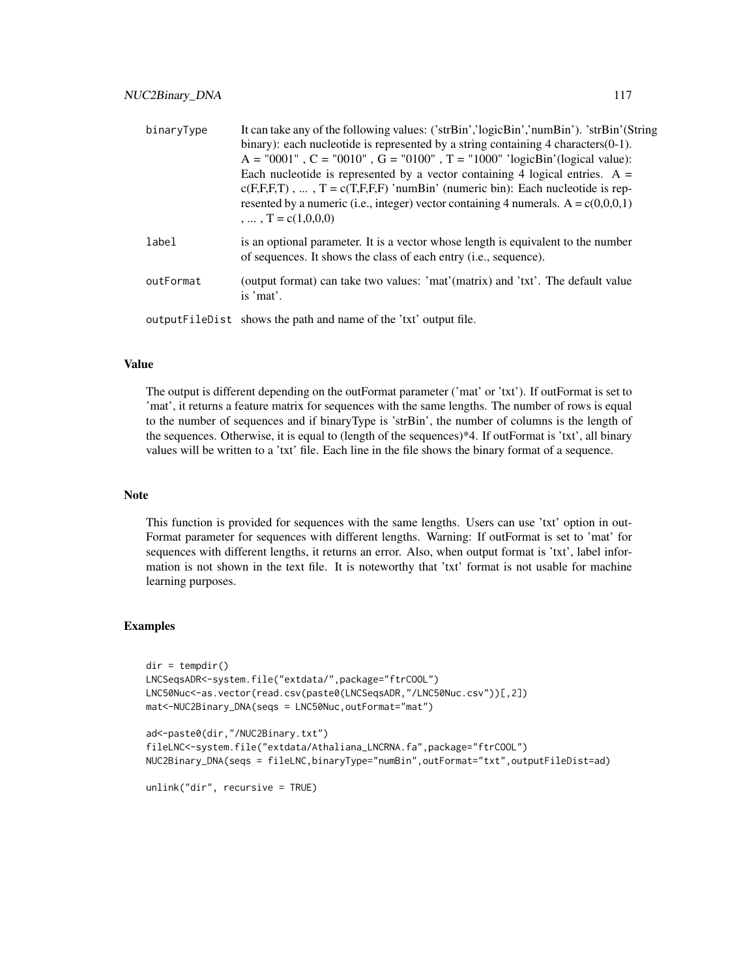| binaryType | It can take any of the following values: ('strBin','logicBin','numBin'). 'strBin'(String<br>binary): each nucleotide is represented by a string containing $4$ characters $(0-1)$ .<br>$A = "0001"$ , $C = "0010"$ , $G = "0100"$ , $T = "1000"$ 'ogicBin'(logical value):<br>Each nucleotide is represented by a vector containing 4 logical entries. $A =$<br>$c(F,F,F,T)$ , , $T = c(T,F,F,F)$ 'numBin' (numeric bin): Each nucleotide is rep-<br>resented by a numeric (i.e., integer) vector containing 4 numerals. $A = c(0,0,0,1)$<br>$\ldots$ $T = c(1,0,0,0)$ |
|------------|------------------------------------------------------------------------------------------------------------------------------------------------------------------------------------------------------------------------------------------------------------------------------------------------------------------------------------------------------------------------------------------------------------------------------------------------------------------------------------------------------------------------------------------------------------------------|
| label      | is an optional parameter. It is a vector whose length is equivalent to the number<br>of sequences. It shows the class of each entry ( <i>i.e.</i> , sequence).                                                                                                                                                                                                                                                                                                                                                                                                         |
| outFormat  | (output format) can take two values: 'mat'(matrix) and 'txt'. The default value<br>is 'mat'.                                                                                                                                                                                                                                                                                                                                                                                                                                                                           |
|            | output FileDist shows the path and name of the 'txt' output file.                                                                                                                                                                                                                                                                                                                                                                                                                                                                                                      |

#### Value

The output is different depending on the outFormat parameter ('mat' or 'txt'). If outFormat is set to 'mat', it returns a feature matrix for sequences with the same lengths. The number of rows is equal to the number of sequences and if binaryType is 'strBin', the number of columns is the length of the sequences. Otherwise, it is equal to (length of the sequences)\*4. If outFormat is 'txt', all binary values will be written to a 'txt' file. Each line in the file shows the binary format of a sequence.

## Note

This function is provided for sequences with the same lengths. Users can use 'txt' option in out-Format parameter for sequences with different lengths. Warning: If outFormat is set to 'mat' for sequences with different lengths, it returns an error. Also, when output format is 'txt', label information is not shown in the text file. It is noteworthy that 'txt' format is not usable for machine learning purposes.

### Examples

```
dir = tempdir()LNCSeqsADR<-system.file("extdata/",package="ftrCOOL")
LNC50Nuc<-as.vector(read.csv(paste0(LNCSeqsADR,"/LNC50Nuc.csv"))[,2])
mat<-NUC2Binary_DNA(seqs = LNC50Nuc,outFormat="mat")
ad<-paste0(dir,"/NUC2Binary.txt")
```

```
fileLNC<-system.file("extdata/Athaliana_LNCRNA.fa",package="ftrCOOL")
NUC2Binary_DNA(seqs = fileLNC,binaryType="numBin",outFormat="txt",outputFileDist=ad)
```

```
unlink("dir", recursive = TRUE)
```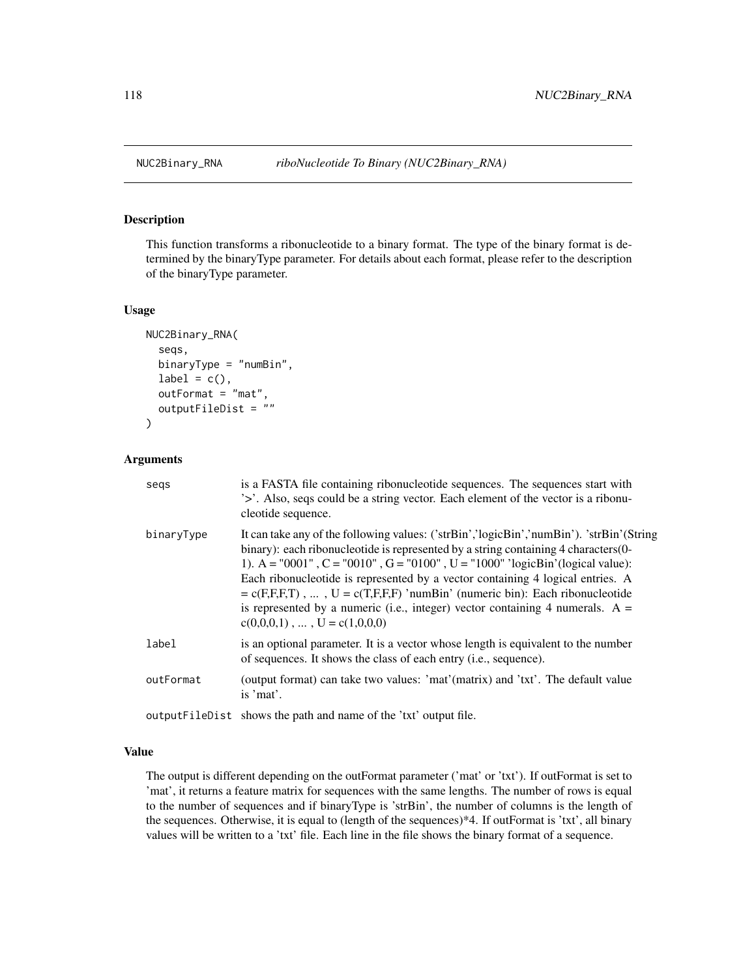This function transforms a ribonucleotide to a binary format. The type of the binary format is determined by the binaryType parameter. For details about each format, please refer to the description of the binaryType parameter.

### Usage

```
NUC2Binary_RNA(
  seqs,
  binaryType = "numBin",
  label = c(),
  outFormat = "mat",
  outputFileDist = ""
)
```
## Arguments

| segs       | is a FASTA file containing ribonucleotide sequences. The sequences start with<br>'>'. Also, seqs could be a string vector. Each element of the vector is a ribonu-<br>cleotide sequence.                                                                                                                                                                                                                                                                                                                                                                         |
|------------|------------------------------------------------------------------------------------------------------------------------------------------------------------------------------------------------------------------------------------------------------------------------------------------------------------------------------------------------------------------------------------------------------------------------------------------------------------------------------------------------------------------------------------------------------------------|
| binaryType | It can take any of the following values: ('strBin','logicBin','numBin'). 'strBin'(String<br>binary): each ribonucleotide is represented by a string containing 4 characters (0-<br>1). A = "0001", C = "0010", G = "0100", U = "1000" 'logicBin'(logical value):<br>Each ribonucleotide is represented by a vector containing 4 logical entries. A<br>$= c(F,F,F,T)$ , , $U = c(T,F,F,F)$ 'numBin' (numeric bin): Each ribonucleotide<br>is represented by a numeric (i.e., integer) vector containing 4 numerals. $A =$<br>$c(0,0,0,1), \ldots, U = c(1,0,0,0)$ |
| label      | is an optional parameter. It is a vector whose length is equivalent to the number<br>of sequences. It shows the class of each entry (i.e., sequence).                                                                                                                                                                                                                                                                                                                                                                                                            |
| outFormat  | (output format) can take two values: 'mat'(matrix) and 'txt'. The default value<br>is 'mat'.                                                                                                                                                                                                                                                                                                                                                                                                                                                                     |
|            | output FileDist shows the path and name of the 'txt' output file.                                                                                                                                                                                                                                                                                                                                                                                                                                                                                                |

### Value

The output is different depending on the outFormat parameter ('mat' or 'txt'). If outFormat is set to 'mat', it returns a feature matrix for sequences with the same lengths. The number of rows is equal to the number of sequences and if binaryType is 'strBin', the number of columns is the length of the sequences. Otherwise, it is equal to (length of the sequences)\*4. If outFormat is 'txt', all binary values will be written to a 'txt' file. Each line in the file shows the binary format of a sequence.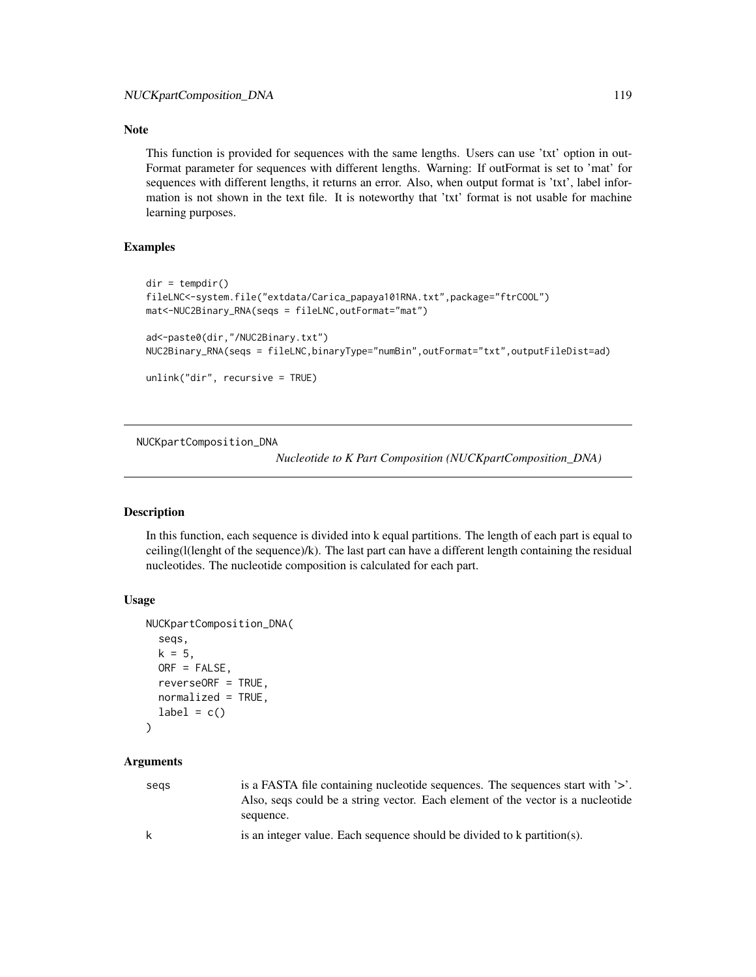# Note

This function is provided for sequences with the same lengths. Users can use 'txt' option in out-Format parameter for sequences with different lengths. Warning: If outFormat is set to 'mat' for sequences with different lengths, it returns an error. Also, when output format is 'txt', label information is not shown in the text file. It is noteworthy that 'txt' format is not usable for machine learning purposes.

## Examples

```
dir = tempdir()fileLNC<-system.file("extdata/Carica_papaya101RNA.txt",package="ftrCOOL")
mat<-NUC2Binary_RNA(seqs = fileLNC,outFormat="mat")
ad<-paste0(dir,"/NUC2Binary.txt")
NUC2Binary_RNA(seqs = fileLNC,binaryType="numBin",outFormat="txt",outputFileDist=ad)
unlink("dir", recursive = TRUE)
```
NUCKpartComposition\_DNA

*Nucleotide to K Part Composition (NUCKpartComposition\_DNA)*

## Description

In this function, each sequence is divided into k equal partitions. The length of each part is equal to ceiling(l(lenght of the sequence)/k). The last part can have a different length containing the residual nucleotides. The nucleotide composition is calculated for each part.

### Usage

```
NUCKpartComposition_DNA(
  seqs,
  k = 5,
  ORF = FALSE.
  reverseORF = TRUE,
  normalized = TRUE,
  label = c())
```

| segs | is a FASTA file containing nucleotide sequences. The sequences start with $\geq$ . |
|------|------------------------------------------------------------------------------------|
|      | Also, segs could be a string vector. Each element of the vector is a nucleotide    |
|      | sequence.                                                                          |
| k    | is an integer value. Each sequence should be divided to k partition(s).            |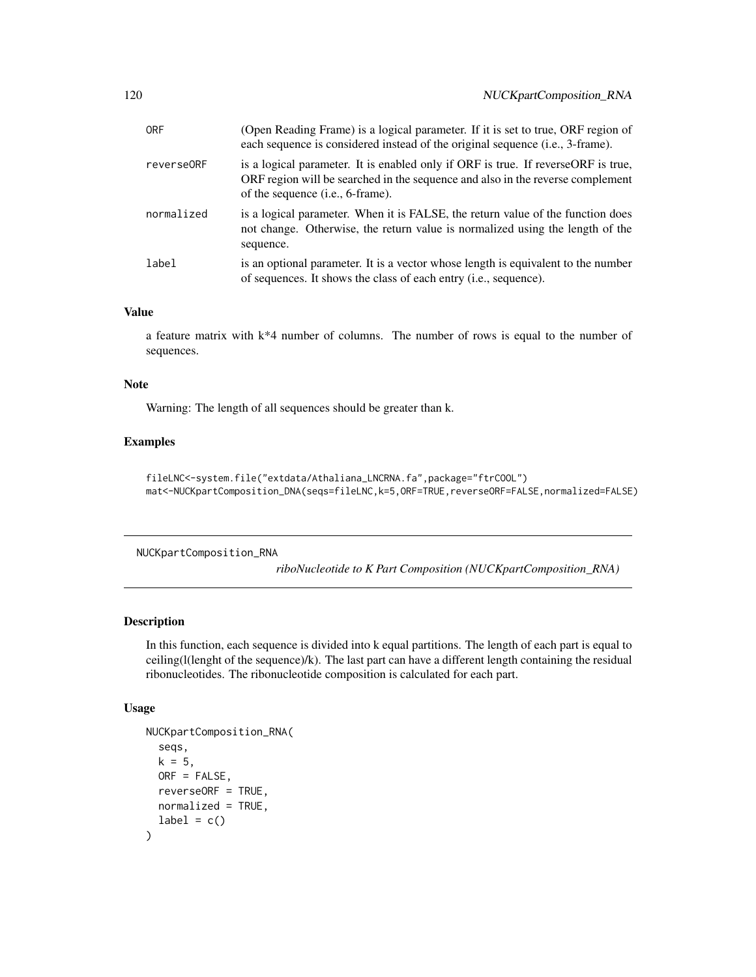| <b>ORF</b> | (Open Reading Frame) is a logical parameter. If it is set to true, ORF region of<br>each sequence is considered instead of the original sequence (i.e., 3-frame).                                           |
|------------|-------------------------------------------------------------------------------------------------------------------------------------------------------------------------------------------------------------|
| reverse0RF | is a logical parameter. It is enabled only if ORF is true. If reverse ORF is true,<br>ORF region will be searched in the sequence and also in the reverse complement<br>of the sequence $(i.e., 6-frame)$ . |
| normalized | is a logical parameter. When it is FALSE, the return value of the function does<br>not change. Otherwise, the return value is normalized using the length of the<br>sequence.                               |
| label      | is an optional parameter. It is a vector whose length is equivalent to the number<br>of sequences. It shows the class of each entry ( <i>i.e.</i> , sequence).                                              |

## Value

a feature matrix with  $k*4$  number of columns. The number of rows is equal to the number of sequences.

### Note

Warning: The length of all sequences should be greater than k.

# Examples

```
fileLNC<-system.file("extdata/Athaliana_LNCRNA.fa",package="ftrCOOL")
mat<-NUCKpartComposition_DNA(seqs=fileLNC,k=5,ORF=TRUE,reverseORF=FALSE,normalized=FALSE)
```
NUCKpartComposition\_RNA

*riboNucleotide to K Part Composition (NUCKpartComposition\_RNA)*

### Description

In this function, each sequence is divided into k equal partitions. The length of each part is equal to ceiling(l(lenght of the sequence)/k). The last part can have a different length containing the residual ribonucleotides. The ribonucleotide composition is calculated for each part.

# Usage

```
NUCKpartComposition_RNA(
  seqs,
 k = 5,
 ORF = FALSE,
  reverseORF = TRUE,
 normalized = TRUE,
  label = c())
```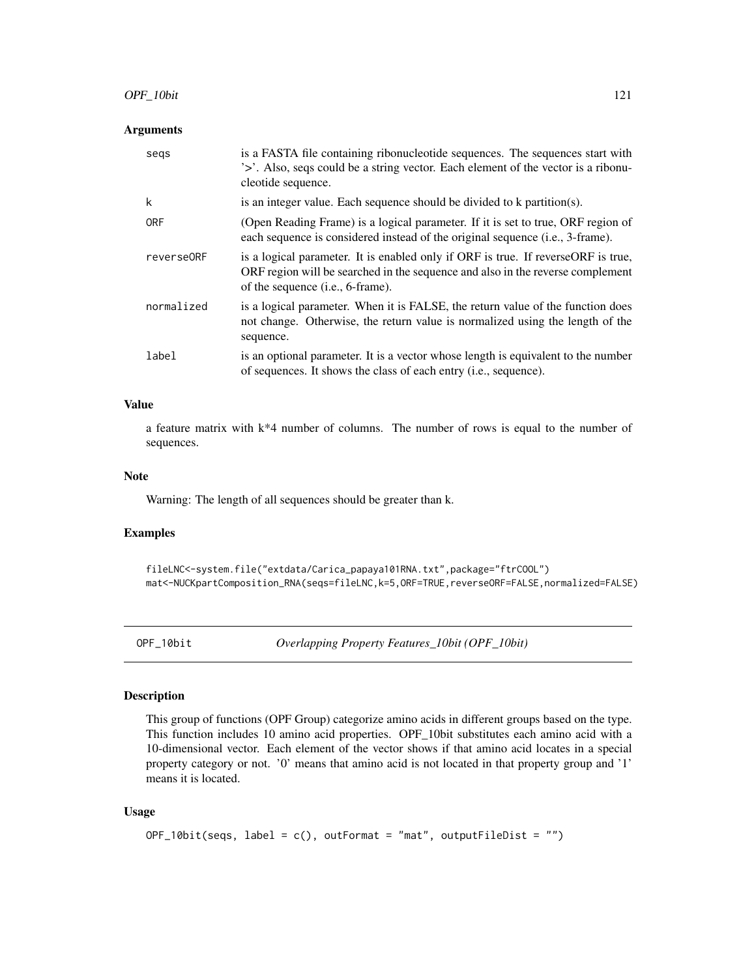## **Arguments**

| segs       | is a FASTA file containing ribonucleotide sequences. The sequences start with<br>'>'. Also, seqs could be a string vector. Each element of the vector is a ribonu-<br>cleotide sequence.                         |
|------------|------------------------------------------------------------------------------------------------------------------------------------------------------------------------------------------------------------------|
| k          | is an integer value. Each sequence should be divided to k partition(s).                                                                                                                                          |
| <b>ORF</b> | (Open Reading Frame) is a logical parameter. If it is set to true, ORF region of<br>each sequence is considered instead of the original sequence (i.e., 3-frame).                                                |
| reverse0RF | is a logical parameter. It is enabled only if ORF is true. If reverseORF is true,<br>ORF region will be searched in the sequence and also in the reverse complement<br>of the sequence ( <i>i.e.</i> , 6-frame). |
| normalized | is a logical parameter. When it is FALSE, the return value of the function does<br>not change. Otherwise, the return value is normalized using the length of the<br>sequence.                                    |
| label      | is an optional parameter. It is a vector whose length is equivalent to the number<br>of sequences. It shows the class of each entry ( <i>i.e.</i> , sequence).                                                   |

# Value

a feature matrix with k\*4 number of columns. The number of rows is equal to the number of sequences.

# Note

Warning: The length of all sequences should be greater than k.

### Examples

fileLNC<-system.file("extdata/Carica\_papaya101RNA.txt",package="ftrCOOL") mat<-NUCKpartComposition\_RNA(seqs=fileLNC,k=5,ORF=TRUE,reverseORF=FALSE,normalized=FALSE)

OPF\_10bit *Overlapping Property Features\_10bit (OPF\_10bit)*

## Description

This group of functions (OPF Group) categorize amino acids in different groups based on the type. This function includes 10 amino acid properties. OPF\_10bit substitutes each amino acid with a 10-dimensional vector. Each element of the vector shows if that amino acid locates in a special property category or not. '0' means that amino acid is not located in that property group and '1' means it is located.

## Usage

```
OPT_10bit(seqs, label = c(), outformat = "mat", outputFileDist = "")
```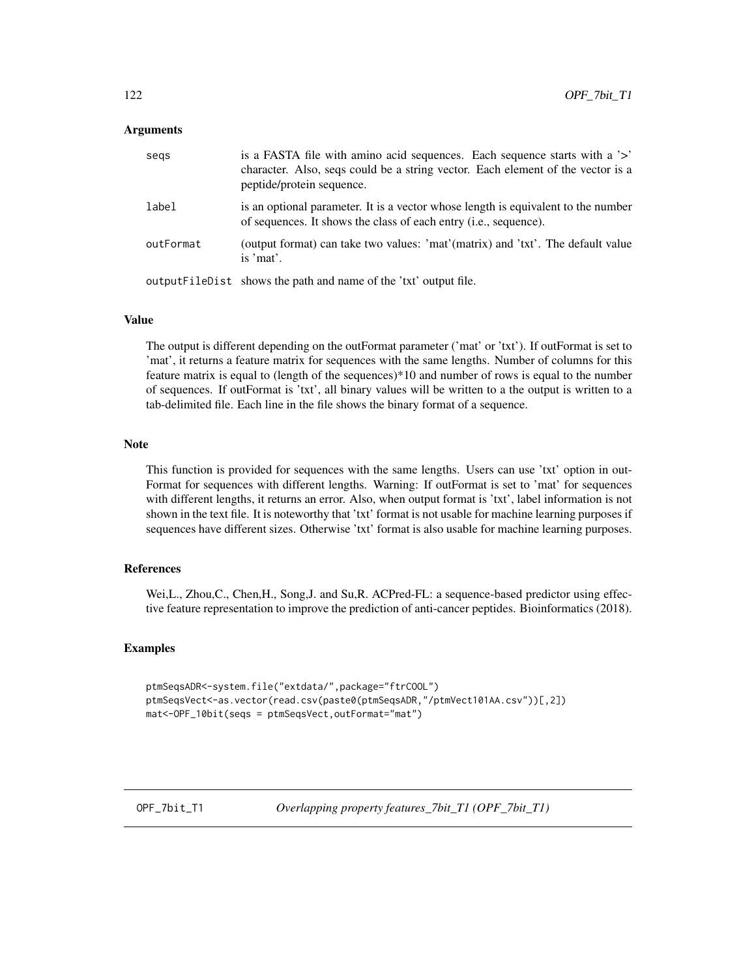### Arguments

| segs      | is a FASTA file with amino acid sequences. Each sequence starts with a '>'<br>character. Also, seqs could be a string vector. Each element of the vector is a<br>peptide/protein sequence. |
|-----------|--------------------------------------------------------------------------------------------------------------------------------------------------------------------------------------------|
| label     | is an optional parameter. It is a vector whose length is equivalent to the number<br>of sequences. It shows the class of each entry ( <i>i.e.</i> , sequence).                             |
| outFormat | (output format) can take two values: 'mat'(matrix) and 'txt'. The default value<br>is 'mat'.                                                                                               |
|           | output FileD ist shows the path and name of the 'txt' output file.                                                                                                                         |

## Value

The output is different depending on the outFormat parameter ('mat' or 'txt'). If outFormat is set to 'mat', it returns a feature matrix for sequences with the same lengths. Number of columns for this feature matrix is equal to (length of the sequences)\*10 and number of rows is equal to the number of sequences. If outFormat is 'txt', all binary values will be written to a the output is written to a tab-delimited file. Each line in the file shows the binary format of a sequence.

#### Note

This function is provided for sequences with the same lengths. Users can use 'txt' option in out-Format for sequences with different lengths. Warning: If outFormat is set to 'mat' for sequences with different lengths, it returns an error. Also, when output format is 'txt', label information is not shown in the text file. It is noteworthy that 'txt' format is not usable for machine learning purposes if sequences have different sizes. Otherwise 'txt' format is also usable for machine learning purposes.

# References

Wei,L., Zhou,C., Chen,H., Song,J. and Su,R. ACPred-FL: a sequence-based predictor using effective feature representation to improve the prediction of anti-cancer peptides. Bioinformatics (2018).

## Examples

```
ptmSeqsADR<-system.file("extdata/",package="ftrCOOL")
ptmSeqsVect<-as.vector(read.csv(paste0(ptmSeqsADR,"/ptmVect101AA.csv"))[,2])
mat<-OPF_10bit(seqs = ptmSeqsVect,outFormat="mat")
```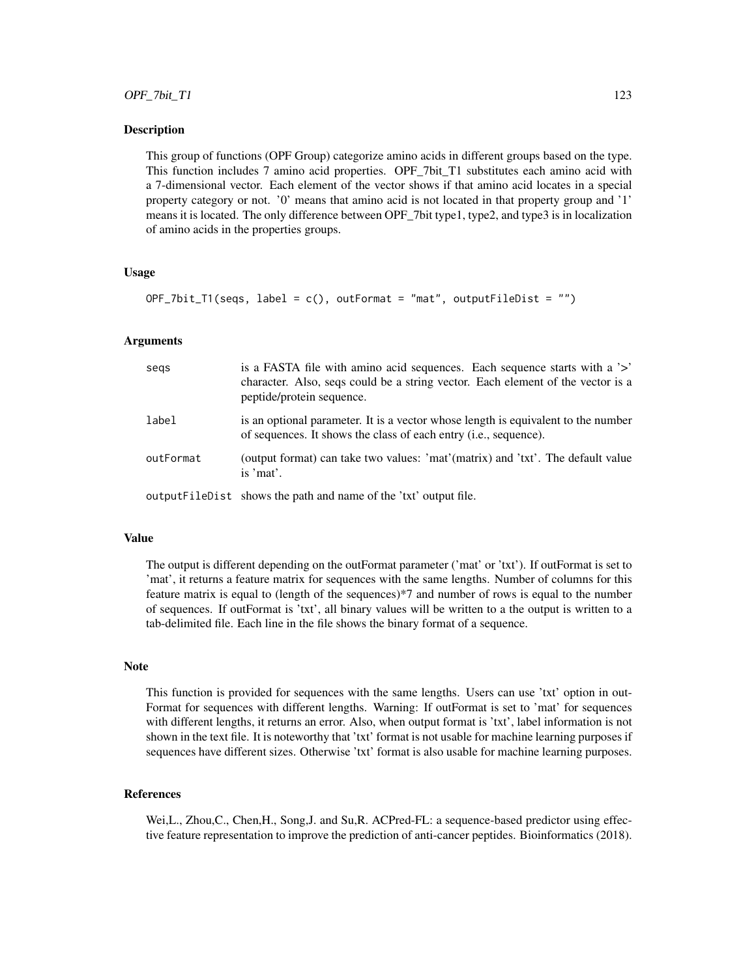This group of functions (OPF Group) categorize amino acids in different groups based on the type. This function includes 7 amino acid properties. OPF\_7bit\_T1 substitutes each amino acid with a 7-dimensional vector. Each element of the vector shows if that amino acid locates in a special property category or not. '0' means that amino acid is not located in that property group and '1' means it is located. The only difference between OPF\_7bit type1, type2, and type3 is in localization of amino acids in the properties groups.

### Usage

```
OPT_7bit_1(seqs, label = c(), outFormat = "mat", outputFileDist = "")
```
### Arguments

| segs      | is a FASTA file with a mino acid sequences. Each sequence starts with a '>'<br>character. Also, seqs could be a string vector. Each element of the vector is a<br>peptide/protein sequence. |
|-----------|---------------------------------------------------------------------------------------------------------------------------------------------------------------------------------------------|
| label     | is an optional parameter. It is a vector whose length is equivalent to the number<br>of sequences. It shows the class of each entry ( <i>i.e.</i> , sequence).                              |
| outFormat | (output format) can take two values: 'mat'(matrix) and 'txt'. The default value<br>is 'mat'.                                                                                                |
|           | output FileDist shows the path and name of the 'txt' output file.                                                                                                                           |

#### Value

The output is different depending on the outFormat parameter ('mat' or 'txt'). If outFormat is set to 'mat', it returns a feature matrix for sequences with the same lengths. Number of columns for this feature matrix is equal to (length of the sequences)\*7 and number of rows is equal to the number of sequences. If outFormat is 'txt', all binary values will be written to a the output is written to a tab-delimited file. Each line in the file shows the binary format of a sequence.

#### **Note**

This function is provided for sequences with the same lengths. Users can use 'txt' option in out-Format for sequences with different lengths. Warning: If outFormat is set to 'mat' for sequences with different lengths, it returns an error. Also, when output format is 'txt', label information is not shown in the text file. It is noteworthy that 'txt' format is not usable for machine learning purposes if sequences have different sizes. Otherwise 'txt' format is also usable for machine learning purposes.

### References

Wei,L., Zhou,C., Chen,H., Song,J. and Su,R. ACPred-FL: a sequence-based predictor using effective feature representation to improve the prediction of anti-cancer peptides. Bioinformatics (2018).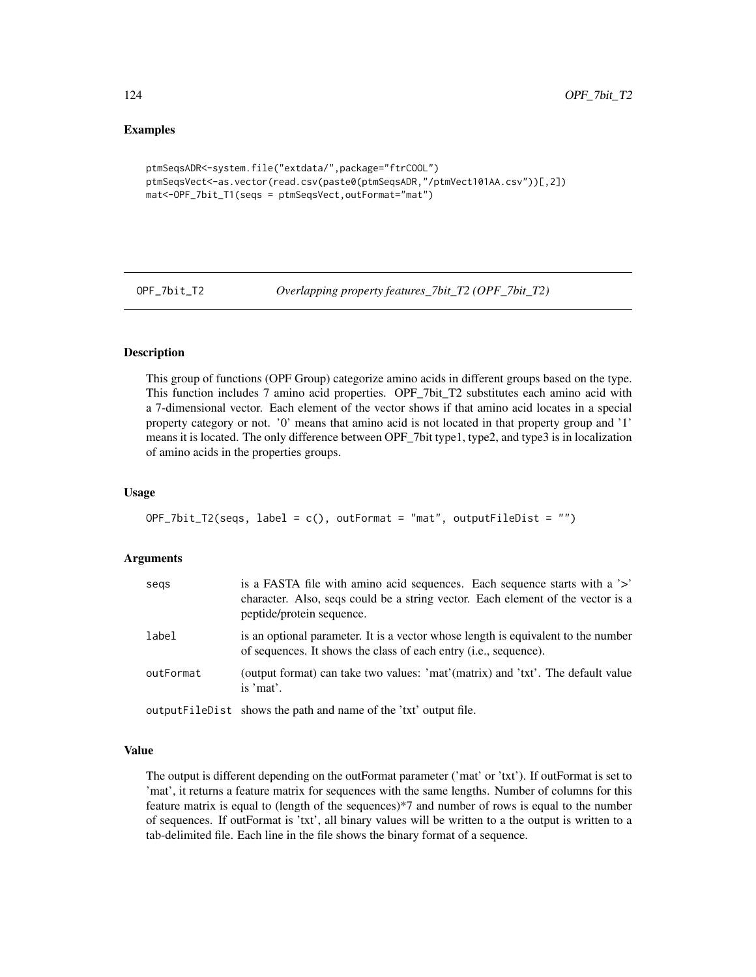## Examples

```
ptmSeqsADR<-system.file("extdata/",package="ftrCOOL")
ptmSeqsVect<-as.vector(read.csv(paste0(ptmSeqsADR,"/ptmVect101AA.csv"))[,2])
mat<-OPF_7bit_T1(seqs = ptmSeqsVect,outFormat="mat")
```
OPF\_7bit\_T2 *Overlapping property features\_7bit\_T2 (OPF\_7bit\_T2)*

# **Description**

This group of functions (OPF Group) categorize amino acids in different groups based on the type. This function includes 7 amino acid properties. OPF\_7bit\_T2 substitutes each amino acid with a 7-dimensional vector. Each element of the vector shows if that amino acid locates in a special property category or not. '0' means that amino acid is not located in that property group and '1' means it is located. The only difference between OPF\_7bit type1, type2, and type3 is in localization of amino acids in the properties groups.

### Usage

```
OPF_7bit_T2(segs, label = c(), outFormat = "mat", outputFileDist = "")
```
#### Arguments

| segs      | is a FASTA file with a mino acid sequences. Each sequence starts with a '>'<br>character. Also, seqs could be a string vector. Each element of the vector is a<br>peptide/protein sequence. |
|-----------|---------------------------------------------------------------------------------------------------------------------------------------------------------------------------------------------|
| label     | is an optional parameter. It is a vector whose length is equivalent to the number<br>of sequences. It shows the class of each entry <i>(i.e., sequence)</i> .                               |
| outFormat | (output format) can take two values: 'mat'(matrix) and 'txt'. The default value<br>is 'mat'.                                                                                                |
|           | output FileDist shows the path and name of the 'txt' output file.                                                                                                                           |

#### Value

The output is different depending on the outFormat parameter ('mat' or 'txt'). If outFormat is set to 'mat', it returns a feature matrix for sequences with the same lengths. Number of columns for this feature matrix is equal to (length of the sequences)\*7 and number of rows is equal to the number of sequences. If outFormat is 'txt', all binary values will be written to a the output is written to a tab-delimited file. Each line in the file shows the binary format of a sequence.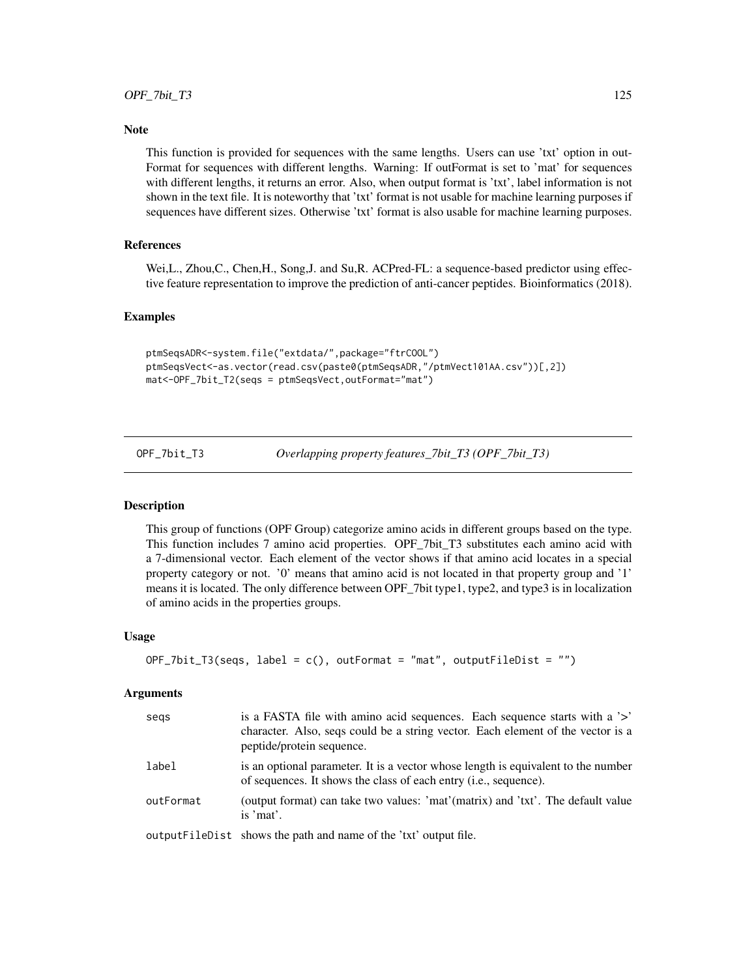## **Note**

This function is provided for sequences with the same lengths. Users can use 'txt' option in out-Format for sequences with different lengths. Warning: If outFormat is set to 'mat' for sequences with different lengths, it returns an error. Also, when output format is 'txt', label information is not shown in the text file. It is noteworthy that 'txt' format is not usable for machine learning purposes if sequences have different sizes. Otherwise 'txt' format is also usable for machine learning purposes.

# References

Wei,L., Zhou,C., Chen,H., Song,J. and Su,R. ACPred-FL: a sequence-based predictor using effective feature representation to improve the prediction of anti-cancer peptides. Bioinformatics (2018).

### Examples

```
ptmSeqsADR<-system.file("extdata/",package="ftrCOOL")
ptmSeqsVect<-as.vector(read.csv(paste0(ptmSeqsADR,"/ptmVect101AA.csv"))[,2])
mat<-OPF_7bit_T2(seqs = ptmSeqsVect,outFormat="mat")
```
OPF\_7bit\_T3 *Overlapping property features\_7bit\_T3 (OPF\_7bit\_T3)*

### Description

This group of functions (OPF Group) categorize amino acids in different groups based on the type. This function includes 7 amino acid properties. OPF\_7bit\_T3 substitutes each amino acid with a 7-dimensional vector. Each element of the vector shows if that amino acid locates in a special property category or not. '0' means that amino acid is not located in that property group and '1' means it is located. The only difference between OPF\_7bit type1, type2, and type3 is in localization of amino acids in the properties groups.

### Usage

```
OF\_7bit\_T3(seqs, label = c(), outFormat = "mat", outputFileDist = "")
```

| segs      | is a FASTA file with amino acid sequences. Each sequence starts with a '>'<br>character. Also, seqs could be a string vector. Each element of the vector is a<br>peptide/protein sequence. |
|-----------|--------------------------------------------------------------------------------------------------------------------------------------------------------------------------------------------|
| label     | is an optional parameter. It is a vector whose length is equivalent to the number<br>of sequences. It shows the class of each entry ( <i>i.e.</i> , sequence).                             |
| outFormat | (output format) can take two values: 'mat'(matrix) and 'txt'. The default value<br>is 'mat'.                                                                                               |
|           | output FileDist shows the path and name of the 'txt' output file.                                                                                                                          |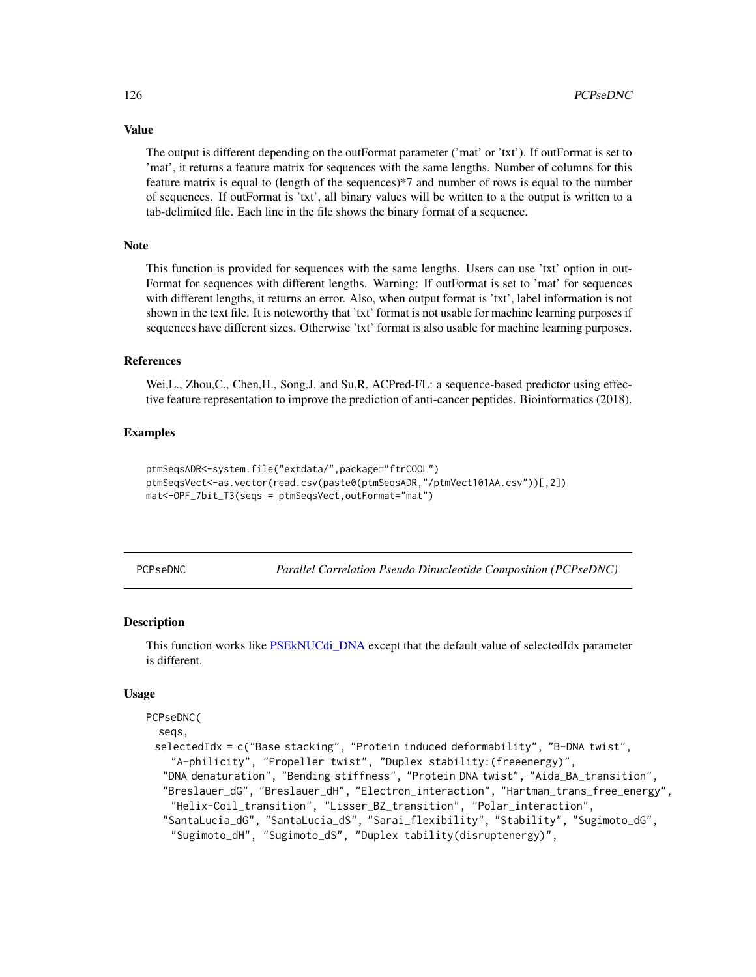The output is different depending on the outFormat parameter ('mat' or 'txt'). If outFormat is set to 'mat', it returns a feature matrix for sequences with the same lengths. Number of columns for this feature matrix is equal to (length of the sequences)\*7 and number of rows is equal to the number of sequences. If outFormat is 'txt', all binary values will be written to a the output is written to a tab-delimited file. Each line in the file shows the binary format of a sequence.

# Note

This function is provided for sequences with the same lengths. Users can use 'txt' option in out-Format for sequences with different lengths. Warning: If outFormat is set to 'mat' for sequences with different lengths, it returns an error. Also, when output format is 'txt', label information is not shown in the text file. It is noteworthy that 'txt' format is not usable for machine learning purposes if sequences have different sizes. Otherwise 'txt' format is also usable for machine learning purposes.

### References

Wei,L., Zhou,C., Chen,H., Song,J. and Su,R. ACPred-FL: a sequence-based predictor using effective feature representation to improve the prediction of anti-cancer peptides. Bioinformatics (2018).

## Examples

```
ptmSeqsADR<-system.file("extdata/",package="ftrCOOL")
ptmSeqsVect<-as.vector(read.csv(paste0(ptmSeqsADR,"/ptmVect101AA.csv"))[,2])
mat<-OPF_7bit_T3(seqs = ptmSeqsVect,outFormat="mat")
```
PCPseDNC *Parallel Correlation Pseudo Dinucleotide Composition (PCPseDNC)*

### **Description**

This function works like [PSEkNUCdi\\_DNA](#page-138-0) except that the default value of selectedIdx parameter is different.

### Usage

```
PCPseDNC(
  seqs,
 selectedIdx = c("Base stacking", "Protein induced deformability", "B-DNA twist",
    "A-philicity", "Propeller twist", "Duplex stability:(freeenergy)",
   "DNA denaturation", "Bending stiffness", "Protein DNA twist", "Aida_BA_transition",
   "Breslauer_dG", "Breslauer_dH", "Electron_interaction", "Hartman_trans_free_energy",
    "Helix-Coil_transition", "Lisser_BZ_transition", "Polar_interaction",
   "SantaLucia_dG", "SantaLucia_dS", "Sarai_flexibility", "Stability", "Sugimoto_dG",
    "Sugimoto_dH", "Sugimoto_dS", "Duplex tability(disruptenergy)",
```
# Value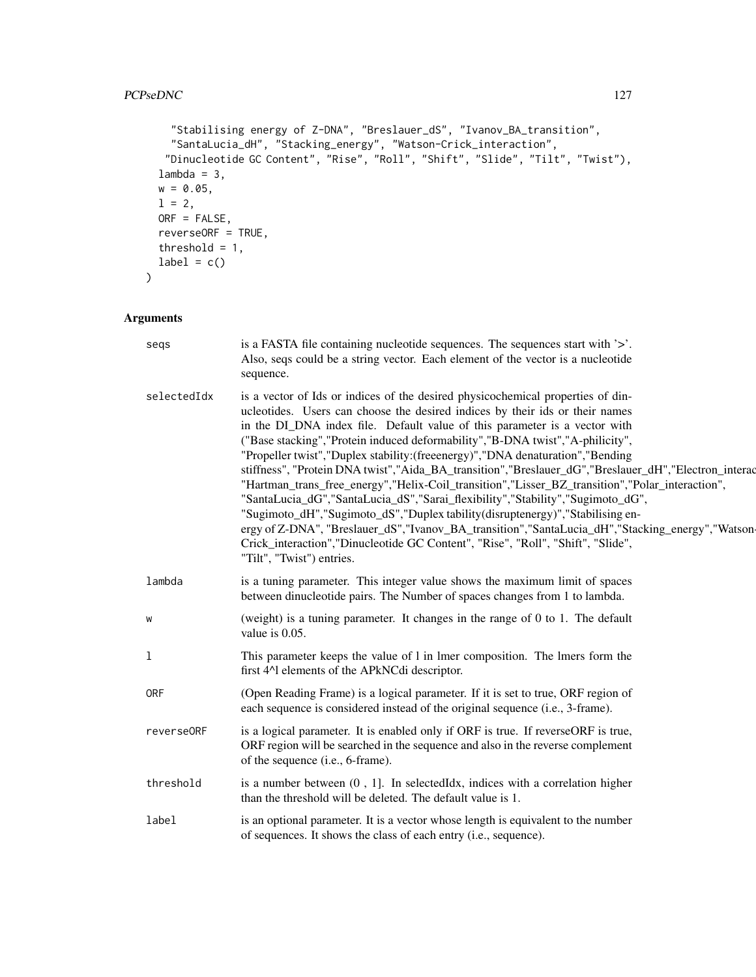```
"Stabilising energy of Z-DNA", "Breslauer_dS", "Ivanov_BA_transition",
   "SantaLucia_dH", "Stacking_energy", "Watson-Crick_interaction",
   "Dinucleotide GC Content", "Rise", "Roll", "Shift", "Slide", "Tilt", "Twist"),
 lambda = 3,
 w = 0.05,
 1 = 2,ORF = FALSE,
 reverseORF = TRUE,
 threshold = 1,
 label = c())
```

| segs        | is a FASTA file containing nucleotide sequences. The sequences start with '>'.<br>Also, seqs could be a string vector. Each element of the vector is a nucleotide<br>sequence.                                                                                                                                                                                                                                                                                                                                                                                                                                                                                                                                                                                                                                                                                                                                                                                                                                           |
|-------------|--------------------------------------------------------------------------------------------------------------------------------------------------------------------------------------------------------------------------------------------------------------------------------------------------------------------------------------------------------------------------------------------------------------------------------------------------------------------------------------------------------------------------------------------------------------------------------------------------------------------------------------------------------------------------------------------------------------------------------------------------------------------------------------------------------------------------------------------------------------------------------------------------------------------------------------------------------------------------------------------------------------------------|
| selectedIdx | is a vector of Ids or indices of the desired physicochemical properties of din-<br>ucleotides. Users can choose the desired indices by their ids or their names<br>in the DI_DNA index file. Default value of this parameter is a vector with<br>("Base stacking", "Protein induced deformability", "B-DNA twist", "A-philicity",<br>"Propeller twist", "Duplex stability: (freeenergy)", "DNA denaturation", "Bending<br>stiffness", "Protein DNA twist","Aida_BA_transition","Breslauer_dG","Breslauer_dH","Electron_interac<br>"Hartman_trans_free_energy","Helix-Coil_transition","Lisser_BZ_transition","Polar_interaction",<br>"SantaLucia_dG","SantaLucia_dS","Sarai_flexibility","Stability","Sugimoto_dG",<br>"Sugimoto_dH","Sugimoto_dS","Duplex tability(disruptenergy)","Stabilising en-<br>ergy of Z-DNA", "Breslauer_dS","Ivanov_BA_transition","SantaLucia_dH","Stacking_energy","Watson-<br>Crick_interaction","Dinucleotide GC Content", "Rise", "Roll", "Shift", "Slide",<br>"Tilt", "Twist") entries. |
| lambda      | is a tuning parameter. This integer value shows the maximum limit of spaces<br>between dinucleotide pairs. The Number of spaces changes from 1 to lambda.                                                                                                                                                                                                                                                                                                                                                                                                                                                                                                                                                                                                                                                                                                                                                                                                                                                                |
| W           | (weight) is a tuning parameter. It changes in the range of $0$ to $1$ . The default<br>value is $0.05$ .                                                                                                                                                                                                                                                                                                                                                                                                                                                                                                                                                                                                                                                                                                                                                                                                                                                                                                                 |
| 1           | This parameter keeps the value of 1 in 1mer composition. The 1mers form the<br>first 4^1 elements of the APkNCdi descriptor.                                                                                                                                                                                                                                                                                                                                                                                                                                                                                                                                                                                                                                                                                                                                                                                                                                                                                             |
| <b>ORF</b>  | (Open Reading Frame) is a logical parameter. If it is set to true, ORF region of<br>each sequence is considered instead of the original sequence (i.e., 3-frame).                                                                                                                                                                                                                                                                                                                                                                                                                                                                                                                                                                                                                                                                                                                                                                                                                                                        |
| reverse0RF  | is a logical parameter. It is enabled only if ORF is true. If reverseORF is true,<br>ORF region will be searched in the sequence and also in the reverse complement<br>of the sequence (i.e., 6-frame).                                                                                                                                                                                                                                                                                                                                                                                                                                                                                                                                                                                                                                                                                                                                                                                                                  |
| threshold   | is a number between $(0, 1]$ . In selected Idx, indices with a correlation higher<br>than the threshold will be deleted. The default value is 1.                                                                                                                                                                                                                                                                                                                                                                                                                                                                                                                                                                                                                                                                                                                                                                                                                                                                         |
| label       | is an optional parameter. It is a vector whose length is equivalent to the number<br>of sequences. It shows the class of each entry (i.e., sequence).                                                                                                                                                                                                                                                                                                                                                                                                                                                                                                                                                                                                                                                                                                                                                                                                                                                                    |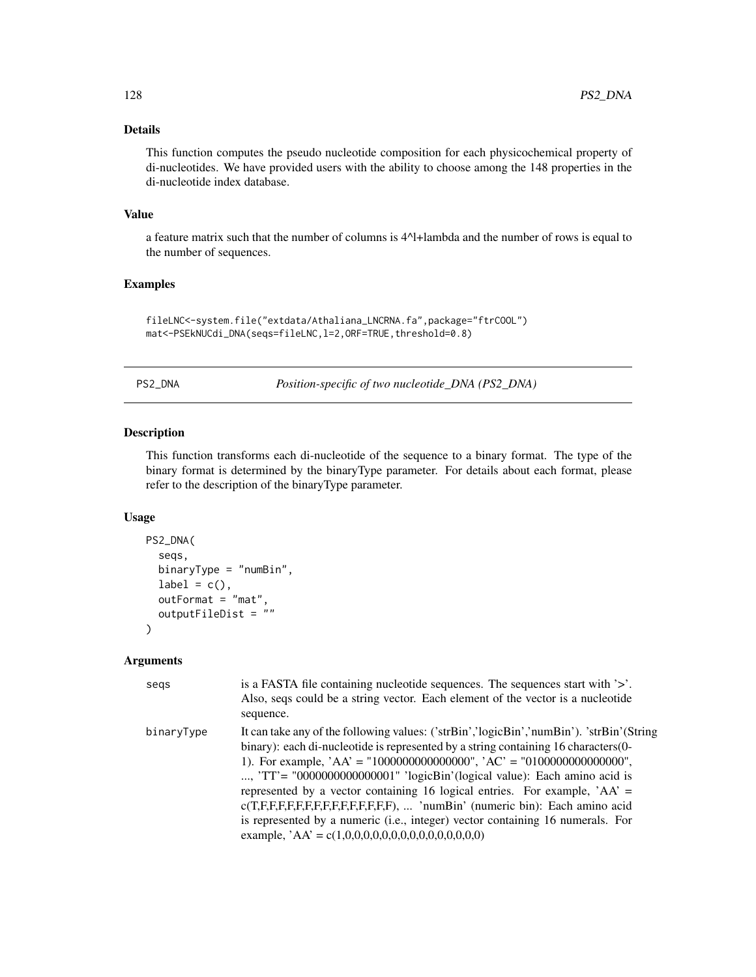# Details

This function computes the pseudo nucleotide composition for each physicochemical property of di-nucleotides. We have provided users with the ability to choose among the 148 properties in the di-nucleotide index database.

#### Value

a feature matrix such that the number of columns is 4^l+lambda and the number of rows is equal to the number of sequences.

# Examples

```
fileLNC<-system.file("extdata/Athaliana_LNCRNA.fa",package="ftrCOOL")
mat<-PSEkNUCdi_DNA(seqs=fileLNC,l=2,ORF=TRUE,threshold=0.8)
```
PS2\_DNA *Position-specific of two nucleotide\_DNA (PS2\_DNA)*

#### Description

This function transforms each di-nucleotide of the sequence to a binary format. The type of the binary format is determined by the binaryType parameter. For details about each format, please refer to the description of the binaryType parameter.

### Usage

```
PS2_DNA(
  seqs,
  binaryType = "numBin",
  label = c(),
  outFormat = "mat",
  outputFileDist = ""
)
```

| segs       | is a FASTA file containing nucleotide sequences. The sequences start with $\geq$ .<br>Also, seqs could be a string vector. Each element of the vector is a nucleotide<br>sequence.                                                                                                                                                                                                                                                                                                                                                                                                                                                               |
|------------|--------------------------------------------------------------------------------------------------------------------------------------------------------------------------------------------------------------------------------------------------------------------------------------------------------------------------------------------------------------------------------------------------------------------------------------------------------------------------------------------------------------------------------------------------------------------------------------------------------------------------------------------------|
| binaryType | It can take any of the following values: ('strBin','logicBin','numBin'). 'strBin'(String<br>binary): each di-nucleotide is represented by a string containing 16 characters (0-<br>1). For example, $AA' = "1000000000000000", 'AC' = "0100000000000000",$<br>, 'TT' = "000000000000000001" 'logicBin'(logical value): Each amino acid is<br>represented by a vector containing 16 logical entries. For example, $AA' =$<br>$c(T,F,F,F,F,F,F,F,F,F,F,F,F,F)$ ,  'numBin' (numeric bin): Each amino acid<br>is represented by a numeric (i.e., integer) vector containing 16 numerals. For<br>example, $AA' = c(1,0,0,0,0,0,0,0,0,0,0,0,0,0,0,0)$ |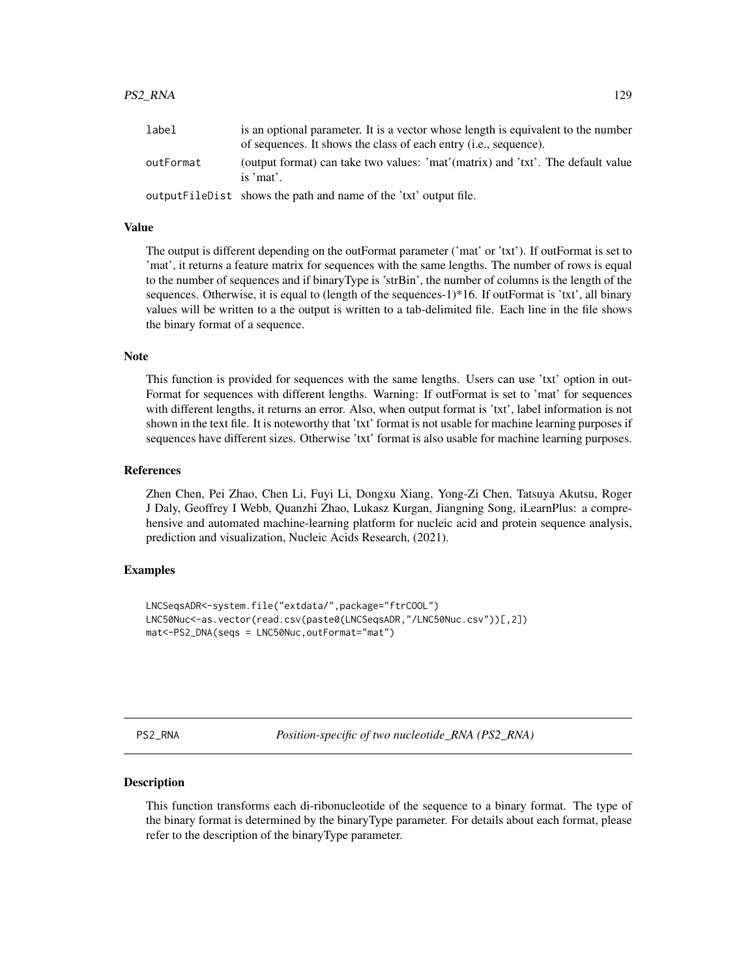#### PS2\_RNA 129

| label     | is an optional parameter. It is a vector whose length is equivalent to the number<br>of sequences. It shows the class of each entry <i>(i.e., sequence)</i> . |
|-----------|---------------------------------------------------------------------------------------------------------------------------------------------------------------|
| outFormat | (output format) can take two values: 'mat'(matrix) and 'txt'. The default value<br>is 'mat'.                                                                  |
|           | output FileDist shows the path and name of the 'txt' output file.                                                                                             |

#### Value

The output is different depending on the outFormat parameter ('mat' or 'txt'). If outFormat is set to 'mat', it returns a feature matrix for sequences with the same lengths. The number of rows is equal to the number of sequences and if binaryType is 'strBin', the number of columns is the length of the sequences. Otherwise, it is equal to (length of the sequences-1)\*16. If outFormat is 'txt', all binary values will be written to a the output is written to a tab-delimited file. Each line in the file shows the binary format of a sequence.

#### Note

This function is provided for sequences with the same lengths. Users can use 'txt' option in out-Format for sequences with different lengths. Warning: If outFormat is set to 'mat' for sequences with different lengths, it returns an error. Also, when output format is 'txt', label information is not shown in the text file. It is noteworthy that 'txt' format is not usable for machine learning purposes if sequences have different sizes. Otherwise 'txt' format is also usable for machine learning purposes.

#### References

Zhen Chen, Pei Zhao, Chen Li, Fuyi Li, Dongxu Xiang, Yong-Zi Chen, Tatsuya Akutsu, Roger J Daly, Geoffrey I Webb, Quanzhi Zhao, Lukasz Kurgan, Jiangning Song, iLearnPlus: a comprehensive and automated machine-learning platform for nucleic acid and protein sequence analysis, prediction and visualization, Nucleic Acids Research, (2021).

# Examples

```
LNCSeqsADR<-system.file("extdata/",package="ftrCOOL")
LNC50Nuc<-as.vector(read.csv(paste0(LNCSeqsADR,"/LNC50Nuc.csv"))[,2])
mat<-PS2_DNA(seqs = LNC50Nuc,outFormat="mat")
```
PS2\_RNA *Position-specific of two nucleotide\_RNA (PS2\_RNA)*

#### Description

This function transforms each di-ribonucleotide of the sequence to a binary format. The type of the binary format is determined by the binaryType parameter. For details about each format, please refer to the description of the binaryType parameter.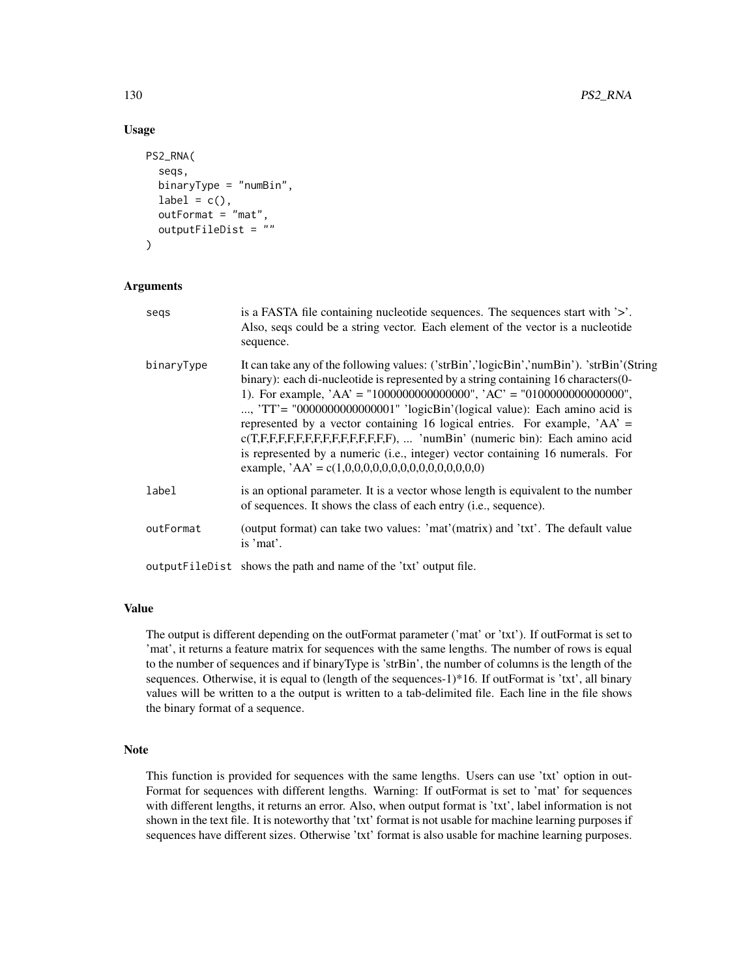### Usage

```
PS2_RNA(
  seqs,
  binaryType = "numBin",
  label = c(),
  outFormat = "mat",
  outputFileDist = ""
)
```
# Arguments

| segs       | is a FASTA file containing nucleotide sequences. The sequences start with '>'.<br>Also, seqs could be a string vector. Each element of the vector is a nucleotide<br>sequence.                                                                                                                                                                                                                                                                                                                                                                                                                                                                  |
|------------|-------------------------------------------------------------------------------------------------------------------------------------------------------------------------------------------------------------------------------------------------------------------------------------------------------------------------------------------------------------------------------------------------------------------------------------------------------------------------------------------------------------------------------------------------------------------------------------------------------------------------------------------------|
| binaryType | It can take any of the following values: ('strBin','logicBin','numBin'). 'strBin'(String<br>binary): each di-nucleotide is represented by a string containing 16 characters (0-<br>1). For example, $AA' = "1000000000000000", 'AC' = "010000000000000",$<br>, 'TT' = "000000000000000001" 'logicBin'(logical value): Each amino acid is<br>represented by a vector containing 16 logical entries. For example, $AA' =$<br>$c(T,F,F,F,F,F,F,F,F,F,F,F,F,F)$ ,  'numBin' (numeric bin): Each amino acid<br>is represented by a numeric (i.e., integer) vector containing 16 numerals. For<br>example, $AA' = c(1,0,0,0,0,0,0,0,0,0,0,0,0,0,0,0)$ |
| label      | is an optional parameter. It is a vector whose length is equivalent to the number<br>of sequences. It shows the class of each entry (i.e., sequence).                                                                                                                                                                                                                                                                                                                                                                                                                                                                                           |
| outFormat  | (output format) can take two values: 'mat'(matrix) and 'txt'. The default value<br>is 'mat'.                                                                                                                                                                                                                                                                                                                                                                                                                                                                                                                                                    |
|            | outputFileDist shows the path and name of the 'txt' output file.                                                                                                                                                                                                                                                                                                                                                                                                                                                                                                                                                                                |

### Value

The output is different depending on the outFormat parameter ('mat' or 'txt'). If outFormat is set to 'mat', it returns a feature matrix for sequences with the same lengths. The number of rows is equal to the number of sequences and if binaryType is 'strBin', the number of columns is the length of the sequences. Otherwise, it is equal to (length of the sequences-1)\*16. If outFormat is 'txt', all binary values will be written to a the output is written to a tab-delimited file. Each line in the file shows the binary format of a sequence.

### Note

This function is provided for sequences with the same lengths. Users can use 'txt' option in out-Format for sequences with different lengths. Warning: If outFormat is set to 'mat' for sequences with different lengths, it returns an error. Also, when output format is 'txt', label information is not shown in the text file. It is noteworthy that 'txt' format is not usable for machine learning purposes if sequences have different sizes. Otherwise 'txt' format is also usable for machine learning purposes.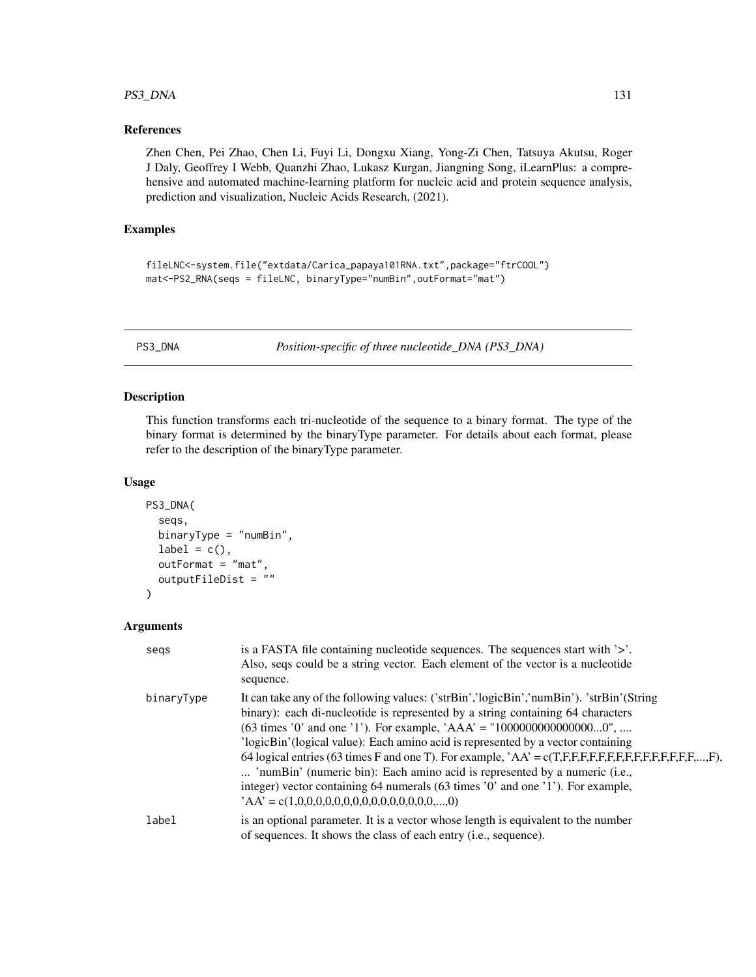# PS3\_DNA 131

# References

Zhen Chen, Pei Zhao, Chen Li, Fuyi Li, Dongxu Xiang, Yong-Zi Chen, Tatsuya Akutsu, Roger J Daly, Geoffrey I Webb, Quanzhi Zhao, Lukasz Kurgan, Jiangning Song, iLearnPlus: a comprehensive and automated machine-learning platform for nucleic acid and protein sequence analysis, prediction and visualization, Nucleic Acids Research, (2021).

## Examples

```
fileLNC<-system.file("extdata/Carica_papaya101RNA.txt",package="ftrCOOL")
mat<-PS2_RNA(seqs = fileLNC, binaryType="numBin",outFormat="mat")
```
PS3\_DNA *Position-specific of three nucleotide\_DNA (PS3\_DNA)*

# Description

This function transforms each tri-nucleotide of the sequence to a binary format. The type of the binary format is determined by the binaryType parameter. For details about each format, please refer to the description of the binaryType parameter.

# Usage

```
PS3_DNA(
  seqs,
  binaryType = "numBin",
  label = c(),
  outFormat = "mat",
  outputFileDist = ""
)
```

| segs       | is a FASTA file containing nucleotide sequences. The sequences start with '>'.<br>Also, seqs could be a string vector. Each element of the vector is a nucleotide<br>sequence.                                                                                                                                                                                                                                                                                                                                                                                                                                                                                                                            |
|------------|-----------------------------------------------------------------------------------------------------------------------------------------------------------------------------------------------------------------------------------------------------------------------------------------------------------------------------------------------------------------------------------------------------------------------------------------------------------------------------------------------------------------------------------------------------------------------------------------------------------------------------------------------------------------------------------------------------------|
| binaryType | It can take any of the following values: ('strBin','logicBin','numBin'). 'strBin'(String<br>binary): each di-nucleotide is represented by a string containing 64 characters<br>$(63 \text{ times } 0)$ and one '1'). For example, 'AAA' = "100000000000000000",<br>'logicBin' (logical value): Each amino acid is represented by a vector containing<br>64 logical entries (63 times F and one T). For example, $\overline{A}A' = c(T,F,F,F,F,F,F,F,F,F,F,F,F,F,F,\ldots,F)$ ,<br>'numBin' (numeric bin): Each amino acid is represented by a numeric (i.e.,<br>integer) vector containing 64 numerals (63 times '0' and one '1'). For example,<br>$A\mathbf{A}' = c(1,0,0,0,0,0,0,0,0,0,0,0,0,0,0,0,,0)$ |
| label      | is an optional parameter. It is a vector whose length is equivalent to the number<br>of sequences. It shows the class of each entry (i.e., sequence).                                                                                                                                                                                                                                                                                                                                                                                                                                                                                                                                                     |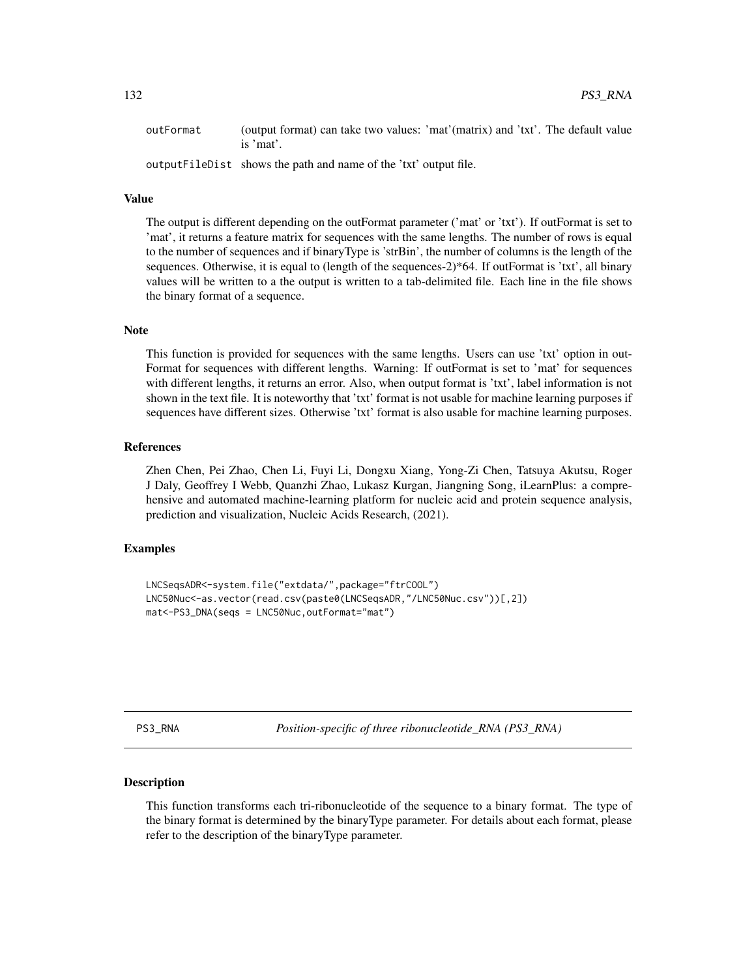outFormat (output format) can take two values: 'mat'(matrix) and 'txt'. The default value is 'mat'.

outputFileDist shows the path and name of the 'txt' output file.

### Value

The output is different depending on the outFormat parameter ('mat' or 'txt'). If outFormat is set to 'mat', it returns a feature matrix for sequences with the same lengths. The number of rows is equal to the number of sequences and if binaryType is 'strBin', the number of columns is the length of the sequences. Otherwise, it is equal to (length of the sequences-2)\*64. If outFormat is 'txt', all binary values will be written to a the output is written to a tab-delimited file. Each line in the file shows the binary format of a sequence.

## **Note**

This function is provided for sequences with the same lengths. Users can use 'txt' option in out-Format for sequences with different lengths. Warning: If outFormat is set to 'mat' for sequences with different lengths, it returns an error. Also, when output format is 'txt', label information is not shown in the text file. It is noteworthy that 'txt' format is not usable for machine learning purposes if sequences have different sizes. Otherwise 'txt' format is also usable for machine learning purposes.

# References

Zhen Chen, Pei Zhao, Chen Li, Fuyi Li, Dongxu Xiang, Yong-Zi Chen, Tatsuya Akutsu, Roger J Daly, Geoffrey I Webb, Quanzhi Zhao, Lukasz Kurgan, Jiangning Song, iLearnPlus: a comprehensive and automated machine-learning platform for nucleic acid and protein sequence analysis, prediction and visualization, Nucleic Acids Research, (2021).

## Examples

```
LNCSeqsADR<-system.file("extdata/",package="ftrCOOL")
LNC50Nuc<-as.vector(read.csv(paste0(LNCSeqsADR,"/LNC50Nuc.csv"))[,2])
mat<-PS3_DNA(seqs = LNC50Nuc,outFormat="mat")
```
PS3\_RNA *Position-specific of three ribonucleotide\_RNA (PS3\_RNA)*

#### **Description**

This function transforms each tri-ribonucleotide of the sequence to a binary format. The type of the binary format is determined by the binaryType parameter. For details about each format, please refer to the description of the binaryType parameter.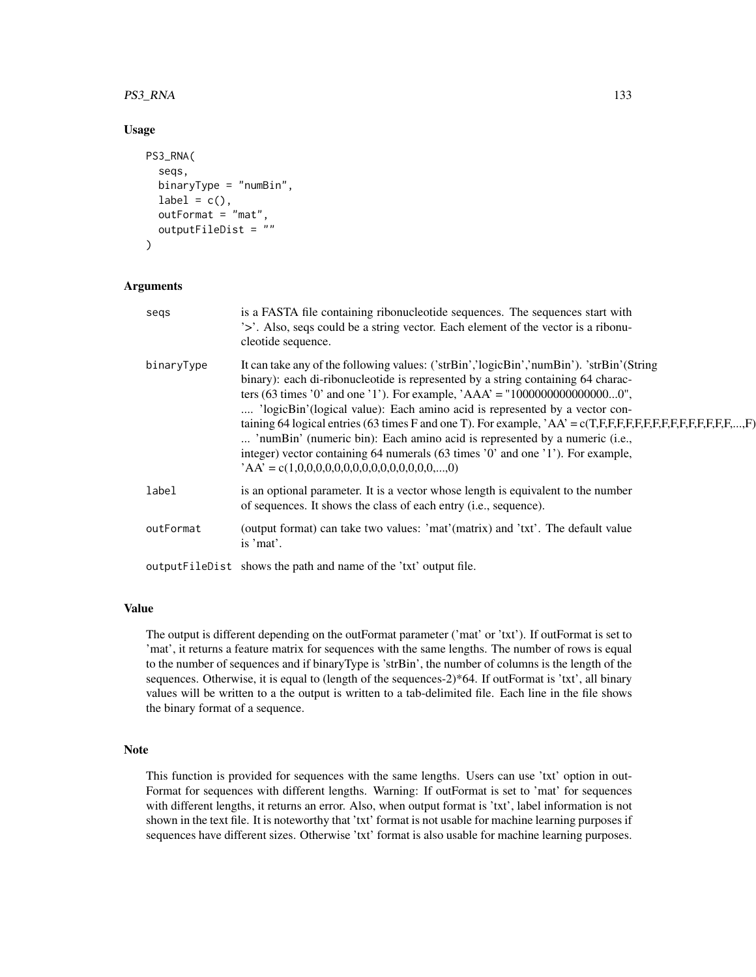### PS3\_RNA 133

## Usage

```
PS3_RNA(
  seqs,
  binaryType = "numBin",
  label = c(),
  outFormat = "mat",
  outputFileDist = ""
)
```
## Arguments

| segs       | is a FASTA file containing ribonucleotide sequences. The sequences start with<br>'>'. Also, seqs could be a string vector. Each element of the vector is a ribonu-<br>cleotide sequence.                                                                                                                                                                                                                                                                                                                                                                                                                                                                                      |
|------------|-------------------------------------------------------------------------------------------------------------------------------------------------------------------------------------------------------------------------------------------------------------------------------------------------------------------------------------------------------------------------------------------------------------------------------------------------------------------------------------------------------------------------------------------------------------------------------------------------------------------------------------------------------------------------------|
| binaryType | It can take any of the following values: ('strBin','logicBin','numBin'). 'strBin'(String<br>binary): each di-ribonucleotide is represented by a string containing 64 charac-<br>ters (63 times '0' and one '1'). For example, 'AAA' = "100000000000000000",<br>'logicBin'(logical value): Each amino acid is represented by a vector con-<br>taining 64 logical entries (63 times F and one T). For example, $AA = c(T,F,F,F,F,F,F,F,F,F,F,F,F,F,\dots,F)$<br>'numBin' (numeric bin): Each amino acid is represented by a numeric (i.e.,<br>integer) vector containing 64 numerals (63 times '0' and one '1'). For example,<br>$'AA' = c(1,0,0,0,0,0,0,0,0,0,0,0,0,0,0,0,,0)$ |
| label      | is an optional parameter. It is a vector whose length is equivalent to the number<br>of sequences. It shows the class of each entry (i.e., sequence).                                                                                                                                                                                                                                                                                                                                                                                                                                                                                                                         |
| outFormat  | (output format) can take two values: 'mat'(matrix) and 'txt'. The default value<br>is 'mat'.                                                                                                                                                                                                                                                                                                                                                                                                                                                                                                                                                                                  |
|            | outputFileDist shows the path and name of the 'txt' output file.                                                                                                                                                                                                                                                                                                                                                                                                                                                                                                                                                                                                              |

### Value

The output is different depending on the outFormat parameter ('mat' or 'txt'). If outFormat is set to 'mat', it returns a feature matrix for sequences with the same lengths. The number of rows is equal to the number of sequences and if binaryType is 'strBin', the number of columns is the length of the sequences. Otherwise, it is equal to (length of the sequences-2)\*64. If outFormat is 'txt', all binary values will be written to a the output is written to a tab-delimited file. Each line in the file shows the binary format of a sequence.

### Note

This function is provided for sequences with the same lengths. Users can use 'txt' option in out-Format for sequences with different lengths. Warning: If outFormat is set to 'mat' for sequences with different lengths, it returns an error. Also, when output format is 'txt', label information is not shown in the text file. It is noteworthy that 'txt' format is not usable for machine learning purposes if sequences have different sizes. Otherwise 'txt' format is also usable for machine learning purposes.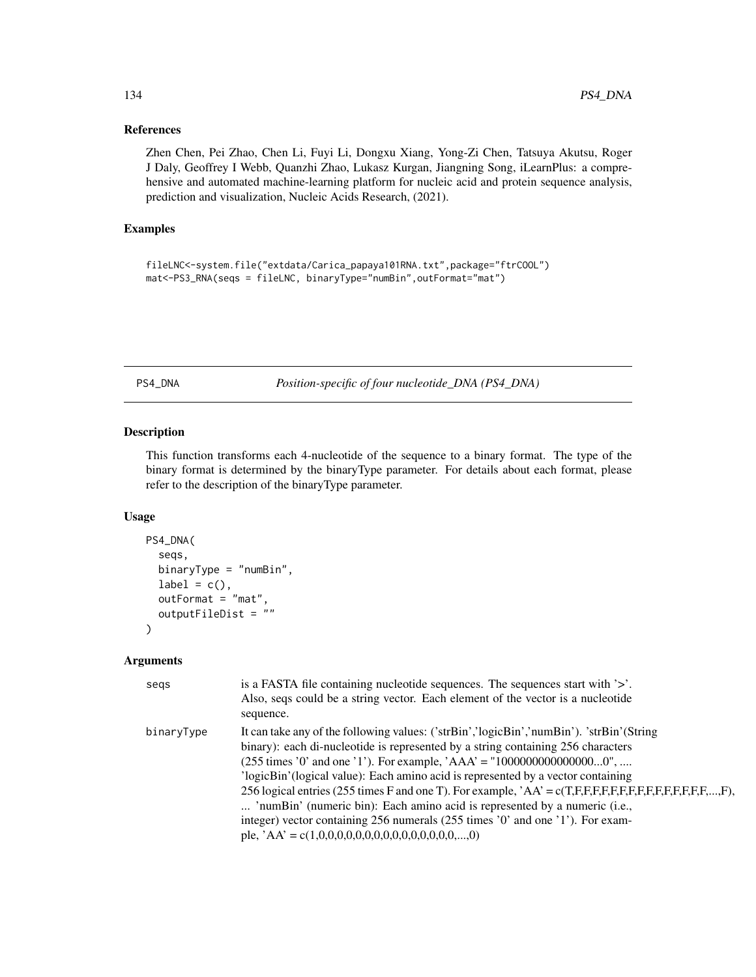# References

Zhen Chen, Pei Zhao, Chen Li, Fuyi Li, Dongxu Xiang, Yong-Zi Chen, Tatsuya Akutsu, Roger J Daly, Geoffrey I Webb, Quanzhi Zhao, Lukasz Kurgan, Jiangning Song, iLearnPlus: a comprehensive and automated machine-learning platform for nucleic acid and protein sequence analysis, prediction and visualization, Nucleic Acids Research, (2021).

## Examples

```
fileLNC<-system.file("extdata/Carica_papaya101RNA.txt",package="ftrCOOL")
mat<-PS3_RNA(seqs = fileLNC, binaryType="numBin",outFormat="mat")
```
PS4\_DNA *Position-specific of four nucleotide\_DNA (PS4\_DNA)*

# Description

This function transforms each 4-nucleotide of the sequence to a binary format. The type of the binary format is determined by the binaryType parameter. For details about each format, please refer to the description of the binaryType parameter.

## Usage

```
PS4_DNA(
  seqs,
  binaryType = "numBin",
  label = c(),
  outFormat = "mat",
  outputFileDist = ""
)
```

| segs       | is a FASTA file containing nucleotide sequences. The sequences start with '>'.<br>Also, seqs could be a string vector. Each element of the vector is a nucleotide<br>sequence.                                                                                                                                                                                                                                                                                                                                                                                                                                                                                                            |
|------------|-------------------------------------------------------------------------------------------------------------------------------------------------------------------------------------------------------------------------------------------------------------------------------------------------------------------------------------------------------------------------------------------------------------------------------------------------------------------------------------------------------------------------------------------------------------------------------------------------------------------------------------------------------------------------------------------|
| binaryType | It can take any of the following values: ('strBin','logicBin','numBin'). 'strBin'(String<br>binary): each di-nucleotide is represented by a string containing 256 characters<br>$(255 \text{ times } 0)$ and one '1'). For example, 'AAA' = "100000000000000000",<br>'logicBin' (logical value): Each amino acid is represented by a vector containing<br>256 logical entries (255 times F and one T). For example, 'AA' = c(T,F,F,F,F,F,F,F,F,F,F,F,F,F,F,F,F,F,F,<br>'numBin' (numeric bin): Each amino acid is represented by a numeric (i.e.,<br>integer) vector containing 256 numerals (255 times '0' and one '1'). For exam-<br>ple, $AA' = c(1,0,0,0,0,0,0,0,0,0,0,0,0,0,0,0,,0)$ |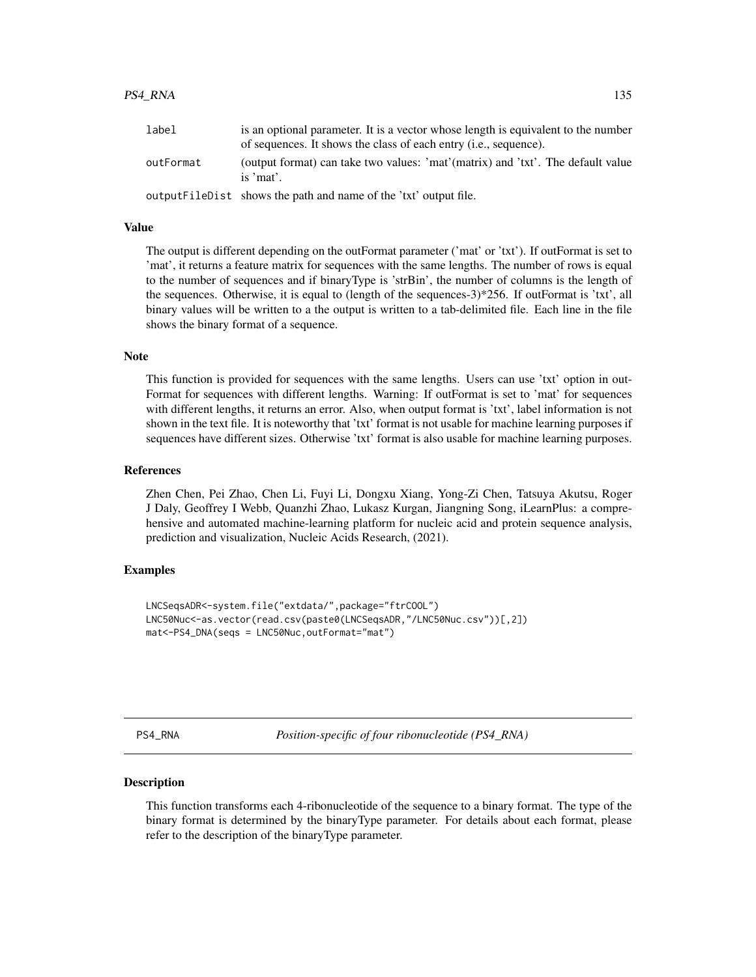#### PS4\_RNA 135

| label     | is an optional parameter. It is a vector whose length is equivalent to the number<br>of sequences. It shows the class of each entry (i.e., sequence). |
|-----------|-------------------------------------------------------------------------------------------------------------------------------------------------------|
| outFormat | (output format) can take two values: 'mat'(matrix) and 'txt'. The default value<br>is 'mat'.                                                          |
|           | output FileDist shows the path and name of the 'txt' output file.                                                                                     |

#### Value

The output is different depending on the outFormat parameter ('mat' or 'txt'). If outFormat is set to 'mat', it returns a feature matrix for sequences with the same lengths. The number of rows is equal to the number of sequences and if binaryType is 'strBin', the number of columns is the length of the sequences. Otherwise, it is equal to (length of the sequences-3)\*256. If outFormat is 'txt', all binary values will be written to a the output is written to a tab-delimited file. Each line in the file shows the binary format of a sequence.

#### Note

This function is provided for sequences with the same lengths. Users can use 'txt' option in out-Format for sequences with different lengths. Warning: If outFormat is set to 'mat' for sequences with different lengths, it returns an error. Also, when output format is 'txt', label information is not shown in the text file. It is noteworthy that 'txt' format is not usable for machine learning purposes if sequences have different sizes. Otherwise 'txt' format is also usable for machine learning purposes.

#### References

Zhen Chen, Pei Zhao, Chen Li, Fuyi Li, Dongxu Xiang, Yong-Zi Chen, Tatsuya Akutsu, Roger J Daly, Geoffrey I Webb, Quanzhi Zhao, Lukasz Kurgan, Jiangning Song, iLearnPlus: a comprehensive and automated machine-learning platform for nucleic acid and protein sequence analysis, prediction and visualization, Nucleic Acids Research, (2021).

# Examples

```
LNCSeqsADR<-system.file("extdata/",package="ftrCOOL")
LNC50Nuc<-as.vector(read.csv(paste0(LNCSeqsADR,"/LNC50Nuc.csv"))[,2])
mat<-PS4_DNA(seqs = LNC50Nuc,outFormat="mat")
```
PS4\_RNA *Position-specific of four ribonucleotide (PS4\_RNA)*

#### Description

This function transforms each 4-ribonucleotide of the sequence to a binary format. The type of the binary format is determined by the binaryType parameter. For details about each format, please refer to the description of the binaryType parameter.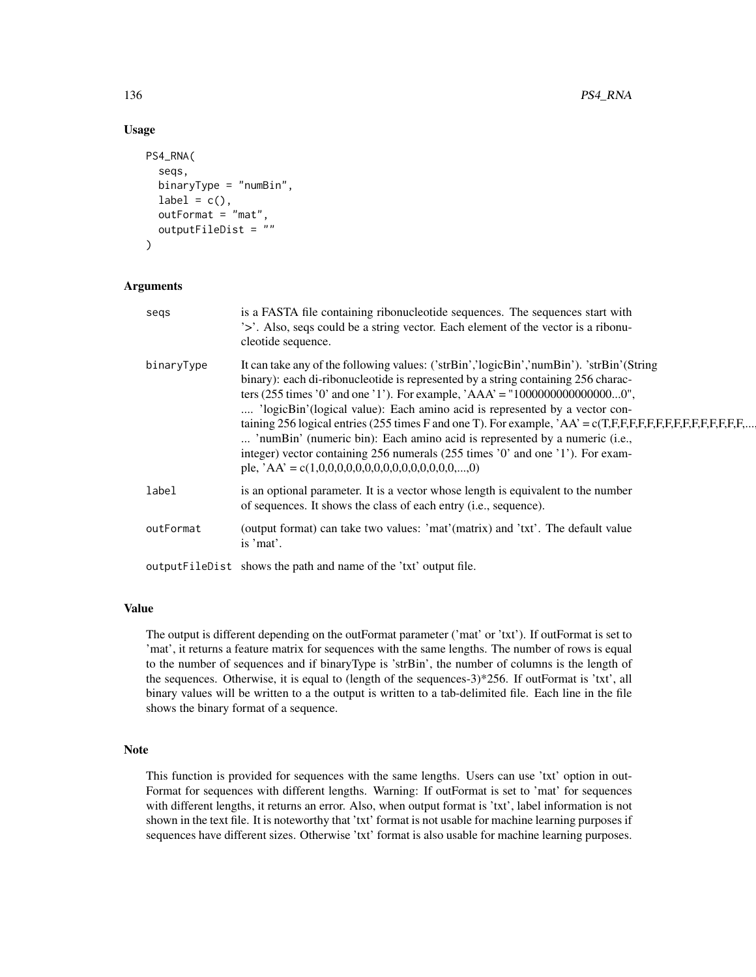## Usage

```
PS4_RNA(
  seqs,
  binaryType = "numBin",
  label = c(),
  outFormat = "mat",
  outputFileDist = ""
)
```
# Arguments

| segs       | is a FASTA file containing ribonucleotide sequences. The sequences start with<br>'>'. Also, seqs could be a string vector. Each element of the vector is a ribonu-<br>cleotide sequence.                                                                                                                                                                                                                                                                                                                                                                                                                                                                                           |
|------------|------------------------------------------------------------------------------------------------------------------------------------------------------------------------------------------------------------------------------------------------------------------------------------------------------------------------------------------------------------------------------------------------------------------------------------------------------------------------------------------------------------------------------------------------------------------------------------------------------------------------------------------------------------------------------------|
| binaryType | It can take any of the following values: ('strBin','logicBin','numBin'). 'strBin'(String<br>binary): each di-ribonucleotide is represented by a string containing 256 charac-<br>ters (255 times '0' and one '1'). For example, 'AAA' = "100000000000000000",<br>'logicBin'(logical value): Each amino acid is represented by a vector con-<br>taining 256 logical entries (255 times F and one T). For example, $AA = c(T,F,F,F,F,F,F,F,F,F,F,F,F,F,\dots)$<br>'numBin' (numeric bin): Each amino acid is represented by a numeric (i.e.,<br>integer) vector containing 256 numerals (255 times '0' and one '1'). For exam-<br>ple, $AA' = c(1,0,0,0,0,0,0,0,0,0,0,0,0,0,0,0,,0)$ |
| label      | is an optional parameter. It is a vector whose length is equivalent to the number<br>of sequences. It shows the class of each entry (i.e., sequence).                                                                                                                                                                                                                                                                                                                                                                                                                                                                                                                              |
| outFormat  | (output format) can take two values: 'mat'(matrix) and 'txt'. The default value<br>is 'mat'.                                                                                                                                                                                                                                                                                                                                                                                                                                                                                                                                                                                       |
|            | outputFileDist shows the path and name of the 'txt' output file.                                                                                                                                                                                                                                                                                                                                                                                                                                                                                                                                                                                                                   |

### Value

The output is different depending on the outFormat parameter ('mat' or 'txt'). If outFormat is set to 'mat', it returns a feature matrix for sequences with the same lengths. The number of rows is equal to the number of sequences and if binaryType is 'strBin', the number of columns is the length of the sequences. Otherwise, it is equal to (length of the sequences-3)\*256. If outFormat is 'txt', all binary values will be written to a the output is written to a tab-delimited file. Each line in the file shows the binary format of a sequence.

### Note

This function is provided for sequences with the same lengths. Users can use 'txt' option in out-Format for sequences with different lengths. Warning: If outFormat is set to 'mat' for sequences with different lengths, it returns an error. Also, when output format is 'txt', label information is not shown in the text file. It is noteworthy that 'txt' format is not usable for machine learning purposes if sequences have different sizes. Otherwise 'txt' format is also usable for machine learning purposes.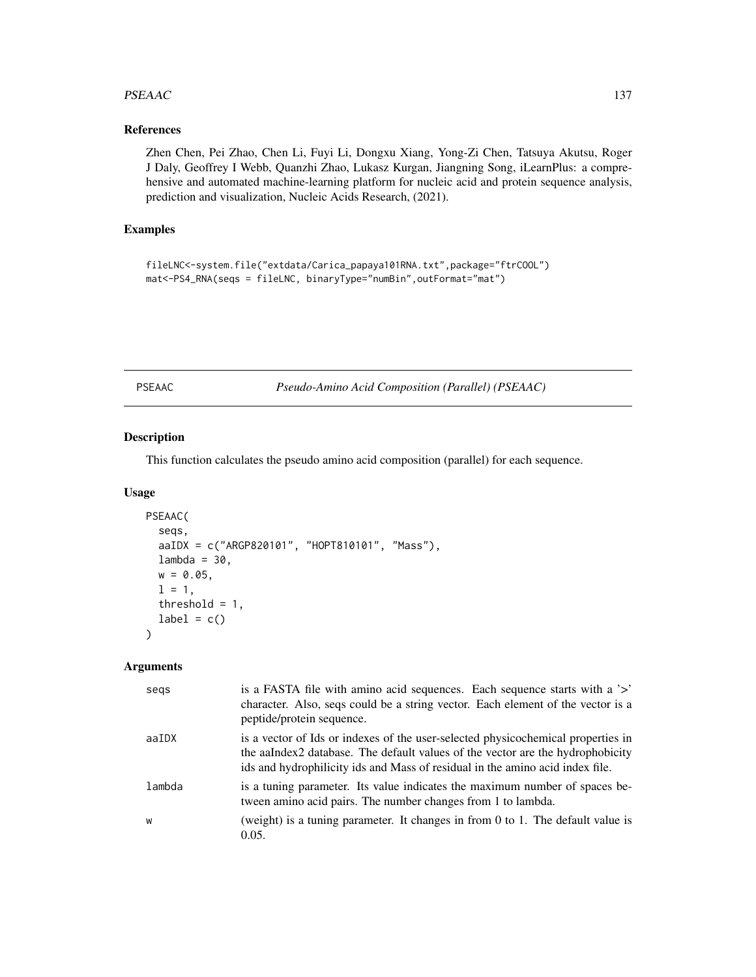### PSEAAC 137

# References

Zhen Chen, Pei Zhao, Chen Li, Fuyi Li, Dongxu Xiang, Yong-Zi Chen, Tatsuya Akutsu, Roger J Daly, Geoffrey I Webb, Quanzhi Zhao, Lukasz Kurgan, Jiangning Song, iLearnPlus: a comprehensive and automated machine-learning platform for nucleic acid and protein sequence analysis, prediction and visualization, Nucleic Acids Research, (2021).

# Examples

fileLNC<-system.file("extdata/Carica\_papaya101RNA.txt",package="ftrCOOL") mat<-PS4\_RNA(seqs = fileLNC, binaryType="numBin",outFormat="mat")

PSEAAC *Pseudo-Amino Acid Composition (Parallel) (PSEAAC)*

# Description

This function calculates the pseudo amino acid composition (parallel) for each sequence.

#### Usage

```
PSEAAC(
  seqs,
  aaIDX = c("ARGP820101", "HOPT810101", "Mass"),
  lambda = 30,
 w = 0.05,
  1 = 1,
  threshold = 1,
  label = c())
```

| segs   | is a FASTA file with a mino acid sequences. Each sequence starts with a '>'<br>character. Also, seqs could be a string vector. Each element of the vector is a<br>peptide/protein sequence.                                                         |
|--------|-----------------------------------------------------------------------------------------------------------------------------------------------------------------------------------------------------------------------------------------------------|
| aaIDX  | is a vector of Ids or indexes of the user-selected physicochemical properties in<br>the aalndex2 database. The default values of the vector are the hydrophobicity<br>ids and hydrophilicity ids and Mass of residual in the amino acid index file. |
| lambda | is a tuning parameter. Its value indicates the maximum number of spaces be-<br>tween amino acid pairs. The number changes from 1 to lambda.                                                                                                         |
| W      | (weight) is a tuning parameter. It changes in from $0$ to $1$ . The default value is<br>0.05.                                                                                                                                                       |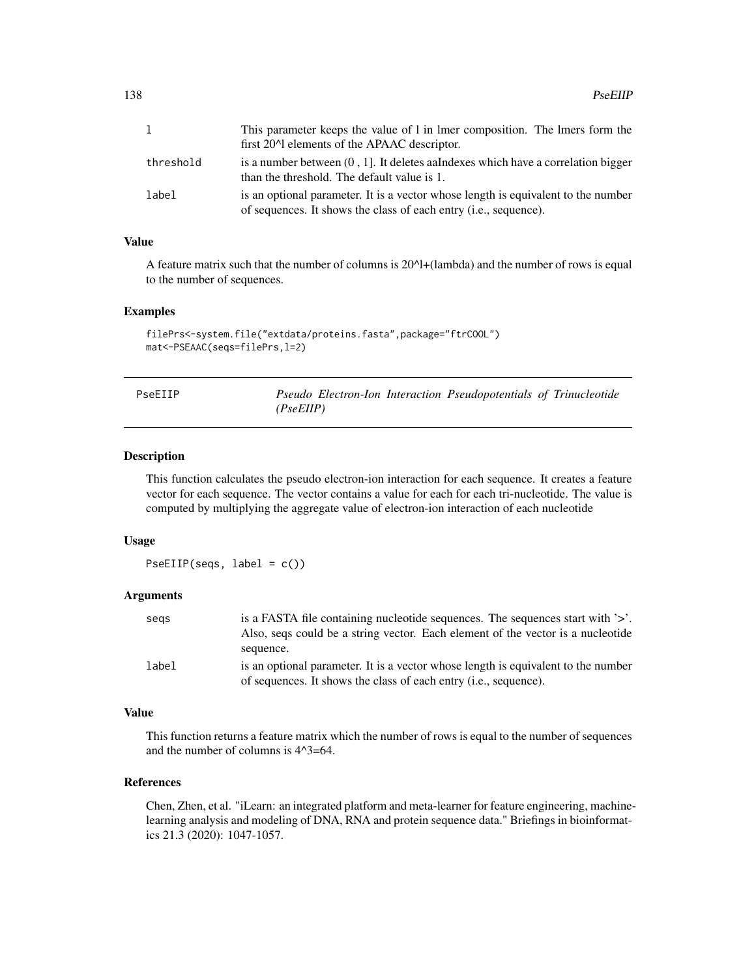|           | This parameter keeps the value of 1 in 1 mer composition. The 1 mers form the<br>first 20 <sup><math>\land</math></sup> elements of the APAAC descriptor. |
|-----------|-----------------------------------------------------------------------------------------------------------------------------------------------------------|
| threshold | is a number between $(0, 1]$ . It deletes aalndexes which have a correlation bigger<br>than the threshold. The default value is 1.                        |
| label     | is an optional parameter. It is a vector whose length is equivalent to the number<br>of sequences. It shows the class of each entry (i.e., sequence).     |

## Value

A feature matrix such that the number of columns is 20^l+(lambda) and the number of rows is equal to the number of sequences.

### Examples

```
filePrs<-system.file("extdata/proteins.fasta",package="ftrCOOL")
mat<-PSEAAC(seqs=filePrs,l=2)
```

| PseEIIP |           |  | Pseudo Electron-Ion Interaction Pseudopotentials of Trinucleotide |  |
|---------|-----------|--|-------------------------------------------------------------------|--|
|         | (PseEllP) |  |                                                                   |  |

## Description

This function calculates the pseudo electron-ion interaction for each sequence. It creates a feature vector for each sequence. The vector contains a value for each for each tri-nucleotide. The value is computed by multiplying the aggregate value of electron-ion interaction of each nucleotide

### Usage

PseEIIP(seqs, label = c())

# Arguments

| segs  | is a FASTA file containing nucleotide sequences. The sequences start with $\geq$ . |
|-------|------------------------------------------------------------------------------------|
|       | Also, segs could be a string vector. Each element of the vector is a nucleotide    |
|       | sequence.                                                                          |
| label | is an optional parameter. It is a vector whose length is equivalent to the number  |
|       | of sequences. It shows the class of each entry (i.e., sequence).                   |

## Value

This function returns a feature matrix which the number of rows is equal to the number of sequences and the number of columns is 4^3=64.

## References

Chen, Zhen, et al. "iLearn: an integrated platform and meta-learner for feature engineering, machinelearning analysis and modeling of DNA, RNA and protein sequence data." Briefings in bioinformatics 21.3 (2020): 1047-1057.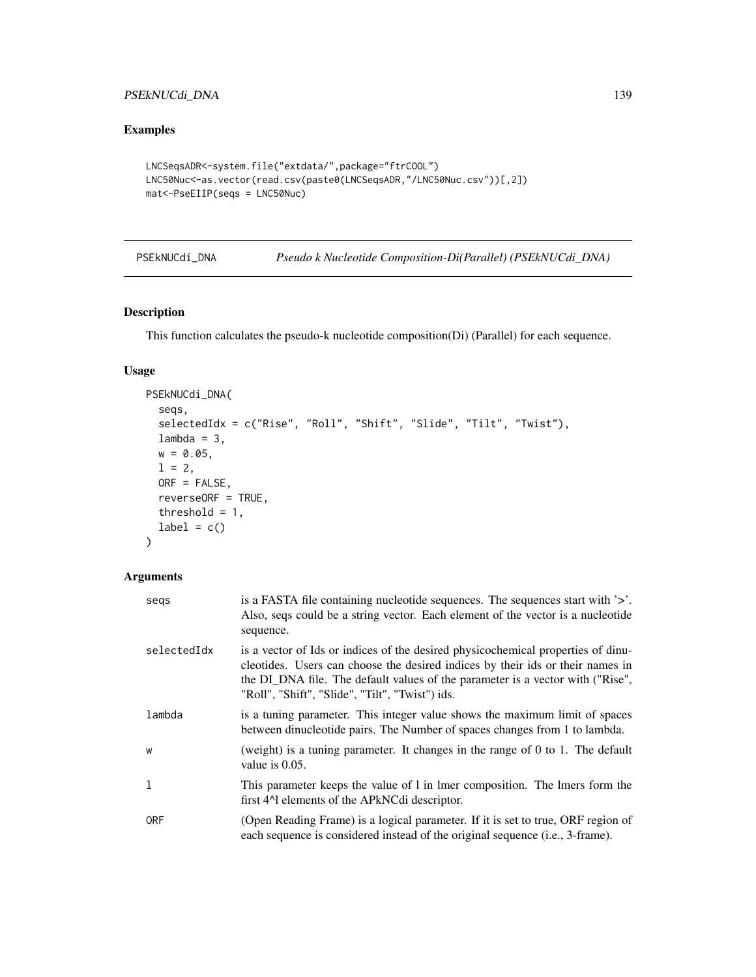# PSEkNUCdi\_DNA 139

# Examples

```
LNCSeqsADR<-system.file("extdata/",package="ftrCOOL")
LNC50Nuc<-as.vector(read.csv(paste0(LNCSeqsADR,"/LNC50Nuc.csv"))[,2])
mat<-PseEIIP(seqs = LNC50Nuc)
```
<span id="page-138-0"></span>

| PSEkNUCdi_DNA | Pseudo k Nucleotide Composition-Di(Parallel) (PSEkNUCdi_DNA) |  |  |  |
|---------------|--------------------------------------------------------------|--|--|--|
|---------------|--------------------------------------------------------------|--|--|--|

# Description

This function calculates the pseudo-k nucleotide composition(Di) (Parallel) for each sequence.

## Usage

```
PSEkNUCdi_DNA(
  seqs,
  selectedIdx = c("Rise", "Roll", "Shift", "Slide", "Tilt", "Twist"),
 lambda = 3,
 w = 0.05,
 1 = 2,ORF = FALSE,
 reverseORF = TRUE,
 threshold = 1,
 label = c())
```

| segs        | is a FASTA file containing nucleotide sequences. The sequences start with '>'.<br>Also, seqs could be a string vector. Each element of the vector is a nucleotide<br>sequence.                                                                                                                          |
|-------------|---------------------------------------------------------------------------------------------------------------------------------------------------------------------------------------------------------------------------------------------------------------------------------------------------------|
| selectedIdx | is a vector of Ids or indices of the desired physicochemical properties of dinu-<br>cleotides. Users can choose the desired indices by their ids or their names in<br>the DI_DNA file. The default values of the parameter is a vector with ("Rise",<br>"Roll", "Shift", "Slide", "Tilt", "Twist") ids. |
| lambda      | is a tuning parameter. This integer value shows the maximum limit of spaces<br>between dinucleotide pairs. The Number of spaces changes from 1 to lambda.                                                                                                                                               |
| W           | (weight) is a tuning parameter. It changes in the range of 0 to 1. The default<br>value is $0.05$ .                                                                                                                                                                                                     |
| 1           | This parameter keeps the value of 1 in 1mer composition. The 1mers form the<br>first 4 <sup><math>\Lambda</math></sup> elements of the APkNCdi descriptor.                                                                                                                                              |
| <b>ORF</b>  | (Open Reading Frame) is a logical parameter. If it is set to true, ORF region of<br>each sequence is considered instead of the original sequence (i.e., 3-frame).                                                                                                                                       |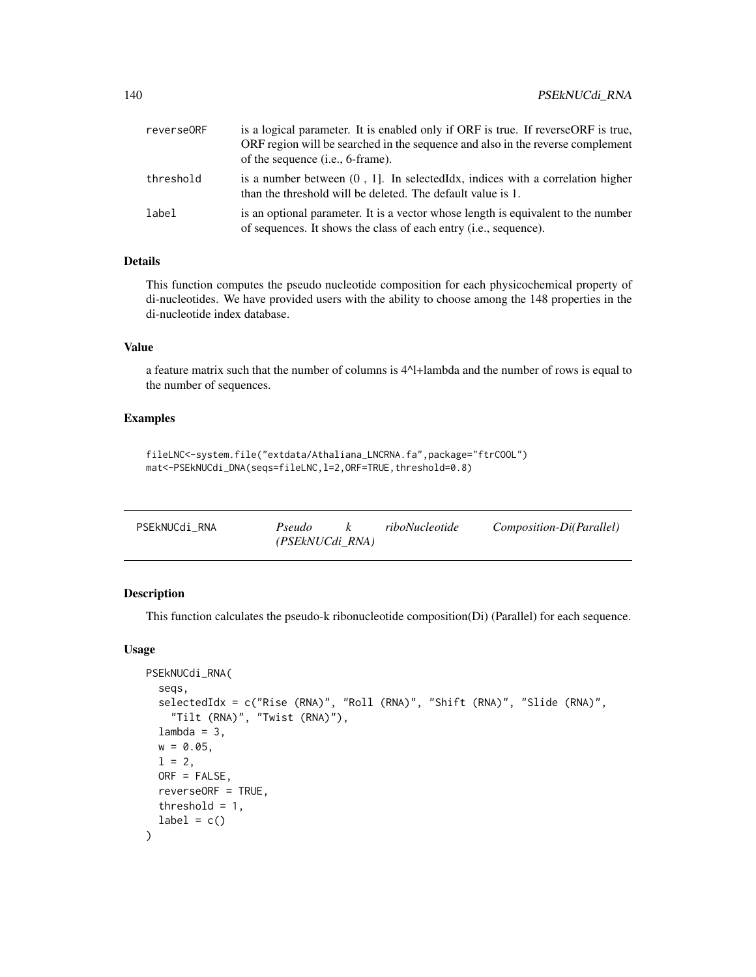| reverse0RF | is a logical parameter. It is enabled only if ORF is true. If reverseORF is true,<br>ORF region will be searched in the sequence and also in the reverse complement<br>of the sequence (i.e., 6-frame). |
|------------|---------------------------------------------------------------------------------------------------------------------------------------------------------------------------------------------------------|
| threshold  | is a number between $(0, 1]$ . In selected Idx, indices with a correlation higher<br>than the threshold will be deleted. The default value is 1.                                                        |
| label      | is an optional parameter. It is a vector whose length is equivalent to the number<br>of sequences. It shows the class of each entry (i.e., sequence).                                                   |

# Details

This function computes the pseudo nucleotide composition for each physicochemical property of di-nucleotides. We have provided users with the ability to choose among the 148 properties in the di-nucleotide index database.

# Value

a feature matrix such that the number of columns is 4^l+lambda and the number of rows is equal to the number of sequences.

### Examples

```
fileLNC<-system.file("extdata/Athaliana_LNCRNA.fa",package="ftrCOOL")
mat<-PSEkNUCdi_DNA(seqs=fileLNC,l=2,ORF=TRUE,threshold=0.8)
```

| PSEkNUCdi RNA | Pseudo          | riboNucleotide | Composition-Di(Parallel) |
|---------------|-----------------|----------------|--------------------------|
|               | (PSEkNUCdi RNA) |                |                          |

## Description

This function calculates the pseudo-k ribonucleotide composition(Di) (Parallel) for each sequence.

# Usage

```
PSEkNUCdi_RNA(
  seqs,
  selectedIdx = c("Rise (RNA)", "Roll (RNA)", "Shift (RNA)", "Slide (RNA)",
    "Tilt (RNA)", "Twist (RNA)"),
  lambda = 3,
 w = 0.05,
  1 = 2,
  ORF = FALSE,
  reverseORF = TRUE,
  threshold = 1,
  label = c())
```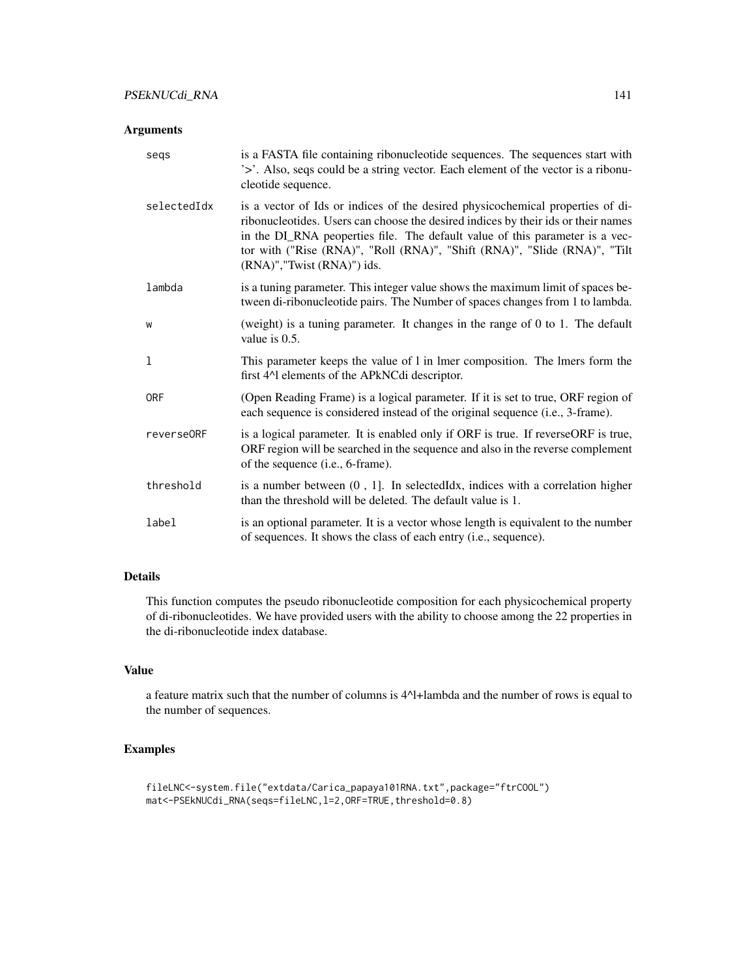## Arguments

| segs        | is a FASTA file containing ribonucleotide sequences. The sequences start with<br>'>'. Also, seqs could be a string vector. Each element of the vector is a ribonu-<br>cleotide sequence.                                                                                                                                                                       |
|-------------|----------------------------------------------------------------------------------------------------------------------------------------------------------------------------------------------------------------------------------------------------------------------------------------------------------------------------------------------------------------|
| selectedIdx | is a vector of Ids or indices of the desired physicochemical properties of di-<br>ribonucleotides. Users can choose the desired indices by their ids or their names<br>in the DI_RNA peoperties file. The default value of this parameter is a vec-<br>tor with ("Rise (RNA)", "Roll (RNA)", "Shift (RNA)", "Slide (RNA)", "Tilt<br>(RNA)","Twist (RNA)") ids. |
| lambda      | is a tuning parameter. This integer value shows the maximum limit of spaces be-<br>tween di-ribonucleotide pairs. The Number of spaces changes from 1 to lambda.                                                                                                                                                                                               |
| W           | (weight) is a tuning parameter. It changes in the range of $0$ to $1$ . The default<br>value is 0.5.                                                                                                                                                                                                                                                           |
| 1           | This parameter keeps the value of 1 in 1mer composition. The 1mers form the<br>first 4^1 elements of the APkNCdi descriptor.                                                                                                                                                                                                                                   |
| <b>ORF</b>  | (Open Reading Frame) is a logical parameter. If it is set to true, ORF region of<br>each sequence is considered instead of the original sequence (i.e., 3-frame).                                                                                                                                                                                              |
| reverse0RF  | is a logical parameter. It is enabled only if ORF is true. If reverseORF is true,<br>ORF region will be searched in the sequence and also in the reverse complement<br>of the sequence (i.e., 6-frame).                                                                                                                                                        |
| threshold   | is a number between $(0, 1]$ . In selected Idx, indices with a correlation higher<br>than the threshold will be deleted. The default value is 1.                                                                                                                                                                                                               |
| label       | is an optional parameter. It is a vector whose length is equivalent to the number<br>of sequences. It shows the class of each entry (i.e., sequence).                                                                                                                                                                                                          |

# Details

This function computes the pseudo ribonucleotide composition for each physicochemical property of di-ribonucleotides. We have provided users with the ability to choose among the 22 properties in the di-ribonucleotide index database.

# Value

a feature matrix such that the number of columns is 4^l+lambda and the number of rows is equal to the number of sequences.

# Examples

```
fileLNC<-system.file("extdata/Carica_papaya101RNA.txt",package="ftrCOOL")
mat<-PSEkNUCdi_RNA(seqs=fileLNC,l=2,ORF=TRUE,threshold=0.8)
```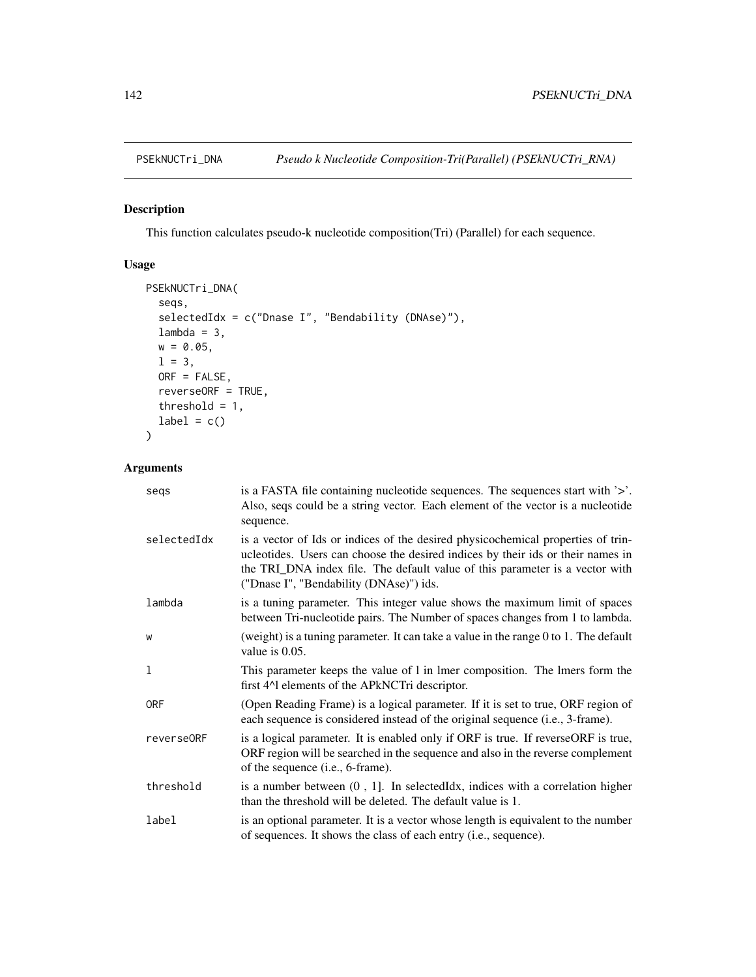This function calculates pseudo-k nucleotide composition(Tri) (Parallel) for each sequence.

# Usage

```
PSEkNUCTri_DNA(
  seqs,
  selectedIdx = c("Dnase I", "Bendability (DNAse)"),
  lambda = 3,
  w = 0.05,
  1 = 3,ORF = FALSE,
  reverseORF = TRUE,
  threshold = 1,
  label = c()\mathcal{L}
```

| segs        | is a FASTA file containing nucleotide sequences. The sequences start with '>'.<br>Also, seqs could be a string vector. Each element of the vector is a nucleotide<br>sequence.                                                                                                                 |
|-------------|------------------------------------------------------------------------------------------------------------------------------------------------------------------------------------------------------------------------------------------------------------------------------------------------|
| selectedIdx | is a vector of Ids or indices of the desired physicochemical properties of trin-<br>ucleotides. Users can choose the desired indices by their ids or their names in<br>the TRI_DNA index file. The default value of this parameter is a vector with<br>("Dnase I", "Bendability (DNAse)") ids. |
| lambda      | is a tuning parameter. This integer value shows the maximum limit of spaces<br>between Tri-nucleotide pairs. The Number of spaces changes from 1 to lambda.                                                                                                                                    |
| W           | (weight) is a tuning parameter. It can take a value in the range $0$ to 1. The default<br>value is $0.05$ .                                                                                                                                                                                    |
| 1           | This parameter keeps the value of 1 in 1 mer composition. The 1 mers form the<br>first 4^1 elements of the APkNCTri descriptor.                                                                                                                                                                |
| <b>ORF</b>  | (Open Reading Frame) is a logical parameter. If it is set to true, ORF region of<br>each sequence is considered instead of the original sequence (i.e., 3-frame).                                                                                                                              |
| reverse0RF  | is a logical parameter. It is enabled only if ORF is true. If reverseORF is true,<br>ORF region will be searched in the sequence and also in the reverse complement<br>of the sequence ( <i>i.e.</i> , 6-frame).                                                                               |
| threshold   | is a number between $(0, 1]$ . In selected Idx, indices with a correlation higher<br>than the threshold will be deleted. The default value is 1.                                                                                                                                               |
| label       | is an optional parameter. It is a vector whose length is equivalent to the number<br>of sequences. It shows the class of each entry (i.e., sequence).                                                                                                                                          |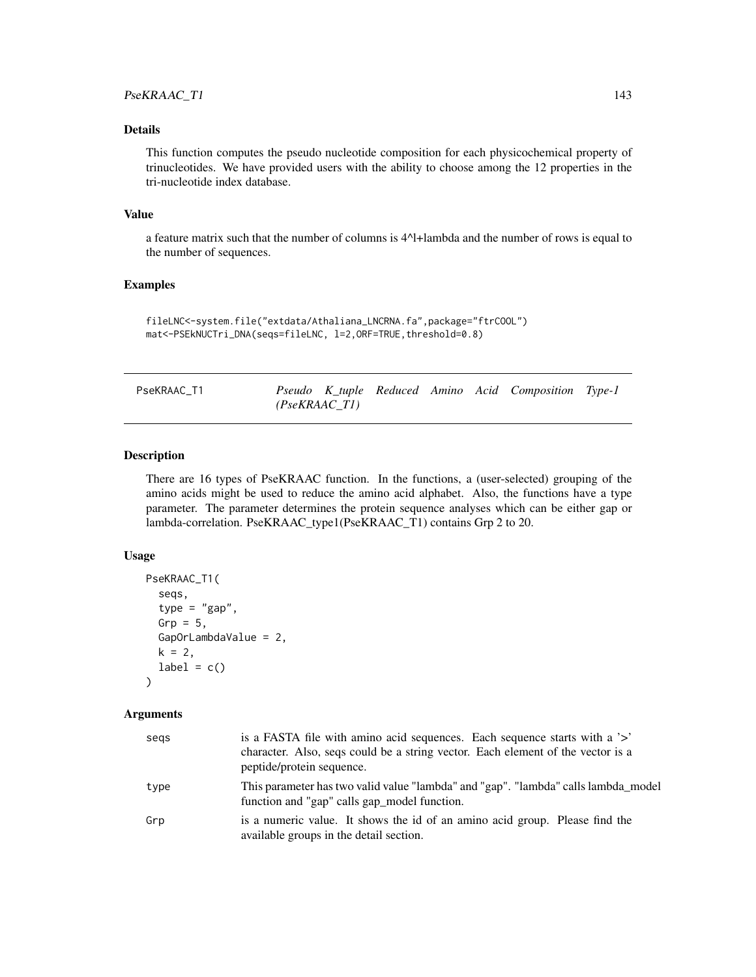# Details

This function computes the pseudo nucleotide composition for each physicochemical property of trinucleotides. We have provided users with the ability to choose among the 12 properties in the tri-nucleotide index database.

#### Value

a feature matrix such that the number of columns is 4^l+lambda and the number of rows is equal to the number of sequences.

## Examples

```
fileLNC<-system.file("extdata/Athaliana_LNCRNA.fa",package="ftrCOOL")
mat<-PSEkNUCTri_DNA(seqs=fileLNC, l=2,ORF=TRUE,threshold=0.8)
```

| PseKRAAC T1 |  |
|-------------|--|
|-------------|--|

Pseudo K\_tuple Reduced Amino Acid Composition Type-1 *(PseKRAAC\_T1)*

# Description

There are 16 types of PseKRAAC function. In the functions, a (user-selected) grouping of the amino acids might be used to reduce the amino acid alphabet. Also, the functions have a type parameter. The parameter determines the protein sequence analyses which can be either gap or lambda-correlation. PseKRAAC\_type1(PseKRAAC\_T1) contains Grp 2 to 20.

## Usage

```
PseKRAAC_T1(
  seqs,
  type = "gap",Grp = 5,
  GapOrLambdaValue = 2,
 k = 2,
  label = c())
```

| segs | is a FASTA file with amino acid sequences. Each sequence starts with a '>'<br>character. Also, seqs could be a string vector. Each element of the vector is a<br>peptide/protein sequence. |
|------|--------------------------------------------------------------------------------------------------------------------------------------------------------------------------------------------|
| type | This parameter has two valid value "lambda" and "gap". "lambda" calls lambda_model<br>function and "gap" calls gap_model function.                                                         |
| Grp  | is a numeric value. It shows the id of an amino acid group. Please find the<br>available groups in the detail section.                                                                     |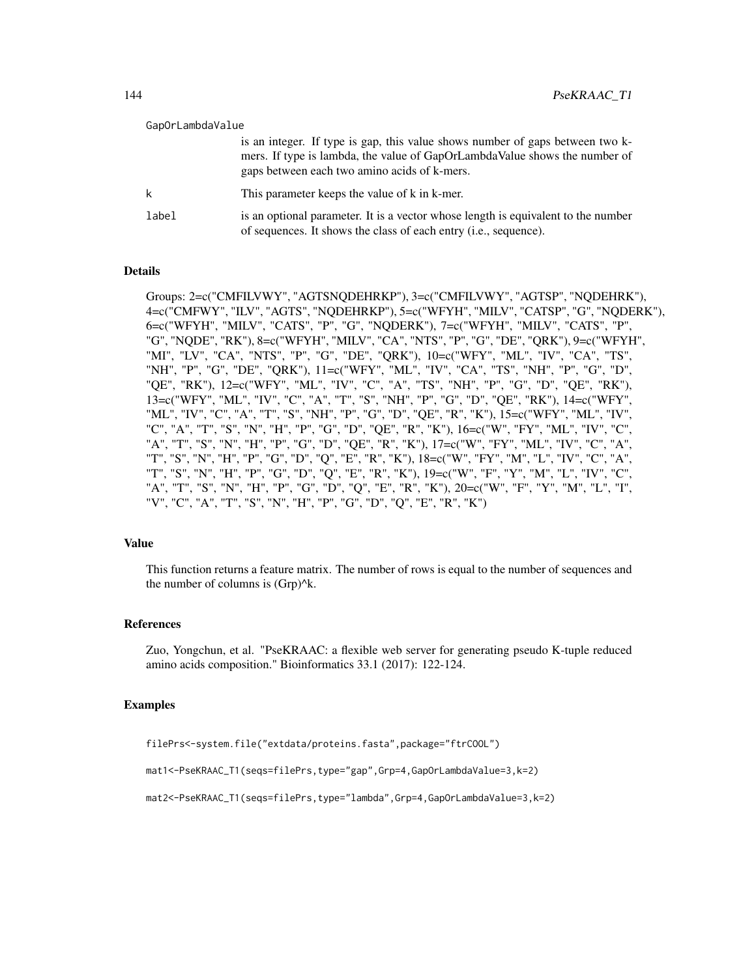| GapOrLambdaValue |                                                                                                                                                                                                             |
|------------------|-------------------------------------------------------------------------------------------------------------------------------------------------------------------------------------------------------------|
|                  | is an integer. If type is gap, this value shows number of gaps between two k-<br>mers. If type is lambda, the value of GapOrLambdaValue shows the number of<br>gaps between each two amino acids of k-mers. |
|                  | This parameter keeps the value of k in k-mer.                                                                                                                                                               |
| label            | is an optional parameter. It is a vector whose length is equivalent to the number<br>of sequences. It shows the class of each entry ( <i>i.e.</i> , sequence).                                              |

## Details

Groups: 2=c("CMFILVWY", "AGTSNQDEHRKP"), 3=c("CMFILVWY", "AGTSP", "NQDEHRK"), 4=c("CMFWY", "ILV", "AGTS", "NQDEHRKP"), 5=c("WFYH", "MILV", "CATSP", "G", "NQDERK"), 6=c("WFYH", "MILV", "CATS", "P", "G", "NQDERK"), 7=c("WFYH", "MILV", "CATS", "P", "G", "NQDE", "RK"), 8=c("WFYH", "MILV", "CA", "NTS", "P", "G", "DE", "QRK"), 9=c("WFYH", "MI", "LV", "CA", "NTS", "P", "G", "DE", "QRK"), 10=c("WFY", "ML", "IV", "CA", "TS", "NH", "P", "G", "DE", "QRK"), 11=c("WFY", "ML", "IV", "CA", "TS", "NH", "P", "G", "D", "QE", "RK"), 12=c("WFY", "ML", "IV", "C", "A", "TS", "NH", "P", "G", "D", "QE", "RK"), 13=c("WFY", "ML", "IV", "C", "A", "T", "S", "NH", "P", "G", "D", "QE", "RK"), 14=c("WFY", "ML", "IV", "C", "A", "T", "S", "NH", "P", "G", "D", "QE", "R", "K"), 15=c("WFY", "ML", "IV", "C", "A", "T", "S", "N", "H", "P", "G", "D", "QE", "R", "K"), 16=c("W", "FY", "ML", "IV", "C", "A", "T", "S", "N", "H", "P", "G", "D", "QE", "R", "K"), 17=c("W", "FY", "ML", "IV", "C", "A", "T", "S", "N", "H", "P", "G", "D", "Q", "E", "R", "K"), 18=c("W", "FY", "M", "L", "IV", "C", "A", "T", "S", "N", "H", "P", "G", "D", "Q", "E", "R", "K"), 19=c("W", "F", "Y", "M", "L", "IV", "C", "A", "T", "S", "N", "H", "P", "G", "D", "Q", "E", "R", "K"), 20=c("W", "F", "Y", "M", "L", "I", "V", "C", "A", "T", "S", "N", "H", "P", "G", "D", "Q", "E", "R", "K")

#### Value

This function returns a feature matrix. The number of rows is equal to the number of sequences and the number of columns is (Grp)^k.

#### References

Zuo, Yongchun, et al. "PseKRAAC: a flexible web server for generating pseudo K-tuple reduced amino acids composition." Bioinformatics 33.1 (2017): 122-124.

### Examples

```
filePrs<-system.file("extdata/proteins.fasta",package="ftrCOOL")
```

```
mat1<-PseKRAAC_T1(seqs=filePrs,type="gap",Grp=4,GapOrLambdaValue=3,k=2)
```

```
mat2<-PseKRAAC_T1(seqs=filePrs,type="lambda",Grp=4,GapOrLambdaValue=3,k=2)
```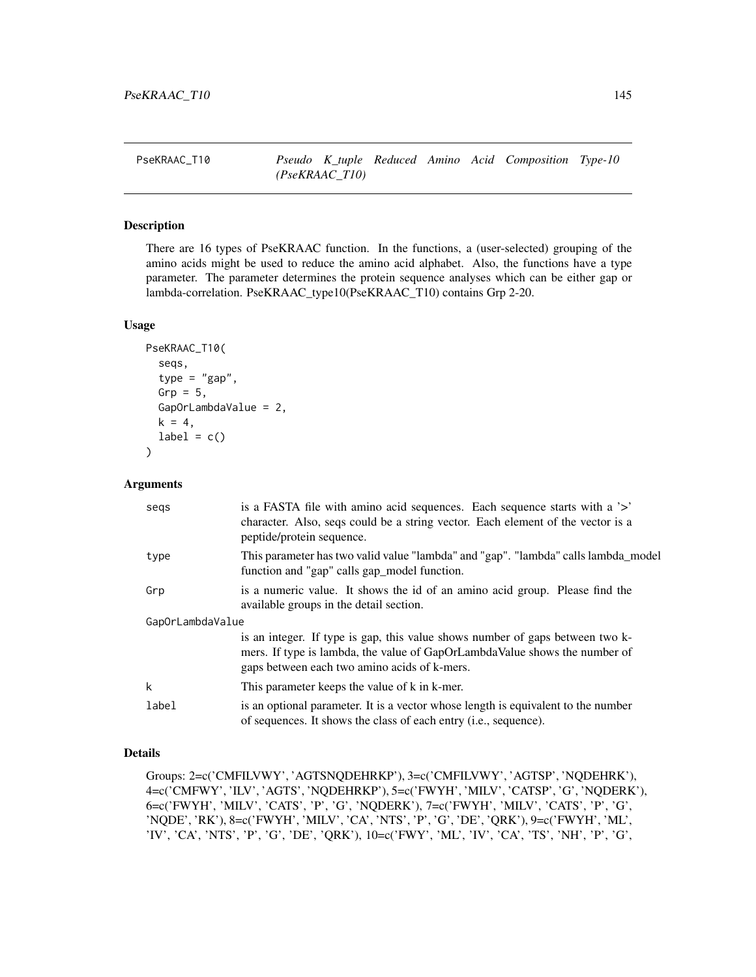PseKRAAC\_T10 *Pseudo K\_tuple Reduced Amino Acid Composition Type-10 (PseKRAAC\_T10)*

# Description

There are 16 types of PseKRAAC function. In the functions, a (user-selected) grouping of the amino acids might be used to reduce the amino acid alphabet. Also, the functions have a type parameter. The parameter determines the protein sequence analyses which can be either gap or lambda-correlation. PseKRAAC\_type10(PseKRAAC\_T10) contains Grp 2-20.

# Usage

```
PseKRAAC_T10(
  seqs,
  type = "gap",
  Grp = 5,
  GapOrLambdaValue = 2,
 k = 4,label = c())
```
#### Arguments

| segs             | is a FASTA file with a mino acid sequences. Each sequence starts with a '>'<br>character. Also, seqs could be a string vector. Each element of the vector is a<br>peptide/protein sequence.                 |
|------------------|-------------------------------------------------------------------------------------------------------------------------------------------------------------------------------------------------------------|
| type             | This parameter has two valid value "lambda" and "gap". "lambda" calls lambda_model<br>function and "gap" calls gap_model function.                                                                          |
| Grp              | is a numeric value. It shows the id of an amino acid group. Please find the<br>available groups in the detail section.                                                                                      |
| GapOrLambdaValue |                                                                                                                                                                                                             |
|                  | is an integer. If type is gap, this value shows number of gaps between two k-<br>mers. If type is lambda, the value of GapOrLambdaValue shows the number of<br>gaps between each two amino acids of k-mers. |
| k                | This parameter keeps the value of k in k-mer.                                                                                                                                                               |
| label            | is an optional parameter. It is a vector whose length is equivalent to the number<br>of sequences. It shows the class of each entry ( <i>i.e.</i> , sequence).                                              |

# Details

Groups: 2=c('CMFILVWY', 'AGTSNQDEHRKP'), 3=c('CMFILVWY', 'AGTSP', 'NQDEHRK'), 4=c('CMFWY', 'ILV', 'AGTS', 'NQDEHRKP'), 5=c('FWYH', 'MILV', 'CATSP', 'G', 'NQDERK'), 6=c('FWYH', 'MILV', 'CATS', 'P', 'G', 'NQDERK'), 7=c('FWYH', 'MILV', 'CATS', 'P', 'G', 'NQDE', 'RK'), 8=c('FWYH', 'MILV', 'CA', 'NTS', 'P', 'G', 'DE', 'QRK'), 9=c('FWYH', 'ML', 'IV', 'CA', 'NTS', 'P', 'G', 'DE', 'QRK'), 10=c('FWY', 'ML', 'IV', 'CA', 'TS', 'NH', 'P', 'G',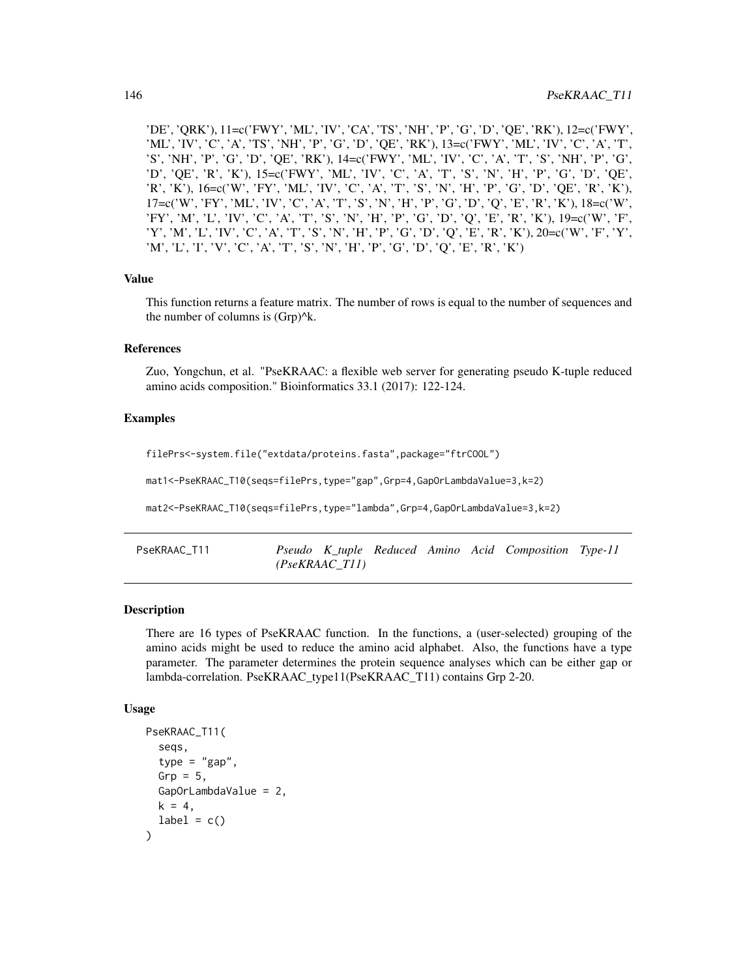'DE', 'QRK'), 11=c('FWY', 'ML', 'IV', 'CA', 'TS', 'NH', 'P', 'G', 'D', 'QE', 'RK'), 12=c('FWY', 'ML', 'IV', 'C', 'A', 'TS', 'NH', 'P', 'G', 'D', 'QE', 'RK'), 13=c('FWY', 'ML', 'IV', 'C', 'A', 'T', 'S', 'NH', 'P', 'G', 'D', 'QE', 'RK'), 14=c('FWY', 'ML', 'IV', 'C', 'A', 'T', 'S', 'NH', 'P', 'G', 'D', 'QE', 'R', 'K'), 15=c('FWY', 'ML', 'IV', 'C', 'A', 'T', 'S', 'N', 'H', 'P', 'G', 'D', 'QE', 'R', 'K'), 16=c('W', 'FY', 'ML', 'IV', 'C', 'A', 'T', 'S', 'N', 'H', 'P', 'G', 'D', 'QE', 'R', 'K'), 17=c('W', 'FY', 'ML', 'IV', 'C', 'A', 'T', 'S', 'N', 'H', 'P', 'G', 'D', 'Q', 'E', 'R', 'K'), 18=c('W', 'FY', 'M', 'L', 'IV', 'C', 'A', 'T', 'S', 'N', 'H', 'P', 'G', 'D', 'Q', 'E', 'R', 'K'), 19=c('W', 'F', 'Y', 'M', 'L', 'IV', 'C', 'A', 'T', 'S', 'N', 'H', 'P', 'G', 'D', 'Q', 'E', 'R', 'K'), 20=c('W', 'F', 'Y', 'M', 'L', 'I', 'V', 'C', 'A', 'T', 'S', 'N', 'H', 'P', 'G', 'D', 'Q', 'E', 'R', 'K')

### Value

This function returns a feature matrix. The number of rows is equal to the number of sequences and the number of columns is  $(Grp)^{A_k}$ .

#### References

Zuo, Yongchun, et al. "PseKRAAC: a flexible web server for generating pseudo K-tuple reduced amino acids composition." Bioinformatics 33.1 (2017): 122-124.

## Examples

```
filePrs<-system.file("extdata/proteins.fasta",package="ftrCOOL")
 mat1<-PseKRAAC_T10(seqs=filePrs,type="gap",Grp=4,GapOrLambdaValue=3,k=2)
 mat2<-PseKRAAC_T10(seqs=filePrs,type="lambda",Grp=4,GapOrLambdaValue=3,k=2)
PseKRAAC_T11 Pseudo K_tuple Reduced Amino Acid Composition Type-11
                       (PseKRAAC_T11)
```
## Description

There are 16 types of PseKRAAC function. In the functions, a (user-selected) grouping of the amino acids might be used to reduce the amino acid alphabet. Also, the functions have a type parameter. The parameter determines the protein sequence analyses which can be either gap or lambda-correlation. PseKRAAC\_type11(PseKRAAC\_T11) contains Grp 2-20.

#### Usage

```
PseKRAAC_T11(
  seqs,
  type = "gap",
  Grp = 5,
  GapOrLambdaValue = 2,
 k = 4,label = c())
```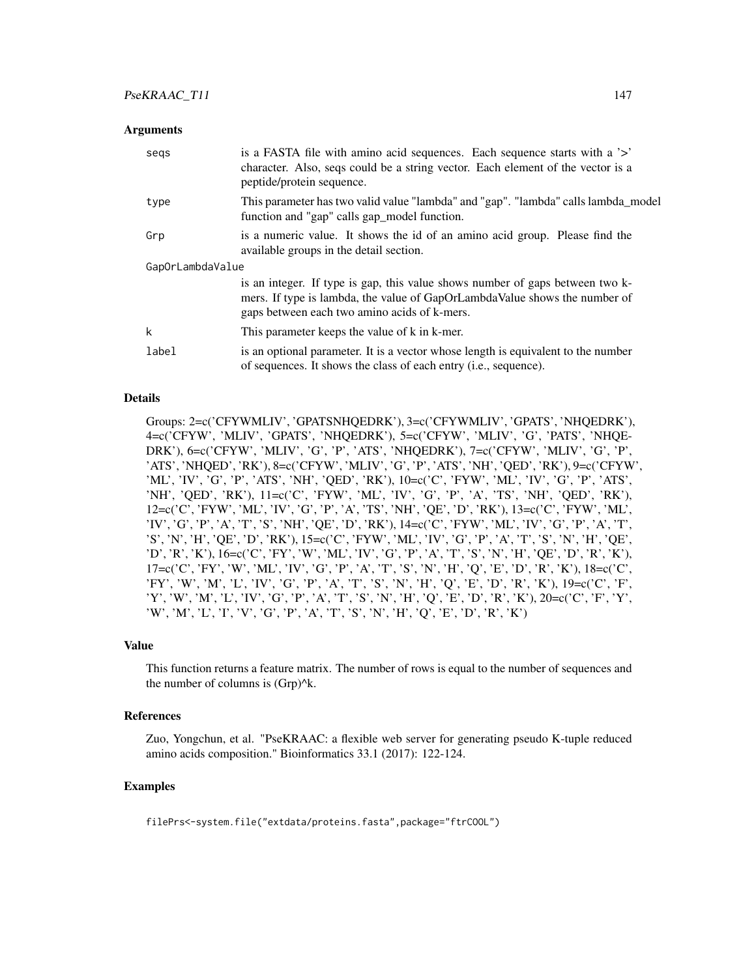## **Arguments**

| segs             | is a FASTA file with a mino acid sequences. Each sequence starts with a '>'<br>character. Also, seqs could be a string vector. Each element of the vector is a<br>peptide/protein sequence.                 |  |  |  |
|------------------|-------------------------------------------------------------------------------------------------------------------------------------------------------------------------------------------------------------|--|--|--|
| type             | This parameter has two valid value "lambda" and "gap". "lambda" calls lambda_model<br>function and "gap" calls gap_model function.                                                                          |  |  |  |
| Grp              | is a numeric value. It shows the id of an amino acid group. Please find the<br>available groups in the detail section.                                                                                      |  |  |  |
| GapOrLambdaValue |                                                                                                                                                                                                             |  |  |  |
|                  | is an integer. If type is gap, this value shows number of gaps between two k-<br>mers. If type is lambda, the value of GapOrLambdaValue shows the number of<br>gaps between each two amino acids of k-mers. |  |  |  |
| k                | This parameter keeps the value of k in k-mer.                                                                                                                                                               |  |  |  |
| label            | is an optional parameter. It is a vector whose length is equivalent to the number<br>of sequences. It shows the class of each entry (i.e., sequence).                                                       |  |  |  |

#### Details

Groups: 2=c('CFYWMLIV', 'GPATSNHQEDRK'), 3=c('CFYWMLIV', 'GPATS', 'NHQEDRK'), 4=c('CFYW', 'MLIV', 'GPATS', 'NHQEDRK'), 5=c('CFYW', 'MLIV', 'G', 'PATS', 'NHQE-DRK'), 6=c('CFYW', 'MLIV', 'G', 'P', 'ATS', 'NHQEDRK'), 7=c('CFYW', 'MLIV', 'G', 'P', 'ATS', 'NHQED', 'RK'), 8=c('CFYW', 'MLIV', 'G', 'P', 'ATS', 'NH', 'QED', 'RK'), 9=c('CFYW', 'ML', 'IV', 'G', 'P', 'ATS', 'NH', 'QED', 'RK'), 10=c('C', 'FYW', 'ML', 'IV', 'G', 'P', 'ATS', 'NH', 'QED', 'RK'), 11=c('C', 'FYW', 'ML', 'IV', 'G', 'P', 'A', 'TS', 'NH', 'QED', 'RK'), 12=c('C', 'FYW', 'ML', 'IV', 'G', 'P', 'A', 'TS', 'NH', 'QE', 'D', 'RK'), 13=c('C', 'FYW', 'ML', 'IV', 'G', 'P', 'A', 'T', 'S', 'NH', 'QE', 'D', 'RK'), 14=c('C', 'FYW', 'ML', 'IV', 'G', 'P', 'A', 'T', 'S', 'N', 'H', 'QE', 'D', 'RK'), 15=c('C', 'FYW', 'ML', 'IV', 'G', 'P', 'A', 'T', 'S', 'N', 'H', 'QE', 'D', 'R', 'K'), 16=c('C', 'FY', 'W', 'ML', 'IV', 'G', 'P', 'A', 'T', 'S', 'N', 'H', 'QE', 'D', 'R', 'K'), 17=c('C', 'FY', 'W', 'ML', 'IV', 'G', 'P', 'A', 'T', 'S', 'N', 'H', 'Q', 'E', 'D', 'R', 'K'), 18=c('C', 'FY', 'W', 'M', 'L', 'IV', 'G', 'P', 'A', 'T', 'S', 'N', 'H', 'Q', 'E', 'D', 'R', 'K'), 19=c('C', 'F', 'Y', 'W', 'M', 'L', 'IV', 'G', 'P', 'A', 'T', 'S', 'N', 'H', 'Q', 'E', 'D', 'R', 'K'), 20=c('C', 'F', 'Y', 'W', 'M', 'L', 'I', 'V', 'G', 'P', 'A', 'T', 'S', 'N', 'H', 'Q', 'E', 'D', 'R', 'K')

#### Value

This function returns a feature matrix. The number of rows is equal to the number of sequences and the number of columns is  $(Grp)^{A}k$ .

#### References

Zuo, Yongchun, et al. "PseKRAAC: a flexible web server for generating pseudo K-tuple reduced amino acids composition." Bioinformatics 33.1 (2017): 122-124.

# Examples

filePrs<-system.file("extdata/proteins.fasta",package="ftrCOOL")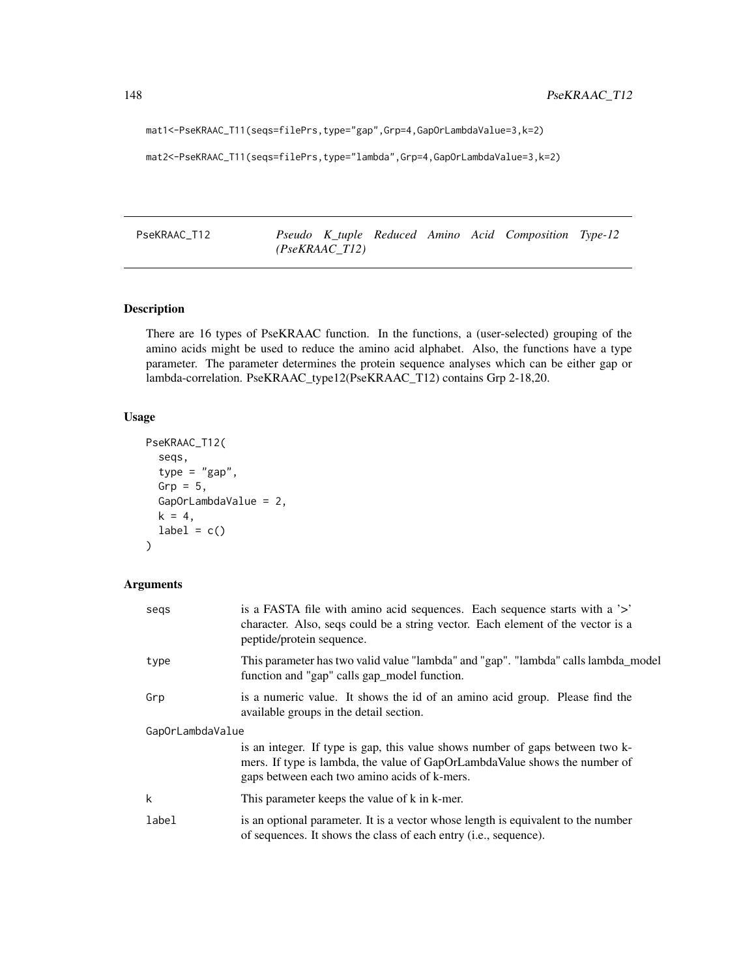mat1<-PseKRAAC\_T11(seqs=filePrs,type="gap",Grp=4,GapOrLambdaValue=3,k=2)

```
mat2<-PseKRAAC_T11(seqs=filePrs,type="lambda",Grp=4,GapOrLambdaValue=3,k=2)
```
PseKRAAC\_T12 *Pseudo K\_tuple Reduced Amino Acid Composition Type-12 (PseKRAAC\_T12)*

# Description

There are 16 types of PseKRAAC function. In the functions, a (user-selected) grouping of the amino acids might be used to reduce the amino acid alphabet. Also, the functions have a type parameter. The parameter determines the protein sequence analyses which can be either gap or lambda-correlation. PseKRAAC\_type12(PseKRAAC\_T12) contains Grp 2-18,20.

#### Usage

```
PseKRAAC_T12(
  seqs,
  type = "gap",Grp = 5,
 GapOrLambdaValue = 2,
 k = 4,label = c())
```
# Arguments

| segs             | is a FASTA file with a mino acid sequences. Each sequence starts with a '>'<br>character. Also, seqs could be a string vector. Each element of the vector is a<br>peptide/protein sequence.                 |  |  |  |  |
|------------------|-------------------------------------------------------------------------------------------------------------------------------------------------------------------------------------------------------------|--|--|--|--|
| type             | This parameter has two valid value "lambda" and "gap". "lambda" calls lambda_model<br>function and "gap" calls gap_model function.                                                                          |  |  |  |  |
| Grp              | is a numeric value. It shows the id of an amino acid group. Please find the<br>available groups in the detail section.                                                                                      |  |  |  |  |
| GapOrLambdaValue |                                                                                                                                                                                                             |  |  |  |  |
|                  | is an integer. If type is gap, this value shows number of gaps between two k-<br>mers. If type is lambda, the value of GapOrLambdaValue shows the number of<br>gaps between each two amino acids of k-mers. |  |  |  |  |
| k                | This parameter keeps the value of k in k-mer.                                                                                                                                                               |  |  |  |  |
| label            | is an optional parameter. It is a vector whose length is equivalent to the number<br>of sequences. It shows the class of each entry ( <i>i.e.</i> , sequence).                                              |  |  |  |  |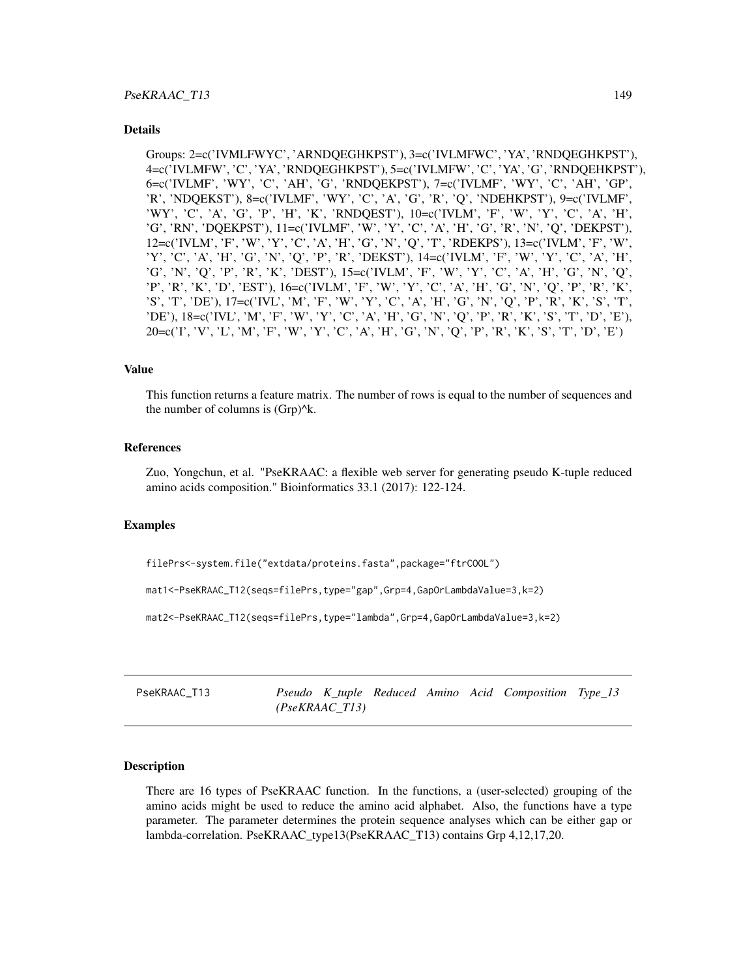#### Details

Groups: 2=c('IVMLFWYC', 'ARNDQEGHKPST'), 3=c('IVLMFWC', 'YA', 'RNDQEGHKPST'), 4=c('IVLMFW', 'C', 'YA', 'RNDQEGHKPST'), 5=c('IVLMFW', 'C', 'YA', 'G', 'RNDQEHKPST'), 6=c('IVLMF', 'WY', 'C', 'AH', 'G', 'RNDQEKPST'), 7=c('IVLMF', 'WY', 'C', 'AH', 'GP', 'R', 'NDQEKST'), 8=c('IVLMF', 'WY', 'C', 'A', 'G', 'R', 'Q', 'NDEHKPST'), 9=c('IVLMF', 'WY', 'C', 'A', 'G', 'P', 'H', 'K', 'RNDQEST'), 10=c('IVLM', 'F', 'W', 'Y', 'C', 'A', 'H', 'G', 'RN', 'DQEKPST'), 11=c('IVLMF', 'W', 'Y', 'C', 'A', 'H', 'G', 'R', 'N', 'Q', 'DEKPST'), 12=c('IVLM', 'F', 'W', 'Y', 'C', 'A', 'H', 'G', 'N', 'Q', 'T', 'RDEKPS'), 13=c('IVLM', 'F', 'W', 'Y', 'C', 'A', 'H', 'G', 'N', 'Q', 'P', 'R', 'DEKST'), 14=c('IVLM', 'F', 'W', 'Y', 'C', 'A', 'H', 'G', 'N', 'Q', 'P', 'R', 'K', 'DEST'), 15=c('IVLM', 'F', 'W', 'Y', 'C', 'A', 'H', 'G', 'N', 'Q', 'P', 'R', 'K', 'D', 'EST'), 16=c('IVLM', 'F', 'W', 'Y', 'C', 'A', 'H', 'G', 'N', 'Q', 'P', 'R', 'K', 'S', 'T', 'DE'), 17=c('IVL', 'M', 'F', 'W', 'Y', 'C', 'A', 'H', 'G', 'N', 'Q', 'P', 'R', 'K', 'S', 'T', 'DE'), 18=c('IVL', 'M', 'F', 'W', 'Y', 'C', 'A', 'H', 'G', 'N', 'Q', 'P', 'R', 'K', 'S', 'T', 'D', 'E'), 20=c('I', 'V', 'L', 'M', 'F', 'W', 'Y', 'C', 'A', 'H', 'G', 'N', 'Q', 'P', 'R', 'K', 'S', 'T', 'D', 'E')

#### Value

This function returns a feature matrix. The number of rows is equal to the number of sequences and the number of columns is  $(Grp)^{k}$ .

# References

Zuo, Yongchun, et al. "PseKRAAC: a flexible web server for generating pseudo K-tuple reduced amino acids composition." Bioinformatics 33.1 (2017): 122-124.

#### Examples

filePrs<-system.file("extdata/proteins.fasta",package="ftrCOOL")

mat1<-PseKRAAC\_T12(seqs=filePrs,type="gap",Grp=4,GapOrLambdaValue=3,k=2)

mat2<-PseKRAAC\_T12(seqs=filePrs,type="lambda",Grp=4,GapOrLambdaValue=3,k=2)

PseKRAAC\_T13 *Pseudo K\_tuple Reduced Amino Acid Composition Type\_13 (PseKRAAC\_T13)*

# Description

There are 16 types of PseKRAAC function. In the functions, a (user-selected) grouping of the amino acids might be used to reduce the amino acid alphabet. Also, the functions have a type parameter. The parameter determines the protein sequence analyses which can be either gap or lambda-correlation. PseKRAAC\_type13(PseKRAAC\_T13) contains Grp 4,12,17,20.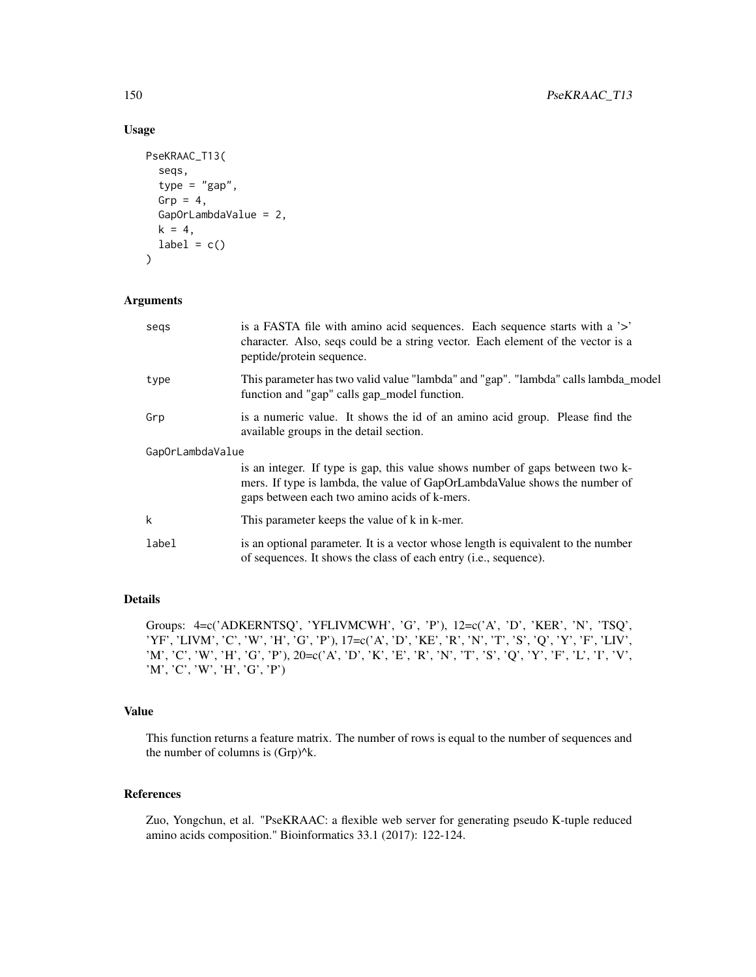# Usage

```
PseKRAAC_T13(
  seqs,
  type = "gap",Grp = 4,
  GapOrLambdaValue = 2,
  k = 4,label = c()\mathcal{L}
```
# Arguments

| segs             | is a FASTA file with a mino acid sequences. Each sequence starts with a '>'<br>character. Also, seqs could be a string vector. Each element of the vector is a<br>peptide/protein sequence.                 |  |  |  |
|------------------|-------------------------------------------------------------------------------------------------------------------------------------------------------------------------------------------------------------|--|--|--|
| type             | This parameter has two valid value "lambda" and "gap". "lambda" calls lambda_model<br>function and "gap" calls gap_model function.                                                                          |  |  |  |
| Grp              | is a numeric value. It shows the id of an amino acid group. Please find the<br>available groups in the detail section.                                                                                      |  |  |  |
| GapOrLambdaValue |                                                                                                                                                                                                             |  |  |  |
|                  | is an integer. If type is gap, this value shows number of gaps between two k-<br>mers. If type is lambda, the value of GapOrLambdaValue shows the number of<br>gaps between each two amino acids of k-mers. |  |  |  |
| k                | This parameter keeps the value of k in k-mer.                                                                                                                                                               |  |  |  |
| label            | is an optional parameter. It is a vector whose length is equivalent to the number<br>of sequences. It shows the class of each entry ( <i>i.e.</i> , sequence).                                              |  |  |  |

# Details

Groups: 4=c('ADKERNTSQ', 'YFLIVMCWH', 'G', 'P'), 12=c('A', 'D', 'KER', 'N', 'TSQ', 'YF', 'LIVM', 'C', 'W', 'H', 'G', 'P'), 17=c('A', 'D', 'KE', 'R', 'N', 'T', 'S', 'Q', 'Y', 'F', 'LIV', 'M', 'C', 'W', 'H', 'G', 'P'), 20=c('A', 'D', 'K', 'E', 'R', 'N', 'T', 'S', 'Q', 'Y', 'F', 'L', 'I', 'V', 'M', 'C', 'W', 'H', 'G', 'P')

# Value

This function returns a feature matrix. The number of rows is equal to the number of sequences and the number of columns is (Grp)^k.

# References

Zuo, Yongchun, et al. "PseKRAAC: a flexible web server for generating pseudo K-tuple reduced amino acids composition." Bioinformatics 33.1 (2017): 122-124.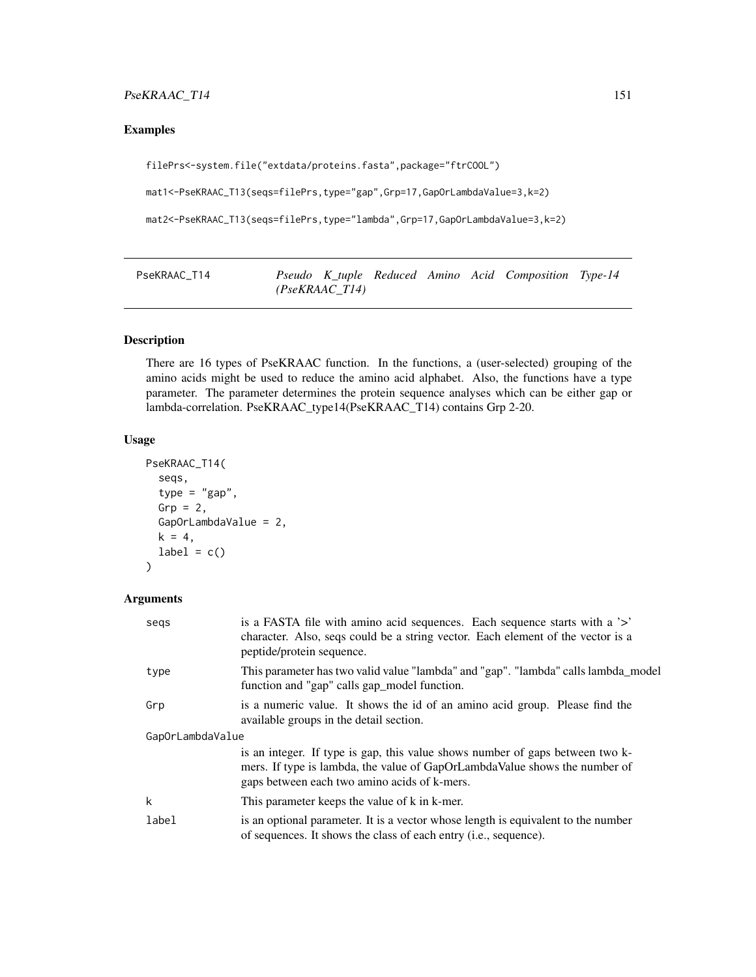# PseKRAAC\_T14 151

# Examples

```
filePrs<-system.file("extdata/proteins.fasta",package="ftrCOOL")
```
mat1<-PseKRAAC\_T13(seqs=filePrs,type="gap",Grp=17,GapOrLambdaValue=3,k=2)

```
mat2<-PseKRAAC_T13(seqs=filePrs,type="lambda",Grp=17,GapOrLambdaValue=3,k=2)
```
PseKRAAC\_T14 *Pseudo K\_tuple Reduced Amino Acid Composition Type-14 (PseKRAAC\_T14)*

# Description

There are 16 types of PseKRAAC function. In the functions, a (user-selected) grouping of the amino acids might be used to reduce the amino acid alphabet. Also, the functions have a type parameter. The parameter determines the protein sequence analyses which can be either gap or lambda-correlation. PseKRAAC\_type14(PseKRAAC\_T14) contains Grp 2-20.

# Usage

```
PseKRAAC_T14(
  seqs,
  type = "gap",Grp = 2,
  GapOrLambdaValue = 2,
  k = 4,
  label = c()\lambda
```
# Arguments

| segs             | is a FASTA file with a mino acid sequences. Each sequence starts with a '>'<br>character. Also, seqs could be a string vector. Each element of the vector is a<br>peptide/protein sequence.                 |
|------------------|-------------------------------------------------------------------------------------------------------------------------------------------------------------------------------------------------------------|
| type             | This parameter has two valid value "lambda" and "gap". "lambda" calls lambda_model<br>function and "gap" calls gap_model function.                                                                          |
| Grp              | is a numeric value. It shows the id of an amino acid group. Please find the<br>available groups in the detail section.                                                                                      |
| GapOrLambdaValue |                                                                                                                                                                                                             |
|                  | is an integer. If type is gap, this value shows number of gaps between two k-<br>mers. If type is lambda, the value of GapOrLambdaValue shows the number of<br>gaps between each two amino acids of k-mers. |
| k                | This parameter keeps the value of k in k-mer.                                                                                                                                                               |
| label            | is an optional parameter. It is a vector whose length is equivalent to the number<br>of sequences. It shows the class of each entry ( <i>i.e.</i> , sequence).                                              |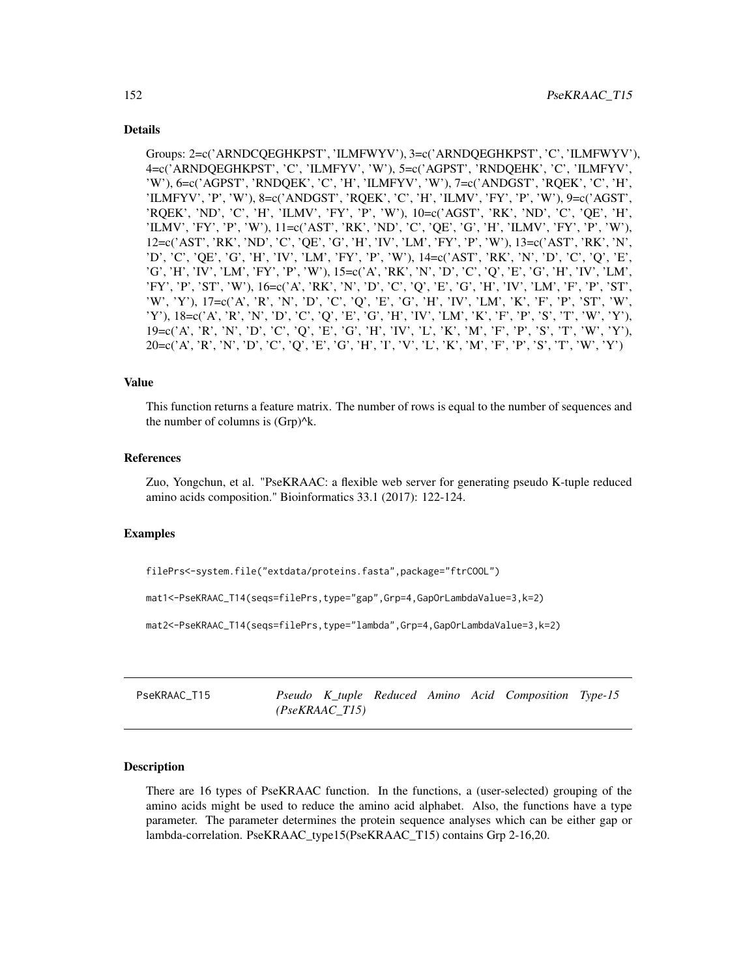## Details

Groups: 2=c('ARNDCQEGHKPST', 'ILMFWYV'), 3=c('ARNDQEGHKPST', 'C', 'ILMFWYV'), 4=c('ARNDQEGHKPST', 'C', 'ILMFYV', 'W'), 5=c('AGPST', 'RNDQEHK', 'C', 'ILMFYV', 'W'), 6=c('AGPST', 'RNDQEK', 'C', 'H', 'ILMFYV', 'W'), 7=c('ANDGST', 'RQEK', 'C', 'H', 'ILMFYV', 'P', 'W'), 8=c('ANDGST', 'RQEK', 'C', 'H', 'ILMV', 'FY', 'P', 'W'), 9=c('AGST', 'RQEK', 'ND', 'C', 'H', 'ILMV', 'FY', 'P', 'W'), 10=c('AGST', 'RK', 'ND', 'C', 'QE', 'H', 'ILMV', 'FY', 'P', 'W'), 11=c('AST', 'RK', 'ND', 'C', 'QE', 'G', 'H', 'ILMV', 'FY', 'P', 'W'), 12=c('AST', 'RK', 'ND', 'C', 'QE', 'G', 'H', 'IV', 'LM', 'FY', 'P', 'W'), 13=c('AST', 'RK', 'N', 'D', 'C', 'QE', 'G', 'H', 'IV', 'LM', 'FY', 'P', 'W'), 14=c('AST', 'RK', 'N', 'D', 'C', 'Q', 'E', 'G', 'H', 'IV', 'LM', 'FY', 'P', 'W'), 15=c('A', 'RK', 'N', 'D', 'C', 'Q', 'E', 'G', 'H', 'IV', 'LM', 'FY', 'P', 'ST', 'W'), 16=c('A', 'RK', 'N', 'D', 'C', 'Q', 'E', 'G', 'H', 'IV', 'LM', 'F', 'P', 'ST', 'W', 'Y'), 17=c('A', 'R', 'N', 'D', 'C', 'Q', 'E', 'G', 'H', 'IV', 'LM', 'K', 'F', 'P', 'ST', 'W', 'Y'), 18=c('A', 'R', 'N', 'D', 'C', 'Q', 'E', 'G', 'H', 'IV', 'LM', 'K', 'F', 'P', 'S', 'T', 'W', 'Y'), 19=c('A', 'R', 'N', 'D', 'C', 'Q', 'E', 'G', 'H', 'IV', 'L', 'K', 'M', 'F', 'P', 'S', 'T', 'W', 'Y'), 20=c('A', 'R', 'N', 'D', 'C', 'Q', 'E', 'G', 'H', 'I', 'V', 'L', 'K', 'M', 'F', 'P', 'S', 'T', 'W', 'Y')

#### Value

This function returns a feature matrix. The number of rows is equal to the number of sequences and the number of columns is (Grp)^k.

#### References

Zuo, Yongchun, et al. "PseKRAAC: a flexible web server for generating pseudo K-tuple reduced amino acids composition." Bioinformatics 33.1 (2017): 122-124.

#### Examples

filePrs<-system.file("extdata/proteins.fasta",package="ftrCOOL")

mat1<-PseKRAAC\_T14(seqs=filePrs,type="gap",Grp=4,GapOrLambdaValue=3,k=2)

mat2<-PseKRAAC\_T14(seqs=filePrs,type="lambda",Grp=4,GapOrLambdaValue=3,k=2)

PseKRAAC\_T15 *Pseudo K\_tuple Reduced Amino Acid Composition Type-15 (PseKRAAC\_T15)*

# Description

There are 16 types of PseKRAAC function. In the functions, a (user-selected) grouping of the amino acids might be used to reduce the amino acid alphabet. Also, the functions have a type parameter. The parameter determines the protein sequence analyses which can be either gap or lambda-correlation. PseKRAAC\_type15(PseKRAAC\_T15) contains Grp 2-16,20.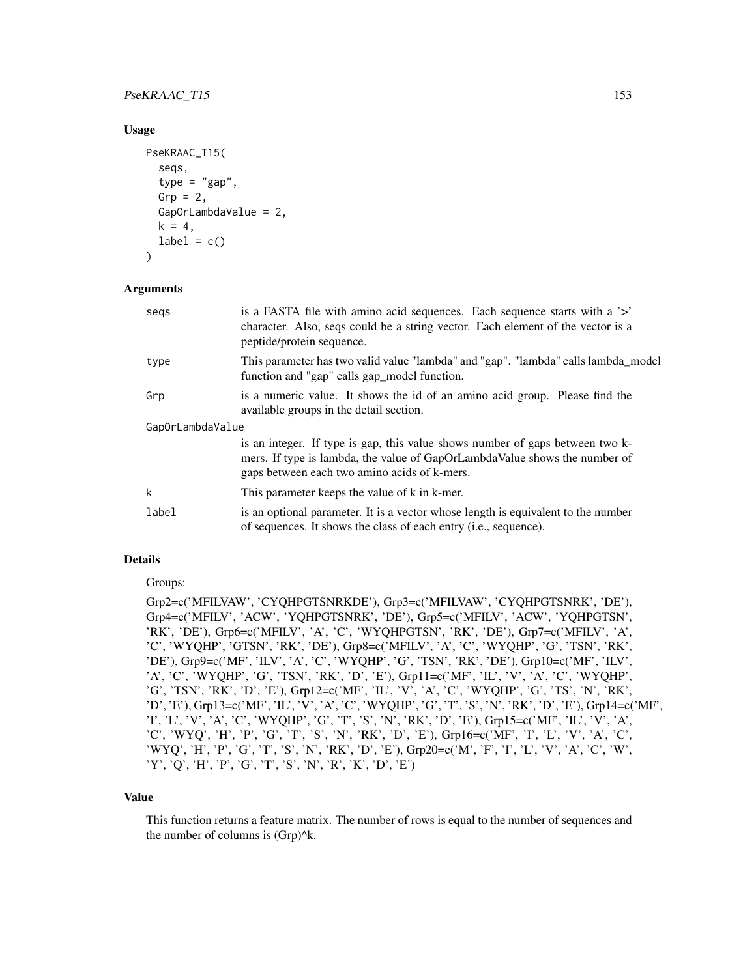# PseKRAAC\_T15 153

## Usage

```
PseKRAAC_T15(
  seqs,
  type = "gap",Grp = 2,
 GapOrLambdaValue = 2,
 k = 4,
 label = c())
```
## Arguments

| segs             | is a FASTA file with amino acid sequences. Each sequence starts with a '>'<br>character. Also, seqs could be a string vector. Each element of the vector is a<br>peptide/protein sequence.                  |  |  |  |  |
|------------------|-------------------------------------------------------------------------------------------------------------------------------------------------------------------------------------------------------------|--|--|--|--|
| type             | This parameter has two valid value "lambda" and "gap". "lambda" calls lambda_model<br>function and "gap" calls gap_model function.                                                                          |  |  |  |  |
| Grp              | is a numeric value. It shows the id of an amino acid group. Please find the<br>available groups in the detail section.                                                                                      |  |  |  |  |
| GapOrLambdaValue |                                                                                                                                                                                                             |  |  |  |  |
|                  | is an integer. If type is gap, this value shows number of gaps between two k-<br>mers. If type is lambda, the value of GapOrLambdaValue shows the number of<br>gaps between each two amino acids of k-mers. |  |  |  |  |
| k                | This parameter keeps the value of k in k-mer.                                                                                                                                                               |  |  |  |  |
| label            | is an optional parameter. It is a vector whose length is equivalent to the number<br>of sequences. It shows the class of each entry ( <i>i.e.</i> , sequence).                                              |  |  |  |  |

#### Details

Groups:

Grp2=c('MFILVAW', 'CYQHPGTSNRKDE'), Grp3=c('MFILVAW', 'CYQHPGTSNRK', 'DE'), Grp4=c('MFILV', 'ACW', 'YQHPGTSNRK', 'DE'), Grp5=c('MFILV', 'ACW', 'YQHPGTSN', 'RK', 'DE'), Grp6=c('MFILV', 'A', 'C', 'WYQHPGTSN', 'RK', 'DE'), Grp7=c('MFILV', 'A', 'C', 'WYQHP', 'GTSN', 'RK', 'DE'), Grp8=c('MFILV', 'A', 'C', 'WYQHP', 'G', 'TSN', 'RK', 'DE'), Grp9=c('MF', 'ILV', 'A', 'C', 'WYQHP', 'G', 'TSN', 'RK', 'DE'), Grp10=c('MF', 'ILV', 'A', 'C', 'WYQHP', 'G', 'TSN', 'RK', 'D', 'E'), Grp11=c('MF', 'IL', 'V', 'A', 'C', 'WYQHP', 'G', 'TSN', 'RK', 'D', 'E'), Grp12=c('MF', 'IL', 'V', 'A', 'C', 'WYQHP', 'G', 'TS', 'N', 'RK', 'D', 'E'), Grp13=c('MF', 'IL', 'V', 'A', 'C', 'WYQHP', 'G', 'T', 'S', 'N', 'RK', 'D', 'E'), Grp14=c('MF', 'I', 'L', 'V', 'A', 'C', 'WYQHP', 'G', 'T', 'S', 'N', 'RK', 'D', 'E'), Grp15=c('MF', 'IL', 'V', 'A', 'C', 'WYQ', 'H', 'P', 'G', 'T', 'S', 'N', 'RK', 'D', 'E'), Grp16=c('MF', 'I', 'L', 'V', 'A', 'C', 'WYQ', 'H', 'P', 'G', 'T', 'S', 'N', 'RK', 'D', 'E'), Grp20=c('M', 'F', 'I', 'L', 'V', 'A', 'C', 'W', 'Y', 'Q', 'H', 'P', 'G', 'T', 'S', 'N', 'R', 'K', 'D', 'E')

## Value

This function returns a feature matrix. The number of rows is equal to the number of sequences and the number of columns is (Grp)^k.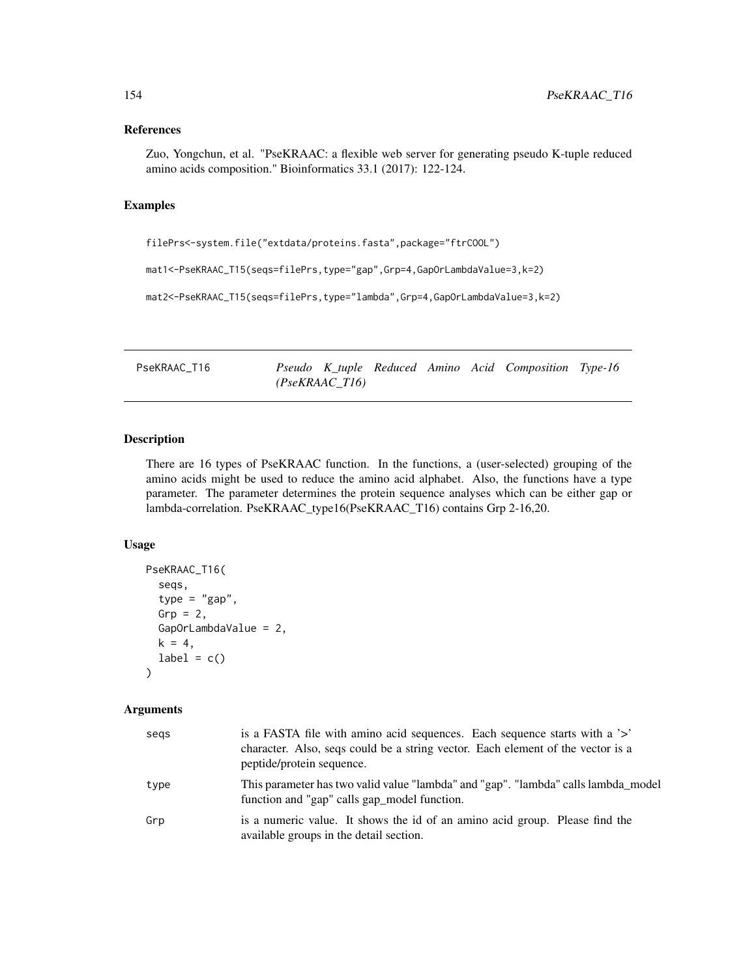#### References

Zuo, Yongchun, et al. "PseKRAAC: a flexible web server for generating pseudo K-tuple reduced amino acids composition." Bioinformatics 33.1 (2017): 122-124.

#### Examples

```
filePrs<-system.file("extdata/proteins.fasta",package="ftrCOOL")
mat1<-PseKRAAC_T15(seqs=filePrs,type="gap",Grp=4,GapOrLambdaValue=3,k=2)
mat2<-PseKRAAC_T15(seqs=filePrs,type="lambda",Grp=4,GapOrLambdaValue=3,k=2)
```
PseKRAAC\_T16 *Pseudo K\_tuple Reduced Amino Acid Composition Type-16 (PseKRAAC\_T16)*

#### Description

There are 16 types of PseKRAAC function. In the functions, a (user-selected) grouping of the amino acids might be used to reduce the amino acid alphabet. Also, the functions have a type parameter. The parameter determines the protein sequence analyses which can be either gap or lambda-correlation. PseKRAAC\_type16(PseKRAAC\_T16) contains Grp 2-16,20.

## Usage

```
PseKRAAC_T16(
  seqs,
  type = "gap",Grp = 2,
  GapOrLambdaValue = 2,
 k = 4,
  label = c())
```
## Arguments

| segs | is a FASTA file with amino acid sequences. Each sequence starts with a '>'<br>character. Also, seqs could be a string vector. Each element of the vector is a<br>peptide/protein sequence. |
|------|--------------------------------------------------------------------------------------------------------------------------------------------------------------------------------------------|
| type | This parameter has two valid value "lambda" and "gap". "lambda" calls lambda_model<br>function and "gap" calls gap_model function.                                                         |
| Grp  | is a numeric value. It shows the id of an amino acid group. Please find the<br>available groups in the detail section.                                                                     |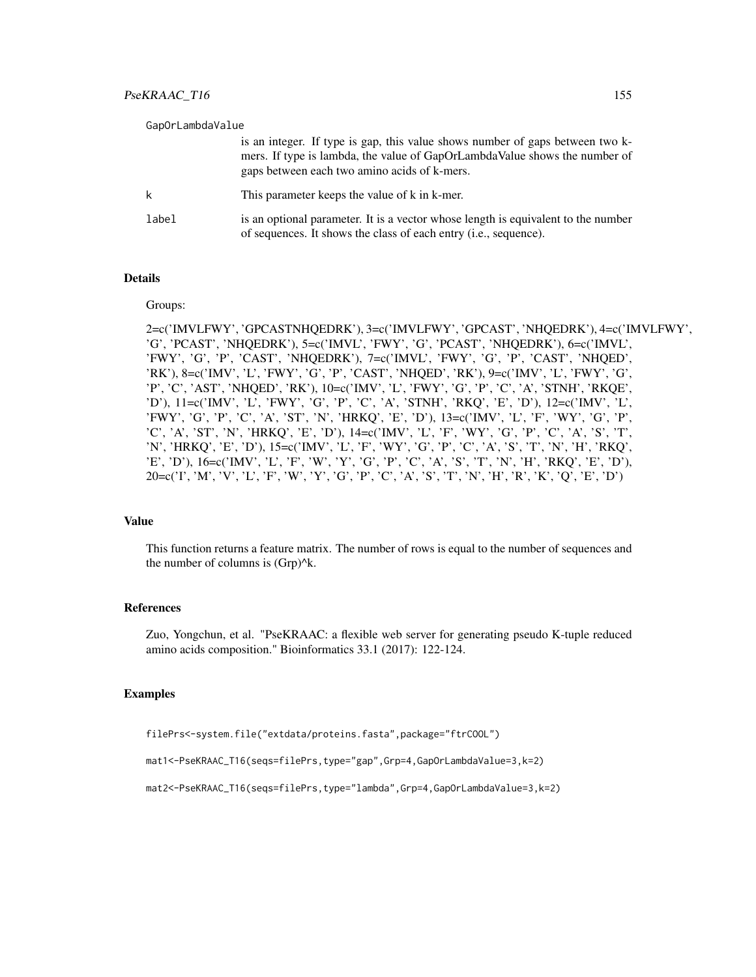| GapOrLambdaValue |                                                                                                                                                                                                             |
|------------------|-------------------------------------------------------------------------------------------------------------------------------------------------------------------------------------------------------------|
|                  | is an integer. If type is gap, this value shows number of gaps between two k-<br>mers. If type is lambda, the value of GapOrLambdaValue shows the number of<br>gaps between each two amino acids of k-mers. |
|                  | This parameter keeps the value of k in k-mer.                                                                                                                                                               |
| label            | is an optional parameter. It is a vector whose length is equivalent to the number<br>of sequences. It shows the class of each entry ( <i>i.e.</i> , sequence).                                              |

## Details

#### Groups:

2=c('IMVLFWY', 'GPCASTNHQEDRK'), 3=c('IMVLFWY', 'GPCAST', 'NHQEDRK'), 4=c('IMVLFWY', 'G', 'PCAST', 'NHQEDRK'), 5=c('IMVL', 'FWY', 'G', 'PCAST', 'NHQEDRK'), 6=c('IMVL', 'FWY', 'G', 'P', 'CAST', 'NHQEDRK'), 7=c('IMVL', 'FWY', 'G', 'P', 'CAST', 'NHQED', 'RK'), 8=c('IMV', 'L', 'FWY', 'G', 'P', 'CAST', 'NHQED', 'RK'), 9=c('IMV', 'L', 'FWY', 'G', 'P', 'C', 'AST', 'NHQED', 'RK'), 10=c('IMV', 'L', 'FWY', 'G', 'P', 'C', 'A', 'STNH', 'RKQE', 'D'), 11=c('IMV', 'L', 'FWY', 'G', 'P', 'C', 'A', 'STNH', 'RKQ', 'E', 'D'), 12=c('IMV', 'L', 'FWY', 'G', 'P', 'C', 'A', 'ST', 'N', 'HRKQ', 'E', 'D'), 13=c('IMV', 'L', 'F', 'WY', 'G', 'P', 'C', 'A', 'ST', 'N', 'HRKQ', 'E', 'D'), 14=c('IMV', 'L', 'F', 'WY', 'G', 'P', 'C', 'A', 'S', 'T', 'N', 'HRKQ', 'E', 'D'), 15=c('IMV', 'L', 'F', 'WY', 'G', 'P', 'C', 'A', 'S', 'T', 'N', 'H', 'RKQ', 'E', 'D'), 16=c('IMV', 'L', 'F', 'W', 'Y', 'G', 'P', 'C', 'A', 'S', 'T', 'N', 'H', 'RKQ', 'E', 'D'), 20=c('I', 'M', 'V', 'L', 'F', 'W', 'Y', 'G', 'P', 'C', 'A', 'S', 'T', 'N', 'H', 'R', 'K', 'Q', 'E', 'D')

# Value

This function returns a feature matrix. The number of rows is equal to the number of sequences and the number of columns is  $(Grp)^{A_k}$ .

### References

Zuo, Yongchun, et al. "PseKRAAC: a flexible web server for generating pseudo K-tuple reduced amino acids composition." Bioinformatics 33.1 (2017): 122-124.

#### Examples

```
filePrs<-system.file("extdata/proteins.fasta",package="ftrCOOL")
```
mat1<-PseKRAAC\_T16(seqs=filePrs,type="gap",Grp=4,GapOrLambdaValue=3,k=2)

```
mat2<-PseKRAAC_T16(seqs=filePrs,type="lambda",Grp=4,GapOrLambdaValue=3,k=2)
```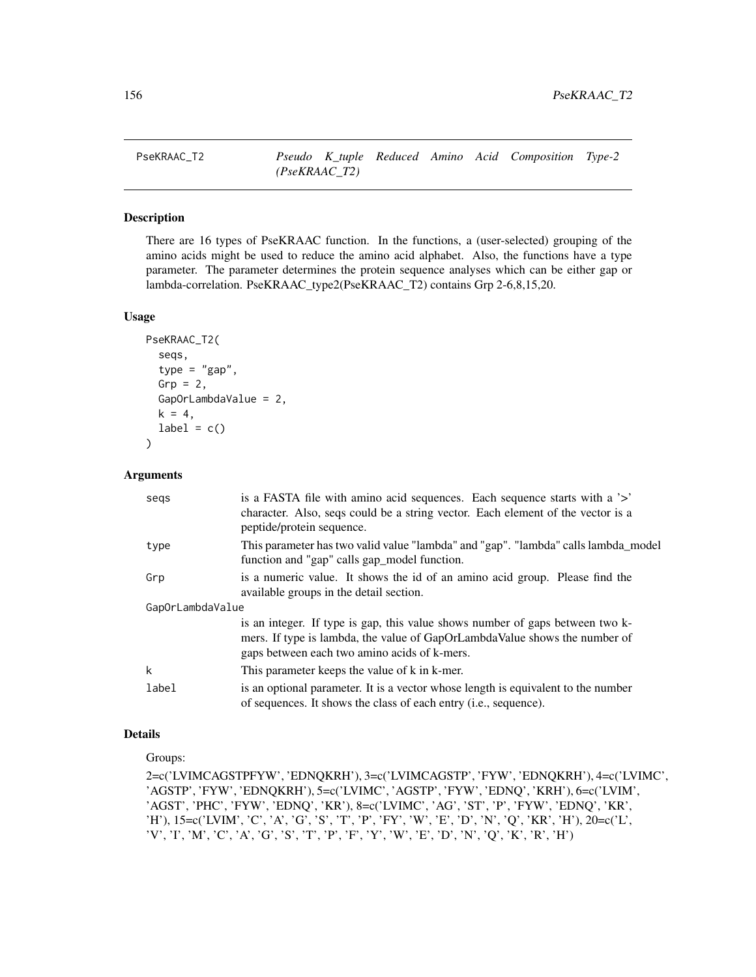## Description

There are 16 types of PseKRAAC function. In the functions, a (user-selected) grouping of the amino acids might be used to reduce the amino acid alphabet. Also, the functions have a type parameter. The parameter determines the protein sequence analyses which can be either gap or lambda-correlation. PseKRAAC\_type2(PseKRAAC\_T2) contains Grp 2-6,8,15,20.

#### Usage

```
PseKRAAC_T2(
  seqs,
  type = "gap",Grp = 2,
  GapOrLambdaValue = 2,
  k = 4,
  label = c()\lambda
```
# Arguments

| segs  | is a FASTA file with a mino acid sequences. Each sequence starts with a '>'<br>character. Also, seqs could be a string vector. Each element of the vector is a<br>peptide/protein sequence.                 |  |  |  |  |
|-------|-------------------------------------------------------------------------------------------------------------------------------------------------------------------------------------------------------------|--|--|--|--|
| type  | This parameter has two valid value "lambda" and "gap". "lambda" calls lambda_model<br>function and "gap" calls gap_model function.                                                                          |  |  |  |  |
| Grp   | is a numeric value. It shows the id of an amino acid group. Please find the<br>available groups in the detail section.                                                                                      |  |  |  |  |
|       | GapOrLambdaValue                                                                                                                                                                                            |  |  |  |  |
|       | is an integer. If type is gap, this value shows number of gaps between two k-<br>mers. If type is lambda, the value of GapOrLambdaValue shows the number of<br>gaps between each two amino acids of k-mers. |  |  |  |  |
| k     | This parameter keeps the value of k in k-mer.                                                                                                                                                               |  |  |  |  |
| label | is an optional parameter. It is a vector whose length is equivalent to the number<br>of sequences. It shows the class of each entry ( <i>i.e.</i> , sequence).                                              |  |  |  |  |

# Details

Groups:

2=c('LVIMCAGSTPFYW', 'EDNQKRH'), 3=c('LVIMCAGSTP', 'FYW', 'EDNQKRH'), 4=c('LVIMC', 'AGSTP', 'FYW', 'EDNQKRH'), 5=c('LVIMC', 'AGSTP', 'FYW', 'EDNQ', 'KRH'), 6=c('LVIM', 'AGST', 'PHC', 'FYW', 'EDNQ', 'KR'), 8=c('LVIMC', 'AG', 'ST', 'P', 'FYW', 'EDNQ', 'KR', 'H'), 15=c('LVIM', 'C', 'A', 'G', 'S', 'T', 'P', 'FY', 'W', 'E', 'D', 'N', 'Q', 'KR', 'H'), 20=c('L', 'V', 'I', 'M', 'C', 'A', 'G', 'S', 'T', 'P', 'F', 'Y', 'W', 'E', 'D', 'N', 'Q', 'K', 'R', 'H')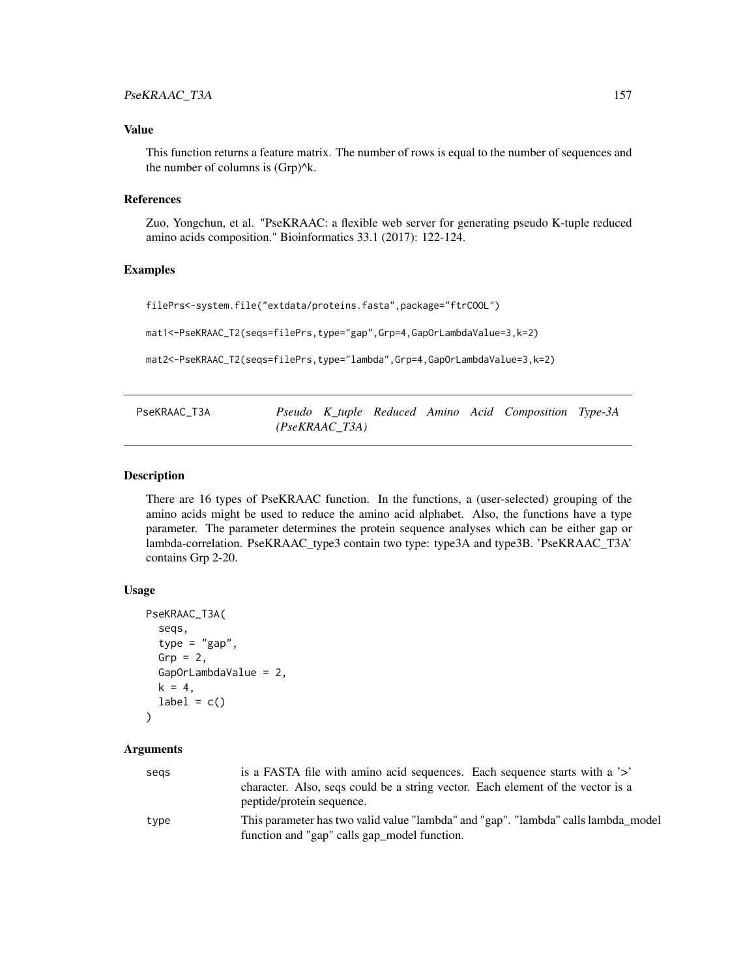# Value

This function returns a feature matrix. The number of rows is equal to the number of sequences and the number of columns is  $(Grp)^{k}$ .

# **References**

Zuo, Yongchun, et al. "PseKRAAC: a flexible web server for generating pseudo K-tuple reduced amino acids composition." Bioinformatics 33.1 (2017): 122-124.

#### Examples

filePrs<-system.file("extdata/proteins.fasta",package="ftrCOOL")

mat1<-PseKRAAC\_T2(seqs=filePrs,type="gap",Grp=4,GapOrLambdaValue=3,k=2)

mat2<-PseKRAAC\_T2(seqs=filePrs,type="lambda",Grp=4,GapOrLambdaValue=3,k=2)

| PseKRAAC T3A |                |  | Pseudo K_tuple Reduced Amino Acid Composition Type-3A |  |
|--------------|----------------|--|-------------------------------------------------------|--|
|              | (PseKRAAC T3A) |  |                                                       |  |

# Description

There are 16 types of PseKRAAC function. In the functions, a (user-selected) grouping of the amino acids might be used to reduce the amino acid alphabet. Also, the functions have a type parameter. The parameter determines the protein sequence analyses which can be either gap or lambda-correlation. PseKRAAC\_type3 contain two type: type3A and type3B. 'PseKRAAC\_T3A' contains Grp 2-20.

#### Usage

```
PseKRAAC_T3A(
  seqs,
  type = "gap",Grp = 2,
  GapOrLambdaValue = 2,
  k = 4,
  label = c())
```
## Arguments

| segs | is a FASTA file with amino acid sequences. Each sequence starts with a '>'         |
|------|------------------------------------------------------------------------------------|
|      | character. Also, seqs could be a string vector. Each element of the vector is a    |
|      | peptide/protein sequence.                                                          |
| type | This parameter has two valid value "lambda" and "gap". "lambda" calls lambda model |
|      | function and "gap" calls gap_model function.                                       |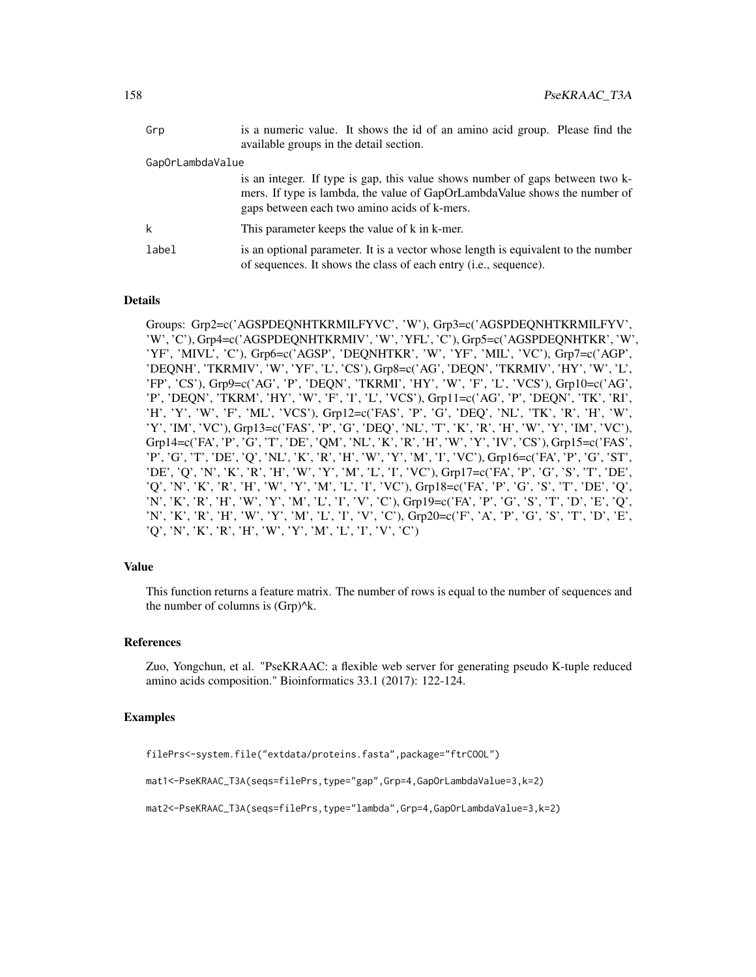| Grp              | is a numeric value. It shows the id of an amino acid group. Please find the<br>available groups in the detail section.                                                                                      |
|------------------|-------------------------------------------------------------------------------------------------------------------------------------------------------------------------------------------------------------|
| GapOrLambdaValue |                                                                                                                                                                                                             |
|                  | is an integer. If type is gap, this value shows number of gaps between two k-<br>mers. If type is lambda, the value of GapOrLambdaValue shows the number of<br>gaps between each two amino acids of k-mers. |
| k                | This parameter keeps the value of k in k-mer.                                                                                                                                                               |
| label            | is an optional parameter. It is a vector whose length is equivalent to the number<br>of sequences. It shows the class of each entry ( <i>i.e.</i> , sequence).                                              |

# Details

Groups: Grp2=c('AGSPDEQNHTKRMILFYVC', 'W'), Grp3=c('AGSPDEQNHTKRMILFYV', 'W', 'C'), Grp4=c('AGSPDEQNHTKRMIV', 'W', 'YFL', 'C'), Grp5=c('AGSPDEQNHTKR', 'W', 'YF', 'MIVL', 'C'), Grp6=c('AGSP', 'DEQNHTKR', 'W', 'YF', 'MIL', 'VC'), Grp7=c('AGP', 'DEQNH', 'TKRMIV', 'W', 'YF', 'L', 'CS'), Grp8=c('AG', 'DEQN', 'TKRMIV', 'HY', 'W', 'L', 'FP', 'CS'), Grp9=c('AG', 'P', 'DEQN', 'TKRMI', 'HY', 'W', 'F', 'L', 'VCS'), Grp10=c('AG', 'P', 'DEQN', 'TKRM', 'HY', 'W', 'F', 'I', 'L', 'VCS'), Grp11=c('AG', 'P', 'DEQN', 'TK', 'RI', 'H', 'Y', 'W', 'F', 'ML', 'VCS'), Grp12=c('FAS', 'P', 'G', 'DEQ', 'NL', 'TK', 'R', 'H', 'W', 'Y', 'IM', 'VC'), Grp13=c('FAS', 'P', 'G', 'DEQ', 'NL', 'T', 'K', 'R', 'H', 'W', 'Y', 'IM', 'VC'), Grp14=c('FA', 'P', 'G', 'T', 'DE', 'QM', 'NL', 'K', 'R', 'H', 'W', 'Y', 'IV', 'CS'), Grp15=c('FAS', 'P', 'G', 'T', 'DE', 'Q', 'NL', 'K', 'R', 'H', 'W', 'Y', 'M', 'I', 'VC'), Grp16=c('FA', 'P', 'G', 'ST', 'DE', 'Q', 'N', 'K', 'R', 'H', 'W', 'Y', 'M', 'L', 'I', 'VC'), Grp17=c('FA', 'P', 'G', 'S', 'T', 'DE', 'Q', 'N', 'K', 'R', 'H', 'W', 'Y', 'M', 'L', 'I', 'VC'), Grp18=c('FA', 'P', 'G', 'S', 'T', 'DE', 'Q', 'N', 'K', 'R', 'H', 'W', 'Y', 'M', 'L', 'I', 'V', 'C'), Grp19=c('FA', 'P', 'G', 'S', 'T', 'D', 'E', 'Q', 'N', 'K', 'R', 'H', 'W', 'Y', 'M', 'L', 'I', 'V', 'C'), Grp20=c('F', 'A', 'P', 'G', 'S', 'T', 'D', 'E', 'Q', 'N', 'K', 'R', 'H', 'W', 'Y', 'M', 'L', 'I', 'V', 'C')

#### Value

This function returns a feature matrix. The number of rows is equal to the number of sequences and the number of columns is  $(Grp)^{A}k$ .

## References

Zuo, Yongchun, et al. "PseKRAAC: a flexible web server for generating pseudo K-tuple reduced amino acids composition." Bioinformatics 33.1 (2017): 122-124.

## Examples

filePrs<-system.file("extdata/proteins.fasta",package="ftrCOOL")

```
mat1<-PseKRAAC_T3A(seqs=filePrs,type="gap",Grp=4,GapOrLambdaValue=3,k=2)
```

```
mat2<-PseKRAAC_T3A(seqs=filePrs,type="lambda",Grp=4,GapOrLambdaValue=3,k=2)
```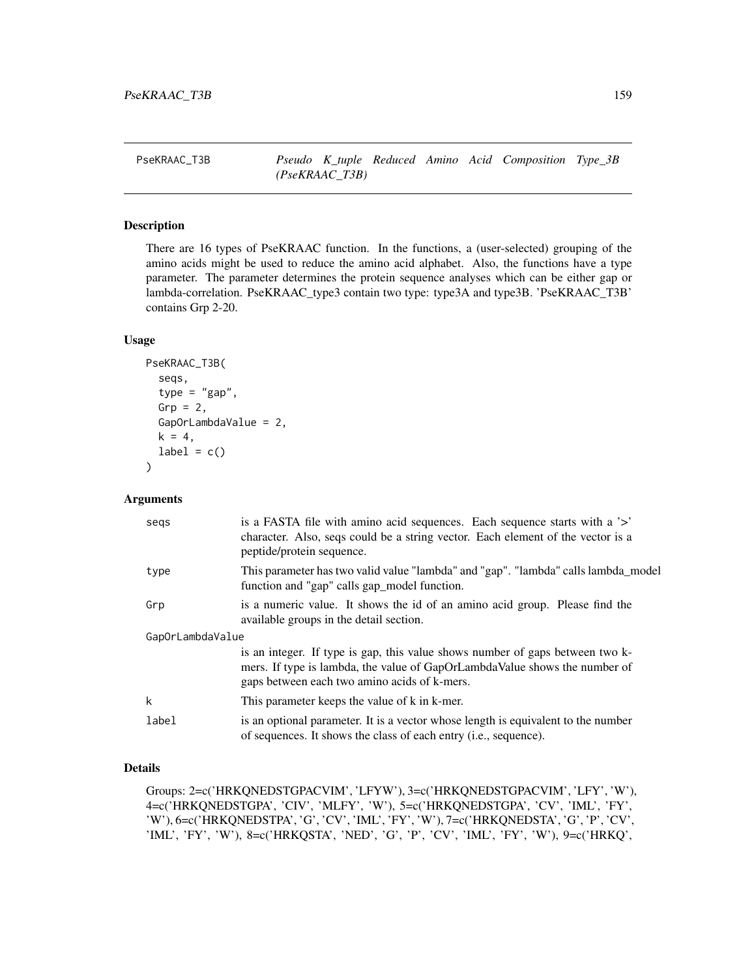PseKRAAC\_T3B *Pseudo K\_tuple Reduced Amino Acid Composition Type\_3B (PseKRAAC\_T3B)*

# Description

There are 16 types of PseKRAAC function. In the functions, a (user-selected) grouping of the amino acids might be used to reduce the amino acid alphabet. Also, the functions have a type parameter. The parameter determines the protein sequence analyses which can be either gap or lambda-correlation. PseKRAAC\_type3 contain two type: type3A and type3B. 'PseKRAAC\_T3B' contains Grp 2-20.

#### Usage

```
PseKRAAC_T3B(
  seqs,
  type = "gap",Grp = 2,
  GapOrLambdaValue = 2,
 k = 4,
  label = c())
```
## Arguments

| segs             | is a FASTA file with a mino acid sequences. Each sequence starts with a '>'<br>character. Also, seqs could be a string vector. Each element of the vector is a<br>peptide/protein sequence.                 |
|------------------|-------------------------------------------------------------------------------------------------------------------------------------------------------------------------------------------------------------|
| type             | This parameter has two valid value "lambda" and "gap". "lambda" calls lambda_model<br>function and "gap" calls gap_model function.                                                                          |
| Grp              | is a numeric value. It shows the id of an amino acid group. Please find the<br>available groups in the detail section.                                                                                      |
| GapOrLambdaValue |                                                                                                                                                                                                             |
|                  | is an integer. If type is gap, this value shows number of gaps between two k-<br>mers. If type is lambda, the value of GapOrLambdaValue shows the number of<br>gaps between each two amino acids of k-mers. |
| k                | This parameter keeps the value of k in k-mer.                                                                                                                                                               |
| label            | is an optional parameter. It is a vector whose length is equivalent to the number<br>of sequences. It shows the class of each entry ( <i>i.e.</i> , sequence).                                              |

# Details

Groups: 2=c('HRKQNEDSTGPACVIM', 'LFYW'), 3=c('HRKQNEDSTGPACVIM', 'LFY', 'W'), 4=c('HRKQNEDSTGPA', 'CIV', 'MLFY', 'W'), 5=c('HRKQNEDSTGPA', 'CV', 'IML', 'FY', 'W'), 6=c('HRKQNEDSTPA', 'G', 'CV', 'IML', 'FY', 'W'), 7=c('HRKQNEDSTA', 'G', 'P', 'CV', 'IML', 'FY', 'W'), 8=c('HRKQSTA', 'NED', 'G', 'P', 'CV', 'IML', 'FY', 'W'), 9=c('HRKQ',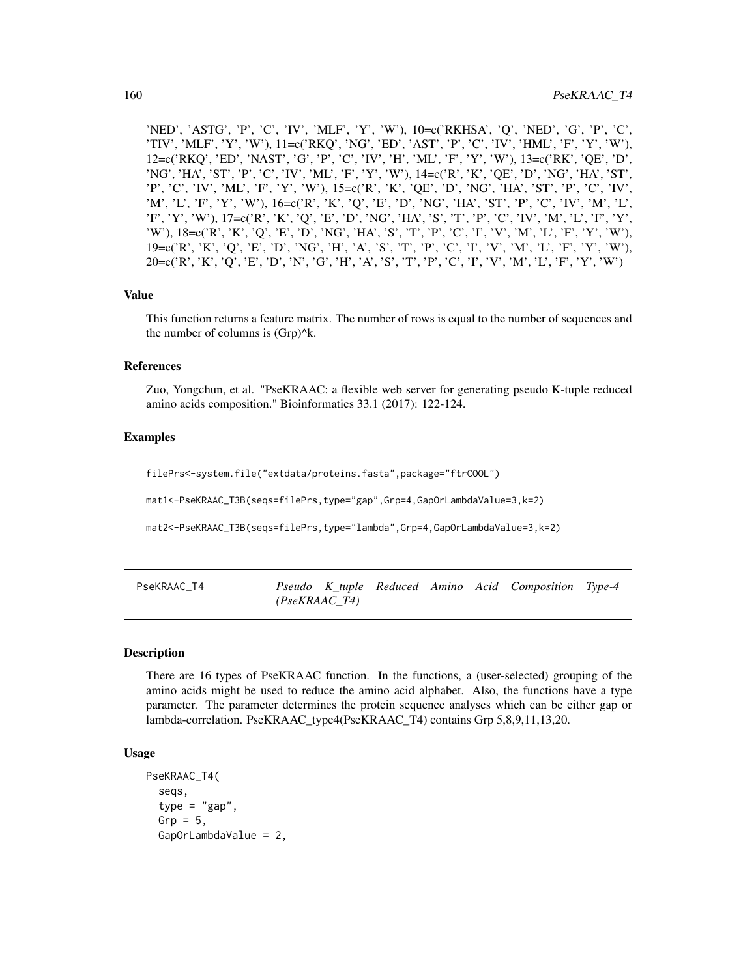'NED', 'ASTG', 'P', 'C', 'IV', 'MLF', 'Y', 'W'), 10=c('RKHSA', 'Q', 'NED', 'G', 'P', 'C', 'TIV', 'MLF', 'Y', 'W'), 11=c('RKQ', 'NG', 'ED', 'AST', 'P', 'C', 'IV', 'HML', 'F', 'Y', 'W'), 12=c('RKQ', 'ED', 'NAST', 'G', 'P', 'C', 'IV', 'H', 'ML', 'F', 'Y', 'W'), 13=c('RK', 'QE', 'D', 'NG', 'HA', 'ST', 'P', 'C', 'IV', 'ML', 'F', 'Y', 'W'), 14=c('R', 'K', 'QE', 'D', 'NG', 'HA', 'ST', 'P', 'C', 'IV', 'ML', 'F', 'Y', 'W'), 15=c('R', 'K', 'QE', 'D', 'NG', 'HA', 'ST', 'P', 'C', 'IV', 'M', 'L', 'F', 'Y', 'W'), 16=c('R', 'K', 'Q', 'E', 'D', 'NG', 'HA', 'ST', 'P', 'C', 'IV', 'M', 'L', 'F', 'Y', 'W'), 17=c('R', 'K', 'Q', 'E', 'D', 'NG', 'HA', 'S', 'T', 'P', 'C', 'IV', 'M', 'L', 'F', 'Y', 'W'), 18=c('R', 'K', 'Q', 'E', 'D', 'NG', 'HA', 'S', 'T', 'P', 'C', 'I', 'V', 'M', 'L', 'F', 'Y', 'W'), 19=c('R', 'K', 'Q', 'E', 'D', 'NG', 'H', 'A', 'S', 'T', 'P', 'C', 'I', 'V', 'M', 'L', 'F', 'Y', 'W'), 20=c('R', 'K', 'Q', 'E', 'D', 'N', 'G', 'H', 'A', 'S', 'T', 'P', 'C', 'I', 'V', 'M', 'L', 'F', 'Y', 'W')

#### Value

This function returns a feature matrix. The number of rows is equal to the number of sequences and the number of columns is  $(Grp)^{k}$ .

## References

Zuo, Yongchun, et al. "PseKRAAC: a flexible web server for generating pseudo K-tuple reduced amino acids composition." Bioinformatics 33.1 (2017): 122-124.

## Examples

filePrs<-system.file("extdata/proteins.fasta",package="ftrCOOL")

mat1<-PseKRAAC\_T3B(seqs=filePrs,type="gap",Grp=4,GapOrLambdaValue=3,k=2)

mat2<-PseKRAAC\_T3B(seqs=filePrs,type="lambda",Grp=4,GapOrLambdaValue=3,k=2)

| PseKRAAC T4 |               |  |  | Pseudo K_tuple Reduced Amino Acid Composition Type-4 |  |
|-------------|---------------|--|--|------------------------------------------------------|--|
|             | (PsekRAAC T4) |  |  |                                                      |  |

#### Description

There are 16 types of PseKRAAC function. In the functions, a (user-selected) grouping of the amino acids might be used to reduce the amino acid alphabet. Also, the functions have a type parameter. The parameter determines the protein sequence analyses which can be either gap or lambda-correlation. PseKRAAC\_type4(PseKRAAC\_T4) contains Grp 5,8,9,11,13,20.

## Usage

```
PseKRAAC_T4(
  seqs,
  type = "gap",Grp = 5,
  GapOrLambdaValue = 2,
```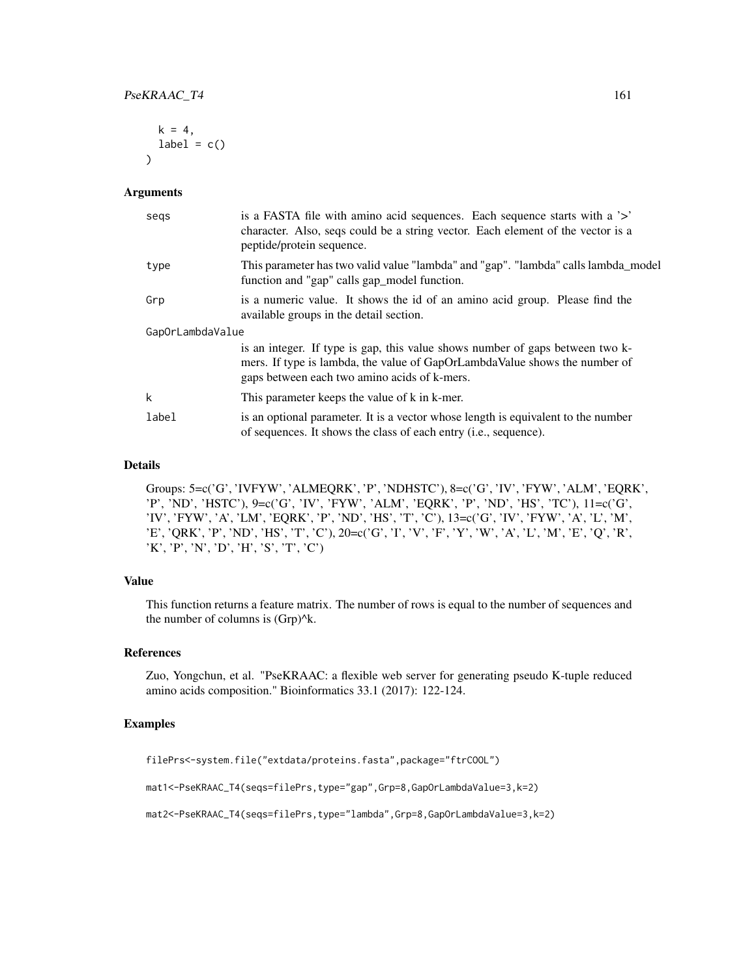```
k = 4,
  label = c()\lambda
```
#### Arguments

| segs             | is a FASTA file with amino acid sequences. Each sequence starts with a '>'<br>character. Also, seqs could be a string vector. Each element of the vector is a<br>peptide/protein sequence.                  |
|------------------|-------------------------------------------------------------------------------------------------------------------------------------------------------------------------------------------------------------|
| type             | This parameter has two valid value "lambda" and "gap". "lambda" calls lambda_model<br>function and "gap" calls gap_model function.                                                                          |
| Grp              | is a numeric value. It shows the id of an amino acid group. Please find the<br>available groups in the detail section.                                                                                      |
| GapOrLambdaValue |                                                                                                                                                                                                             |
|                  | is an integer. If type is gap, this value shows number of gaps between two k-<br>mers. If type is lambda, the value of GapOrLambdaValue shows the number of<br>gaps between each two amino acids of k-mers. |
| k                | This parameter keeps the value of k in k-mer.                                                                                                                                                               |
| label            | is an optional parameter. It is a vector whose length is equivalent to the number<br>of sequences. It shows the class of each entry ( <i>i.e.</i> , sequence).                                              |

#### Details

Groups: 5=c('G', 'IVFYW', 'ALMEQRK', 'P', 'NDHSTC'), 8=c('G', 'IV', 'FYW', 'ALM', 'EQRK', 'P', 'ND', 'HSTC'), 9=c('G', 'IV', 'FYW', 'ALM', 'EQRK', 'P', 'ND', 'HS', 'TC'), 11=c('G', 'IV', 'FYW', 'A', 'LM', 'EQRK', 'P', 'ND', 'HS', 'T', 'C'), 13=c('G', 'IV', 'FYW', 'A', 'L', 'M', 'E', 'QRK', 'P', 'ND', 'HS', 'T', 'C'), 20=c('G', 'I', 'V', 'F', 'Y', 'W', 'A', 'L', 'M', 'E', 'Q', 'R', 'K', 'P', 'N', 'D', 'H', 'S', 'T', 'C')

# Value

This function returns a feature matrix. The number of rows is equal to the number of sequences and the number of columns is (Grp)^k.

## References

Zuo, Yongchun, et al. "PseKRAAC: a flexible web server for generating pseudo K-tuple reduced amino acids composition." Bioinformatics 33.1 (2017): 122-124.

## Examples

filePrs<-system.file("extdata/proteins.fasta",package="ftrCOOL")

mat1<-PseKRAAC\_T4(seqs=filePrs,type="gap",Grp=8,GapOrLambdaValue=3,k=2)

mat2<-PseKRAAC\_T4(seqs=filePrs,type="lambda",Grp=8,GapOrLambdaValue=3,k=2)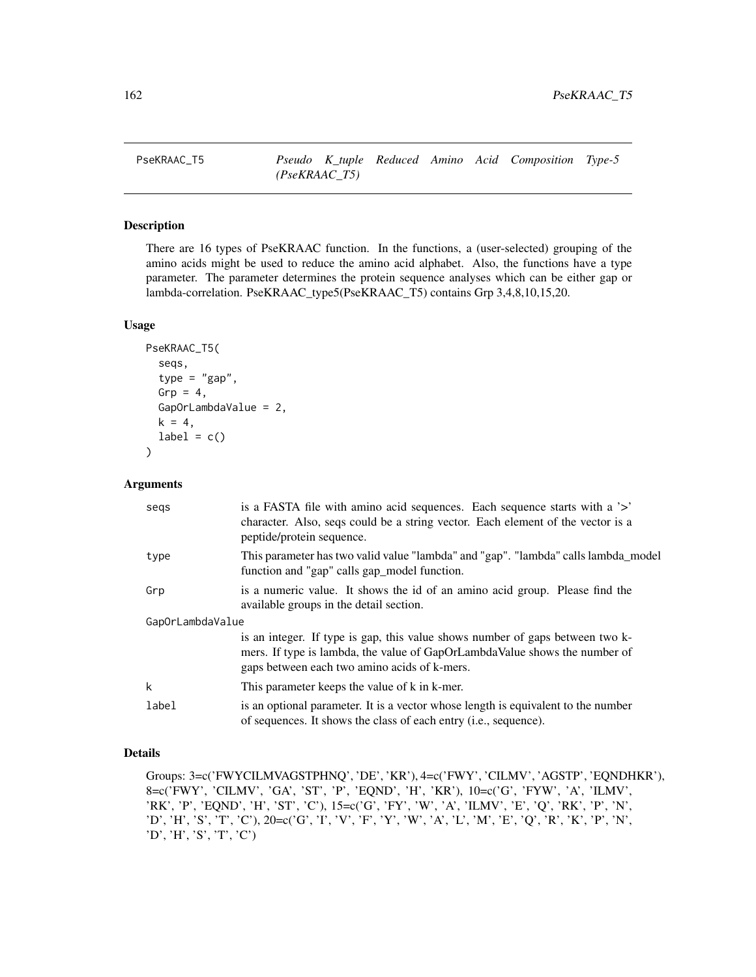# Description

There are 16 types of PseKRAAC function. In the functions, a (user-selected) grouping of the amino acids might be used to reduce the amino acid alphabet. Also, the functions have a type parameter. The parameter determines the protein sequence analyses which can be either gap or lambda-correlation. PseKRAAC\_type5(PseKRAAC\_T5) contains Grp 3,4,8,10,15,20.

# Usage

```
PseKRAAC_T5(
  seqs,
  type = "gap",
  Grp = 4,
  GapOrLambdaValue = 2,
 k = 4,label = c())
```
#### Arguments

| segs             | is a FASTA file with a mino acid sequences. Each sequence starts with a '>'<br>character. Also, seqs could be a string vector. Each element of the vector is a<br>peptide/protein sequence.                 |
|------------------|-------------------------------------------------------------------------------------------------------------------------------------------------------------------------------------------------------------|
| type             | This parameter has two valid value "lambda" and "gap". "lambda" calls lambda_model<br>function and "gap" calls gap_model function.                                                                          |
| Grp              | is a numeric value. It shows the id of an amino acid group. Please find the<br>available groups in the detail section.                                                                                      |
| GapOrLambdaValue |                                                                                                                                                                                                             |
|                  | is an integer. If type is gap, this value shows number of gaps between two k-<br>mers. If type is lambda, the value of GapOrLambdaValue shows the number of<br>gaps between each two amino acids of k-mers. |
| k                | This parameter keeps the value of k in k-mer.                                                                                                                                                               |
| label            | is an optional parameter. It is a vector whose length is equivalent to the number<br>of sequences. It shows the class of each entry (i.e., sequence).                                                       |

# Details

Groups: 3=c('FWYCILMVAGSTPHNQ', 'DE', 'KR'), 4=c('FWY', 'CILMV', 'AGSTP', 'EQNDHKR'), 8=c('FWY', 'CILMV', 'GA', 'ST', 'P', 'EQND', 'H', 'KR'), 10=c('G', 'FYW', 'A', 'ILMV', 'RK', 'P', 'EQND', 'H', 'ST', 'C'), 15=c('G', 'FY', 'W', 'A', 'ILMV', 'E', 'Q', 'RK', 'P', 'N', 'D', 'H', 'S', 'T', 'C'), 20=c('G', 'I', 'V', 'F', 'Y', 'W', 'A', 'L', 'M', 'E', 'Q', 'R', 'K', 'P', 'N', 'D', 'H', 'S', 'T', 'C')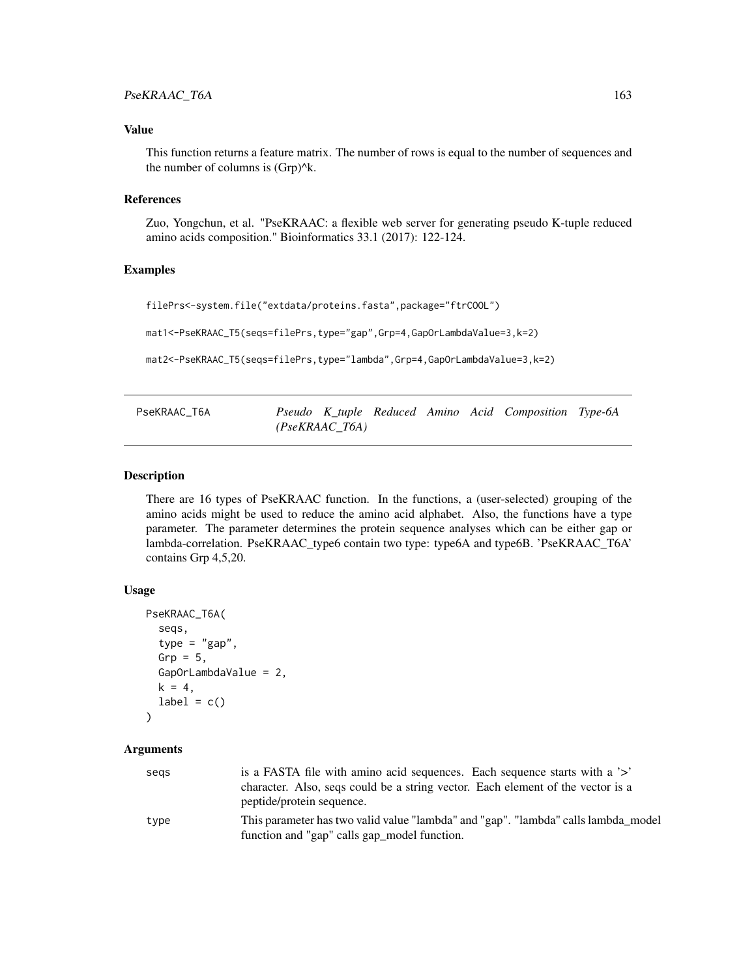# Value

This function returns a feature matrix. The number of rows is equal to the number of sequences and the number of columns is  $(Grp)^{k}$ .

# **References**

Zuo, Yongchun, et al. "PseKRAAC: a flexible web server for generating pseudo K-tuple reduced amino acids composition." Bioinformatics 33.1 (2017): 122-124.

## Examples

filePrs<-system.file("extdata/proteins.fasta",package="ftrCOOL")

mat1<-PseKRAAC\_T5(seqs=filePrs,type="gap",Grp=4,GapOrLambdaValue=3,k=2)

mat2<-PseKRAAC\_T5(seqs=filePrs,type="lambda",Grp=4,GapOrLambdaValue=3,k=2)

| PseKRAAC T6A |                  |  | Pseudo K_tuple Reduced Amino Acid Composition Type-6A |  |
|--------------|------------------|--|-------------------------------------------------------|--|
|              | $(PseKRAAC$ T6A) |  |                                                       |  |

# Description

There are 16 types of PseKRAAC function. In the functions, a (user-selected) grouping of the amino acids might be used to reduce the amino acid alphabet. Also, the functions have a type parameter. The parameter determines the protein sequence analyses which can be either gap or lambda-correlation. PseKRAAC\_type6 contain two type: type6A and type6B. 'PseKRAAC\_T6A' contains Grp 4,5,20.

#### Usage

```
PseKRAAC_T6A(
  seqs,
  type = "gap",Grp = 5,
  GapOrLambdaValue = 2,
  k = 4,
  label = c())
```
## Arguments

| segs | is a FASTA file with amino acid sequences. Each sequence starts with a '>'         |
|------|------------------------------------------------------------------------------------|
|      | character. Also, seqs could be a string vector. Each element of the vector is a    |
|      | peptide/protein sequence.                                                          |
| type | This parameter has two valid value "lambda" and "gap". "lambda" calls lambda model |
|      | function and "gap" calls gap_model function.                                       |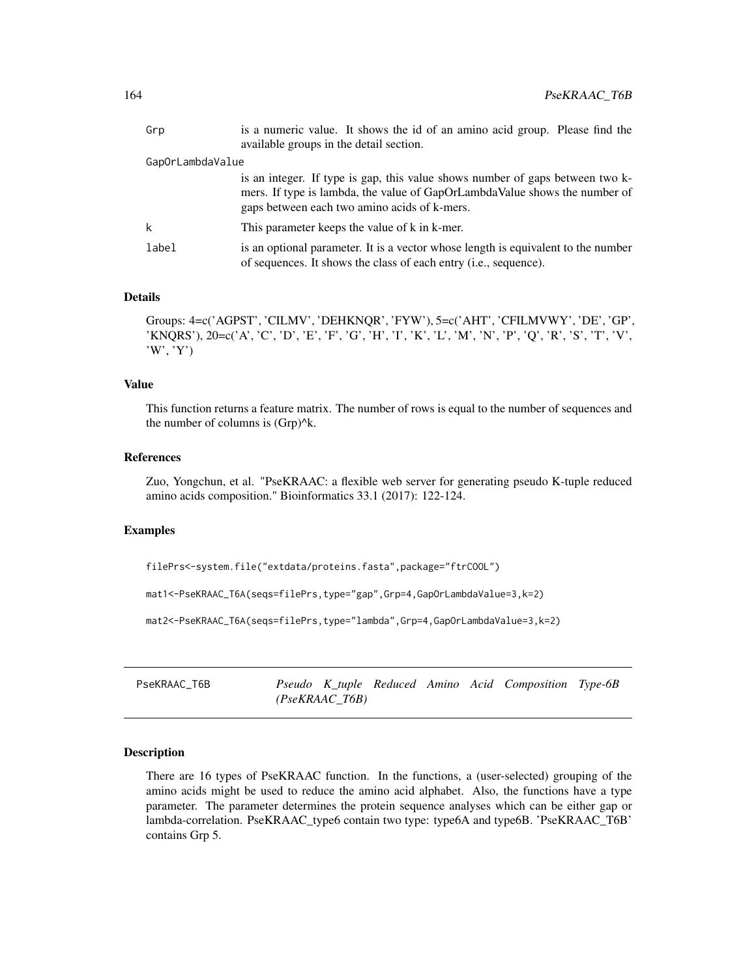| Grp              | is a numeric value. It shows the id of an amino acid group. Please find the<br>available groups in the detail section.                                                                                      |
|------------------|-------------------------------------------------------------------------------------------------------------------------------------------------------------------------------------------------------------|
| GapOrLambdaValue |                                                                                                                                                                                                             |
|                  | is an integer. If type is gap, this value shows number of gaps between two k-<br>mers. If type is lambda, the value of GapOrLambdaValue shows the number of<br>gaps between each two amino acids of k-mers. |
| k                | This parameter keeps the value of k in k-mer.                                                                                                                                                               |
| label            | is an optional parameter. It is a vector whose length is equivalent to the number<br>of sequences. It shows the class of each entry ( <i>i.e.</i> , sequence).                                              |

# Details

Groups: 4=c('AGPST', 'CILMV', 'DEHKNQR', 'FYW'), 5=c('AHT', 'CFILMVWY', 'DE', 'GP', 'KNQRS'), 20=c('A', 'C', 'D', 'E', 'F', 'G', 'H', 'I', 'K', 'L', 'M', 'N', 'P', 'Q', 'R', 'S', 'T', 'V', 'W', 'Y')

#### Value

This function returns a feature matrix. The number of rows is equal to the number of sequences and the number of columns is  $(Grp)^{k}$ .

# References

Zuo, Yongchun, et al. "PseKRAAC: a flexible web server for generating pseudo K-tuple reduced amino acids composition." Bioinformatics 33.1 (2017): 122-124.

#### Examples

filePrs<-system.file("extdata/proteins.fasta",package="ftrCOOL")

mat1<-PseKRAAC\_T6A(seqs=filePrs,type="gap",Grp=4,GapOrLambdaValue=3,k=2)

mat2<-PseKRAAC\_T6A(seqs=filePrs,type="lambda",Grp=4,GapOrLambdaValue=3,k=2)

PseKRAAC\_T6B *Pseudo K\_tuple Reduced Amino Acid Composition Type-6B (PseKRAAC\_T6B)*

# Description

There are 16 types of PseKRAAC function. In the functions, a (user-selected) grouping of the amino acids might be used to reduce the amino acid alphabet. Also, the functions have a type parameter. The parameter determines the protein sequence analyses which can be either gap or lambda-correlation. PseKRAAC\_type6 contain two type: type6A and type6B. 'PseKRAAC\_T6B' contains Grp 5.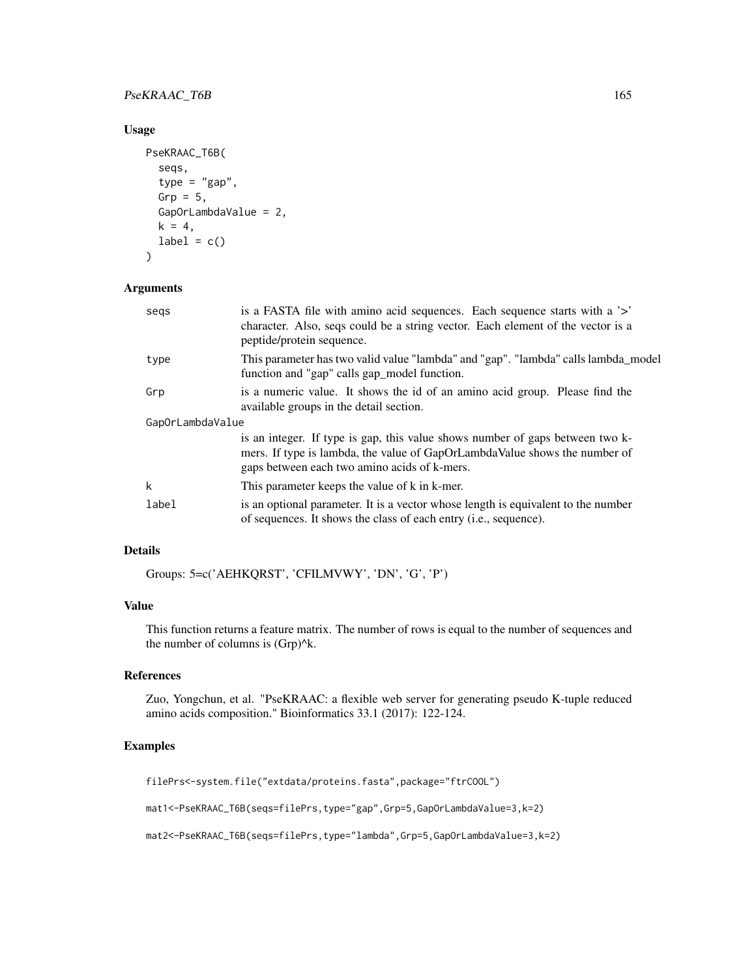# PseKRAAC\_T6B 165

# Usage

```
PseKRAAC_T6B(
  seqs,
  type = "gap",Grp = 5,
  GapOrLambdaValue = 2,
 k = 4,
 label = c())
```
# Arguments

| segs             | is a FASTA file with amino acid sequences. Each sequence starts with a '>'<br>character. Also, seqs could be a string vector. Each element of the vector is a<br>peptide/protein sequence.                  |
|------------------|-------------------------------------------------------------------------------------------------------------------------------------------------------------------------------------------------------------|
| type             | This parameter has two valid value "lambda" and "gap". "lambda" calls lambda_model<br>function and "gap" calls gap_model function.                                                                          |
| Grp              | is a numeric value. It shows the id of an amino acid group. Please find the<br>available groups in the detail section.                                                                                      |
| GapOrLambdaValue |                                                                                                                                                                                                             |
|                  | is an integer. If type is gap, this value shows number of gaps between two k-<br>mers. If type is lambda, the value of GapOrLambdaValue shows the number of<br>gaps between each two amino acids of k-mers. |
| k                | This parameter keeps the value of k in k-mer.                                                                                                                                                               |
| label            | is an optional parameter. It is a vector whose length is equivalent to the number<br>of sequences. It shows the class of each entry ( <i>i.e.</i> , sequence).                                              |

# Details

Groups: 5=c('AEHKQRST', 'CFILMVWY', 'DN', 'G', 'P')

# Value

This function returns a feature matrix. The number of rows is equal to the number of sequences and the number of columns is (Grp)^k.

# References

Zuo, Yongchun, et al. "PseKRAAC: a flexible web server for generating pseudo K-tuple reduced amino acids composition." Bioinformatics 33.1 (2017): 122-124.

# Examples

filePrs<-system.file("extdata/proteins.fasta",package="ftrCOOL")

mat1<-PseKRAAC\_T6B(seqs=filePrs,type="gap",Grp=5,GapOrLambdaValue=3,k=2)

mat2<-PseKRAAC\_T6B(seqs=filePrs,type="lambda",Grp=5,GapOrLambdaValue=3,k=2)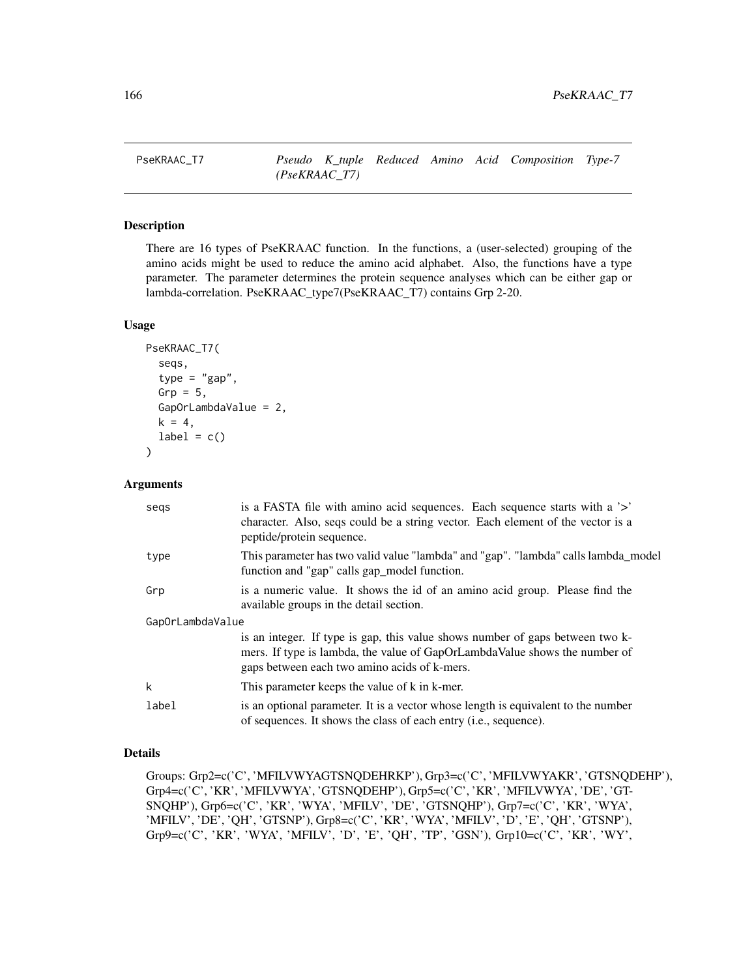# Description

There are 16 types of PseKRAAC function. In the functions, a (user-selected) grouping of the amino acids might be used to reduce the amino acid alphabet. Also, the functions have a type parameter. The parameter determines the protein sequence analyses which can be either gap or lambda-correlation. PseKRAAC\_type7(PseKRAAC\_T7) contains Grp 2-20.

# Usage

```
PseKRAAC_T7(
  seqs,
  type = "gap",
  Grp = 5,
  GapOrLambdaValue = 2,
 k = 4,label = c())
```
#### Arguments

| segs             | is a FASTA file with a mino acid sequences. Each sequence starts with a '>'<br>character. Also, seqs could be a string vector. Each element of the vector is a<br>peptide/protein sequence.                 |
|------------------|-------------------------------------------------------------------------------------------------------------------------------------------------------------------------------------------------------------|
| type             | This parameter has two valid value "lambda" and "gap". "lambda" calls lambda_model<br>function and "gap" calls gap_model function.                                                                          |
| Grp              | is a numeric value. It shows the id of an amino acid group. Please find the<br>available groups in the detail section.                                                                                      |
| GapOrLambdaValue |                                                                                                                                                                                                             |
|                  | is an integer. If type is gap, this value shows number of gaps between two k-<br>mers. If type is lambda, the value of GapOrLambdaValue shows the number of<br>gaps between each two amino acids of k-mers. |
| k                | This parameter keeps the value of k in k-mer.                                                                                                                                                               |
| label            | is an optional parameter. It is a vector whose length is equivalent to the number<br>of sequences. It shows the class of each entry (i.e., sequence).                                                       |

# Details

Groups: Grp2=c('C', 'MFILVWYAGTSNQDEHRKP'), Grp3=c('C', 'MFILVWYAKR', 'GTSNQDEHP'), Grp4=c('C', 'KR', 'MFILVWYA', 'GTSNQDEHP'), Grp5=c('C', 'KR', 'MFILVWYA', 'DE', 'GT-SNQHP'), Grp6=c('C', 'KR', 'WYA', 'MFILV', 'DE', 'GTSNQHP'), Grp7=c('C', 'KR', 'WYA', 'MFILV', 'DE', 'QH', 'GTSNP'), Grp8=c('C', 'KR', 'WYA', 'MFILV', 'D', 'E', 'QH', 'GTSNP'), Grp9=c('C', 'KR', 'WYA', 'MFILV', 'D', 'E', 'QH', 'TP', 'GSN'), Grp10=c('C', 'KR', 'WY',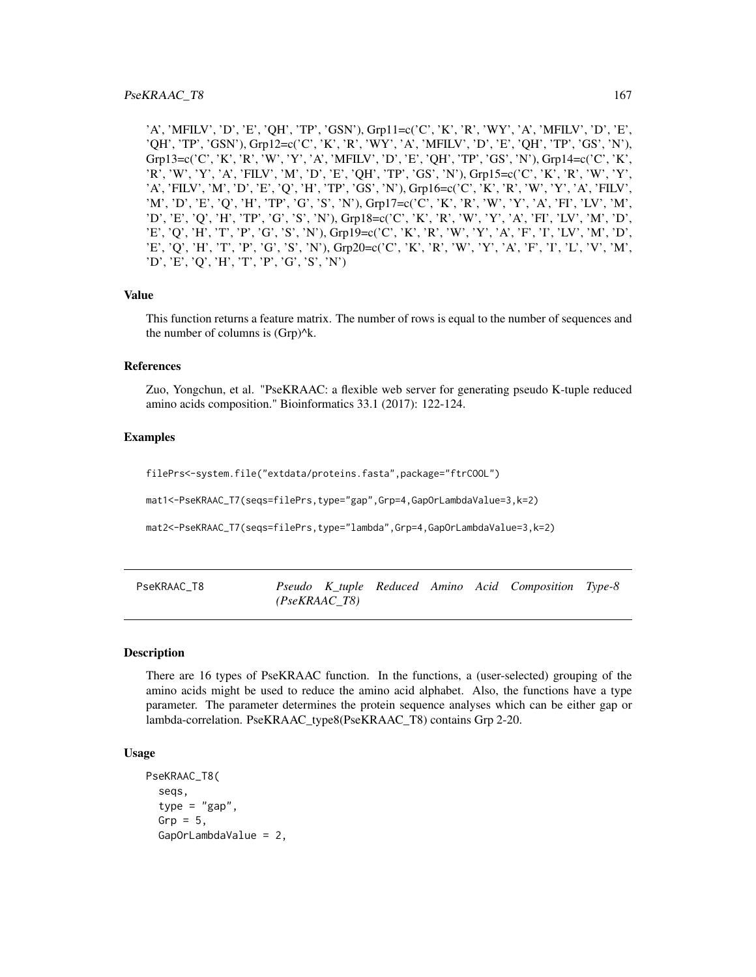'A', 'MFILV', 'D', 'E', 'QH', 'TP', 'GSN'), Grp11=c('C', 'K', 'R', 'WY', 'A', 'MFILV', 'D', 'E', 'QH', 'TP', 'GSN'), Grp12=c('C', 'K', 'R', 'WY', 'A', 'MFILV', 'D', 'E', 'QH', 'TP', 'GS', 'N'), Grp13=c('C', 'K', 'R', 'W', 'Y', 'A', 'MFILV', 'D', 'E', 'QH', 'TP', 'GS', 'N'), Grp14=c('C', 'K', 'R', 'W', 'Y', 'A', 'FILV', 'M', 'D', 'E', 'QH', 'TP', 'GS', 'N'), Grp15=c('C', 'K', 'R', 'W', 'Y', 'A', 'FILV', 'M', 'D', 'E', 'Q', 'H', 'TP', 'GS', 'N'), Grp16=c('C', 'K', 'R', 'W', 'Y', 'A', 'FILV', 'M', 'D', 'E', 'Q', 'H', 'TP', 'G', 'S', 'N'), Grp17=c('C', 'K', 'R', 'W', 'Y', 'A', 'FI', 'LV', 'M', 'D', 'E', 'Q', 'H', 'TP', 'G', 'S', 'N'), Grp18=c('C', 'K', 'R', 'W', 'Y', 'A', 'FI', 'LV', 'M', 'D', 'E', 'Q', 'H', 'T', 'P', 'G', 'S', 'N'), Grp19=c('C', 'K', 'R', 'W', 'Y', 'A', 'F', 'I', 'LV', 'M', 'D', 'E', 'Q', 'H', 'T', 'P', 'G', 'S', 'N'), Grp20=c('C', 'K', 'R', 'W', 'Y', 'A', 'F', 'I', 'L', 'V', 'M', 'D', 'E', 'Q', 'H', 'T', 'P', 'G', 'S', 'N')

#### Value

This function returns a feature matrix. The number of rows is equal to the number of sequences and the number of columns is  $(Grp)^{k}$ .

## References

Zuo, Yongchun, et al. "PseKRAAC: a flexible web server for generating pseudo K-tuple reduced amino acids composition." Bioinformatics 33.1 (2017): 122-124.

## Examples

filePrs<-system.file("extdata/proteins.fasta",package="ftrCOOL")

mat1<-PseKRAAC\_T7(seqs=filePrs,type="gap",Grp=4,GapOrLambdaValue=3,k=2)

mat2<-PseKRAAC\_T7(seqs=filePrs,type="lambda",Grp=4,GapOrLambdaValue=3,k=2)

| PseKRAAC T8 |               |  |  | Pseudo K tuple Reduced Amino Acid Composition Type-8 |  |
|-------------|---------------|--|--|------------------------------------------------------|--|
|             | (PseKRAAC T8) |  |  |                                                      |  |

## Description

There are 16 types of PseKRAAC function. In the functions, a (user-selected) grouping of the amino acids might be used to reduce the amino acid alphabet. Also, the functions have a type parameter. The parameter determines the protein sequence analyses which can be either gap or lambda-correlation. PseKRAAC\_type8(PseKRAAC\_T8) contains Grp 2-20.

## Usage

```
PseKRAAC_T8(
  seqs,
  type = "gap",Grp = 5,
  GapOrLambdaValue = 2,
```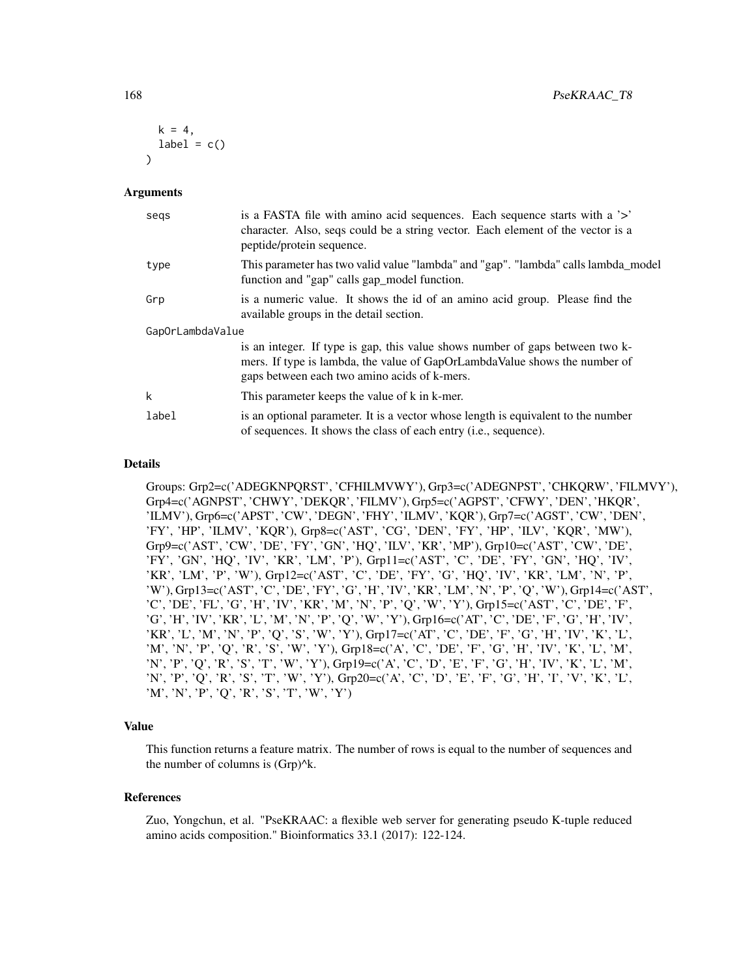```
k = 4,
  label = c()\lambda
```
#### Arguments

| segs             | is a FASTA file with a mino acid sequences. Each sequence starts with a '>'<br>character. Also, seqs could be a string vector. Each element of the vector is a<br>peptide/protein sequence.                 |
|------------------|-------------------------------------------------------------------------------------------------------------------------------------------------------------------------------------------------------------|
| type             | This parameter has two valid value "lambda" and "gap". "lambda" calls lambda_model<br>function and "gap" calls gap_model function.                                                                          |
| Grp              | is a numeric value. It shows the id of an amino acid group. Please find the<br>available groups in the detail section.                                                                                      |
| GapOrLambdaValue |                                                                                                                                                                                                             |
|                  | is an integer. If type is gap, this value shows number of gaps between two k-<br>mers. If type is lambda, the value of GapOrLambdaValue shows the number of<br>gaps between each two amino acids of k-mers. |
| k                | This parameter keeps the value of k in k-mer.                                                                                                                                                               |
| label            | is an optional parameter. It is a vector whose length is equivalent to the number<br>of sequences. It shows the class of each entry ( <i>i.e.</i> , sequence).                                              |

#### Details

Groups: Grp2=c('ADEGKNPQRST', 'CFHILMVWY'), Grp3=c('ADEGNPST', 'CHKQRW', 'FILMVY'), Grp4=c('AGNPST', 'CHWY', 'DEKQR', 'FILMV'), Grp5=c('AGPST', 'CFWY', 'DEN', 'HKQR', 'ILMV'), Grp6=c('APST', 'CW', 'DEGN', 'FHY', 'ILMV', 'KQR'), Grp7=c('AGST', 'CW', 'DEN', 'FY', 'HP', 'ILMV', 'KQR'), Grp8=c('AST', 'CG', 'DEN', 'FY', 'HP', 'ILV', 'KQR', 'MW'), Grp9=c('AST', 'CW', 'DE', 'FY', 'GN', 'HQ', 'ILV', 'KR', 'MP'), Grp10=c('AST', 'CW', 'DE', 'FY', 'GN', 'HQ', 'IV', 'KR', 'LM', 'P'), Grp11=c('AST', 'C', 'DE', 'FY', 'GN', 'HQ', 'IV', 'KR', 'LM', 'P', 'W'), Grp12=c('AST', 'C', 'DE', 'FY', 'G', 'HQ', 'IV', 'KR', 'LM', 'N', 'P', 'W'), Grp13=c('AST', 'C', 'DE', 'FY', 'G', 'H', 'IV', 'KR', 'LM', 'N', 'P', 'Q', 'W'), Grp14=c('AST', 'C', 'DE', 'FL', 'G', 'H', 'IV', 'KR', 'M', 'N', 'P', 'Q', 'W', 'Y'), Grp15=c('AST', 'C', 'DE', 'F', 'G', 'H', 'IV', 'KR', 'L', 'M', 'N', 'P', 'Q', 'W', 'Y'), Grp16=c('AT', 'C', 'DE', 'F', 'G', 'H', 'IV', 'KR', 'L', 'M', 'N', 'P', 'Q', 'S', 'W', 'Y'), Grp17=c('AT', 'C', 'DE', 'F', 'G', 'H', 'IV', 'K', 'L', 'M', 'N', 'P', 'Q', 'R', 'S', 'W', 'Y'), Grp18=c('A', 'C', 'DE', 'F', 'G', 'H', 'IV', 'K', 'L', 'M', 'N', 'P', 'Q', 'R', 'S', 'T', 'W', 'Y'), Grp19=c('A', 'C', 'D', 'E', 'F', 'G', 'H', 'IV', 'K', 'L', 'M', 'N', 'P', 'Q', 'R', 'S', 'T', 'W', 'Y'), Grp20=c('A', 'C', 'D', 'E', 'F', 'G', 'H', 'I', 'V', 'K', 'L', 'M', 'N', 'P', 'Q', 'R', 'S', 'T', 'W', 'Y')

#### Value

This function returns a feature matrix. The number of rows is equal to the number of sequences and the number of columns is  $(Grp)^{A}k$ .

#### References

Zuo, Yongchun, et al. "PseKRAAC: a flexible web server for generating pseudo K-tuple reduced amino acids composition." Bioinformatics 33.1 (2017): 122-124.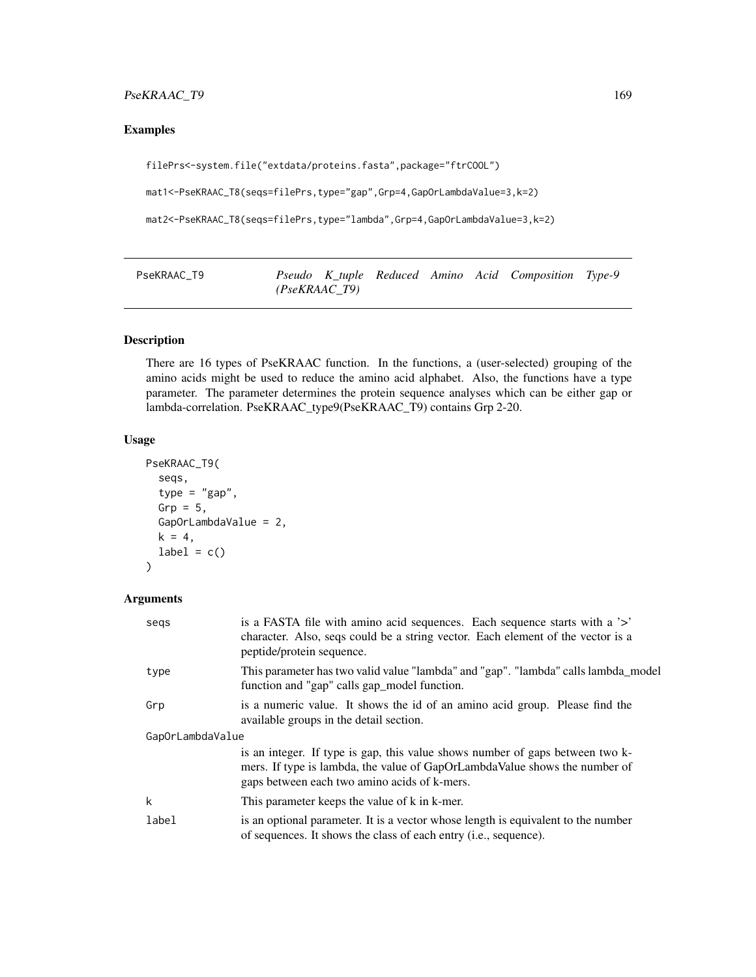# PseKRAAC\_T9 169

# Examples

filePrs<-system.file("extdata/proteins.fasta",package="ftrCOOL")

mat1<-PseKRAAC\_T8(seqs=filePrs,type="gap",Grp=4,GapOrLambdaValue=3,k=2)

mat2<-PseKRAAC\_T8(seqs=filePrs,type="lambda",Grp=4,GapOrLambdaValue=3,k=2)

PseKRAAC\_T9 *Pseudo K\_tuple Reduced Amino Acid Composition Type-9 (PseKRAAC\_T9)*

# Description

There are 16 types of PseKRAAC function. In the functions, a (user-selected) grouping of the amino acids might be used to reduce the amino acid alphabet. Also, the functions have a type parameter. The parameter determines the protein sequence analyses which can be either gap or lambda-correlation. PseKRAAC\_type9(PseKRAAC\_T9) contains Grp 2-20.

# Usage

```
PseKRAAC_T9(
  seqs,
  type = "gap",Grp = 5,
  GapOrLambdaValue = 2,
  k = 4,
  label = c()\lambda
```
# Arguments

| segs             | is a FASTA file with amino acid sequences. Each sequence starts with a '>'<br>character. Also, seqs could be a string vector. Each element of the vector is a<br>peptide/protein sequence.                  |
|------------------|-------------------------------------------------------------------------------------------------------------------------------------------------------------------------------------------------------------|
| type             | This parameter has two valid value "lambda" and "gap". "lambda" calls lambda_model<br>function and "gap" calls gap_model function.                                                                          |
| Grp              | is a numeric value. It shows the id of an amino acid group. Please find the<br>available groups in the detail section.                                                                                      |
| GapOrLambdaValue |                                                                                                                                                                                                             |
|                  | is an integer. If type is gap, this value shows number of gaps between two k-<br>mers. If type is lambda, the value of GapOrLambdaValue shows the number of<br>gaps between each two amino acids of k-mers. |
| k                | This parameter keeps the value of k in k-mer.                                                                                                                                                               |
| label            | is an optional parameter. It is a vector whose length is equivalent to the number<br>of sequences. It shows the class of each entry ( <i>i.e.</i> , sequence).                                              |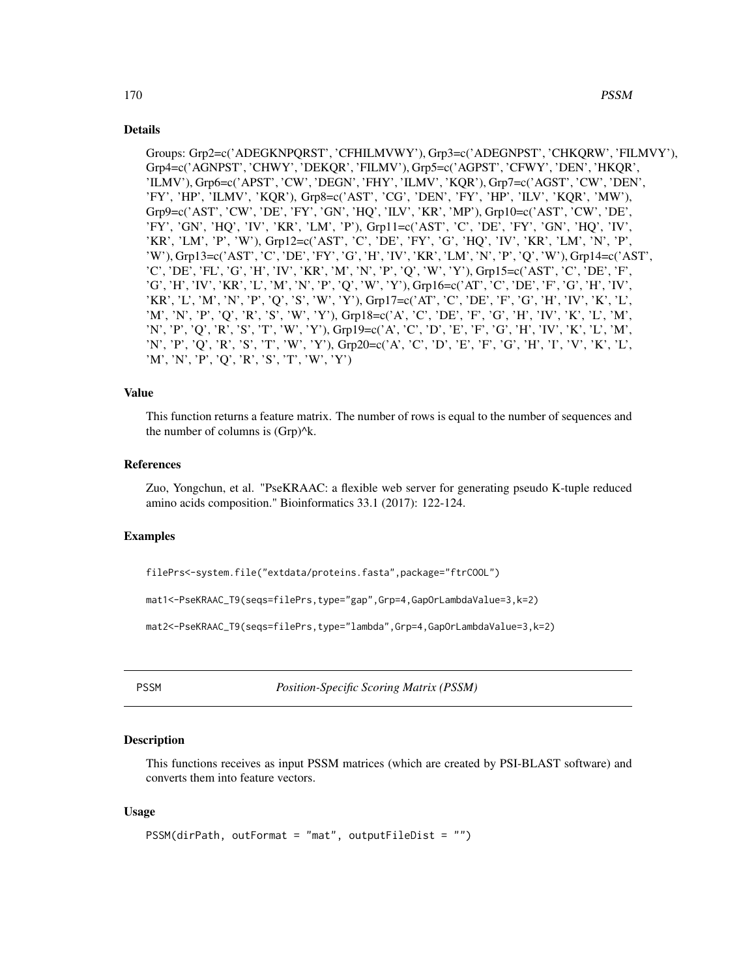# Details

Groups: Grp2=c('ADEGKNPQRST', 'CFHILMVWY'), Grp3=c('ADEGNPST', 'CHKQRW', 'FILMVY'), Grp4=c('AGNPST', 'CHWY', 'DEKQR', 'FILMV'), Grp5=c('AGPST', 'CFWY', 'DEN', 'HKQR', 'ILMV'), Grp6=c('APST', 'CW', 'DEGN', 'FHY', 'ILMV', 'KQR'), Grp7=c('AGST', 'CW', 'DEN', 'FY', 'HP', 'ILMV', 'KQR'), Grp8=c('AST', 'CG', 'DEN', 'FY', 'HP', 'ILV', 'KQR', 'MW'), Grp9=c('AST', 'CW', 'DE', 'FY', 'GN', 'HQ', 'ILV', 'KR', 'MP'), Grp10=c('AST', 'CW', 'DE', 'FY', 'GN', 'HQ', 'IV', 'KR', 'LM', 'P'), Grp11=c('AST', 'C', 'DE', 'FY', 'GN', 'HQ', 'IV', 'KR', 'LM', 'P', 'W'), Grp12=c('AST', 'C', 'DE', 'FY', 'G', 'HQ', 'IV', 'KR', 'LM', 'N', 'P', 'W'), Grp13=c('AST', 'C', 'DE', 'FY', 'G', 'H', 'IV', 'KR', 'LM', 'N', 'P', 'Q', 'W'), Grp14=c('AST', 'C', 'DE', 'FL', 'G', 'H', 'IV', 'KR', 'M', 'N', 'P', 'Q', 'W', 'Y'), Grp15=c('AST', 'C', 'DE', 'F', 'G', 'H', 'IV', 'KR', 'L', 'M', 'N', 'P', 'Q', 'W', 'Y'), Grp16=c('AT', 'C', 'DE', 'F', 'G', 'H', 'IV', 'KR', 'L', 'M', 'N', 'P', 'Q', 'S', 'W', 'Y'), Grp17=c('AT', 'C', 'DE', 'F', 'G', 'H', 'IV', 'K', 'L', 'M', 'N', 'P', 'Q', 'R', 'S', 'W', 'Y'), Grp18=c('A', 'C', 'DE', 'F', 'G', 'H', 'IV', 'K', 'L', 'M', 'N', 'P', 'Q', 'R', 'S', 'T', 'W', 'Y'), Grp19=c('A', 'C', 'D', 'E', 'F', 'G', 'H', 'IV', 'K', 'L', 'M', 'N', 'P', 'Q', 'R', 'S', 'T', 'W', 'Y'), Grp20=c('A', 'C', 'D', 'E', 'F', 'G', 'H', 'I', 'V', 'K', 'L', 'M', 'N', 'P', 'Q', 'R', 'S', 'T', 'W', 'Y')

# Value

This function returns a feature matrix. The number of rows is equal to the number of sequences and the number of columns is  $(Grp)^{A}k$ .

# References

Zuo, Yongchun, et al. "PseKRAAC: a flexible web server for generating pseudo K-tuple reduced amino acids composition." Bioinformatics 33.1 (2017): 122-124.

# Examples

```
filePrs<-system.file("extdata/proteins.fasta",package="ftrCOOL")
```
mat1<-PseKRAAC\_T9(seqs=filePrs,type="gap",Grp=4,GapOrLambdaValue=3,k=2)

mat2<-PseKRAAC\_T9(seqs=filePrs,type="lambda",Grp=4,GapOrLambdaValue=3,k=2)

PSSM *Position-Specific Scoring Matrix (PSSM)*

# Description

This functions receives as input PSSM matrices (which are created by PSI-BLAST software) and converts them into feature vectors.

# Usage

```
PSSM(dirPath, outFormat = "mat", outputFileDist = "")
```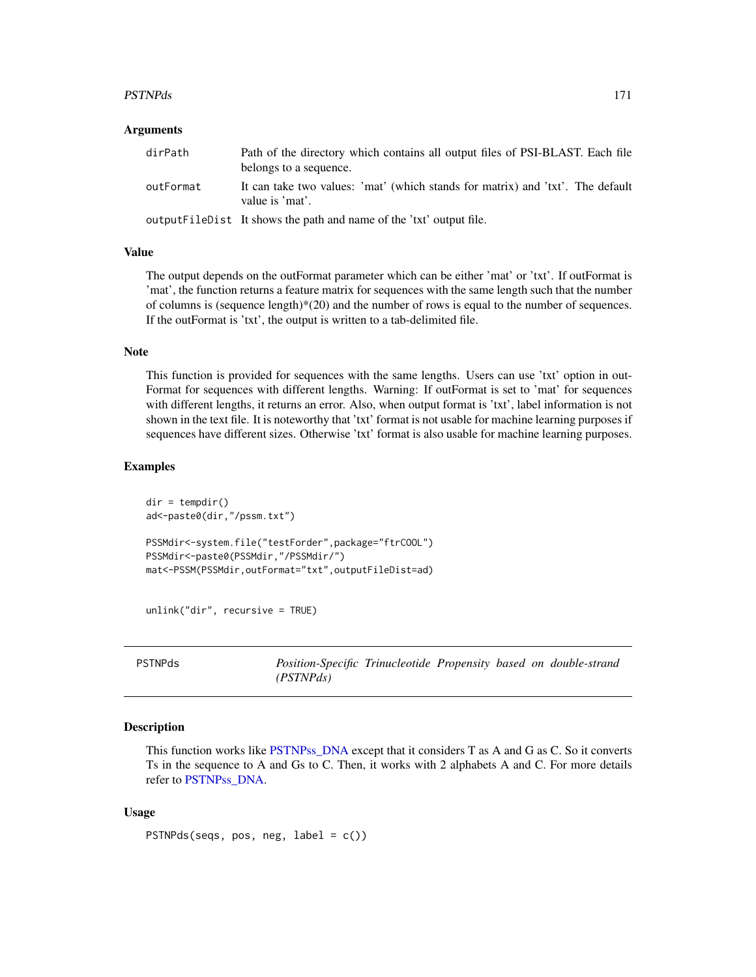#### PSTNPds 171

## **Arguments**

| dirPath   | Path of the directory which contains all output files of PSI-BLAST. Each file<br>belongs to a sequence. |
|-----------|---------------------------------------------------------------------------------------------------------|
| outFormat | It can take two values: 'mat' (which stands for matrix) and 'txt'. The default<br>value is 'mat'.       |
|           | output FileDist It shows the path and name of the 'txt' output file.                                    |

# Value

The output depends on the outFormat parameter which can be either 'mat' or 'txt'. If outFormat is 'mat', the function returns a feature matrix for sequences with the same length such that the number of columns is (sequence length) $*(20)$  and the number of rows is equal to the number of sequences. If the outFormat is 'txt', the output is written to a tab-delimited file.

# Note

This function is provided for sequences with the same lengths. Users can use 'txt' option in out-Format for sequences with different lengths. Warning: If outFormat is set to 'mat' for sequences with different lengths, it returns an error. Also, when output format is 'txt', label information is not shown in the text file. It is noteworthy that 'txt' format is not usable for machine learning purposes if sequences have different sizes. Otherwise 'txt' format is also usable for machine learning purposes.

# Examples

```
dir = tempdir()
ad<-paste0(dir,"/pssm.txt")
PSSMdir<-system.file("testForder",package="ftrCOOL")
PSSMdir<-paste0(PSSMdir,"/PSSMdir/")
mat<-PSSM(PSSMdir,outFormat="txt",outputFileDist=ad)
```
unlink("dir", recursive = TRUE)

PSTNPds *Position-Specific Trinucleotide Propensity based on double-strand (PSTNPds)*

## Description

This function works like [PSTNPss\\_DNA](#page-172-0) except that it considers T as A and G as C. So it converts Ts in the sequence to A and Gs to C. Then, it works with 2 alphabets A and C. For more details refer to [PSTNPss\\_DNA.](#page-172-0)

## Usage

PSTNPds(seqs, pos, neg, label = c())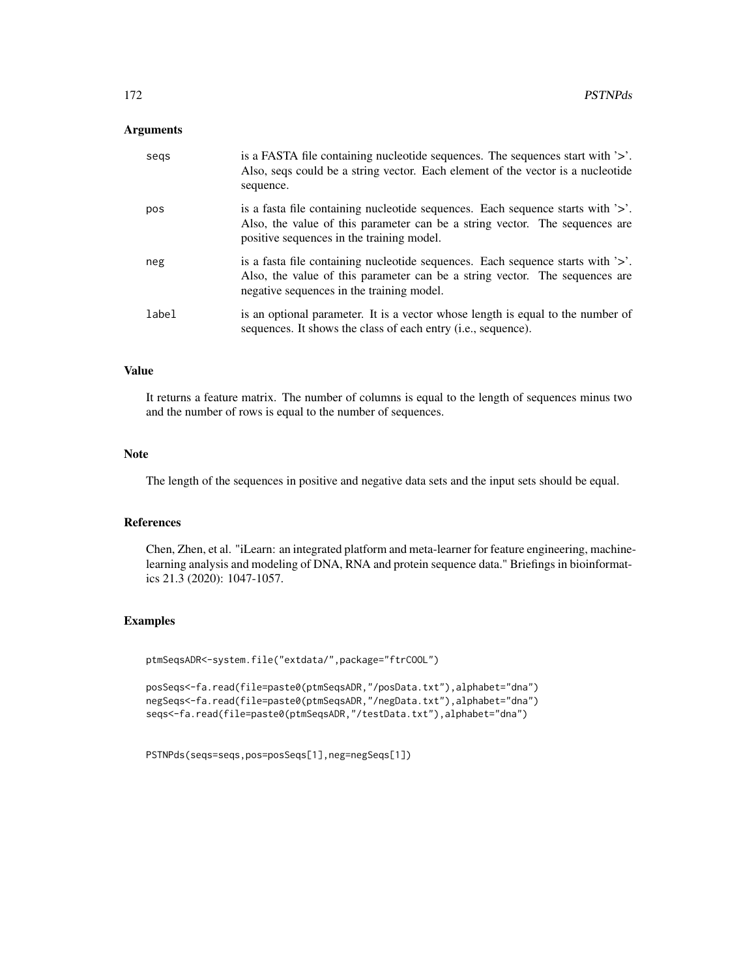## Arguments

| segs  | is a FASTA file containing nucleotide sequences. The sequences start with $\geq$ .<br>Also, seqs could be a string vector. Each element of the vector is a nucleotide<br>sequence.                          |
|-------|-------------------------------------------------------------------------------------------------------------------------------------------------------------------------------------------------------------|
| pos   | is a fasta file containing nucleotide sequences. Each sequence starts with '>'.<br>Also, the value of this parameter can be a string vector. The sequences are<br>positive sequences in the training model. |
| neg   | is a fasta file containing nucleotide sequences. Each sequence starts with '>'.<br>Also, the value of this parameter can be a string vector. The sequences are<br>negative sequences in the training model. |
| label | is an optional parameter. It is a vector whose length is equal to the number of<br>sequences. It shows the class of each entry ( <i>i.e.</i> , sequence).                                                   |

# Value

It returns a feature matrix. The number of columns is equal to the length of sequences minus two and the number of rows is equal to the number of sequences.

## Note

The length of the sequences in positive and negative data sets and the input sets should be equal.

# References

Chen, Zhen, et al. "iLearn: an integrated platform and meta-learner for feature engineering, machinelearning analysis and modeling of DNA, RNA and protein sequence data." Briefings in bioinformatics 21.3 (2020): 1047-1057.

#### Examples

```
ptmSeqsADR<-system.file("extdata/",package="ftrCOOL")
```
posSeqs<-fa.read(file=paste0(ptmSeqsADR,"/posData.txt"),alphabet="dna") negSeqs<-fa.read(file=paste0(ptmSeqsADR,"/negData.txt"),alphabet="dna") seqs<-fa.read(file=paste0(ptmSeqsADR,"/testData.txt"),alphabet="dna")

PSTNPds(seqs=seqs,pos=posSeqs[1],neg=negSeqs[1])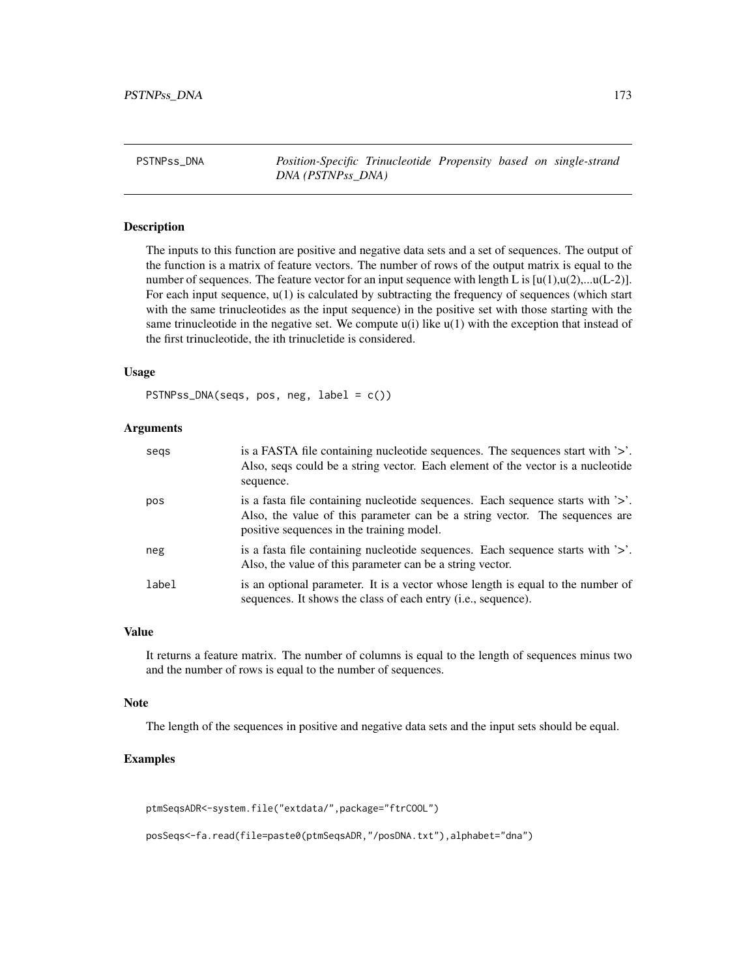<span id="page-172-0"></span>PSTNPss\_DNA *Position-Specific Trinucleotide Propensity based on single-strand DNA (PSTNPss\_DNA)*

## Description

The inputs to this function are positive and negative data sets and a set of sequences. The output of the function is a matrix of feature vectors. The number of rows of the output matrix is equal to the number of sequences. The feature vector for an input sequence with length L is  $[u(1),u(2),...u(L-2)]$ . For each input sequence,  $u(1)$  is calculated by subtracting the frequency of sequences (which start with the same trinucleotides as the input sequence) in the positive set with those starting with the same trinucleotide in the negative set. We compute  $u(i)$  like  $u(1)$  with the exception that instead of the first trinucleotide, the ith trinucletide is considered.

## Usage

PSTNPss\_DNA(seqs, pos, neg, label = c())

# Arguments

| segs  | is a FASTA file containing nucleotide sequences. The sequences start with '>'.<br>Also, seqs could be a string vector. Each element of the vector is a nucleotide<br>sequence.                                  |
|-------|-----------------------------------------------------------------------------------------------------------------------------------------------------------------------------------------------------------------|
| pos   | is a fasta file containing nucleotide sequences. Each sequence starts with $\geq$ .<br>Also, the value of this parameter can be a string vector. The sequences are<br>positive sequences in the training model. |
| neg   | is a fasta file containing nucleotide sequences. Each sequence starts with $\geq$ .<br>Also, the value of this parameter can be a string vector.                                                                |
| label | is an optional parameter. It is a vector whose length is equal to the number of<br>sequences. It shows the class of each entry ( <i>i.e.</i> , sequence).                                                       |

# Value

It returns a feature matrix. The number of columns is equal to the length of sequences minus two and the number of rows is equal to the number of sequences.

#### Note

The length of the sequences in positive and negative data sets and the input sets should be equal.

# Examples

```
ptmSeqsADR<-system.file("extdata/",package="ftrCOOL")
```
posSeqs<-fa.read(file=paste0(ptmSeqsADR,"/posDNA.txt"),alphabet="dna")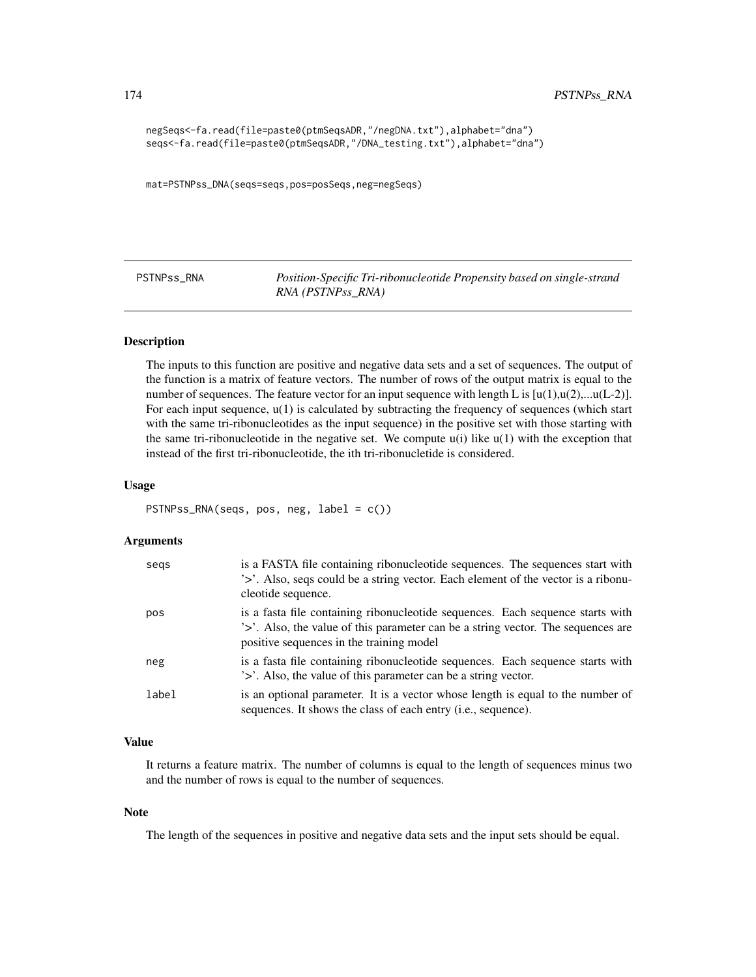```
negSeqs<-fa.read(file=paste0(ptmSeqsADR,"/negDNA.txt"),alphabet="dna")
seqs<-fa.read(file=paste0(ptmSeqsADR,"/DNA_testing.txt"),alphabet="dna")
```
mat=PSTNPss\_DNA(seqs=seqs,pos=posSeqs,neg=negSeqs)

PSTNPss\_RNA *Position-Specific Tri-ribonucleotide Propensity based on single-strand RNA (PSTNPss\_RNA)*

## Description

The inputs to this function are positive and negative data sets and a set of sequences. The output of the function is a matrix of feature vectors. The number of rows of the output matrix is equal to the number of sequences. The feature vector for an input sequence with length L is  $[u(1),u(2),...u(L-2)]$ . For each input sequence, u(1) is calculated by subtracting the frequency of sequences (which start with the same tri-ribonucleotides as the input sequence) in the positive set with those starting with the same tri-ribonucleotide in the negative set. We compute  $u(i)$  like  $u(1)$  with the exception that instead of the first tri-ribonucleotide, the ith tri-ribonucletide is considered.

### Usage

```
PSTNPss_RNA(seqs, pos, neg, label = c())
```
#### Arguments

| segs  | is a FASTA file containing ribonucleotide sequences. The sequences start with<br>'>'. Also, seqs could be a string vector. Each element of the vector is a ribonu-<br>cleotide sequence.                       |
|-------|----------------------------------------------------------------------------------------------------------------------------------------------------------------------------------------------------------------|
| pos   | is a fasta file containing ribonucleotide sequences. Each sequence starts with<br>'>'. Also, the value of this parameter can be a string vector. The sequences are<br>positive sequences in the training model |
| neg   | is a fasta file containing ribonucleotide sequences. Each sequence starts with<br>'>'. Also, the value of this parameter can be a string vector.                                                               |
| label | is an optional parameter. It is a vector whose length is equal to the number of<br>sequences. It shows the class of each entry ( <i>i.e.</i> , sequence).                                                      |

## Value

It returns a feature matrix. The number of columns is equal to the length of sequences minus two and the number of rows is equal to the number of sequences.

#### Note

The length of the sequences in positive and negative data sets and the input sets should be equal.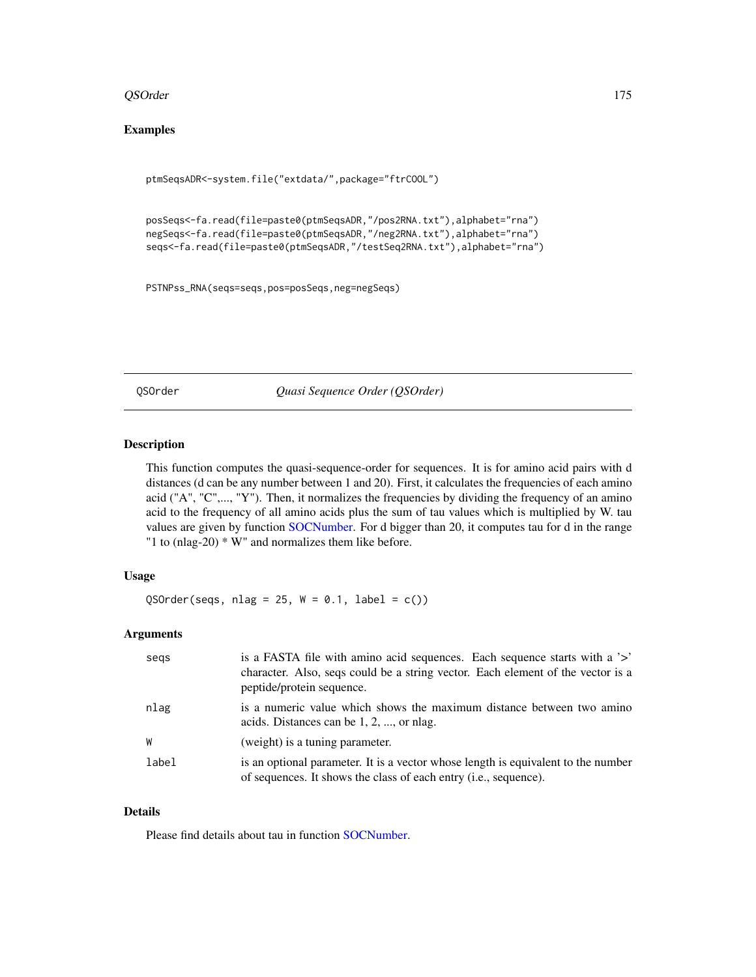## QSOrder 175

# Examples

```
ptmSeqsADR<-system.file("extdata/",package="ftrCOOL")
```

```
posSeqs<-fa.read(file=paste0(ptmSeqsADR,"/pos2RNA.txt"),alphabet="rna")
negSeqs<-fa.read(file=paste0(ptmSeqsADR,"/neg2RNA.txt"),alphabet="rna")
seqs<-fa.read(file=paste0(ptmSeqsADR,"/testSeq2RNA.txt"),alphabet="rna")
```

```
PSTNPss_RNA(seqs=seqs,pos=posSeqs,neg=negSeqs)
```
QSOrder *Quasi Sequence Order (QSOrder)*

# Description

This function computes the quasi-sequence-order for sequences. It is for amino acid pairs with d distances (d can be any number between 1 and 20). First, it calculates the frequencies of each amino acid ("A", "C",..., "Y"). Then, it normalizes the frequencies by dividing the frequency of an amino acid to the frequency of all amino acids plus the sum of tau values which is multiplied by W. tau values are given by function [SOCNumber.](#page-181-0) For d bigger than 20, it computes tau for d in the range "1 to (nlag-20) \* W" and normalizes them like before.

# Usage

QSOrder(seqs, nlag =  $25$ , W = 0.1, label =  $c()$ )

## Arguments

| segs  | is a FASTA file with a mino acid sequences. Each sequence starts with a '>'<br>character. Also, seqs could be a string vector. Each element of the vector is a<br>peptide/protein sequence. |
|-------|---------------------------------------------------------------------------------------------------------------------------------------------------------------------------------------------|
| nlag  | is a numeric value which shows the maximum distance between two amino<br>acids. Distances can be $1, 2, \ldots$ or nlag.                                                                    |
| W     | (weight) is a tuning parameter.                                                                                                                                                             |
| label | is an optional parameter. It is a vector whose length is equivalent to the number<br>of sequences. It shows the class of each entry ( <i>i.e.</i> , sequence).                              |

# Details

Please find details about tau in function [SOCNumber.](#page-181-0)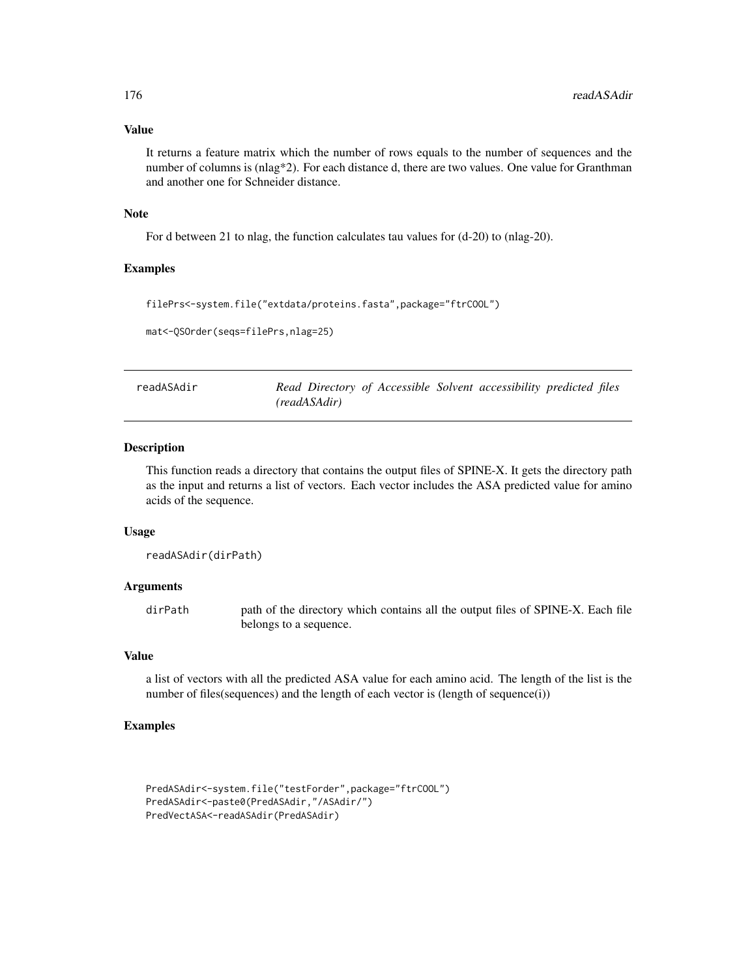## Value

It returns a feature matrix which the number of rows equals to the number of sequences and the number of columns is (nlag\*2). For each distance d, there are two values. One value for Granthman and another one for Schneider distance.

# Note

For d between 21 to nlag, the function calculates tau values for (d-20) to (nlag-20).

## Examples

filePrs<-system.file("extdata/proteins.fasta",package="ftrCOOL")

```
mat<-QSOrder(seqs=filePrs,nlag=25)
```

| readASAdir |              |  | Read Directory of Accessible Solvent accessibility predicted files |  |
|------------|--------------|--|--------------------------------------------------------------------|--|
|            | (readASAdir) |  |                                                                    |  |

# Description

This function reads a directory that contains the output files of SPINE-X. It gets the directory path as the input and returns a list of vectors. Each vector includes the ASA predicted value for amino acids of the sequence.

## Usage

```
readASAdir(dirPath)
```
#### Arguments

dirPath path of the directory which contains all the output files of SPINE-X. Each file belongs to a sequence.

# Value

a list of vectors with all the predicted ASA value for each amino acid. The length of the list is the number of files(sequences) and the length of each vector is (length of sequence(i))

# Examples

```
PredASAdir<-system.file("testForder",package="ftrCOOL")
PredASAdir<-paste0(PredASAdir,"/ASAdir/")
PredVectASA<-readASAdir(PredASAdir)
```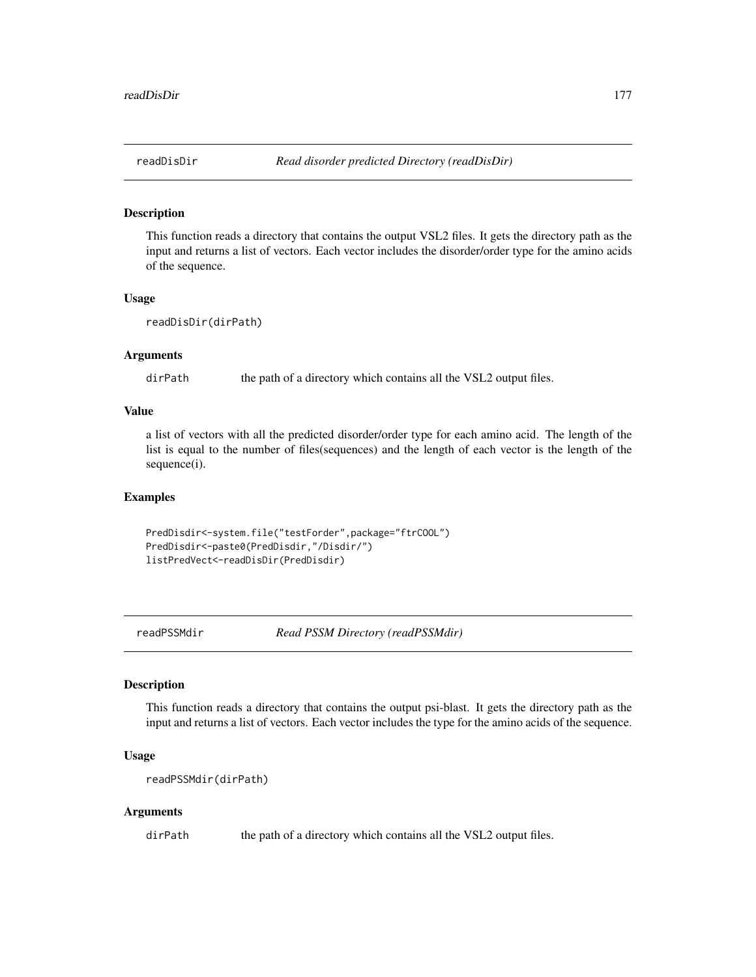## Description

This function reads a directory that contains the output VSL2 files. It gets the directory path as the input and returns a list of vectors. Each vector includes the disorder/order type for the amino acids of the sequence.

# Usage

```
readDisDir(dirPath)
```
# Arguments

dirPath the path of a directory which contains all the VSL2 output files.

# Value

a list of vectors with all the predicted disorder/order type for each amino acid. The length of the list is equal to the number of files(sequences) and the length of each vector is the length of the sequence(i).

#### Examples

PredDisdir<-system.file("testForder",package="ftrCOOL") PredDisdir<-paste0(PredDisdir,"/Disdir/") listPredVect<-readDisDir(PredDisdir)

readPSSMdir *Read PSSM Directory (readPSSMdir)*

# Description

This function reads a directory that contains the output psi-blast. It gets the directory path as the input and returns a list of vectors. Each vector includes the type for the amino acids of the sequence.

## Usage

```
readPSSMdir(dirPath)
```
#### Arguments

dirPath the path of a directory which contains all the VSL2 output files.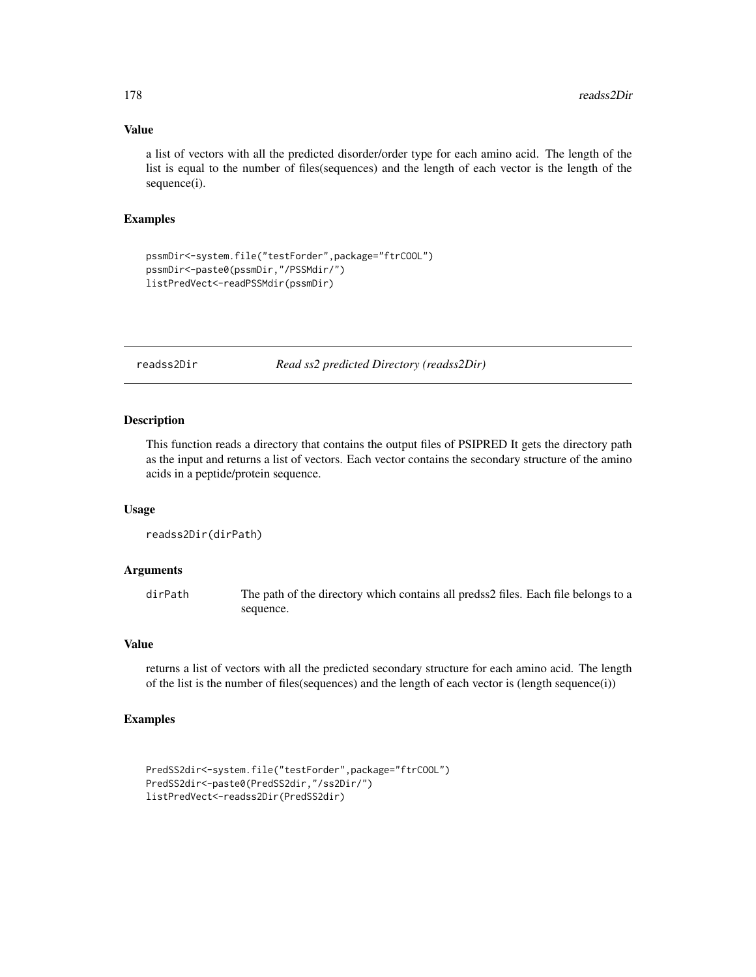# Value

a list of vectors with all the predicted disorder/order type for each amino acid. The length of the list is equal to the number of files(sequences) and the length of each vector is the length of the sequence(i).

# Examples

```
pssmDir<-system.file("testForder",package="ftrCOOL")
pssmDir<-paste0(pssmDir,"/PSSMdir/")
listPredVect<-readPSSMdir(pssmDir)
```
readss2Dir *Read ss2 predicted Directory (readss2Dir)*

# Description

This function reads a directory that contains the output files of PSIPRED It gets the directory path as the input and returns a list of vectors. Each vector contains the secondary structure of the amino acids in a peptide/protein sequence.

#### Usage

```
readss2Dir(dirPath)
```
## Arguments

dirPath The path of the directory which contains all predss2 files. Each file belongs to a sequence.

# Value

returns a list of vectors with all the predicted secondary structure for each amino acid. The length of the list is the number of files(sequences) and the length of each vector is (length sequence(i))

# Examples

```
PredSS2dir<-system.file("testForder",package="ftrCOOL")
PredSS2dir<-paste0(PredSS2dir,"/ss2Dir/")
listPredVect<-readss2Dir(PredSS2dir)
```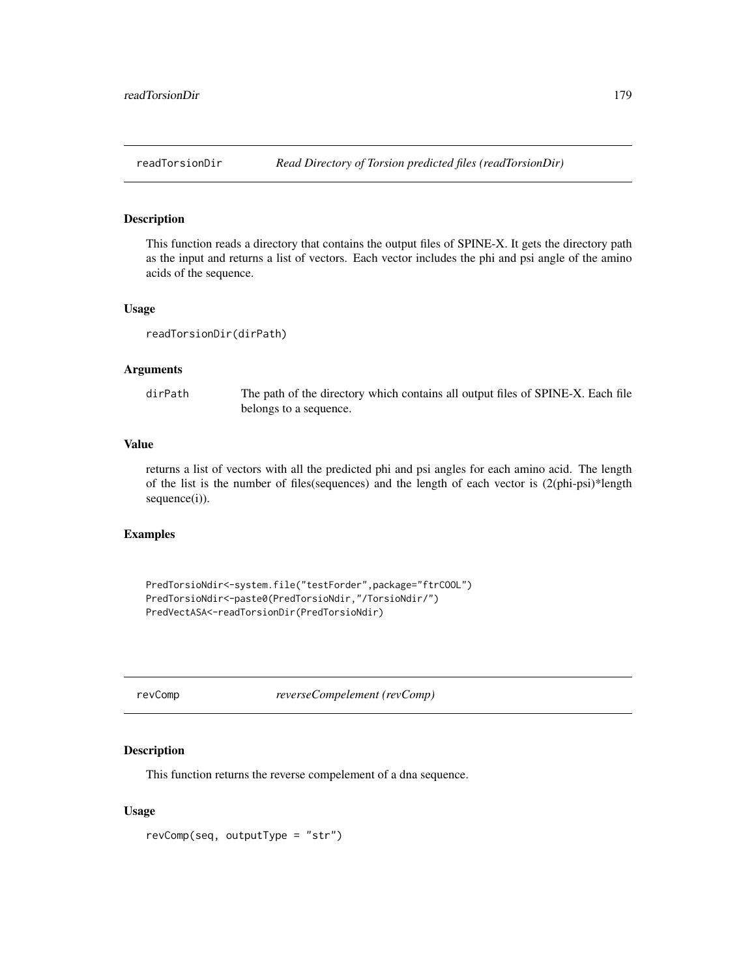# Description

This function reads a directory that contains the output files of SPINE-X. It gets the directory path as the input and returns a list of vectors. Each vector includes the phi and psi angle of the amino acids of the sequence.

#### Usage

readTorsionDir(dirPath)

#### Arguments

dirPath The path of the directory which contains all output files of SPINE-X. Each file belongs to a sequence.

# Value

returns a list of vectors with all the predicted phi and psi angles for each amino acid. The length of the list is the number of files(sequences) and the length of each vector is (2(phi-psi)\*length sequence(i)).

## Examples

PredTorsioNdir<-system.file("testForder",package="ftrCOOL") PredTorsioNdir<-paste0(PredTorsioNdir,"/TorsioNdir/") PredVectASA<-readTorsionDir(PredTorsioNdir)

revComp *reverseCompelement (revComp)*

#### Description

This function returns the reverse compelement of a dna sequence.

# Usage

revComp(seq, outputType = "str")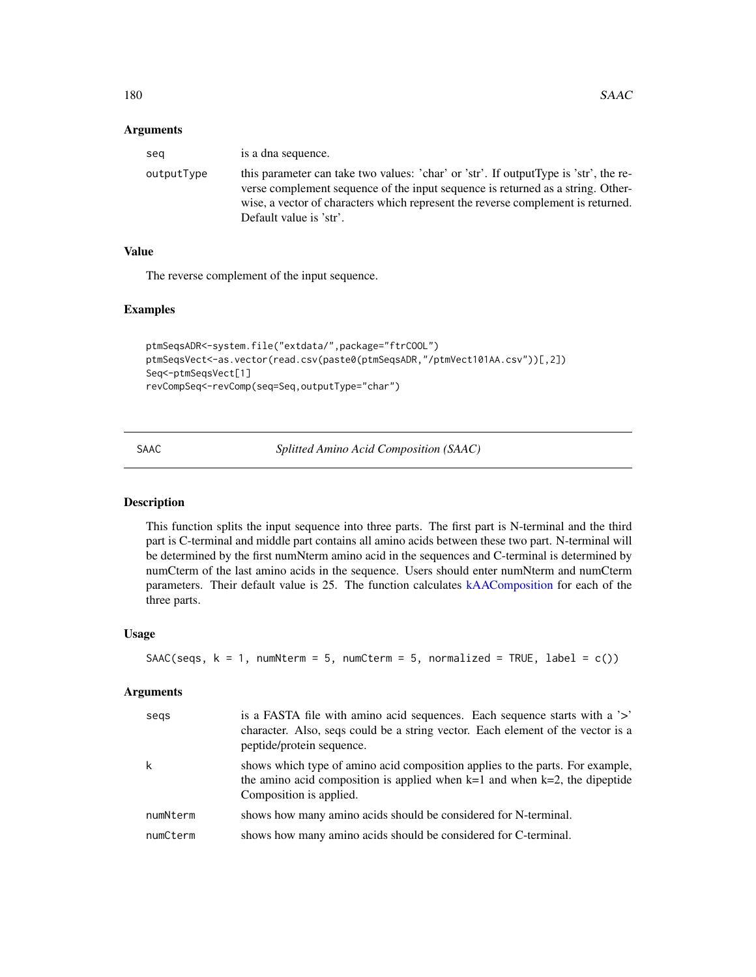## **Arguments**

| seg        | is a dna sequence.                                                                                                                                                                                                                                                                      |
|------------|-----------------------------------------------------------------------------------------------------------------------------------------------------------------------------------------------------------------------------------------------------------------------------------------|
| outputType | this parameter can take two values: 'char' or 'str'. If output Type is 'str', the re-<br>verse complement sequence of the input sequence is returned as a string. Other-<br>wise, a vector of characters which represent the reverse complement is returned.<br>Default value is 'str'. |

# Value

The reverse complement of the input sequence.

## Examples

```
ptmSeqsADR<-system.file("extdata/",package="ftrCOOL")
ptmSeqsVect<-as.vector(read.csv(paste0(ptmSeqsADR,"/ptmVect101AA.csv"))[,2])
Seq<-ptmSeqsVect[1]
revCompSeq<-revComp(seq=Seq,outputType="char")
```
SAAC *Splitted Amino Acid Composition (SAAC)*

# Description

This function splits the input sequence into three parts. The first part is N-terminal and the third part is C-terminal and middle part contains all amino acids between these two part. N-terminal will be determined by the first numNterm amino acid in the sequences and C-terminal is determined by numCterm of the last amino acids in the sequence. Users should enter numNterm and numCterm parameters. Their default value is 25. The function calculates [kAAComposition](#page-89-0) for each of the three parts.

#### Usage

```
SAAC(seqs, k = 1, numNterm = 5, numCterm = 5, normalized = TRUE, label = c())
```
# Arguments

| segs     | is a FASTA file with a mino acid sequences. Each sequence starts with a '>'<br>character. Also, seqs could be a string vector. Each element of the vector is a<br>peptide/protein sequence. |
|----------|---------------------------------------------------------------------------------------------------------------------------------------------------------------------------------------------|
| k        | shows which type of amino acid composition applies to the parts. For example,<br>the amino acid composition is applied when $k=1$ and when $k=2$ , the dipeptide<br>Composition is applied. |
| numNterm | shows how many amino acids should be considered for N-terminal.                                                                                                                             |
| numCterm | shows how many amino acids should be considered for C-terminal.                                                                                                                             |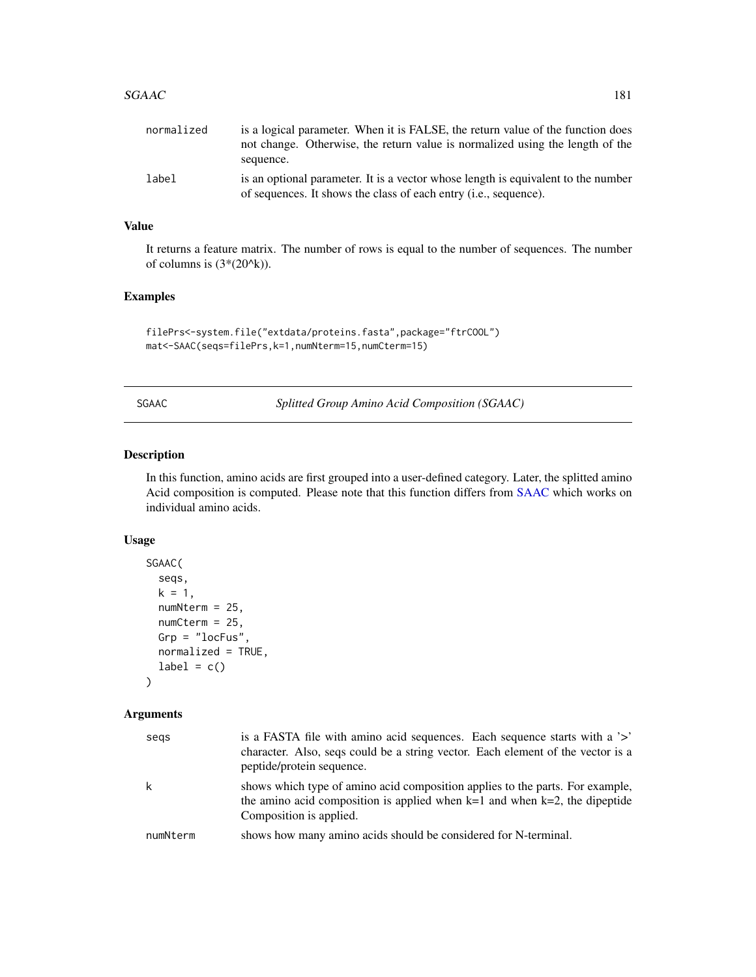<span id="page-180-0"></span>

| normalized | is a logical parameter. When it is FALSE, the return value of the function does<br>not change. Otherwise, the return value is normalized using the length of the<br>sequence. |
|------------|-------------------------------------------------------------------------------------------------------------------------------------------------------------------------------|
| label      | is an optional parameter. It is a vector whose length is equivalent to the number<br>of sequences. It shows the class of each entry <i>(i.e., sequence)</i> .                 |

# Value

It returns a feature matrix. The number of rows is equal to the number of sequences. The number of columns is  $(3*(20^k)).$ 

# Examples

```
filePrs<-system.file("extdata/proteins.fasta",package="ftrCOOL")
mat<-SAAC(seqs=filePrs,k=1,numNterm=15,numCterm=15)
```
SGAAC *Splitted Group Amino Acid Composition (SGAAC)*

# Description

In this function, amino acids are first grouped into a user-defined category. Later, the splitted amino Acid composition is computed. Please note that this function differs from [SAAC](#page-179-0) which works on individual amino acids.

#### Usage

```
SGAAC(
  seqs,
  k = 1,
  numNterm = 25,
  numCtern = 25,
  Grp = "locFus",
  normalized = TRUE,
  label = c())
```

| segs     | is a FASTA file with a mino acid sequences. Each sequence starts with a '>'<br>character. Also, seqs could be a string vector. Each element of the vector is a<br>peptide/protein sequence. |
|----------|---------------------------------------------------------------------------------------------------------------------------------------------------------------------------------------------|
| k        | shows which type of amino acid composition applies to the parts. For example,<br>the amino acid composition is applied when $k=1$ and when $k=2$ , the dipeptide<br>Composition is applied. |
| numNterm | shows how many amino acids should be considered for N-terminal.                                                                                                                             |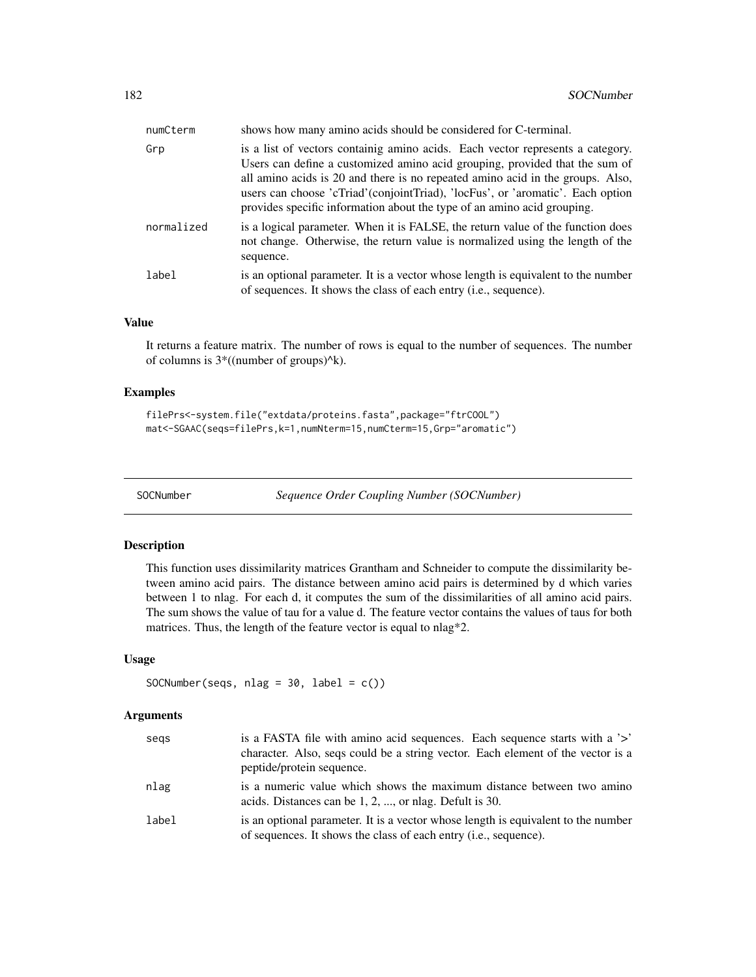<span id="page-181-0"></span>

| numCterm   | shows how many amino acids should be considered for C-terminal.                                                                                                                                                                                                                                                                                                                                                |
|------------|----------------------------------------------------------------------------------------------------------------------------------------------------------------------------------------------------------------------------------------------------------------------------------------------------------------------------------------------------------------------------------------------------------------|
| Grp        | is a list of vectors containing amino acids. Each vector represents a category.<br>Users can define a customized amino acid grouping, provided that the sum of<br>all amino acids is 20 and there is no repeated amino acid in the groups. Also,<br>users can choose 'cTriad' (conjointTriad), 'locFus', or 'aromatic'. Each option<br>provides specific information about the type of an amino acid grouping. |
| normalized | is a logical parameter. When it is FALSE, the return value of the function does<br>not change. Otherwise, the return value is normalized using the length of the<br>sequence.                                                                                                                                                                                                                                  |
| label      | is an optional parameter. It is a vector whose length is equivalent to the number<br>of sequences. It shows the class of each entry (i.e., sequence).                                                                                                                                                                                                                                                          |

#### Value

It returns a feature matrix. The number of rows is equal to the number of sequences. The number of columns is 3\*((number of groups)^k).

# Examples

```
filePrs<-system.file("extdata/proteins.fasta",package="ftrCOOL")
mat<-SGAAC(seqs=filePrs,k=1,numNterm=15,numCterm=15,Grp="aromatic")
```
SOCNumber *Sequence Order Coupling Number (SOCNumber)*

#### Description

This function uses dissimilarity matrices Grantham and Schneider to compute the dissimilarity between amino acid pairs. The distance between amino acid pairs is determined by d which varies between 1 to nlag. For each d, it computes the sum of the dissimilarities of all amino acid pairs. The sum shows the value of tau for a value d. The feature vector contains the values of taus for both matrices. Thus, the length of the feature vector is equal to nlag\*2.

# Usage

```
SOCNumber(seqs, nlag = 30, label = c())
```

| segs  | is a FASTA file with amino acid sequences. Each sequence starts with a '>'<br>character. Also, seqs could be a string vector. Each element of the vector is a<br>peptide/protein sequence. |
|-------|--------------------------------------------------------------------------------------------------------------------------------------------------------------------------------------------|
| nlag  | is a numeric value which shows the maximum distance between two amino<br>acids. Distances can be 1, 2, , or nlag. Defult is 30.                                                            |
| label | is an optional parameter. It is a vector whose length is equivalent to the number<br>of sequences. It shows the class of each entry ( <i>i.e.</i> , sequence).                             |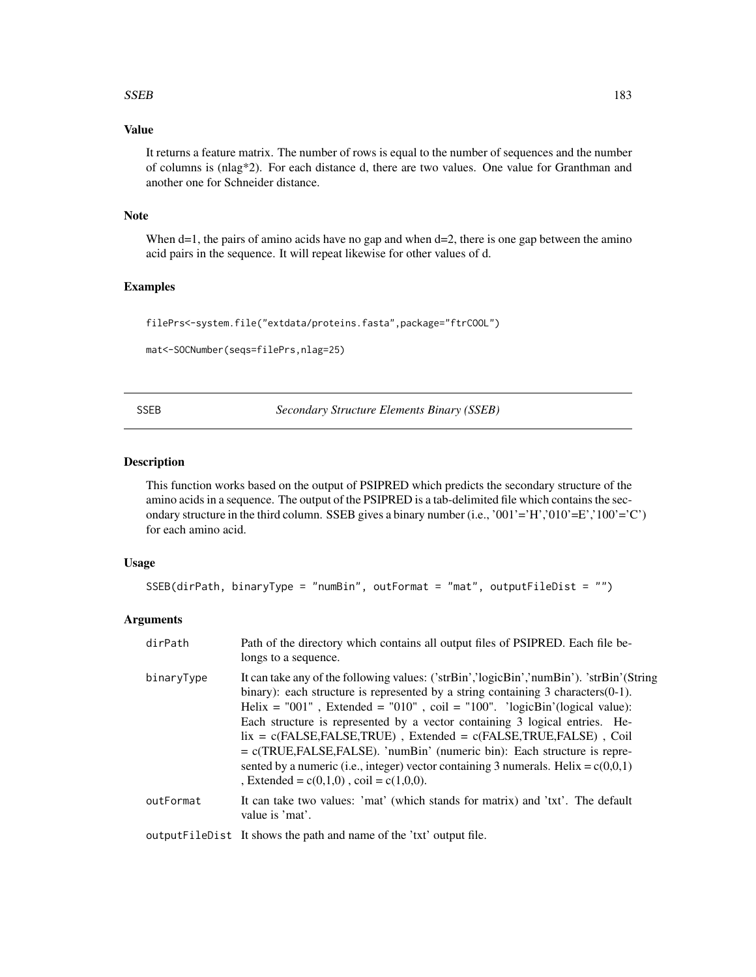#### <span id="page-182-0"></span> $SSEB$  183

# Value

It returns a feature matrix. The number of rows is equal to the number of sequences and the number of columns is (nlag\*2). For each distance d, there are two values. One value for Granthman and another one for Schneider distance.

#### Note

When  $d=1$ , the pairs of amino acids have no gap and when  $d=2$ , there is one gap between the amino acid pairs in the sequence. It will repeat likewise for other values of d.

#### Examples

```
filePrs<-system.file("extdata/proteins.fasta",package="ftrCOOL")
```

```
mat<-SOCNumber(seqs=filePrs,nlag=25)
```
SSEB *Secondary Structure Elements Binary (SSEB)*

# Description

This function works based on the output of PSIPRED which predicts the secondary structure of the amino acids in a sequence. The output of the PSIPRED is a tab-delimited file which contains the secondary structure in the third column. SSEB gives a binary number (i.e., '001'='H','010'=E','100'='C') for each amino acid.

#### Usage

```
SSEB(dirPath, binaryType = "numBin", outFormat = "mat", outputFileDist = "")
```

| dirPath    | Path of the directory which contains all output files of PSIPRED. Each file be-<br>longs to a sequence.                                                                                                                                                                                                                                                                                                                                                                                                                                                                                                                                                       |
|------------|---------------------------------------------------------------------------------------------------------------------------------------------------------------------------------------------------------------------------------------------------------------------------------------------------------------------------------------------------------------------------------------------------------------------------------------------------------------------------------------------------------------------------------------------------------------------------------------------------------------------------------------------------------------|
| binaryType | It can take any of the following values: ('strBin','logicBin','numBin'). 'strBin'(String<br>binary): each structure is represented by a string containing $3$ characters $(0-1)$ .<br>Helix = $"001"$ , Extended = $"010"$ , coil = $"100"$ . 'logicBin'(logical value):<br>Each structure is represented by a vector containing 3 logical entries. He-<br>$lix = c(FALSE, FALSE, TRUE)$ , Extended = $c(FALSE, TRUE, FALSE)$ , Coil<br>$= c(TRUE, FALSE, FALSE)$ . 'numBin' (numeric bin): Each structure is repre-<br>sented by a numeric (i.e., integer) vector containing 3 numerals. Helix = $c(0,0,1)$<br>, Extended = $c(0,1,0)$ , coil = $c(1,0,0)$ . |
| outFormat  | It can take two values: 'mat' (which stands for matrix) and 'txt'. The default<br>value is 'mat'.                                                                                                                                                                                                                                                                                                                                                                                                                                                                                                                                                             |
|            | output FileDist It shows the path and name of the 'txt' output file.                                                                                                                                                                                                                                                                                                                                                                                                                                                                                                                                                                                          |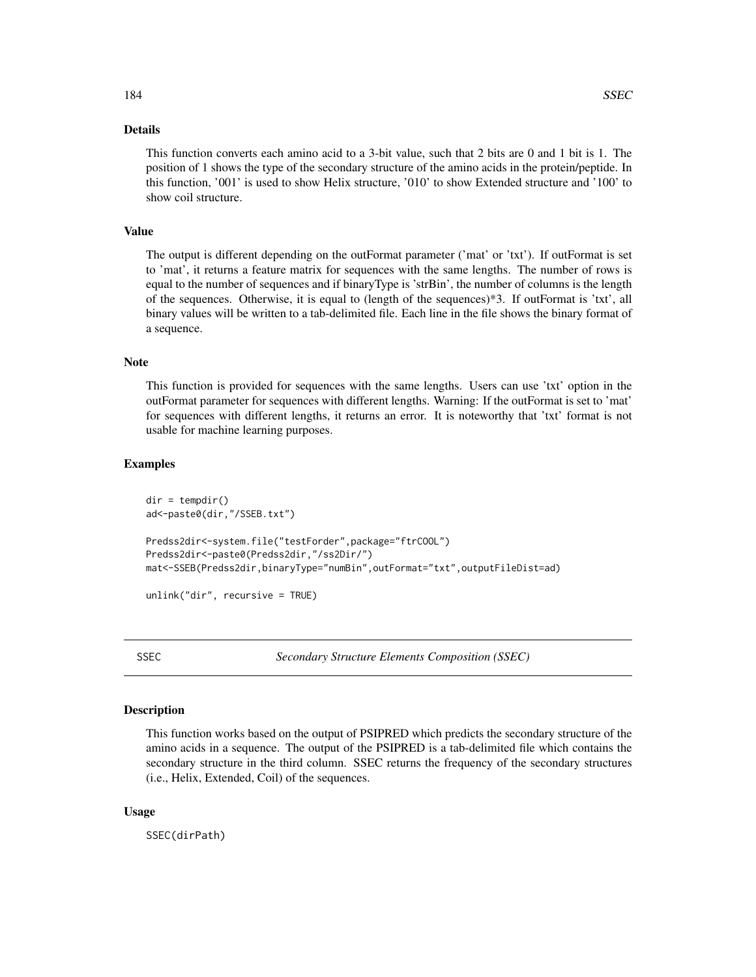# <span id="page-183-0"></span>Details

This function converts each amino acid to a 3-bit value, such that 2 bits are 0 and 1 bit is 1. The position of 1 shows the type of the secondary structure of the amino acids in the protein/peptide. In this function, '001' is used to show Helix structure, '010' to show Extended structure and '100' to show coil structure.

# Value

The output is different depending on the outFormat parameter ('mat' or 'txt'). If outFormat is set to 'mat', it returns a feature matrix for sequences with the same lengths. The number of rows is equal to the number of sequences and if binaryType is 'strBin', the number of columns is the length of the sequences. Otherwise, it is equal to (length of the sequences)\*3. If outFormat is 'txt', all binary values will be written to a tab-delimited file. Each line in the file shows the binary format of a sequence.

#### Note

This function is provided for sequences with the same lengths. Users can use 'txt' option in the outFormat parameter for sequences with different lengths. Warning: If the outFormat is set to 'mat' for sequences with different lengths, it returns an error. It is noteworthy that 'txt' format is not usable for machine learning purposes.

# Examples

```
dir = tempdir()ad<-paste0(dir,"/SSEB.txt")
Predss2dir<-system.file("testForder",package="ftrCOOL")
Predss2dir<-paste0(Predss2dir,"/ss2Dir/")
mat<-SSEB(Predss2dir,binaryType="numBin",outFormat="txt",outputFileDist=ad)
```
unlink("dir", recursive = TRUE)

SSEC *Secondary Structure Elements Composition (SSEC)*

# Description

This function works based on the output of PSIPRED which predicts the secondary structure of the amino acids in a sequence. The output of the PSIPRED is a tab-delimited file which contains the secondary structure in the third column. SSEC returns the frequency of the secondary structures (i.e., Helix, Extended, Coil) of the sequences.

# Usage

SSEC(dirPath)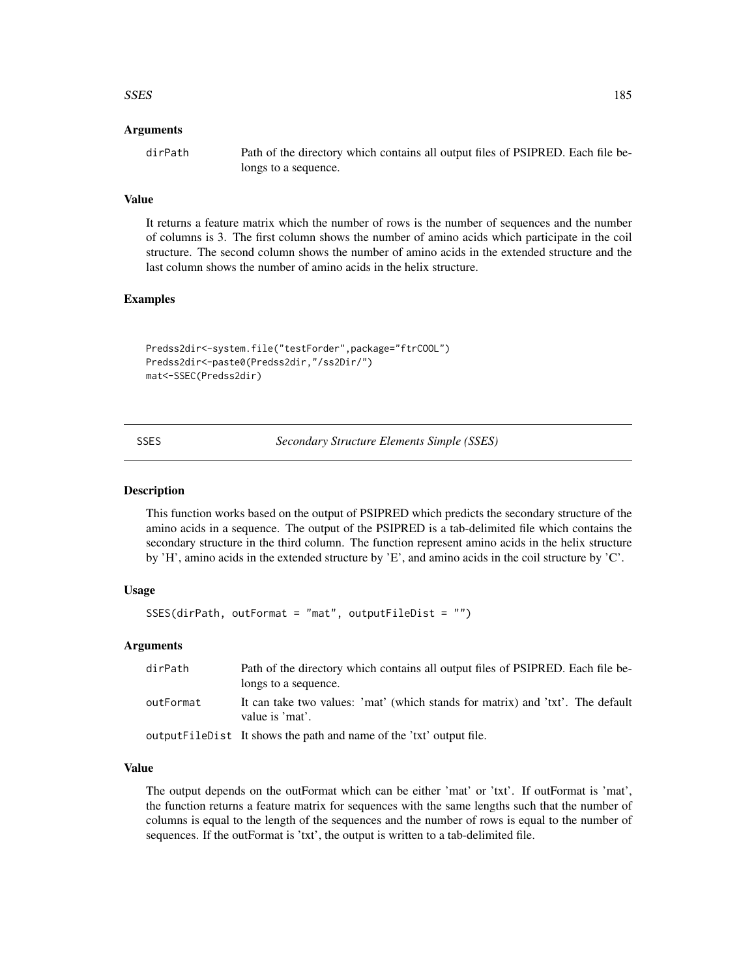#### <span id="page-184-0"></span> $SSES$  185

# Arguments

dirPath Path of the directory which contains all output files of PSIPRED. Each file belongs to a sequence.

# Value

It returns a feature matrix which the number of rows is the number of sequences and the number of columns is 3. The first column shows the number of amino acids which participate in the coil structure. The second column shows the number of amino acids in the extended structure and the last column shows the number of amino acids in the helix structure.

# Examples

```
Predss2dir<-system.file("testForder",package="ftrCOOL")
Predss2dir<-paste0(Predss2dir,"/ss2Dir/")
mat<-SSEC(Predss2dir)
```
SSES *Secondary Structure Elements Simple (SSES)*

#### Description

This function works based on the output of PSIPRED which predicts the secondary structure of the amino acids in a sequence. The output of the PSIPRED is a tab-delimited file which contains the secondary structure in the third column. The function represent amino acids in the helix structure by 'H', amino acids in the extended structure by 'E', and amino acids in the coil structure by 'C'.

#### Usage

SSES(dirPath, outFormat = "mat", outputFileDist = "")

# Arguments

| dirPath   | Path of the directory which contains all output files of PSIPRED. Each file be-<br>longs to a sequence. |
|-----------|---------------------------------------------------------------------------------------------------------|
| outFormat | It can take two values: 'mat' (which stands for matrix) and 'txt'. The default<br>value is 'mat'.       |
|           | output FileDist It shows the path and name of the 'txt' output file.                                    |

#### Value

The output depends on the outFormat which can be either 'mat' or 'txt'. If outFormat is 'mat', the function returns a feature matrix for sequences with the same lengths such that the number of columns is equal to the length of the sequences and the number of rows is equal to the number of sequences. If the outFormat is 'txt', the output is written to a tab-delimited file.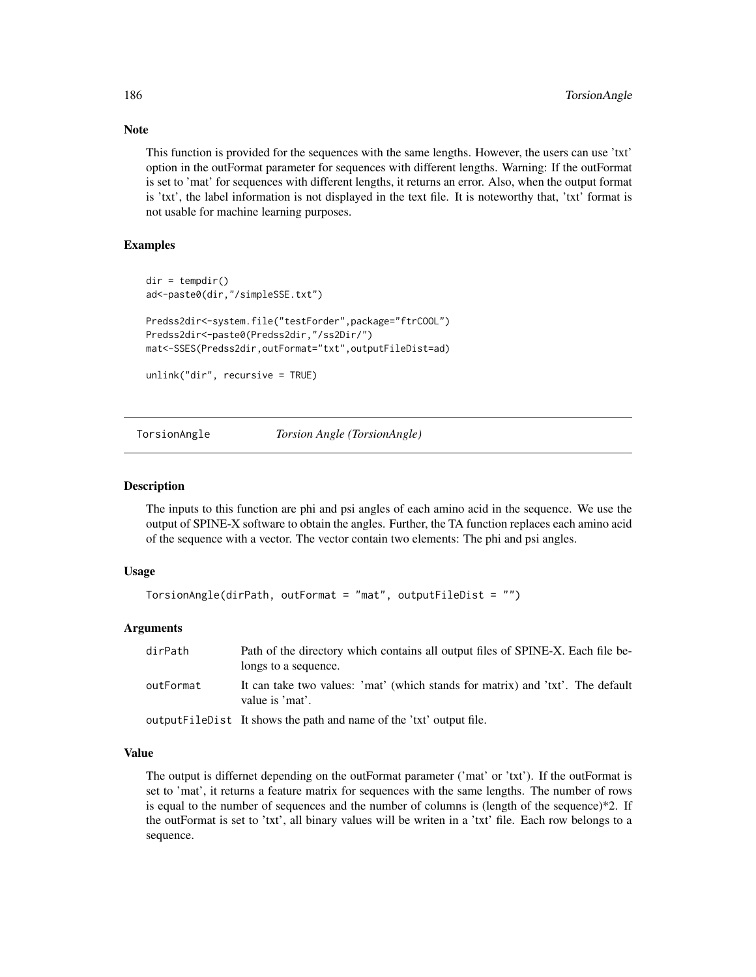This function is provided for the sequences with the same lengths. However, the users can use 'txt' option in the outFormat parameter for sequences with different lengths. Warning: If the outFormat is set to 'mat' for sequences with different lengths, it returns an error. Also, when the output format is 'txt', the label information is not displayed in the text file. It is noteworthy that, 'txt' format is not usable for machine learning purposes.

# Examples

```
dir = tempdir()ad<-paste0(dir,"/simpleSSE.txt")
Predss2dir<-system.file("testForder",package="ftrCOOL")
Predss2dir<-paste0(Predss2dir,"/ss2Dir/")
mat<-SSES(Predss2dir,outFormat="txt",outputFileDist=ad)
unlink("dir", recursive = TRUE)
```
TorsionAngle *Torsion Angle (TorsionAngle)*

#### Description

The inputs to this function are phi and psi angles of each amino acid in the sequence. We use the output of SPINE-X software to obtain the angles. Further, the TA function replaces each amino acid of the sequence with a vector. The vector contain two elements: The phi and psi angles.

# Usage

```
TorsionAngle(dirPath, outFormat = "mat", outputFileDist = "")
```
#### Arguments

| dirPath   | Path of the directory which contains all output files of SPINE-X. Each file be-<br>longs to a sequence. |
|-----------|---------------------------------------------------------------------------------------------------------|
| outFormat | It can take two values: 'mat' (which stands for matrix) and 'txt'. The default<br>value is 'mat'.       |
|           | output FileDist It shows the path and name of the 'txt' output file.                                    |

# Value

The output is differnet depending on the outFormat parameter ('mat' or 'txt'). If the outFormat is set to 'mat', it returns a feature matrix for sequences with the same lengths. The number of rows is equal to the number of sequences and the number of columns is (length of the sequence)\*2. If the outFormat is set to 'txt', all binary values will be writen in a 'txt' file. Each row belongs to a sequence.

<span id="page-185-0"></span>

# Note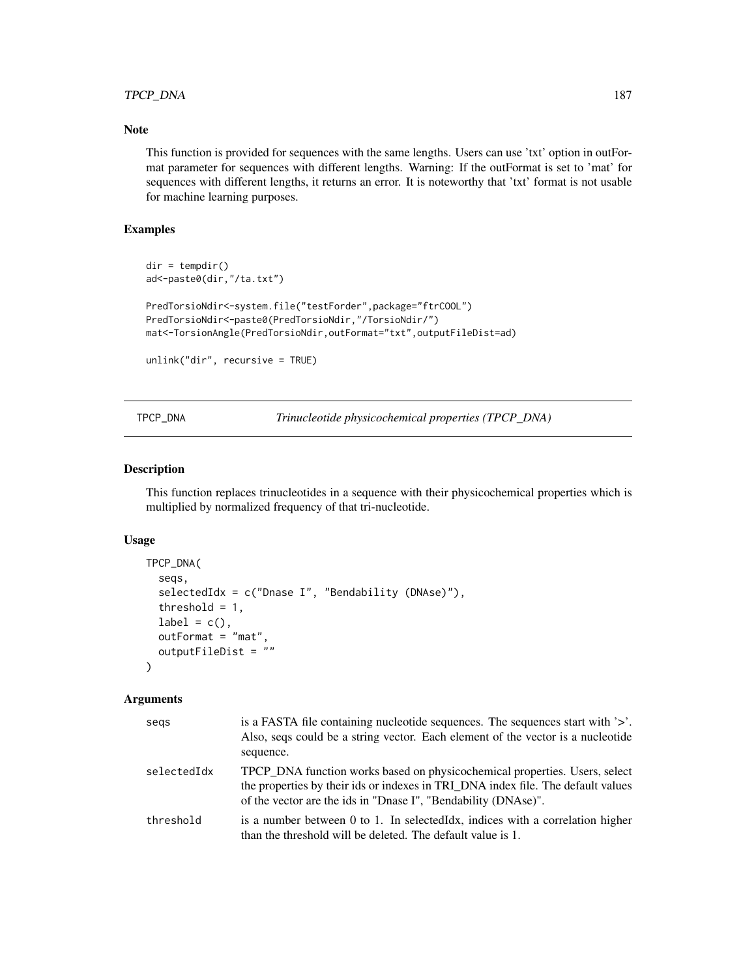# <span id="page-186-0"></span>TPCP\_DNA 187

# Note

This function is provided for sequences with the same lengths. Users can use 'txt' option in outFormat parameter for sequences with different lengths. Warning: If the outFormat is set to 'mat' for sequences with different lengths, it returns an error. It is noteworthy that 'txt' format is not usable for machine learning purposes.

# Examples

```
dir = tempdir()
ad<-paste0(dir,"/ta.txt")
PredTorsioNdir<-system.file("testForder",package="ftrCOOL")
PredTorsioNdir<-paste0(PredTorsioNdir,"/TorsioNdir/")
mat<-TorsionAngle(PredTorsioNdir,outFormat="txt",outputFileDist=ad)
unlink("dir", recursive = TRUE)
```
TPCP\_DNA *Trinucleotide physicochemical properties (TPCP\_DNA)*

# Description

This function replaces trinucleotides in a sequence with their physicochemical properties which is multiplied by normalized frequency of that tri-nucleotide.

#### Usage

```
TPCP_DNA(
  seqs,
  selectedIdx = c("Dnase I", "Bendability (DNAse)"),
  threshold = 1,label = c(),
  outFormat = "mat",outputFileDist = ""
)
```

| segs        | is a FASTA file containing nucleotide sequences. The sequences start with $\geq$ .<br>Also, seqs could be a string vector. Each element of the vector is a nucleotide<br>sequence.                                               |
|-------------|----------------------------------------------------------------------------------------------------------------------------------------------------------------------------------------------------------------------------------|
| selectedIdx | TPCP DNA function works based on physicochemical properties. Users, select<br>the properties by their ids or indexes in TRI_DNA index file. The default values<br>of the vector are the ids in "Dnase I", "Bendability (DNAse)". |
| threshold   | is a number between 0 to 1. In selected Idx, indices with a correlation higher<br>than the threshold will be deleted. The default value is 1.                                                                                    |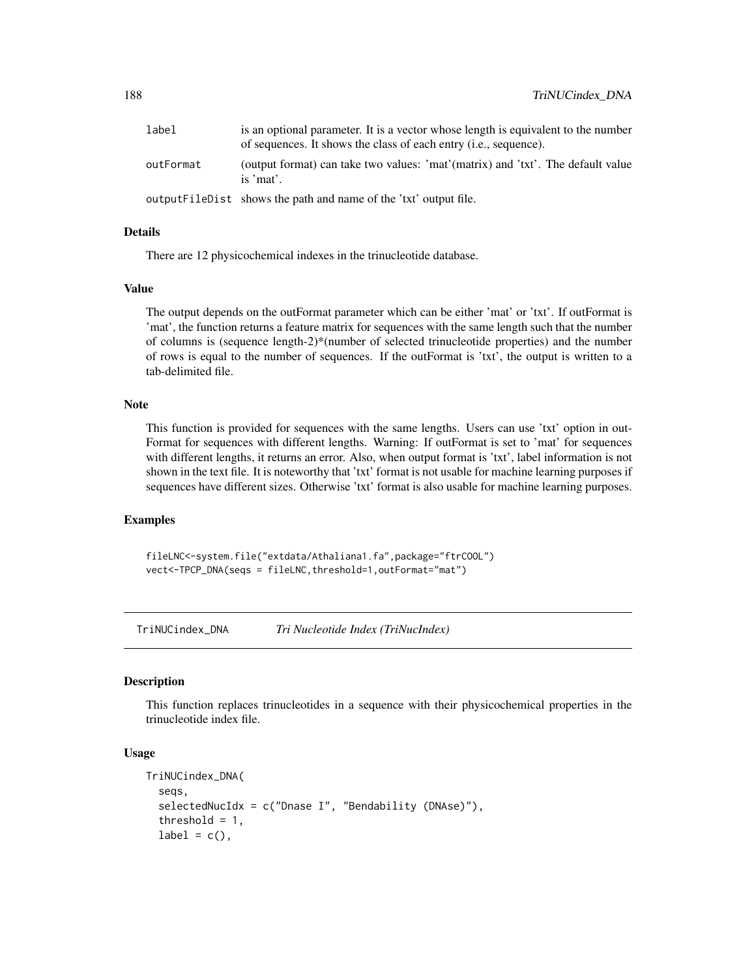<span id="page-187-0"></span>

| label     | is an optional parameter. It is a vector whose length is equivalent to the number<br>of sequences. It shows the class of each entry ( <i>i.e.</i> , sequence). |
|-----------|----------------------------------------------------------------------------------------------------------------------------------------------------------------|
| outFormat | (output format) can take two values: 'mat'(matrix) and 'txt'. The default value<br>is 'mat'.                                                                   |
|           | output FileD ist shows the path and name of the 'txt' output file.                                                                                             |

# Details

There are 12 physicochemical indexes in the trinucleotide database.

#### Value

The output depends on the outFormat parameter which can be either 'mat' or 'txt'. If outFormat is 'mat', the function returns a feature matrix for sequences with the same length such that the number of columns is (sequence length-2)\*(number of selected trinucleotide properties) and the number of rows is equal to the number of sequences. If the outFormat is 'txt', the output is written to a tab-delimited file.

#### Note

This function is provided for sequences with the same lengths. Users can use 'txt' option in out-Format for sequences with different lengths. Warning: If outFormat is set to 'mat' for sequences with different lengths, it returns an error. Also, when output format is 'txt', label information is not shown in the text file. It is noteworthy that 'txt' format is not usable for machine learning purposes if sequences have different sizes. Otherwise 'txt' format is also usable for machine learning purposes.

#### Examples

```
fileLNC<-system.file("extdata/Athaliana1.fa",package="ftrCOOL")
vect<-TPCP_DNA(seqs = fileLNC,threshold=1,outFormat="mat")
```
TriNUCindex\_DNA *Tri Nucleotide Index (TriNucIndex)*

# Description

This function replaces trinucleotides in a sequence with their physicochemical properties in the trinucleotide index file.

#### Usage

```
TriNUCindex_DNA(
  seqs,
  selectedNucIdx = c("Dnase I", "Bendability (DNAse)"),
  threshold = 1,
  label = c(),
```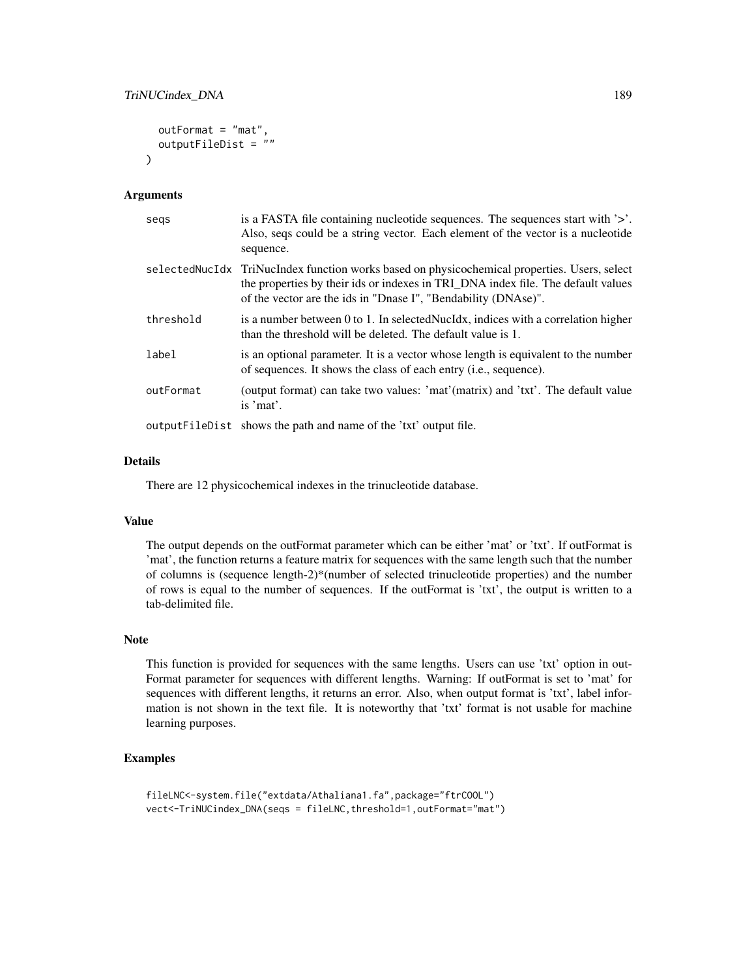```
outFormat = "mat",
  outputFileDist = ""
\lambda
```
#### Arguments

| segs      | is a FASTA file containing nucleotide sequences. The sequences start with '>'.<br>Also, seqs could be a string vector. Each element of the vector is a nucleotide<br>sequence.                                                                     |
|-----------|----------------------------------------------------------------------------------------------------------------------------------------------------------------------------------------------------------------------------------------------------|
|           | selectedNucIdx TriNucIndex function works based on physicochemical properties. Users, select<br>the properties by their ids or indexes in TRI_DNA index file. The default values<br>of the vector are the ids in "Dnase I", "Bendability (DNAse)". |
| threshold | is a number between 0 to 1. In selected Nucldx, indices with a correlation higher<br>than the threshold will be deleted. The default value is 1.                                                                                                   |
| label     | is an optional parameter. It is a vector whose length is equivalent to the number<br>of sequences. It shows the class of each entry ( <i>i.e.</i> , sequence).                                                                                     |
| outFormat | (output format) can take two values: 'mat'(matrix) and 'txt'. The default value<br>is 'mat'.                                                                                                                                                       |
|           | output FileDist shows the path and name of the 'txt' output file.                                                                                                                                                                                  |

#### Details

There are 12 physicochemical indexes in the trinucleotide database.

# Value

The output depends on the outFormat parameter which can be either 'mat' or 'txt'. If outFormat is 'mat', the function returns a feature matrix for sequences with the same length such that the number of columns is (sequence length-2)\*(number of selected trinucleotide properties) and the number of rows is equal to the number of sequences. If the outFormat is 'txt', the output is written to a tab-delimited file.

#### Note

This function is provided for sequences with the same lengths. Users can use 'txt' option in out-Format parameter for sequences with different lengths. Warning: If outFormat is set to 'mat' for sequences with different lengths, it returns an error. Also, when output format is 'txt', label information is not shown in the text file. It is noteworthy that 'txt' format is not usable for machine learning purposes.

```
fileLNC<-system.file("extdata/Athaliana1.fa",package="ftrCOOL")
vect<-TriNUCindex_DNA(seqs = fileLNC,threshold=1,outFormat="mat")
```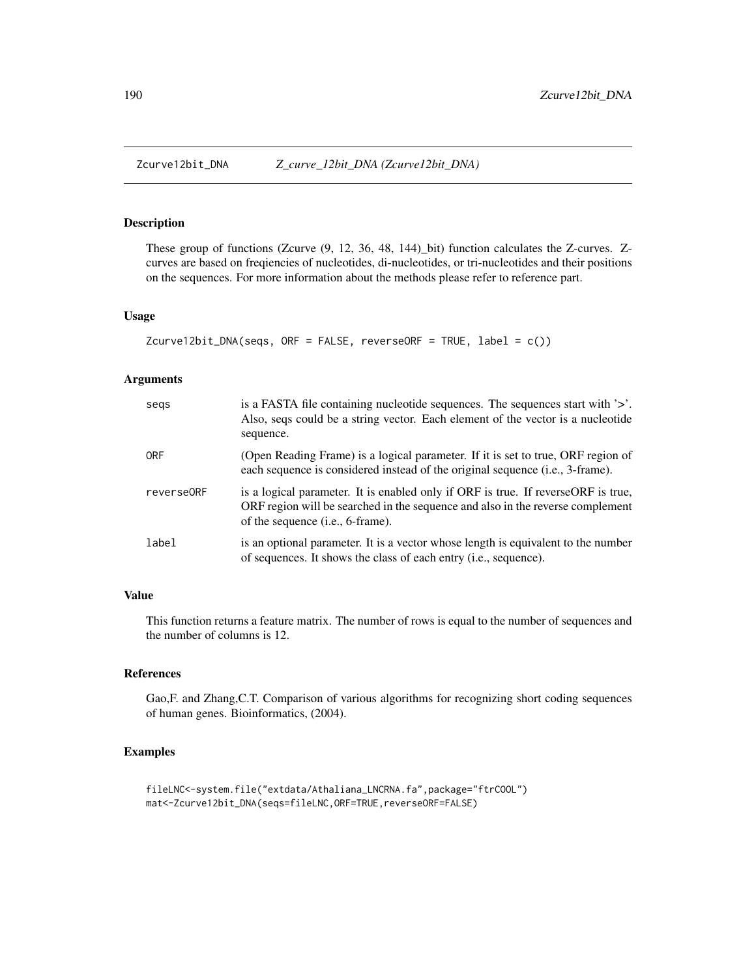<span id="page-189-0"></span>These group of functions (Zcurve (9, 12, 36, 48, 144)\_bit) function calculates the Z-curves. Zcurves are based on freqiencies of nucleotides, di-nucleotides, or tri-nucleotides and their positions on the sequences. For more information about the methods please refer to reference part.

#### Usage

```
Zcurve12bit_DNA(seqs, ORF = FALSE, reverseORF = TRUE, label = c())
```
# Arguments

| segs       | is a FASTA file containing nucleotide sequences. The sequences start with $\geq$ .<br>Also, seqs could be a string vector. Each element of the vector is a nucleotide<br>sequence.                               |
|------------|------------------------------------------------------------------------------------------------------------------------------------------------------------------------------------------------------------------|
| <b>ORF</b> | (Open Reading Frame) is a logical parameter. If it is set to true, ORF region of<br>each sequence is considered instead of the original sequence (i.e., 3-frame).                                                |
| reverse0RF | is a logical parameter. It is enabled only if ORF is true. If reverseORF is true,<br>ORF region will be searched in the sequence and also in the reverse complement<br>of the sequence ( <i>i.e.</i> , 6-frame). |
| label      | is an optional parameter. It is a vector whose length is equivalent to the number<br>of sequences. It shows the class of each entry ( <i>i.e.</i> , sequence).                                                   |

# Value

This function returns a feature matrix. The number of rows is equal to the number of sequences and the number of columns is 12.

#### References

Gao,F. and Zhang,C.T. Comparison of various algorithms for recognizing short coding sequences of human genes. Bioinformatics, (2004).

```
fileLNC<-system.file("extdata/Athaliana_LNCRNA.fa",package="ftrCOOL")
mat<-Zcurve12bit_DNA(seqs=fileLNC,ORF=TRUE,reverseORF=FALSE)
```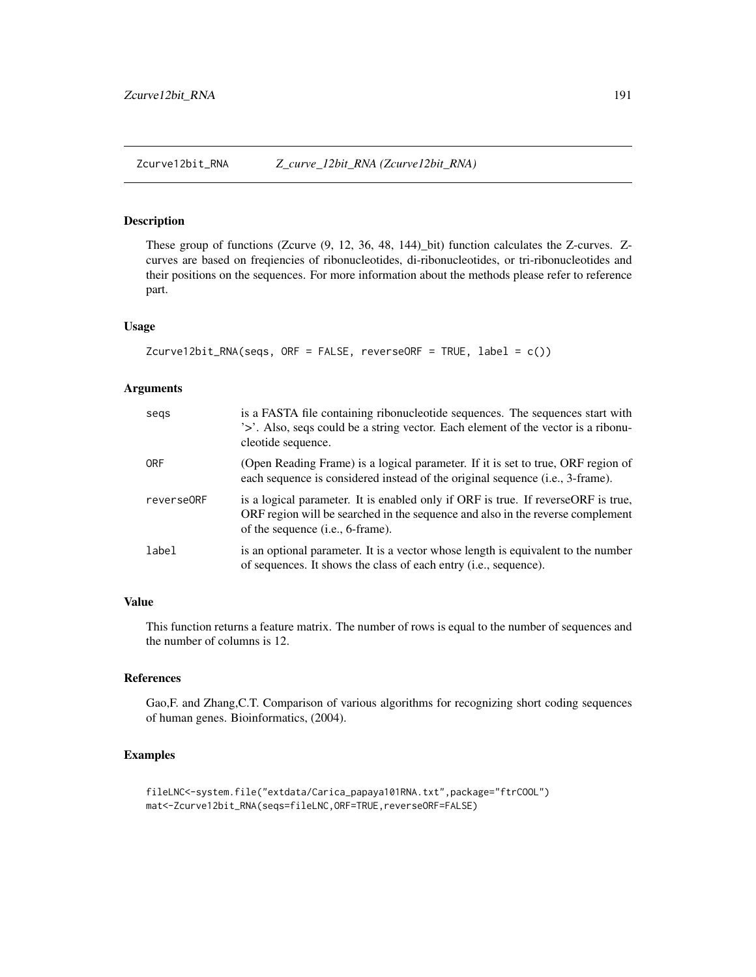<span id="page-190-0"></span>Zcurve12bit\_RNA *Z\_curve\_12bit\_RNA (Zcurve12bit\_RNA)*

#### Description

These group of functions (Zcurve (9, 12, 36, 48, 144)\_bit) function calculates the Z-curves. Zcurves are based on freqiencies of ribonucleotides, di-ribonucleotides, or tri-ribonucleotides and their positions on the sequences. For more information about the methods please refer to reference part.

# Usage

```
Zcurve12bit_RNA(\text{seqs}, \text{ORF = FALSE}, \text{reverseORF = TRUE}, \text{label = c())}
```
# Arguments

| segs       | is a FASTA file containing ribonucleotide sequences. The sequences start with<br>'>'. Also, seqs could be a string vector. Each element of the vector is a ribonu-<br>cleotide sequence.                         |
|------------|------------------------------------------------------------------------------------------------------------------------------------------------------------------------------------------------------------------|
| <b>ORF</b> | (Open Reading Frame) is a logical parameter. If it is set to true, ORF region of<br>each sequence is considered instead of the original sequence (i.e., 3-frame).                                                |
| reverse0RF | is a logical parameter. It is enabled only if ORF is true. If reverseORF is true,<br>ORF region will be searched in the sequence and also in the reverse complement<br>of the sequence ( <i>i.e.</i> , 6-frame). |
| label      | is an optional parameter. It is a vector whose length is equivalent to the number<br>of sequences. It shows the class of each entry ( <i>i.e.</i> , sequence).                                                   |

#### Value

This function returns a feature matrix. The number of rows is equal to the number of sequences and the number of columns is 12.

# References

Gao,F. and Zhang,C.T. Comparison of various algorithms for recognizing short coding sequences of human genes. Bioinformatics, (2004).

```
fileLNC<-system.file("extdata/Carica_papaya101RNA.txt",package="ftrCOOL")
mat<-Zcurve12bit_RNA(seqs=fileLNC,ORF=TRUE,reverseORF=FALSE)
```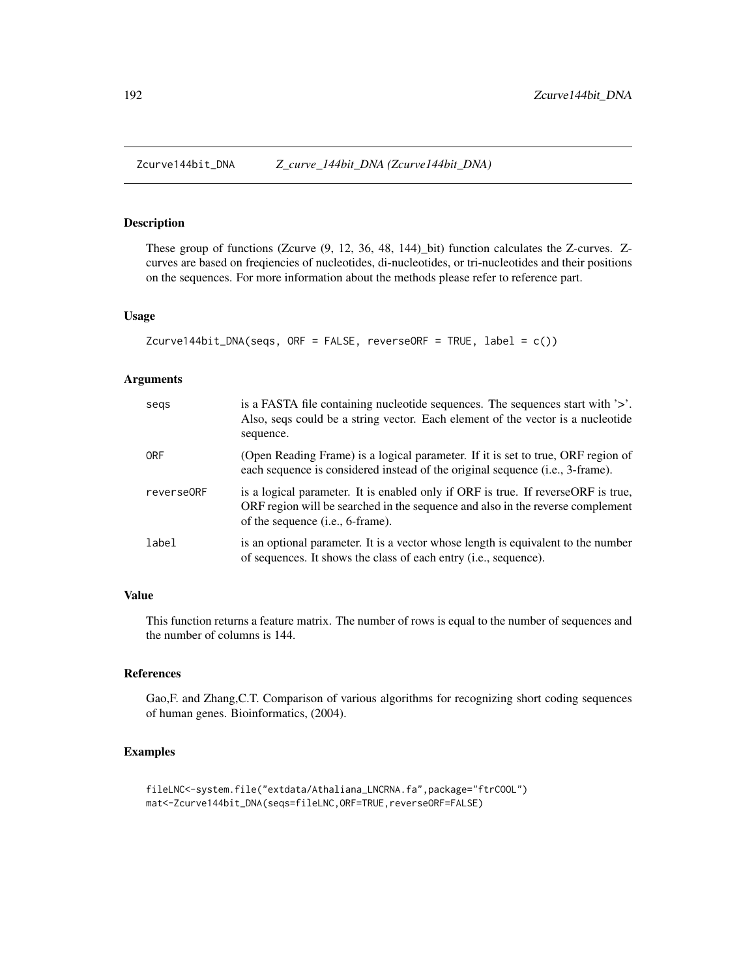<span id="page-191-0"></span>

These group of functions (Zcurve (9, 12, 36, 48, 144)\_bit) function calculates the Z-curves. Zcurves are based on freqiencies of nucleotides, di-nucleotides, or tri-nucleotides and their positions on the sequences. For more information about the methods please refer to reference part.

#### Usage

```
Zcurve144bit_DNA(seqs, ORF = FALSE, reverseORF = TRUE, label = c())
```
# Arguments

| segs       | is a FASTA file containing nucleotide sequences. The sequences start with $\geq$ .<br>Also, seqs could be a string vector. Each element of the vector is a nucleotide<br>sequence.                               |
|------------|------------------------------------------------------------------------------------------------------------------------------------------------------------------------------------------------------------------|
| <b>ORF</b> | (Open Reading Frame) is a logical parameter. If it is set to true, ORF region of<br>each sequence is considered instead of the original sequence (i.e., 3-frame).                                                |
| reverse0RF | is a logical parameter. It is enabled only if ORF is true. If reverseORF is true,<br>ORF region will be searched in the sequence and also in the reverse complement<br>of the sequence ( <i>i.e.</i> , 6-frame). |
| label      | is an optional parameter. It is a vector whose length is equivalent to the number<br>of sequences. It shows the class of each entry ( <i>i.e.</i> , sequence).                                                   |

# Value

This function returns a feature matrix. The number of rows is equal to the number of sequences and the number of columns is 144.

#### References

Gao,F. and Zhang,C.T. Comparison of various algorithms for recognizing short coding sequences of human genes. Bioinformatics, (2004).

```
fileLNC<-system.file("extdata/Athaliana_LNCRNA.fa",package="ftrCOOL")
mat<-Zcurve144bit_DNA(seqs=fileLNC,ORF=TRUE,reverseORF=FALSE)
```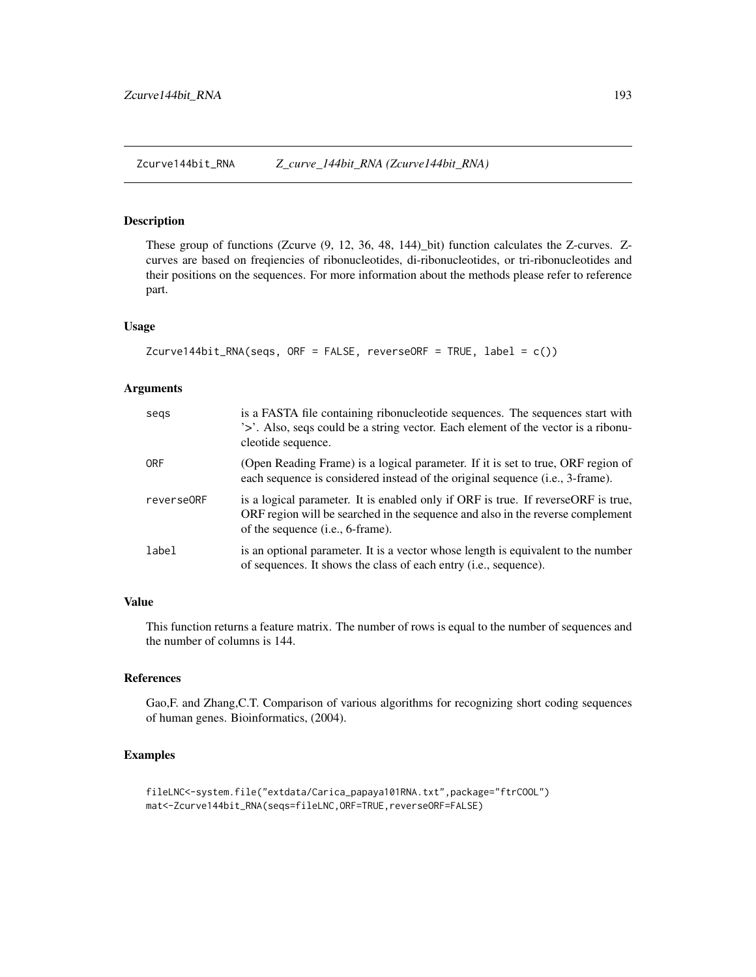<span id="page-192-0"></span>Zcurve144bit\_RNA *Z\_curve\_144bit\_RNA (Zcurve144bit\_RNA)*

#### Description

These group of functions (Zcurve (9, 12, 36, 48, 144)\_bit) function calculates the Z-curves. Zcurves are based on freqiencies of ribonucleotides, di-ribonucleotides, or tri-ribonucleotides and their positions on the sequences. For more information about the methods please refer to reference part.

# Usage

```
Zcurve144bit_RNA(seqs, ORF = FALSE, reverseORF = TRUE, label = c())
```
# Arguments

| segs       | is a FASTA file containing ribonucleotide sequences. The sequences start with<br>'>'. Also, seqs could be a string vector. Each element of the vector is a ribonu-<br>cleotide sequence.                          |
|------------|-------------------------------------------------------------------------------------------------------------------------------------------------------------------------------------------------------------------|
| 0RF        | (Open Reading Frame) is a logical parameter. If it is set to true, ORF region of<br>each sequence is considered instead of the original sequence (i.e., 3-frame).                                                 |
| reverse0RF | is a logical parameter. It is enabled only if ORF is true. If reverse ORF is true,<br>ORF region will be searched in the sequence and also in the reverse complement<br>of the sequence ( <i>i.e.</i> , 6-frame). |
| label      | is an optional parameter. It is a vector whose length is equivalent to the number<br>of sequences. It shows the class of each entry ( <i>i.e.</i> , sequence).                                                    |

# Value

This function returns a feature matrix. The number of rows is equal to the number of sequences and the number of columns is 144.

# References

Gao,F. and Zhang,C.T. Comparison of various algorithms for recognizing short coding sequences of human genes. Bioinformatics, (2004).

```
fileLNC<-system.file("extdata/Carica_papaya101RNA.txt",package="ftrCOOL")
mat<-Zcurve144bit_RNA(seqs=fileLNC,ORF=TRUE,reverseORF=FALSE)
```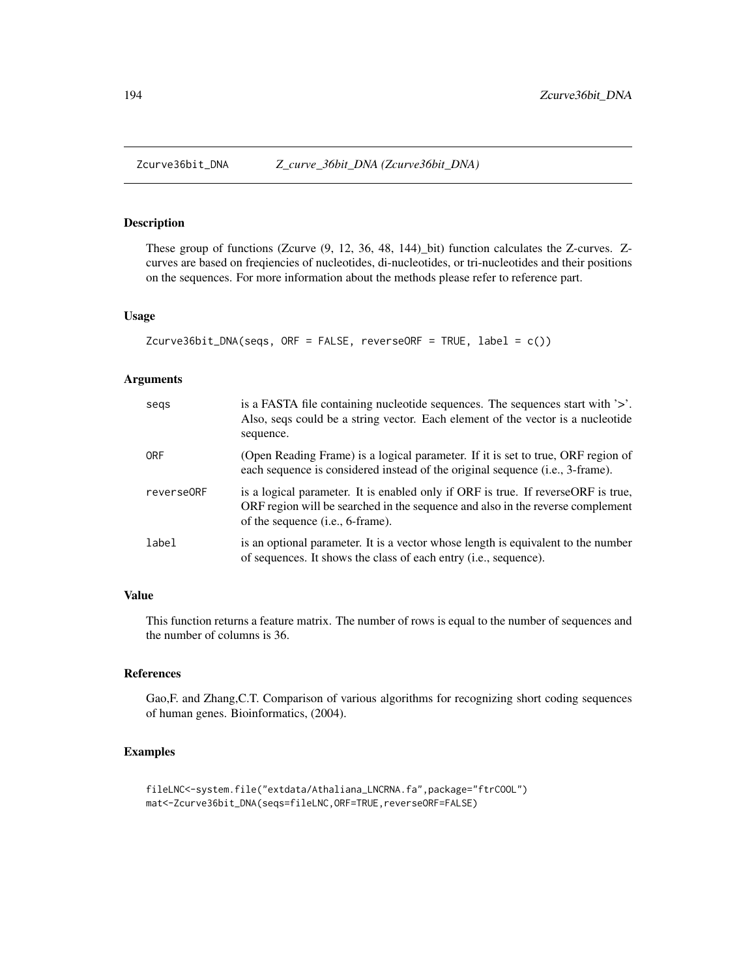<span id="page-193-0"></span>These group of functions (Zcurve (9, 12, 36, 48, 144)\_bit) function calculates the Z-curves. Zcurves are based on freqiencies of nucleotides, di-nucleotides, or tri-nucleotides and their positions on the sequences. For more information about the methods please refer to reference part.

#### Usage

```
Zcurve36bit_DNA(seqs, ORF = FALSE, reverseORF = TRUE, label = c())
```
# Arguments

| segs       | is a FASTA file containing nucleotide sequences. The sequences start with $\geq$ .<br>Also, seqs could be a string vector. Each element of the vector is a nucleotide<br>sequence.                               |
|------------|------------------------------------------------------------------------------------------------------------------------------------------------------------------------------------------------------------------|
| <b>ORF</b> | (Open Reading Frame) is a logical parameter. If it is set to true, ORF region of<br>each sequence is considered instead of the original sequence (i.e., 3-frame).                                                |
| reverse0RF | is a logical parameter. It is enabled only if ORF is true. If reverseORF is true,<br>ORF region will be searched in the sequence and also in the reverse complement<br>of the sequence ( <i>i.e.</i> , 6-frame). |
| label      | is an optional parameter. It is a vector whose length is equivalent to the number<br>of sequences. It shows the class of each entry ( <i>i.e.</i> , sequence).                                                   |

#### Value

This function returns a feature matrix. The number of rows is equal to the number of sequences and the number of columns is 36.

#### References

Gao,F. and Zhang,C.T. Comparison of various algorithms for recognizing short coding sequences of human genes. Bioinformatics, (2004).

```
fileLNC<-system.file("extdata/Athaliana_LNCRNA.fa",package="ftrCOOL")
mat<-Zcurve36bit_DNA(seqs=fileLNC,ORF=TRUE,reverseORF=FALSE)
```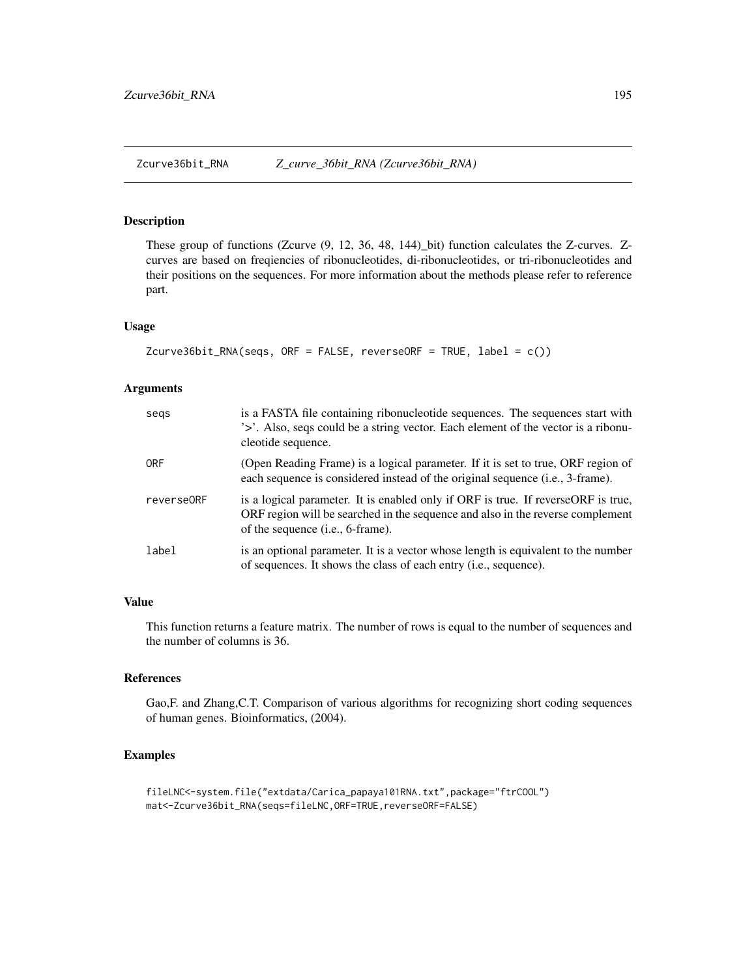<span id="page-194-0"></span>Zcurve36bit\_RNA *Z\_curve\_36bit\_RNA (Zcurve36bit\_RNA)*

#### Description

These group of functions (Zcurve (9, 12, 36, 48, 144)\_bit) function calculates the Z-curves. Zcurves are based on freqiencies of ribonucleotides, di-ribonucleotides, or tri-ribonucleotides and their positions on the sequences. For more information about the methods please refer to reference part.

# Usage

```
Zcurve36bit_RNA(\text{seqs}, \text{ORF = FALSE}, \text{reverseORF = TRUE}, \text{label = c())}
```
# Arguments

| segs       | is a FASTA file containing ribonucleotide sequences. The sequences start with<br>'>'. Also, seqs could be a string vector. Each element of the vector is a ribonu-<br>cleotide sequence.                         |
|------------|------------------------------------------------------------------------------------------------------------------------------------------------------------------------------------------------------------------|
| <b>ORF</b> | (Open Reading Frame) is a logical parameter. If it is set to true, ORF region of<br>each sequence is considered instead of the original sequence (i.e., 3-frame).                                                |
| reverse0RF | is a logical parameter. It is enabled only if ORF is true. If reverseORF is true,<br>ORF region will be searched in the sequence and also in the reverse complement<br>of the sequence ( <i>i.e.</i> , 6-frame). |
| label      | is an optional parameter. It is a vector whose length is equivalent to the number<br>of sequences. It shows the class of each entry ( <i>i.e.</i> , sequence).                                                   |

# Value

This function returns a feature matrix. The number of rows is equal to the number of sequences and the number of columns is 36.

# References

Gao,F. and Zhang,C.T. Comparison of various algorithms for recognizing short coding sequences of human genes. Bioinformatics, (2004).

```
fileLNC<-system.file("extdata/Carica_papaya101RNA.txt",package="ftrCOOL")
mat<-Zcurve36bit_RNA(seqs=fileLNC,ORF=TRUE,reverseORF=FALSE)
```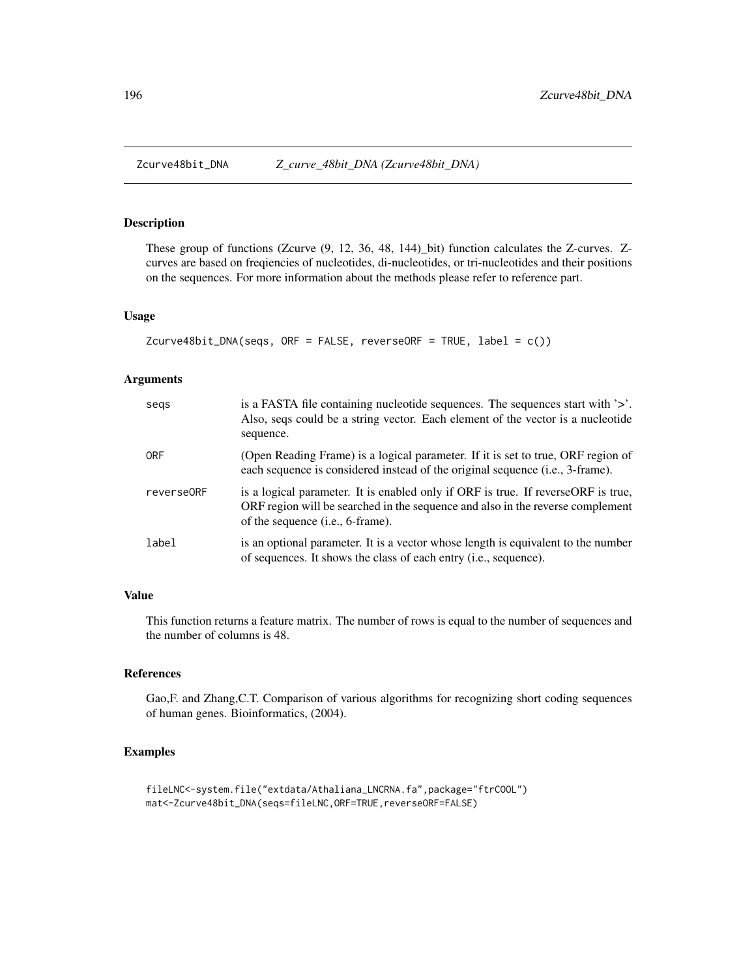<span id="page-195-0"></span>These group of functions (Zcurve (9, 12, 36, 48, 144)\_bit) function calculates the Z-curves. Zcurves are based on freqiencies of nucleotides, di-nucleotides, or tri-nucleotides and their positions on the sequences. For more information about the methods please refer to reference part.

#### Usage

```
Zcurve48bit_DNA(seqs, ORF = FALSE, reverseORF = TRUE, label = c())
```
# Arguments

| segs       | is a FASTA file containing nucleotide sequences. The sequences start with $\geq$ .<br>Also, seqs could be a string vector. Each element of the vector is a nucleotide<br>sequence.                                |
|------------|-------------------------------------------------------------------------------------------------------------------------------------------------------------------------------------------------------------------|
| <b>ORF</b> | (Open Reading Frame) is a logical parameter. If it is set to true, ORF region of<br>each sequence is considered instead of the original sequence (i.e., 3-frame).                                                 |
| reverse0RF | is a logical parameter. It is enabled only if ORF is true. If reverse ORF is true,<br>ORF region will be searched in the sequence and also in the reverse complement<br>of the sequence ( <i>i.e.</i> , 6-frame). |
| label      | is an optional parameter. It is a vector whose length is equivalent to the number<br>of sequences. It shows the class of each entry ( <i>i.e.</i> , sequence).                                                    |

#### Value

This function returns a feature matrix. The number of rows is equal to the number of sequences and the number of columns is 48.

#### References

Gao,F. and Zhang,C.T. Comparison of various algorithms for recognizing short coding sequences of human genes. Bioinformatics, (2004).

```
fileLNC<-system.file("extdata/Athaliana_LNCRNA.fa",package="ftrCOOL")
mat<-Zcurve48bit_DNA(seqs=fileLNC,ORF=TRUE,reverseORF=FALSE)
```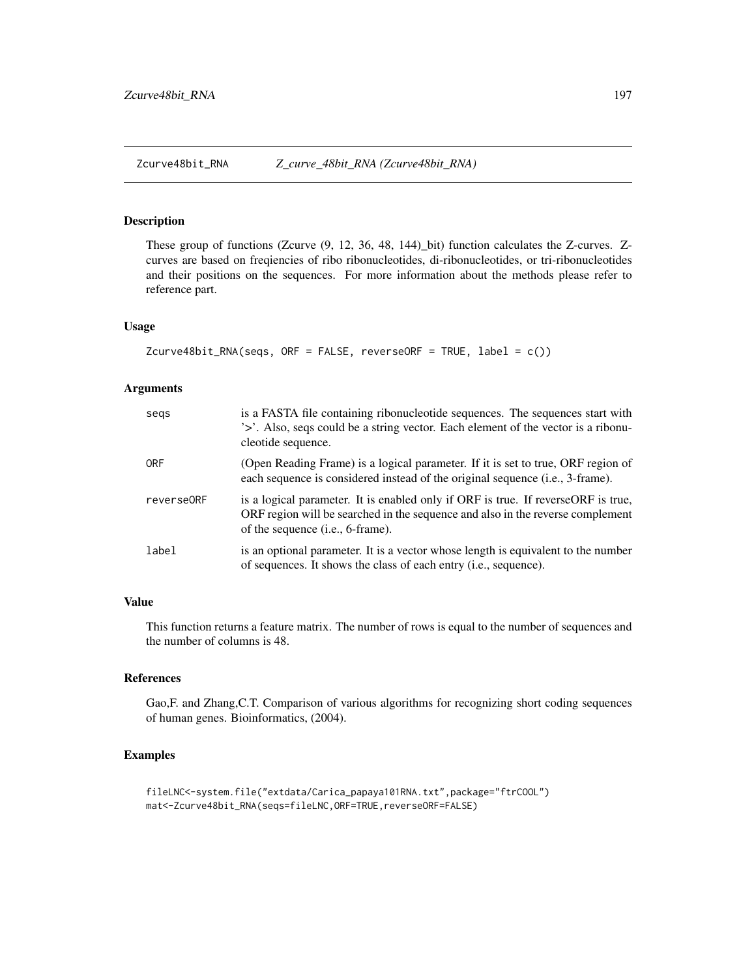<span id="page-196-0"></span>Zcurve48bit\_RNA *Z\_curve\_48bit\_RNA (Zcurve48bit\_RNA)*

#### Description

These group of functions (Zcurve (9, 12, 36, 48, 144)\_bit) function calculates the Z-curves. Zcurves are based on freqiencies of ribo ribonucleotides, di-ribonucleotides, or tri-ribonucleotides and their positions on the sequences. For more information about the methods please refer to reference part.

# Usage

```
Zcurve48bit_RNA(\text{seqs}, \text{ORF = FALSE}, \text{reverseORF = TRUE}, \text{label = c())}
```
# Arguments

| segs       | is a FASTA file containing ribonucleotide sequences. The sequences start with<br>'>'. Also, seqs could be a string vector. Each element of the vector is a ribonu-<br>cleotide sequence.                          |
|------------|-------------------------------------------------------------------------------------------------------------------------------------------------------------------------------------------------------------------|
| <b>ORF</b> | (Open Reading Frame) is a logical parameter. If it is set to true, ORF region of<br>each sequence is considered instead of the original sequence (i.e., 3-frame).                                                 |
| reverse0RF | is a logical parameter. It is enabled only if ORF is true. If reverse ORF is true,<br>ORF region will be searched in the sequence and also in the reverse complement<br>of the sequence ( <i>i.e.</i> , 6-frame). |
| label      | is an optional parameter. It is a vector whose length is equivalent to the number<br>of sequences. It shows the class of each entry (i.e., sequence).                                                             |

# Value

This function returns a feature matrix. The number of rows is equal to the number of sequences and the number of columns is 48.

# References

Gao,F. and Zhang,C.T. Comparison of various algorithms for recognizing short coding sequences of human genes. Bioinformatics, (2004).

```
fileLNC<-system.file("extdata/Carica_papaya101RNA.txt",package="ftrCOOL")
mat<-Zcurve48bit_RNA(seqs=fileLNC,ORF=TRUE,reverseORF=FALSE)
```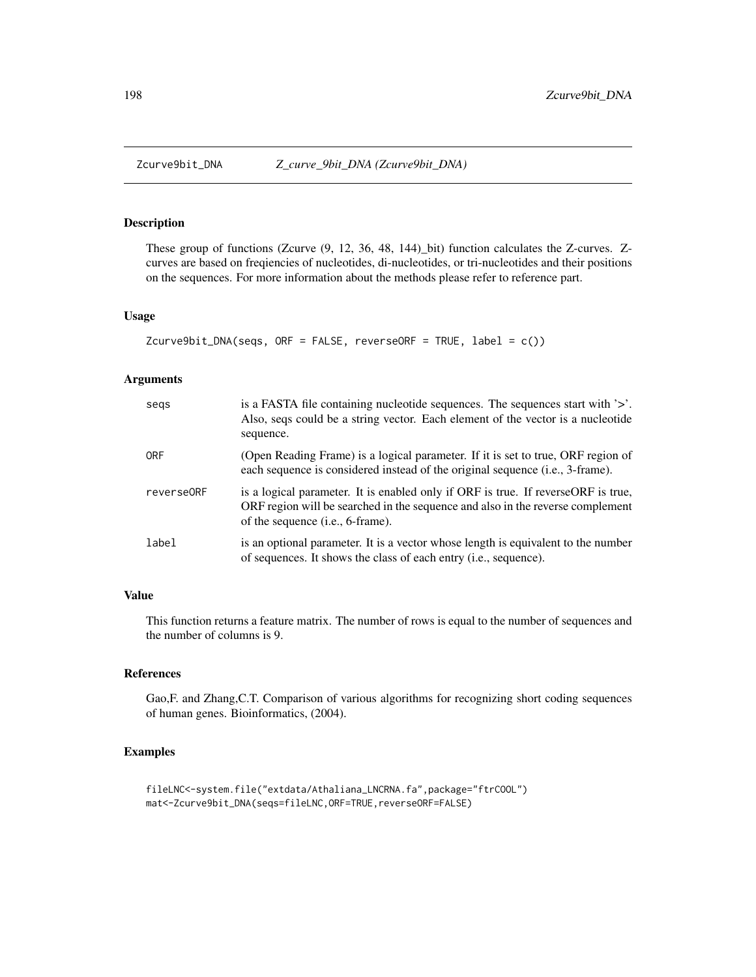<span id="page-197-0"></span>These group of functions (Zcurve (9, 12, 36, 48, 144)\_bit) function calculates the Z-curves. Zcurves are based on freqiencies of nucleotides, di-nucleotides, or tri-nucleotides and their positions on the sequences. For more information about the methods please refer to reference part.

#### Usage

```
Zcurve9bit_DNA(seqs, ORF = FALSE, reverseORF = TRUE, label = c())
```
# Arguments

| segs       | is a FASTA file containing nucleotide sequences. The sequences start with $\geq$ .<br>Also, seqs could be a string vector. Each element of the vector is a nucleotide<br>sequence.                                |
|------------|-------------------------------------------------------------------------------------------------------------------------------------------------------------------------------------------------------------------|
| <b>ORF</b> | (Open Reading Frame) is a logical parameter. If it is set to true, ORF region of<br>each sequence is considered instead of the original sequence (i.e., 3-frame).                                                 |
| reverse0RF | is a logical parameter. It is enabled only if ORF is true. If reverse ORF is true,<br>ORF region will be searched in the sequence and also in the reverse complement<br>of the sequence ( <i>i.e.</i> , 6-frame). |
| label      | is an optional parameter. It is a vector whose length is equivalent to the number<br>of sequences. It shows the class of each entry ( <i>i.e.</i> , sequence).                                                    |

#### Value

This function returns a feature matrix. The number of rows is equal to the number of sequences and the number of columns is 9.

#### References

Gao,F. and Zhang,C.T. Comparison of various algorithms for recognizing short coding sequences of human genes. Bioinformatics, (2004).

```
fileLNC<-system.file("extdata/Athaliana_LNCRNA.fa",package="ftrCOOL")
mat<-Zcurve9bit_DNA(seqs=fileLNC,ORF=TRUE,reverseORF=FALSE)
```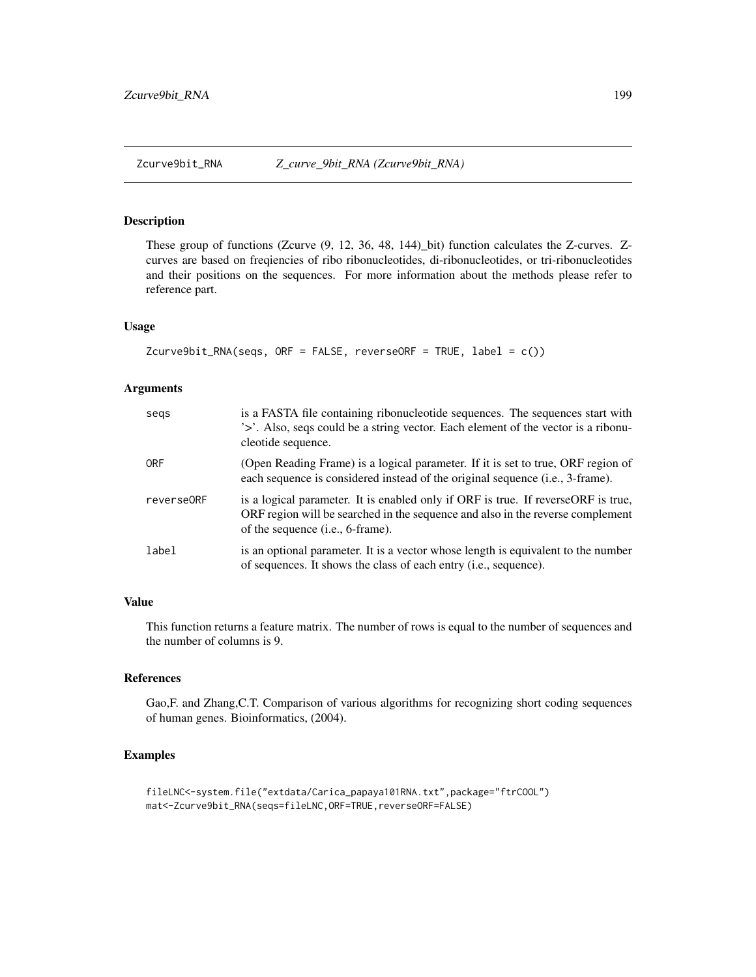<span id="page-198-0"></span>

These group of functions (Zcurve (9, 12, 36, 48, 144)\_bit) function calculates the Z-curves. Zcurves are based on freqiencies of ribo ribonucleotides, di-ribonucleotides, or tri-ribonucleotides and their positions on the sequences. For more information about the methods please refer to reference part.

# Usage

```
Zcurve9bit_RNA(seqs, ORF = FALSE, reverseORF = TRUE, label = c())
```
# Arguments

| segs       | is a FASTA file containing ribonucleotide sequences. The sequences start with<br>'>'. Also, seqs could be a string vector. Each element of the vector is a ribonu-<br>cleotide sequence.                         |
|------------|------------------------------------------------------------------------------------------------------------------------------------------------------------------------------------------------------------------|
| <b>ORF</b> | (Open Reading Frame) is a logical parameter. If it is set to true, ORF region of<br>each sequence is considered instead of the original sequence (i.e., 3-frame).                                                |
| reverse0RF | is a logical parameter. It is enabled only if ORF is true. If reverseORF is true,<br>ORF region will be searched in the sequence and also in the reverse complement<br>of the sequence ( <i>i.e.</i> , 6-frame). |
| label      | is an optional parameter. It is a vector whose length is equivalent to the number<br>of sequences. It shows the class of each entry ( <i>i.e.</i> , sequence).                                                   |

# Value

This function returns a feature matrix. The number of rows is equal to the number of sequences and the number of columns is 9.

# References

Gao,F. and Zhang,C.T. Comparison of various algorithms for recognizing short coding sequences of human genes. Bioinformatics, (2004).

```
fileLNC<-system.file("extdata/Carica_papaya101RNA.txt",package="ftrCOOL")
mat<-Zcurve9bit_RNA(seqs=fileLNC,ORF=TRUE,reverseORF=FALSE)
```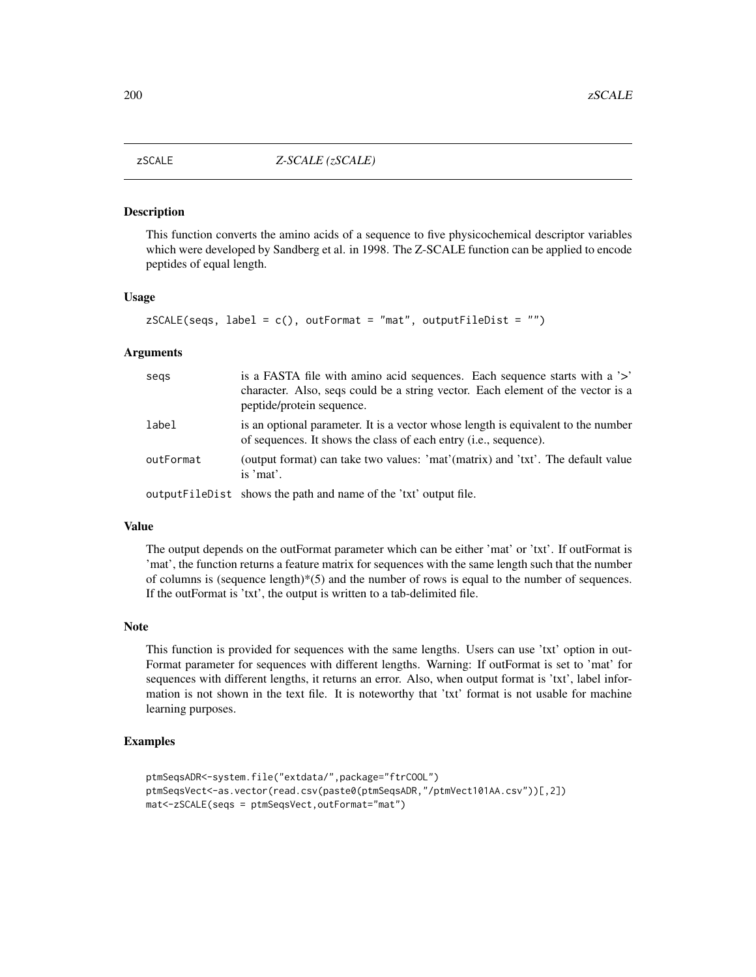<span id="page-199-0"></span>

This function converts the amino acids of a sequence to five physicochemical descriptor variables which were developed by Sandberg et al. in 1998. The Z-SCALE function can be applied to encode peptides of equal length.

#### Usage

```
zSCALE(seqs, label = c(), outFormat = "mat", outputFileDist = "")
```
# Arguments

| segs      | is a FASTA file with a mino acid sequences. Each sequence starts with a '>'<br>character. Also, seqs could be a string vector. Each element of the vector is a<br>peptide/protein sequence. |
|-----------|---------------------------------------------------------------------------------------------------------------------------------------------------------------------------------------------|
| label     | is an optional parameter. It is a vector whose length is equivalent to the number<br>of sequences. It shows the class of each entry (i.e., sequence).                                       |
| outFormat | (output format) can take two values: 'mat'(matrix) and 'txt'. The default value<br>is 'mat'.                                                                                                |
|           | output FileDist shows the path and name of the 'txt' output file.                                                                                                                           |

#### Value

The output depends on the outFormat parameter which can be either 'mat' or 'txt'. If outFormat is 'mat', the function returns a feature matrix for sequences with the same length such that the number of columns is (sequence length) $*(5)$  and the number of rows is equal to the number of sequences. If the outFormat is 'txt', the output is written to a tab-delimited file.

#### Note

This function is provided for sequences with the same lengths. Users can use 'txt' option in out-Format parameter for sequences with different lengths. Warning: If outFormat is set to 'mat' for sequences with different lengths, it returns an error. Also, when output format is 'txt', label information is not shown in the text file. It is noteworthy that 'txt' format is not usable for machine learning purposes.

```
ptmSeqsADR<-system.file("extdata/",package="ftrCOOL")
ptmSeqsVect<-as.vector(read.csv(paste0(ptmSeqsADR,"/ptmVect101AA.csv"))[,2])
mat<-zSCALE(seqs = ptmSeqsVect,outFormat="mat")
```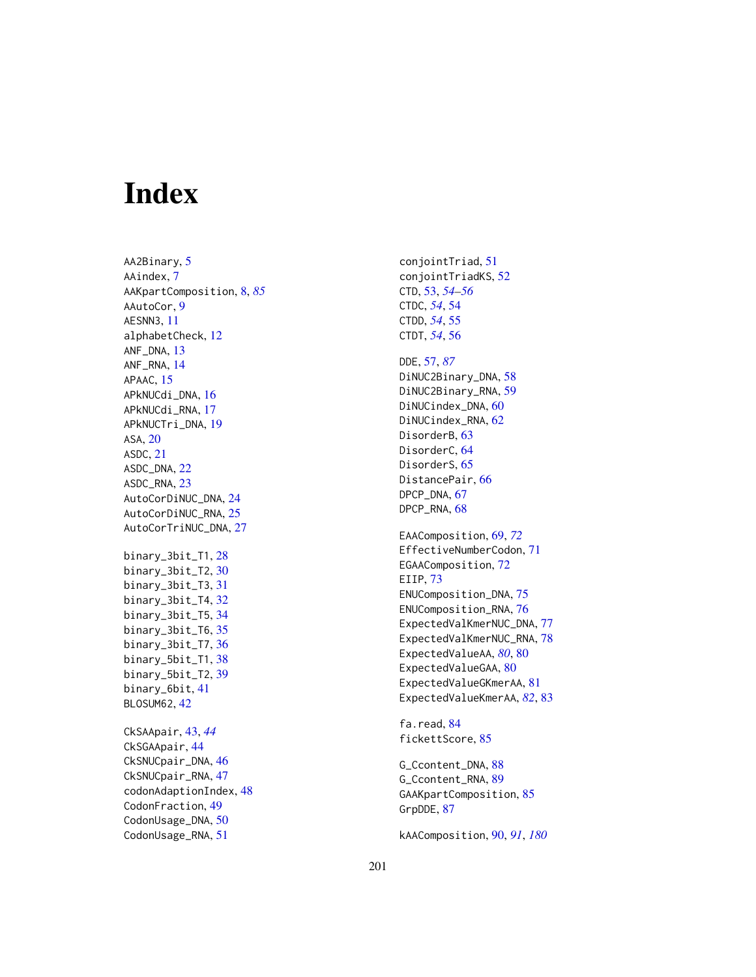# Index

AA2Binary, <mark>[5](#page-4-0)</mark> AAindex , [7](#page-6-0) AAKpartComposition , [8](#page-7-0) , *[85](#page-84-0)* AAutoCor , [9](#page-8-0) AESNN3 , [11](#page-10-0) alphabetCheck , [12](#page-11-0) ANF\_DNA , [13](#page-12-0) ANF\_RNA , [14](#page-13-0) APAAC, [15](#page-14-0) APkNUCdi\_DNA , [16](#page-15-0) APkNUCdi\_RNA , [17](#page-16-0) APkNUCTri\_DNA , [19](#page-18-0) ASA, [20](#page-19-0) ASDC , [21](#page-20-0) ASDC\_DNA , [22](#page-21-0) ASDC\_RNA, [23](#page-22-0) AutoCorDiNUC\_DNA , [24](#page-23-0) AutoCorDiNUC\_RNA , [25](#page-24-0) AutoCorTriNUC\_DNA , [27](#page-26-0) binary\_3bit\_T1 , [28](#page-27-0) binary\_3bit\_T2 , [30](#page-29-0) binary\_3bit\_T3 , [31](#page-30-0) binary\_3bit\_T4 , [32](#page-31-0) binary\_3bit\_T5 , [34](#page-33-0) binary\_3bit\_T6 , [35](#page-34-0) binary\_3bit\_T7 , [36](#page-35-0) binary\_5bit\_T1 , [38](#page-37-0) binary\_5bit\_T2 , [39](#page-38-0) binary\_6bit , [41](#page-40-0) BLOSUM62 , [42](#page-41-0) CkSAApair , [43](#page-42-0) , *[44](#page-43-0)* CkSGAApair , [44](#page-43-0) CkSNUCpair\_DNA, [46](#page-45-0) CkSNUCpair\_RNA , [47](#page-46-0) codonAdaptionIndex , [48](#page-47-0) CodonFraction , [49](#page-48-0) CodonUsage\_DNA, [50](#page-49-0) CodonUsage\_RNA , [51](#page-50-0)

DDE , [57](#page-56-0) , *[87](#page-86-0)* DiNUC2Binary\_DNA , [58](#page-57-0) DiNUC2Binary\_RNA , [59](#page-58-0) DiNUCindex\_DNA, [60](#page-59-0) DiNUCindex\_RNA, [62](#page-61-0) DisorderB, [63](#page-62-0) DisorderC, [64](#page-63-0) DisorderS, [65](#page-64-0) DistancePair, <mark>[66](#page-65-0)</mark> DPCP\_DNA, [67](#page-66-0) DPCP\_RNA, [68](#page-67-0) EAAComposition , [69](#page-68-0) , *[72](#page-71-0)* EffectiveNumberCodon , [71](#page-70-0) EGAAComposition, [72](#page-71-0) EIIP, [73](#page-72-0) ENUComposition\_DNA , [75](#page-74-0) ENUComposition\_RNA, [76](#page-75-0) ExpectedValKmerNUC\_DNA, [77](#page-76-0) ExpectedValKmerNUC\_RNA , [78](#page-77-0) ExpectedValueAA, [80](#page-79-0), 80 ExpectedValueGAA, [80](#page-79-0) ExpectedValueGKmerAA, [81](#page-80-0) ExpectedValueKmerAA , *[82](#page-81-0)* , [83](#page-82-0) fa.read, [84](#page-83-0) fickettScore , [85](#page-84-0)

conjointTriad , [51](#page-50-0) conjointTriadKS , [52](#page-51-0) CTD , [53](#page-52-0) , *[54](#page-53-0) [–56](#page-55-0)* CTDC , *[54](#page-53-0)* , [54](#page-53-0) CTDD , *[54](#page-53-0)* , [55](#page-54-0) CTDT , *[54](#page-53-0)* , [56](#page-55-0)

G\_Ccontent\_DNA, [88](#page-87-0) G\_Ccontent\_RNA, [89](#page-88-0) GAAKpartComposition, [85](#page-84-0) GrpDDE, [87](#page-86-0)

kAAComposition , [90](#page-89-0) , *[91](#page-90-0)* , *[180](#page-179-1)*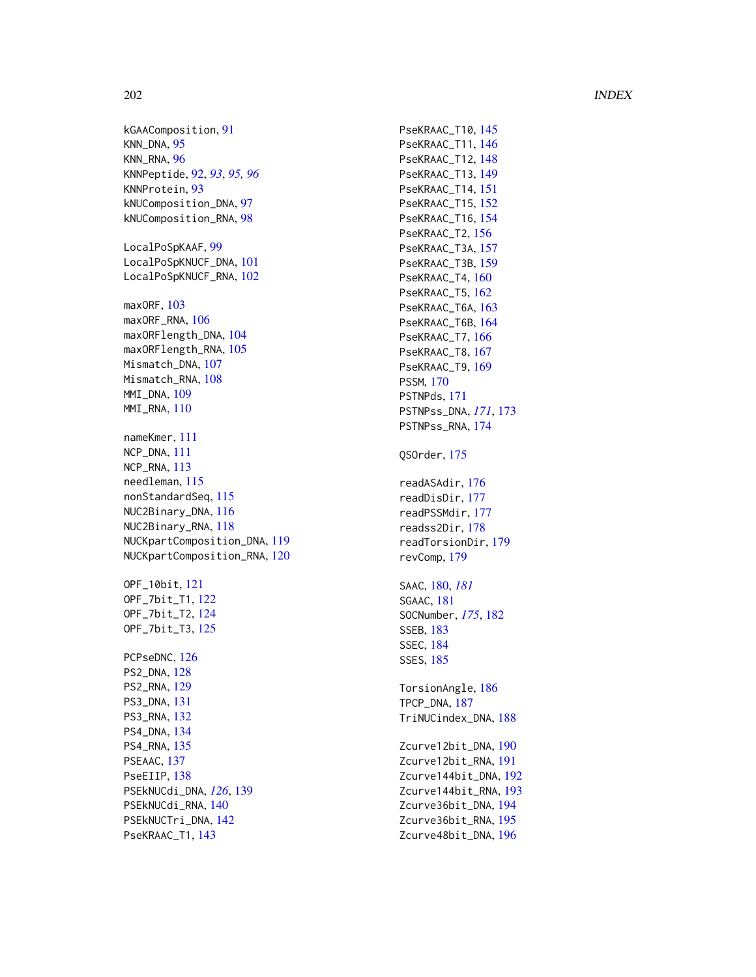# 202 **INDEX**

kGAAComposition , [91](#page-90-0) KNN\_DNA , [95](#page-94-0) KNN\_RNA , [96](#page-95-0) KNNPeptide , [92](#page-91-0) , *[93](#page-92-0)* , *[95](#page-94-0) , [96](#page-95-0)* KNNProtein , [93](#page-92-0) kNUComposition\_DNA , [97](#page-96-0) kNUComposition\_RNA , [98](#page-97-0) LocalPoSpKAAF, [99](#page-98-0) LocalPoSpKNUCF\_DNA , [101](#page-100-0) LocalPoSpKNUCF\_RNA, [102](#page-101-0) maxORF, [103](#page-102-0) maxORF\_RNA, [106](#page-105-0) maxORFlength\_DNA , [104](#page-103-0) maxORFlength\_RNA , [105](#page-104-0) Mismatch\_DNA, [107](#page-106-0) Mismatch\_RNA, [108](#page-107-0) MMI\_DNA, [109](#page-108-0) MMI\_RNA, [110](#page-109-0) nameKmer , [111](#page-110-0) NCP\_DNA , [111](#page-110-0) NCP\_RNA , [113](#page-112-0) needleman , [115](#page-114-0) nonStandardSeq , [115](#page-114-0) NUC2Binary\_DNA , [116](#page-115-0) NUC2Binary\_RNA , [118](#page-117-0) NUCKpartComposition\_DNA , [119](#page-118-0) NUCKpartComposition\_RNA , [120](#page-119-0) OPF\_10bit , [121](#page-120-0) OPF\_7bit\_T1 , [122](#page-121-0) OPF\_7bit\_T2 , [124](#page-123-0) OPF\_7bit\_T3 , [125](#page-124-0) PCPseDNC, [126](#page-125-0) PS2\_DNA , [128](#page-127-0) PS2\_RNA , [129](#page-128-0) PS3\_DNA , [131](#page-130-0) PS3\_RNA , [132](#page-131-0) PS4\_DNA , [134](#page-133-0) PS4\_RNA , [135](#page-134-0) PSEAAC, [137](#page-136-0) PseEIIP, [138](#page-137-0) PSEkNUCdi\_DNA , *[126](#page-125-0)* , [139](#page-138-0) PSEkNUCdi\_RNA , [140](#page-139-0) PSEkNUCTri\_DNA , [142](#page-141-0) PseKRAAC\_T1, [143](#page-142-0)

PseKRAAC\_T10, [145](#page-144-0) PseKRAAC\_T11, [146](#page-145-0) PseKRAAC\_T12, [148](#page-147-0) PseKRAAC\_T13, [149](#page-148-0) PseKRAAC\_T14 , [151](#page-150-0) PseKRAAC\_T15 , [152](#page-151-0) PseKRAAC\_T16, 1<mark>5</mark>4 PseKRAAC\_T2, [156](#page-155-0) PseKRAAC\_T3A, [157](#page-156-0) PseKRAAC\_T3B, 1<mark>5</mark>9 PseKRAAC\_T4,  $160$ PseKRAAC\_T5 , [162](#page-161-0) PseKRAAC\_T6A, [163](#page-162-0) PseKRAAC\_T6B, [164](#page-163-0) PseKRAAC\_T7, [166](#page-165-0) PseKRAAC\_T8, [167](#page-166-0) PseKRAAC\_T9, [169](#page-168-0) PSSM , [170](#page-169-0) PSTNPds , [171](#page-170-0) PSTNPss\_DNA , *[171](#page-170-0)* , [173](#page-172-0) PSTNPss\_RNA , [174](#page-173-0) QSOrder , [175](#page-174-0) readASAdir , [176](#page-175-0) readDisDir , [177](#page-176-0) readPSSMdir , [177](#page-176-0) readss2Dir , [178](#page-177-0) readTorsionDir , [179](#page-178-0) revComp , [179](#page-178-0) SAAC , [180](#page-179-1) , *[181](#page-180-0)* SGAAC , [181](#page-180-0) SOCNumber , *[175](#page-174-0)* , [182](#page-181-0) SSEB , [183](#page-182-0) SSEC , [184](#page-183-0) SSES , [185](#page-184-0) TorsionAngle, [186](#page-185-0) TPCP\_DNA , [187](#page-186-0) TriNUCindex\_DNA , [188](#page-187-0) Zcurve12bit\_DNA, [190](#page-189-0) Zcurve12bit\_RNA , [191](#page-190-0) Zcurve144bit\_DNA , [192](#page-191-0) Zcurve144bit\_RNA , [193](#page-192-0) Zcurve36bit\_DNA , [194](#page-193-0) Zcurve36bit\_RNA , [195](#page-194-0) Zcurve48bit\_DNA , [196](#page-195-0)